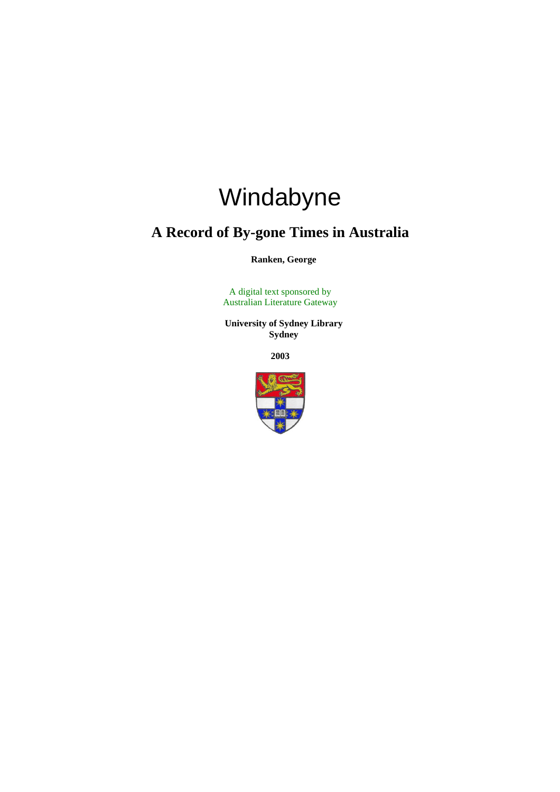# Windabyne

# **A Record of By-gone Times in Australia**

**Ranken, George**

A digital text sponsored by Australian Literature Gateway

 **University of Sydney Library Sydney**

**2003**

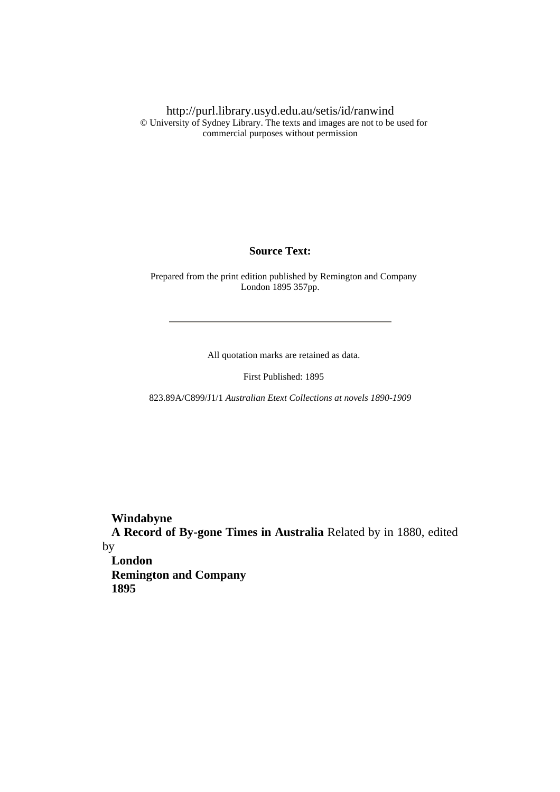http://purl.library.usyd.edu.au/setis/id/ranwind © University of Sydney Library. The texts and images are not to be used for commercial purposes without permission

#### **Source Text:**

 Prepared from the print edition published by Remington and Company London 1895 357pp.

All quotation marks are retained as data.

First Published: 1895

823.89A/C899/J1/1 *Australian Etext Collections at novels 1890-1909*

**Windabyne**

 **A Record of By-gone Times in Australia** Related by in 1880, edited by

 **London Remington and Company 1895**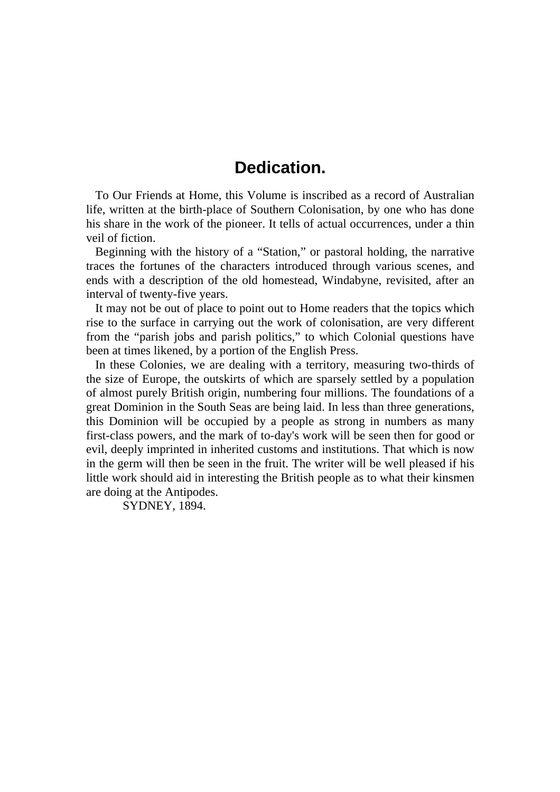## **Dedication.**

 To Our Friends at Home, this Volume is inscribed as a record of Australian life, written at the birth-place of Southern Colonisation, by one who has done his share in the work of the pioneer. It tells of actual occurrences, under a thin veil of fiction.

 Beginning with the history of a "Station," or pastoral holding, the narrative traces the fortunes of the characters introduced through various scenes, and ends with a description of the old homestead, Windabyne, revisited, after an interval of twenty-five years.

 It may not be out of place to point out to Home readers that the topics which rise to the surface in carrying out the work of colonisation, are very different from the "parish jobs and parish politics," to which Colonial questions have been at times likened, by a portion of the English Press.

 In these Colonies, we are dealing with a territory, measuring two-thirds of the size of Europe, the outskirts of which are sparsely settled by a population of almost purely British origin, numbering four millions. The foundations of a great Dominion in the South Seas are being laid. In less than three generations, this Dominion will be occupied by a people as strong in numbers as many first-class powers, and the mark of to-day's work will be seen then for good or evil, deeply imprinted in inherited customs and institutions. That which is now in the germ will then be seen in the fruit. The writer will be well pleased if his little work should aid in interesting the British people as to what their kinsmen are doing at the Antipodes.

SYDNEY, 1894.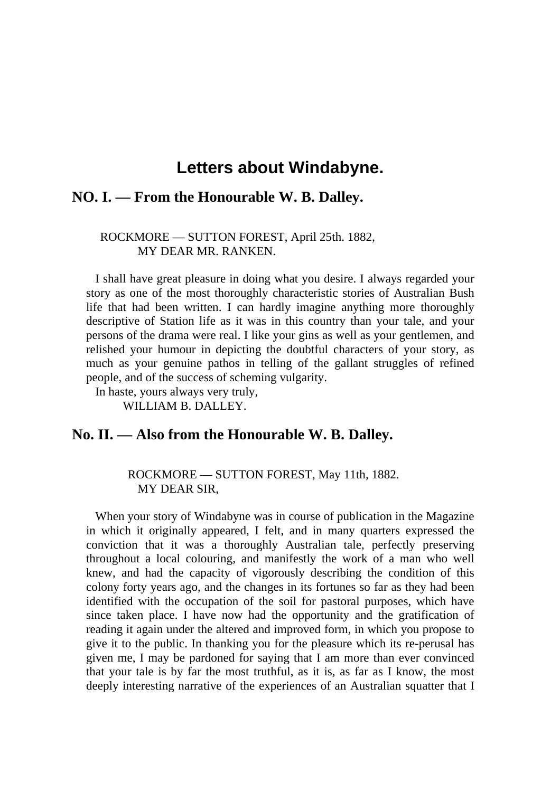## **Letters about Windabyne.**

### **NO. I. — From the Honourable W. B. Dalley.**

#### ROCKMORE — SUTTON FOREST, April 25th. 1882, MY DEAR MR. RANKEN.

 I shall have great pleasure in doing what you desire. I always regarded your story as one of the most thoroughly characteristic stories of Australian Bush life that had been written. I can hardly imagine anything more thoroughly descriptive of Station life as it was in this country than your tale, and your persons of the drama were real. I like your gins as well as your gentlemen, and relished your humour in depicting the doubtful characters of your story, as much as your genuine pathos in telling of the gallant struggles of refined people, and of the success of scheming vulgarity.

In haste, yours always very truly,

WILLIAM B. DALLEY.

## **No. II. — Also from the Honourable W. B. Dalley.**

#### ROCKMORE — SUTTON FOREST, May 11th, 1882. MY DEAR SIR,

 When your story of Windabyne was in course of publication in the Magazine in which it originally appeared, I felt, and in many quarters expressed the conviction that it was a thoroughly Australian tale, perfectly preserving throughout a local colouring, and manifestly the work of a man who well knew, and had the capacity of vigorously describing the condition of this colony forty years ago, and the changes in its fortunes so far as they had been identified with the occupation of the soil for pastoral purposes, which have since taken place. I have now had the opportunity and the gratification of reading it again under the altered and improved form, in which you propose to give it to the public. In thanking you for the pleasure which its re-perusal has given me, I may be pardoned for saying that I am more than ever convinced that your tale is by far the most truthful, as it is, as far as I know, the most deeply interesting narrative of the experiences of an Australian squatter that I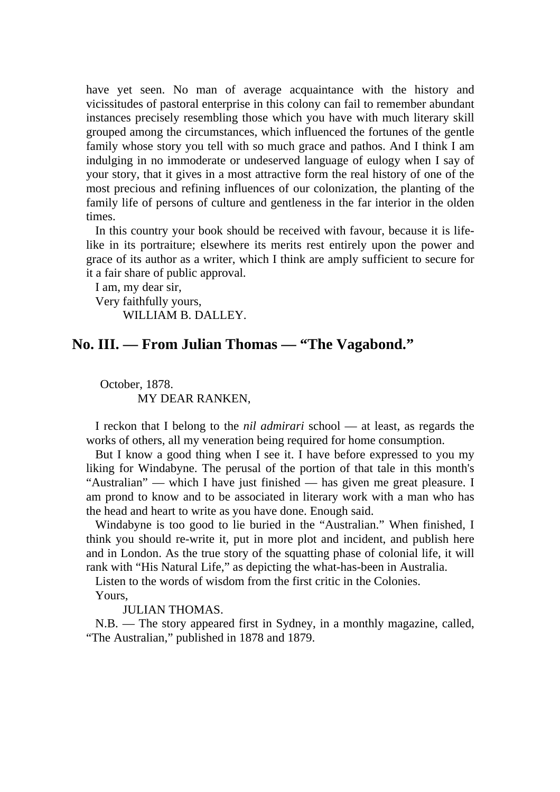have yet seen. No man of average acquaintance with the history and vicissitudes of pastoral enterprise in this colony can fail to remember abundant instances precisely resembling those which you have with much literary skill grouped among the circumstances, which influenced the fortunes of the gentle family whose story you tell with so much grace and pathos. And I think I am indulging in no immoderate or undeserved language of eulogy when I say of your story, that it gives in a most attractive form the real history of one of the most precious and refining influences of our colonization, the planting of the family life of persons of culture and gentleness in the far interior in the olden times.

 In this country your book should be received with favour, because it is lifelike in its portraiture; elsewhere its merits rest entirely upon the power and grace of its author as a writer, which I think are amply sufficient to secure for it a fair share of public approval.

 I am, my dear sir, Very faithfully yours, WILLIAM B. DALLEY.

### **No. III. — From Julian Thomas — "The Vagabond."**

#### October, 1878. MY DEAR RANKEN,

 I reckon that I belong to the *nil admirari* school — at least, as regards the works of others, all my veneration being required for home consumption.

 But I know a good thing when I see it. I have before expressed to you my liking for Windabyne. The perusal of the portion of that tale in this month's "Australian" — which I have just finished — has given me great pleasure. I am prond to know and to be associated in literary work with a man who has the head and heart to write as you have done. Enough said.

 Windabyne is too good to lie buried in the "Australian." When finished, I think you should re-write it, put in more plot and incident, and publish here and in London. As the true story of the squatting phase of colonial life, it will rank with "His Natural Life," as depicting the what-has-been in Australia.

Listen to the words of wisdom from the first critic in the Colonies.

Yours,

#### JULIAN THOMAS.

 N.B. — The story appeared first in Sydney, in a monthly magazine, called, "The Australian," published in 1878 and 1879.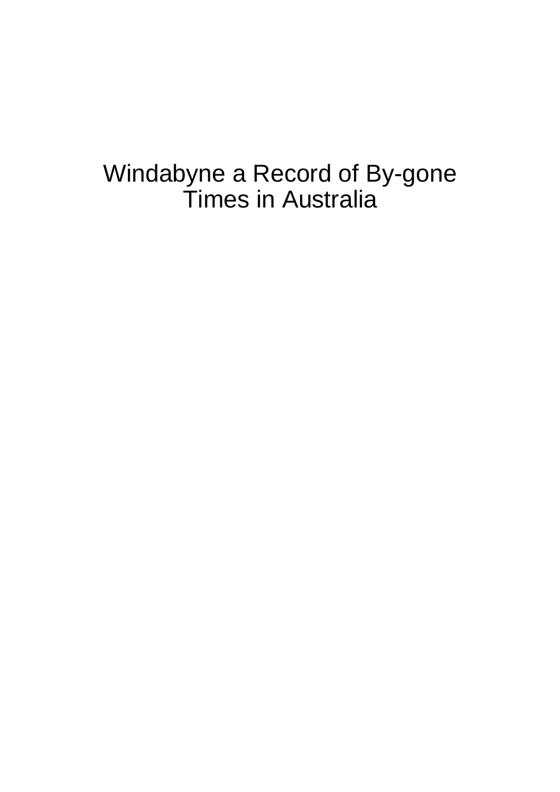# Windabyne a Record of By-gone Times in Australia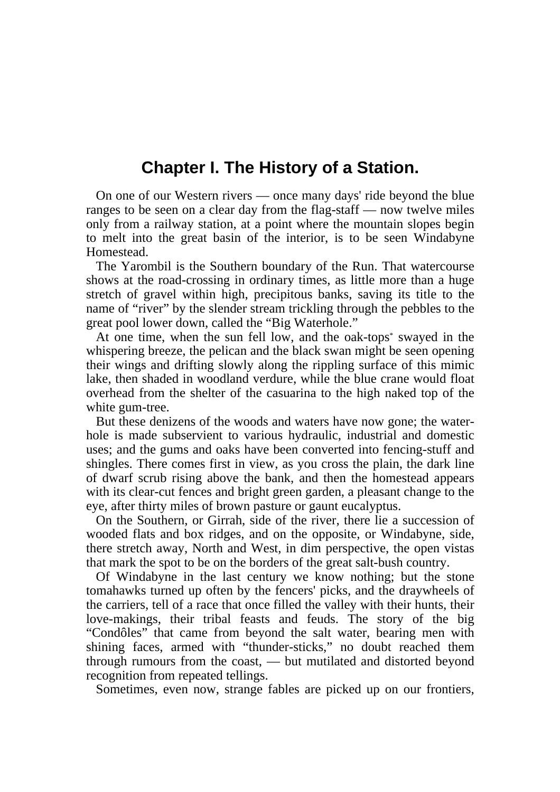## **Chapter I. The History of a Station.**

 On one of our Western rivers — once many days' ride beyond the blue ranges to be seen on a clear day from the flag-staff — now twelve miles only from a railway station, at a point where the mountain slopes begin to melt into the great basin of the interior, is to be seen Windabyne Homestead.

 The Yarombil is the Southern boundary of the Run. That watercourse shows at the road-crossing in ordinary times, as little more than a huge stretch of gravel within high, precipitous banks, saving its title to the name of "river" by the slender stream trickling through the pebbles to the great pool lower down, called the "Big Waterhole."

 At one time, when the sun fell low, and the oak-tops\* swayed in the whispering breeze, the pelican and the black swan might be seen opening their wings and drifting slowly along the rippling surface of this mimic lake, then shaded in woodland verdure, while the blue crane would float overhead from the shelter of the casuarina to the high naked top of the white gum-tree.

 But these denizens of the woods and waters have now gone; the waterhole is made subservient to various hydraulic, industrial and domestic uses; and the gums and oaks have been converted into fencing-stuff and shingles. There comes first in view, as you cross the plain, the dark line of dwarf scrub rising above the bank, and then the homestead appears with its clear-cut fences and bright green garden, a pleasant change to the eye, after thirty miles of brown pasture or gaunt eucalyptus.

 On the Southern, or Girrah, side of the river, there lie a succession of wooded flats and box ridges, and on the opposite, or Windabyne, side, there stretch away, North and West, in dim perspective, the open vistas that mark the spot to be on the borders of the great salt-bush country.

 Of Windabyne in the last century we know nothing; but the stone tomahawks turned up often by the fencers' picks, and the draywheels of the carriers, tell of a race that once filled the valley with their hunts, their love-makings, their tribal feasts and feuds. The story of the big "Condôles" that came from beyond the salt water, bearing men with shining faces, armed with "thunder-sticks," no doubt reached them through rumours from the coast, — but mutilated and distorted beyond recognition from repeated tellings.

Sometimes, even now, strange fables are picked up on our frontiers,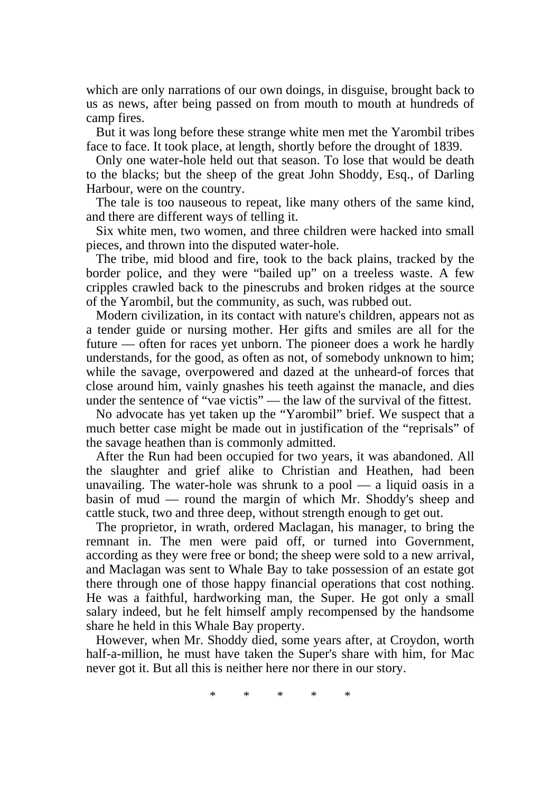which are only narrations of our own doings, in disguise, brought back to us as news, after being passed on from mouth to mouth at hundreds of camp fires.

 But it was long before these strange white men met the Yarombil tribes face to face. It took place, at length, shortly before the drought of 1839.

 Only one water-hole held out that season. To lose that would be death to the blacks; but the sheep of the great John Shoddy, Esq., of Darling Harbour, were on the country.

 The tale is too nauseous to repeat, like many others of the same kind, and there are different ways of telling it.

 Six white men, two women, and three children were hacked into small pieces, and thrown into the disputed water-hole.

 The tribe, mid blood and fire, took to the back plains, tracked by the border police, and they were "bailed up" on a treeless waste. A few cripples crawled back to the pinescrubs and broken ridges at the source of the Yarombil, but the community, as such, was rubbed out.

 Modern civilization, in its contact with nature's children, appears not as a tender guide or nursing mother. Her gifts and smiles are all for the future — often for races yet unborn. The pioneer does a work he hardly understands, for the good, as often as not, of somebody unknown to him; while the savage, overpowered and dazed at the unheard-of forces that close around him, vainly gnashes his teeth against the manacle, and dies under the sentence of "vae victis" — the law of the survival of the fittest.

 No advocate has yet taken up the "Yarombil" brief. We suspect that a much better case might be made out in justification of the "reprisals" of the savage heathen than is commonly admitted.

 After the Run had been occupied for two years, it was abandoned. All the slaughter and grief alike to Christian and Heathen, had been unavailing. The water-hole was shrunk to a pool  $-$  a liquid oasis in a basin of mud — round the margin of which Mr. Shoddy's sheep and cattle stuck, two and three deep, without strength enough to get out.

 The proprietor, in wrath, ordered Maclagan, his manager, to bring the remnant in. The men were paid off, or turned into Government, according as they were free or bond; the sheep were sold to a new arrival, and Maclagan was sent to Whale Bay to take possession of an estate got there through one of those happy financial operations that cost nothing. He was a faithful, hardworking man, the Super. He got only a small salary indeed, but he felt himself amply recompensed by the handsome share he held in this Whale Bay property.

 However, when Mr. Shoddy died, some years after, at Croydon, worth half-a-million, he must have taken the Super's share with him, for Mac never got it. But all this is neither here nor there in our story.

\* \* \* \* \*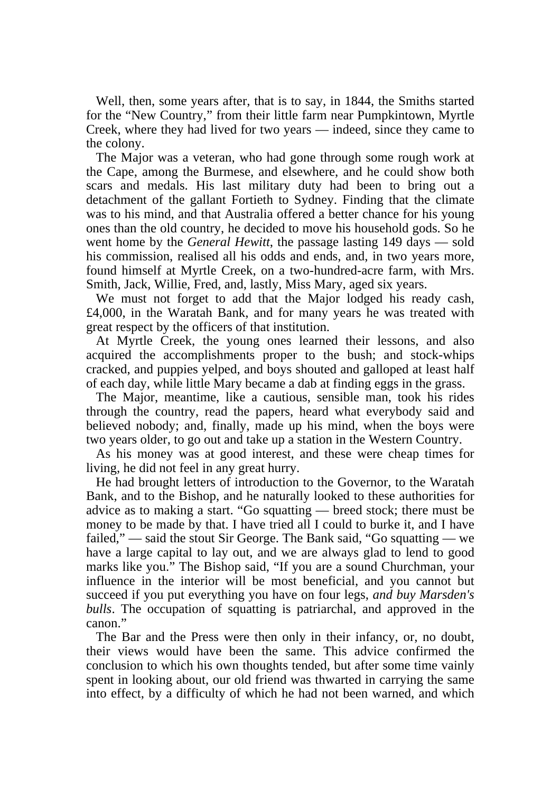Well, then, some years after, that is to say, in 1844, the Smiths started for the "New Country," from their little farm near Pumpkintown, Myrtle Creek, where they had lived for two years — indeed, since they came to the colony.

 The Major was a veteran, who had gone through some rough work at the Cape, among the Burmese, and elsewhere, and he could show both scars and medals. His last military duty had been to bring out a detachment of the gallant Fortieth to Sydney. Finding that the climate was to his mind, and that Australia offered a better chance for his young ones than the old country, he decided to move his household gods. So he went home by the *General Hewitt*, the passage lasting 149 days — sold his commission, realised all his odds and ends, and, in two years more, found himself at Myrtle Creek, on a two-hundred-acre farm, with Mrs. Smith, Jack, Willie, Fred, and, lastly, Miss Mary, aged six years.

 We must not forget to add that the Major lodged his ready cash, £4,000, in the Waratah Bank, and for many years he was treated with great respect by the officers of that institution.

 At Myrtle Creek, the young ones learned their lessons, and also acquired the accomplishments proper to the bush; and stock-whips cracked, and puppies yelped, and boys shouted and galloped at least half of each day, while little Mary became a dab at finding eggs in the grass.

 The Major, meantime, like a cautious, sensible man, took his rides through the country, read the papers, heard what everybody said and believed nobody; and, finally, made up his mind, when the boys were two years older, to go out and take up a station in the Western Country.

 As his money was at good interest, and these were cheap times for living, he did not feel in any great hurry.

 He had brought letters of introduction to the Governor, to the Waratah Bank, and to the Bishop, and he naturally looked to these authorities for advice as to making a start. "Go squatting — breed stock; there must be money to be made by that. I have tried all I could to burke it, and I have failed," — said the stout Sir George. The Bank said, "Go squatting — we have a large capital to lay out, and we are always glad to lend to good marks like you." The Bishop said, "If you are a sound Churchman, your influence in the interior will be most beneficial, and you cannot but succeed if you put everything you have on four legs, *and buy Marsden's bulls*. The occupation of squatting is patriarchal, and approved in the canon."

 The Bar and the Press were then only in their infancy, or, no doubt, their views would have been the same. This advice confirmed the conclusion to which his own thoughts tended, but after some time vainly spent in looking about, our old friend was thwarted in carrying the same into effect, by a difficulty of which he had not been warned, and which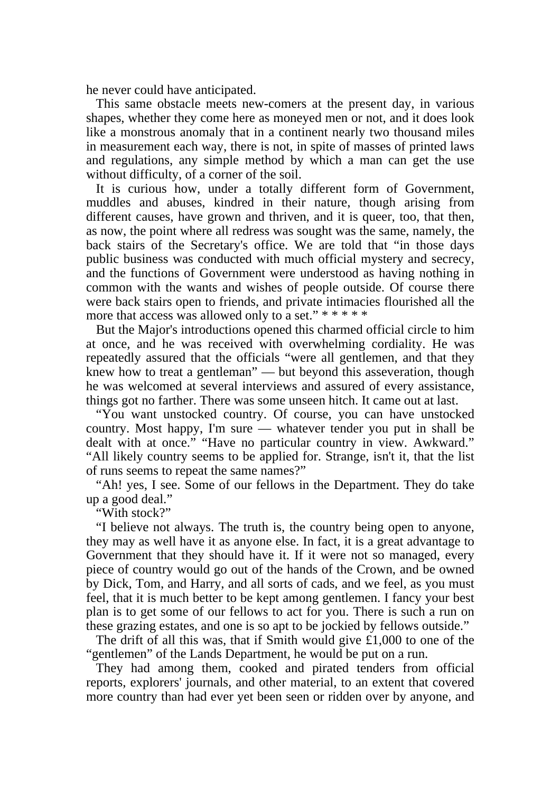he never could have anticipated.

 This same obstacle meets new-comers at the present day, in various shapes, whether they come here as moneyed men or not, and it does look like a monstrous anomaly that in a continent nearly two thousand miles in measurement each way, there is not, in spite of masses of printed laws and regulations, any simple method by which a man can get the use without difficulty, of a corner of the soil.

 It is curious how, under a totally different form of Government, muddles and abuses, kindred in their nature, though arising from different causes, have grown and thriven, and it is queer, too, that then, as now, the point where all redress was sought was the same, namely, the back stairs of the Secretary's office. We are told that "in those days public business was conducted with much official mystery and secrecy, and the functions of Government were understood as having nothing in common with the wants and wishes of people outside. Of course there were back stairs open to friends, and private intimacies flourished all the more that access was allowed only to a set." \* \* \* \* \*

 But the Major's introductions opened this charmed official circle to him at once, and he was received with overwhelming cordiality. He was repeatedly assured that the officials "were all gentlemen, and that they knew how to treat a gentleman" — but beyond this asseveration, though he was welcomed at several interviews and assured of every assistance, things got no farther. There was some unseen hitch. It came out at last.

 "You want unstocked country. Of course, you can have unstocked country. Most happy, I'm sure — whatever tender you put in shall be dealt with at once." "Have no particular country in view. Awkward." "All likely country seems to be applied for. Strange, isn't it, that the list of runs seems to repeat the same names?"

 "Ah! yes, I see. Some of our fellows in the Department. They do take up a good deal."

"With stock?"

 "I believe not always. The truth is, the country being open to anyone, they may as well have it as anyone else. In fact, it is a great advantage to Government that they should have it. If it were not so managed, every piece of country would go out of the hands of the Crown, and be owned by Dick, Tom, and Harry, and all sorts of cads, and we feel, as you must feel, that it is much better to be kept among gentlemen. I fancy your best plan is to get some of our fellows to act for you. There is such a run on these grazing estates, and one is so apt to be jockied by fellows outside."

 The drift of all this was, that if Smith would give £1,000 to one of the "gentlemen" of the Lands Department, he would be put on a run.

 They had among them, cooked and pirated tenders from official reports, explorers' journals, and other material, to an extent that covered more country than had ever yet been seen or ridden over by anyone, and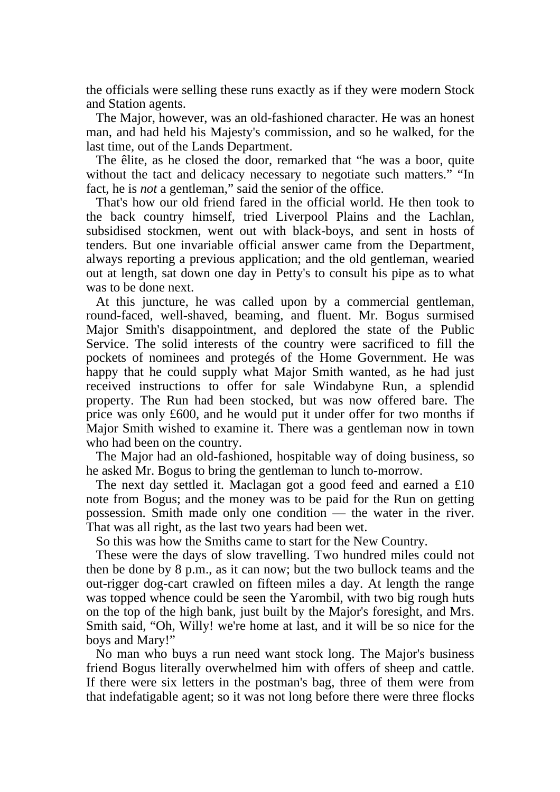the officials were selling these runs exactly as if they were modern Stock and Station agents.

 The Major, however, was an old-fashioned character. He was an honest man, and had held his Majesty's commission, and so he walked, for the last time, out of the Lands Department.

 The êlite, as he closed the door, remarked that "he was a boor, quite without the tact and delicacy necessary to negotiate such matters." "In fact, he is *not* a gentleman," said the senior of the office.

 That's how our old friend fared in the official world. He then took to the back country himself, tried Liverpool Plains and the Lachlan, subsidised stockmen, went out with black-boys, and sent in hosts of tenders. But one invariable official answer came from the Department, always reporting a previous application; and the old gentleman, wearied out at length, sat down one day in Petty's to consult his pipe as to what was to be done next.

 At this juncture, he was called upon by a commercial gentleman, round-faced, well-shaved, beaming, and fluent. Mr. Bogus surmised Major Smith's disappointment, and deplored the state of the Public Service. The solid interests of the country were sacrificed to fill the pockets of nominees and protegés of the Home Government. He was happy that he could supply what Major Smith wanted, as he had just received instructions to offer for sale Windabyne Run, a splendid property. The Run had been stocked, but was now offered bare. The price was only £600, and he would put it under offer for two months if Major Smith wished to examine it. There was a gentleman now in town who had been on the country.

 The Major had an old-fashioned, hospitable way of doing business, so he asked Mr. Bogus to bring the gentleman to lunch to-morrow.

 The next day settled it. Maclagan got a good feed and earned a £10 note from Bogus; and the money was to be paid for the Run on getting possession. Smith made only one condition — the water in the river. That was all right, as the last two years had been wet.

So this was how the Smiths came to start for the New Country.

 These were the days of slow travelling. Two hundred miles could not then be done by 8 p.m., as it can now; but the two bullock teams and the out-rigger dog-cart crawled on fifteen miles a day. At length the range was topped whence could be seen the Yarombil, with two big rough huts on the top of the high bank, just built by the Major's foresight, and Mrs. Smith said, "Oh, Willy! we're home at last, and it will be so nice for the boys and Mary!"

 No man who buys a run need want stock long. The Major's business friend Bogus literally overwhelmed him with offers of sheep and cattle. If there were six letters in the postman's bag, three of them were from that indefatigable agent; so it was not long before there were three flocks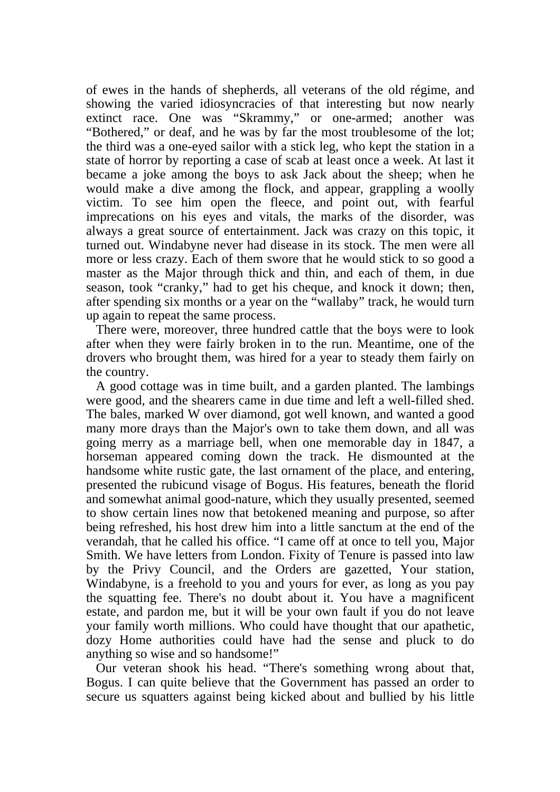of ewes in the hands of shepherds, all veterans of the old régime, and showing the varied idiosyncracies of that interesting but now nearly extinct race. One was "Skrammy," or one-armed; another was "Bothered," or deaf, and he was by far the most troublesome of the lot; the third was a one-eyed sailor with a stick leg, who kept the station in a state of horror by reporting a case of scab at least once a week. At last it became a joke among the boys to ask Jack about the sheep; when he would make a dive among the flock, and appear, grappling a woolly victim. To see him open the fleece, and point out, with fearful imprecations on his eyes and vitals, the marks of the disorder, was always a great source of entertainment. Jack was crazy on this topic, it turned out. Windabyne never had disease in its stock. The men were all more or less crazy. Each of them swore that he would stick to so good a master as the Major through thick and thin, and each of them, in due season, took "cranky," had to get his cheque, and knock it down; then, after spending six months or a year on the "wallaby" track, he would turn up again to repeat the same process.

 There were, moreover, three hundred cattle that the boys were to look after when they were fairly broken in to the run. Meantime, one of the drovers who brought them, was hired for a year to steady them fairly on the country.

 A good cottage was in time built, and a garden planted. The lambings were good, and the shearers came in due time and left a well-filled shed. The bales, marked W over diamond, got well known, and wanted a good many more drays than the Major's own to take them down, and all was going merry as a marriage bell, when one memorable day in 1847, a horseman appeared coming down the track. He dismounted at the handsome white rustic gate, the last ornament of the place, and entering, presented the rubicund visage of Bogus. His features, beneath the florid and somewhat animal good-nature, which they usually presented, seemed to show certain lines now that betokened meaning and purpose, so after being refreshed, his host drew him into a little sanctum at the end of the verandah, that he called his office. "I came off at once to tell you, Major Smith. We have letters from London. Fixity of Tenure is passed into law by the Privy Council, and the Orders are gazetted, Your station, Windabyne, is a freehold to you and yours for ever, as long as you pay the squatting fee. There's no doubt about it. You have a magnificent estate, and pardon me, but it will be your own fault if you do not leave your family worth millions. Who could have thought that our apathetic, dozy Home authorities could have had the sense and pluck to do anything so wise and so handsome!"

 Our veteran shook his head. "There's something wrong about that, Bogus. I can quite believe that the Government has passed an order to secure us squatters against being kicked about and bullied by his little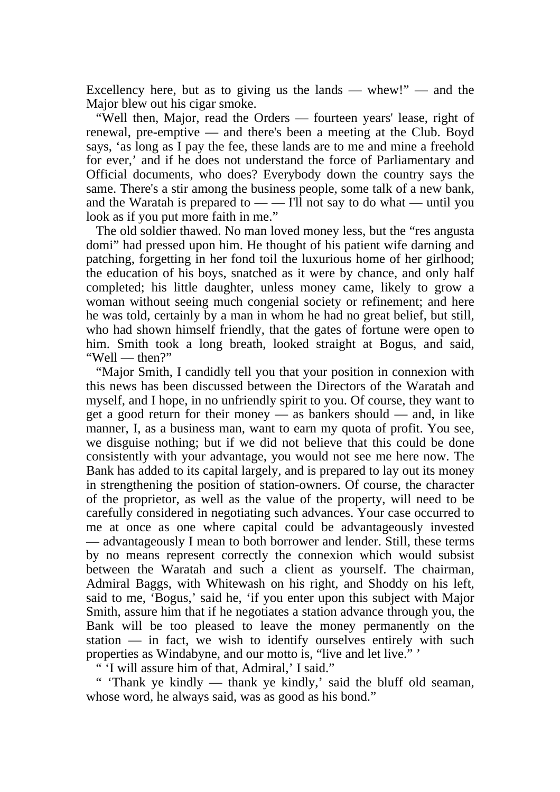Excellency here, but as to giving us the lands — whew!" — and the Major blew out his cigar smoke.

 "Well then, Major, read the Orders — fourteen years' lease, right of renewal, pre-emptive — and there's been a meeting at the Club. Boyd says, 'as long as I pay the fee, these lands are to me and mine a freehold for ever,' and if he does not understand the force of Parliamentary and Official documents, who does? Everybody down the country says the same. There's a stir among the business people, some talk of a new bank, and the Waratah is prepared to  $\frac{1}{1}$  =  $\frac{1}{1}$  not say to do what  $\frac{1}{1}$  until you look as if you put more faith in me."

 The old soldier thawed. No man loved money less, but the "res angusta domi" had pressed upon him. He thought of his patient wife darning and patching, forgetting in her fond toil the luxurious home of her girlhood; the education of his boys, snatched as it were by chance, and only half completed; his little daughter, unless money came, likely to grow a woman without seeing much congenial society or refinement; and here he was told, certainly by a man in whom he had no great belief, but still, who had shown himself friendly, that the gates of fortune were open to him. Smith took a long breath, looked straight at Bogus, and said, "Well — then?"

 "Major Smith, I candidly tell you that your position in connexion with this news has been discussed between the Directors of the Waratah and myself, and I hope, in no unfriendly spirit to you. Of course, they want to get a good return for their money — as bankers should — and, in like manner, I, as a business man, want to earn my quota of profit. You see, we disguise nothing; but if we did not believe that this could be done consistently with your advantage, you would not see me here now. The Bank has added to its capital largely, and is prepared to lay out its money in strengthening the position of station-owners. Of course, the character of the proprietor, as well as the value of the property, will need to be carefully considered in negotiating such advances. Your case occurred to me at once as one where capital could be advantageously invested — advantageously I mean to both borrower and lender. Still, these terms by no means represent correctly the connexion which would subsist between the Waratah and such a client as yourself. The chairman, Admiral Baggs, with Whitewash on his right, and Shoddy on his left, said to me, 'Bogus,' said he, 'if you enter upon this subject with Major Smith, assure him that if he negotiates a station advance through you, the Bank will be too pleased to leave the money permanently on the station — in fact, we wish to identify ourselves entirely with such properties as Windabyne, and our motto is, "live and let live." '

" 'I will assure him of that, Admiral,' I said."

 " 'Thank ye kindly — thank ye kindly,' said the bluff old seaman, whose word, he always said, was as good as his bond."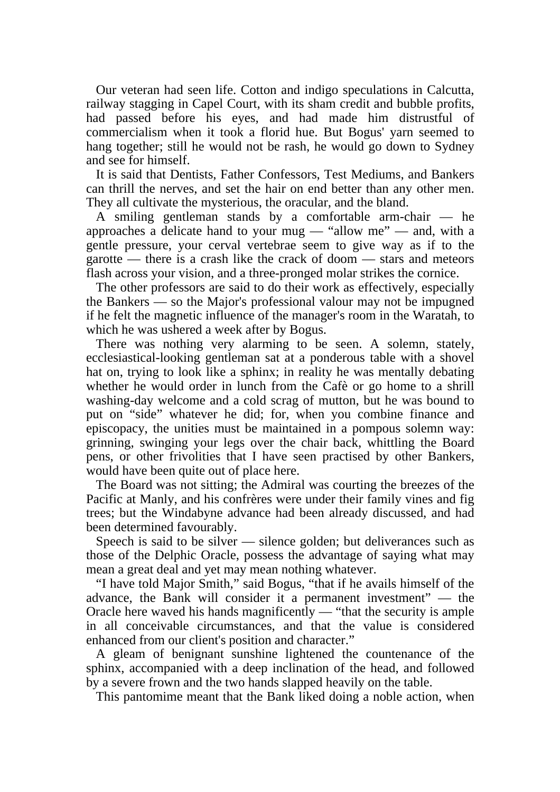Our veteran had seen life. Cotton and indigo speculations in Calcutta, railway stagging in Capel Court, with its sham credit and bubble profits, had passed before his eyes, and had made him distrustful of commercialism when it took a florid hue. But Bogus' yarn seemed to hang together; still he would not be rash, he would go down to Sydney and see for himself.

 It is said that Dentists, Father Confessors, Test Mediums, and Bankers can thrill the nerves, and set the hair on end better than any other men. They all cultivate the mysterious, the oracular, and the bland.

 A smiling gentleman stands by a comfortable arm-chair — he approaches a delicate hand to your mug — "allow me" — and, with a gentle pressure, your cerval vertebrae seem to give way as if to the garotte — there is a crash like the crack of doom — stars and meteors flash across your vision, and a three-pronged molar strikes the cornice.

 The other professors are said to do their work as effectively, especially the Bankers — so the Major's professional valour may not be impugned if he felt the magnetic influence of the manager's room in the Waratah, to which he was ushered a week after by Bogus.

 There was nothing very alarming to be seen. A solemn, stately, ecclesiastical-looking gentleman sat at a ponderous table with a shovel hat on, trying to look like a sphinx; in reality he was mentally debating whether he would order in lunch from the Cafè or go home to a shrill washing-day welcome and a cold scrag of mutton, but he was bound to put on "side" whatever he did; for, when you combine finance and episcopacy, the unities must be maintained in a pompous solemn way: grinning, swinging your legs over the chair back, whittling the Board pens, or other frivolities that I have seen practised by other Bankers, would have been quite out of place here.

 The Board was not sitting; the Admiral was courting the breezes of the Pacific at Manly, and his confrères were under their family vines and fig trees; but the Windabyne advance had been already discussed, and had been determined favourably.

 Speech is said to be silver — silence golden; but deliverances such as those of the Delphic Oracle, possess the advantage of saying what may mean a great deal and yet may mean nothing whatever.

 "I have told Major Smith," said Bogus, "that if he avails himself of the advance, the Bank will consider it a permanent investment" — the Oracle here waved his hands magnificently — "that the security is ample in all conceivable circumstances, and that the value is considered enhanced from our client's position and character."

 A gleam of benignant sunshine lightened the countenance of the sphinx, accompanied with a deep inclination of the head, and followed by a severe frown and the two hands slapped heavily on the table.

This pantomime meant that the Bank liked doing a noble action, when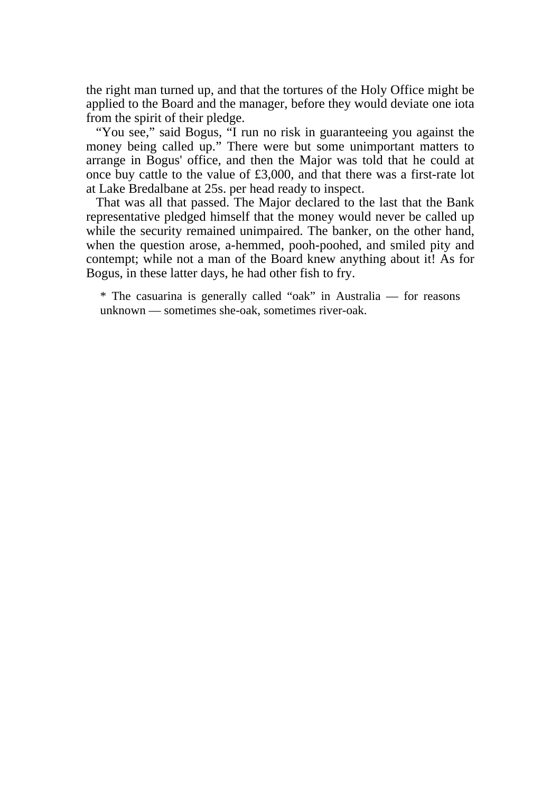the right man turned up, and that the tortures of the Holy Office might be applied to the Board and the manager, before they would deviate one iota from the spirit of their pledge.

"You see," said Bogus, "I run no risk in guaranteeing you against the money being called up." There were but some unimportant matters to arrange in Bogus' office, and then the Major was told that he could at once buy cattle to the value of £3,000, and that there was a first-rate lot at Lake Bredalbane at 25s. per head ready to inspect.

 That was all that passed. The Major declared to the last that the Bank representative pledged himself that the money would never be called up while the security remained unimpaired. The banker, on the other hand, when the question arose, a-hemmed, pooh-poohed, and smiled pity and contempt; while not a man of the Board knew anything about it! As for Bogus, in these latter days, he had other fish to fry.

\* The casuarina is generally called "oak" in Australia — for reasons unknown — sometimes she-oak, sometimes river-oak.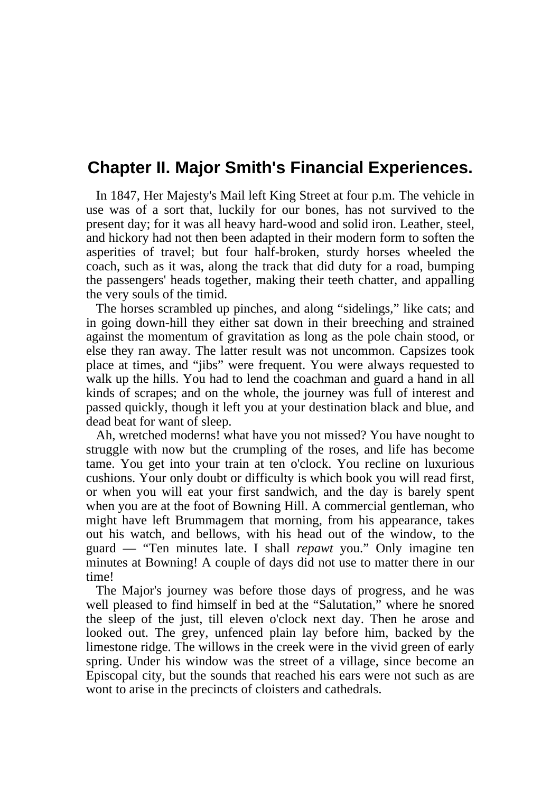# **Chapter II. Major Smith's Financial Experiences.**

 In 1847, Her Majesty's Mail left King Street at four p.m. The vehicle in use was of a sort that, luckily for our bones, has not survived to the present day; for it was all heavy hard-wood and solid iron. Leather, steel, and hickory had not then been adapted in their modern form to soften the asperities of travel; but four half-broken, sturdy horses wheeled the coach, such as it was, along the track that did duty for a road, bumping the passengers' heads together, making their teeth chatter, and appalling the very souls of the timid.

 The horses scrambled up pinches, and along "sidelings," like cats; and in going down-hill they either sat down in their breeching and strained against the momentum of gravitation as long as the pole chain stood, or else they ran away. The latter result was not uncommon. Capsizes took place at times, and "jibs" were frequent. You were always requested to walk up the hills. You had to lend the coachman and guard a hand in all kinds of scrapes; and on the whole, the journey was full of interest and passed quickly, though it left you at your destination black and blue, and dead beat for want of sleep.

 Ah, wretched moderns! what have you not missed? You have nought to struggle with now but the crumpling of the roses, and life has become tame. You get into your train at ten o'clock. You recline on luxurious cushions. Your only doubt or difficulty is which book you will read first, or when you will eat your first sandwich, and the day is barely spent when you are at the foot of Bowning Hill. A commercial gentleman, who might have left Brummagem that morning, from his appearance, takes out his watch, and bellows, with his head out of the window, to the guard — "Ten minutes late. I shall *repawt* you." Only imagine ten minutes at Bowning! A couple of days did not use to matter there in our time!

 The Major's journey was before those days of progress, and he was well pleased to find himself in bed at the "Salutation," where he snored the sleep of the just, till eleven o'clock next day. Then he arose and looked out. The grey, unfenced plain lay before him, backed by the limestone ridge. The willows in the creek were in the vivid green of early spring. Under his window was the street of a village, since become an Episcopal city, but the sounds that reached his ears were not such as are wont to arise in the precincts of cloisters and cathedrals.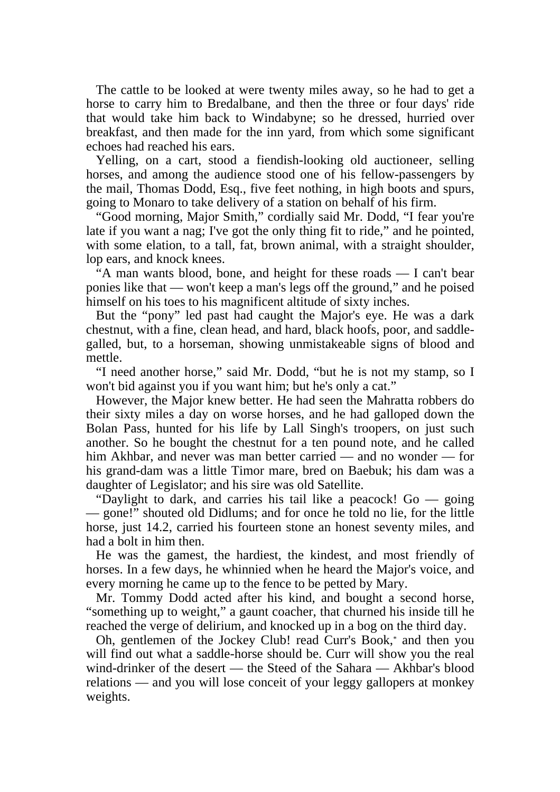The cattle to be looked at were twenty miles away, so he had to get a horse to carry him to Bredalbane, and then the three or four days' ride that would take him back to Windabyne; so he dressed, hurried over breakfast, and then made for the inn yard, from which some significant echoes had reached his ears.

 Yelling, on a cart, stood a fiendish-looking old auctioneer, selling horses, and among the audience stood one of his fellow-passengers by the mail, Thomas Dodd, Esq., five feet nothing, in high boots and spurs, going to Monaro to take delivery of a station on behalf of his firm.

 "Good morning, Major Smith," cordially said Mr. Dodd, "I fear you're late if you want a nag; I've got the only thing fit to ride," and he pointed, with some elation, to a tall, fat, brown animal, with a straight shoulder, lop ears, and knock knees.

 "A man wants blood, bone, and height for these roads — I can't bear ponies like that — won't keep a man's legs off the ground," and he poised himself on his toes to his magnificent altitude of sixty inches.

 But the "pony" led past had caught the Major's eye. He was a dark chestnut, with a fine, clean head, and hard, black hoofs, poor, and saddlegalled, but, to a horseman, showing unmistakeable signs of blood and mettle.

 "I need another horse," said Mr. Dodd, "but he is not my stamp, so I won't bid against you if you want him; but he's only a cat."

 However, the Major knew better. He had seen the Mahratta robbers do their sixty miles a day on worse horses, and he had galloped down the Bolan Pass, hunted for his life by Lall Singh's troopers, on just such another. So he bought the chestnut for a ten pound note, and he called him Akhbar, and never was man better carried — and no wonder — for his grand-dam was a little Timor mare, bred on Baebuk; his dam was a daughter of Legislator; and his sire was old Satellite.

 "Daylight to dark, and carries his tail like a peacock! Go — going — gone!" shouted old Didlums; and for once he told no lie, for the little horse, just 14.2, carried his fourteen stone an honest seventy miles, and had a bolt in him then.

 He was the gamest, the hardiest, the kindest, and most friendly of horses. In a few days, he whinnied when he heard the Major's voice, and every morning he came up to the fence to be petted by Mary.

 Mr. Tommy Dodd acted after his kind, and bought a second horse, "something up to weight," a gaunt coacher, that churned his inside till he reached the verge of delirium, and knocked up in a bog on the third day.

 Oh, gentlemen of the Jockey Club! read Curr's Book,\* and then you will find out what a saddle-horse should be. Curr will show you the real wind-drinker of the desert — the Steed of the Sahara — Akhbar's blood relations — and you will lose conceit of your leggy gallopers at monkey weights.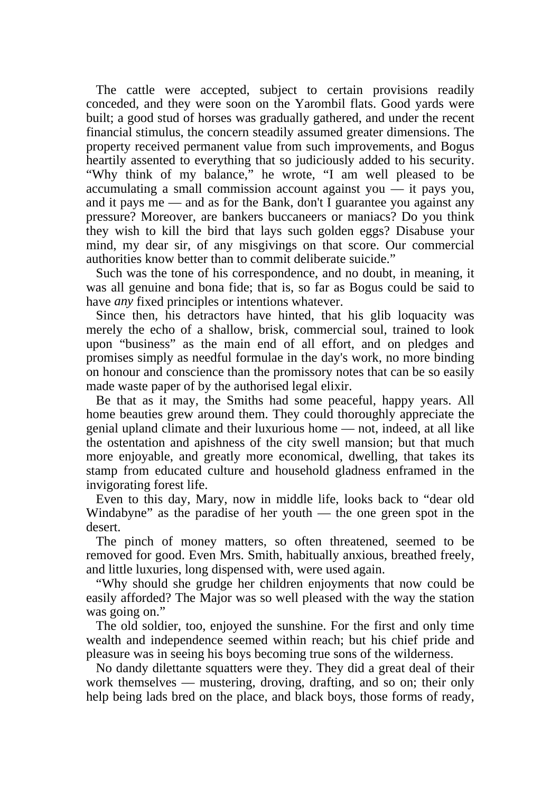The cattle were accepted, subject to certain provisions readily conceded, and they were soon on the Yarombil flats. Good yards were built; a good stud of horses was gradually gathered, and under the recent financial stimulus, the concern steadily assumed greater dimensions. The property received permanent value from such improvements, and Bogus heartily assented to everything that so judiciously added to his security. "Why think of my balance," he wrote, "I am well pleased to be accumulating a small commission account against you — it pays you, and it pays me — and as for the Bank, don't I guarantee you against any pressure? Moreover, are bankers buccaneers or maniacs? Do you think they wish to kill the bird that lays such golden eggs? Disabuse your mind, my dear sir, of any misgivings on that score. Our commercial authorities know better than to commit deliberate suicide."

 Such was the tone of his correspondence, and no doubt, in meaning, it was all genuine and bona fide; that is, so far as Bogus could be said to have *any* fixed principles or intentions whatever.

 Since then, his detractors have hinted, that his glib loquacity was merely the echo of a shallow, brisk, commercial soul, trained to look upon "business" as the main end of all effort, and on pledges and promises simply as needful formulae in the day's work, no more binding on honour and conscience than the promissory notes that can be so easily made waste paper of by the authorised legal elixir.

 Be that as it may, the Smiths had some peaceful, happy years. All home beauties grew around them. They could thoroughly appreciate the genial upland climate and their luxurious home — not, indeed, at all like the ostentation and apishness of the city swell mansion; but that much more enjoyable, and greatly more economical, dwelling, that takes its stamp from educated culture and household gladness enframed in the invigorating forest life.

 Even to this day, Mary, now in middle life, looks back to "dear old Windabyne" as the paradise of her youth — the one green spot in the desert.

 The pinch of money matters, so often threatened, seemed to be removed for good. Even Mrs. Smith, habitually anxious, breathed freely, and little luxuries, long dispensed with, were used again.

 "Why should she grudge her children enjoyments that now could be easily afforded? The Major was so well pleased with the way the station was going on."

 The old soldier, too, enjoyed the sunshine. For the first and only time wealth and independence seemed within reach; but his chief pride and pleasure was in seeing his boys becoming true sons of the wilderness.

 No dandy dilettante squatters were they. They did a great deal of their work themselves — mustering, droving, drafting, and so on; their only help being lads bred on the place, and black boys, those forms of ready,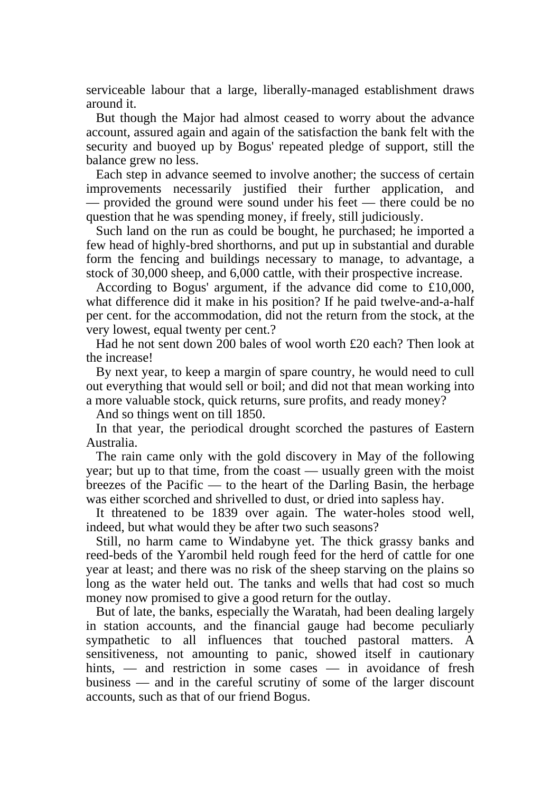serviceable labour that a large, liberally-managed establishment draws around it.

 But though the Major had almost ceased to worry about the advance account, assured again and again of the satisfaction the bank felt with the security and buoyed up by Bogus' repeated pledge of support, still the balance grew no less.

 Each step in advance seemed to involve another; the success of certain improvements necessarily justified their further application, and — provided the ground were sound under his feet — there could be no question that he was spending money, if freely, still judiciously.

 Such land on the run as could be bought, he purchased; he imported a few head of highly-bred shorthorns, and put up in substantial and durable form the fencing and buildings necessary to manage, to advantage, a stock of 30,000 sheep, and 6,000 cattle, with their prospective increase.

 According to Bogus' argument, if the advance did come to £10,000, what difference did it make in his position? If he paid twelve-and-a-half per cent. for the accommodation, did not the return from the stock, at the very lowest, equal twenty per cent.?

 Had he not sent down 200 bales of wool worth £20 each? Then look at the increase!

 By next year, to keep a margin of spare country, he would need to cull out everything that would sell or boil; and did not that mean working into a more valuable stock, quick returns, sure profits, and ready money?

And so things went on till 1850.

 In that year, the periodical drought scorched the pastures of Eastern Australia.

 The rain came only with the gold discovery in May of the following year; but up to that time, from the coast — usually green with the moist breezes of the Pacific — to the heart of the Darling Basin, the herbage was either scorched and shrivelled to dust, or dried into sapless hay.

 It threatened to be 1839 over again. The water-holes stood well, indeed, but what would they be after two such seasons?

 Still, no harm came to Windabyne yet. The thick grassy banks and reed-beds of the Yarombil held rough feed for the herd of cattle for one year at least; and there was no risk of the sheep starving on the plains so long as the water held out. The tanks and wells that had cost so much money now promised to give a good return for the outlay.

 But of late, the banks, especially the Waratah, had been dealing largely in station accounts, and the financial gauge had become peculiarly sympathetic to all influences that touched pastoral matters. A sensitiveness, not amounting to panic, showed itself in cautionary hints, — and restriction in some cases — in avoidance of fresh business — and in the careful scrutiny of some of the larger discount accounts, such as that of our friend Bogus.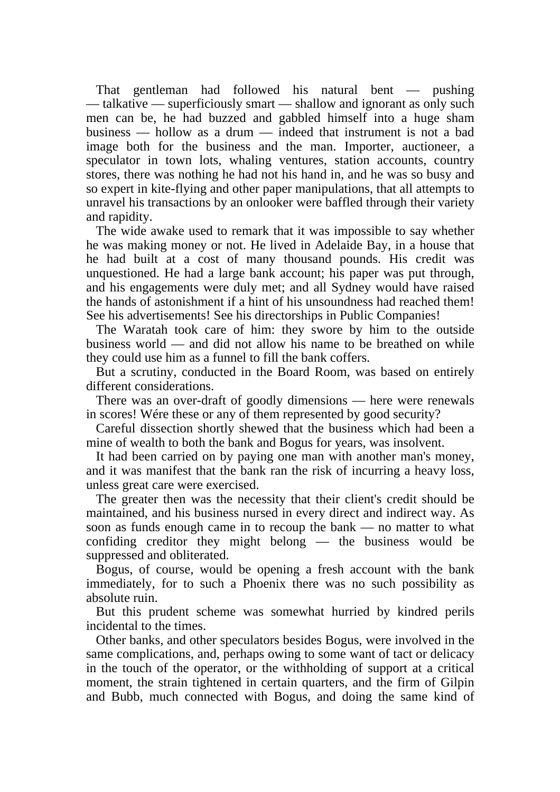That gentleman had followed his natural bent — pushing — talkative — superficiously smart — shallow and ignorant as only such men can be, he had buzzed and gabbled himself into a huge sham business — hollow as a drum — indeed that instrument is not a bad image both for the business and the man. Importer, auctioneer, a speculator in town lots, whaling ventures, station accounts, country stores, there was nothing he had not his hand in, and he was so busy and so expert in kite-flying and other paper manipulations, that all attempts to unravel his transactions by an onlooker were baffled through their variety and rapidity.

 The wide awake used to remark that it was impossible to say whether he was making money or not. He lived in Adelaide Bay, in a house that he had built at a cost of many thousand pounds. His credit was unquestioned. He had a large bank account; his paper was put through, and his engagements were duly met; and all Sydney would have raised the hands of astonishment if a hint of his unsoundness had reached them! See his advertisements! See his directorships in Public Companies!

 The Waratah took care of him: they swore by him to the outside business world — and did not allow his name to be breathed on while they could use him as a funnel to fill the bank coffers.

 But a scrutiny, conducted in the Board Room, was based on entirely different considerations.

 There was an over-draft of goodly dimensions — here were renewals in scores! Wére these or any of them represented by good security?

 Careful dissection shortly shewed that the business which had been a mine of wealth to both the bank and Bogus for years, was insolvent.

 It had been carried on by paying one man with another man's money, and it was manifest that the bank ran the risk of incurring a heavy loss, unless great care were exercised.

 The greater then was the necessity that their client's credit should be maintained, and his business nursed in every direct and indirect way. As soon as funds enough came in to recoup the bank — no matter to what confiding creditor they might belong — the business would be suppressed and obliterated.

 Bogus, of course, would be opening a fresh account with the bank immediately, for to such a Phoenix there was no such possibility as absolute ruin.

 But this prudent scheme was somewhat hurried by kindred perils incidental to the times.

 Other banks, and other speculators besides Bogus, were involved in the same complications, and, perhaps owing to some want of tact or delicacy in the touch of the operator, or the withholding of support at a critical moment, the strain tightened in certain quarters, and the firm of Gilpin and Bubb, much connected with Bogus, and doing the same kind of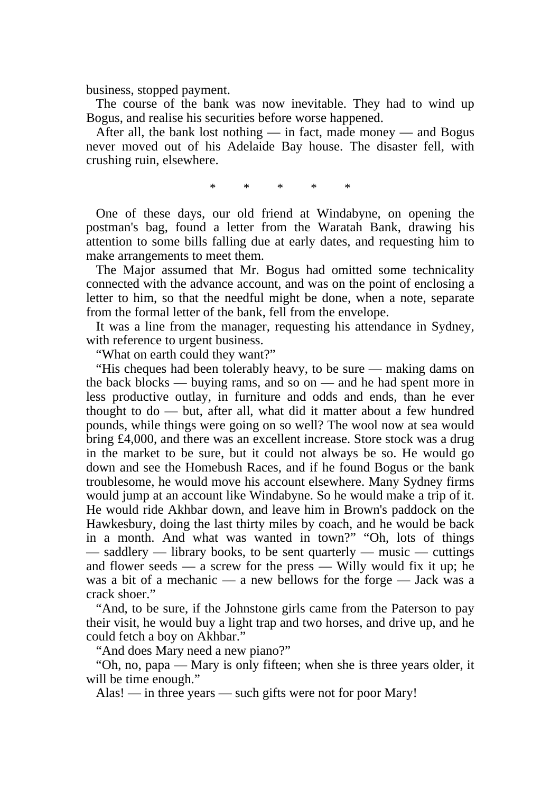business, stopped payment.

 The course of the bank was now inevitable. They had to wind up Bogus, and realise his securities before worse happened.

 After all, the bank lost nothing — in fact, made money — and Bogus never moved out of his Adelaide Bay house. The disaster fell, with crushing ruin, elsewhere.

\* \* \* \* \*

 One of these days, our old friend at Windabyne, on opening the postman's bag, found a letter from the Waratah Bank, drawing his attention to some bills falling due at early dates, and requesting him to make arrangements to meet them.

 The Major assumed that Mr. Bogus had omitted some technicality connected with the advance account, and was on the point of enclosing a letter to him, so that the needful might be done, when a note, separate from the formal letter of the bank, fell from the envelope.

 It was a line from the manager, requesting his attendance in Sydney, with reference to urgent business.

"What on earth could they want?"

 "His cheques had been tolerably heavy, to be sure — making dams on the back blocks — buying rams, and so on — and he had spent more in less productive outlay, in furniture and odds and ends, than he ever thought to do — but, after all, what did it matter about a few hundred pounds, while things were going on so well? The wool now at sea would bring £4,000, and there was an excellent increase. Store stock was a drug in the market to be sure, but it could not always be so. He would go down and see the Homebush Races, and if he found Bogus or the bank troublesome, he would move his account elsewhere. Many Sydney firms would jump at an account like Windabyne. So he would make a trip of it. He would ride Akhbar down, and leave him in Brown's paddock on the Hawkesbury, doing the last thirty miles by coach, and he would be back in a month. And what was wanted in town?" "Oh, lots of things — saddlery — library books, to be sent quarterly — music — cuttings and flower seeds — a screw for the press — Willy would fix it up; he was a bit of a mechanic — a new bellows for the forge — Jack was a crack shoer."

 "And, to be sure, if the Johnstone girls came from the Paterson to pay their visit, he would buy a light trap and two horses, and drive up, and he could fetch a boy on Akhbar."

"And does Mary need a new piano?"

 "Oh, no, papa — Mary is only fifteen; when she is three years older, it will be time enough."

Alas! — in three years — such gifts were not for poor Mary!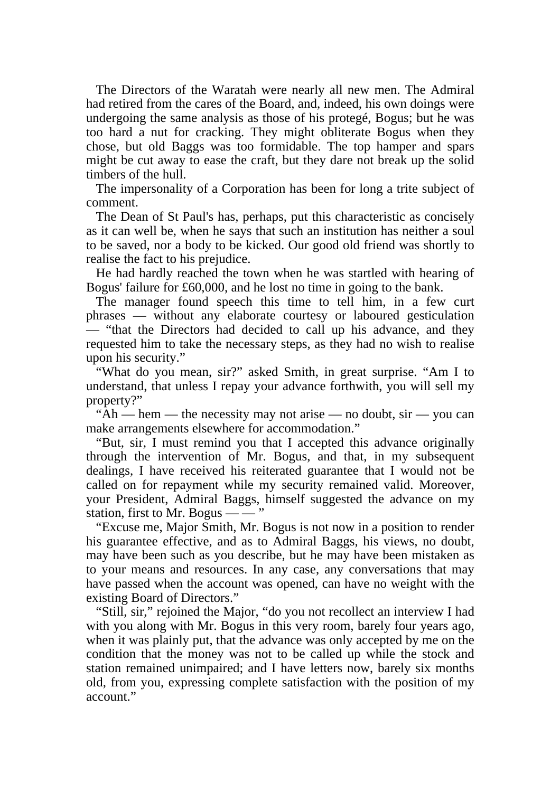The Directors of the Waratah were nearly all new men. The Admiral had retired from the cares of the Board, and, indeed, his own doings were undergoing the same analysis as those of his protegé, Bogus; but he was too hard a nut for cracking. They might obliterate Bogus when they chose, but old Baggs was too formidable. The top hamper and spars might be cut away to ease the craft, but they dare not break up the solid timbers of the hull.

 The impersonality of a Corporation has been for long a trite subject of comment.

 The Dean of St Paul's has, perhaps, put this characteristic as concisely as it can well be, when he says that such an institution has neither a soul to be saved, nor a body to be kicked. Our good old friend was shortly to realise the fact to his prejudice.

 He had hardly reached the town when he was startled with hearing of Bogus' failure for £60,000, and he lost no time in going to the bank.

 The manager found speech this time to tell him, in a few curt phrases — without any elaborate courtesy or laboured gesticulation — "that the Directors had decided to call up his advance, and they requested him to take the necessary steps, as they had no wish to realise upon his security."

 "What do you mean, sir?" asked Smith, in great surprise. "Am I to understand, that unless I repay your advance forthwith, you will sell my property?"

"Ah — hem — the necessity may not arise — no doubt,  $\sin$  — you can make arrangements elsewhere for accommodation."

 "But, sir, I must remind you that I accepted this advance originally through the intervention of Mr. Bogus, and that, in my subsequent dealings, I have received his reiterated guarantee that I would not be called on for repayment while my security remained valid. Moreover, your President, Admiral Baggs, himself suggested the advance on my station, first to Mr. Bogus —  $-$ "

 "Excuse me, Major Smith, Mr. Bogus is not now in a position to render his guarantee effective, and as to Admiral Baggs, his views, no doubt, may have been such as you describe, but he may have been mistaken as to your means and resources. In any case, any conversations that may have passed when the account was opened, can have no weight with the existing Board of Directors."

 "Still, sir," rejoined the Major, "do you not recollect an interview I had with you along with Mr. Bogus in this very room, barely four years ago, when it was plainly put, that the advance was only accepted by me on the condition that the money was not to be called up while the stock and station remained unimpaired; and I have letters now, barely six months old, from you, expressing complete satisfaction with the position of my account."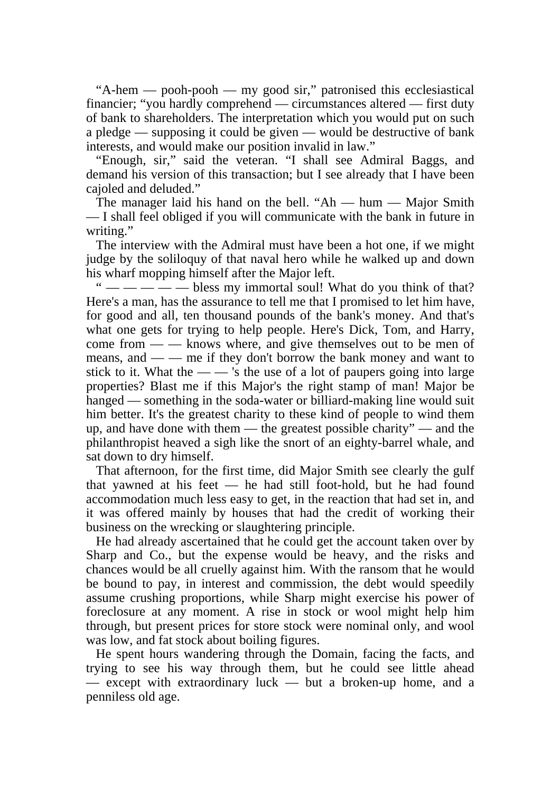"A-hem — pooh-pooh — my good sir," patronised this ecclesiastical financier; "you hardly comprehend — circumstances altered — first duty of bank to shareholders. The interpretation which you would put on such a pledge — supposing it could be given — would be destructive of bank interests, and would make our position invalid in law."

 "Enough, sir," said the veteran. "I shall see Admiral Baggs, and demand his version of this transaction; but I see already that I have been cajoled and deluded."

 The manager laid his hand on the bell. "Ah — hum — Major Smith — I shall feel obliged if you will communicate with the bank in future in writing."

 The interview with the Admiral must have been a hot one, if we might judge by the soliloquy of that naval hero while he walked up and down his wharf mopping himself after the Major left.

" — — — — bless my immortal soul! What do you think of that? Here's a man, has the assurance to tell me that I promised to let him have, for good and all, ten thousand pounds of the bank's money. And that's what one gets for trying to help people. Here's Dick, Tom, and Harry, come from — — knows where, and give themselves out to be men of means, and — — me if they don't borrow the bank money and want to stick to it. What the  $\frac{1}{s}$  is the use of a lot of paupers going into large properties? Blast me if this Major's the right stamp of man! Major be hanged — something in the soda-water or billiard-making line would suit him better. It's the greatest charity to these kind of people to wind them up, and have done with them — the greatest possible charity" — and the philanthropist heaved a sigh like the snort of an eighty-barrel whale, and sat down to dry himself.

 That afternoon, for the first time, did Major Smith see clearly the gulf that yawned at his feet — he had still foot-hold, but he had found accommodation much less easy to get, in the reaction that had set in, and it was offered mainly by houses that had the credit of working their business on the wrecking or slaughtering principle.

 He had already ascertained that he could get the account taken over by Sharp and Co., but the expense would be heavy, and the risks and chances would be all cruelly against him. With the ransom that he would be bound to pay, in interest and commission, the debt would speedily assume crushing proportions, while Sharp might exercise his power of foreclosure at any moment. A rise in stock or wool might help him through, but present prices for store stock were nominal only, and wool was low, and fat stock about boiling figures.

 He spent hours wandering through the Domain, facing the facts, and trying to see his way through them, but he could see little ahead — except with extraordinary luck — but a broken-up home, and a penniless old age.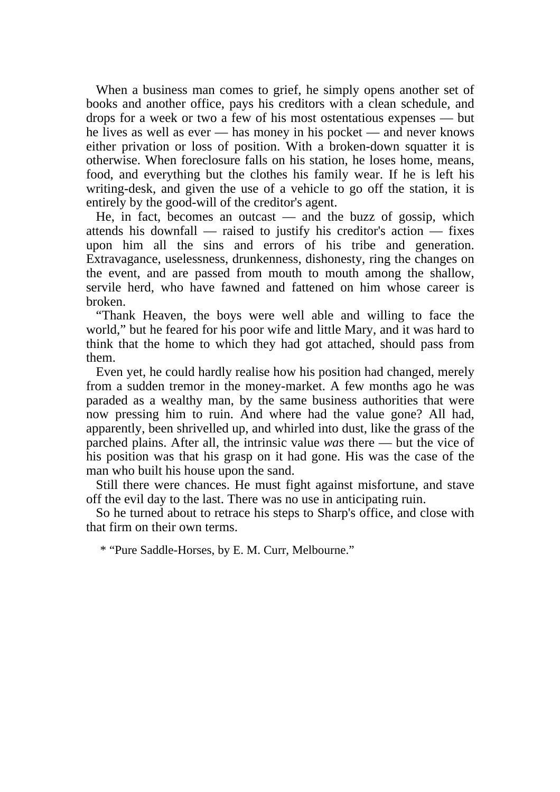When a business man comes to grief, he simply opens another set of books and another office, pays his creditors with a clean schedule, and drops for a week or two a few of his most ostentatious expenses — but he lives as well as ever — has money in his pocket — and never knows either privation or loss of position. With a broken-down squatter it is otherwise. When foreclosure falls on his station, he loses home, means, food, and everything but the clothes his family wear. If he is left his writing-desk, and given the use of a vehicle to go off the station, it is entirely by the good-will of the creditor's agent.

 He, in fact, becomes an outcast — and the buzz of gossip, which attends his downfall — raised to justify his creditor's action — fixes upon him all the sins and errors of his tribe and generation. Extravagance, uselessness, drunkenness, dishonesty, ring the changes on the event, and are passed from mouth to mouth among the shallow, servile herd, who have fawned and fattened on him whose career is broken.

 "Thank Heaven, the boys were well able and willing to face the world," but he feared for his poor wife and little Mary, and it was hard to think that the home to which they had got attached, should pass from them.

 Even yet, he could hardly realise how his position had changed, merely from a sudden tremor in the money-market. A few months ago he was paraded as a wealthy man, by the same business authorities that were now pressing him to ruin. And where had the value gone? All had, apparently, been shrivelled up, and whirled into dust, like the grass of the parched plains. After all, the intrinsic value *was* there — but the vice of his position was that his grasp on it had gone. His was the case of the man who built his house upon the sand.

 Still there were chances. He must fight against misfortune, and stave off the evil day to the last. There was no use in anticipating ruin.

 So he turned about to retrace his steps to Sharp's office, and close with that firm on their own terms.

\* "Pure Saddle-Horses, by E. M. Curr, Melbourne."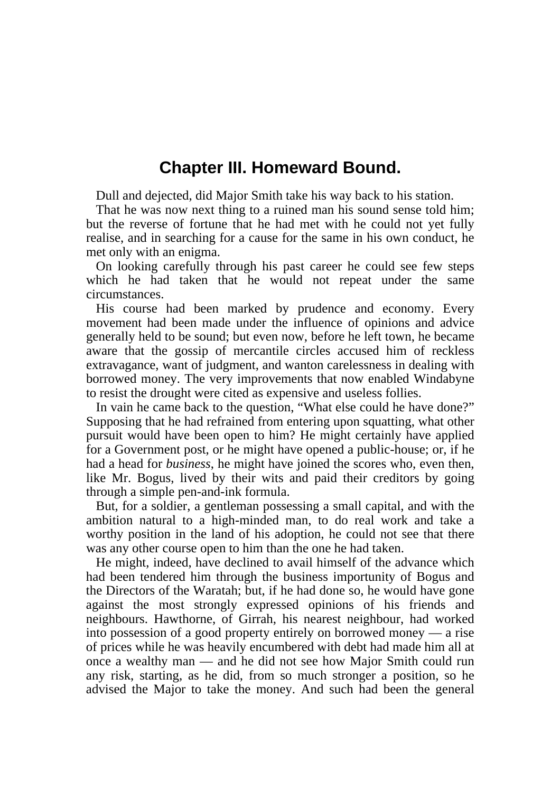## **Chapter III. Homeward Bound.**

Dull and dejected, did Major Smith take his way back to his station.

 That he was now next thing to a ruined man his sound sense told him; but the reverse of fortune that he had met with he could not yet fully realise, and in searching for a cause for the same in his own conduct, he met only with an enigma.

 On looking carefully through his past career he could see few steps which he had taken that he would not repeat under the same circumstances.

 His course had been marked by prudence and economy. Every movement had been made under the influence of opinions and advice generally held to be sound; but even now, before he left town, he became aware that the gossip of mercantile circles accused him of reckless extravagance, want of judgment, and wanton carelessness in dealing with borrowed money. The very improvements that now enabled Windabyne to resist the drought were cited as expensive and useless follies.

 In vain he came back to the question, "What else could he have done?" Supposing that he had refrained from entering upon squatting, what other pursuit would have been open to him? He might certainly have applied for a Government post, or he might have opened a public-house; or, if he had a head for *business*, he might have joined the scores who, even then, like Mr. Bogus, lived by their wits and paid their creditors by going through a simple pen-and-ink formula.

 But, for a soldier, a gentleman possessing a small capital, and with the ambition natural to a high-minded man, to do real work and take a worthy position in the land of his adoption, he could not see that there was any other course open to him than the one he had taken.

 He might, indeed, have declined to avail himself of the advance which had been tendered him through the business importunity of Bogus and the Directors of the Waratah; but, if he had done so, he would have gone against the most strongly expressed opinions of his friends and neighbours. Hawthorne, of Girrah, his nearest neighbour, had worked into possession of a good property entirely on borrowed money — a rise of prices while he was heavily encumbered with debt had made him all at once a wealthy man — and he did not see how Major Smith could run any risk, starting, as he did, from so much stronger a position, so he advised the Major to take the money. And such had been the general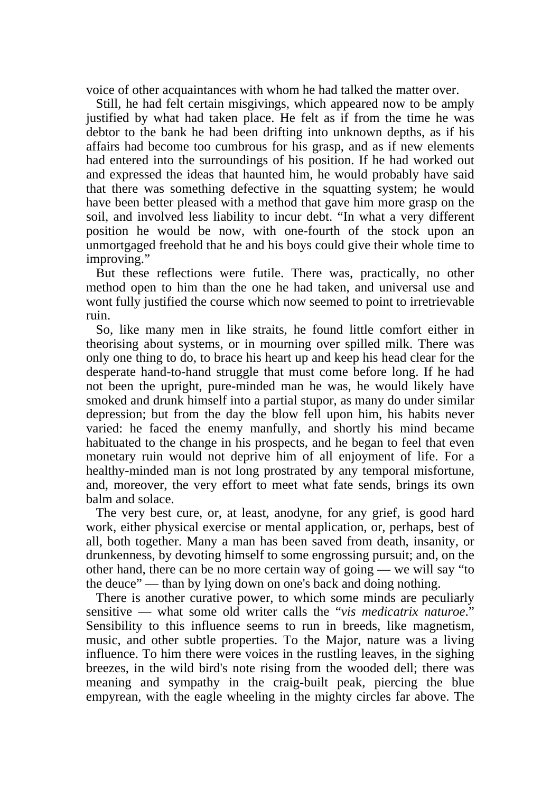voice of other acquaintances with whom he had talked the matter over.

 Still, he had felt certain misgivings, which appeared now to be amply justified by what had taken place. He felt as if from the time he was debtor to the bank he had been drifting into unknown depths, as if his affairs had become too cumbrous for his grasp, and as if new elements had entered into the surroundings of his position. If he had worked out and expressed the ideas that haunted him, he would probably have said that there was something defective in the squatting system; he would have been better pleased with a method that gave him more grasp on the soil, and involved less liability to incur debt. "In what a very different position he would be now, with one-fourth of the stock upon an unmortgaged freehold that he and his boys could give their whole time to improving."

 But these reflections were futile. There was, practically, no other method open to him than the one he had taken, and universal use and wont fully justified the course which now seemed to point to irretrievable ruin.

 So, like many men in like straits, he found little comfort either in theorising about systems, or in mourning over spilled milk. There was only one thing to do, to brace his heart up and keep his head clear for the desperate hand-to-hand struggle that must come before long. If he had not been the upright, pure-minded man he was, he would likely have smoked and drunk himself into a partial stupor, as many do under similar depression; but from the day the blow fell upon him, his habits never varied: he faced the enemy manfully, and shortly his mind became habituated to the change in his prospects, and he began to feel that even monetary ruin would not deprive him of all enjoyment of life. For a healthy-minded man is not long prostrated by any temporal misfortune, and, moreover, the very effort to meet what fate sends, brings its own balm and solace.

 The very best cure, or, at least, anodyne, for any grief, is good hard work, either physical exercise or mental application, or, perhaps, best of all, both together. Many a man has been saved from death, insanity, or drunkenness, by devoting himself to some engrossing pursuit; and, on the other hand, there can be no more certain way of going — we will say "to the deuce" — than by lying down on one's back and doing nothing.

 There is another curative power, to which some minds are peculiarly sensitive — what some old writer calls the "*vis medicatrix naturoe*." Sensibility to this influence seems to run in breeds, like magnetism, music, and other subtle properties. To the Major, nature was a living influence. To him there were voices in the rustling leaves, in the sighing breezes, in the wild bird's note rising from the wooded dell; there was meaning and sympathy in the craig-built peak, piercing the blue empyrean, with the eagle wheeling in the mighty circles far above. The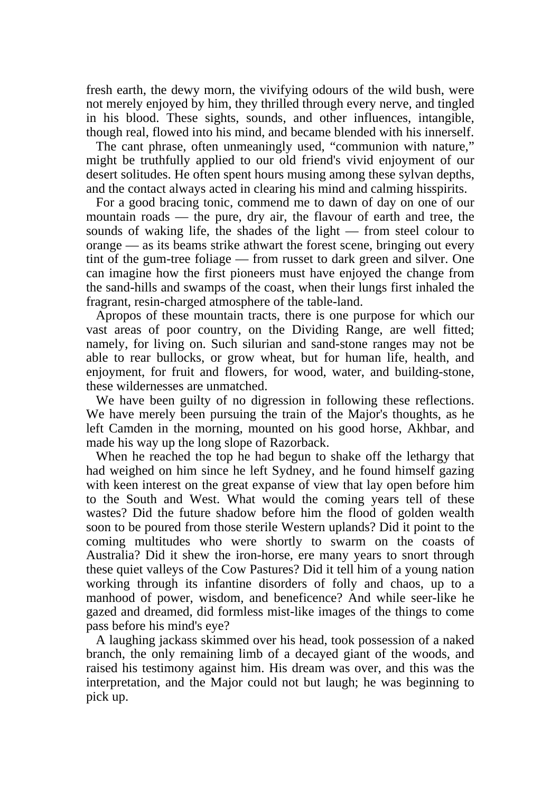fresh earth, the dewy morn, the vivifying odours of the wild bush, were not merely enjoyed by him, they thrilled through every nerve, and tingled in his blood. These sights, sounds, and other influences, intangible, though real, flowed into his mind, and became blended with his innerself.

 The cant phrase, often unmeaningly used, "communion with nature," might be truthfully applied to our old friend's vivid enjoyment of our desert solitudes. He often spent hours musing among these sylvan depths, and the contact always acted in clearing his mind and calming hisspirits.

 For a good bracing tonic, commend me to dawn of day on one of our mountain roads — the pure, dry air, the flavour of earth and tree, the sounds of waking life, the shades of the light — from steel colour to orange — as its beams strike athwart the forest scene, bringing out every tint of the gum-tree foliage — from russet to dark green and silver. One can imagine how the first pioneers must have enjoyed the change from the sand-hills and swamps of the coast, when their lungs first inhaled the fragrant, resin-charged atmosphere of the table-land.

 Apropos of these mountain tracts, there is one purpose for which our vast areas of poor country, on the Dividing Range, are well fitted; namely, for living on. Such silurian and sand-stone ranges may not be able to rear bullocks, or grow wheat, but for human life, health, and enjoyment, for fruit and flowers, for wood, water, and building-stone, these wildernesses are unmatched.

 We have been guilty of no digression in following these reflections. We have merely been pursuing the train of the Major's thoughts, as he left Camden in the morning, mounted on his good horse, Akhbar, and made his way up the long slope of Razorback.

 When he reached the top he had begun to shake off the lethargy that had weighed on him since he left Sydney, and he found himself gazing with keen interest on the great expanse of view that lay open before him to the South and West. What would the coming years tell of these wastes? Did the future shadow before him the flood of golden wealth soon to be poured from those sterile Western uplands? Did it point to the coming multitudes who were shortly to swarm on the coasts of Australia? Did it shew the iron-horse, ere many years to snort through these quiet valleys of the Cow Pastures? Did it tell him of a young nation working through its infantine disorders of folly and chaos, up to a manhood of power, wisdom, and beneficence? And while seer-like he gazed and dreamed, did formless mist-like images of the things to come pass before his mind's eye?

 A laughing jackass skimmed over his head, took possession of a naked branch, the only remaining limb of a decayed giant of the woods, and raised his testimony against him. His dream was over, and this was the interpretation, and the Major could not but laugh; he was beginning to pick up.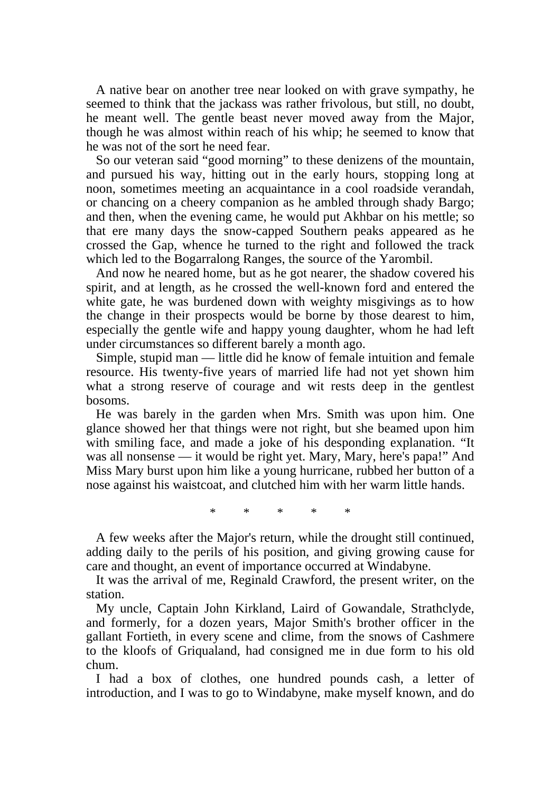A native bear on another tree near looked on with grave sympathy, he seemed to think that the jackass was rather frivolous, but still, no doubt, he meant well. The gentle beast never moved away from the Major, though he was almost within reach of his whip; he seemed to know that he was not of the sort he need fear.

 So our veteran said "good morning" to these denizens of the mountain, and pursued his way, hitting out in the early hours, stopping long at noon, sometimes meeting an acquaintance in a cool roadside verandah, or chancing on a cheery companion as he ambled through shady Bargo; and then, when the evening came, he would put Akhbar on his mettle; so that ere many days the snow-capped Southern peaks appeared as he crossed the Gap, whence he turned to the right and followed the track which led to the Bogarralong Ranges, the source of the Yarombil.

 And now he neared home, but as he got nearer, the shadow covered his spirit, and at length, as he crossed the well-known ford and entered the white gate, he was burdened down with weighty misgivings as to how the change in their prospects would be borne by those dearest to him, especially the gentle wife and happy young daughter, whom he had left under circumstances so different barely a month ago.

 Simple, stupid man — little did he know of female intuition and female resource. His twenty-five years of married life had not yet shown him what a strong reserve of courage and wit rests deep in the gentlest bosoms.

 He was barely in the garden when Mrs. Smith was upon him. One glance showed her that things were not right, but she beamed upon him with smiling face, and made a joke of his desponding explanation. "It was all nonsense — it would be right yet. Mary, Mary, here's papa!" And Miss Mary burst upon him like a young hurricane, rubbed her button of a nose against his waistcoat, and clutched him with her warm little hands.

\* \* \* \* \*

 A few weeks after the Major's return, while the drought still continued, adding daily to the perils of his position, and giving growing cause for care and thought, an event of importance occurred at Windabyne.

 It was the arrival of me, Reginald Crawford, the present writer, on the station.

 My uncle, Captain John Kirkland, Laird of Gowandale, Strathclyde, and formerly, for a dozen years, Major Smith's brother officer in the gallant Fortieth, in every scene and clime, from the snows of Cashmere to the kloofs of Griqualand, had consigned me in due form to his old chum.

 I had a box of clothes, one hundred pounds cash, a letter of introduction, and I was to go to Windabyne, make myself known, and do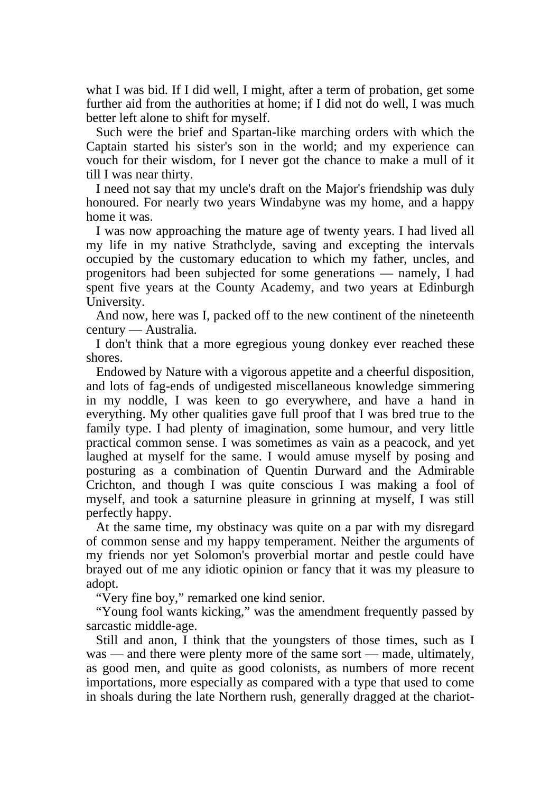what I was bid. If I did well, I might, after a term of probation, get some further aid from the authorities at home; if I did not do well, I was much better left alone to shift for myself.

 Such were the brief and Spartan-like marching orders with which the Captain started his sister's son in the world; and my experience can vouch for their wisdom, for I never got the chance to make a mull of it till I was near thirty.

 I need not say that my uncle's draft on the Major's friendship was duly honoured. For nearly two years Windabyne was my home, and a happy home it was.

 I was now approaching the mature age of twenty years. I had lived all my life in my native Strathclyde, saving and excepting the intervals occupied by the customary education to which my father, uncles, and progenitors had been subjected for some generations — namely, I had spent five years at the County Academy, and two years at Edinburgh University.

 And now, here was I, packed off to the new continent of the nineteenth century — Australia.

 I don't think that a more egregious young donkey ever reached these shores.

 Endowed by Nature with a vigorous appetite and a cheerful disposition, and lots of fag-ends of undigested miscellaneous knowledge simmering in my noddle, I was keen to go everywhere, and have a hand in everything. My other qualities gave full proof that I was bred true to the family type. I had plenty of imagination, some humour, and very little practical common sense. I was sometimes as vain as a peacock, and yet laughed at myself for the same. I would amuse myself by posing and posturing as a combination of Quentin Durward and the Admirable Crichton, and though I was quite conscious I was making a fool of myself, and took a saturnine pleasure in grinning at myself, I was still perfectly happy.

 At the same time, my obstinacy was quite on a par with my disregard of common sense and my happy temperament. Neither the arguments of my friends nor yet Solomon's proverbial mortar and pestle could have brayed out of me any idiotic opinion or fancy that it was my pleasure to adopt.

"Very fine boy," remarked one kind senior.

 "Young fool wants kicking," was the amendment frequently passed by sarcastic middle-age.

 Still and anon, I think that the youngsters of those times, such as I was — and there were plenty more of the same sort — made, ultimately, as good men, and quite as good colonists, as numbers of more recent importations, more especially as compared with a type that used to come in shoals during the late Northern rush, generally dragged at the chariot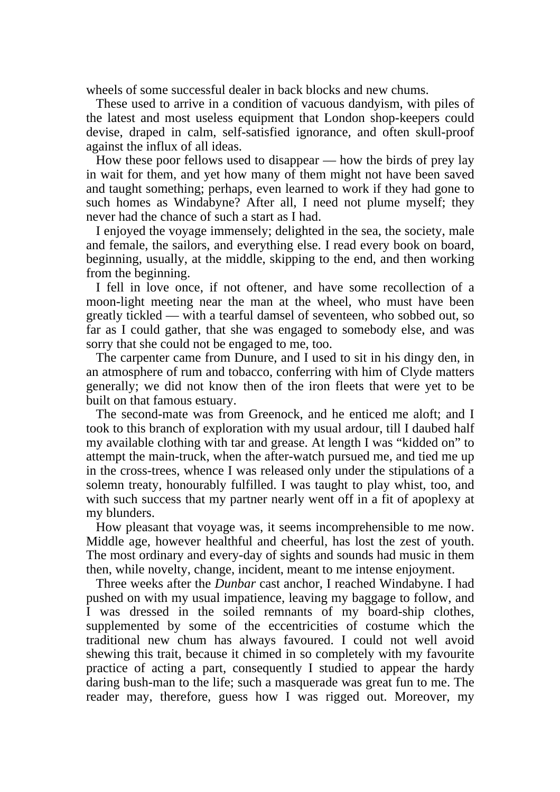wheels of some successful dealer in back blocks and new chums.

 These used to arrive in a condition of vacuous dandyism, with piles of the latest and most useless equipment that London shop-keepers could devise, draped in calm, self-satisfied ignorance, and often skull-proof against the influx of all ideas.

 How these poor fellows used to disappear — how the birds of prey lay in wait for them, and yet how many of them might not have been saved and taught something; perhaps, even learned to work if they had gone to such homes as Windabyne? After all, I need not plume myself; they never had the chance of such a start as I had.

 I enjoyed the voyage immensely; delighted in the sea, the society, male and female, the sailors, and everything else. I read every book on board, beginning, usually, at the middle, skipping to the end, and then working from the beginning.

 I fell in love once, if not oftener, and have some recollection of a moon-light meeting near the man at the wheel, who must have been greatly tickled — with a tearful damsel of seventeen, who sobbed out, so far as I could gather, that she was engaged to somebody else, and was sorry that she could not be engaged to me, too.

 The carpenter came from Dunure, and I used to sit in his dingy den, in an atmosphere of rum and tobacco, conferring with him of Clyde matters generally; we did not know then of the iron fleets that were yet to be built on that famous estuary.

 The second-mate was from Greenock, and he enticed me aloft; and I took to this branch of exploration with my usual ardour, till I daubed half my available clothing with tar and grease. At length I was "kidded on" to attempt the main-truck, when the after-watch pursued me, and tied me up in the cross-trees, whence I was released only under the stipulations of a solemn treaty, honourably fulfilled. I was taught to play whist, too, and with such success that my partner nearly went off in a fit of apoplexy at my blunders.

 How pleasant that voyage was, it seems incomprehensible to me now. Middle age, however healthful and cheerful, has lost the zest of youth. The most ordinary and every-day of sights and sounds had music in them then, while novelty, change, incident, meant to me intense enjoyment.

 Three weeks after the *Dunbar* cast anchor, I reached Windabyne. I had pushed on with my usual impatience, leaving my baggage to follow, and I was dressed in the soiled remnants of my board-ship clothes, supplemented by some of the eccentricities of costume which the traditional new chum has always favoured. I could not well avoid shewing this trait, because it chimed in so completely with my favourite practice of acting a part, consequently I studied to appear the hardy daring bush-man to the life; such a masquerade was great fun to me. The reader may, therefore, guess how I was rigged out. Moreover, my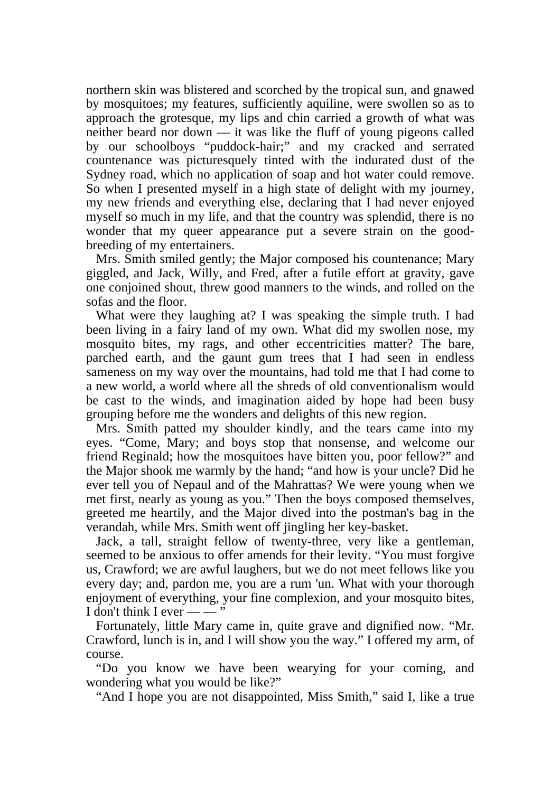northern skin was blistered and scorched by the tropical sun, and gnawed by mosquitoes; my features, sufficiently aquiline, were swollen so as to approach the grotesque, my lips and chin carried a growth of what was neither beard nor down — it was like the fluff of young pigeons called by our schoolboys "puddock-hair;" and my cracked and serrated countenance was picturesquely tinted with the indurated dust of the Sydney road, which no application of soap and hot water could remove. So when I presented myself in a high state of delight with my journey, my new friends and everything else, declaring that I had never enjoyed myself so much in my life, and that the country was splendid, there is no wonder that my queer appearance put a severe strain on the goodbreeding of my entertainers.

 Mrs. Smith smiled gently; the Major composed his countenance; Mary giggled, and Jack, Willy, and Fred, after a futile effort at gravity, gave one conjoined shout, threw good manners to the winds, and rolled on the sofas and the floor.

 What were they laughing at? I was speaking the simple truth. I had been living in a fairy land of my own. What did my swollen nose, my mosquito bites, my rags, and other eccentricities matter? The bare, parched earth, and the gaunt gum trees that I had seen in endless sameness on my way over the mountains, had told me that I had come to a new world, a world where all the shreds of old conventionalism would be cast to the winds, and imagination aided by hope had been busy grouping before me the wonders and delights of this new region.

 Mrs. Smith patted my shoulder kindly, and the tears came into my eyes. "Come, Mary; and boys stop that nonsense, and welcome our friend Reginald; how the mosquitoes have bitten you, poor fellow?" and the Major shook me warmly by the hand; "and how is your uncle? Did he ever tell you of Nepaul and of the Mahrattas? We were young when we met first, nearly as young as you." Then the boys composed themselves, greeted me heartily, and the Major dived into the postman's bag in the verandah, while Mrs. Smith went off jingling her key-basket.

 Jack, a tall, straight fellow of twenty-three, very like a gentleman, seemed to be anxious to offer amends for their levity. "You must forgive us, Crawford; we are awful laughers, but we do not meet fellows like you every day; and, pardon me, you are a rum 'un. What with your thorough enjoyment of everything, your fine complexion, and your mosquito bites, I don't think I ever  $-$ 

 Fortunately, little Mary came in, quite grave and dignified now. "Mr. Crawford, lunch is in, and I will show you the way." I offered my arm, of course.

 "Do you know we have been wearying for your coming, and wondering what you would be like?"

"And I hope you are not disappointed, Miss Smith," said I, like a true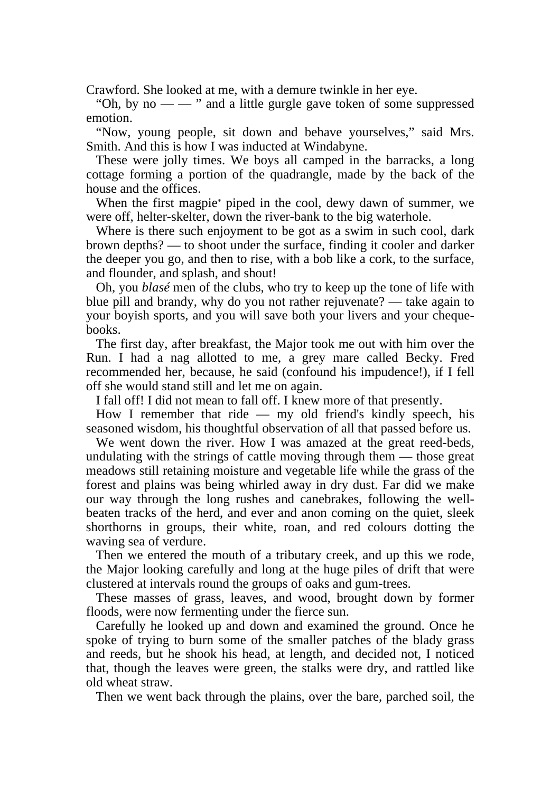Crawford. She looked at me, with a demure twinkle in her eye.

"Oh, by no  $-\frac{1}{\sqrt{2}}$ " and a little gurgle gave token of some suppressed emotion.

 "Now, young people, sit down and behave yourselves," said Mrs. Smith. And this is how I was inducted at Windabyne.

 These were jolly times. We boys all camped in the barracks, a long cottage forming a portion of the quadrangle, made by the back of the house and the offices.

When the first magpie<sup>\*</sup> piped in the cool, dewy dawn of summer, we were off, helter-skelter, down the river-bank to the big waterhole.

 Where is there such enjoyment to be got as a swim in such cool, dark brown depths? — to shoot under the surface, finding it cooler and darker the deeper you go, and then to rise, with a bob like a cork, to the surface, and flounder, and splash, and shout!

 Oh, you *blasé* men of the clubs, who try to keep up the tone of life with blue pill and brandy, why do you not rather rejuvenate? — take again to your boyish sports, and you will save both your livers and your chequebooks.

 The first day, after breakfast, the Major took me out with him over the Run. I had a nag allotted to me, a grey mare called Becky. Fred recommended her, because, he said (confound his impudence!), if I fell off she would stand still and let me on again.

I fall off! I did not mean to fall off. I knew more of that presently.

How I remember that ride  $-$  my old friend's kindly speech, his seasoned wisdom, his thoughtful observation of all that passed before us.

We went down the river. How I was amazed at the great reed-beds, undulating with the strings of cattle moving through them — those great meadows still retaining moisture and vegetable life while the grass of the forest and plains was being whirled away in dry dust. Far did we make our way through the long rushes and canebrakes, following the wellbeaten tracks of the herd, and ever and anon coming on the quiet, sleek shorthorns in groups, their white, roan, and red colours dotting the waving sea of verdure.

 Then we entered the mouth of a tributary creek, and up this we rode, the Major looking carefully and long at the huge piles of drift that were clustered at intervals round the groups of oaks and gum-trees.

 These masses of grass, leaves, and wood, brought down by former floods, were now fermenting under the fierce sun.

 Carefully he looked up and down and examined the ground. Once he spoke of trying to burn some of the smaller patches of the blady grass and reeds, but he shook his head, at length, and decided not, I noticed that, though the leaves were green, the stalks were dry, and rattled like old wheat straw.

Then we went back through the plains, over the bare, parched soil, the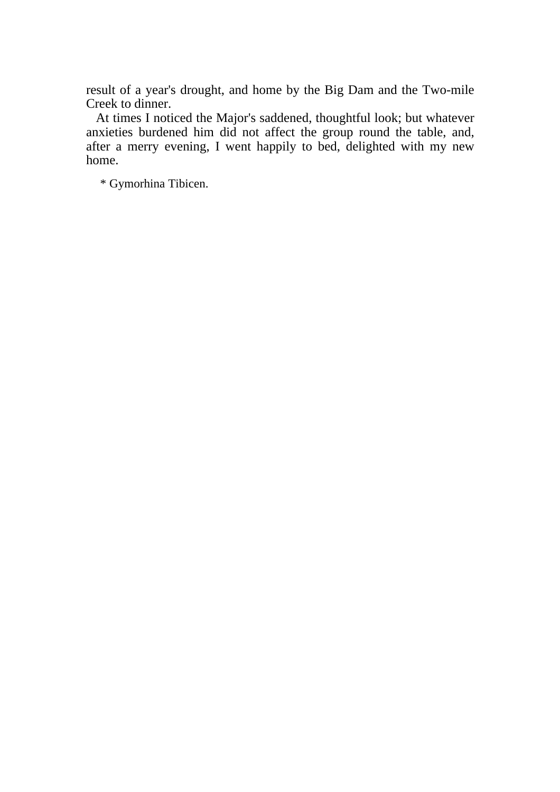result of a year's drought, and home by the Big Dam and the Two-mile Creek to dinner.

 At times I noticed the Major's saddened, thoughtful look; but whatever anxieties burdened him did not affect the group round the table, and, after a merry evening, I went happily to bed, delighted with my new home.

\* Gymorhina Tibicen.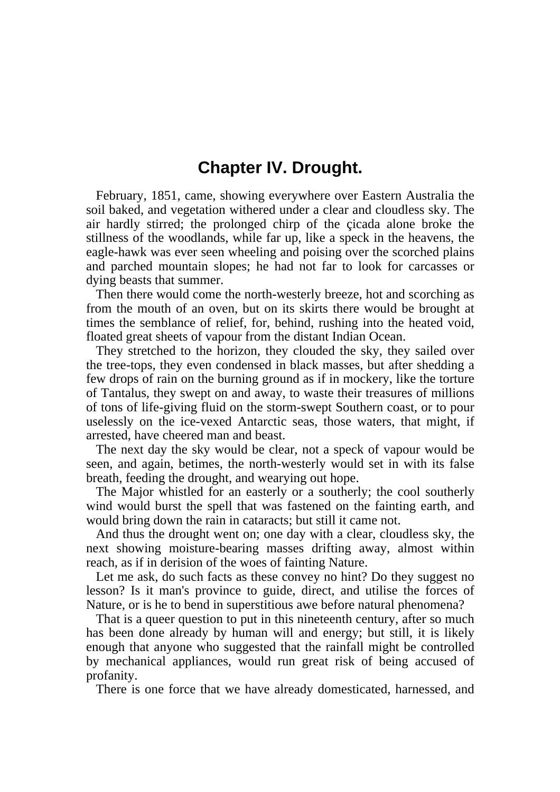## **Chapter IV. Drought.**

 February, 1851, came, showing everywhere over Eastern Australia the soil baked, and vegetation withered under a clear and cloudless sky. The air hardly stirred; the prolonged chirp of the çicada alone broke the stillness of the woodlands, while far up, like a speck in the heavens, the eagle-hawk was ever seen wheeling and poising over the scorched plains and parched mountain slopes; he had not far to look for carcasses or dying beasts that summer.

 Then there would come the north-westerly breeze, hot and scorching as from the mouth of an oven, but on its skirts there would be brought at times the semblance of relief, for, behind, rushing into the heated void, floated great sheets of vapour from the distant Indian Ocean.

 They stretched to the horizon, they clouded the sky, they sailed over the tree-tops, they even condensed in black masses, but after shedding a few drops of rain on the burning ground as if in mockery, like the torture of Tantalus, they swept on and away, to waste their treasures of millions of tons of life-giving fluid on the storm-swept Southern coast, or to pour uselessly on the ice-vexed Antarctic seas, those waters, that might, if arrested, have cheered man and beast.

 The next day the sky would be clear, not a speck of vapour would be seen, and again, betimes, the north-westerly would set in with its false breath, feeding the drought, and wearying out hope.

 The Major whistled for an easterly or a southerly; the cool southerly wind would burst the spell that was fastened on the fainting earth, and would bring down the rain in cataracts; but still it came not.

 And thus the drought went on; one day with a clear, cloudless sky, the next showing moisture-bearing masses drifting away, almost within reach, as if in derision of the woes of fainting Nature.

 Let me ask, do such facts as these convey no hint? Do they suggest no lesson? Is it man's province to guide, direct, and utilise the forces of Nature, or is he to bend in superstitious awe before natural phenomena?

 That is a queer question to put in this nineteenth century, after so much has been done already by human will and energy; but still, it is likely enough that anyone who suggested that the rainfall might be controlled by mechanical appliances, would run great risk of being accused of profanity.

There is one force that we have already domesticated, harnessed, and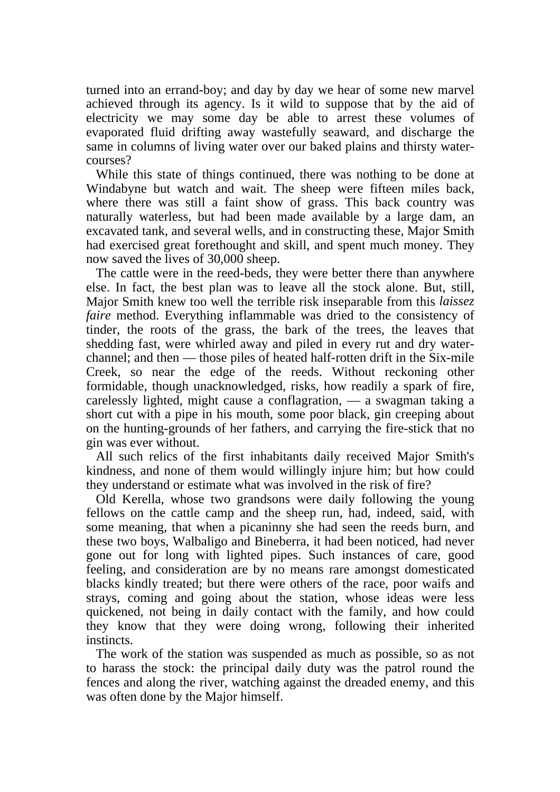turned into an errand-boy; and day by day we hear of some new marvel achieved through its agency. Is it wild to suppose that by the aid of electricity we may some day be able to arrest these volumes of evaporated fluid drifting away wastefully seaward, and discharge the same in columns of living water over our baked plains and thirsty watercourses?

 While this state of things continued, there was nothing to be done at Windabyne but watch and wait. The sheep were fifteen miles back, where there was still a faint show of grass. This back country was naturally waterless, but had been made available by a large dam, an excavated tank, and several wells, and in constructing these, Major Smith had exercised great forethought and skill, and spent much money. They now saved the lives of 30,000 sheep.

 The cattle were in the reed-beds, they were better there than anywhere else. In fact, the best plan was to leave all the stock alone. But, still, Major Smith knew too well the terrible risk inseparable from this *laissez faire* method. Everything inflammable was dried to the consistency of tinder, the roots of the grass, the bark of the trees, the leaves that shedding fast, were whirled away and piled in every rut and dry waterchannel; and then — those piles of heated half-rotten drift in the Six-mile Creek, so near the edge of the reeds. Without reckoning other formidable, though unacknowledged, risks, how readily a spark of fire, carelessly lighted, might cause a conflagration, — a swagman taking a short cut with a pipe in his mouth, some poor black, gin creeping about on the hunting-grounds of her fathers, and carrying the fire-stick that no gin was ever without.

 All such relics of the first inhabitants daily received Major Smith's kindness, and none of them would willingly injure him; but how could they understand or estimate what was involved in the risk of fire?

 Old Kerella, whose two grandsons were daily following the young fellows on the cattle camp and the sheep run, had, indeed, said, with some meaning, that when a picaninny she had seen the reeds burn, and these two boys, Walbaligo and Bineberra, it had been noticed, had never gone out for long with lighted pipes. Such instances of care, good feeling, and consideration are by no means rare amongst domesticated blacks kindly treated; but there were others of the race, poor waifs and strays, coming and going about the station, whose ideas were less quickened, not being in daily contact with the family, and how could they know that they were doing wrong, following their inherited instincts.

 The work of the station was suspended as much as possible, so as not to harass the stock: the principal daily duty was the patrol round the fences and along the river, watching against the dreaded enemy, and this was often done by the Major himself.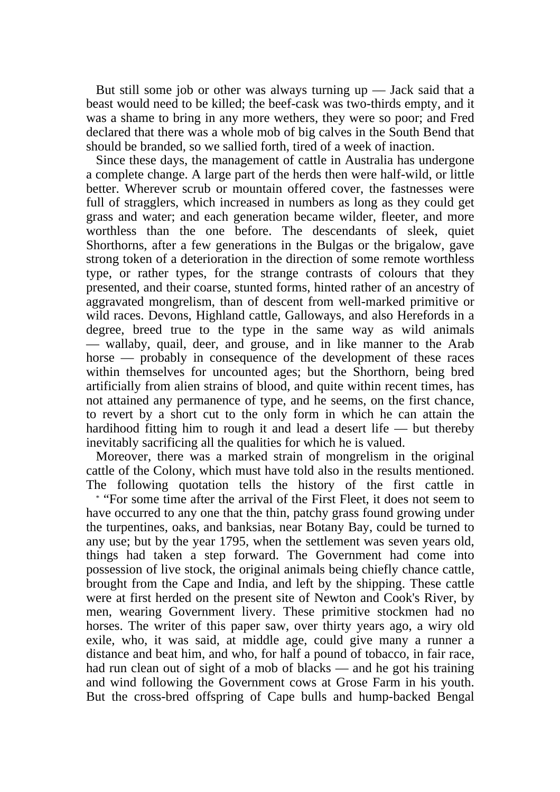But still some job or other was always turning up — Jack said that a beast would need to be killed; the beef-cask was two-thirds empty, and it was a shame to bring in any more wethers, they were so poor; and Fred declared that there was a whole mob of big calves in the South Bend that should be branded, so we sallied forth, tired of a week of inaction.

 Since these days, the management of cattle in Australia has undergone a complete change. A large part of the herds then were half-wild, or little better. Wherever scrub or mountain offered cover, the fastnesses were full of stragglers, which increased in numbers as long as they could get grass and water; and each generation became wilder, fleeter, and more worthless than the one before. The descendants of sleek, quiet Shorthorns, after a few generations in the Bulgas or the brigalow, gave strong token of a deterioration in the direction of some remote worthless type, or rather types, for the strange contrasts of colours that they presented, and their coarse, stunted forms, hinted rather of an ancestry of aggravated mongrelism, than of descent from well-marked primitive or wild races. Devons, Highland cattle, Galloways, and also Herefords in a degree, breed true to the type in the same way as wild animals — wallaby, quail, deer, and grouse, and in like manner to the Arab horse — probably in consequence of the development of these races within themselves for uncounted ages; but the Shorthorn, being bred artificially from alien strains of blood, and quite within recent times, has not attained any permanence of type, and he seems, on the first chance, to revert by a short cut to the only form in which he can attain the hardihood fitting him to rough it and lead a desert life — but thereby inevitably sacrificing all the qualities for which he is valued.

 Moreover, there was a marked strain of mongrelism in the original cattle of the Colony, which must have told also in the results mentioned. The following quotation tells the history of the first cattle in

 \* "For some time after the arrival of the First Fleet, it does not seem to have occurred to any one that the thin, patchy grass found growing under the turpentines, oaks, and banksias, near Botany Bay, could be turned to any use; but by the year 1795, when the settlement was seven years old, things had taken a step forward. The Government had come into possession of live stock, the original animals being chiefly chance cattle, brought from the Cape and India, and left by the shipping. These cattle were at first herded on the present site of Newton and Cook's River, by men, wearing Government livery. These primitive stockmen had no horses. The writer of this paper saw, over thirty years ago, a wiry old exile, who, it was said, at middle age, could give many a runner a distance and beat him, and who, for half a pound of tobacco, in fair race, had run clean out of sight of a mob of blacks — and he got his training and wind following the Government cows at Grose Farm in his youth. But the cross-bred offspring of Cape bulls and hump-backed Bengal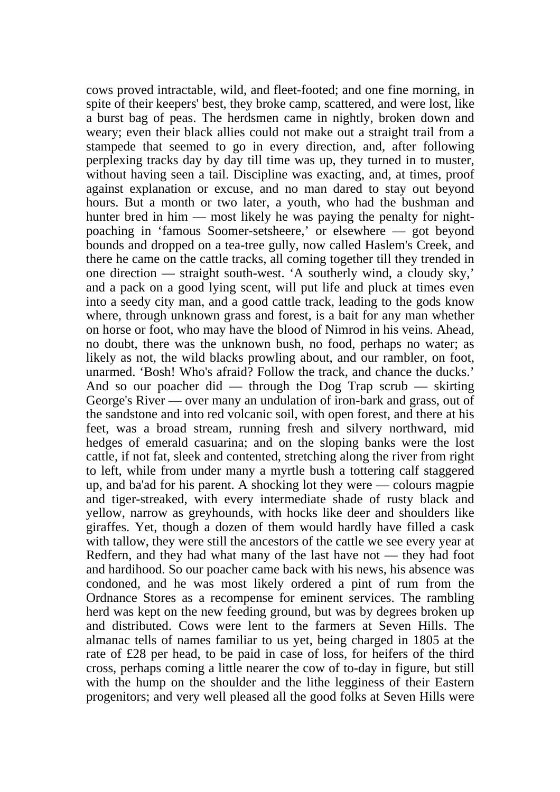cows proved intractable, wild, and fleet-footed; and one fine morning, in spite of their keepers' best, they broke camp, scattered, and were lost, like a burst bag of peas. The herdsmen came in nightly, broken down and weary; even their black allies could not make out a straight trail from a stampede that seemed to go in every direction, and, after following perplexing tracks day by day till time was up, they turned in to muster, without having seen a tail. Discipline was exacting, and, at times, proof against explanation or excuse, and no man dared to stay out beyond hours. But a month or two later, a youth, who had the bushman and hunter bred in him — most likely he was paying the penalty for nightpoaching in 'famous Soomer-setsheere,' or elsewhere — got beyond bounds and dropped on a tea-tree gully, now called Haslem's Creek, and there he came on the cattle tracks, all coming together till they trended in one direction — straight south-west. 'A southerly wind, a cloudy sky,' and a pack on a good lying scent, will put life and pluck at times even into a seedy city man, and a good cattle track, leading to the gods know where, through unknown grass and forest, is a bait for any man whether on horse or foot, who may have the blood of Nimrod in his veins. Ahead, no doubt, there was the unknown bush, no food, perhaps no water; as likely as not, the wild blacks prowling about, and our rambler, on foot, unarmed. 'Bosh! Who's afraid? Follow the track, and chance the ducks.' And so our poacher did — through the Dog Trap scrub — skirting George's River — over many an undulation of iron-bark and grass, out of the sandstone and into red volcanic soil, with open forest, and there at his feet, was a broad stream, running fresh and silvery northward, mid hedges of emerald casuarina; and on the sloping banks were the lost cattle, if not fat, sleek and contented, stretching along the river from right to left, while from under many a myrtle bush a tottering calf staggered up, and ba'ad for his parent. A shocking lot they were — colours magpie and tiger-streaked, with every intermediate shade of rusty black and yellow, narrow as greyhounds, with hocks like deer and shoulders like giraffes. Yet, though a dozen of them would hardly have filled a cask with tallow, they were still the ancestors of the cattle we see every year at Redfern, and they had what many of the last have not — they had foot and hardihood. So our poacher came back with his news, his absence was condoned, and he was most likely ordered a pint of rum from the Ordnance Stores as a recompense for eminent services. The rambling herd was kept on the new feeding ground, but was by degrees broken up and distributed. Cows were lent to the farmers at Seven Hills. The almanac tells of names familiar to us yet, being charged in 1805 at the rate of £28 per head, to be paid in case of loss, for heifers of the third cross, perhaps coming a little nearer the cow of to-day in figure, but still with the hump on the shoulder and the lithe legginess of their Eastern progenitors; and very well pleased all the good folks at Seven Hills were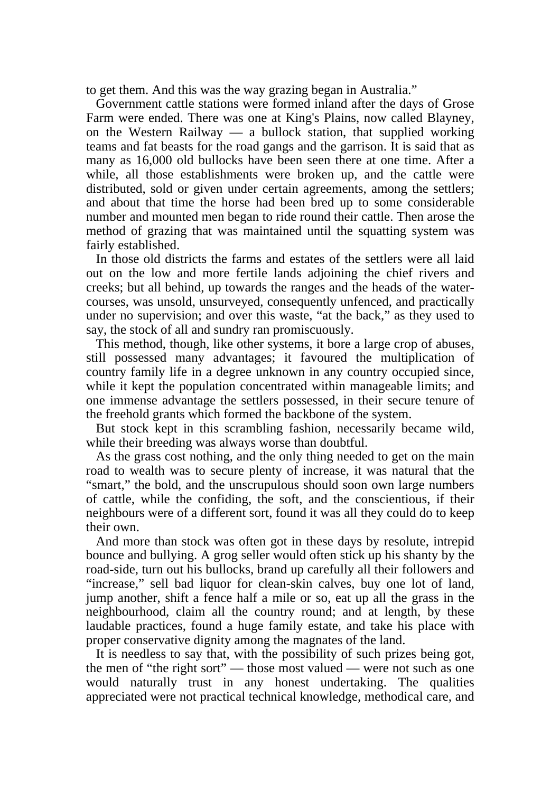to get them. And this was the way grazing began in Australia."

 Government cattle stations were formed inland after the days of Grose Farm were ended. There was one at King's Plains, now called Blayney, on the Western Railway — a bullock station, that supplied working teams and fat beasts for the road gangs and the garrison. It is said that as many as 16,000 old bullocks have been seen there at one time. After a while, all those establishments were broken up, and the cattle were distributed, sold or given under certain agreements, among the settlers; and about that time the horse had been bred up to some considerable number and mounted men began to ride round their cattle. Then arose the method of grazing that was maintained until the squatting system was fairly established.

 In those old districts the farms and estates of the settlers were all laid out on the low and more fertile lands adjoining the chief rivers and creeks; but all behind, up towards the ranges and the heads of the watercourses, was unsold, unsurveyed, consequently unfenced, and practically under no supervision; and over this waste, "at the back," as they used to say, the stock of all and sundry ran promiscuously.

 This method, though, like other systems, it bore a large crop of abuses, still possessed many advantages; it favoured the multiplication of country family life in a degree unknown in any country occupied since, while it kept the population concentrated within manageable limits; and one immense advantage the settlers possessed, in their secure tenure of the freehold grants which formed the backbone of the system.

 But stock kept in this scrambling fashion, necessarily became wild, while their breeding was always worse than doubtful.

 As the grass cost nothing, and the only thing needed to get on the main road to wealth was to secure plenty of increase, it was natural that the "smart," the bold, and the unscrupulous should soon own large numbers of cattle, while the confiding, the soft, and the conscientious, if their neighbours were of a different sort, found it was all they could do to keep their own.

 And more than stock was often got in these days by resolute, intrepid bounce and bullying. A grog seller would often stick up his shanty by the road-side, turn out his bullocks, brand up carefully all their followers and "increase," sell bad liquor for clean-skin calves, buy one lot of land, jump another, shift a fence half a mile or so, eat up all the grass in the neighbourhood, claim all the country round; and at length, by these laudable practices, found a huge family estate, and take his place with proper conservative dignity among the magnates of the land.

 It is needless to say that, with the possibility of such prizes being got, the men of "the right sort" — those most valued — were not such as one would naturally trust in any honest undertaking. The qualities appreciated were not practical technical knowledge, methodical care, and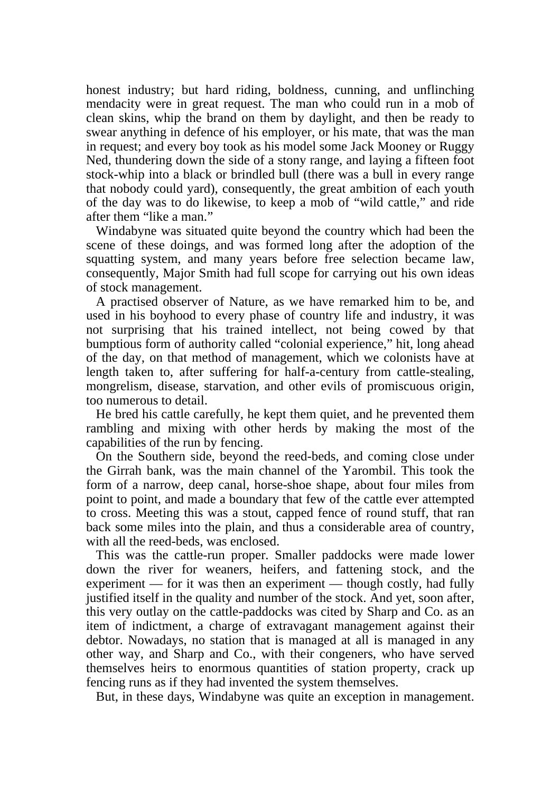honest industry; but hard riding, boldness, cunning, and unflinching mendacity were in great request. The man who could run in a mob of clean skins, whip the brand on them by daylight, and then be ready to swear anything in defence of his employer, or his mate, that was the man in request; and every boy took as his model some Jack Mooney or Ruggy Ned, thundering down the side of a stony range, and laying a fifteen foot stock-whip into a black or brindled bull (there was a bull in every range that nobody could yard), consequently, the great ambition of each youth of the day was to do likewise, to keep a mob of "wild cattle," and ride after them "like a man."

 Windabyne was situated quite beyond the country which had been the scene of these doings, and was formed long after the adoption of the squatting system, and many years before free selection became law, consequently, Major Smith had full scope for carrying out his own ideas of stock management.

 A practised observer of Nature, as we have remarked him to be, and used in his boyhood to every phase of country life and industry, it was not surprising that his trained intellect, not being cowed by that bumptious form of authority called "colonial experience," hit, long ahead of the day, on that method of management, which we colonists have at length taken to, after suffering for half-a-century from cattle-stealing, mongrelism, disease, starvation, and other evils of promiscuous origin, too numerous to detail.

 He bred his cattle carefully, he kept them quiet, and he prevented them rambling and mixing with other herds by making the most of the capabilities of the run by fencing.

 On the Southern side, beyond the reed-beds, and coming close under the Girrah bank, was the main channel of the Yarombil. This took the form of a narrow, deep canal, horse-shoe shape, about four miles from point to point, and made a boundary that few of the cattle ever attempted to cross. Meeting this was a stout, capped fence of round stuff, that ran back some miles into the plain, and thus a considerable area of country, with all the reed-beds, was enclosed.

 This was the cattle-run proper. Smaller paddocks were made lower down the river for weaners, heifers, and fattening stock, and the experiment — for it was then an experiment — though costly, had fully justified itself in the quality and number of the stock. And yet, soon after, this very outlay on the cattle-paddocks was cited by Sharp and Co. as an item of indictment, a charge of extravagant management against their debtor. Nowadays, no station that is managed at all is managed in any other way, and Sharp and Co., with their congeners, who have served themselves heirs to enormous quantities of station property, crack up fencing runs as if they had invented the system themselves.

But, in these days, Windabyne was quite an exception in management.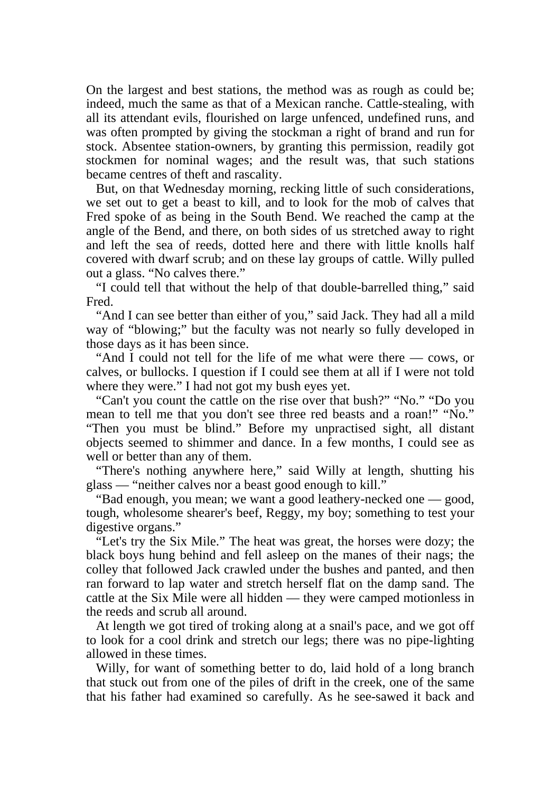On the largest and best stations, the method was as rough as could be; indeed, much the same as that of a Mexican ranche. Cattle-stealing, with all its attendant evils, flourished on large unfenced, undefined runs, and was often prompted by giving the stockman a right of brand and run for stock. Absentee station-owners, by granting this permission, readily got stockmen for nominal wages; and the result was, that such stations became centres of theft and rascality.

 But, on that Wednesday morning, recking little of such considerations, we set out to get a beast to kill, and to look for the mob of calves that Fred spoke of as being in the South Bend. We reached the camp at the angle of the Bend, and there, on both sides of us stretched away to right and left the sea of reeds, dotted here and there with little knolls half covered with dwarf scrub; and on these lay groups of cattle. Willy pulled out a glass. "No calves there."

 "I could tell that without the help of that double-barrelled thing," said Fred.

 "And I can see better than either of you," said Jack. They had all a mild way of "blowing;" but the faculty was not nearly so fully developed in those days as it has been since.

 "And I could not tell for the life of me what were there — cows, or calves, or bullocks. I question if I could see them at all if I were not told where they were." I had not got my bush eyes yet.

 "Can't you count the cattle on the rise over that bush?" "No." "Do you mean to tell me that you don't see three red beasts and a roan!" "No." "Then you must be blind." Before my unpractised sight, all distant objects seemed to shimmer and dance. In a few months, I could see as well or better than any of them.

 "There's nothing anywhere here," said Willy at length, shutting his glass — "neither calves nor a beast good enough to kill."

 "Bad enough, you mean; we want a good leathery-necked one — good, tough, wholesome shearer's beef, Reggy, my boy; something to test your digestive organs."

 "Let's try the Six Mile." The heat was great, the horses were dozy; the black boys hung behind and fell asleep on the manes of their nags; the colley that followed Jack crawled under the bushes and panted, and then ran forward to lap water and stretch herself flat on the damp sand. The cattle at the Six Mile were all hidden — they were camped motionless in the reeds and scrub all around.

 At length we got tired of troking along at a snail's pace, and we got off to look for a cool drink and stretch our legs; there was no pipe-lighting allowed in these times.

 Willy, for want of something better to do, laid hold of a long branch that stuck out from one of the piles of drift in the creek, one of the same that his father had examined so carefully. As he see-sawed it back and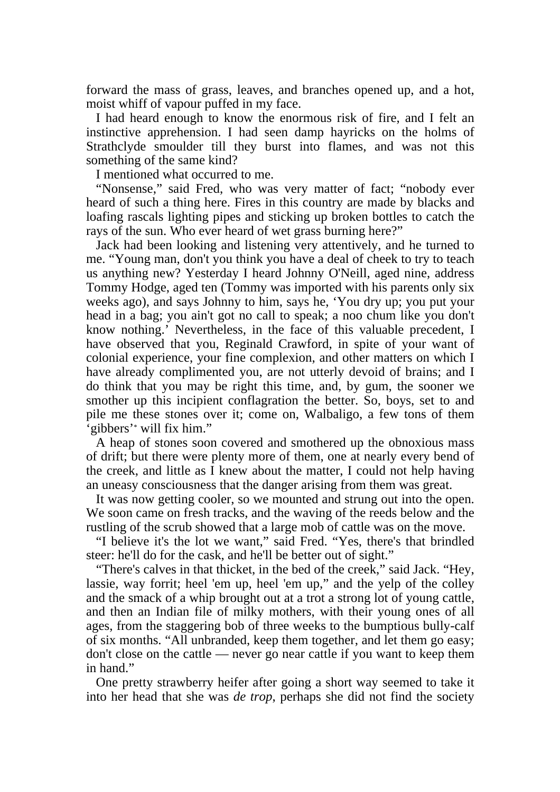forward the mass of grass, leaves, and branches opened up, and a hot, moist whiff of vapour puffed in my face.

 I had heard enough to know the enormous risk of fire, and I felt an instinctive apprehension. I had seen damp hayricks on the holms of Strathclyde smoulder till they burst into flames, and was not this something of the same kind?

I mentioned what occurred to me.

 "Nonsense," said Fred, who was very matter of fact; "nobody ever heard of such a thing here. Fires in this country are made by blacks and loafing rascals lighting pipes and sticking up broken bottles to catch the rays of the sun. Who ever heard of wet grass burning here?"

 Jack had been looking and listening very attentively, and he turned to me. "Young man, don't you think you have a deal of cheek to try to teach us anything new? Yesterday I heard Johnny O'Neill, aged nine, address Tommy Hodge, aged ten (Tommy was imported with his parents only six weeks ago), and says Johnny to him, says he, 'You dry up; you put your head in a bag; you ain't got no call to speak; a noo chum like you don't know nothing.' Nevertheless, in the face of this valuable precedent, I have observed that you, Reginald Crawford, in spite of your want of colonial experience, your fine complexion, and other matters on which I have already complimented you, are not utterly devoid of brains; and I do think that you may be right this time, and, by gum, the sooner we smother up this incipient conflagration the better. So, boys, set to and pile me these stones over it; come on, Walbaligo, a few tons of them 'gibbers'\* will fix him."

 A heap of stones soon covered and smothered up the obnoxious mass of drift; but there were plenty more of them, one at nearly every bend of the creek, and little as I knew about the matter, I could not help having an uneasy consciousness that the danger arising from them was great.

 It was now getting cooler, so we mounted and strung out into the open. We soon came on fresh tracks, and the waving of the reeds below and the rustling of the scrub showed that a large mob of cattle was on the move.

 "I believe it's the lot we want," said Fred. "Yes, there's that brindled steer: he'll do for the cask, and he'll be better out of sight."

 "There's calves in that thicket, in the bed of the creek," said Jack. "Hey, lassie, way forrit; heel 'em up, heel 'em up," and the yelp of the colley and the smack of a whip brought out at a trot a strong lot of young cattle, and then an Indian file of milky mothers, with their young ones of all ages, from the staggering bob of three weeks to the bumptious bully-calf of six months. "All unbranded, keep them together, and let them go easy; don't close on the cattle — never go near cattle if you want to keep them in hand."

 One pretty strawberry heifer after going a short way seemed to take it into her head that she was *de trop*, perhaps she did not find the society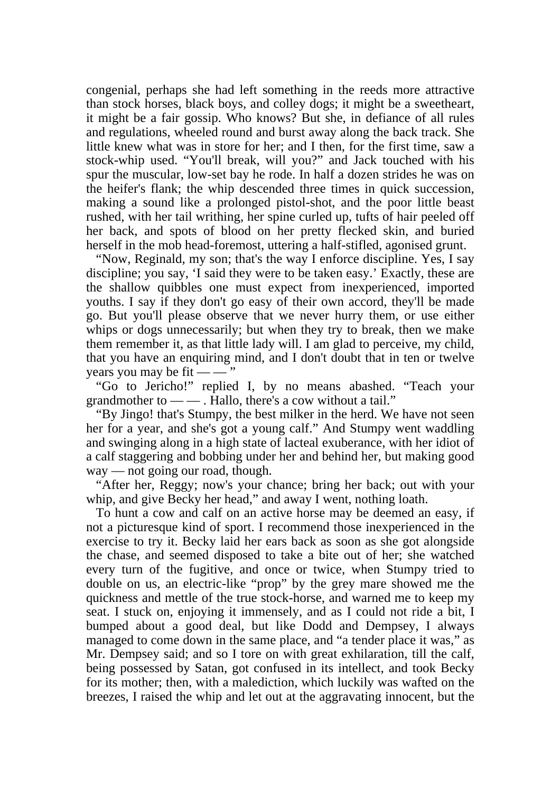congenial, perhaps she had left something in the reeds more attractive than stock horses, black boys, and colley dogs; it might be a sweetheart, it might be a fair gossip. Who knows? But she, in defiance of all rules and regulations, wheeled round and burst away along the back track. She little knew what was in store for her; and I then, for the first time, saw a stock-whip used. "You'll break, will you?" and Jack touched with his spur the muscular, low-set bay he rode. In half a dozen strides he was on the heifer's flank; the whip descended three times in quick succession, making a sound like a prolonged pistol-shot, and the poor little beast rushed, with her tail writhing, her spine curled up, tufts of hair peeled off her back, and spots of blood on her pretty flecked skin, and buried herself in the mob head-foremost, uttering a half-stifled, agonised grunt.

 "Now, Reginald, my son; that's the way I enforce discipline. Yes, I say discipline; you say, 'I said they were to be taken easy.' Exactly, these are the shallow quibbles one must expect from inexperienced, imported youths. I say if they don't go easy of their own accord, they'll be made go. But you'll please observe that we never hurry them, or use either whips or dogs unnecessarily; but when they try to break, then we make them remember it, as that little lady will. I am glad to perceive, my child, that you have an enquiring mind, and I don't doubt that in ten or twelve years you may be fit  $\_\_\_$ "

 "Go to Jericho!" replied I, by no means abashed. "Teach your grandmother to — — . Hallo, there's a cow without a tail."

 "By Jingo! that's Stumpy, the best milker in the herd. We have not seen her for a year, and she's got a young calf." And Stumpy went waddling and swinging along in a high state of lacteal exuberance, with her idiot of a calf staggering and bobbing under her and behind her, but making good way — not going our road, though.

 "After her, Reggy; now's your chance; bring her back; out with your whip, and give Becky her head," and away I went, nothing loath.

 To hunt a cow and calf on an active horse may be deemed an easy, if not a picturesque kind of sport. I recommend those inexperienced in the exercise to try it. Becky laid her ears back as soon as she got alongside the chase, and seemed disposed to take a bite out of her; she watched every turn of the fugitive, and once or twice, when Stumpy tried to double on us, an electric-like "prop" by the grey mare showed me the quickness and mettle of the true stock-horse, and warned me to keep my seat. I stuck on, enjoying it immensely, and as I could not ride a bit, I bumped about a good deal, but like Dodd and Dempsey, I always managed to come down in the same place, and "a tender place it was," as Mr. Dempsey said; and so I tore on with great exhilaration, till the calf, being possessed by Satan, got confused in its intellect, and took Becky for its mother; then, with a malediction, which luckily was wafted on the breezes, I raised the whip and let out at the aggravating innocent, but the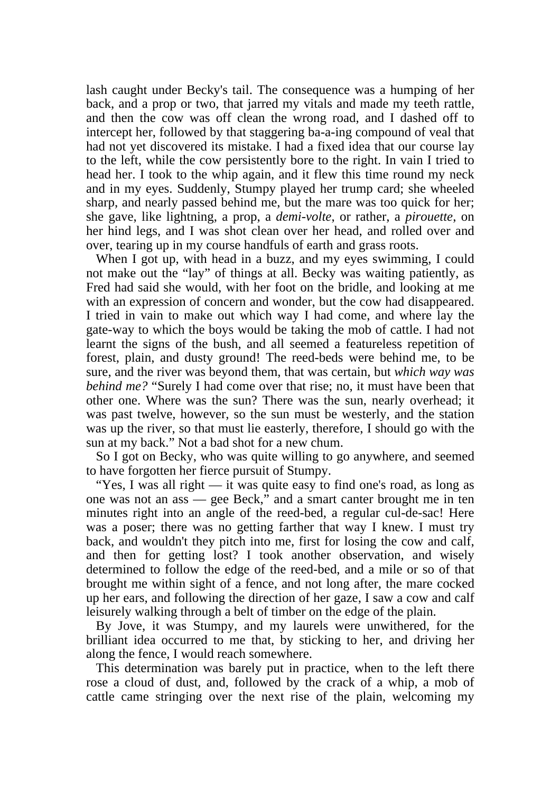lash caught under Becky's tail. The consequence was a humping of her back, and a prop or two, that jarred my vitals and made my teeth rattle, and then the cow was off clean the wrong road, and I dashed off to intercept her, followed by that staggering ba-a-ing compound of veal that had not yet discovered its mistake. I had a fixed idea that our course lay to the left, while the cow persistently bore to the right. In vain I tried to head her. I took to the whip again, and it flew this time round my neck and in my eyes. Suddenly, Stumpy played her trump card; she wheeled sharp, and nearly passed behind me, but the mare was too quick for her; she gave, like lightning, a prop, a *demi-volte*, or rather, a *pirouette*, on her hind legs, and I was shot clean over her head, and rolled over and over, tearing up in my course handfuls of earth and grass roots.

When I got up, with head in a buzz, and my eyes swimming, I could not make out the "lay" of things at all. Becky was waiting patiently, as Fred had said she would, with her foot on the bridle, and looking at me with an expression of concern and wonder, but the cow had disappeared. I tried in vain to make out which way I had come, and where lay the gate-way to which the boys would be taking the mob of cattle. I had not learnt the signs of the bush, and all seemed a featureless repetition of forest, plain, and dusty ground! The reed-beds were behind me, to be sure, and the river was beyond them, that was certain, but *which way was behind me?* "Surely I had come over that rise; no, it must have been that other one. Where was the sun? There was the sun, nearly overhead; it was past twelve, however, so the sun must be westerly, and the station was up the river, so that must lie easterly, therefore, I should go with the sun at my back." Not a bad shot for a new chum.

 So I got on Becky, who was quite willing to go anywhere, and seemed to have forgotten her fierce pursuit of Stumpy.

 "Yes, I was all right — it was quite easy to find one's road, as long as one was not an ass — gee Beck," and a smart canter brought me in ten minutes right into an angle of the reed-bed, a regular cul-de-sac! Here was a poser; there was no getting farther that way I knew. I must try back, and wouldn't they pitch into me, first for losing the cow and calf, and then for getting lost? I took another observation, and wisely determined to follow the edge of the reed-bed, and a mile or so of that brought me within sight of a fence, and not long after, the mare cocked up her ears, and following the direction of her gaze, I saw a cow and calf leisurely walking through a belt of timber on the edge of the plain.

 By Jove, it was Stumpy, and my laurels were unwithered, for the brilliant idea occurred to me that, by sticking to her, and driving her along the fence, I would reach somewhere.

 This determination was barely put in practice, when to the left there rose a cloud of dust, and, followed by the crack of a whip, a mob of cattle came stringing over the next rise of the plain, welcoming my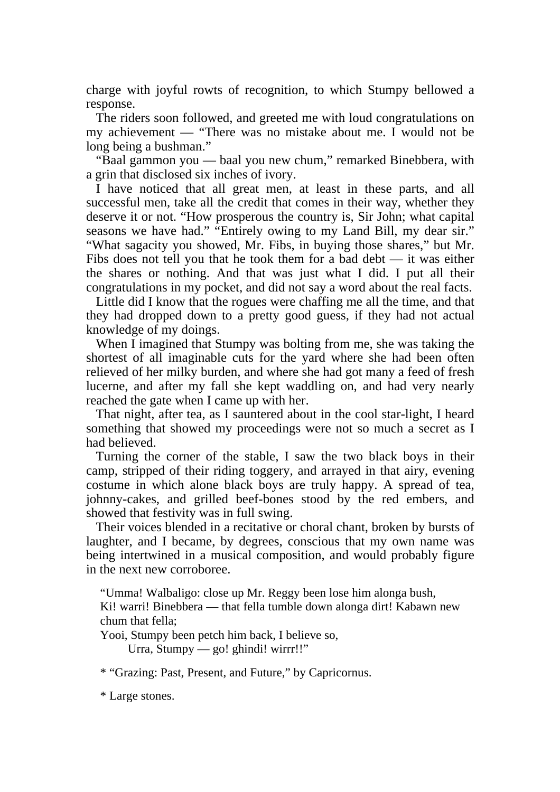charge with joyful rowts of recognition, to which Stumpy bellowed a response.

 The riders soon followed, and greeted me with loud congratulations on my achievement — "There was no mistake about me. I would not be long being a bushman."

 "Baal gammon you — baal you new chum," remarked Binebbera, with a grin that disclosed six inches of ivory.

 I have noticed that all great men, at least in these parts, and all successful men, take all the credit that comes in their way, whether they deserve it or not. "How prosperous the country is, Sir John; what capital seasons we have had." "Entirely owing to my Land Bill, my dear sir." "What sagacity you showed, Mr. Fibs, in buying those shares," but Mr. Fibs does not tell you that he took them for a bad debt  $-$  it was either the shares or nothing. And that was just what I did. I put all their congratulations in my pocket, and did not say a word about the real facts.

 Little did I know that the rogues were chaffing me all the time, and that they had dropped down to a pretty good guess, if they had not actual knowledge of my doings.

 When I imagined that Stumpy was bolting from me, she was taking the shortest of all imaginable cuts for the yard where she had been often relieved of her milky burden, and where she had got many a feed of fresh lucerne, and after my fall she kept waddling on, and had very nearly reached the gate when I came up with her.

 That night, after tea, as I sauntered about in the cool star-light, I heard something that showed my proceedings were not so much a secret as I had believed.

 Turning the corner of the stable, I saw the two black boys in their camp, stripped of their riding toggery, and arrayed in that airy, evening costume in which alone black boys are truly happy. A spread of tea, johnny-cakes, and grilled beef-bones stood by the red embers, and showed that festivity was in full swing.

 Their voices blended in a recitative or choral chant, broken by bursts of laughter, and I became, by degrees, conscious that my own name was being intertwined in a musical composition, and would probably figure in the next new corroboree.

"Umma! Walbaligo: close up Mr. Reggy been lose him alonga bush,

Ki! warri! Binebbera — that fella tumble down alonga dirt! Kabawn new chum that fella;

Yooi, Stumpy been petch him back, I believe so,

Urra, Stumpy — go! ghindi! wirrr!!"

\* "Grazing: Past, Present, and Future," by Capricornus.

\* Large stones.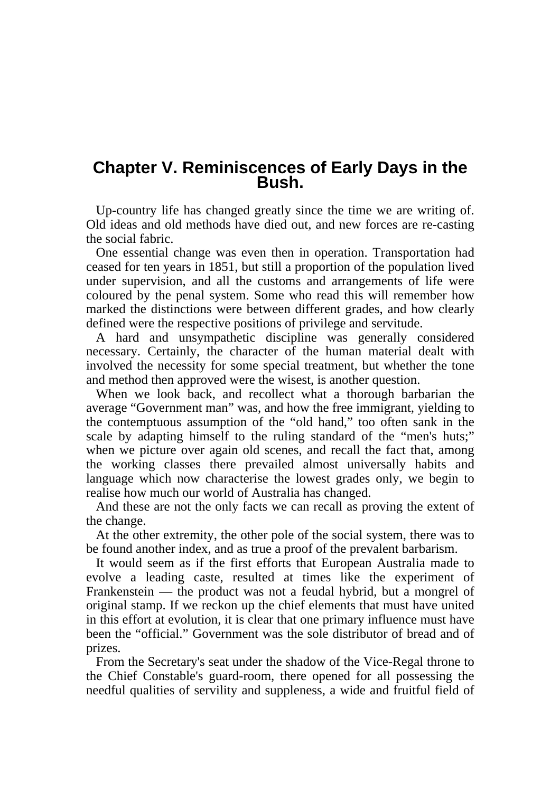## **Chapter V. Reminiscences of Early Days in the Bush.**

 Up-country life has changed greatly since the time we are writing of. Old ideas and old methods have died out, and new forces are re-casting the social fabric.

 One essential change was even then in operation. Transportation had ceased for ten years in 1851, but still a proportion of the population lived under supervision, and all the customs and arrangements of life were coloured by the penal system. Some who read this will remember how marked the distinctions were between different grades, and how clearly defined were the respective positions of privilege and servitude.

 A hard and unsympathetic discipline was generally considered necessary. Certainly, the character of the human material dealt with involved the necessity for some special treatment, but whether the tone and method then approved were the wisest, is another question.

 When we look back, and recollect what a thorough barbarian the average "Government man" was, and how the free immigrant, yielding to the contemptuous assumption of the "old hand," too often sank in the scale by adapting himself to the ruling standard of the "men's huts;" when we picture over again old scenes, and recall the fact that, among the working classes there prevailed almost universally habits and language which now characterise the lowest grades only, we begin to realise how much our world of Australia has changed.

 And these are not the only facts we can recall as proving the extent of the change.

 At the other extremity, the other pole of the social system, there was to be found another index, and as true a proof of the prevalent barbarism.

 It would seem as if the first efforts that European Australia made to evolve a leading caste, resulted at times like the experiment of Frankenstein — the product was not a feudal hybrid, but a mongrel of original stamp. If we reckon up the chief elements that must have united in this effort at evolution, it is clear that one primary influence must have been the "official." Government was the sole distributor of bread and of prizes.

 From the Secretary's seat under the shadow of the Vice-Regal throne to the Chief Constable's guard-room, there opened for all possessing the needful qualities of servility and suppleness, a wide and fruitful field of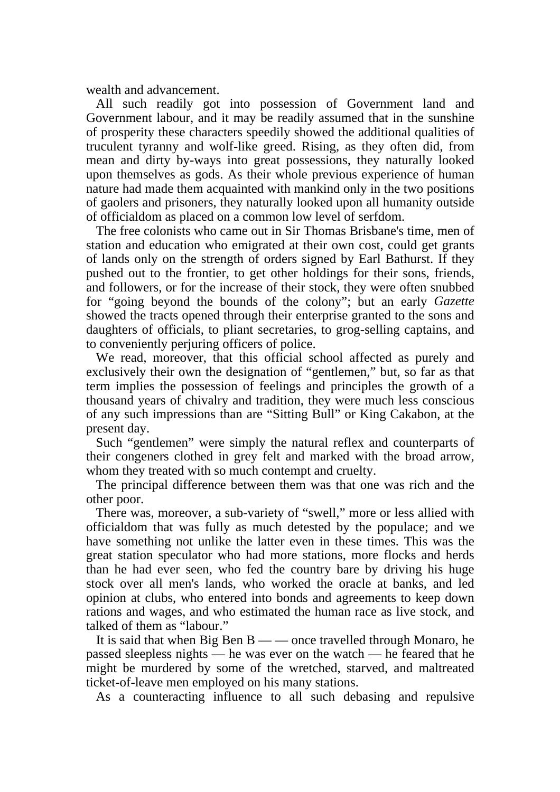wealth and advancement.

 All such readily got into possession of Government land and Government labour, and it may be readily assumed that in the sunshine of prosperity these characters speedily showed the additional qualities of truculent tyranny and wolf-like greed. Rising, as they often did, from mean and dirty by-ways into great possessions, they naturally looked upon themselves as gods. As their whole previous experience of human nature had made them acquainted with mankind only in the two positions of gaolers and prisoners, they naturally looked upon all humanity outside of officialdom as placed on a common low level of serfdom.

 The free colonists who came out in Sir Thomas Brisbane's time, men of station and education who emigrated at their own cost, could get grants of lands only on the strength of orders signed by Earl Bathurst. If they pushed out to the frontier, to get other holdings for their sons, friends, and followers, or for the increase of their stock, they were often snubbed for "going beyond the bounds of the colony"; but an early *Gazette* showed the tracts opened through their enterprise granted to the sons and daughters of officials, to pliant secretaries, to grog-selling captains, and to conveniently perjuring officers of police.

 We read, moreover, that this official school affected as purely and exclusively their own the designation of "gentlemen," but, so far as that term implies the possession of feelings and principles the growth of a thousand years of chivalry and tradition, they were much less conscious of any such impressions than are "Sitting Bull" or King Cakabon, at the present day.

 Such "gentlemen" were simply the natural reflex and counterparts of their congeners clothed in grey felt and marked with the broad arrow, whom they treated with so much contempt and cruelty.

 The principal difference between them was that one was rich and the other poor.

 There was, moreover, a sub-variety of "swell," more or less allied with officialdom that was fully as much detested by the populace; and we have something not unlike the latter even in these times. This was the great station speculator who had more stations, more flocks and herds than he had ever seen, who fed the country bare by driving his huge stock over all men's lands, who worked the oracle at banks, and led opinion at clubs, who entered into bonds and agreements to keep down rations and wages, and who estimated the human race as live stock, and talked of them as "labour."

 It is said that when Big Ben B — — once travelled through Monaro, he passed sleepless nights — he was ever on the watch — he feared that he might be murdered by some of the wretched, starved, and maltreated ticket-of-leave men employed on his many stations.

As a counteracting influence to all such debasing and repulsive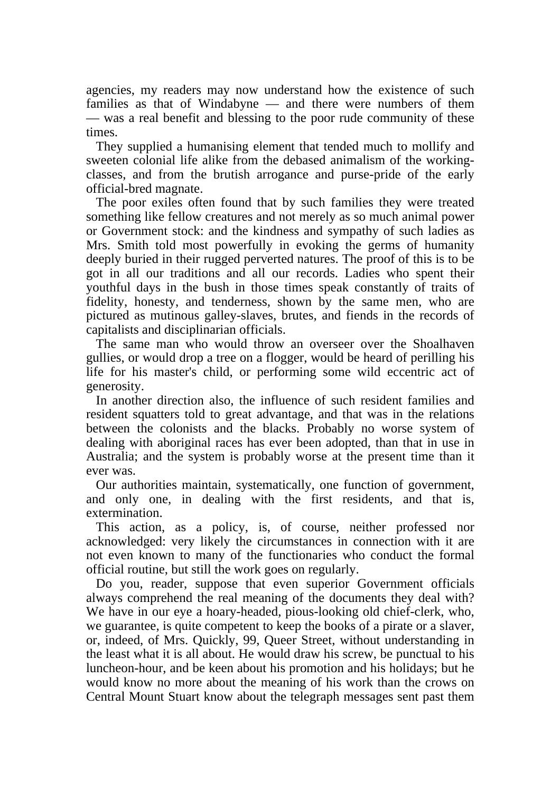agencies, my readers may now understand how the existence of such families as that of Windabyne — and there were numbers of them — was a real benefit and blessing to the poor rude community of these times.

 They supplied a humanising element that tended much to mollify and sweeten colonial life alike from the debased animalism of the workingclasses, and from the brutish arrogance and purse-pride of the early official-bred magnate.

 The poor exiles often found that by such families they were treated something like fellow creatures and not merely as so much animal power or Government stock: and the kindness and sympathy of such ladies as Mrs. Smith told most powerfully in evoking the germs of humanity deeply buried in their rugged perverted natures. The proof of this is to be got in all our traditions and all our records. Ladies who spent their youthful days in the bush in those times speak constantly of traits of fidelity, honesty, and tenderness, shown by the same men, who are pictured as mutinous galley-slaves, brutes, and fiends in the records of capitalists and disciplinarian officials.

 The same man who would throw an overseer over the Shoalhaven gullies, or would drop a tree on a flogger, would be heard of perilling his life for his master's child, or performing some wild eccentric act of generosity.

 In another direction also, the influence of such resident families and resident squatters told to great advantage, and that was in the relations between the colonists and the blacks. Probably no worse system of dealing with aboriginal races has ever been adopted, than that in use in Australia; and the system is probably worse at the present time than it ever was.

 Our authorities maintain, systematically, one function of government, and only one, in dealing with the first residents, and that is, extermination.

 This action, as a policy, is, of course, neither professed nor acknowledged: very likely the circumstances in connection with it are not even known to many of the functionaries who conduct the formal official routine, but still the work goes on regularly.

 Do you, reader, suppose that even superior Government officials always comprehend the real meaning of the documents they deal with? We have in our eye a hoary-headed, pious-looking old chief-clerk, who, we guarantee, is quite competent to keep the books of a pirate or a slaver, or, indeed, of Mrs. Quickly, 99, Queer Street, without understanding in the least what it is all about. He would draw his screw, be punctual to his luncheon-hour, and be keen about his promotion and his holidays; but he would know no more about the meaning of his work than the crows on Central Mount Stuart know about the telegraph messages sent past them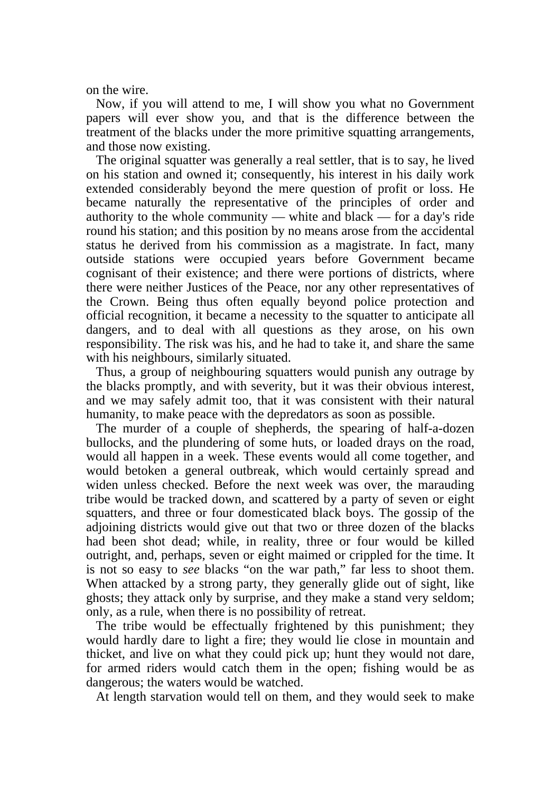on the wire.

 Now, if you will attend to me, I will show you what no Government papers will ever show you, and that is the difference between the treatment of the blacks under the more primitive squatting arrangements, and those now existing.

 The original squatter was generally a real settler, that is to say, he lived on his station and owned it; consequently, his interest in his daily work extended considerably beyond the mere question of profit or loss. He became naturally the representative of the principles of order and authority to the whole community — white and black — for a day's ride round his station; and this position by no means arose from the accidental status he derived from his commission as a magistrate. In fact, many outside stations were occupied years before Government became cognisant of their existence; and there were portions of districts, where there were neither Justices of the Peace, nor any other representatives of the Crown. Being thus often equally beyond police protection and official recognition, it became a necessity to the squatter to anticipate all dangers, and to deal with all questions as they arose, on his own responsibility. The risk was his, and he had to take it, and share the same with his neighbours, similarly situated.

 Thus, a group of neighbouring squatters would punish any outrage by the blacks promptly, and with severity, but it was their obvious interest, and we may safely admit too, that it was consistent with their natural humanity, to make peace with the depredators as soon as possible.

 The murder of a couple of shepherds, the spearing of half-a-dozen bullocks, and the plundering of some huts, or loaded drays on the road, would all happen in a week. These events would all come together, and would betoken a general outbreak, which would certainly spread and widen unless checked. Before the next week was over, the marauding tribe would be tracked down, and scattered by a party of seven or eight squatters, and three or four domesticated black boys. The gossip of the adjoining districts would give out that two or three dozen of the blacks had been shot dead; while, in reality, three or four would be killed outright, and, perhaps, seven or eight maimed or crippled for the time. It is not so easy to *see* blacks "on the war path," far less to shoot them. When attacked by a strong party, they generally glide out of sight, like ghosts; they attack only by surprise, and they make a stand very seldom; only, as a rule, when there is no possibility of retreat.

 The tribe would be effectually frightened by this punishment; they would hardly dare to light a fire; they would lie close in mountain and thicket, and live on what they could pick up; hunt they would not dare, for armed riders would catch them in the open; fishing would be as dangerous; the waters would be watched.

At length starvation would tell on them, and they would seek to make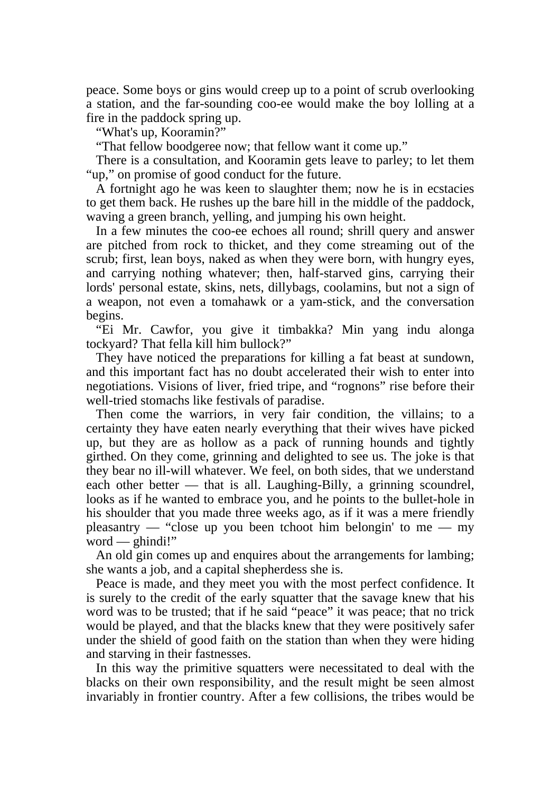peace. Some boys or gins would creep up to a point of scrub overlooking a station, and the far-sounding coo-ee would make the boy lolling at a fire in the paddock spring up.

"What's up, Kooramin?"

"That fellow boodgeree now; that fellow want it come up."

 There is a consultation, and Kooramin gets leave to parley; to let them "up," on promise of good conduct for the future.

 A fortnight ago he was keen to slaughter them; now he is in ecstacies to get them back. He rushes up the bare hill in the middle of the paddock, waving a green branch, yelling, and jumping his own height.

 In a few minutes the coo-ee echoes all round; shrill query and answer are pitched from rock to thicket, and they come streaming out of the scrub; first, lean boys, naked as when they were born, with hungry eyes, and carrying nothing whatever; then, half-starved gins, carrying their lords' personal estate, skins, nets, dillybags, coolamins, but not a sign of a weapon, not even a tomahawk or a yam-stick, and the conversation begins.

 "Ei Mr. Cawfor, you give it timbakka? Min yang indu alonga tockyard? That fella kill him bullock?"

 They have noticed the preparations for killing a fat beast at sundown, and this important fact has no doubt accelerated their wish to enter into negotiations. Visions of liver, fried tripe, and "rognons" rise before their well-tried stomachs like festivals of paradise.

 Then come the warriors, in very fair condition, the villains; to a certainty they have eaten nearly everything that their wives have picked up, but they are as hollow as a pack of running hounds and tightly girthed. On they come, grinning and delighted to see us. The joke is that they bear no ill-will whatever. We feel, on both sides, that we understand each other better — that is all. Laughing-Billy, a grinning scoundrel, looks as if he wanted to embrace you, and he points to the bullet-hole in his shoulder that you made three weeks ago, as if it was a mere friendly pleasantry — "close up you been tchoot him belongin' to me — my word — ghindi!"

 An old gin comes up and enquires about the arrangements for lambing; she wants a job, and a capital shepherdess she is.

 Peace is made, and they meet you with the most perfect confidence. It is surely to the credit of the early squatter that the savage knew that his word was to be trusted; that if he said "peace" it was peace; that no trick would be played, and that the blacks knew that they were positively safer under the shield of good faith on the station than when they were hiding and starving in their fastnesses.

 In this way the primitive squatters were necessitated to deal with the blacks on their own responsibility, and the result might be seen almost invariably in frontier country. After a few collisions, the tribes would be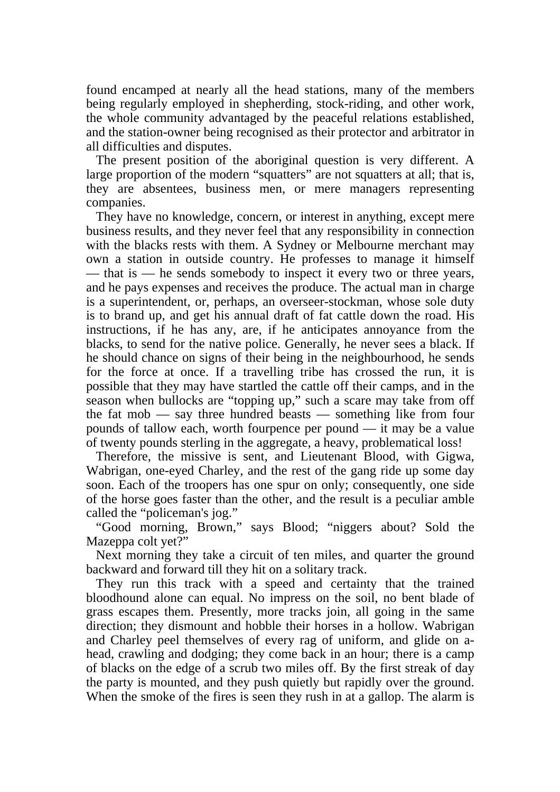found encamped at nearly all the head stations, many of the members being regularly employed in shepherding, stock-riding, and other work, the whole community advantaged by the peaceful relations established, and the station-owner being recognised as their protector and arbitrator in all difficulties and disputes.

 The present position of the aboriginal question is very different. A large proportion of the modern "squatters" are not squatters at all; that is, they are absentees, business men, or mere managers representing companies.

 They have no knowledge, concern, or interest in anything, except mere business results, and they never feel that any responsibility in connection with the blacks rests with them. A Sydney or Melbourne merchant may own a station in outside country. He professes to manage it himself — that is — he sends somebody to inspect it every two or three years, and he pays expenses and receives the produce. The actual man in charge is a superintendent, or, perhaps, an overseer-stockman, whose sole duty is to brand up, and get his annual draft of fat cattle down the road. His instructions, if he has any, are, if he anticipates annoyance from the blacks, to send for the native police. Generally, he never sees a black. If he should chance on signs of their being in the neighbourhood, he sends for the force at once. If a travelling tribe has crossed the run, it is possible that they may have startled the cattle off their camps, and in the season when bullocks are "topping up," such a scare may take from off the fat mob — say three hundred beasts — something like from four pounds of tallow each, worth fourpence per pound — it may be a value of twenty pounds sterling in the aggregate, a heavy, problematical loss!

 Therefore, the missive is sent, and Lieutenant Blood, with Gigwa, Wabrigan, one-eyed Charley, and the rest of the gang ride up some day soon. Each of the troopers has one spur on only; consequently, one side of the horse goes faster than the other, and the result is a peculiar amble called the "policeman's jog."

 "Good morning, Brown," says Blood; "niggers about? Sold the Mazeppa colt yet?"

 Next morning they take a circuit of ten miles, and quarter the ground backward and forward till they hit on a solitary track.

 They run this track with a speed and certainty that the trained bloodhound alone can equal. No impress on the soil, no bent blade of grass escapes them. Presently, more tracks join, all going in the same direction; they dismount and hobble their horses in a hollow. Wabrigan and Charley peel themselves of every rag of uniform, and glide on ahead, crawling and dodging; they come back in an hour; there is a camp of blacks on the edge of a scrub two miles off. By the first streak of day the party is mounted, and they push quietly but rapidly over the ground. When the smoke of the fires is seen they rush in at a gallop. The alarm is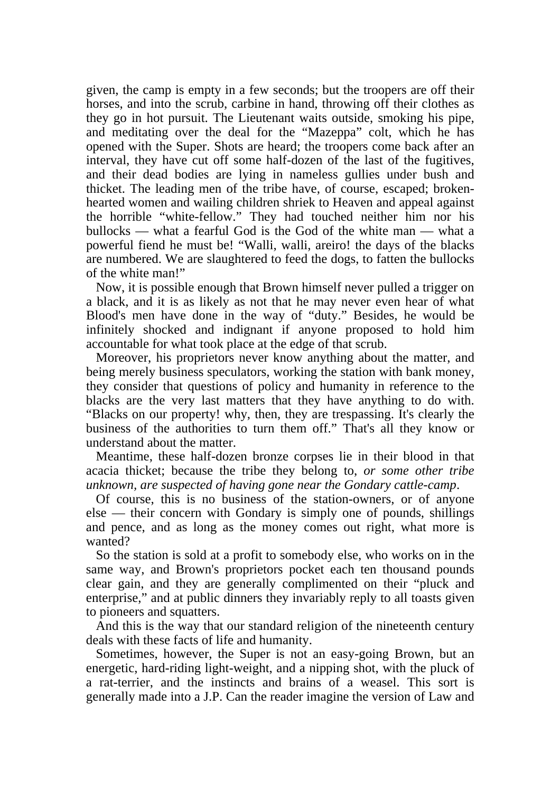given, the camp is empty in a few seconds; but the troopers are off their horses, and into the scrub, carbine in hand, throwing off their clothes as they go in hot pursuit. The Lieutenant waits outside, smoking his pipe, and meditating over the deal for the "Mazeppa" colt, which he has opened with the Super. Shots are heard; the troopers come back after an interval, they have cut off some half-dozen of the last of the fugitives, and their dead bodies are lying in nameless gullies under bush and thicket. The leading men of the tribe have, of course, escaped; brokenhearted women and wailing children shriek to Heaven and appeal against the horrible "white-fellow." They had touched neither him nor his bullocks — what a fearful God is the God of the white man — what a powerful fiend he must be! "Walli, walli, areiro! the days of the blacks are numbered. We are slaughtered to feed the dogs, to fatten the bullocks of the white man!"

 Now, it is possible enough that Brown himself never pulled a trigger on a black, and it is as likely as not that he may never even hear of what Blood's men have done in the way of "duty." Besides, he would be infinitely shocked and indignant if anyone proposed to hold him accountable for what took place at the edge of that scrub.

 Moreover, his proprietors never know anything about the matter, and being merely business speculators, working the station with bank money, they consider that questions of policy and humanity in reference to the blacks are the very last matters that they have anything to do with. "Blacks on our property! why, then, they are trespassing. It's clearly the business of the authorities to turn them off." That's all they know or understand about the matter.

 Meantime, these half-dozen bronze corpses lie in their blood in that acacia thicket; because the tribe they belong to, *or some other tribe unknown, are suspected of having gone near the Gondary cattle-camp*.

 Of course, this is no business of the station-owners, or of anyone else — their concern with Gondary is simply one of pounds, shillings and pence, and as long as the money comes out right, what more is wanted?

 So the station is sold at a profit to somebody else, who works on in the same way, and Brown's proprietors pocket each ten thousand pounds clear gain, and they are generally complimented on their "pluck and enterprise," and at public dinners they invariably reply to all toasts given to pioneers and squatters.

 And this is the way that our standard religion of the nineteenth century deals with these facts of life and humanity.

 Sometimes, however, the Super is not an easy-going Brown, but an energetic, hard-riding light-weight, and a nipping shot, with the pluck of a rat-terrier, and the instincts and brains of a weasel. This sort is generally made into a J.P. Can the reader imagine the version of Law and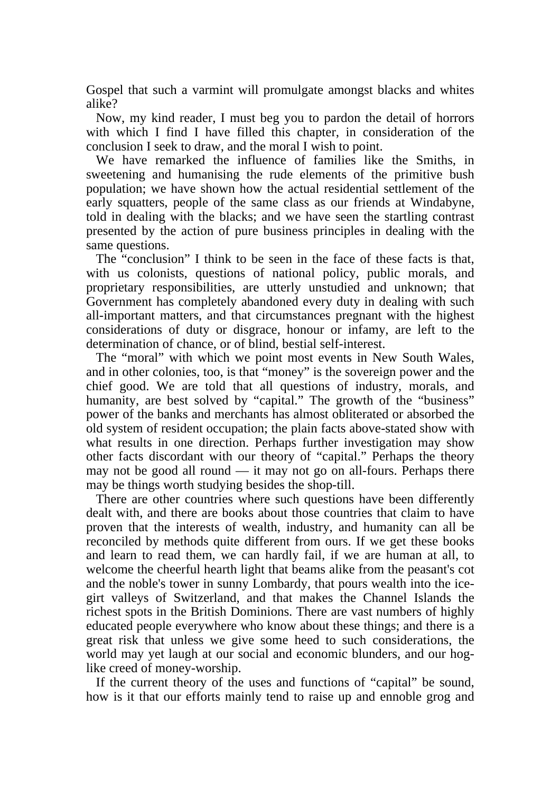Gospel that such a varmint will promulgate amongst blacks and whites alike?

 Now, my kind reader, I must beg you to pardon the detail of horrors with which I find I have filled this chapter, in consideration of the conclusion I seek to draw, and the moral I wish to point.

 We have remarked the influence of families like the Smiths, in sweetening and humanising the rude elements of the primitive bush population; we have shown how the actual residential settlement of the early squatters, people of the same class as our friends at Windabyne, told in dealing with the blacks; and we have seen the startling contrast presented by the action of pure business principles in dealing with the same questions.

 The "conclusion" I think to be seen in the face of these facts is that, with us colonists, questions of national policy, public morals, and proprietary responsibilities, are utterly unstudied and unknown; that Government has completely abandoned every duty in dealing with such all-important matters, and that circumstances pregnant with the highest considerations of duty or disgrace, honour or infamy, are left to the determination of chance, or of blind, bestial self-interest.

 The "moral" with which we point most events in New South Wales, and in other colonies, too, is that "money" is the sovereign power and the chief good. We are told that all questions of industry, morals, and humanity, are best solved by "capital." The growth of the "business" power of the banks and merchants has almost obliterated or absorbed the old system of resident occupation; the plain facts above-stated show with what results in one direction. Perhaps further investigation may show other facts discordant with our theory of "capital." Perhaps the theory may not be good all round  $-$  it may not go on all-fours. Perhaps there may be things worth studying besides the shop-till.

 There are other countries where such questions have been differently dealt with, and there are books about those countries that claim to have proven that the interests of wealth, industry, and humanity can all be reconciled by methods quite different from ours. If we get these books and learn to read them, we can hardly fail, if we are human at all, to welcome the cheerful hearth light that beams alike from the peasant's cot and the noble's tower in sunny Lombardy, that pours wealth into the icegirt valleys of Switzerland, and that makes the Channel Islands the richest spots in the British Dominions. There are vast numbers of highly educated people everywhere who know about these things; and there is a great risk that unless we give some heed to such considerations, the world may yet laugh at our social and economic blunders, and our hoglike creed of money-worship.

 If the current theory of the uses and functions of "capital" be sound, how is it that our efforts mainly tend to raise up and ennoble grog and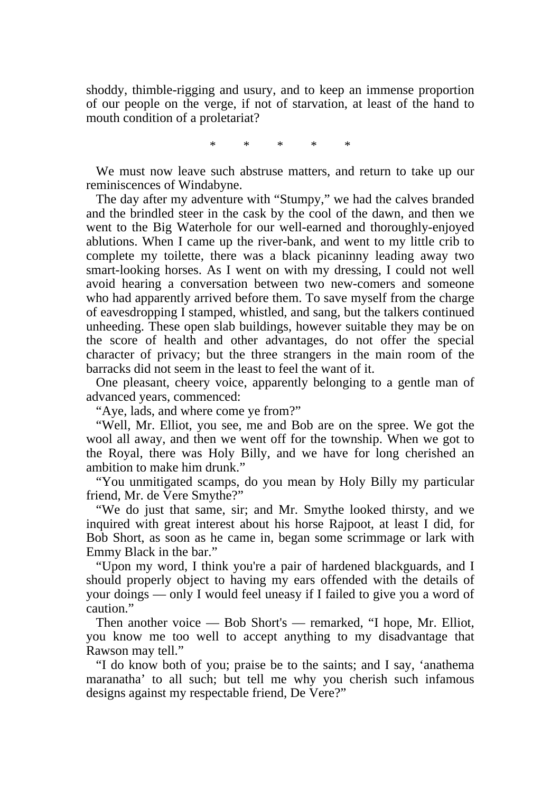shoddy, thimble-rigging and usury, and to keep an immense proportion of our people on the verge, if not of starvation, at least of the hand to mouth condition of a proletariat?

\* \* \* \* \*

 We must now leave such abstruse matters, and return to take up our reminiscences of Windabyne.

 The day after my adventure with "Stumpy," we had the calves branded and the brindled steer in the cask by the cool of the dawn, and then we went to the Big Waterhole for our well-earned and thoroughly-enjoyed ablutions. When I came up the river-bank, and went to my little crib to complete my toilette, there was a black picaninny leading away two smart-looking horses. As I went on with my dressing, I could not well avoid hearing a conversation between two new-comers and someone who had apparently arrived before them. To save myself from the charge of eavesdropping I stamped, whistled, and sang, but the talkers continued unheeding. These open slab buildings, however suitable they may be on the score of health and other advantages, do not offer the special character of privacy; but the three strangers in the main room of the barracks did not seem in the least to feel the want of it.

 One pleasant, cheery voice, apparently belonging to a gentle man of advanced years, commenced:

"Aye, lads, and where come ye from?"

 "Well, Mr. Elliot, you see, me and Bob are on the spree. We got the wool all away, and then we went off for the township. When we got to the Royal, there was Holy Billy, and we have for long cherished an ambition to make him drunk."

 "You unmitigated scamps, do you mean by Holy Billy my particular friend, Mr. de Vere Smythe?"

 "We do just that same, sir; and Mr. Smythe looked thirsty, and we inquired with great interest about his horse Rajpoot, at least I did, for Bob Short, as soon as he came in, began some scrimmage or lark with Emmy Black in the bar."

 "Upon my word, I think you're a pair of hardened blackguards, and I should properly object to having my ears offended with the details of your doings — only I would feel uneasy if I failed to give you a word of caution."

 Then another voice — Bob Short's — remarked, "I hope, Mr. Elliot, you know me too well to accept anything to my disadvantage that Rawson may tell."

 "I do know both of you; praise be to the saints; and I say, 'anathema maranatha' to all such; but tell me why you cherish such infamous designs against my respectable friend, De Vere?"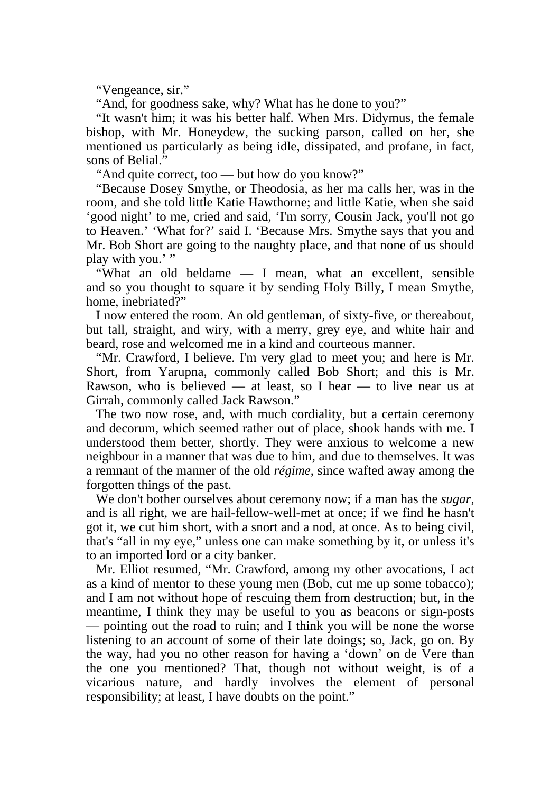"Vengeance, sir."

"And, for goodness sake, why? What has he done to you?"

 "It wasn't him; it was his better half. When Mrs. Didymus, the female bishop, with Mr. Honeydew, the sucking parson, called on her, she mentioned us particularly as being idle, dissipated, and profane, in fact, sons of Belial."

"And quite correct, too — but how do you know?"

 "Because Dosey Smythe, or Theodosia, as her ma calls her, was in the room, and she told little Katie Hawthorne; and little Katie, when she said 'good night' to me, cried and said, 'I'm sorry, Cousin Jack, you'll not go to Heaven.' 'What for?' said I. 'Because Mrs. Smythe says that you and Mr. Bob Short are going to the naughty place, and that none of us should play with you.'"

 "What an old beldame — I mean, what an excellent, sensible and so you thought to square it by sending Holy Billy, I mean Smythe, home, inebriated?"

 I now entered the room. An old gentleman, of sixty-five, or thereabout, but tall, straight, and wiry, with a merry, grey eye, and white hair and beard, rose and welcomed me in a kind and courteous manner.

 "Mr. Crawford, I believe. I'm very glad to meet you; and here is Mr. Short, from Yarupna, commonly called Bob Short; and this is Mr. Rawson, who is believed  $-$  at least, so I hear  $-$  to live near us at Girrah, commonly called Jack Rawson."

 The two now rose, and, with much cordiality, but a certain ceremony and decorum, which seemed rather out of place, shook hands with me. I understood them better, shortly. They were anxious to welcome a new neighbour in a manner that was due to him, and due to themselves. It was a remnant of the manner of the old *régime*, since wafted away among the forgotten things of the past.

 We don't bother ourselves about ceremony now; if a man has the *sugar*, and is all right, we are hail-fellow-well-met at once; if we find he hasn't got it, we cut him short, with a snort and a nod, at once. As to being civil, that's "all in my eye," unless one can make something by it, or unless it's to an imported lord or a city banker.

 Mr. Elliot resumed, "Mr. Crawford, among my other avocations, I act as a kind of mentor to these young men (Bob, cut me up some tobacco); and I am not without hope of rescuing them from destruction; but, in the meantime, I think they may be useful to you as beacons or sign-posts — pointing out the road to ruin; and I think you will be none the worse listening to an account of some of their late doings; so, Jack, go on. By the way, had you no other reason for having a 'down' on de Vere than the one you mentioned? That, though not without weight, is of a vicarious nature, and hardly involves the element of personal responsibility; at least, I have doubts on the point."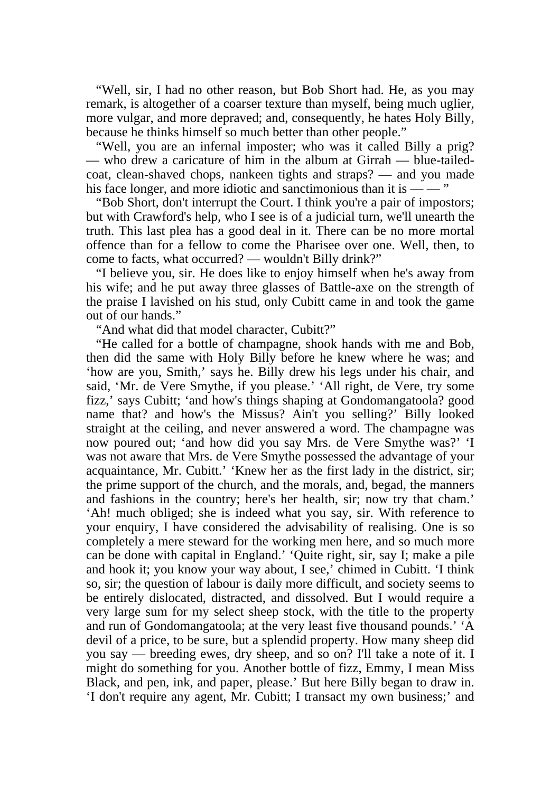"Well, sir, I had no other reason, but Bob Short had. He, as you may remark, is altogether of a coarser texture than myself, being much uglier, more vulgar, and more depraved; and, consequently, he hates Holy Billy, because he thinks himself so much better than other people."

 "Well, you are an infernal imposter; who was it called Billy a prig? — who drew a caricature of him in the album at Girrah — blue-tailedcoat, clean-shaved chops, nankeen tights and straps? — and you made his face longer, and more idiotic and sanctimonious than it is  $-\gamma$ .

 "Bob Short, don't interrupt the Court. I think you're a pair of impostors; but with Crawford's help, who I see is of a judicial turn, we'll unearth the truth. This last plea has a good deal in it. There can be no more mortal offence than for a fellow to come the Pharisee over one. Well, then, to come to facts, what occurred? — wouldn't Billy drink?"

 "I believe you, sir. He does like to enjoy himself when he's away from his wife; and he put away three glasses of Battle-axe on the strength of the praise I lavished on his stud, only Cubitt came in and took the game out of our hands."

"And what did that model character, Cubitt?"

 "He called for a bottle of champagne, shook hands with me and Bob, then did the same with Holy Billy before he knew where he was; and 'how are you, Smith,' says he. Billy drew his legs under his chair, and said, 'Mr. de Vere Smythe, if you please.' 'All right, de Vere, try some fizz,' says Cubitt; 'and how's things shaping at Gondomangatoola? good name that? and how's the Missus? Ain't you selling?' Billy looked straight at the ceiling, and never answered a word. The champagne was now poured out; 'and how did you say Mrs. de Vere Smythe was?' 'I was not aware that Mrs. de Vere Smythe possessed the advantage of your acquaintance, Mr. Cubitt.' 'Knew her as the first lady in the district, sir; the prime support of the church, and the morals, and, begad, the manners and fashions in the country; here's her health, sir; now try that cham.' 'Ah! much obliged; she is indeed what you say, sir. With reference to your enquiry, I have considered the advisability of realising. One is so completely a mere steward for the working men here, and so much more can be done with capital in England.' 'Quite right, sir, say I; make a pile and hook it; you know your way about, I see,' chimed in Cubitt. 'I think so, sir; the question of labour is daily more difficult, and society seems to be entirely dislocated, distracted, and dissolved. But I would require a very large sum for my select sheep stock, with the title to the property and run of Gondomangatoola; at the very least five thousand pounds.' 'A devil of a price, to be sure, but a splendid property. How many sheep did you say — breeding ewes, dry sheep, and so on? I'll take a note of it. I might do something for you. Another bottle of fizz, Emmy, I mean Miss Black, and pen, ink, and paper, please.' But here Billy began to draw in. 'I don't require any agent, Mr. Cubitt; I transact my own business;' and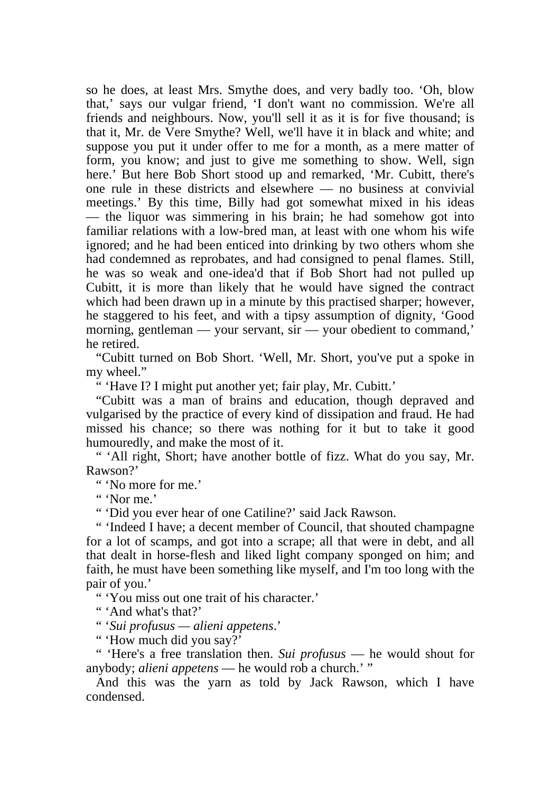so he does, at least Mrs. Smythe does, and very badly too. 'Oh, blow that,' says our vulgar friend, 'I don't want no commission. We're all friends and neighbours. Now, you'll sell it as it is for five thousand; is that it, Mr. de Vere Smythe? Well, we'll have it in black and white; and suppose you put it under offer to me for a month, as a mere matter of form, you know; and just to give me something to show. Well, sign here.' But here Bob Short stood up and remarked, 'Mr. Cubitt, there's one rule in these districts and elsewhere — no business at convivial meetings.' By this time, Billy had got somewhat mixed in his ideas — the liquor was simmering in his brain; he had somehow got into familiar relations with a low-bred man, at least with one whom his wife ignored; and he had been enticed into drinking by two others whom she had condemned as reprobates, and had consigned to penal flames. Still, he was so weak and one-idea'd that if Bob Short had not pulled up Cubitt, it is more than likely that he would have signed the contract which had been drawn up in a minute by this practised sharper; however, he staggered to his feet, and with a tipsy assumption of dignity, 'Good morning, gentleman — your servant, sir — your obedient to command,' he retired.

 "Cubitt turned on Bob Short. 'Well, Mr. Short, you've put a spoke in my wheel."

" 'Have I? I might put another yet; fair play, Mr. Cubitt.'

 "Cubitt was a man of brains and education, though depraved and vulgarised by the practice of every kind of dissipation and fraud. He had missed his chance; so there was nothing for it but to take it good humouredly, and make the most of it.

 " 'All right, Short; have another bottle of fizz. What do you say, Mr. Rawson?'

" 'No more for me.'

" 'Nor me.'

" 'Did you ever hear of one Catiline?' said Jack Rawson.

 " 'Indeed I have; a decent member of Council, that shouted champagne for a lot of scamps, and got into a scrape; all that were in debt, and all that dealt in horse-flesh and liked light company sponged on him; and faith, he must have been something like myself, and I'm too long with the pair of you.'

" 'You miss out one trait of his character.'

" 'And what's that?'

" '*Sui profusus — alieni appetens*.'

" 'How much did you say?'

 " 'Here's a free translation then. *Sui profusus* — he would shout for anybody; *alieni appetens* — he would rob a church.' "

 And this was the yarn as told by Jack Rawson, which I have condensed.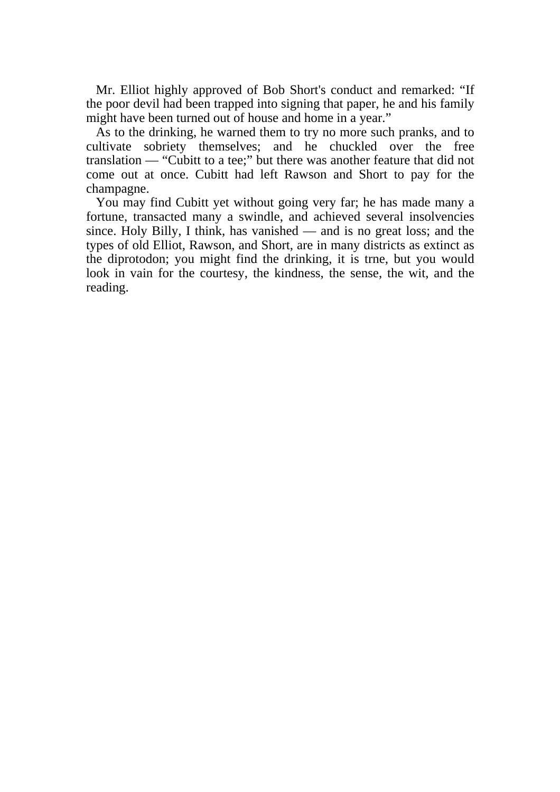Mr. Elliot highly approved of Bob Short's conduct and remarked: "If the poor devil had been trapped into signing that paper, he and his family might have been turned out of house and home in a year."

 As to the drinking, he warned them to try no more such pranks, and to cultivate sobriety themselves; and he chuckled over the free translation — "Cubitt to a tee;" but there was another feature that did not come out at once. Cubitt had left Rawson and Short to pay for the champagne.

 You may find Cubitt yet without going very far; he has made many a fortune, transacted many a swindle, and achieved several insolvencies since. Holy Billy, I think, has vanished — and is no great loss; and the types of old Elliot, Rawson, and Short, are in many districts as extinct as the diprotodon; you might find the drinking, it is trne, but you would look in vain for the courtesy, the kindness, the sense, the wit, and the reading.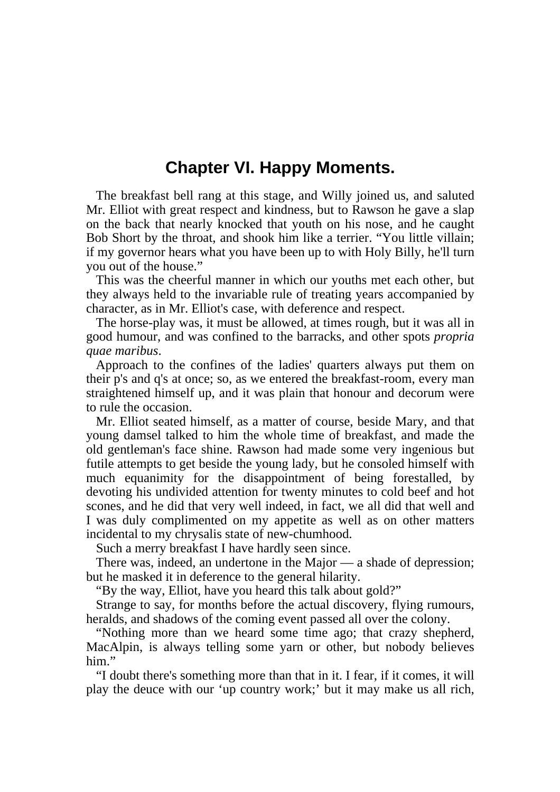## **Chapter VI. Happy Moments.**

 The breakfast bell rang at this stage, and Willy joined us, and saluted Mr. Elliot with great respect and kindness, but to Rawson he gave a slap on the back that nearly knocked that youth on his nose, and he caught Bob Short by the throat, and shook him like a terrier. "You little villain; if my governor hears what you have been up to with Holy Billy, he'll turn you out of the house."

 This was the cheerful manner in which our youths met each other, but they always held to the invariable rule of treating years accompanied by character, as in Mr. Elliot's case, with deference and respect.

 The horse-play was, it must be allowed, at times rough, but it was all in good humour, and was confined to the barracks, and other spots *propria quae maribus*.

 Approach to the confines of the ladies' quarters always put them on their p's and q's at once; so, as we entered the breakfast-room, every man straightened himself up, and it was plain that honour and decorum were to rule the occasion.

 Mr. Elliot seated himself, as a matter of course, beside Mary, and that young damsel talked to him the whole time of breakfast, and made the old gentleman's face shine. Rawson had made some very ingenious but futile attempts to get beside the young lady, but he consoled himself with much equanimity for the disappointment of being forestalled, by devoting his undivided attention for twenty minutes to cold beef and hot scones, and he did that very well indeed, in fact, we all did that well and I was duly complimented on my appetite as well as on other matters incidental to my chrysalis state of new-chumhood.

Such a merry breakfast I have hardly seen since.

 There was, indeed, an undertone in the Major — a shade of depression; but he masked it in deference to the general hilarity.

"By the way, Elliot, have you heard this talk about gold?"

 Strange to say, for months before the actual discovery, flying rumours, heralds, and shadows of the coming event passed all over the colony.

 "Nothing more than we heard some time ago; that crazy shepherd, MacAlpin, is always telling some yarn or other, but nobody believes him."

 "I doubt there's something more than that in it. I fear, if it comes, it will play the deuce with our 'up country work;' but it may make us all rich,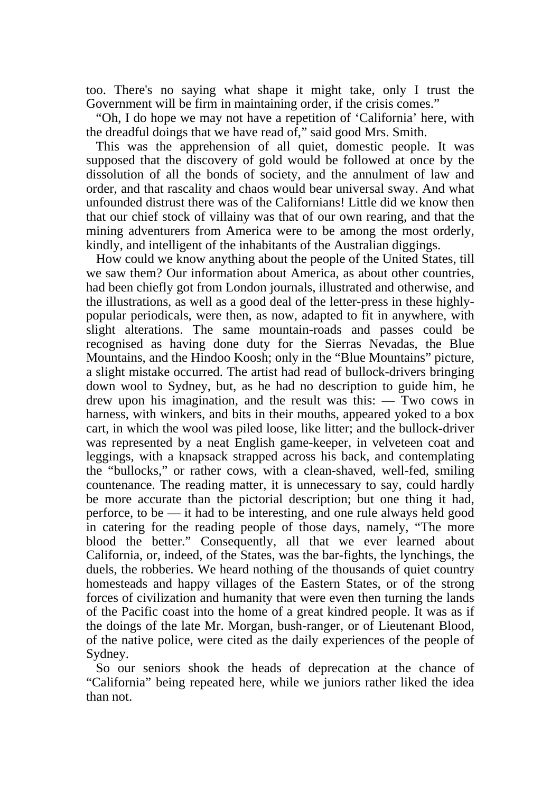too. There's no saying what shape it might take, only I trust the Government will be firm in maintaining order, if the crisis comes."

 "Oh, I do hope we may not have a repetition of 'California' here, with the dreadful doings that we have read of," said good Mrs. Smith.

 This was the apprehension of all quiet, domestic people. It was supposed that the discovery of gold would be followed at once by the dissolution of all the bonds of society, and the annulment of law and order, and that rascality and chaos would bear universal sway. And what unfounded distrust there was of the Californians! Little did we know then that our chief stock of villainy was that of our own rearing, and that the mining adventurers from America were to be among the most orderly, kindly, and intelligent of the inhabitants of the Australian diggings.

 How could we know anything about the people of the United States, till we saw them? Our information about America, as about other countries, had been chiefly got from London journals, illustrated and otherwise, and the illustrations, as well as a good deal of the letter-press in these highlypopular periodicals, were then, as now, adapted to fit in anywhere, with slight alterations. The same mountain-roads and passes could be recognised as having done duty for the Sierras Nevadas, the Blue Mountains, and the Hindoo Koosh; only in the "Blue Mountains" picture, a slight mistake occurred. The artist had read of bullock-drivers bringing down wool to Sydney, but, as he had no description to guide him, he drew upon his imagination, and the result was this: — Two cows in harness, with winkers, and bits in their mouths, appeared yoked to a box cart, in which the wool was piled loose, like litter; and the bullock-driver was represented by a neat English game-keeper, in velveteen coat and leggings, with a knapsack strapped across his back, and contemplating the "bullocks," or rather cows, with a clean-shaved, well-fed, smiling countenance. The reading matter, it is unnecessary to say, could hardly be more accurate than the pictorial description; but one thing it had, perforce, to be — it had to be interesting, and one rule always held good in catering for the reading people of those days, namely, "The more blood the better." Consequently, all that we ever learned about California, or, indeed, of the States, was the bar-fights, the lynchings, the duels, the robberies. We heard nothing of the thousands of quiet country homesteads and happy villages of the Eastern States, or of the strong forces of civilization and humanity that were even then turning the lands of the Pacific coast into the home of a great kindred people. It was as if the doings of the late Mr. Morgan, bush-ranger, or of Lieutenant Blood, of the native police, were cited as the daily experiences of the people of Sydney.

 So our seniors shook the heads of deprecation at the chance of "California" being repeated here, while we juniors rather liked the idea than not.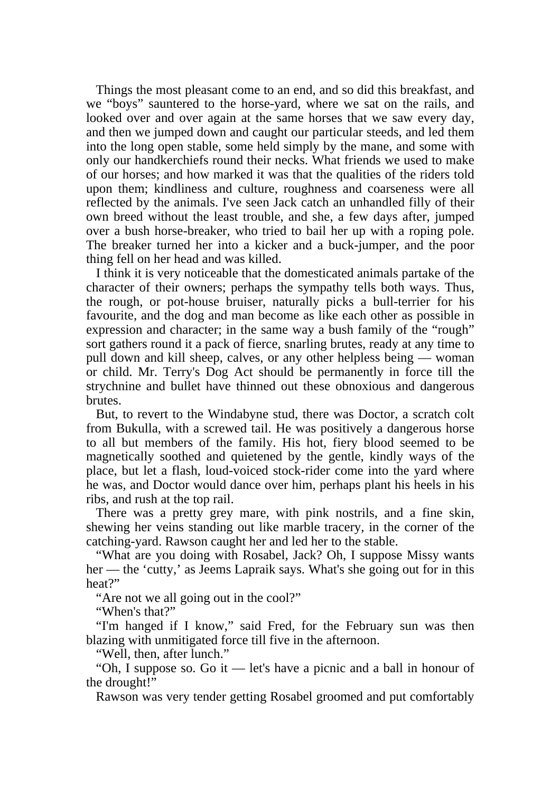Things the most pleasant come to an end, and so did this breakfast, and we "boys" sauntered to the horse-yard, where we sat on the rails, and looked over and over again at the same horses that we saw every day, and then we jumped down and caught our particular steeds, and led them into the long open stable, some held simply by the mane, and some with only our handkerchiefs round their necks. What friends we used to make of our horses; and how marked it was that the qualities of the riders told upon them; kindliness and culture, roughness and coarseness were all reflected by the animals. I've seen Jack catch an unhandled filly of their own breed without the least trouble, and she, a few days after, jumped over a bush horse-breaker, who tried to bail her up with a roping pole. The breaker turned her into a kicker and a buck-jumper, and the poor thing fell on her head and was killed.

 I think it is very noticeable that the domesticated animals partake of the character of their owners; perhaps the sympathy tells both ways. Thus, the rough, or pot-house bruiser, naturally picks a bull-terrier for his favourite, and the dog and man become as like each other as possible in expression and character; in the same way a bush family of the "rough" sort gathers round it a pack of fierce, snarling brutes, ready at any time to pull down and kill sheep, calves, or any other helpless being — woman or child. Mr. Terry's Dog Act should be permanently in force till the strychnine and bullet have thinned out these obnoxious and dangerous brutes.

 But, to revert to the Windabyne stud, there was Doctor, a scratch colt from Bukulla, with a screwed tail. He was positively a dangerous horse to all but members of the family. His hot, fiery blood seemed to be magnetically soothed and quietened by the gentle, kindly ways of the place, but let a flash, loud-voiced stock-rider come into the yard where he was, and Doctor would dance over him, perhaps plant his heels in his ribs, and rush at the top rail.

 There was a pretty grey mare, with pink nostrils, and a fine skin, shewing her veins standing out like marble tracery, in the corner of the catching-yard. Rawson caught her and led her to the stable.

 "What are you doing with Rosabel, Jack? Oh, I suppose Missy wants her — the 'cutty,' as Jeems Lapraik says. What's she going out for in this heat?"

"Are not we all going out in the cool?"

"When's that?"

 "I'm hanged if I know," said Fred, for the February sun was then blazing with unmitigated force till five in the afternoon.

"Well, then, after lunch."

 "Oh, I suppose so. Go it — let's have a picnic and a ball in honour of the drought!"

Rawson was very tender getting Rosabel groomed and put comfortably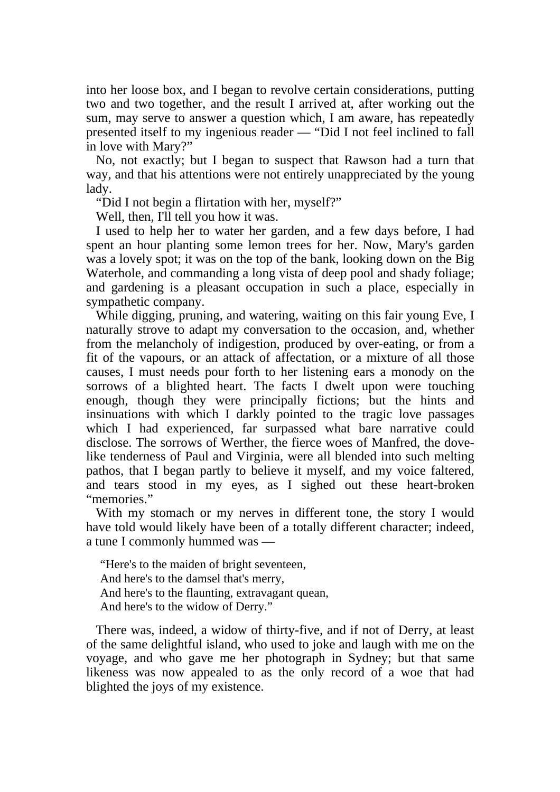into her loose box, and I began to revolve certain considerations, putting two and two together, and the result I arrived at, after working out the sum, may serve to answer a question which, I am aware, has repeatedly presented itself to my ingenious reader — "Did I not feel inclined to fall in love with Mary?"

 No, not exactly; but I began to suspect that Rawson had a turn that way, and that his attentions were not entirely unappreciated by the young lady.

"Did I not begin a flirtation with her, myself?"

Well, then, I'll tell you how it was.

 I used to help her to water her garden, and a few days before, I had spent an hour planting some lemon trees for her. Now, Mary's garden was a lovely spot; it was on the top of the bank, looking down on the Big Waterhole, and commanding a long vista of deep pool and shady foliage; and gardening is a pleasant occupation in such a place, especially in sympathetic company.

 While digging, pruning, and watering, waiting on this fair young Eve, I naturally strove to adapt my conversation to the occasion, and, whether from the melancholy of indigestion, produced by over-eating, or from a fit of the vapours, or an attack of affectation, or a mixture of all those causes, I must needs pour forth to her listening ears a monody on the sorrows of a blighted heart. The facts I dwelt upon were touching enough, though they were principally fictions; but the hints and insinuations with which I darkly pointed to the tragic love passages which I had experienced, far surpassed what bare narrative could disclose. The sorrows of Werther, the fierce woes of Manfred, the dovelike tenderness of Paul and Virginia, were all blended into such melting pathos, that I began partly to believe it myself, and my voice faltered, and tears stood in my eyes, as I sighed out these heart-broken "memories."

 With my stomach or my nerves in different tone, the story I would have told would likely have been of a totally different character; indeed, a tune I commonly hummed was —

"Here's to the maiden of bright seventeen, And here's to the damsel that's merry, And here's to the flaunting, extravagant quean, And here's to the widow of Derry."

 There was, indeed, a widow of thirty-five, and if not of Derry, at least of the same delightful island, who used to joke and laugh with me on the voyage, and who gave me her photograph in Sydney; but that same likeness was now appealed to as the only record of a woe that had blighted the joys of my existence.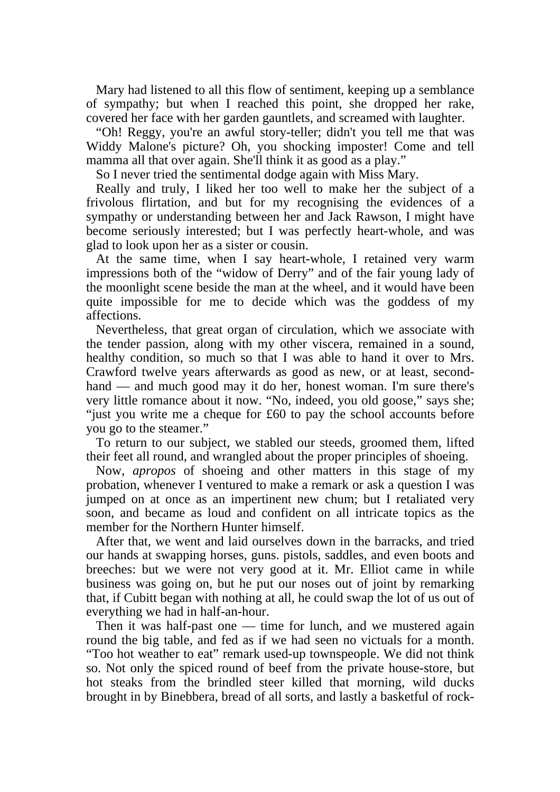Mary had listened to all this flow of sentiment, keeping up a semblance of sympathy; but when I reached this point, she dropped her rake, covered her face with her garden gauntlets, and screamed with laughter.

 "Oh! Reggy, you're an awful story-teller; didn't you tell me that was Widdy Malone's picture? Oh, you shocking imposter! Come and tell mamma all that over again. She'll think it as good as a play."

So I never tried the sentimental dodge again with Miss Mary.

 Really and truly, I liked her too well to make her the subject of a frivolous flirtation, and but for my recognising the evidences of a sympathy or understanding between her and Jack Rawson, I might have become seriously interested; but I was perfectly heart-whole, and was glad to look upon her as a sister or cousin.

 At the same time, when I say heart-whole, I retained very warm impressions both of the "widow of Derry" and of the fair young lady of the moonlight scene beside the man at the wheel, and it would have been quite impossible for me to decide which was the goddess of my affections.

 Nevertheless, that great organ of circulation, which we associate with the tender passion, along with my other viscera, remained in a sound, healthy condition, so much so that I was able to hand it over to Mrs. Crawford twelve years afterwards as good as new, or at least, secondhand — and much good may it do her, honest woman. I'm sure there's very little romance about it now. "No, indeed, you old goose," says she; "just you write me a cheque for £60 to pay the school accounts before you go to the steamer."

 To return to our subject, we stabled our steeds, groomed them, lifted their feet all round, and wrangled about the proper principles of shoeing.

 Now, *apropos* of shoeing and other matters in this stage of my probation, whenever I ventured to make a remark or ask a question I was jumped on at once as an impertinent new chum; but I retaliated very soon, and became as loud and confident on all intricate topics as the member for the Northern Hunter himself.

 After that, we went and laid ourselves down in the barracks, and tried our hands at swapping horses, guns. pistols, saddles, and even boots and breeches: but we were not very good at it. Mr. Elliot came in while business was going on, but he put our noses out of joint by remarking that, if Cubitt began with nothing at all, he could swap the lot of us out of everything we had in half-an-hour.

Then it was half-past one  $-$  time for lunch, and we mustered again round the big table, and fed as if we had seen no victuals for a month. "Too hot weather to eat" remark used-up townspeople. We did not think so. Not only the spiced round of beef from the private house-store, but hot steaks from the brindled steer killed that morning, wild ducks brought in by Binebbera, bread of all sorts, and lastly a basketful of rock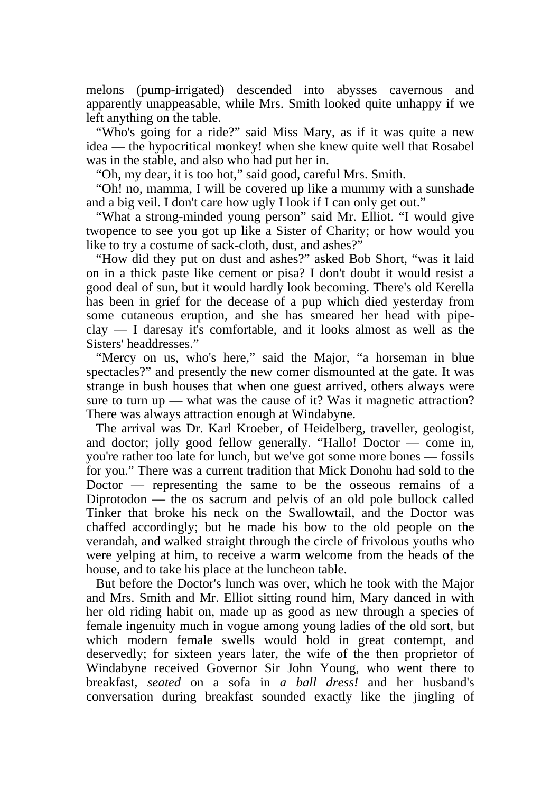melons (pump-irrigated) descended into abysses cavernous and apparently unappeasable, while Mrs. Smith looked quite unhappy if we left anything on the table.

 "Who's going for a ride?" said Miss Mary, as if it was quite a new idea — the hypocritical monkey! when she knew quite well that Rosabel was in the stable, and also who had put her in.

"Oh, my dear, it is too hot," said good, careful Mrs. Smith.

 "Oh! no, mamma, I will be covered up like a mummy with a sunshade and a big veil. I don't care how ugly I look if I can only get out."

 "What a strong-minded young person" said Mr. Elliot. "I would give twopence to see you got up like a Sister of Charity; or how would you like to try a costume of sack-cloth, dust, and ashes?"

 "How did they put on dust and ashes?" asked Bob Short, "was it laid on in a thick paste like cement or pisa? I don't doubt it would resist a good deal of sun, but it would hardly look becoming. There's old Kerella has been in grief for the decease of a pup which died yesterday from some cutaneous eruption, and she has smeared her head with pipeclay — I daresay it's comfortable, and it looks almost as well as the Sisters' headdresses."

 "Mercy on us, who's here," said the Major, "a horseman in blue spectacles?" and presently the new comer dismounted at the gate. It was strange in bush houses that when one guest arrived, others always were sure to turn up — what was the cause of it? Was it magnetic attraction? There was always attraction enough at Windabyne.

 The arrival was Dr. Karl Kroeber, of Heidelberg, traveller, geologist, and doctor; jolly good fellow generally. "Hallo! Doctor — come in, you're rather too late for lunch, but we've got some more bones — fossils for you." There was a current tradition that Mick Donohu had sold to the Doctor — representing the same to be the osseous remains of a Diprotodon — the os sacrum and pelvis of an old pole bullock called Tinker that broke his neck on the Swallowtail, and the Doctor was chaffed accordingly; but he made his bow to the old people on the verandah, and walked straight through the circle of frivolous youths who were yelping at him, to receive a warm welcome from the heads of the house, and to take his place at the luncheon table.

 But before the Doctor's lunch was over, which he took with the Major and Mrs. Smith and Mr. Elliot sitting round him, Mary danced in with her old riding habit on, made up as good as new through a species of female ingenuity much in vogue among young ladies of the old sort, but which modern female swells would hold in great contempt, and deservedly; for sixteen years later, the wife of the then proprietor of Windabyne received Governor Sir John Young, who went there to breakfast, *seated* on a sofa in *a ball dress!* and her husband's conversation during breakfast sounded exactly like the jingling of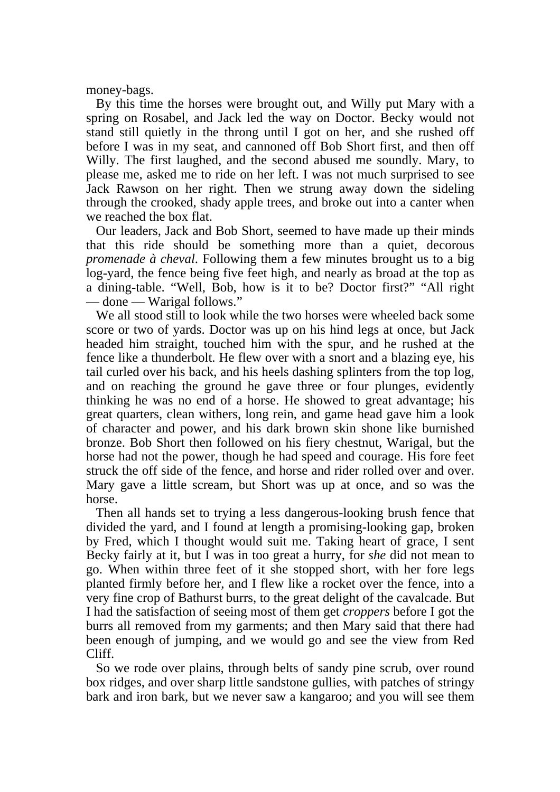money-bags.

 By this time the horses were brought out, and Willy put Mary with a spring on Rosabel, and Jack led the way on Doctor. Becky would not stand still quietly in the throng until I got on her, and she rushed off before I was in my seat, and cannoned off Bob Short first, and then off Willy. The first laughed, and the second abused me soundly. Mary, to please me, asked me to ride on her left. I was not much surprised to see Jack Rawson on her right. Then we strung away down the sideling through the crooked, shady apple trees, and broke out into a canter when we reached the box flat.

 Our leaders, Jack and Bob Short, seemed to have made up their minds that this ride should be something more than a quiet, decorous *promenade à cheval*. Following them a few minutes brought us to a big log-yard, the fence being five feet high, and nearly as broad at the top as a dining-table. "Well, Bob, how is it to be? Doctor first?" "All right — done — Warigal follows."

 We all stood still to look while the two horses were wheeled back some score or two of yards. Doctor was up on his hind legs at once, but Jack headed him straight, touched him with the spur, and he rushed at the fence like a thunderbolt. He flew over with a snort and a blazing eye, his tail curled over his back, and his heels dashing splinters from the top log, and on reaching the ground he gave three or four plunges, evidently thinking he was no end of a horse. He showed to great advantage; his great quarters, clean withers, long rein, and game head gave him a look of character and power, and his dark brown skin shone like burnished bronze. Bob Short then followed on his fiery chestnut, Warigal, but the horse had not the power, though he had speed and courage. His fore feet struck the off side of the fence, and horse and rider rolled over and over. Mary gave a little scream, but Short was up at once, and so was the horse.

 Then all hands set to trying a less dangerous-looking brush fence that divided the yard, and I found at length a promising-looking gap, broken by Fred, which I thought would suit me. Taking heart of grace, I sent Becky fairly at it, but I was in too great a hurry, for *she* did not mean to go. When within three feet of it she stopped short, with her fore legs planted firmly before her, and I flew like a rocket over the fence, into a very fine crop of Bathurst burrs, to the great delight of the cavalcade. But I had the satisfaction of seeing most of them get *croppers* before I got the burrs all removed from my garments; and then Mary said that there had been enough of jumping, and we would go and see the view from Red Cliff.

 So we rode over plains, through belts of sandy pine scrub, over round box ridges, and over sharp little sandstone gullies, with patches of stringy bark and iron bark, but we never saw a kangaroo; and you will see them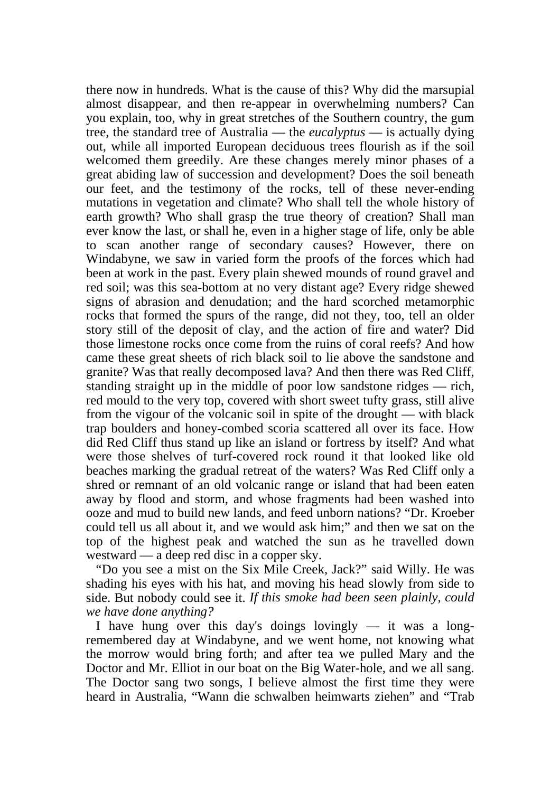there now in hundreds. What is the cause of this? Why did the marsupial almost disappear, and then re-appear in overwhelming numbers? Can you explain, too, why in great stretches of the Southern country, the gum tree, the standard tree of Australia — the *eucalyptus* — is actually dying out, while all imported European deciduous trees flourish as if the soil welcomed them greedily. Are these changes merely minor phases of a great abiding law of succession and development? Does the soil beneath our feet, and the testimony of the rocks, tell of these never-ending mutations in vegetation and climate? Who shall tell the whole history of earth growth? Who shall grasp the true theory of creation? Shall man ever know the last, or shall he, even in a higher stage of life, only be able to scan another range of secondary causes? However, there on Windabyne, we saw in varied form the proofs of the forces which had been at work in the past. Every plain shewed mounds of round gravel and red soil; was this sea-bottom at no very distant age? Every ridge shewed signs of abrasion and denudation; and the hard scorched metamorphic rocks that formed the spurs of the range, did not they, too, tell an older story still of the deposit of clay, and the action of fire and water? Did those limestone rocks once come from the ruins of coral reefs? And how came these great sheets of rich black soil to lie above the sandstone and granite? Was that really decomposed lava? And then there was Red Cliff, standing straight up in the middle of poor low sandstone ridges — rich, red mould to the very top, covered with short sweet tufty grass, still alive from the vigour of the volcanic soil in spite of the drought — with black trap boulders and honey-combed scoria scattered all over its face. How did Red Cliff thus stand up like an island or fortress by itself? And what were those shelves of turf-covered rock round it that looked like old beaches marking the gradual retreat of the waters? Was Red Cliff only a shred or remnant of an old volcanic range or island that had been eaten away by flood and storm, and whose fragments had been washed into ooze and mud to build new lands, and feed unborn nations? "Dr. Kroeber could tell us all about it, and we would ask him;" and then we sat on the top of the highest peak and watched the sun as he travelled down westward — a deep red disc in a copper sky.

 "Do you see a mist on the Six Mile Creek, Jack?" said Willy. He was shading his eyes with his hat, and moving his head slowly from side to side. But nobody could see it. *If this smoke had been seen plainly, could we have done anything?*

 I have hung over this day's doings lovingly — it was a longremembered day at Windabyne, and we went home, not knowing what the morrow would bring forth; and after tea we pulled Mary and the Doctor and Mr. Elliot in our boat on the Big Water-hole, and we all sang. The Doctor sang two songs, I believe almost the first time they were heard in Australia, "Wann die schwalben heimwarts ziehen" and "Trab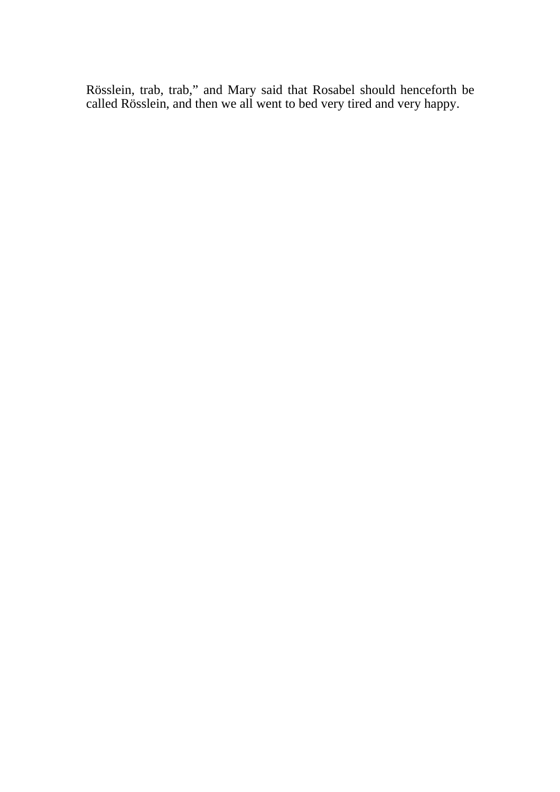Rösslein, trab, trab," and Mary said that Rosabel should henceforth be called Rösslein, and then we all went to bed very tired and very happy.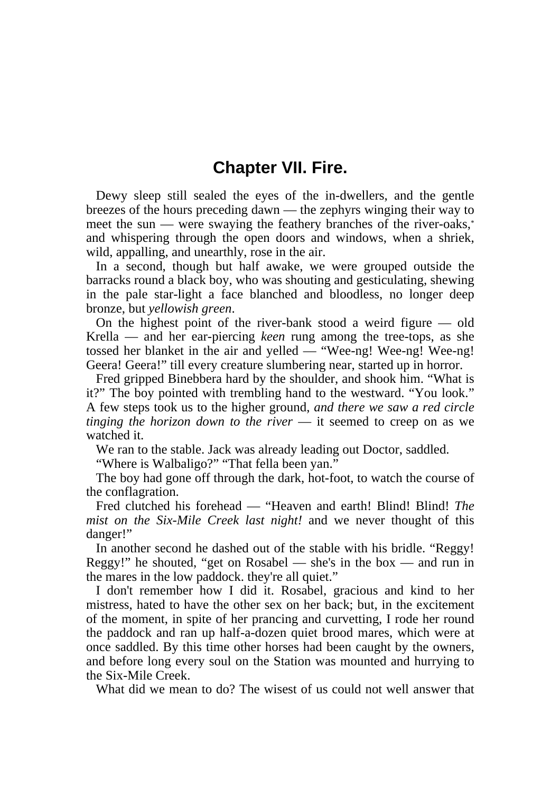## **Chapter VII. Fire.**

 Dewy sleep still sealed the eyes of the in-dwellers, and the gentle breezes of the hours preceding dawn — the zephyrs winging their way to meet the sun — were swaying the feathery branches of the river-oaks,<sup>\*</sup> and whispering through the open doors and windows, when a shriek, wild, appalling, and unearthly, rose in the air.

 In a second, though but half awake, we were grouped outside the barracks round a black boy, who was shouting and gesticulating, shewing in the pale star-light a face blanched and bloodless, no longer deep bronze, but *yellowish green*.

 On the highest point of the river-bank stood a weird figure — old Krella — and her ear-piercing *keen* rung among the tree-tops, as she tossed her blanket in the air and yelled — "Wee-ng! Wee-ng! Wee-ng! Geera! Geera!" till every creature slumbering near, started up in horror.

 Fred gripped Binebbera hard by the shoulder, and shook him. "What is it?" The boy pointed with trembling hand to the westward. "You look." A few steps took us to the higher ground, *and there we saw a red circle tinging the horizon down to the river* — it seemed to creep on as we watched it.

We ran to the stable. Jack was already leading out Doctor, saddled.

"Where is Walbaligo?" "That fella been yan."

 The boy had gone off through the dark, hot-foot, to watch the course of the conflagration.

 Fred clutched his forehead — "Heaven and earth! Blind! Blind! *The mist on the Six-Mile Creek last night!* and we never thought of this danger!"

 In another second he dashed out of the stable with his bridle. "Reggy! Reggy!" he shouted, "get on Rosabel — she's in the box — and run in the mares in the low paddock. they're all quiet."

 I don't remember how I did it. Rosabel, gracious and kind to her mistress, hated to have the other sex on her back; but, in the excitement of the moment, in spite of her prancing and curvetting, I rode her round the paddock and ran up half-a-dozen quiet brood mares, which were at once saddled. By this time other horses had been caught by the owners, and before long every soul on the Station was mounted and hurrying to the Six-Mile Creek.

What did we mean to do? The wisest of us could not well answer that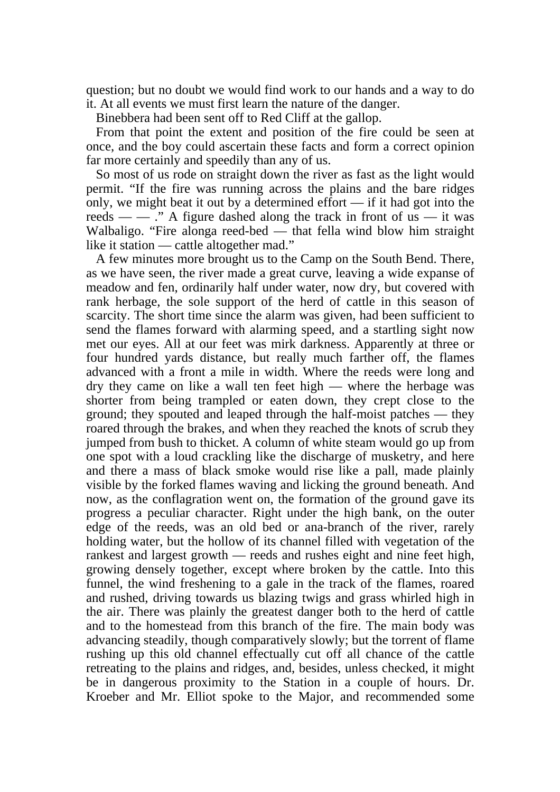question; but no doubt we would find work to our hands and a way to do it. At all events we must first learn the nature of the danger.

Binebbera had been sent off to Red Cliff at the gallop.

 From that point the extent and position of the fire could be seen at once, and the boy could ascertain these facts and form a correct opinion far more certainly and speedily than any of us.

 So most of us rode on straight down the river as fast as the light would permit. "If the fire was running across the plains and the bare ridges only, we might beat it out by a determined effort — if it had got into the reeds —  $\cdots$   $\ddot{\cdot}$ . A figure dashed along the track in front of us — it was Walbaligo. "Fire alonga reed-bed — that fella wind blow him straight like it station — cattle altogether mad."

 A few minutes more brought us to the Camp on the South Bend. There, as we have seen, the river made a great curve, leaving a wide expanse of meadow and fen, ordinarily half under water, now dry, but covered with rank herbage, the sole support of the herd of cattle in this season of scarcity. The short time since the alarm was given, had been sufficient to send the flames forward with alarming speed, and a startling sight now met our eyes. All at our feet was mirk darkness. Apparently at three or four hundred yards distance, but really much farther off, the flames advanced with a front a mile in width. Where the reeds were long and dry they came on like a wall ten feet high — where the herbage was shorter from being trampled or eaten down, they crept close to the ground; they spouted and leaped through the half-moist patches — they roared through the brakes, and when they reached the knots of scrub they jumped from bush to thicket. A column of white steam would go up from one spot with a loud crackling like the discharge of musketry, and here and there a mass of black smoke would rise like a pall, made plainly visible by the forked flames waving and licking the ground beneath. And now, as the conflagration went on, the formation of the ground gave its progress a peculiar character. Right under the high bank, on the outer edge of the reeds, was an old bed or ana-branch of the river, rarely holding water, but the hollow of its channel filled with vegetation of the rankest and largest growth — reeds and rushes eight and nine feet high, growing densely together, except where broken by the cattle. Into this funnel, the wind freshening to a gale in the track of the flames, roared and rushed, driving towards us blazing twigs and grass whirled high in the air. There was plainly the greatest danger both to the herd of cattle and to the homestead from this branch of the fire. The main body was advancing steadily, though comparatively slowly; but the torrent of flame rushing up this old channel effectually cut off all chance of the cattle retreating to the plains and ridges, and, besides, unless checked, it might be in dangerous proximity to the Station in a couple of hours. Dr. Kroeber and Mr. Elliot spoke to the Major, and recommended some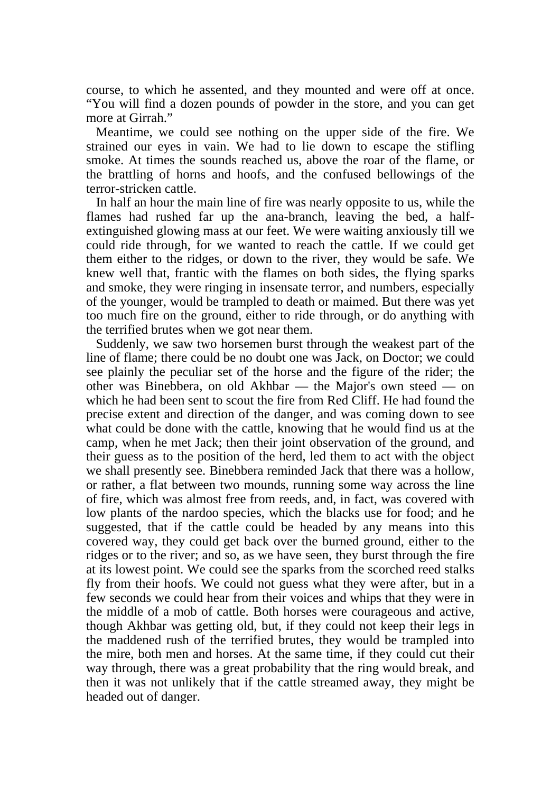course, to which he assented, and they mounted and were off at once. "You will find a dozen pounds of powder in the store, and you can get more at Girrah."

 Meantime, we could see nothing on the upper side of the fire. We strained our eyes in vain. We had to lie down to escape the stifling smoke. At times the sounds reached us, above the roar of the flame, or the brattling of horns and hoofs, and the confused bellowings of the terror-stricken cattle.

 In half an hour the main line of fire was nearly opposite to us, while the flames had rushed far up the ana-branch, leaving the bed, a halfextinguished glowing mass at our feet. We were waiting anxiously till we could ride through, for we wanted to reach the cattle. If we could get them either to the ridges, or down to the river, they would be safe. We knew well that, frantic with the flames on both sides, the flying sparks and smoke, they were ringing in insensate terror, and numbers, especially of the younger, would be trampled to death or maimed. But there was yet too much fire on the ground, either to ride through, or do anything with the terrified brutes when we got near them.

 Suddenly, we saw two horsemen burst through the weakest part of the line of flame; there could be no doubt one was Jack, on Doctor; we could see plainly the peculiar set of the horse and the figure of the rider; the other was Binebbera, on old Akhbar — the Major's own steed — on which he had been sent to scout the fire from Red Cliff. He had found the precise extent and direction of the danger, and was coming down to see what could be done with the cattle, knowing that he would find us at the camp, when he met Jack; then their joint observation of the ground, and their guess as to the position of the herd, led them to act with the object we shall presently see. Binebbera reminded Jack that there was a hollow, or rather, a flat between two mounds, running some way across the line of fire, which was almost free from reeds, and, in fact, was covered with low plants of the nardoo species, which the blacks use for food; and he suggested, that if the cattle could be headed by any means into this covered way, they could get back over the burned ground, either to the ridges or to the river; and so, as we have seen, they burst through the fire at its lowest point. We could see the sparks from the scorched reed stalks fly from their hoofs. We could not guess what they were after, but in a few seconds we could hear from their voices and whips that they were in the middle of a mob of cattle. Both horses were courageous and active, though Akhbar was getting old, but, if they could not keep their legs in the maddened rush of the terrified brutes, they would be trampled into the mire, both men and horses. At the same time, if they could cut their way through, there was a great probability that the ring would break, and then it was not unlikely that if the cattle streamed away, they might be headed out of danger.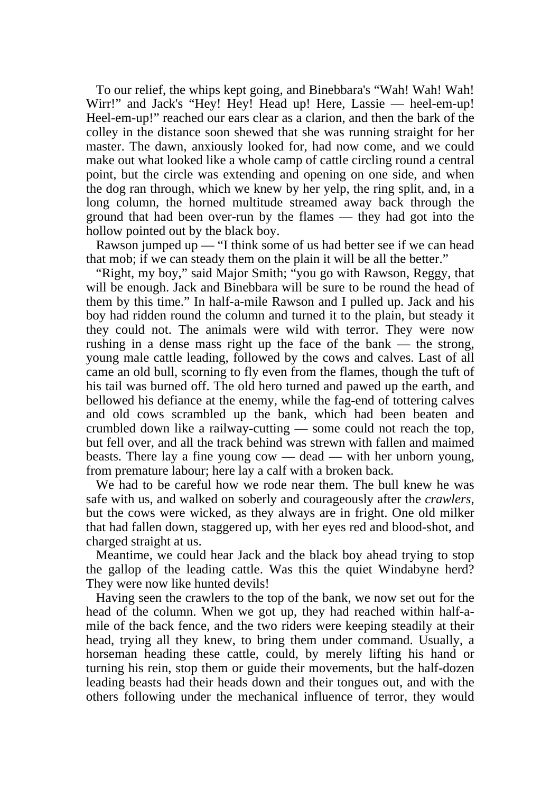To our relief, the whips kept going, and Binebbara's "Wah! Wah! Wah! Wirr!" and Jack's "Hey! Hey! Head up! Here, Lassie — heel-em-up! Heel-em-up!" reached our ears clear as a clarion, and then the bark of the colley in the distance soon shewed that she was running straight for her master. The dawn, anxiously looked for, had now come, and we could make out what looked like a whole camp of cattle circling round a central point, but the circle was extending and opening on one side, and when the dog ran through, which we knew by her yelp, the ring split, and, in a long column, the horned multitude streamed away back through the ground that had been over-run by the flames — they had got into the hollow pointed out by the black boy.

 Rawson jumped up — "I think some of us had better see if we can head that mob; if we can steady them on the plain it will be all the better."

 "Right, my boy," said Major Smith; "you go with Rawson, Reggy, that will be enough. Jack and Binebbara will be sure to be round the head of them by this time." In half-a-mile Rawson and I pulled up. Jack and his boy had ridden round the column and turned it to the plain, but steady it they could not. The animals were wild with terror. They were now rushing in a dense mass right up the face of the bank — the strong, young male cattle leading, followed by the cows and calves. Last of all came an old bull, scorning to fly even from the flames, though the tuft of his tail was burned off. The old hero turned and pawed up the earth, and bellowed his defiance at the enemy, while the fag-end of tottering calves and old cows scrambled up the bank, which had been beaten and crumbled down like a railway-cutting — some could not reach the top, but fell over, and all the track behind was strewn with fallen and maimed beasts. There lay a fine young cow — dead — with her unborn young, from premature labour; here lay a calf with a broken back.

 We had to be careful how we rode near them. The bull knew he was safe with us, and walked on soberly and courageously after the *crawlers*, but the cows were wicked, as they always are in fright. One old milker that had fallen down, staggered up, with her eyes red and blood-shot, and charged straight at us.

 Meantime, we could hear Jack and the black boy ahead trying to stop the gallop of the leading cattle. Was this the quiet Windabyne herd? They were now like hunted devils!

 Having seen the crawlers to the top of the bank, we now set out for the head of the column. When we got up, they had reached within half-amile of the back fence, and the two riders were keeping steadily at their head, trying all they knew, to bring them under command. Usually, a horseman heading these cattle, could, by merely lifting his hand or turning his rein, stop them or guide their movements, but the half-dozen leading beasts had their heads down and their tongues out, and with the others following under the mechanical influence of terror, they would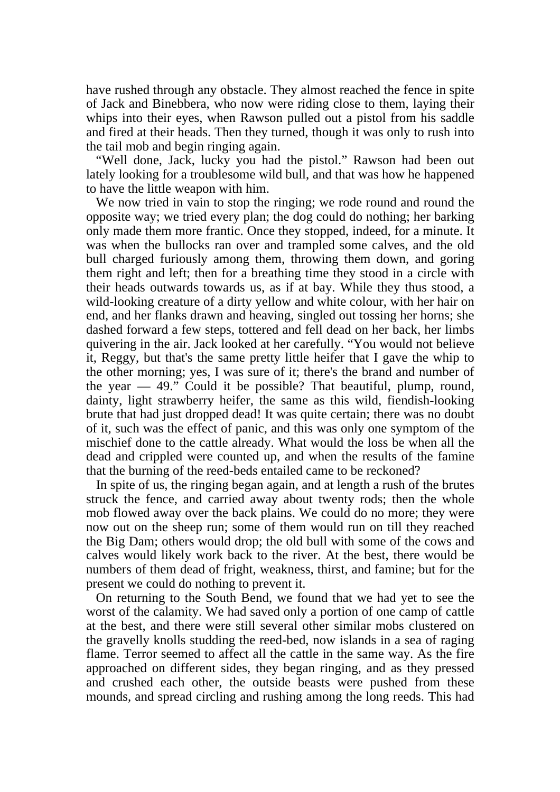have rushed through any obstacle. They almost reached the fence in spite of Jack and Binebbera, who now were riding close to them, laying their whips into their eyes, when Rawson pulled out a pistol from his saddle and fired at their heads. Then they turned, though it was only to rush into the tail mob and begin ringing again.

 "Well done, Jack, lucky you had the pistol." Rawson had been out lately looking for a troublesome wild bull, and that was how he happened to have the little weapon with him.

We now tried in vain to stop the ringing; we rode round and round the opposite way; we tried every plan; the dog could do nothing; her barking only made them more frantic. Once they stopped, indeed, for a minute. It was when the bullocks ran over and trampled some calves, and the old bull charged furiously among them, throwing them down, and goring them right and left; then for a breathing time they stood in a circle with their heads outwards towards us, as if at bay. While they thus stood, a wild-looking creature of a dirty yellow and white colour, with her hair on end, and her flanks drawn and heaving, singled out tossing her horns; she dashed forward a few steps, tottered and fell dead on her back, her limbs quivering in the air. Jack looked at her carefully. "You would not believe it, Reggy, but that's the same pretty little heifer that I gave the whip to the other morning; yes, I was sure of it; there's the brand and number of the year  $-49$ ." Could it be possible? That beautiful, plump, round, dainty, light strawberry heifer, the same as this wild, fiendish-looking brute that had just dropped dead! It was quite certain; there was no doubt of it, such was the effect of panic, and this was only one symptom of the mischief done to the cattle already. What would the loss be when all the dead and crippled were counted up, and when the results of the famine that the burning of the reed-beds entailed came to be reckoned?

 In spite of us, the ringing began again, and at length a rush of the brutes struck the fence, and carried away about twenty rods; then the whole mob flowed away over the back plains. We could do no more; they were now out on the sheep run; some of them would run on till they reached the Big Dam; others would drop; the old bull with some of the cows and calves would likely work back to the river. At the best, there would be numbers of them dead of fright, weakness, thirst, and famine; but for the present we could do nothing to prevent it.

 On returning to the South Bend, we found that we had yet to see the worst of the calamity. We had saved only a portion of one camp of cattle at the best, and there were still several other similar mobs clustered on the gravelly knolls studding the reed-bed, now islands in a sea of raging flame. Terror seemed to affect all the cattle in the same way. As the fire approached on different sides, they began ringing, and as they pressed and crushed each other, the outside beasts were pushed from these mounds, and spread circling and rushing among the long reeds. This had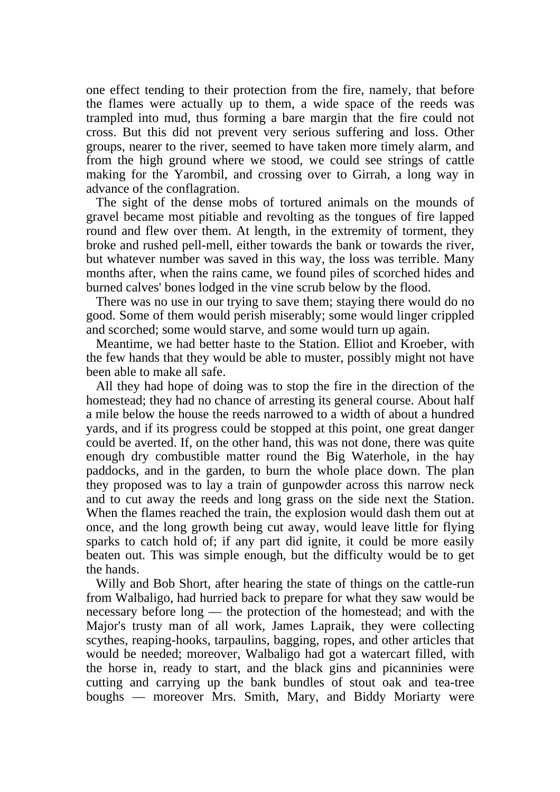one effect tending to their protection from the fire, namely, that before the flames were actually up to them, a wide space of the reeds was trampled into mud, thus forming a bare margin that the fire could not cross. But this did not prevent very serious suffering and loss. Other groups, nearer to the river, seemed to have taken more timely alarm, and from the high ground where we stood, we could see strings of cattle making for the Yarombil, and crossing over to Girrah, a long way in advance of the conflagration.

 The sight of the dense mobs of tortured animals on the mounds of gravel became most pitiable and revolting as the tongues of fire lapped round and flew over them. At length, in the extremity of torment, they broke and rushed pell-mell, either towards the bank or towards the river, but whatever number was saved in this way, the loss was terrible. Many months after, when the rains came, we found piles of scorched hides and burned calves' bones lodged in the vine scrub below by the flood.

 There was no use in our trying to save them; staying there would do no good. Some of them would perish miserably; some would linger crippled and scorched; some would starve, and some would turn up again.

 Meantime, we had better haste to the Station. Elliot and Kroeber, with the few hands that they would be able to muster, possibly might not have been able to make all safe.

 All they had hope of doing was to stop the fire in the direction of the homestead; they had no chance of arresting its general course. About half a mile below the house the reeds narrowed to a width of about a hundred yards, and if its progress could be stopped at this point, one great danger could be averted. If, on the other hand, this was not done, there was quite enough dry combustible matter round the Big Waterhole, in the hay paddocks, and in the garden, to burn the whole place down. The plan they proposed was to lay a train of gunpowder across this narrow neck and to cut away the reeds and long grass on the side next the Station. When the flames reached the train, the explosion would dash them out at once, and the long growth being cut away, would leave little for flying sparks to catch hold of; if any part did ignite, it could be more easily beaten out. This was simple enough, but the difficulty would be to get the hands.

 Willy and Bob Short, after hearing the state of things on the cattle-run from Walbaligo, had hurried back to prepare for what they saw would be necessary before long — the protection of the homestead; and with the Major's trusty man of all work, James Lapraik, they were collecting scythes, reaping-hooks, tarpaulins, bagging, ropes, and other articles that would be needed; moreover, Walbaligo had got a watercart filled, with the horse in, ready to start, and the black gins and picanninies were cutting and carrying up the bank bundles of stout oak and tea-tree boughs — moreover Mrs. Smith, Mary, and Biddy Moriarty were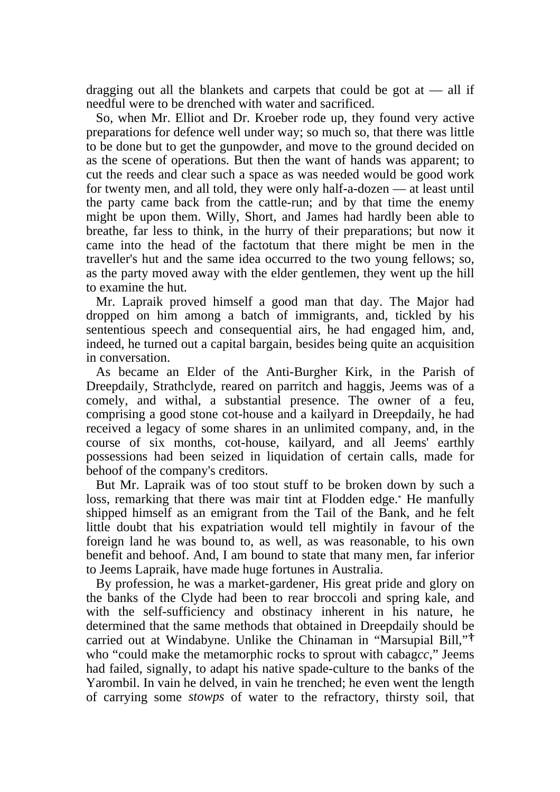dragging out all the blankets and carpets that could be got at  $-$  all if needful were to be drenched with water and sacrificed.

 So, when Mr. Elliot and Dr. Kroeber rode up, they found very active preparations for defence well under way; so much so, that there was little to be done but to get the gunpowder, and move to the ground decided on as the scene of operations. But then the want of hands was apparent; to cut the reeds and clear such a space as was needed would be good work for twenty men, and all told, they were only half-a-dozen — at least until the party came back from the cattle-run; and by that time the enemy might be upon them. Willy, Short, and James had hardly been able to breathe, far less to think, in the hurry of their preparations; but now it came into the head of the factotum that there might be men in the traveller's hut and the same idea occurred to the two young fellows; so, as the party moved away with the elder gentlemen, they went up the hill to examine the hut.

 Mr. Lapraik proved himself a good man that day. The Major had dropped on him among a batch of immigrants, and, tickled by his sententious speech and consequential airs, he had engaged him, and, indeed, he turned out a capital bargain, besides being quite an acquisition in conversation.

 As became an Elder of the Anti-Burgher Kirk, in the Parish of Dreepdaily, Strathclyde, reared on parritch and haggis, Jeems was of a comely, and withal, a substantial presence. The owner of a feu, comprising a good stone cot-house and a kailyard in Dreepdaily, he had received a legacy of some shares in an unlimited company, and, in the course of six months, cot-house, kailyard, and all Jeems' earthly possessions had been seized in liquidation of certain calls, made for behoof of the company's creditors.

 But Mr. Lapraik was of too stout stuff to be broken down by such a loss, remarking that there was mair tint at Flodden edge.<sup>\*</sup> He manfully shipped himself as an emigrant from the Tail of the Bank, and he felt little doubt that his expatriation would tell mightily in favour of the foreign land he was bound to, as well, as was reasonable, to his own benefit and behoof. And, I am bound to state that many men, far inferior to Jeems Lapraik, have made huge fortunes in Australia.

 By profession, he was a market-gardener, His great pride and glory on the banks of the Clyde had been to rear broccoli and spring kale, and with the self-sufficiency and obstinacy inherent in his nature, he determined that the same methods that obtained in Dreepdaily should be carried out at Windabyne. Unlike the Chinaman in "Marsupial Bill," who "could make the metamorphic rocks to sprout with cabag*cc*," Jeems had failed, signally, to adapt his native spade-culture to the banks of the Yarombil. In vain he delved, in vain he trenched; he even went the length of carrying some *stowps* of water to the refractory, thirsty soil, that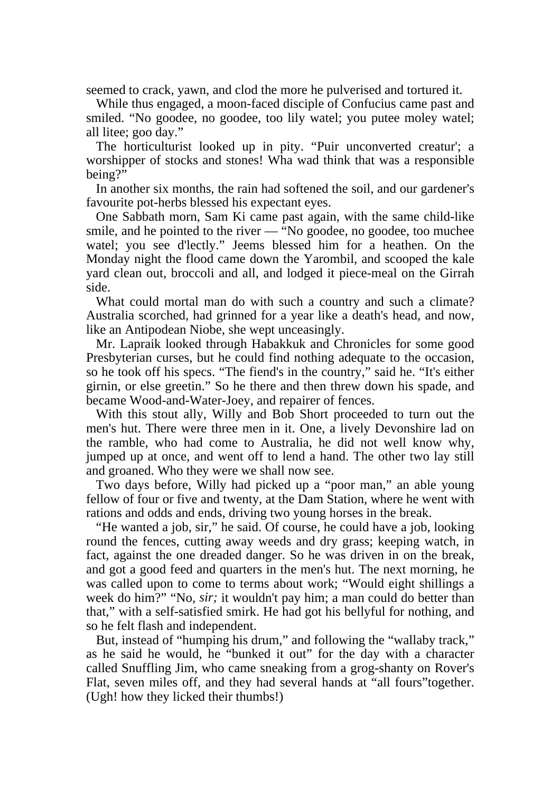seemed to crack, yawn, and clod the more he pulverised and tortured it.

 While thus engaged, a moon-faced disciple of Confucius came past and smiled. "No goodee, no goodee, too lily watel; you putee moley watel; all litee; goo day."

 The horticulturist looked up in pity. "Puir unconverted creatur'; a worshipper of stocks and stones! Wha wad think that was a responsible being?"

 In another six months, the rain had softened the soil, and our gardener's favourite pot-herbs blessed his expectant eyes.

 One Sabbath morn, Sam Ki came past again, with the same child-like smile, and he pointed to the river — "No goodee, no goodee, too muchee watel; you see d'lectly." Jeems blessed him for a heathen. On the Monday night the flood came down the Yarombil, and scooped the kale yard clean out, broccoli and all, and lodged it piece-meal on the Girrah side.

 What could mortal man do with such a country and such a climate? Australia scorched, had grinned for a year like a death's head, and now, like an Antipodean Niobe, she wept unceasingly.

 Mr. Lapraik looked through Habakkuk and Chronicles for some good Presbyterian curses, but he could find nothing adequate to the occasion, so he took off his specs. "The fiend's in the country," said he. "It's either girnin, or else greetin." So he there and then threw down his spade, and became Wood-and-Water-Joey, and repairer of fences.

 With this stout ally, Willy and Bob Short proceeded to turn out the men's hut. There were three men in it. One, a lively Devonshire lad on the ramble, who had come to Australia, he did not well know why, jumped up at once, and went off to lend a hand. The other two lay still and groaned. Who they were we shall now see.

 Two days before, Willy had picked up a "poor man," an able young fellow of four or five and twenty, at the Dam Station, where he went with rations and odds and ends, driving two young horses in the break.

 "He wanted a job, sir," he said. Of course, he could have a job, looking round the fences, cutting away weeds and dry grass; keeping watch, in fact, against the one dreaded danger. So he was driven in on the break, and got a good feed and quarters in the men's hut. The next morning, he was called upon to come to terms about work; "Would eight shillings a week do him?" "No, *sir;* it wouldn't pay him; a man could do better than that," with a self-satisfied smirk. He had got his bellyful for nothing, and so he felt flash and independent.

 But, instead of "humping his drum," and following the "wallaby track," as he said he would, he "bunked it out" for the day with a character called Snuffling Jim, who came sneaking from a grog-shanty on Rover's Flat, seven miles off, and they had several hands at "all fours"together. (Ugh! how they licked their thumbs!)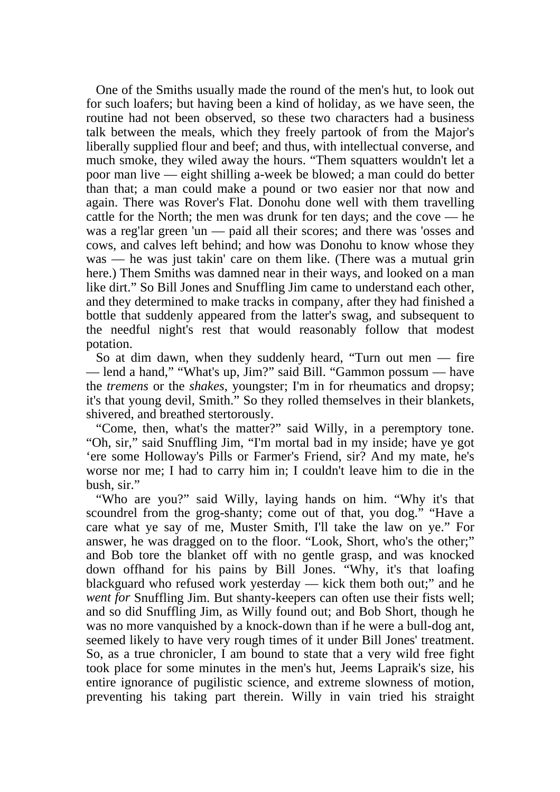One of the Smiths usually made the round of the men's hut, to look out for such loafers; but having been a kind of holiday, as we have seen, the routine had not been observed, so these two characters had a business talk between the meals, which they freely partook of from the Major's liberally supplied flour and beef; and thus, with intellectual converse, and much smoke, they wiled away the hours. "Them squatters wouldn't let a poor man live — eight shilling a-week be blowed; a man could do better than that; a man could make a pound or two easier nor that now and again. There was Rover's Flat. Donohu done well with them travelling cattle for the North; the men was drunk for ten days; and the cove — he was a reg'lar green 'un — paid all their scores; and there was 'osses and cows, and calves left behind; and how was Donohu to know whose they was — he was just takin' care on them like. (There was a mutual grin here.) Them Smiths was damned near in their ways, and looked on a man like dirt." So Bill Jones and Snuffling Jim came to understand each other, and they determined to make tracks in company, after they had finished a bottle that suddenly appeared from the latter's swag, and subsequent to the needful night's rest that would reasonably follow that modest potation.

 So at dim dawn, when they suddenly heard, "Turn out men — fire — lend a hand," "What's up, Jim?" said Bill. "Gammon possum — have the *tremens* or the *shakes*, youngster; I'm in for rheumatics and dropsy; it's that young devil, Smith." So they rolled themselves in their blankets, shivered, and breathed stertorously.

 "Come, then, what's the matter?" said Willy, in a peremptory tone. "Oh, sir," said Snuffling Jim, "I'm mortal bad in my inside; have ye got 'ere some Holloway's Pills or Farmer's Friend, sir? And my mate, he's worse nor me; I had to carry him in; I couldn't leave him to die in the bush, sir."

 "Who are you?" said Willy, laying hands on him. "Why it's that scoundrel from the grog-shanty; come out of that, you dog." "Have a care what ye say of me, Muster Smith, I'll take the law on ye." For answer, he was dragged on to the floor. "Look, Short, who's the other;" and Bob tore the blanket off with no gentle grasp, and was knocked down offhand for his pains by Bill Jones. "Why, it's that loafing blackguard who refused work yesterday — kick them both out;" and he *went for* Snuffling Jim. But shanty-keepers can often use their fists well; and so did Snuffling Jim, as Willy found out; and Bob Short, though he was no more vanquished by a knock-down than if he were a bull-dog ant, seemed likely to have very rough times of it under Bill Jones' treatment. So, as a true chronicler, I am bound to state that a very wild free fight took place for some minutes in the men's hut, Jeems Lapraik's size, his entire ignorance of pugilistic science, and extreme slowness of motion, preventing his taking part therein. Willy in vain tried his straight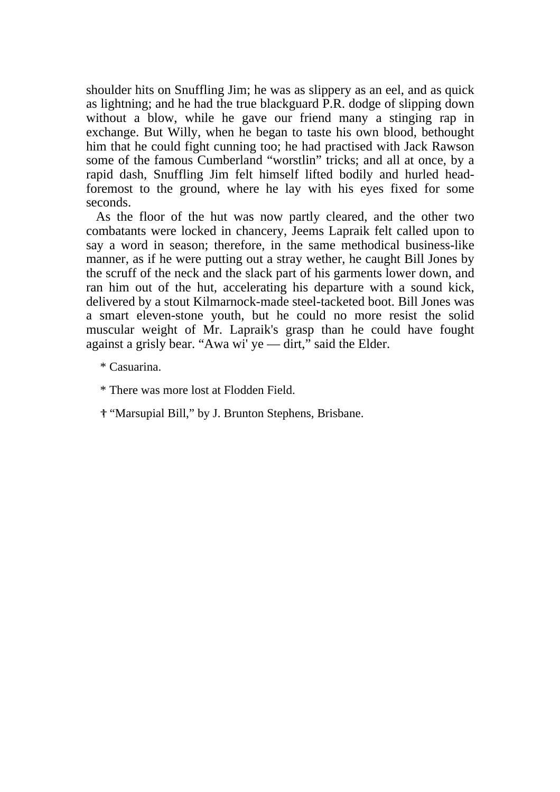shoulder hits on Snuffling Jim; he was as slippery as an eel, and as quick as lightning; and he had the true blackguard P.R. dodge of slipping down without a blow, while he gave our friend many a stinging rap in exchange. But Willy, when he began to taste his own blood, bethought him that he could fight cunning too; he had practised with Jack Rawson some of the famous Cumberland "worstlin" tricks; and all at once, by a rapid dash, Snuffling Jim felt himself lifted bodily and hurled headforemost to the ground, where he lay with his eyes fixed for some seconds.

 As the floor of the hut was now partly cleared, and the other two combatants were locked in chancery, Jeems Lapraik felt called upon to say a word in season; therefore, in the same methodical business-like manner, as if he were putting out a stray wether, he caught Bill Jones by the scruff of the neck and the slack part of his garments lower down, and ran him out of the hut, accelerating his departure with a sound kick, delivered by a stout Kilmarnock-made steel-tacketed boot. Bill Jones was a smart eleven-stone youth, but he could no more resist the solid muscular weight of Mr. Lapraik's grasp than he could have fought against a grisly bear. "Awa wi' ye — dirt," said the Elder.

\* Casuarina.

\* There was more lost at Flodden Field.

"Marsupial Bill," by J. Brunton Stephens, Brisbane.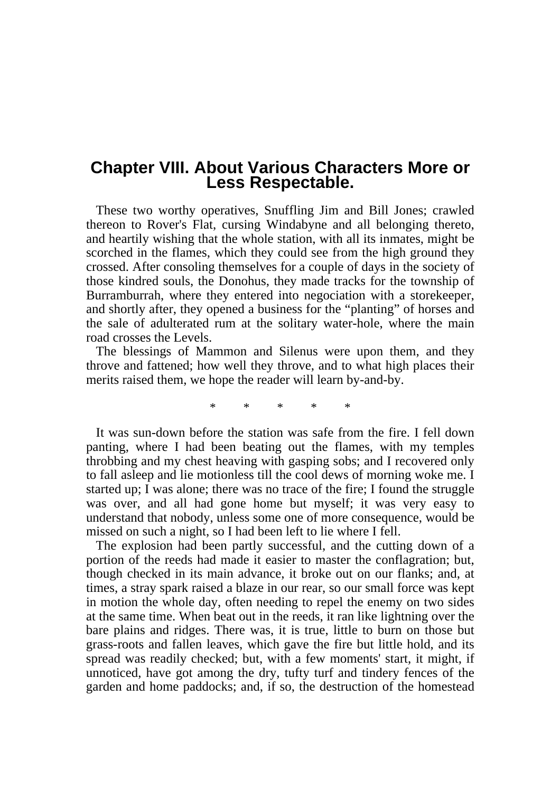## **Chapter VIII. About Various Characters More or Less Respectable.**

 These two worthy operatives, Snuffling Jim and Bill Jones; crawled thereon to Rover's Flat, cursing Windabyne and all belonging thereto, and heartily wishing that the whole station, with all its inmates, might be scorched in the flames, which they could see from the high ground they crossed. After consoling themselves for a couple of days in the society of those kindred souls, the Donohus, they made tracks for the township of Burramburrah, where they entered into negociation with a storekeeper, and shortly after, they opened a business for the "planting" of horses and the sale of adulterated rum at the solitary water-hole, where the main road crosses the Levels.

 The blessings of Mammon and Silenus were upon them, and they throve and fattened; how well they throve, and to what high places their merits raised them, we hope the reader will learn by-and-by.

\* \* \* \* \*

 It was sun-down before the station was safe from the fire. I fell down panting, where I had been beating out the flames, with my temples throbbing and my chest heaving with gasping sobs; and I recovered only to fall asleep and lie motionless till the cool dews of morning woke me. I started up; I was alone; there was no trace of the fire; I found the struggle was over, and all had gone home but myself; it was very easy to understand that nobody, unless some one of more consequence, would be missed on such a night, so I had been left to lie where I fell.

 The explosion had been partly successful, and the cutting down of a portion of the reeds had made it easier to master the conflagration; but, though checked in its main advance, it broke out on our flanks; and, at times, a stray spark raised a blaze in our rear, so our small force was kept in motion the whole day, often needing to repel the enemy on two sides at the same time. When beat out in the reeds, it ran like lightning over the bare plains and ridges. There was, it is true, little to burn on those but grass-roots and fallen leaves, which gave the fire but little hold, and its spread was readily checked; but, with a few moments' start, it might, if unnoticed, have got among the dry, tufty turf and tindery fences of the garden and home paddocks; and, if so, the destruction of the homestead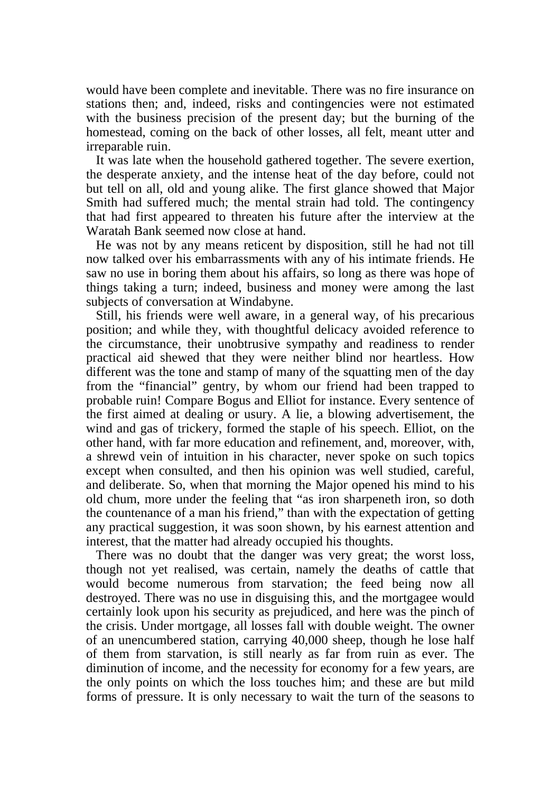would have been complete and inevitable. There was no fire insurance on stations then; and, indeed, risks and contingencies were not estimated with the business precision of the present day; but the burning of the homestead, coming on the back of other losses, all felt, meant utter and irreparable ruin.

 It was late when the household gathered together. The severe exertion, the desperate anxiety, and the intense heat of the day before, could not but tell on all, old and young alike. The first glance showed that Major Smith had suffered much; the mental strain had told. The contingency that had first appeared to threaten his future after the interview at the Waratah Bank seemed now close at hand.

 He was not by any means reticent by disposition, still he had not till now talked over his embarrassments with any of his intimate friends. He saw no use in boring them about his affairs, so long as there was hope of things taking a turn; indeed, business and money were among the last subjects of conversation at Windabyne.

 Still, his friends were well aware, in a general way, of his precarious position; and while they, with thoughtful delicacy avoided reference to the circumstance, their unobtrusive sympathy and readiness to render practical aid shewed that they were neither blind nor heartless. How different was the tone and stamp of many of the squatting men of the day from the "financial" gentry, by whom our friend had been trapped to probable ruin! Compare Bogus and Elliot for instance. Every sentence of the first aimed at dealing or usury. A lie, a blowing advertisement, the wind and gas of trickery, formed the staple of his speech. Elliot, on the other hand, with far more education and refinement, and, moreover, with, a shrewd vein of intuition in his character, never spoke on such topics except when consulted, and then his opinion was well studied, careful, and deliberate. So, when that morning the Major opened his mind to his old chum, more under the feeling that "as iron sharpeneth iron, so doth the countenance of a man his friend," than with the expectation of getting any practical suggestion, it was soon shown, by his earnest attention and interest, that the matter had already occupied his thoughts.

 There was no doubt that the danger was very great; the worst loss, though not yet realised, was certain, namely the deaths of cattle that would become numerous from starvation; the feed being now all destroyed. There was no use in disguising this, and the mortgagee would certainly look upon his security as prejudiced, and here was the pinch of the crisis. Under mortgage, all losses fall with double weight. The owner of an unencumbered station, carrying 40,000 sheep, though he lose half of them from starvation, is still nearly as far from ruin as ever. The diminution of income, and the necessity for economy for a few years, are the only points on which the loss touches him; and these are but mild forms of pressure. It is only necessary to wait the turn of the seasons to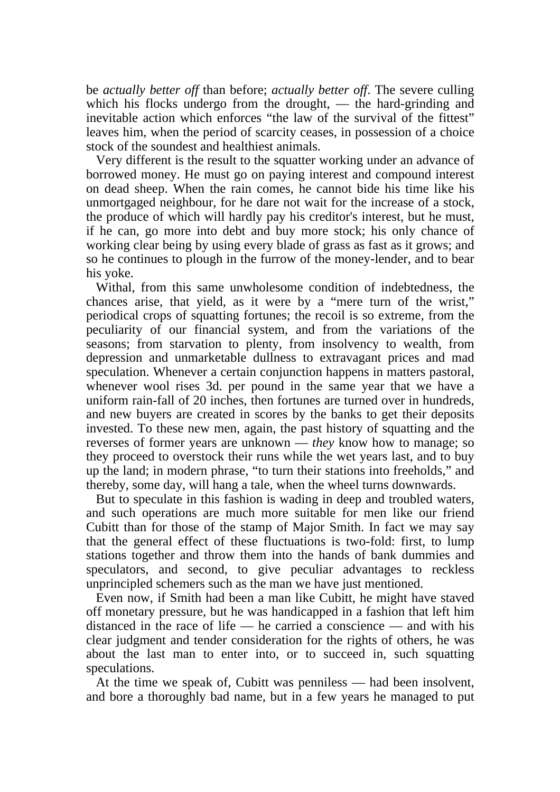be *actually better off* than before; *actually better off*. The severe culling which his flocks undergo from the drought, — the hard-grinding and inevitable action which enforces "the law of the survival of the fittest" leaves him, when the period of scarcity ceases, in possession of a choice stock of the soundest and healthiest animals.

 Very different is the result to the squatter working under an advance of borrowed money. He must go on paying interest and compound interest on dead sheep. When the rain comes, he cannot bide his time like his unmortgaged neighbour, for he dare not wait for the increase of a stock, the produce of which will hardly pay his creditor's interest, but he must, if he can, go more into debt and buy more stock; his only chance of working clear being by using every blade of grass as fast as it grows; and so he continues to plough in the furrow of the money-lender, and to bear his yoke.

 Withal, from this same unwholesome condition of indebtedness, the chances arise, that yield, as it were by a "mere turn of the wrist," periodical crops of squatting fortunes; the recoil is so extreme, from the peculiarity of our financial system, and from the variations of the seasons; from starvation to plenty, from insolvency to wealth, from depression and unmarketable dullness to extravagant prices and mad speculation. Whenever a certain conjunction happens in matters pastoral, whenever wool rises 3d. per pound in the same year that we have a uniform rain-fall of 20 inches, then fortunes are turned over in hundreds, and new buyers are created in scores by the banks to get their deposits invested. To these new men, again, the past history of squatting and the reverses of former years are unknown — *they* know how to manage; so they proceed to overstock their runs while the wet years last, and to buy up the land; in modern phrase, "to turn their stations into freeholds," and thereby, some day, will hang a tale, when the wheel turns downwards.

 But to speculate in this fashion is wading in deep and troubled waters, and such operations are much more suitable for men like our friend Cubitt than for those of the stamp of Major Smith. In fact we may say that the general effect of these fluctuations is two-fold: first, to lump stations together and throw them into the hands of bank dummies and speculators, and second, to give peculiar advantages to reckless unprincipled schemers such as the man we have just mentioned.

 Even now, if Smith had been a man like Cubitt, he might have staved off monetary pressure, but he was handicapped in a fashion that left him distanced in the race of life — he carried a conscience — and with his clear judgment and tender consideration for the rights of others, he was about the last man to enter into, or to succeed in, such squatting speculations.

 At the time we speak of, Cubitt was penniless — had been insolvent, and bore a thoroughly bad name, but in a few years he managed to put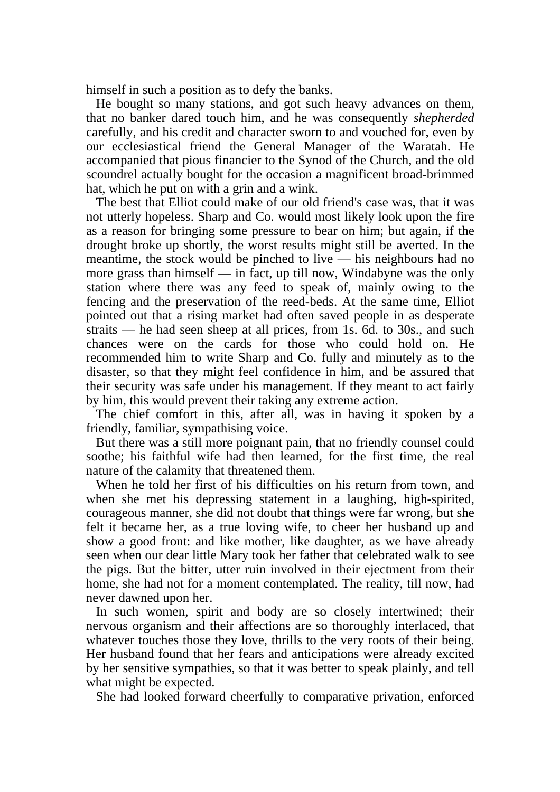himself in such a position as to defy the banks.

 He bought so many stations, and got such heavy advances on them, that no banker dared touch him, and he was consequently *shepherded* carefully, and his credit and character sworn to and vouched for, even by our ecclesiastical friend the General Manager of the Waratah. He accompanied that pious financier to the Synod of the Church, and the old scoundrel actually bought for the occasion a magnificent broad-brimmed hat, which he put on with a grin and a wink.

 The best that Elliot could make of our old friend's case was, that it was not utterly hopeless. Sharp and Co. would most likely look upon the fire as a reason for bringing some pressure to bear on him; but again, if the drought broke up shortly, the worst results might still be averted. In the meantime, the stock would be pinched to live — his neighbours had no more grass than himself — in fact, up till now, Windabyne was the only station where there was any feed to speak of, mainly owing to the fencing and the preservation of the reed-beds. At the same time, Elliot pointed out that a rising market had often saved people in as desperate straits — he had seen sheep at all prices, from 1s. 6d. to 30s., and such chances were on the cards for those who could hold on. He recommended him to write Sharp and Co. fully and minutely as to the disaster, so that they might feel confidence in him, and be assured that their security was safe under his management. If they meant to act fairly by him, this would prevent their taking any extreme action.

 The chief comfort in this, after all, was in having it spoken by a friendly, familiar, sympathising voice.

 But there was a still more poignant pain, that no friendly counsel could soothe; his faithful wife had then learned, for the first time, the real nature of the calamity that threatened them.

 When he told her first of his difficulties on his return from town, and when she met his depressing statement in a laughing, high-spirited, courageous manner, she did not doubt that things were far wrong, but she felt it became her, as a true loving wife, to cheer her husband up and show a good front: and like mother, like daughter, as we have already seen when our dear little Mary took her father that celebrated walk to see the pigs. But the bitter, utter ruin involved in their ejectment from their home, she had not for a moment contemplated. The reality, till now, had never dawned upon her.

 In such women, spirit and body are so closely intertwined; their nervous organism and their affections are so thoroughly interlaced, that whatever touches those they love, thrills to the very roots of their being. Her husband found that her fears and anticipations were already excited by her sensitive sympathies, so that it was better to speak plainly, and tell what might be expected.

She had looked forward cheerfully to comparative privation, enforced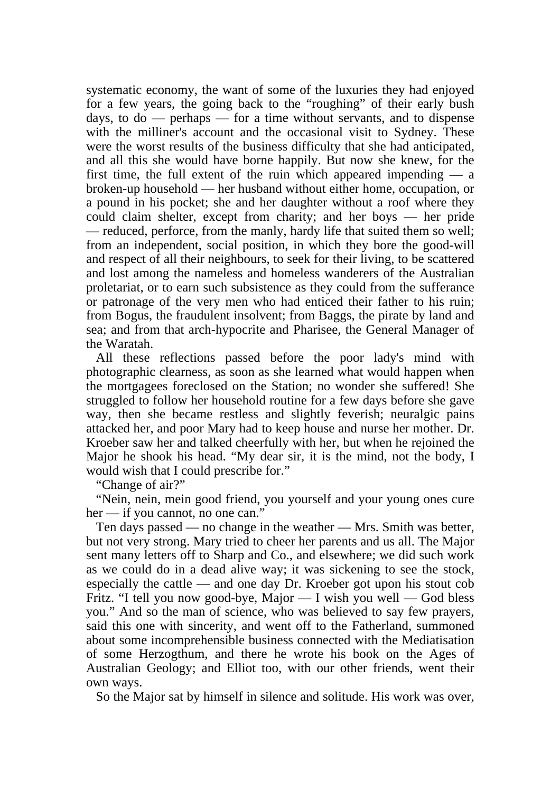systematic economy, the want of some of the luxuries they had enjoyed for a few years, the going back to the "roughing" of their early bush days, to do — perhaps — for a time without servants, and to dispense with the milliner's account and the occasional visit to Sydney. These were the worst results of the business difficulty that she had anticipated, and all this she would have borne happily. But now she knew, for the first time, the full extent of the ruin which appeared impending — a broken-up household — her husband without either home, occupation, or a pound in his pocket; she and her daughter without a roof where they could claim shelter, except from charity; and her boys — her pride — reduced, perforce, from the manly, hardy life that suited them so well; from an independent, social position, in which they bore the good-will and respect of all their neighbours, to seek for their living, to be scattered and lost among the nameless and homeless wanderers of the Australian proletariat, or to earn such subsistence as they could from the sufferance or patronage of the very men who had enticed their father to his ruin; from Bogus, the fraudulent insolvent; from Baggs, the pirate by land and sea; and from that arch-hypocrite and Pharisee, the General Manager of the Waratah.

 All these reflections passed before the poor lady's mind with photographic clearness, as soon as she learned what would happen when the mortgagees foreclosed on the Station; no wonder she suffered! She struggled to follow her household routine for a few days before she gave way, then she became restless and slightly feverish; neuralgic pains attacked her, and poor Mary had to keep house and nurse her mother. Dr. Kroeber saw her and talked cheerfully with her, but when he rejoined the Major he shook his head. "My dear sir, it is the mind, not the body, I would wish that I could prescribe for."

"Change of air?"

 "Nein, nein, mein good friend, you yourself and your young ones cure her — if you cannot, no one can."

 Ten days passed — no change in the weather — Mrs. Smith was better, but not very strong. Mary tried to cheer her parents and us all. The Major sent many letters off to Sharp and Co., and elsewhere; we did such work as we could do in a dead alive way; it was sickening to see the stock, especially the cattle — and one day Dr. Kroeber got upon his stout cob Fritz. "I tell you now good-bye, Major — I wish you well — God bless you." And so the man of science, who was believed to say few prayers, said this one with sincerity, and went off to the Fatherland, summoned about some incomprehensible business connected with the Mediatisation of some Herzogthum, and there he wrote his book on the Ages of Australian Geology; and Elliot too, with our other friends, went their own ways.

So the Major sat by himself in silence and solitude. His work was over,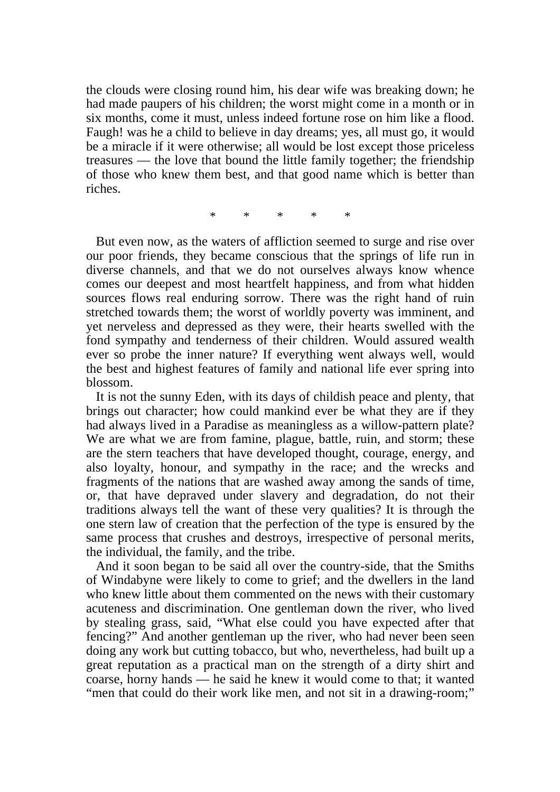the clouds were closing round him, his dear wife was breaking down; he had made paupers of his children; the worst might come in a month or in six months, come it must, unless indeed fortune rose on him like a flood. Faugh! was he a child to believe in day dreams; yes, all must go, it would be a miracle if it were otherwise; all would be lost except those priceless treasures — the love that bound the little family together; the friendship of those who knew them best, and that good name which is better than riches.

\* \* \* \* \*

 But even now, as the waters of affliction seemed to surge and rise over our poor friends, they became conscious that the springs of life run in diverse channels, and that we do not ourselves always know whence comes our deepest and most heartfelt happiness, and from what hidden sources flows real enduring sorrow. There was the right hand of ruin stretched towards them; the worst of worldly poverty was imminent, and yet nerveless and depressed as they were, their hearts swelled with the fond sympathy and tenderness of their children. Would assured wealth ever so probe the inner nature? If everything went always well, would the best and highest features of family and national life ever spring into blossom.

 It is not the sunny Eden, with its days of childish peace and plenty, that brings out character; how could mankind ever be what they are if they had always lived in a Paradise as meaningless as a willow-pattern plate? We are what we are from famine, plague, battle, ruin, and storm; these are the stern teachers that have developed thought, courage, energy, and also loyalty, honour, and sympathy in the race; and the wrecks and fragments of the nations that are washed away among the sands of time, or, that have depraved under slavery and degradation, do not their traditions always tell the want of these very qualities? It is through the one stern law of creation that the perfection of the type is ensured by the same process that crushes and destroys, irrespective of personal merits, the individual, the family, and the tribe.

 And it soon began to be said all over the country-side, that the Smiths of Windabyne were likely to come to grief; and the dwellers in the land who knew little about them commented on the news with their customary acuteness and discrimination. One gentleman down the river, who lived by stealing grass, said, "What else could you have expected after that fencing?" And another gentleman up the river, who had never been seen doing any work but cutting tobacco, but who, nevertheless, had built up a great reputation as a practical man on the strength of a dirty shirt and coarse, horny hands — he said he knew it would come to that; it wanted "men that could do their work like men, and not sit in a drawing-room;"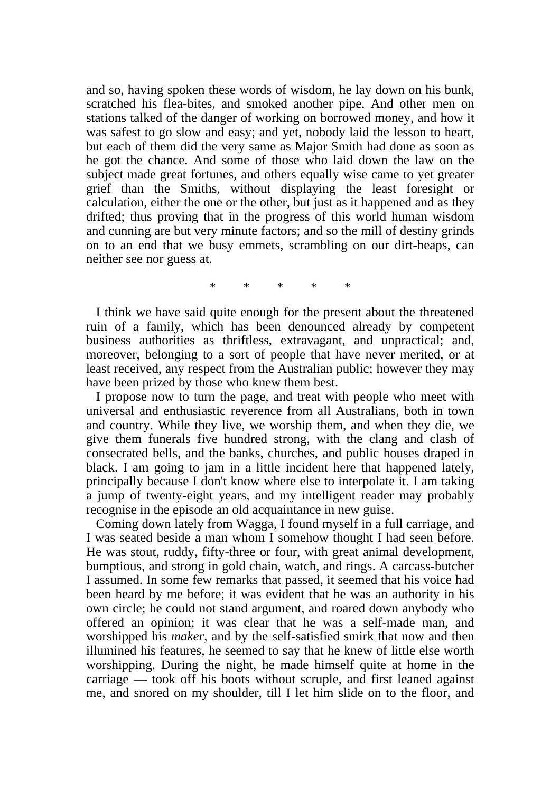and so, having spoken these words of wisdom, he lay down on his bunk, scratched his flea-bites, and smoked another pipe. And other men on stations talked of the danger of working on borrowed money, and how it was safest to go slow and easy; and yet, nobody laid the lesson to heart, but each of them did the very same as Major Smith had done as soon as he got the chance. And some of those who laid down the law on the subject made great fortunes, and others equally wise came to yet greater grief than the Smiths, without displaying the least foresight or calculation, either the one or the other, but just as it happened and as they drifted; thus proving that in the progress of this world human wisdom and cunning are but very minute factors; and so the mill of destiny grinds on to an end that we busy emmets, scrambling on our dirt-heaps, can neither see nor guess at.

\* \* \* \* \*

 I think we have said quite enough for the present about the threatened ruin of a family, which has been denounced already by competent business authorities as thriftless, extravagant, and unpractical; and, moreover, belonging to a sort of people that have never merited, or at least received, any respect from the Australian public; however they may have been prized by those who knew them best.

 I propose now to turn the page, and treat with people who meet with universal and enthusiastic reverence from all Australians, both in town and country. While they live, we worship them, and when they die, we give them funerals five hundred strong, with the clang and clash of consecrated bells, and the banks, churches, and public houses draped in black. I am going to jam in a little incident here that happened lately, principally because I don't know where else to interpolate it. I am taking a jump of twenty-eight years, and my intelligent reader may probably recognise in the episode an old acquaintance in new guise.

 Coming down lately from Wagga, I found myself in a full carriage, and I was seated beside a man whom I somehow thought I had seen before. He was stout, ruddy, fifty-three or four, with great animal development, bumptious, and strong in gold chain, watch, and rings. A carcass-butcher I assumed. In some few remarks that passed, it seemed that his voice had been heard by me before; it was evident that he was an authority in his own circle; he could not stand argument, and roared down anybody who offered an opinion; it was clear that he was a self-made man, and worshipped his *maker*, and by the self-satisfied smirk that now and then illumined his features, he seemed to say that he knew of little else worth worshipping. During the night, he made himself quite at home in the carriage — took off his boots without scruple, and first leaned against me, and snored on my shoulder, till I let him slide on to the floor, and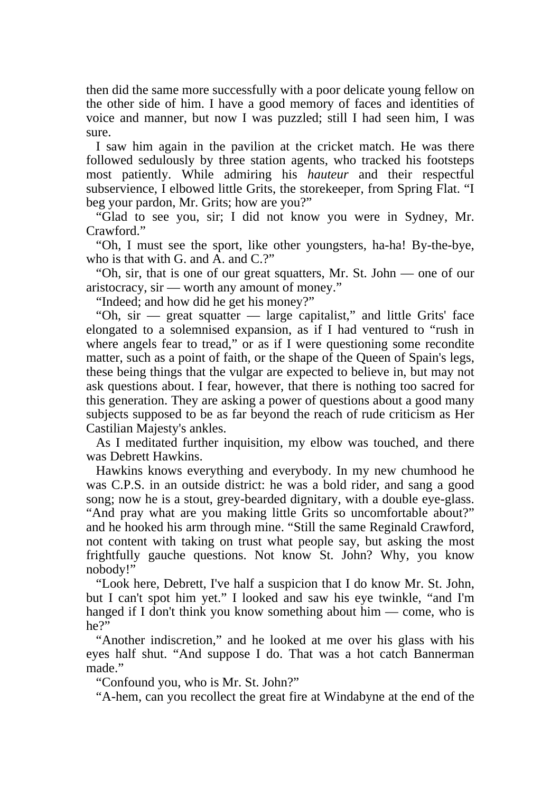then did the same more successfully with a poor delicate young fellow on the other side of him. I have a good memory of faces and identities of voice and manner, but now I was puzzled; still I had seen him, I was sure.

 I saw him again in the pavilion at the cricket match. He was there followed sedulously by three station agents, who tracked his footsteps most patiently. While admiring his *hauteur* and their respectful subservience, I elbowed little Grits, the storekeeper, from Spring Flat. "I beg your pardon, Mr. Grits; how are you?"

 "Glad to see you, sir; I did not know you were in Sydney, Mr. Crawford."

 "Oh, I must see the sport, like other youngsters, ha-ha! By-the-bye, who is that with G. and  $\overline{A}$ , and  $C$ .?"

 "Oh, sir, that is one of our great squatters, Mr. St. John — one of our aristocracy, sir — worth any amount of money."

"Indeed; and how did he get his money?"

 "Oh, sir — great squatter — large capitalist," and little Grits' face elongated to a solemnised expansion, as if I had ventured to "rush in where angels fear to tread," or as if I were questioning some recondite matter, such as a point of faith, or the shape of the Queen of Spain's legs, these being things that the vulgar are expected to believe in, but may not ask questions about. I fear, however, that there is nothing too sacred for this generation. They are asking a power of questions about a good many subjects supposed to be as far beyond the reach of rude criticism as Her Castilian Majesty's ankles.

 As I meditated further inquisition, my elbow was touched, and there was Debrett Hawkins.

 Hawkins knows everything and everybody. In my new chumhood he was C.P.S. in an outside district: he was a bold rider, and sang a good song; now he is a stout, grey-bearded dignitary, with a double eye-glass. "And pray what are you making little Grits so uncomfortable about?" and he hooked his arm through mine. "Still the same Reginald Crawford, not content with taking on trust what people say, but asking the most frightfully gauche questions. Not know St. John? Why, you know nobody!"

 "Look here, Debrett, I've half a suspicion that I do know Mr. St. John, but I can't spot him yet." I looked and saw his eye twinkle, "and I'm hanged if I don't think you know something about him — come, who is he?"

 "Another indiscretion," and he looked at me over his glass with his eyes half shut. "And suppose I do. That was a hot catch Bannerman made."

"Confound you, who is Mr. St. John?"

"A-hem, can you recollect the great fire at Windabyne at the end of the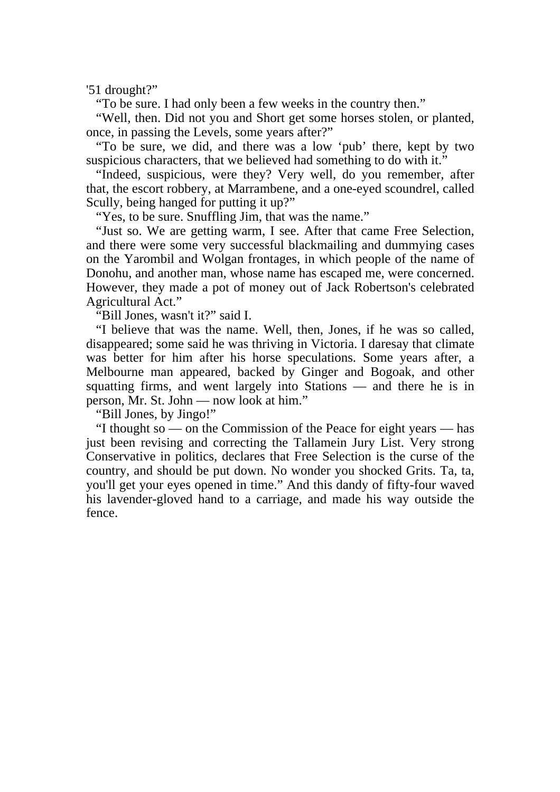'51 drought?"

"To be sure. I had only been a few weeks in the country then."

 "Well, then. Did not you and Short get some horses stolen, or planted, once, in passing the Levels, some years after?"

 "To be sure, we did, and there was a low 'pub' there, kept by two suspicious characters, that we believed had something to do with it."

 "Indeed, suspicious, were they? Very well, do you remember, after that, the escort robbery, at Marrambene, and a one-eyed scoundrel, called Scully, being hanged for putting it up?"

"Yes, to be sure. Snuffling Jim, that was the name."

 "Just so. We are getting warm, I see. After that came Free Selection, and there were some very successful blackmailing and dummying cases on the Yarombil and Wolgan frontages, in which people of the name of Donohu, and another man, whose name has escaped me, were concerned. However, they made a pot of money out of Jack Robertson's celebrated Agricultural Act."

"Bill Jones, wasn't it?" said I.

 "I believe that was the name. Well, then, Jones, if he was so called, disappeared; some said he was thriving in Victoria. I daresay that climate was better for him after his horse speculations. Some years after, a Melbourne man appeared, backed by Ginger and Bogoak, and other squatting firms, and went largely into Stations — and there he is in person, Mr. St. John — now look at him."

"Bill Jones, by Jingo!"

 "I thought so — on the Commission of the Peace for eight years — has just been revising and correcting the Tallamein Jury List. Very strong Conservative in politics, declares that Free Selection is the curse of the country, and should be put down. No wonder you shocked Grits. Ta, ta, you'll get your eyes opened in time." And this dandy of fifty-four waved his lavender-gloved hand to a carriage, and made his way outside the fence.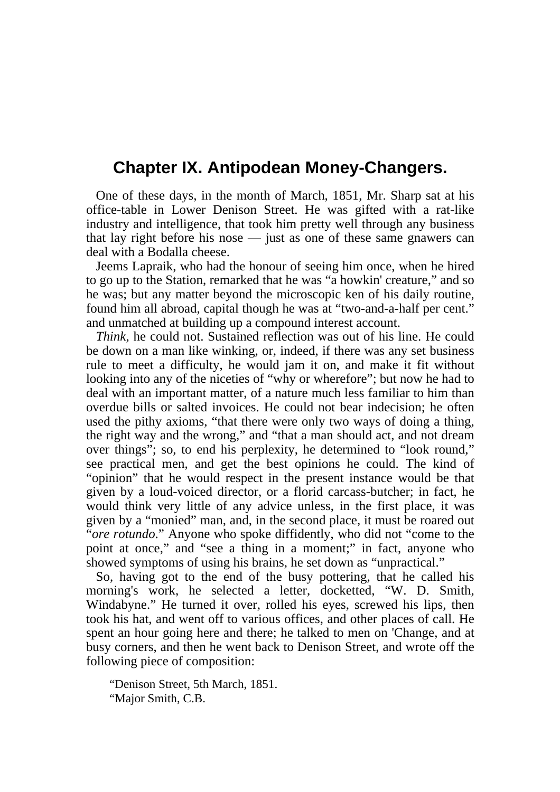## **Chapter IX. Antipodean Money-Changers.**

 One of these days, in the month of March, 1851, Mr. Sharp sat at his office-table in Lower Denison Street. He was gifted with a rat-like industry and intelligence, that took him pretty well through any business that lay right before his nose — just as one of these same gnawers can deal with a Bodalla cheese.

 Jeems Lapraik, who had the honour of seeing him once, when he hired to go up to the Station, remarked that he was "a howkin' creature," and so he was; but any matter beyond the microscopic ken of his daily routine, found him all abroad, capital though he was at "two-and-a-half per cent." and unmatched at building up a compound interest account.

 *Think*, he could not. Sustained reflection was out of his line. He could be down on a man like winking, or, indeed, if there was any set business rule to meet a difficulty, he would jam it on, and make it fit without looking into any of the niceties of "why or wherefore"; but now he had to deal with an important matter, of a nature much less familiar to him than overdue bills or salted invoices. He could not bear indecision; he often used the pithy axioms, "that there were only two ways of doing a thing, the right way and the wrong," and "that a man should act, and not dream over things"; so, to end his perplexity, he determined to "look round," see practical men, and get the best opinions he could. The kind of "opinion" that he would respect in the present instance would be that given by a loud-voiced director, or a florid carcass-butcher; in fact, he would think very little of any advice unless, in the first place, it was given by a "monied" man, and, in the second place, it must be roared out "*ore rotundo*." Anyone who spoke diffidently, who did not "come to the point at once," and "see a thing in a moment;" in fact, anyone who showed symptoms of using his brains, he set down as "unpractical."

 So, having got to the end of the busy pottering, that he called his morning's work, he selected a letter, docketted, "W. D. Smith, Windabyne." He turned it over, rolled his eyes, screwed his lips, then took his hat, and went off to various offices, and other places of call. He spent an hour going here and there; he talked to men on 'Change, and at busy corners, and then he went back to Denison Street, and wrote off the following piece of composition:

 "Denison Street, 5th March, 1851. "Major Smith, C.B.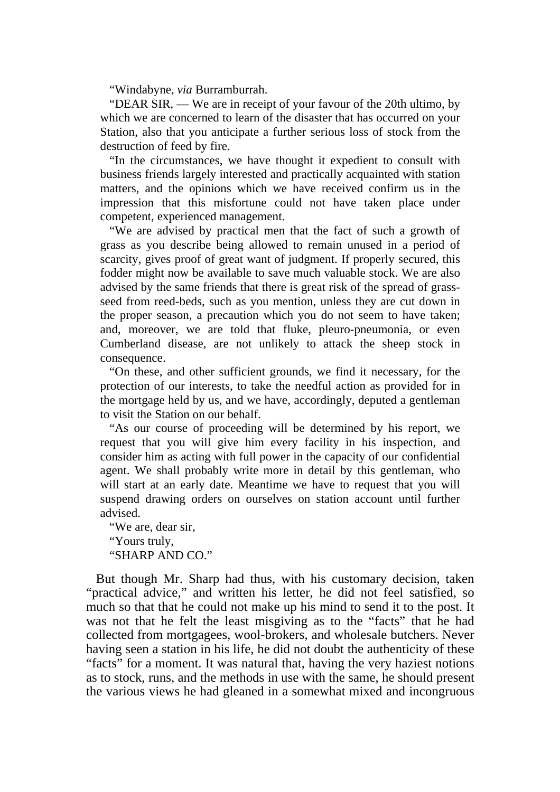"Windabyne, *via* Burramburrah.

 "DEAR SIR, — We are in receipt of your favour of the 20th ultimo, by which we are concerned to learn of the disaster that has occurred on your Station, also that you anticipate a further serious loss of stock from the destruction of feed by fire.

 "In the circumstances, we have thought it expedient to consult with business friends largely interested and practically acquainted with station matters, and the opinions which we have received confirm us in the impression that this misfortune could not have taken place under competent, experienced management.

 "We are advised by practical men that the fact of such a growth of grass as you describe being allowed to remain unused in a period of scarcity, gives proof of great want of judgment. If properly secured, this fodder might now be available to save much valuable stock. We are also advised by the same friends that there is great risk of the spread of grassseed from reed-beds, such as you mention, unless they are cut down in the proper season, a precaution which you do not seem to have taken; and, moreover, we are told that fluke, pleuro-pneumonia, or even Cumberland disease, are not unlikely to attack the sheep stock in consequence.

 "On these, and other sufficient grounds, we find it necessary, for the protection of our interests, to take the needful action as provided for in the mortgage held by us, and we have, accordingly, deputed a gentleman to visit the Station on our behalf.

 "As our course of proceeding will be determined by his report, we request that you will give him every facility in his inspection, and consider him as acting with full power in the capacity of our confidential agent. We shall probably write more in detail by this gentleman, who will start at an early date. Meantime we have to request that you will suspend drawing orders on ourselves on station account until further advised.

 "We are, dear sir, "Yours truly, "SHARP AND CO."

 But though Mr. Sharp had thus, with his customary decision, taken "practical advice," and written his letter, he did not feel satisfied, so much so that that he could not make up his mind to send it to the post. It was not that he felt the least misgiving as to the "facts" that he had collected from mortgagees, wool-brokers, and wholesale butchers. Never having seen a station in his life, he did not doubt the authenticity of these "facts" for a moment. It was natural that, having the very haziest notions as to stock, runs, and the methods in use with the same, he should present the various views he had gleaned in a somewhat mixed and incongruous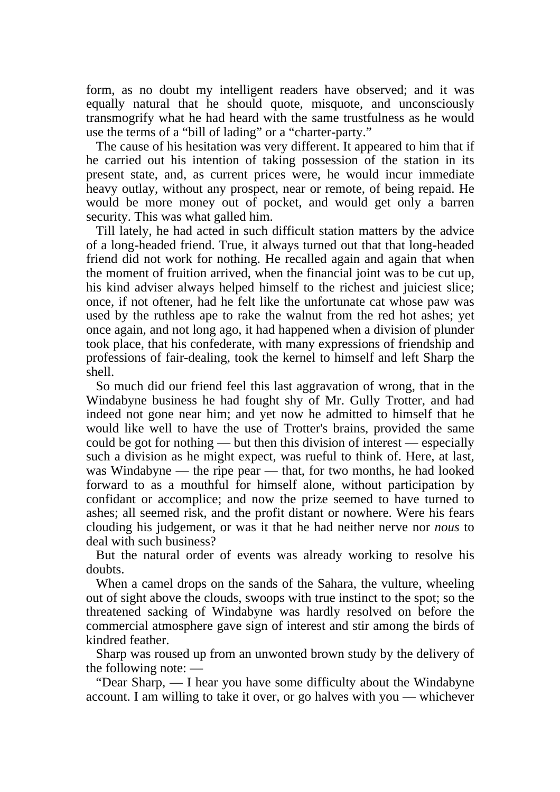form, as no doubt my intelligent readers have observed; and it was equally natural that he should quote, misquote, and unconsciously transmogrify what he had heard with the same trustfulness as he would use the terms of a "bill of lading" or a "charter-party."

 The cause of his hesitation was very different. It appeared to him that if he carried out his intention of taking possession of the station in its present state, and, as current prices were, he would incur immediate heavy outlay, without any prospect, near or remote, of being repaid. He would be more money out of pocket, and would get only a barren security. This was what galled him.

 Till lately, he had acted in such difficult station matters by the advice of a long-headed friend. True, it always turned out that that long-headed friend did not work for nothing. He recalled again and again that when the moment of fruition arrived, when the financial joint was to be cut up, his kind adviser always helped himself to the richest and juiciest slice; once, if not oftener, had he felt like the unfortunate cat whose paw was used by the ruthless ape to rake the walnut from the red hot ashes; yet once again, and not long ago, it had happened when a division of plunder took place, that his confederate, with many expressions of friendship and professions of fair-dealing, took the kernel to himself and left Sharp the shell.

 So much did our friend feel this last aggravation of wrong, that in the Windabyne business he had fought shy of Mr. Gully Trotter, and had indeed not gone near him; and yet now he admitted to himself that he would like well to have the use of Trotter's brains, provided the same could be got for nothing — but then this division of interest — especially such a division as he might expect, was rueful to think of. Here, at last, was Windabyne — the ripe pear — that, for two months, he had looked forward to as a mouthful for himself alone, without participation by confidant or accomplice; and now the prize seemed to have turned to ashes; all seemed risk, and the profit distant or nowhere. Were his fears clouding his judgement, or was it that he had neither nerve nor *nous* to deal with such business?

 But the natural order of events was already working to resolve his doubts.

 When a camel drops on the sands of the Sahara, the vulture, wheeling out of sight above the clouds, swoops with true instinct to the spot; so the threatened sacking of Windabyne was hardly resolved on before the commercial atmosphere gave sign of interest and stir among the birds of kindred feather.

 Sharp was roused up from an unwonted brown study by the delivery of the following note: —

 "Dear Sharp, — I hear you have some difficulty about the Windabyne account. I am willing to take it over, or go halves with you — whichever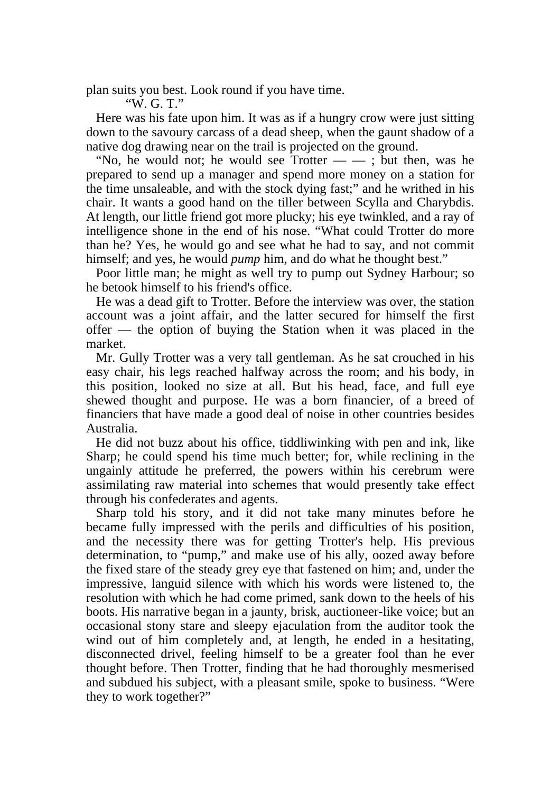plan suits you best. Look round if you have time.

"W. G. T."

 Here was his fate upon him. It was as if a hungry crow were just sitting down to the savoury carcass of a dead sheep, when the gaunt shadow of a native dog drawing near on the trail is projected on the ground.

"No, he would not; he would see Trotter  $-\frac{1}{x}$  but then, was he prepared to send up a manager and spend more money on a station for the time unsaleable, and with the stock dying fast;" and he writhed in his chair. It wants a good hand on the tiller between Scylla and Charybdis. At length, our little friend got more plucky; his eye twinkled, and a ray of intelligence shone in the end of his nose. "What could Trotter do more than he? Yes, he would go and see what he had to say, and not commit himself; and yes, he would *pump* him, and do what he thought best."

 Poor little man; he might as well try to pump out Sydney Harbour; so he betook himself to his friend's office.

 He was a dead gift to Trotter. Before the interview was over, the station account was a joint affair, and the latter secured for himself the first offer — the option of buying the Station when it was placed in the market.

 Mr. Gully Trotter was a very tall gentleman. As he sat crouched in his easy chair, his legs reached halfway across the room; and his body, in this position, looked no size at all. But his head, face, and full eye shewed thought and purpose. He was a born financier, of a breed of financiers that have made a good deal of noise in other countries besides Australia.

 He did not buzz about his office, tiddliwinking with pen and ink, like Sharp; he could spend his time much better; for, while reclining in the ungainly attitude he preferred, the powers within his cerebrum were assimilating raw material into schemes that would presently take effect through his confederates and agents.

 Sharp told his story, and it did not take many minutes before he became fully impressed with the perils and difficulties of his position, and the necessity there was for getting Trotter's help. His previous determination, to "pump," and make use of his ally, oozed away before the fixed stare of the steady grey eye that fastened on him; and, under the impressive, languid silence with which his words were listened to, the resolution with which he had come primed, sank down to the heels of his boots. His narrative began in a jaunty, brisk, auctioneer-like voice; but an occasional stony stare and sleepy ejaculation from the auditor took the wind out of him completely and, at length, he ended in a hesitating, disconnected drivel, feeling himself to be a greater fool than he ever thought before. Then Trotter, finding that he had thoroughly mesmerised and subdued his subject, with a pleasant smile, spoke to business. "Were they to work together?"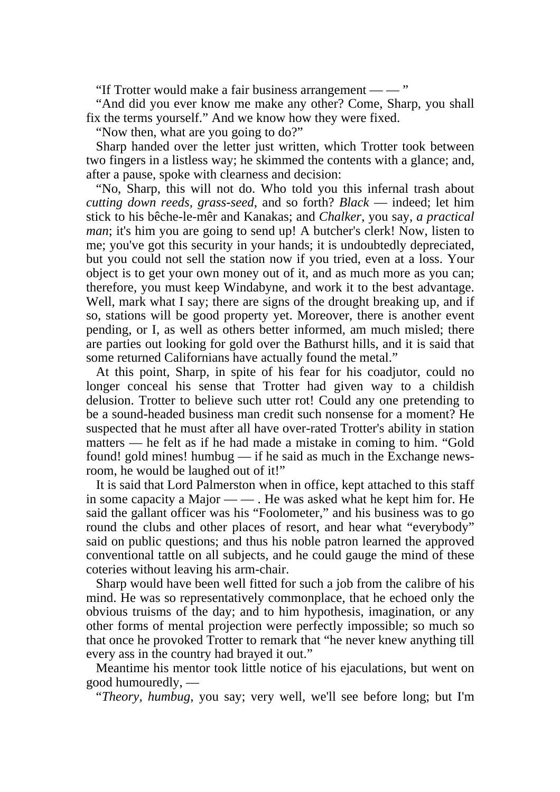"If Trotter would make a fair business arrangement — — "

 "And did you ever know me make any other? Come, Sharp, you shall fix the terms yourself." And we know how they were fixed.

"Now then, what are you going to do?"

 Sharp handed over the letter just written, which Trotter took between two fingers in a listless way; he skimmed the contents with a glance; and, after a pause, spoke with clearness and decision:

 "No, Sharp, this will not do. Who told you this infernal trash about *cutting down reeds, grass-seed*, and so forth? *Black* — indeed; let him stick to his bêche-le-mêr and Kanakas; and *Chalker*, you say, *a practical man*; it's him you are going to send up! A butcher's clerk! Now, listen to me; you've got this security in your hands; it is undoubtedly depreciated, but you could not sell the station now if you tried, even at a loss. Your object is to get your own money out of it, and as much more as you can; therefore, you must keep Windabyne, and work it to the best advantage. Well, mark what I say; there are signs of the drought breaking up, and if so, stations will be good property yet. Moreover, there is another event pending, or I, as well as others better informed, am much misled; there are parties out looking for gold over the Bathurst hills, and it is said that some returned Californians have actually found the metal."

 At this point, Sharp, in spite of his fear for his coadjutor, could no longer conceal his sense that Trotter had given way to a childish delusion. Trotter to believe such utter rot! Could any one pretending to be a sound-headed business man credit such nonsense for a moment? He suspected that he must after all have over-rated Trotter's ability in station matters — he felt as if he had made a mistake in coming to him. "Gold found! gold mines! humbug — if he said as much in the Exchange newsroom, he would be laughed out of it!"

 It is said that Lord Palmerston when in office, kept attached to this staff in some capacity a Major — — . He was asked what he kept him for. He said the gallant officer was his "Foolometer," and his business was to go round the clubs and other places of resort, and hear what "everybody" said on public questions; and thus his noble patron learned the approved conventional tattle on all subjects, and he could gauge the mind of these coteries without leaving his arm-chair.

 Sharp would have been well fitted for such a job from the calibre of his mind. He was so representatively commonplace, that he echoed only the obvious truisms of the day; and to him hypothesis, imagination, or any other forms of mental projection were perfectly impossible; so much so that once he provoked Trotter to remark that "he never knew anything till every ass in the country had brayed it out."

 Meantime his mentor took little notice of his ejaculations, but went on good humouredly, —

"*Theory, humbug*, you say; very well, we'll see before long; but I'm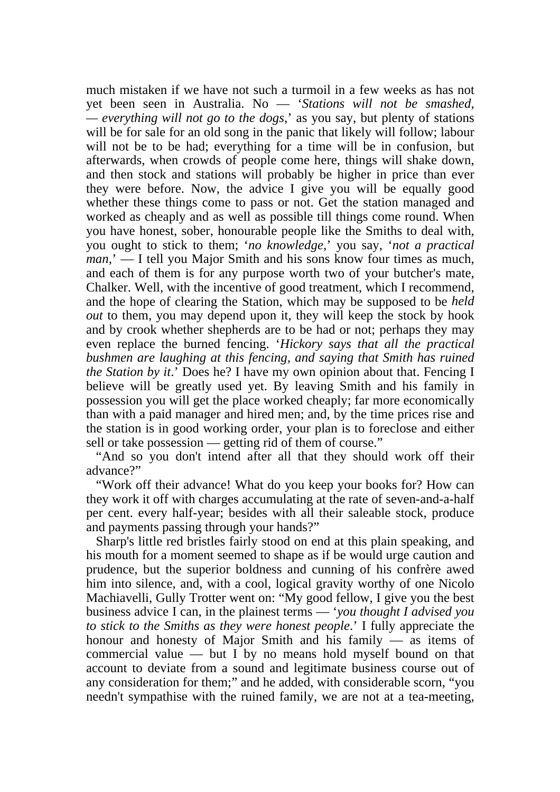much mistaken if we have not such a turmoil in a few weeks as has not yet been seen in Australia. No — '*Stations will not be smashed, — everything will not go to the dogs*,' as you say, but plenty of stations will be for sale for an old song in the panic that likely will follow; labour will not be to be had; everything for a time will be in confusion, but afterwards, when crowds of people come here, things will shake down, and then stock and stations will probably be higher in price than ever they were before. Now, the advice I give you will be equally good whether these things come to pass or not. Get the station managed and worked as cheaply and as well as possible till things come round. When you have honest, sober, honourable people like the Smiths to deal with, you ought to stick to them; '*no knowledge*,' you say, '*not a practical man*,' — I tell you Major Smith and his sons know four times as much, and each of them is for any purpose worth two of your butcher's mate, Chalker. Well, with the incentive of good treatment, which I recommend, and the hope of clearing the Station, which may be supposed to be *held out* to them, you may depend upon it, they will keep the stock by hook and by crook whether shepherds are to be had or not; perhaps they may even replace the burned fencing. '*Hickory says that all the practical bushmen are laughing at this fencing, and saying that Smith has ruined the Station by it*.' Does he? I have my own opinion about that. Fencing I believe will be greatly used yet. By leaving Smith and his family in possession you will get the place worked cheaply; far more economically than with a paid manager and hired men; and, by the time prices rise and the station is in good working order, your plan is to foreclose and either sell or take possession — getting rid of them of course."

 "And so you don't intend after all that they should work off their advance?"

 "Work off their advance! What do you keep your books for? How can they work it off with charges accumulating at the rate of seven-and-a-half per cent. every half-year; besides with all their saleable stock, produce and payments passing through your hands?"

 Sharp's little red bristles fairly stood on end at this plain speaking, and his mouth for a moment seemed to shape as if be would urge caution and prudence, but the superior boldness and cunning of his confrère awed him into silence, and, with a cool, logical gravity worthy of one Nicolo Machiavelli, Gully Trotter went on: "My good fellow, I give you the best business advice I can, in the plainest terms — '*you thought I advised you to stick to the Smiths as they were honest people*.' I fully appreciate the honour and honesty of Major Smith and his family — as items of commercial value — but I by no means hold myself bound on that account to deviate from a sound and legitimate business course out of any consideration for them;" and he added, with considerable scorn, "you needn't sympathise with the ruined family, we are not at a tea-meeting,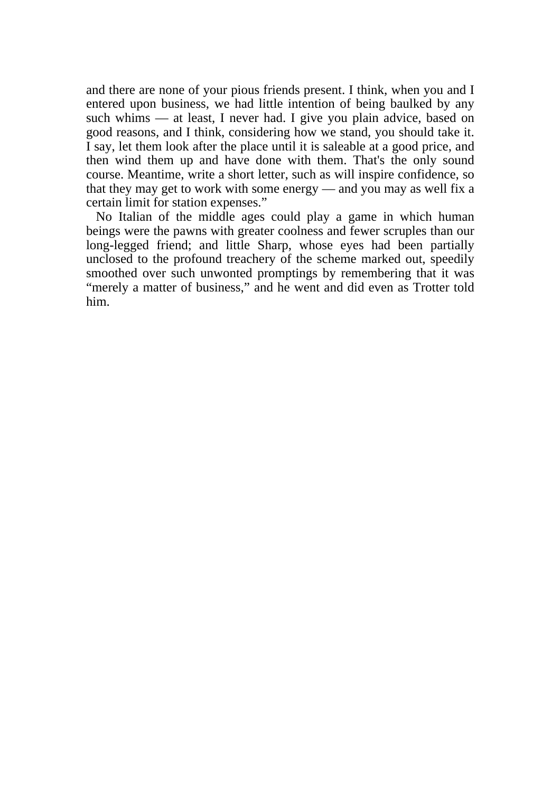and there are none of your pious friends present. I think, when you and I entered upon business, we had little intention of being baulked by any such whims — at least, I never had. I give you plain advice, based on good reasons, and I think, considering how we stand, you should take it. I say, let them look after the place until it is saleable at a good price, and then wind them up and have done with them. That's the only sound course. Meantime, write a short letter, such as will inspire confidence, so that they may get to work with some energy — and you may as well fix a certain limit for station expenses."

 No Italian of the middle ages could play a game in which human beings were the pawns with greater coolness and fewer scruples than our long-legged friend; and little Sharp, whose eyes had been partially unclosed to the profound treachery of the scheme marked out, speedily smoothed over such unwonted promptings by remembering that it was "merely a matter of business," and he went and did even as Trotter told him.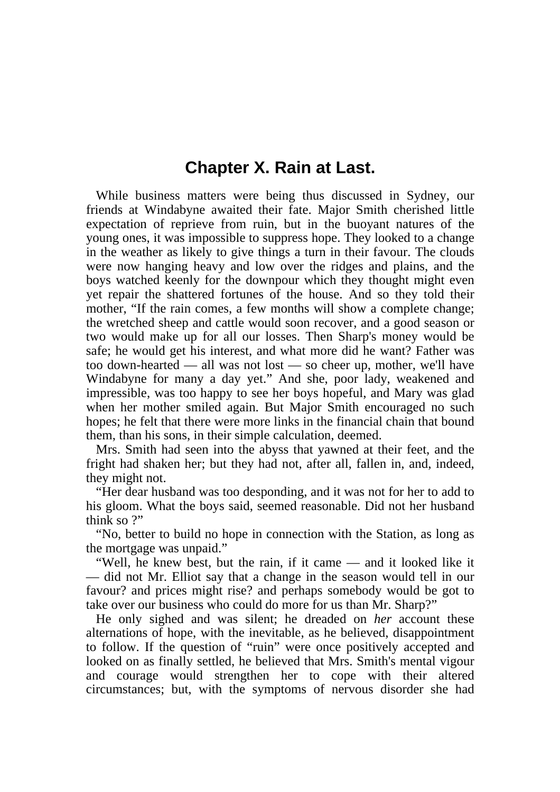## **Chapter X. Rain at Last.**

 While business matters were being thus discussed in Sydney, our friends at Windabyne awaited their fate. Major Smith cherished little expectation of reprieve from ruin, but in the buoyant natures of the young ones, it was impossible to suppress hope. They looked to a change in the weather as likely to give things a turn in their favour. The clouds were now hanging heavy and low over the ridges and plains, and the boys watched keenly for the downpour which they thought might even yet repair the shattered fortunes of the house. And so they told their mother, "If the rain comes, a few months will show a complete change; the wretched sheep and cattle would soon recover, and a good season or two would make up for all our losses. Then Sharp's money would be safe; he would get his interest, and what more did he want? Father was too down-hearted — all was not lost — so cheer up, mother, we'll have Windabyne for many a day yet." And she, poor lady, weakened and impressible, was too happy to see her boys hopeful, and Mary was glad when her mother smiled again. But Major Smith encouraged no such hopes; he felt that there were more links in the financial chain that bound them, than his sons, in their simple calculation, deemed.

 Mrs. Smith had seen into the abyss that yawned at their feet, and the fright had shaken her; but they had not, after all, fallen in, and, indeed, they might not.

 "Her dear husband was too desponding, and it was not for her to add to his gloom. What the boys said, seemed reasonable. Did not her husband think so ?"

 "No, better to build no hope in connection with the Station, as long as the mortgage was unpaid."

 "Well, he knew best, but the rain, if it came — and it looked like it — did not Mr. Elliot say that a change in the season would tell in our favour? and prices might rise? and perhaps somebody would be got to take over our business who could do more for us than Mr. Sharp?"

 He only sighed and was silent; he dreaded on *her* account these alternations of hope, with the inevitable, as he believed, disappointment to follow. If the question of "ruin" were once positively accepted and looked on as finally settled, he believed that Mrs. Smith's mental vigour and courage would strengthen her to cope with their altered circumstances; but, with the symptoms of nervous disorder she had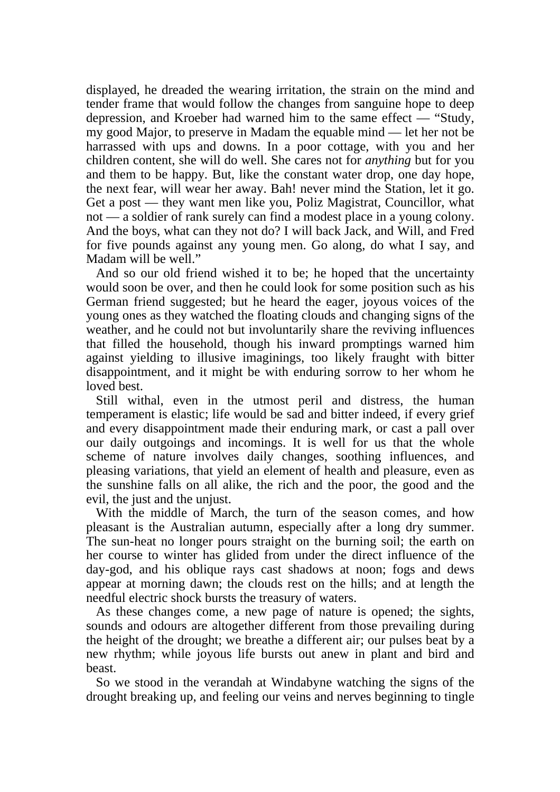displayed, he dreaded the wearing irritation, the strain on the mind and tender frame that would follow the changes from sanguine hope to deep depression, and Kroeber had warned him to the same effect — "Study, my good Major, to preserve in Madam the equable mind — let her not be harrassed with ups and downs. In a poor cottage, with you and her children content, she will do well. She cares not for *anything* but for you and them to be happy. But, like the constant water drop, one day hope, the next fear, will wear her away. Bah! never mind the Station, let it go. Get a post — they want men like you, Poliz Magistrat, Councillor, what not — a soldier of rank surely can find a modest place in a young colony. And the boys, what can they not do? I will back Jack, and Will, and Fred for five pounds against any young men. Go along, do what I say, and Madam will be well."

 And so our old friend wished it to be; he hoped that the uncertainty would soon be over, and then he could look for some position such as his German friend suggested; but he heard the eager, joyous voices of the young ones as they watched the floating clouds and changing signs of the weather, and he could not but involuntarily share the reviving influences that filled the household, though his inward promptings warned him against yielding to illusive imaginings, too likely fraught with bitter disappointment, and it might be with enduring sorrow to her whom he loved best.

 Still withal, even in the utmost peril and distress, the human temperament is elastic; life would be sad and bitter indeed, if every grief and every disappointment made their enduring mark, or cast a pall over our daily outgoings and incomings. It is well for us that the whole scheme of nature involves daily changes, soothing influences, and pleasing variations, that yield an element of health and pleasure, even as the sunshine falls on all alike, the rich and the poor, the good and the evil, the just and the unjust.

 With the middle of March, the turn of the season comes, and how pleasant is the Australian autumn, especially after a long dry summer. The sun-heat no longer pours straight on the burning soil; the earth on her course to winter has glided from under the direct influence of the day-god, and his oblique rays cast shadows at noon; fogs and dews appear at morning dawn; the clouds rest on the hills; and at length the needful electric shock bursts the treasury of waters.

 As these changes come, a new page of nature is opened; the sights, sounds and odours are altogether different from those prevailing during the height of the drought; we breathe a different air; our pulses beat by a new rhythm; while joyous life bursts out anew in plant and bird and beast.

 So we stood in the verandah at Windabyne watching the signs of the drought breaking up, and feeling our veins and nerves beginning to tingle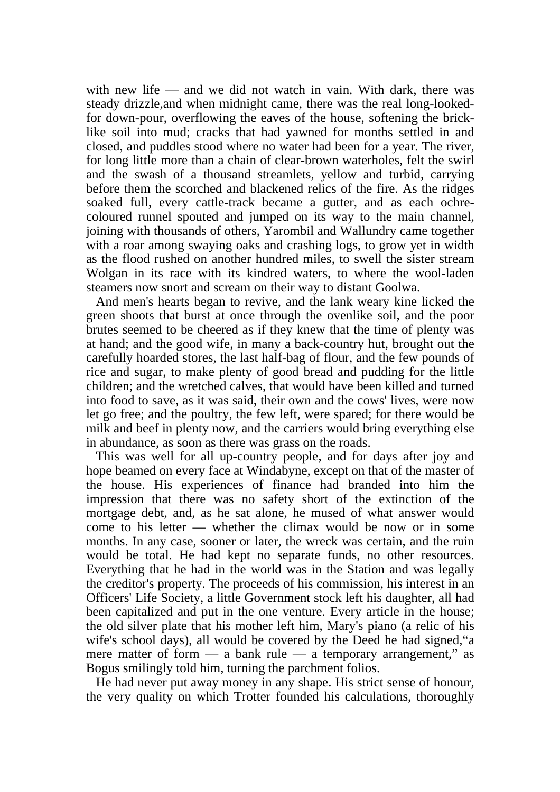with new life — and we did not watch in vain. With dark, there was steady drizzle,and when midnight came, there was the real long-lookedfor down-pour, overflowing the eaves of the house, softening the bricklike soil into mud; cracks that had yawned for months settled in and closed, and puddles stood where no water had been for a year. The river, for long little more than a chain of clear-brown waterholes, felt the swirl and the swash of a thousand streamlets, yellow and turbid, carrying before them the scorched and blackened relics of the fire. As the ridges soaked full, every cattle-track became a gutter, and as each ochrecoloured runnel spouted and jumped on its way to the main channel, joining with thousands of others, Yarombil and Wallundry came together with a roar among swaying oaks and crashing logs, to grow yet in width as the flood rushed on another hundred miles, to swell the sister stream Wolgan in its race with its kindred waters, to where the wool-laden steamers now snort and scream on their way to distant Goolwa.

 And men's hearts began to revive, and the lank weary kine licked the green shoots that burst at once through the ovenlike soil, and the poor brutes seemed to be cheered as if they knew that the time of plenty was at hand; and the good wife, in many a back-country hut, brought out the carefully hoarded stores, the last half-bag of flour, and the few pounds of rice and sugar, to make plenty of good bread and pudding for the little children; and the wretched calves, that would have been killed and turned into food to save, as it was said, their own and the cows' lives, were now let go free; and the poultry, the few left, were spared; for there would be milk and beef in plenty now, and the carriers would bring everything else in abundance, as soon as there was grass on the roads.

 This was well for all up-country people, and for days after joy and hope beamed on every face at Windabyne, except on that of the master of the house. His experiences of finance had branded into him the impression that there was no safety short of the extinction of the mortgage debt, and, as he sat alone, he mused of what answer would come to his letter — whether the climax would be now or in some months. In any case, sooner or later, the wreck was certain, and the ruin would be total. He had kept no separate funds, no other resources. Everything that he had in the world was in the Station and was legally the creditor's property. The proceeds of his commission, his interest in an Officers' Life Society, a little Government stock left his daughter, all had been capitalized and put in the one venture. Every article in the house; the old silver plate that his mother left him, Mary's piano (a relic of his wife's school days), all would be covered by the Deed he had signed,"a mere matter of form — a bank rule — a temporary arrangement," as Bogus smilingly told him, turning the parchment folios.

 He had never put away money in any shape. His strict sense of honour, the very quality on which Trotter founded his calculations, thoroughly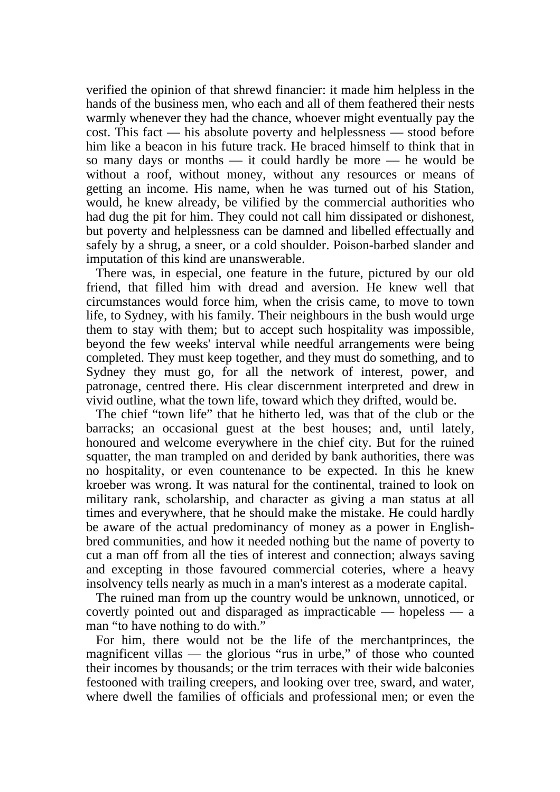verified the opinion of that shrewd financier: it made him helpless in the hands of the business men, who each and all of them feathered their nests warmly whenever they had the chance, whoever might eventually pay the cost. This fact — his absolute poverty and helplessness — stood before him like a beacon in his future track. He braced himself to think that in so many days or months — it could hardly be more — he would be without a roof, without money, without any resources or means of getting an income. His name, when he was turned out of his Station, would, he knew already, be vilified by the commercial authorities who had dug the pit for him. They could not call him dissipated or dishonest, but poverty and helplessness can be damned and libelled effectually and safely by a shrug, a sneer, or a cold shoulder. Poison-barbed slander and imputation of this kind are unanswerable.

 There was, in especial, one feature in the future, pictured by our old friend, that filled him with dread and aversion. He knew well that circumstances would force him, when the crisis came, to move to town life, to Sydney, with his family. Their neighbours in the bush would urge them to stay with them; but to accept such hospitality was impossible, beyond the few weeks' interval while needful arrangements were being completed. They must keep together, and they must do something, and to Sydney they must go, for all the network of interest, power, and patronage, centred there. His clear discernment interpreted and drew in vivid outline, what the town life, toward which they drifted, would be.

 The chief "town life" that he hitherto led, was that of the club or the barracks; an occasional guest at the best houses; and, until lately, honoured and welcome everywhere in the chief city. But for the ruined squatter, the man trampled on and derided by bank authorities, there was no hospitality, or even countenance to be expected. In this he knew kroeber was wrong. It was natural for the continental, trained to look on military rank, scholarship, and character as giving a man status at all times and everywhere, that he should make the mistake. He could hardly be aware of the actual predominancy of money as a power in Englishbred communities, and how it needed nothing but the name of poverty to cut a man off from all the ties of interest and connection; always saving and excepting in those favoured commercial coteries, where a heavy insolvency tells nearly as much in a man's interest as a moderate capital.

 The ruined man from up the country would be unknown, unnoticed, or covertly pointed out and disparaged as impracticable — hopeless — a man "to have nothing to do with."

 For him, there would not be the life of the merchantprinces, the magnificent villas — the glorious "rus in urbe," of those who counted their incomes by thousands; or the trim terraces with their wide balconies festooned with trailing creepers, and looking over tree, sward, and water, where dwell the families of officials and professional men; or even the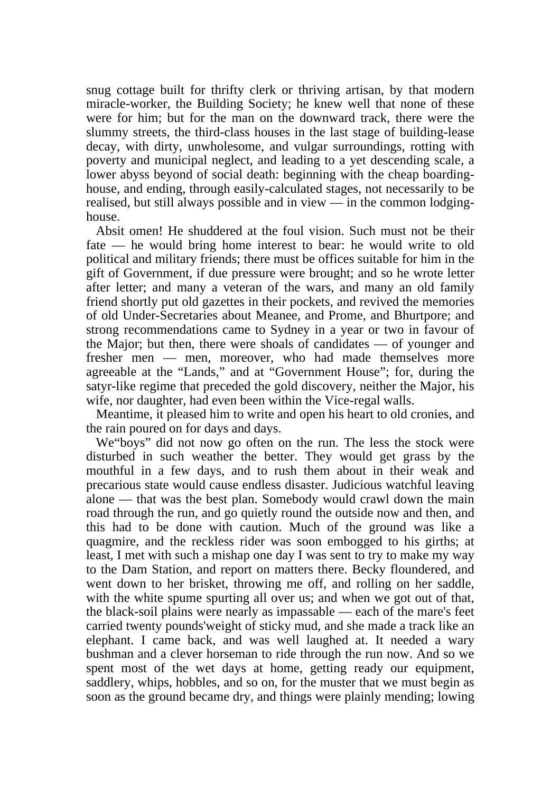snug cottage built for thrifty clerk or thriving artisan, by that modern miracle-worker, the Building Society; he knew well that none of these were for him; but for the man on the downward track, there were the slummy streets, the third-class houses in the last stage of building-lease decay, with dirty, unwholesome, and vulgar surroundings, rotting with poverty and municipal neglect, and leading to a yet descending scale, a lower abyss beyond of social death: beginning with the cheap boardinghouse, and ending, through easily-calculated stages, not necessarily to be realised, but still always possible and in view — in the common lodginghouse.

 Absit omen! He shuddered at the foul vision. Such must not be their fate — he would bring home interest to bear: he would write to old political and military friends; there must be offices suitable for him in the gift of Government, if due pressure were brought; and so he wrote letter after letter; and many a veteran of the wars, and many an old family friend shortly put old gazettes in their pockets, and revived the memories of old Under-Secretaries about Meanee, and Prome, and Bhurtpore; and strong recommendations came to Sydney in a year or two in favour of the Major; but then, there were shoals of candidates — of younger and fresher men — men, moreover, who had made themselves more agreeable at the "Lands," and at "Government House"; for, during the satyr-like regime that preceded the gold discovery, neither the Major, his wife, nor daughter, had even been within the Vice-regal walls.

 Meantime, it pleased him to write and open his heart to old cronies, and the rain poured on for days and days.

 We"boys" did not now go often on the run. The less the stock were disturbed in such weather the better. They would get grass by the mouthful in a few days, and to rush them about in their weak and precarious state would cause endless disaster. Judicious watchful leaving alone — that was the best plan. Somebody would crawl down the main road through the run, and go quietly round the outside now and then, and this had to be done with caution. Much of the ground was like a quagmire, and the reckless rider was soon embogged to his girths; at least, I met with such a mishap one day I was sent to try to make my way to the Dam Station, and report on matters there. Becky floundered, and went down to her brisket, throwing me off, and rolling on her saddle, with the white spume spurting all over us; and when we got out of that, the black-soil plains were nearly as impassable — each of the mare's feet carried twenty pounds'weight of sticky mud, and she made a track like an elephant. I came back, and was well laughed at. It needed a wary bushman and a clever horseman to ride through the run now. And so we spent most of the wet days at home, getting ready our equipment, saddlery, whips, hobbles, and so on, for the muster that we must begin as soon as the ground became dry, and things were plainly mending; lowing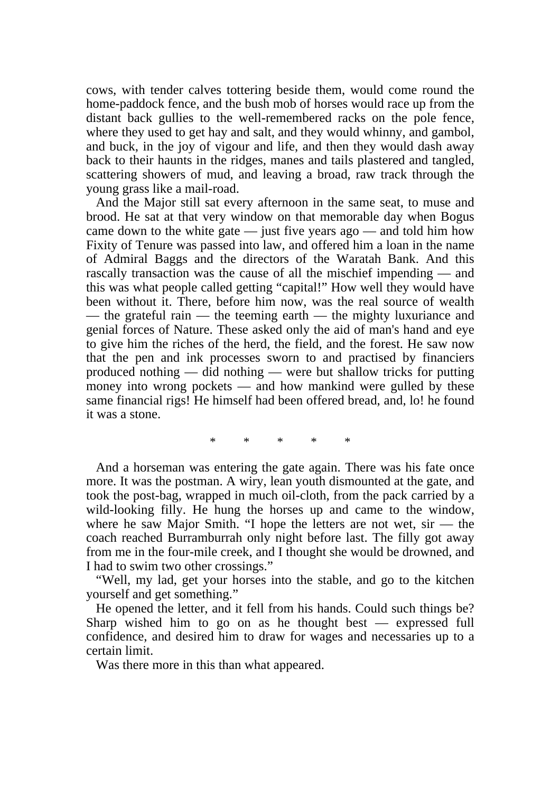cows, with tender calves tottering beside them, would come round the home-paddock fence, and the bush mob of horses would race up from the distant back gullies to the well-remembered racks on the pole fence, where they used to get hay and salt, and they would whinny, and gambol, and buck, in the joy of vigour and life, and then they would dash away back to their haunts in the ridges, manes and tails plastered and tangled, scattering showers of mud, and leaving a broad, raw track through the young grass like a mail-road.

 And the Major still sat every afternoon in the same seat, to muse and brood. He sat at that very window on that memorable day when Bogus came down to the white gate — just five years ago — and told him how Fixity of Tenure was passed into law, and offered him a loan in the name of Admiral Baggs and the directors of the Waratah Bank. And this rascally transaction was the cause of all the mischief impending — and this was what people called getting "capital!" How well they would have been without it. There, before him now, was the real source of wealth — the grateful rain — the teeming earth — the mighty luxuriance and genial forces of Nature. These asked only the aid of man's hand and eye to give him the riches of the herd, the field, and the forest. He saw now that the pen and ink processes sworn to and practised by financiers produced nothing — did nothing — were but shallow tricks for putting money into wrong pockets — and how mankind were gulled by these same financial rigs! He himself had been offered bread, and, lo! he found it was a stone.

\* \* \* \* \*

 And a horseman was entering the gate again. There was his fate once more. It was the postman. A wiry, lean youth dismounted at the gate, and took the post-bag, wrapped in much oil-cloth, from the pack carried by a wild-looking filly. He hung the horses up and came to the window, where he saw Major Smith. "I hope the letters are not wet, sir — the coach reached Burramburrah only night before last. The filly got away from me in the four-mile creek, and I thought she would be drowned, and I had to swim two other crossings."

 "Well, my lad, get your horses into the stable, and go to the kitchen yourself and get something."

 He opened the letter, and it fell from his hands. Could such things be? Sharp wished him to go on as he thought best — expressed full confidence, and desired him to draw for wages and necessaries up to a certain limit.

Was there more in this than what appeared.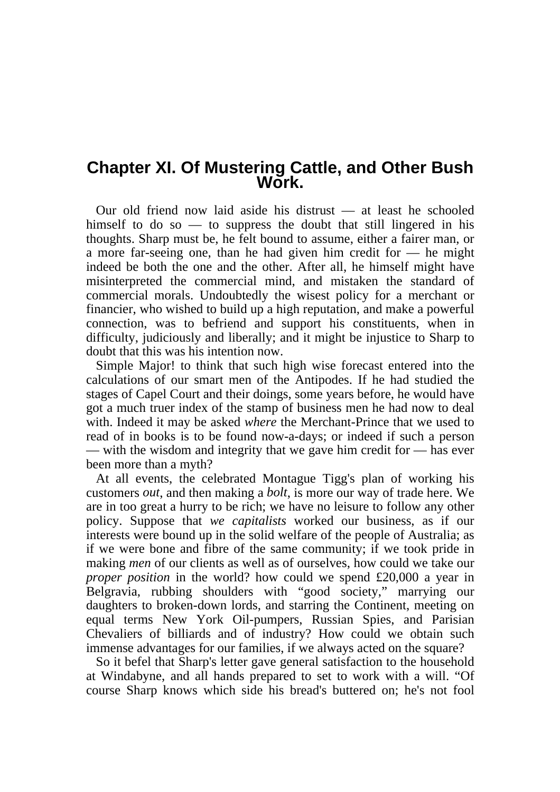## **Chapter XI. Of Mustering Cattle, and Other Bush Work.**

 Our old friend now laid aside his distrust — at least he schooled himself to do so — to suppress the doubt that still lingered in his thoughts. Sharp must be, he felt bound to assume, either a fairer man, or a more far-seeing one, than he had given him credit for — he might indeed be both the one and the other. After all, he himself might have misinterpreted the commercial mind, and mistaken the standard of commercial morals. Undoubtedly the wisest policy for a merchant or financier, who wished to build up a high reputation, and make a powerful connection, was to befriend and support his constituents, when in difficulty, judiciously and liberally; and it might be injustice to Sharp to doubt that this was his intention now.

 Simple Major! to think that such high wise forecast entered into the calculations of our smart men of the Antipodes. If he had studied the stages of Capel Court and their doings, some years before, he would have got a much truer index of the stamp of business men he had now to deal with. Indeed it may be asked *where* the Merchant-Prince that we used to read of in books is to be found now-a-days; or indeed if such a person — with the wisdom and integrity that we gave him credit for — has ever been more than a myth?

 At all events, the celebrated Montague Tigg's plan of working his customers *out*, and then making a *bolt*, is more our way of trade here. We are in too great a hurry to be rich; we have no leisure to follow any other policy. Suppose that *we capitalists* worked our business, as if our interests were bound up in the solid welfare of the people of Australia; as if we were bone and fibre of the same community; if we took pride in making *men* of our clients as well as of ourselves, how could we take our *proper position* in the world? how could we spend £20,000 a year in Belgravia, rubbing shoulders with "good society," marrying our daughters to broken-down lords, and starring the Continent, meeting on equal terms New York Oil-pumpers, Russian Spies, and Parisian Chevaliers of billiards and of industry? How could we obtain such immense advantages for our families, if we always acted on the square?

 So it befel that Sharp's letter gave general satisfaction to the household at Windabyne, and all hands prepared to set to work with a will. "Of course Sharp knows which side his bread's buttered on; he's not fool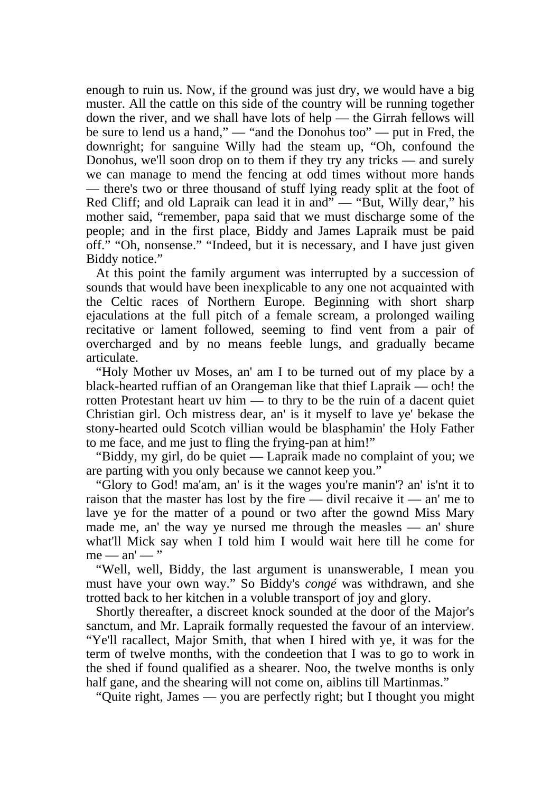enough to ruin us. Now, if the ground was just dry, we would have a big muster. All the cattle on this side of the country will be running together down the river, and we shall have lots of help — the Girrah fellows will be sure to lend us a hand," — "and the Donohus too" — put in Fred, the downright; for sanguine Willy had the steam up, "Oh, confound the Donohus, we'll soon drop on to them if they try any tricks — and surely we can manage to mend the fencing at odd times without more hands — there's two or three thousand of stuff lying ready split at the foot of Red Cliff; and old Lapraik can lead it in and" — "But, Willy dear," his mother said, "remember, papa said that we must discharge some of the people; and in the first place, Biddy and James Lapraik must be paid off." "Oh, nonsense." "Indeed, but it is necessary, and I have just given Biddy notice."

 At this point the family argument was interrupted by a succession of sounds that would have been inexplicable to any one not acquainted with the Celtic races of Northern Europe. Beginning with short sharp ejaculations at the full pitch of a female scream, a prolonged wailing recitative or lament followed, seeming to find vent from a pair of overcharged and by no means feeble lungs, and gradually became articulate.

 "Holy Mother uv Moses, an' am I to be turned out of my place by a black-hearted ruffian of an Orangeman like that thief Lapraik — och! the rotten Protestant heart uv him — to thry to be the ruin of a dacent quiet Christian girl. Och mistress dear, an' is it myself to lave ye' bekase the stony-hearted ould Scotch villian would be blasphamin' the Holy Father to me face, and me just to fling the frying-pan at him!"

 "Biddy, my girl, do be quiet — Lapraik made no complaint of you; we are parting with you only because we cannot keep you."

 "Glory to God! ma'am, an' is it the wages you're manin'? an' is'nt it to raison that the master has lost by the fire — divil recaive it — an' me to lave ye for the matter of a pound or two after the gownd Miss Mary made me, an' the way ye nursed me through the measles — an' shure what'll Mick say when I told him I would wait here till he come for  $me$  — an' — "

 "Well, well, Biddy, the last argument is unanswerable, I mean you must have your own way." So Biddy's *congé* was withdrawn, and she trotted back to her kitchen in a voluble transport of joy and glory.

 Shortly thereafter, a discreet knock sounded at the door of the Major's sanctum, and Mr. Lapraik formally requested the favour of an interview. "Ye'll racallect, Major Smith, that when I hired with ye, it was for the term of twelve months, with the condeetion that I was to go to work in the shed if found qualified as a shearer. Noo, the twelve months is only half gane, and the shearing will not come on, aiblins till Martinmas."

"Quite right, James — you are perfectly right; but I thought you might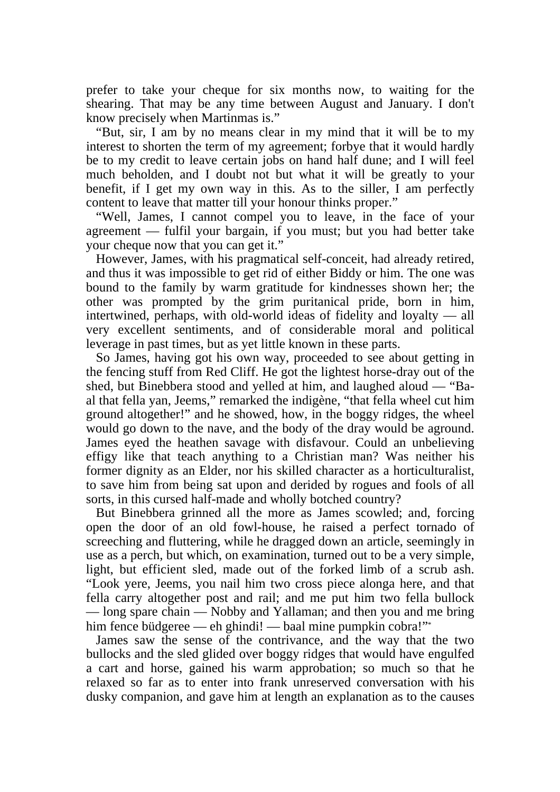prefer to take your cheque for six months now, to waiting for the shearing. That may be any time between August and January. I don't know precisely when Martinmas is."

 "But, sir, I am by no means clear in my mind that it will be to my interest to shorten the term of my agreement; forbye that it would hardly be to my credit to leave certain jobs on hand half dune; and I will feel much beholden, and I doubt not but what it will be greatly to your benefit, if I get my own way in this. As to the siller, I am perfectly content to leave that matter till your honour thinks proper."

 "Well, James, I cannot compel you to leave, in the face of your agreement — fulfil your bargain, if you must; but you had better take your cheque now that you can get it."

 However, James, with his pragmatical self-conceit, had already retired, and thus it was impossible to get rid of either Biddy or him. The one was bound to the family by warm gratitude for kindnesses shown her; the other was prompted by the grim puritanical pride, born in him, intertwined, perhaps, with old-world ideas of fidelity and loyalty — all very excellent sentiments, and of considerable moral and political leverage in past times, but as yet little known in these parts.

 So James, having got his own way, proceeded to see about getting in the fencing stuff from Red Cliff. He got the lightest horse-dray out of the shed, but Binebbera stood and yelled at him, and laughed aloud — "Baal that fella yan, Jeems," remarked the indigène, "that fella wheel cut him ground altogether!" and he showed, how, in the boggy ridges, the wheel would go down to the nave, and the body of the dray would be aground. James eyed the heathen savage with disfavour. Could an unbelieving effigy like that teach anything to a Christian man? Was neither his former dignity as an Elder, nor his skilled character as a horticulturalist, to save him from being sat upon and derided by rogues and fools of all sorts, in this cursed half-made and wholly botched country?

 But Binebbera grinned all the more as James scowled; and, forcing open the door of an old fowl-house, he raised a perfect tornado of screeching and fluttering, while he dragged down an article, seemingly in use as a perch, but which, on examination, turned out to be a very simple, light, but efficient sled, made out of the forked limb of a scrub ash. "Look yere, Jeems, you nail him two cross piece alonga here, and that fella carry altogether post and rail; and me put him two fella bullock — long spare chain — Nobby and Yallaman; and then you and me bring him fence büdgeree — eh ghindi! — baal mine pumpkin cobra!"\*

 James saw the sense of the contrivance, and the way that the two bullocks and the sled glided over boggy ridges that would have engulfed a cart and horse, gained his warm approbation; so much so that he relaxed so far as to enter into frank unreserved conversation with his dusky companion, and gave him at length an explanation as to the causes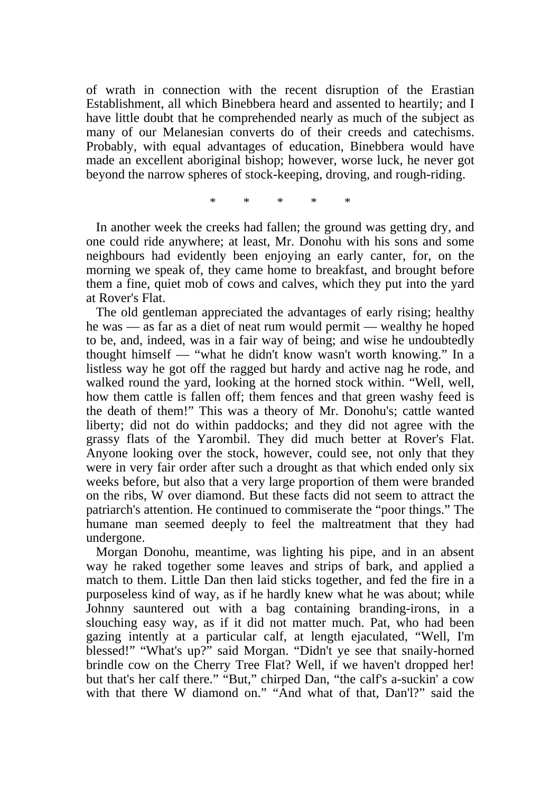of wrath in connection with the recent disruption of the Erastian Establishment, all which Binebbera heard and assented to heartily; and I have little doubt that he comprehended nearly as much of the subject as many of our Melanesian converts do of their creeds and catechisms. Probably, with equal advantages of education, Binebbera would have made an excellent aboriginal bishop; however, worse luck, he never got beyond the narrow spheres of stock-keeping, droving, and rough-riding.

\* \* \* \* \*

 In another week the creeks had fallen; the ground was getting dry, and one could ride anywhere; at least, Mr. Donohu with his sons and some neighbours had evidently been enjoying an early canter, for, on the morning we speak of, they came home to breakfast, and brought before them a fine, quiet mob of cows and calves, which they put into the yard at Rover's Flat.

 The old gentleman appreciated the advantages of early rising; healthy he was — as far as a diet of neat rum would permit — wealthy he hoped to be, and, indeed, was in a fair way of being; and wise he undoubtedly thought himself — "what he didn't know wasn't worth knowing." In a listless way he got off the ragged but hardy and active nag he rode, and walked round the yard, looking at the horned stock within. "Well, well, how them cattle is fallen off; them fences and that green washy feed is the death of them!" This was a theory of Mr. Donohu's; cattle wanted liberty; did not do within paddocks; and they did not agree with the grassy flats of the Yarombil. They did much better at Rover's Flat. Anyone looking over the stock, however, could see, not only that they were in very fair order after such a drought as that which ended only six weeks before, but also that a very large proportion of them were branded on the ribs, W over diamond. But these facts did not seem to attract the patriarch's attention. He continued to commiserate the "poor things." The humane man seemed deeply to feel the maltreatment that they had undergone.

 Morgan Donohu, meantime, was lighting his pipe, and in an absent way he raked together some leaves and strips of bark, and applied a match to them. Little Dan then laid sticks together, and fed the fire in a purposeless kind of way, as if he hardly knew what he was about; while Johnny sauntered out with a bag containing branding-irons, in a slouching easy way, as if it did not matter much. Pat, who had been gazing intently at a particular calf, at length ejaculated, "Well, I'm blessed!" "What's up?" said Morgan. "Didn't ye see that snaily-horned brindle cow on the Cherry Tree Flat? Well, if we haven't dropped her! but that's her calf there." "But," chirped Dan, "the calf's a-suckin' a cow with that there W diamond on." "And what of that, Dan'l?" said the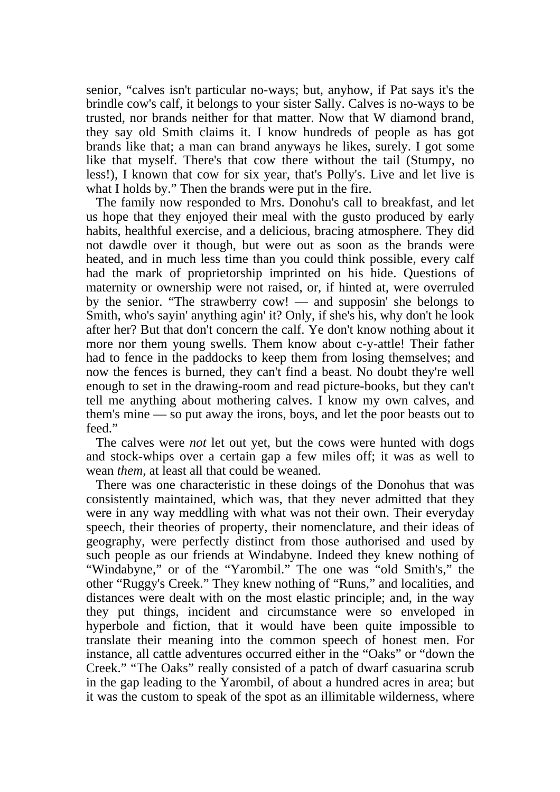senior, "calves isn't particular no-ways; but, anyhow, if Pat says it's the brindle cow's calf, it belongs to your sister Sally. Calves is no-ways to be trusted, nor brands neither for that matter. Now that W diamond brand, they say old Smith claims it. I know hundreds of people as has got brands like that; a man can brand anyways he likes, surely. I got some like that myself. There's that cow there without the tail (Stumpy, no less!), I known that cow for six year, that's Polly's. Live and let live is what I holds by." Then the brands were put in the fire.

 The family now responded to Mrs. Donohu's call to breakfast, and let us hope that they enjoyed their meal with the gusto produced by early habits, healthful exercise, and a delicious, bracing atmosphere. They did not dawdle over it though, but were out as soon as the brands were heated, and in much less time than you could think possible, every calf had the mark of proprietorship imprinted on his hide. Questions of maternity or ownership were not raised, or, if hinted at, were overruled by the senior. "The strawberry cow! — and supposin' she belongs to Smith, who's sayin' anything agin' it? Only, if she's his, why don't he look after her? But that don't concern the calf. Ye don't know nothing about it more nor them young swells. Them know about c-y-attle! Their father had to fence in the paddocks to keep them from losing themselves; and now the fences is burned, they can't find a beast. No doubt they're well enough to set in the drawing-room and read picture-books, but they can't tell me anything about mothering calves. I know my own calves, and them's mine — so put away the irons, boys, and let the poor beasts out to feed."

 The calves were *not* let out yet, but the cows were hunted with dogs and stock-whips over a certain gap a few miles off; it was as well to wean *them*, at least all that could be weaned.

 There was one characteristic in these doings of the Donohus that was consistently maintained, which was, that they never admitted that they were in any way meddling with what was not their own. Their everyday speech, their theories of property, their nomenclature, and their ideas of geography, were perfectly distinct from those authorised and used by such people as our friends at Windabyne. Indeed they knew nothing of "Windabyne," or of the "Yarombil." The one was "old Smith's," the other "Ruggy's Creek." They knew nothing of "Runs," and localities, and distances were dealt with on the most elastic principle; and, in the way they put things, incident and circumstance were so enveloped in hyperbole and fiction, that it would have been quite impossible to translate their meaning into the common speech of honest men. For instance, all cattle adventures occurred either in the "Oaks" or "down the Creek." "The Oaks" really consisted of a patch of dwarf casuarina scrub in the gap leading to the Yarombil, of about a hundred acres in area; but it was the custom to speak of the spot as an illimitable wilderness, where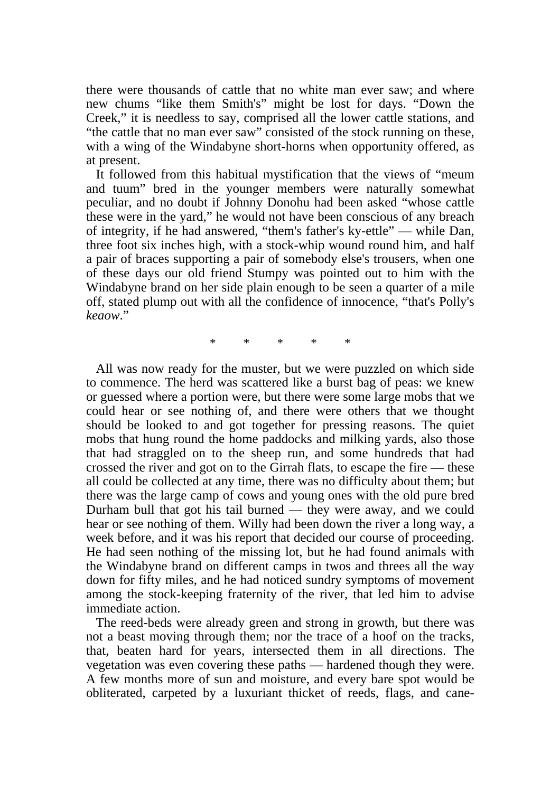there were thousands of cattle that no white man ever saw; and where new chums "like them Smith's" might be lost for days. "Down the Creek," it is needless to say, comprised all the lower cattle stations, and "the cattle that no man ever saw" consisted of the stock running on these, with a wing of the Windabyne short-horns when opportunity offered, as at present.

 It followed from this habitual mystification that the views of "meum and tuum" bred in the younger members were naturally somewhat peculiar, and no doubt if Johnny Donohu had been asked "whose cattle these were in the yard," he would not have been conscious of any breach of integrity, if he had answered, "them's father's ky-ettle" — while Dan, three foot six inches high, with a stock-whip wound round him, and half a pair of braces supporting a pair of somebody else's trousers, when one of these days our old friend Stumpy was pointed out to him with the Windabyne brand on her side plain enough to be seen a quarter of a mile off, stated plump out with all the confidence of innocence, "that's Polly's *keaow*."

\* \* \* \* \*

 All was now ready for the muster, but we were puzzled on which side to commence. The herd was scattered like a burst bag of peas: we knew or guessed where a portion were, but there were some large mobs that we could hear or see nothing of, and there were others that we thought should be looked to and got together for pressing reasons. The quiet mobs that hung round the home paddocks and milking yards, also those that had straggled on to the sheep run, and some hundreds that had crossed the river and got on to the Girrah flats, to escape the fire — these all could be collected at any time, there was no difficulty about them; but there was the large camp of cows and young ones with the old pure bred Durham bull that got his tail burned — they were away, and we could hear or see nothing of them. Willy had been down the river a long way, a week before, and it was his report that decided our course of proceeding. He had seen nothing of the missing lot, but he had found animals with the Windabyne brand on different camps in twos and threes all the way down for fifty miles, and he had noticed sundry symptoms of movement among the stock-keeping fraternity of the river, that led him to advise immediate action.

 The reed-beds were already green and strong in growth, but there was not a beast moving through them; nor the trace of a hoof on the tracks, that, beaten hard for years, intersected them in all directions. The vegetation was even covering these paths — hardened though they were. A few months more of sun and moisture, and every bare spot would be obliterated, carpeted by a luxuriant thicket of reeds, flags, and cane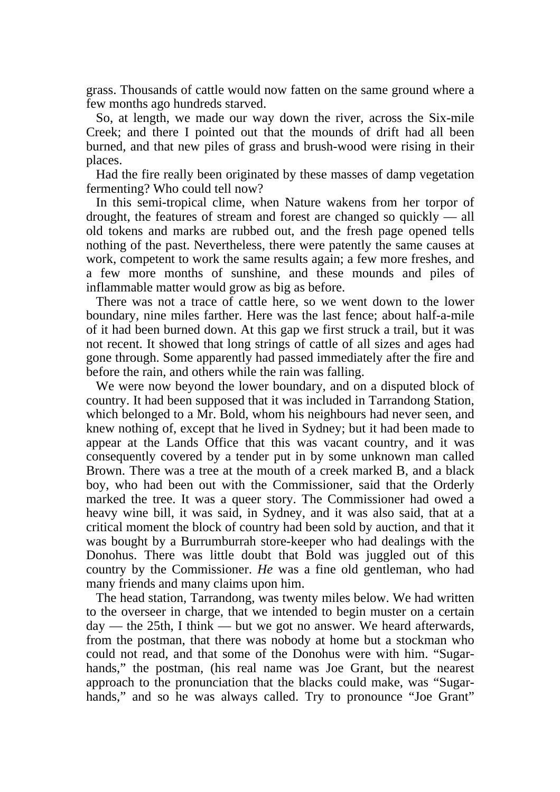grass. Thousands of cattle would now fatten on the same ground where a few months ago hundreds starved.

 So, at length, we made our way down the river, across the Six-mile Creek; and there I pointed out that the mounds of drift had all been burned, and that new piles of grass and brush-wood were rising in their places.

 Had the fire really been originated by these masses of damp vegetation fermenting? Who could tell now?

 In this semi-tropical clime, when Nature wakens from her torpor of drought, the features of stream and forest are changed so quickly — all old tokens and marks are rubbed out, and the fresh page opened tells nothing of the past. Nevertheless, there were patently the same causes at work, competent to work the same results again; a few more freshes, and a few more months of sunshine, and these mounds and piles of inflammable matter would grow as big as before.

 There was not a trace of cattle here, so we went down to the lower boundary, nine miles farther. Here was the last fence; about half-a-mile of it had been burned down. At this gap we first struck a trail, but it was not recent. It showed that long strings of cattle of all sizes and ages had gone through. Some apparently had passed immediately after the fire and before the rain, and others while the rain was falling.

 We were now beyond the lower boundary, and on a disputed block of country. It had been supposed that it was included in Tarrandong Station, which belonged to a Mr. Bold, whom his neighbours had never seen, and knew nothing of, except that he lived in Sydney; but it had been made to appear at the Lands Office that this was vacant country, and it was consequently covered by a tender put in by some unknown man called Brown. There was a tree at the mouth of a creek marked B, and a black boy, who had been out with the Commissioner, said that the Orderly marked the tree. It was a queer story. The Commissioner had owed a heavy wine bill, it was said, in Sydney, and it was also said, that at a critical moment the block of country had been sold by auction, and that it was bought by a Burrumburrah store-keeper who had dealings with the Donohus. There was little doubt that Bold was juggled out of this country by the Commissioner. *He* was a fine old gentleman, who had many friends and many claims upon him.

 The head station, Tarrandong, was twenty miles below. We had written to the overseer in charge, that we intended to begin muster on a certain day — the 25th, I think — but we got no answer. We heard afterwards, from the postman, that there was nobody at home but a stockman who could not read, and that some of the Donohus were with him. "Sugarhands," the postman, (his real name was Joe Grant, but the nearest approach to the pronunciation that the blacks could make, was "Sugarhands," and so he was always called. Try to pronounce "Joe Grant"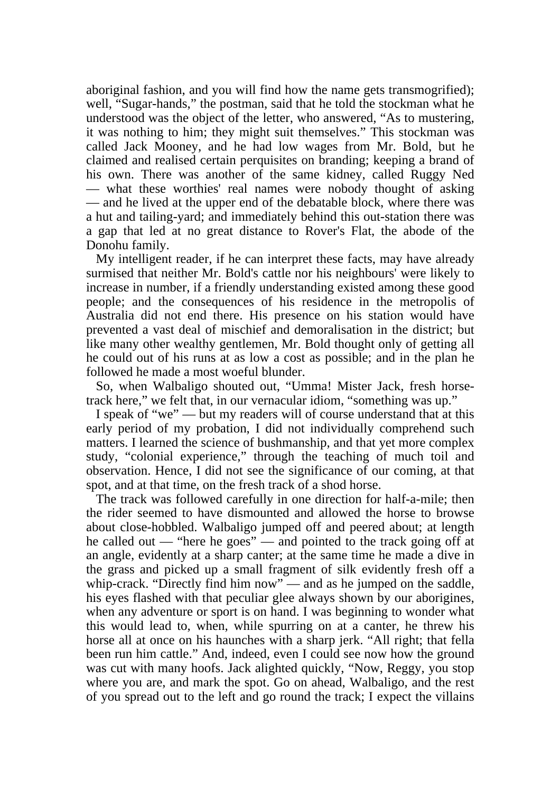aboriginal fashion, and you will find how the name gets transmogrified); well, "Sugar-hands," the postman, said that he told the stockman what he understood was the object of the letter, who answered, "As to mustering, it was nothing to him; they might suit themselves." This stockman was called Jack Mooney, and he had low wages from Mr. Bold, but he claimed and realised certain perquisites on branding; keeping a brand of his own. There was another of the same kidney, called Ruggy Ned — what these worthies' real names were nobody thought of asking — and he lived at the upper end of the debatable block, where there was a hut and tailing-yard; and immediately behind this out-station there was a gap that led at no great distance to Rover's Flat, the abode of the Donohu family.

 My intelligent reader, if he can interpret these facts, may have already surmised that neither Mr. Bold's cattle nor his neighbours' were likely to increase in number, if a friendly understanding existed among these good people; and the consequences of his residence in the metropolis of Australia did not end there. His presence on his station would have prevented a vast deal of mischief and demoralisation in the district; but like many other wealthy gentlemen, Mr. Bold thought only of getting all he could out of his runs at as low a cost as possible; and in the plan he followed he made a most woeful blunder.

 So, when Walbaligo shouted out, "Umma! Mister Jack, fresh horsetrack here," we felt that, in our vernacular idiom, "something was up."

 I speak of "we" — but my readers will of course understand that at this early period of my probation, I did not individually comprehend such matters. I learned the science of bushmanship, and that yet more complex study, "colonial experience," through the teaching of much toil and observation. Hence, I did not see the significance of our coming, at that spot, and at that time, on the fresh track of a shod horse.

 The track was followed carefully in one direction for half-a-mile; then the rider seemed to have dismounted and allowed the horse to browse about close-hobbled. Walbaligo jumped off and peered about; at length he called out — "here he goes" — and pointed to the track going off at an angle, evidently at a sharp canter; at the same time he made a dive in the grass and picked up a small fragment of silk evidently fresh off a whip-crack. "Directly find him now" — and as he jumped on the saddle, his eyes flashed with that peculiar glee always shown by our aborigines, when any adventure or sport is on hand. I was beginning to wonder what this would lead to, when, while spurring on at a canter, he threw his horse all at once on his haunches with a sharp jerk. "All right; that fella been run him cattle." And, indeed, even I could see now how the ground was cut with many hoofs. Jack alighted quickly, "Now, Reggy, you stop where you are, and mark the spot. Go on ahead, Walbaligo, and the rest of you spread out to the left and go round the track; I expect the villains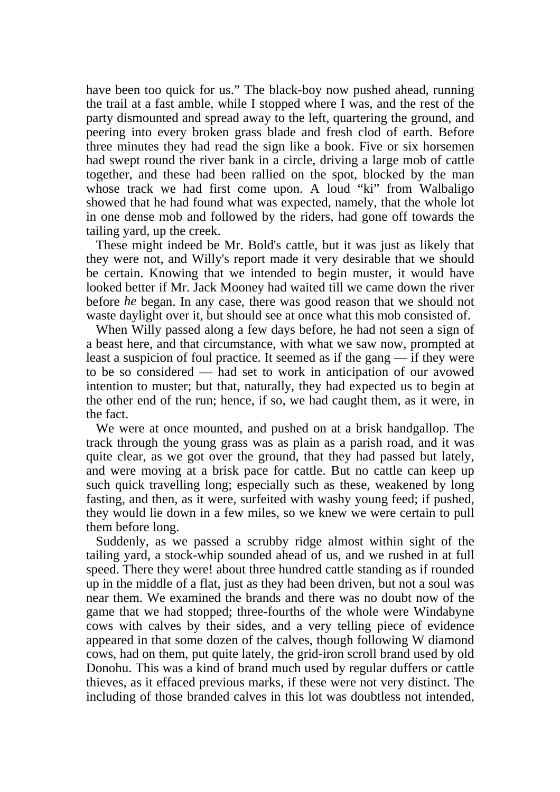have been too quick for us." The black-boy now pushed ahead, running the trail at a fast amble, while I stopped where I was, and the rest of the party dismounted and spread away to the left, quartering the ground, and peering into every broken grass blade and fresh clod of earth. Before three minutes they had read the sign like a book. Five or six horsemen had swept round the river bank in a circle, driving a large mob of cattle together, and these had been rallied on the spot, blocked by the man whose track we had first come upon. A loud "ki" from Walbaligo showed that he had found what was expected, namely, that the whole lot in one dense mob and followed by the riders, had gone off towards the tailing yard, up the creek.

 These might indeed be Mr. Bold's cattle, but it was just as likely that they were not, and Willy's report made it very desirable that we should be certain. Knowing that we intended to begin muster, it would have looked better if Mr. Jack Mooney had waited till we came down the river before *he* began. In any case, there was good reason that we should not waste daylight over it, but should see at once what this mob consisted of.

 When Willy passed along a few days before, he had not seen a sign of a beast here, and that circumstance, with what we saw now, prompted at least a suspicion of foul practice. It seemed as if the gang — if they were to be so considered — had set to work in anticipation of our avowed intention to muster; but that, naturally, they had expected us to begin at the other end of the run; hence, if so, we had caught them, as it were, in the fact.

 We were at once mounted, and pushed on at a brisk handgallop. The track through the young grass was as plain as a parish road, and it was quite clear, as we got over the ground, that they had passed but lately, and were moving at a brisk pace for cattle. But no cattle can keep up such quick travelling long; especially such as these, weakened by long fasting, and then, as it were, surfeited with washy young feed; if pushed, they would lie down in a few miles, so we knew we were certain to pull them before long.

 Suddenly, as we passed a scrubby ridge almost within sight of the tailing yard, a stock-whip sounded ahead of us, and we rushed in at full speed. There they were! about three hundred cattle standing as if rounded up in the middle of a flat, just as they had been driven, but not a soul was near them. We examined the brands and there was no doubt now of the game that we had stopped; three-fourths of the whole were Windabyne cows with calves by their sides, and a very telling piece of evidence appeared in that some dozen of the calves, though following W diamond cows, had on them, put quite lately, the grid-iron scroll brand used by old Donohu. This was a kind of brand much used by regular duffers or cattle thieves, as it effaced previous marks, if these were not very distinct. The including of those branded calves in this lot was doubtless not intended,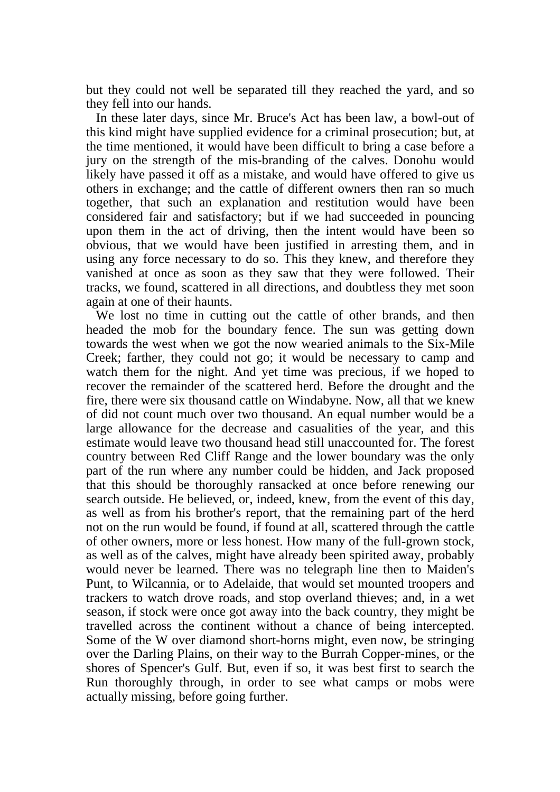but they could not well be separated till they reached the yard, and so they fell into our hands.

 In these later days, since Mr. Bruce's Act has been law, a bowl-out of this kind might have supplied evidence for a criminal prosecution; but, at the time mentioned, it would have been difficult to bring a case before a jury on the strength of the mis-branding of the calves. Donohu would likely have passed it off as a mistake, and would have offered to give us others in exchange; and the cattle of different owners then ran so much together, that such an explanation and restitution would have been considered fair and satisfactory; but if we had succeeded in pouncing upon them in the act of driving, then the intent would have been so obvious, that we would have been justified in arresting them, and in using any force necessary to do so. This they knew, and therefore they vanished at once as soon as they saw that they were followed. Their tracks, we found, scattered in all directions, and doubtless they met soon again at one of their haunts.

 We lost no time in cutting out the cattle of other brands, and then headed the mob for the boundary fence. The sun was getting down towards the west when we got the now wearied animals to the Six-Mile Creek; farther, they could not go; it would be necessary to camp and watch them for the night. And yet time was precious, if we hoped to recover the remainder of the scattered herd. Before the drought and the fire, there were six thousand cattle on Windabyne. Now, all that we knew of did not count much over two thousand. An equal number would be a large allowance for the decrease and casualities of the year, and this estimate would leave two thousand head still unaccounted for. The forest country between Red Cliff Range and the lower boundary was the only part of the run where any number could be hidden, and Jack proposed that this should be thoroughly ransacked at once before renewing our search outside. He believed, or, indeed, knew, from the event of this day, as well as from his brother's report, that the remaining part of the herd not on the run would be found, if found at all, scattered through the cattle of other owners, more or less honest. How many of the full-grown stock, as well as of the calves, might have already been spirited away, probably would never be learned. There was no telegraph line then to Maiden's Punt, to Wilcannia, or to Adelaide, that would set mounted troopers and trackers to watch drove roads, and stop overland thieves; and, in a wet season, if stock were once got away into the back country, they might be travelled across the continent without a chance of being intercepted. Some of the W over diamond short-horns might, even now, be stringing over the Darling Plains, on their way to the Burrah Copper-mines, or the shores of Spencer's Gulf. But, even if so, it was best first to search the Run thoroughly through, in order to see what camps or mobs were actually missing, before going further.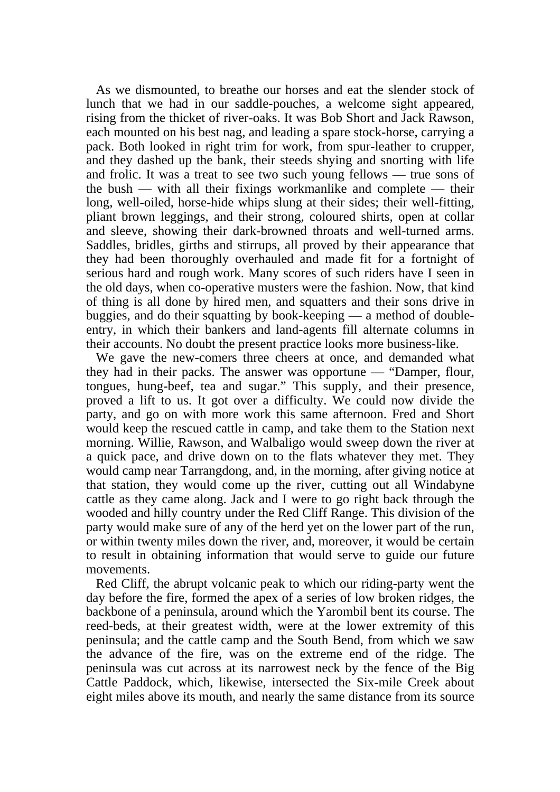As we dismounted, to breathe our horses and eat the slender stock of lunch that we had in our saddle-pouches, a welcome sight appeared, rising from the thicket of river-oaks. It was Bob Short and Jack Rawson, each mounted on his best nag, and leading a spare stock-horse, carrying a pack. Both looked in right trim for work, from spur-leather to crupper, and they dashed up the bank, their steeds shying and snorting with life and frolic. It was a treat to see two such young fellows — true sons of the bush — with all their fixings workmanlike and complete — their long, well-oiled, horse-hide whips slung at their sides; their well-fitting, pliant brown leggings, and their strong, coloured shirts, open at collar and sleeve, showing their dark-browned throats and well-turned arms. Saddles, bridles, girths and stirrups, all proved by their appearance that they had been thoroughly overhauled and made fit for a fortnight of serious hard and rough work. Many scores of such riders have I seen in the old days, when co-operative musters were the fashion. Now, that kind of thing is all done by hired men, and squatters and their sons drive in buggies, and do their squatting by book-keeping — a method of doubleentry, in which their bankers and land-agents fill alternate columns in their accounts. No doubt the present practice looks more business-like.

 We gave the new-comers three cheers at once, and demanded what they had in their packs. The answer was opportune — "Damper, flour, tongues, hung-beef, tea and sugar." This supply, and their presence, proved a lift to us. It got over a difficulty. We could now divide the party, and go on with more work this same afternoon. Fred and Short would keep the rescued cattle in camp, and take them to the Station next morning. Willie, Rawson, and Walbaligo would sweep down the river at a quick pace, and drive down on to the flats whatever they met. They would camp near Tarrangdong, and, in the morning, after giving notice at that station, they would come up the river, cutting out all Windabyne cattle as they came along. Jack and I were to go right back through the wooded and hilly country under the Red Cliff Range. This division of the party would make sure of any of the herd yet on the lower part of the run, or within twenty miles down the river, and, moreover, it would be certain to result in obtaining information that would serve to guide our future movements.

 Red Cliff, the abrupt volcanic peak to which our riding-party went the day before the fire, formed the apex of a series of low broken ridges, the backbone of a peninsula, around which the Yarombil bent its course. The reed-beds, at their greatest width, were at the lower extremity of this peninsula; and the cattle camp and the South Bend, from which we saw the advance of the fire, was on the extreme end of the ridge. The peninsula was cut across at its narrowest neck by the fence of the Big Cattle Paddock, which, likewise, intersected the Six-mile Creek about eight miles above its mouth, and nearly the same distance from its source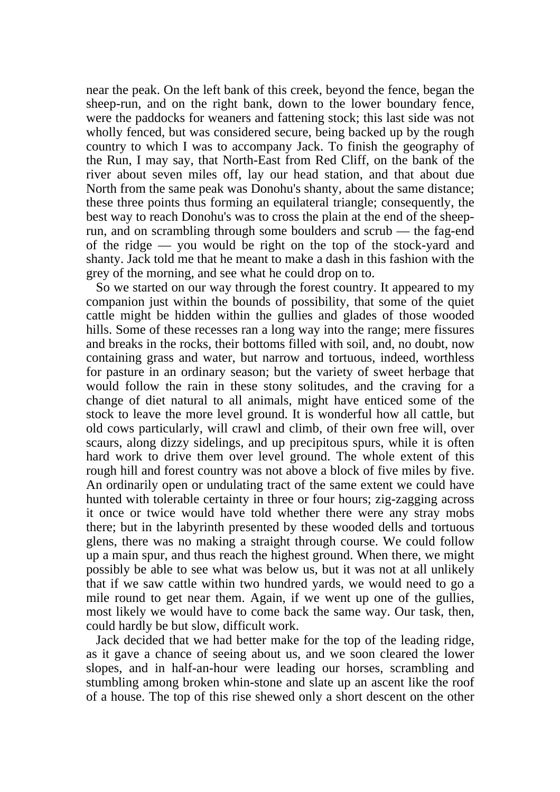near the peak. On the left bank of this creek, beyond the fence, began the sheep-run, and on the right bank, down to the lower boundary fence, were the paddocks for weaners and fattening stock; this last side was not wholly fenced, but was considered secure, being backed up by the rough country to which I was to accompany Jack. To finish the geography of the Run, I may say, that North-East from Red Cliff, on the bank of the river about seven miles off, lay our head station, and that about due North from the same peak was Donohu's shanty, about the same distance; these three points thus forming an equilateral triangle; consequently, the best way to reach Donohu's was to cross the plain at the end of the sheeprun, and on scrambling through some boulders and scrub — the fag-end of the ridge — you would be right on the top of the stock-yard and shanty. Jack told me that he meant to make a dash in this fashion with the grey of the morning, and see what he could drop on to.

 So we started on our way through the forest country. It appeared to my companion just within the bounds of possibility, that some of the quiet cattle might be hidden within the gullies and glades of those wooded hills. Some of these recesses ran a long way into the range; mere fissures and breaks in the rocks, their bottoms filled with soil, and, no doubt, now containing grass and water, but narrow and tortuous, indeed, worthless for pasture in an ordinary season; but the variety of sweet herbage that would follow the rain in these stony solitudes, and the craving for a change of diet natural to all animals, might have enticed some of the stock to leave the more level ground. It is wonderful how all cattle, but old cows particularly, will crawl and climb, of their own free will, over scaurs, along dizzy sidelings, and up precipitous spurs, while it is often hard work to drive them over level ground. The whole extent of this rough hill and forest country was not above a block of five miles by five. An ordinarily open or undulating tract of the same extent we could have hunted with tolerable certainty in three or four hours; zig-zagging across it once or twice would have told whether there were any stray mobs there; but in the labyrinth presented by these wooded dells and tortuous glens, there was no making a straight through course. We could follow up a main spur, and thus reach the highest ground. When there, we might possibly be able to see what was below us, but it was not at all unlikely that if we saw cattle within two hundred yards, we would need to go a mile round to get near them. Again, if we went up one of the gullies, most likely we would have to come back the same way. Our task, then, could hardly be but slow, difficult work.

 Jack decided that we had better make for the top of the leading ridge, as it gave a chance of seeing about us, and we soon cleared the lower slopes, and in half-an-hour were leading our horses, scrambling and stumbling among broken whin-stone and slate up an ascent like the roof of a house. The top of this rise shewed only a short descent on the other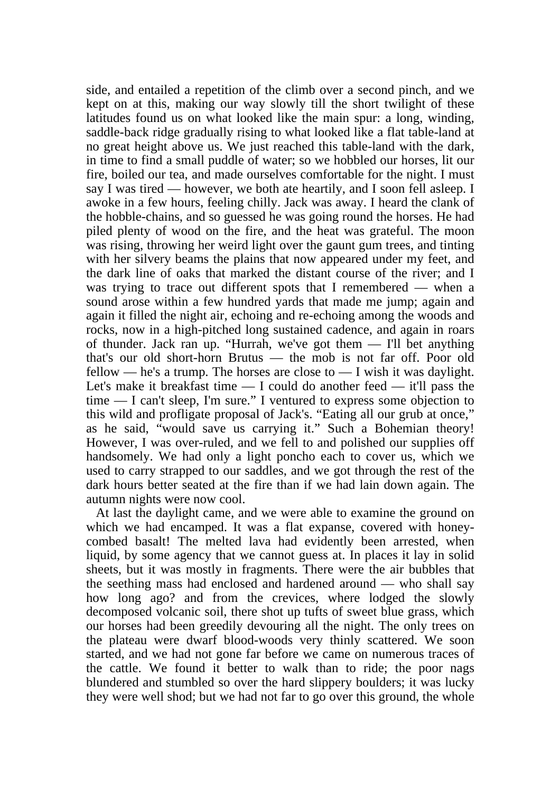side, and entailed a repetition of the climb over a second pinch, and we kept on at this, making our way slowly till the short twilight of these latitudes found us on what looked like the main spur: a long, winding, saddle-back ridge gradually rising to what looked like a flat table-land at no great height above us. We just reached this table-land with the dark, in time to find a small puddle of water; so we hobbled our horses, lit our fire, boiled our tea, and made ourselves comfortable for the night. I must say I was tired — however, we both ate heartily, and I soon fell asleep. I awoke in a few hours, feeling chilly. Jack was away. I heard the clank of the hobble-chains, and so guessed he was going round the horses. He had piled plenty of wood on the fire, and the heat was grateful. The moon was rising, throwing her weird light over the gaunt gum trees, and tinting with her silvery beams the plains that now appeared under my feet, and the dark line of oaks that marked the distant course of the river; and I was trying to trace out different spots that I remembered — when a sound arose within a few hundred yards that made me jump; again and again it filled the night air, echoing and re-echoing among the woods and rocks, now in a high-pitched long sustained cadence, and again in roars of thunder. Jack ran up. "Hurrah, we've got them — I'll bet anything that's our old short-horn Brutus — the mob is not far off. Poor old fellow — he's a trump. The horses are close to — I wish it was daylight. Let's make it breakfast time  $-1$  could do another feed  $-$  it'll pass the time — I can't sleep, I'm sure." I ventured to express some objection to this wild and profligate proposal of Jack's. "Eating all our grub at once," as he said, "would save us carrying it." Such a Bohemian theory! However, I was over-ruled, and we fell to and polished our supplies off handsomely. We had only a light poncho each to cover us, which we used to carry strapped to our saddles, and we got through the rest of the dark hours better seated at the fire than if we had lain down again. The autumn nights were now cool.

 At last the daylight came, and we were able to examine the ground on which we had encamped. It was a flat expanse, covered with honeycombed basalt! The melted lava had evidently been arrested, when liquid, by some agency that we cannot guess at. In places it lay in solid sheets, but it was mostly in fragments. There were the air bubbles that the seething mass had enclosed and hardened around — who shall say how long ago? and from the crevices, where lodged the slowly decomposed volcanic soil, there shot up tufts of sweet blue grass, which our horses had been greedily devouring all the night. The only trees on the plateau were dwarf blood-woods very thinly scattered. We soon started, and we had not gone far before we came on numerous traces of the cattle. We found it better to walk than to ride; the poor nags blundered and stumbled so over the hard slippery boulders; it was lucky they were well shod; but we had not far to go over this ground, the whole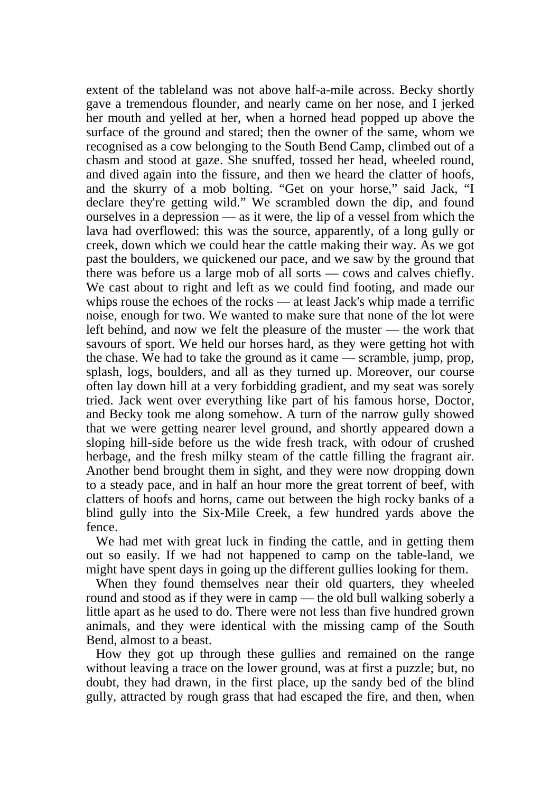extent of the tableland was not above half-a-mile across. Becky shortly gave a tremendous flounder, and nearly came on her nose, and I jerked her mouth and yelled at her, when a horned head popped up above the surface of the ground and stared; then the owner of the same, whom we recognised as a cow belonging to the South Bend Camp, climbed out of a chasm and stood at gaze. She snuffed, tossed her head, wheeled round, and dived again into the fissure, and then we heard the clatter of hoofs, and the skurry of a mob bolting. "Get on your horse," said Jack, "I declare they're getting wild." We scrambled down the dip, and found ourselves in a depression — as it were, the lip of a vessel from which the lava had overflowed: this was the source, apparently, of a long gully or creek, down which we could hear the cattle making their way. As we got past the boulders, we quickened our pace, and we saw by the ground that there was before us a large mob of all sorts — cows and calves chiefly. We cast about to right and left as we could find footing, and made our whips rouse the echoes of the rocks — at least Jack's whip made a terrific noise, enough for two. We wanted to make sure that none of the lot were left behind, and now we felt the pleasure of the muster — the work that savours of sport. We held our horses hard, as they were getting hot with the chase. We had to take the ground as it came — scramble, jump, prop, splash, logs, boulders, and all as they turned up. Moreover, our course often lay down hill at a very forbidding gradient, and my seat was sorely tried. Jack went over everything like part of his famous horse, Doctor, and Becky took me along somehow. A turn of the narrow gully showed that we were getting nearer level ground, and shortly appeared down a sloping hill-side before us the wide fresh track, with odour of crushed herbage, and the fresh milky steam of the cattle filling the fragrant air. Another bend brought them in sight, and they were now dropping down to a steady pace, and in half an hour more the great torrent of beef, with clatters of hoofs and horns, came out between the high rocky banks of a blind gully into the Six-Mile Creek, a few hundred yards above the fence.

 We had met with great luck in finding the cattle, and in getting them out so easily. If we had not happened to camp on the table-land, we might have spent days in going up the different gullies looking for them.

 When they found themselves near their old quarters, they wheeled round and stood as if they were in camp — the old bull walking soberly a little apart as he used to do. There were not less than five hundred grown animals, and they were identical with the missing camp of the South Bend, almost to a beast.

 How they got up through these gullies and remained on the range without leaving a trace on the lower ground, was at first a puzzle; but, no doubt, they had drawn, in the first place, up the sandy bed of the blind gully, attracted by rough grass that had escaped the fire, and then, when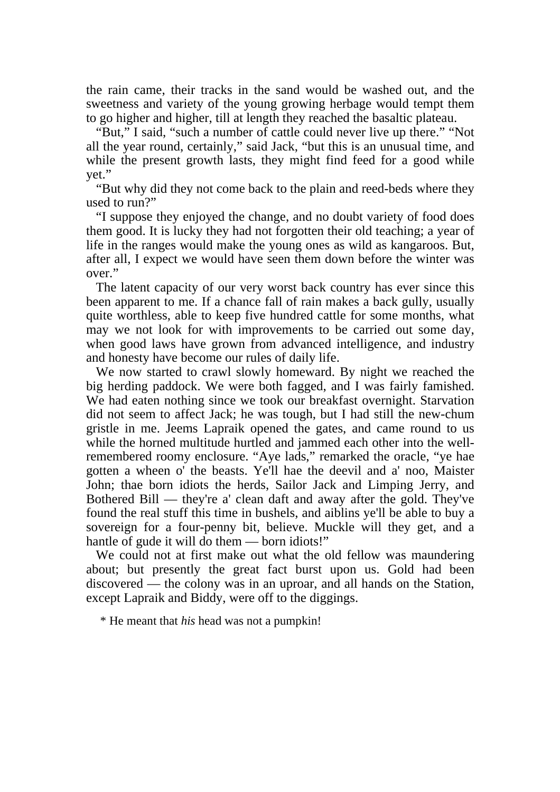the rain came, their tracks in the sand would be washed out, and the sweetness and variety of the young growing herbage would tempt them to go higher and higher, till at length they reached the basaltic plateau.

 "But," I said, "such a number of cattle could never live up there." "Not all the year round, certainly," said Jack, "but this is an unusual time, and while the present growth lasts, they might find feed for a good while yet."

 "But why did they not come back to the plain and reed-beds where they used to run?"

 "I suppose they enjoyed the change, and no doubt variety of food does them good. It is lucky they had not forgotten their old teaching; a year of life in the ranges would make the young ones as wild as kangaroos. But, after all, I expect we would have seen them down before the winter was over."

 The latent capacity of our very worst back country has ever since this been apparent to me. If a chance fall of rain makes a back gully, usually quite worthless, able to keep five hundred cattle for some months, what may we not look for with improvements to be carried out some day, when good laws have grown from advanced intelligence, and industry and honesty have become our rules of daily life.

 We now started to crawl slowly homeward. By night we reached the big herding paddock. We were both fagged, and I was fairly famished. We had eaten nothing since we took our breakfast overnight. Starvation did not seem to affect Jack; he was tough, but I had still the new-chum gristle in me. Jeems Lapraik opened the gates, and came round to us while the horned multitude hurtled and jammed each other into the wellremembered roomy enclosure. "Aye lads," remarked the oracle, "ye hae gotten a wheen o' the beasts. Ye'll hae the deevil and a' noo, Maister John; thae born idiots the herds, Sailor Jack and Limping Jerry, and Bothered Bill — they're a' clean daft and away after the gold. They've found the real stuff this time in bushels, and aiblins ye'll be able to buy a sovereign for a four-penny bit, believe. Muckle will they get, and a hantle of gude it will do them — born idiots!"

 We could not at first make out what the old fellow was maundering about; but presently the great fact burst upon us. Gold had been discovered — the colony was in an uproar, and all hands on the Station, except Lapraik and Biddy, were off to the diggings.

\* He meant that *his* head was not a pumpkin!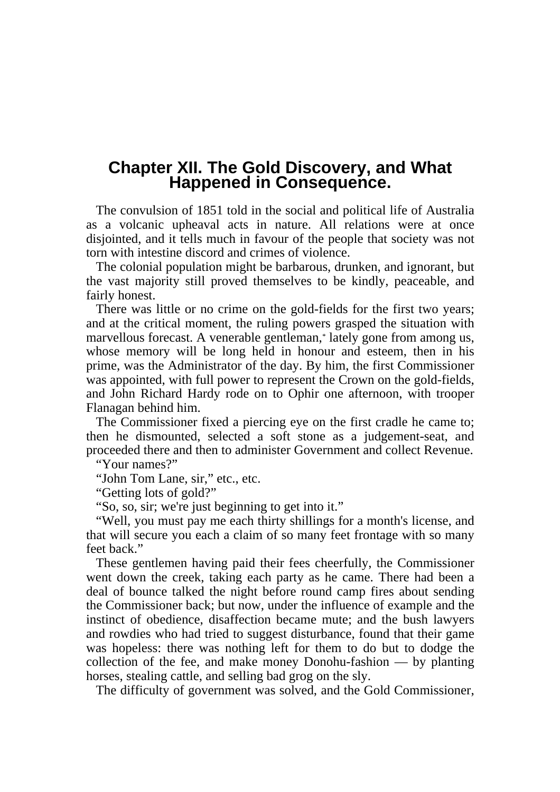## **Chapter XII. The Gold Discovery, and What Happened in Consequence.**

 The convulsion of 1851 told in the social and political life of Australia as a volcanic upheaval acts in nature. All relations were at once disjointed, and it tells much in favour of the people that society was not torn with intestine discord and crimes of violence.

 The colonial population might be barbarous, drunken, and ignorant, but the vast majority still proved themselves to be kindly, peaceable, and fairly honest.

 There was little or no crime on the gold-fields for the first two years; and at the critical moment, the ruling powers grasped the situation with marvellous forecast. A venerable gentleman,\* lately gone from among us, whose memory will be long held in honour and esteem, then in his prime, was the Administrator of the day. By him, the first Commissioner was appointed, with full power to represent the Crown on the gold-fields, and John Richard Hardy rode on to Ophir one afternoon, with trooper Flanagan behind him.

 The Commissioner fixed a piercing eye on the first cradle he came to; then he dismounted, selected a soft stone as a judgement-seat, and proceeded there and then to administer Government and collect Revenue.

"Your names?"

"John Tom Lane, sir," etc., etc.

"Getting lots of gold?"

"So, so, sir; we're just beginning to get into it."

 "Well, you must pay me each thirty shillings for a month's license, and that will secure you each a claim of so many feet frontage with so many feet back."

 These gentlemen having paid their fees cheerfully, the Commissioner went down the creek, taking each party as he came. There had been a deal of bounce talked the night before round camp fires about sending the Commissioner back; but now, under the influence of example and the instinct of obedience, disaffection became mute; and the bush lawyers and rowdies who had tried to suggest disturbance, found that their game was hopeless: there was nothing left for them to do but to dodge the collection of the fee, and make money Donohu-fashion — by planting horses, stealing cattle, and selling bad grog on the sly.

The difficulty of government was solved, and the Gold Commissioner,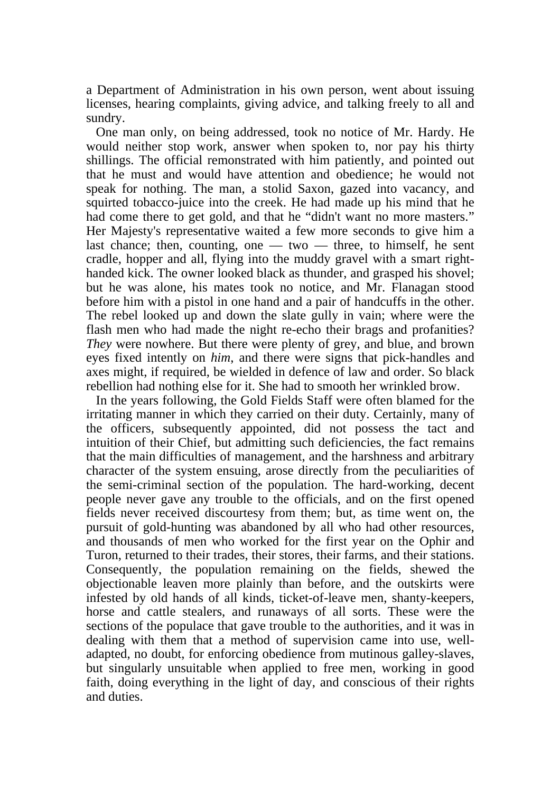a Department of Administration in his own person, went about issuing licenses, hearing complaints, giving advice, and talking freely to all and sundry.

 One man only, on being addressed, took no notice of Mr. Hardy. He would neither stop work, answer when spoken to, nor pay his thirty shillings. The official remonstrated with him patiently, and pointed out that he must and would have attention and obedience; he would not speak for nothing. The man, a stolid Saxon, gazed into vacancy, and squirted tobacco-juice into the creek. He had made up his mind that he had come there to get gold, and that he "didn't want no more masters." Her Majesty's representative waited a few more seconds to give him a last chance; then, counting, one  $-$  two  $-$  three, to himself, he sent cradle, hopper and all, flying into the muddy gravel with a smart righthanded kick. The owner looked black as thunder, and grasped his shovel; but he was alone, his mates took no notice, and Mr. Flanagan stood before him with a pistol in one hand and a pair of handcuffs in the other. The rebel looked up and down the slate gully in vain; where were the flash men who had made the night re-echo their brags and profanities? *They* were nowhere. But there were plenty of grey, and blue, and brown eyes fixed intently on *him*, and there were signs that pick-handles and axes might, if required, be wielded in defence of law and order. So black rebellion had nothing else for it. She had to smooth her wrinkled brow.

 In the years following, the Gold Fields Staff were often blamed for the irritating manner in which they carried on their duty. Certainly, many of the officers, subsequently appointed, did not possess the tact and intuition of their Chief, but admitting such deficiencies, the fact remains that the main difficulties of management, and the harshness and arbitrary character of the system ensuing, arose directly from the peculiarities of the semi-criminal section of the population. The hard-working, decent people never gave any trouble to the officials, and on the first opened fields never received discourtesy from them; but, as time went on, the pursuit of gold-hunting was abandoned by all who had other resources, and thousands of men who worked for the first year on the Ophir and Turon, returned to their trades, their stores, their farms, and their stations. Consequently, the population remaining on the fields, shewed the objectionable leaven more plainly than before, and the outskirts were infested by old hands of all kinds, ticket-of-leave men, shanty-keepers, horse and cattle stealers, and runaways of all sorts. These were the sections of the populace that gave trouble to the authorities, and it was in dealing with them that a method of supervision came into use, welladapted, no doubt, for enforcing obedience from mutinous galley-slaves, but singularly unsuitable when applied to free men, working in good faith, doing everything in the light of day, and conscious of their rights and duties.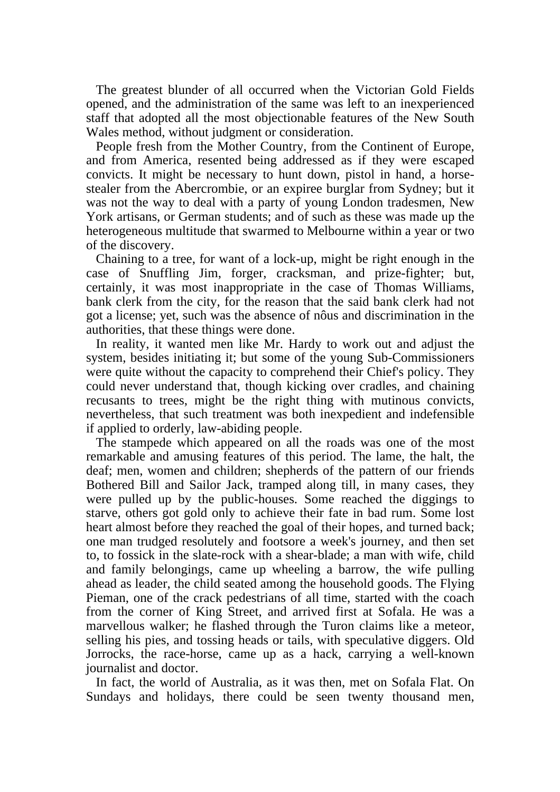The greatest blunder of all occurred when the Victorian Gold Fields opened, and the administration of the same was left to an inexperienced staff that adopted all the most objectionable features of the New South Wales method, without judgment or consideration.

 People fresh from the Mother Country, from the Continent of Europe, and from America, resented being addressed as if they were escaped convicts. It might be necessary to hunt down, pistol in hand, a horsestealer from the Abercrombie, or an expiree burglar from Sydney; but it was not the way to deal with a party of young London tradesmen, New York artisans, or German students; and of such as these was made up the heterogeneous multitude that swarmed to Melbourne within a year or two of the discovery.

 Chaining to a tree, for want of a lock-up, might be right enough in the case of Snuffling Jim, forger, cracksman, and prize-fighter; but, certainly, it was most inappropriate in the case of Thomas Williams, bank clerk from the city, for the reason that the said bank clerk had not got a license; yet, such was the absence of nôus and discrimination in the authorities, that these things were done.

 In reality, it wanted men like Mr. Hardy to work out and adjust the system, besides initiating it; but some of the young Sub-Commissioners were quite without the capacity to comprehend their Chief's policy. They could never understand that, though kicking over cradles, and chaining recusants to trees, might be the right thing with mutinous convicts, nevertheless, that such treatment was both inexpedient and indefensible if applied to orderly, law-abiding people.

 The stampede which appeared on all the roads was one of the most remarkable and amusing features of this period. The lame, the halt, the deaf; men, women and children; shepherds of the pattern of our friends Bothered Bill and Sailor Jack, tramped along till, in many cases, they were pulled up by the public-houses. Some reached the diggings to starve, others got gold only to achieve their fate in bad rum. Some lost heart almost before they reached the goal of their hopes, and turned back; one man trudged resolutely and footsore a week's journey, and then set to, to fossick in the slate-rock with a shear-blade; a man with wife, child and family belongings, came up wheeling a barrow, the wife pulling ahead as leader, the child seated among the household goods. The Flying Pieman, one of the crack pedestrians of all time, started with the coach from the corner of King Street, and arrived first at Sofala. He was a marvellous walker; he flashed through the Turon claims like a meteor, selling his pies, and tossing heads or tails, with speculative diggers. Old Jorrocks, the race-horse, came up as a hack, carrying a well-known journalist and doctor.

 In fact, the world of Australia, as it was then, met on Sofala Flat. On Sundays and holidays, there could be seen twenty thousand men,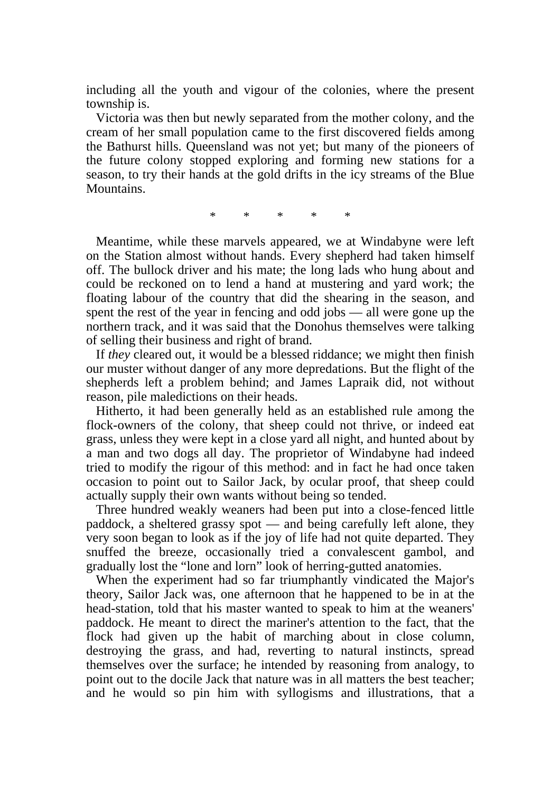including all the youth and vigour of the colonies, where the present township is.

 Victoria was then but newly separated from the mother colony, and the cream of her small population came to the first discovered fields among the Bathurst hills. Queensland was not yet; but many of the pioneers of the future colony stopped exploring and forming new stations for a season, to try their hands at the gold drifts in the icy streams of the Blue Mountains.

\* \* \* \* \*

 Meantime, while these marvels appeared, we at Windabyne were left on the Station almost without hands. Every shepherd had taken himself off. The bullock driver and his mate; the long lads who hung about and could be reckoned on to lend a hand at mustering and yard work; the floating labour of the country that did the shearing in the season, and spent the rest of the year in fencing and odd jobs — all were gone up the northern track, and it was said that the Donohus themselves were talking of selling their business and right of brand.

 If *they* cleared out, it would be a blessed riddance; we might then finish our muster without danger of any more depredations. But the flight of the shepherds left a problem behind; and James Lapraik did, not without reason, pile maledictions on their heads.

 Hitherto, it had been generally held as an established rule among the flock-owners of the colony, that sheep could not thrive, or indeed eat grass, unless they were kept in a close yard all night, and hunted about by a man and two dogs all day. The proprietor of Windabyne had indeed tried to modify the rigour of this method: and in fact he had once taken occasion to point out to Sailor Jack, by ocular proof, that sheep could actually supply their own wants without being so tended.

 Three hundred weakly weaners had been put into a close-fenced little paddock, a sheltered grassy spot — and being carefully left alone, they very soon began to look as if the joy of life had not quite departed. They snuffed the breeze, occasionally tried a convalescent gambol, and gradually lost the "lone and lorn" look of herring-gutted anatomies.

 When the experiment had so far triumphantly vindicated the Major's theory, Sailor Jack was, one afternoon that he happened to be in at the head-station, told that his master wanted to speak to him at the weaners' paddock. He meant to direct the mariner's attention to the fact, that the flock had given up the habit of marching about in close column, destroying the grass, and had, reverting to natural instincts, spread themselves over the surface; he intended by reasoning from analogy, to point out to the docile Jack that nature was in all matters the best teacher; and he would so pin him with syllogisms and illustrations, that a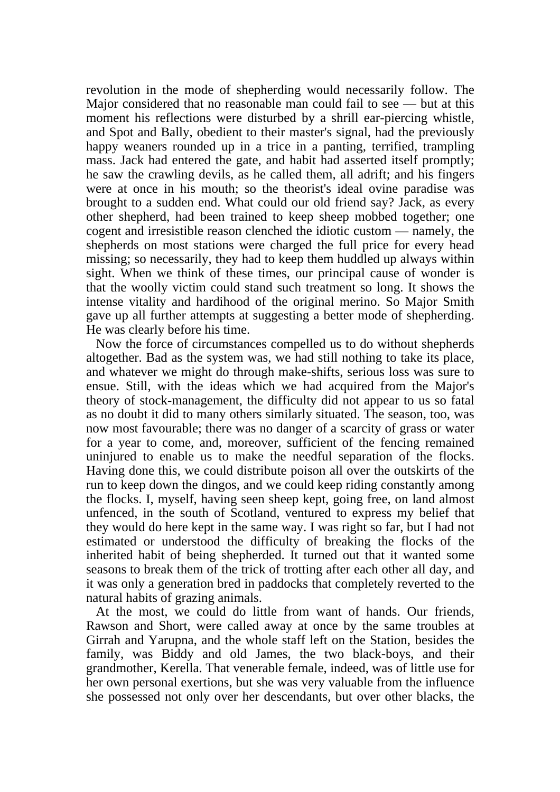revolution in the mode of shepherding would necessarily follow. The Major considered that no reasonable man could fail to see — but at this moment his reflections were disturbed by a shrill ear-piercing whistle, and Spot and Bally, obedient to their master's signal, had the previously happy weaners rounded up in a trice in a panting, terrified, trampling mass. Jack had entered the gate, and habit had asserted itself promptly; he saw the crawling devils, as he called them, all adrift; and his fingers were at once in his mouth; so the theorist's ideal ovine paradise was brought to a sudden end. What could our old friend say? Jack, as every other shepherd, had been trained to keep sheep mobbed together; one cogent and irresistible reason clenched the idiotic custom — namely, the shepherds on most stations were charged the full price for every head missing; so necessarily, they had to keep them huddled up always within sight. When we think of these times, our principal cause of wonder is that the woolly victim could stand such treatment so long. It shows the intense vitality and hardihood of the original merino. So Major Smith gave up all further attempts at suggesting a better mode of shepherding. He was clearly before his time.

 Now the force of circumstances compelled us to do without shepherds altogether. Bad as the system was, we had still nothing to take its place, and whatever we might do through make-shifts, serious loss was sure to ensue. Still, with the ideas which we had acquired from the Major's theory of stock-management, the difficulty did not appear to us so fatal as no doubt it did to many others similarly situated. The season, too, was now most favourable; there was no danger of a scarcity of grass or water for a year to come, and, moreover, sufficient of the fencing remained uninjured to enable us to make the needful separation of the flocks. Having done this, we could distribute poison all over the outskirts of the run to keep down the dingos, and we could keep riding constantly among the flocks. I, myself, having seen sheep kept, going free, on land almost unfenced, in the south of Scotland, ventured to express my belief that they would do here kept in the same way. I was right so far, but I had not estimated or understood the difficulty of breaking the flocks of the inherited habit of being shepherded. It turned out that it wanted some seasons to break them of the trick of trotting after each other all day, and it was only a generation bred in paddocks that completely reverted to the natural habits of grazing animals.

 At the most, we could do little from want of hands. Our friends, Rawson and Short, were called away at once by the same troubles at Girrah and Yarupna, and the whole staff left on the Station, besides the family, was Biddy and old James, the two black-boys, and their grandmother, Kerella. That venerable female, indeed, was of little use for her own personal exertions, but she was very valuable from the influence she possessed not only over her descendants, but over other blacks, the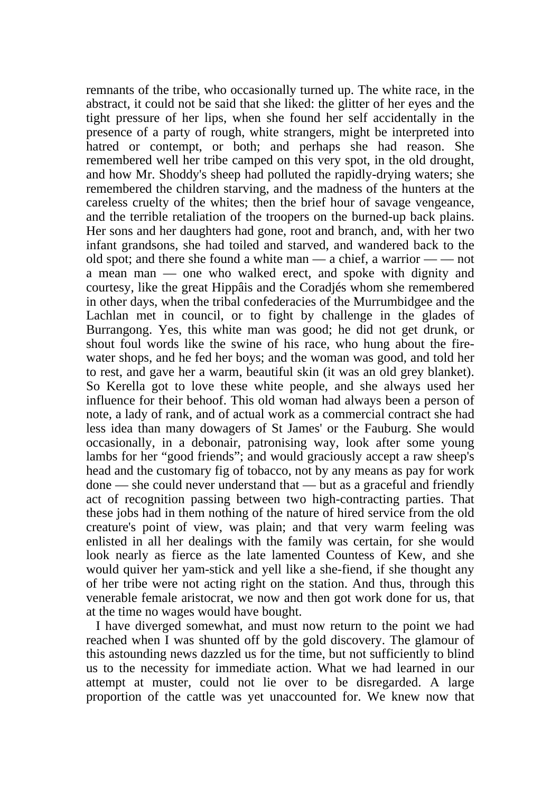remnants of the tribe, who occasionally turned up. The white race, in the abstract, it could not be said that she liked: the glitter of her eyes and the tight pressure of her lips, when she found her self accidentally in the presence of a party of rough, white strangers, might be interpreted into hatred or contempt, or both; and perhaps she had reason. She remembered well her tribe camped on this very spot, in the old drought, and how Mr. Shoddy's sheep had polluted the rapidly-drying waters; she remembered the children starving, and the madness of the hunters at the careless cruelty of the whites; then the brief hour of savage vengeance, and the terrible retaliation of the troopers on the burned-up back plains. Her sons and her daughters had gone, root and branch, and, with her two infant grandsons, she had toiled and starved, and wandered back to the old spot; and there she found a white man — a chief, a warrior — — not a mean man — one who walked erect, and spoke with dignity and courtesy, like the great Hippâis and the Coradjés whom she remembered in other days, when the tribal confederacies of the Murrumbidgee and the Lachlan met in council, or to fight by challenge in the glades of Burrangong. Yes, this white man was good; he did not get drunk, or shout foul words like the swine of his race, who hung about the firewater shops, and he fed her boys; and the woman was good, and told her to rest, and gave her a warm, beautiful skin (it was an old grey blanket). So Kerella got to love these white people, and she always used her influence for their behoof. This old woman had always been a person of note, a lady of rank, and of actual work as a commercial contract she had less idea than many dowagers of St James' or the Fauburg. She would occasionally, in a debonair, patronising way, look after some young lambs for her "good friends"; and would graciously accept a raw sheep's head and the customary fig of tobacco, not by any means as pay for work done — she could never understand that — but as a graceful and friendly act of recognition passing between two high-contracting parties. That these jobs had in them nothing of the nature of hired service from the old creature's point of view, was plain; and that very warm feeling was enlisted in all her dealings with the family was certain, for she would look nearly as fierce as the late lamented Countess of Kew, and she would quiver her yam-stick and yell like a she-fiend, if she thought any of her tribe were not acting right on the station. And thus, through this venerable female aristocrat, we now and then got work done for us, that at the time no wages would have bought.

 I have diverged somewhat, and must now return to the point we had reached when I was shunted off by the gold discovery. The glamour of this astounding news dazzled us for the time, but not sufficiently to blind us to the necessity for immediate action. What we had learned in our attempt at muster, could not lie over to be disregarded. A large proportion of the cattle was yet unaccounted for. We knew now that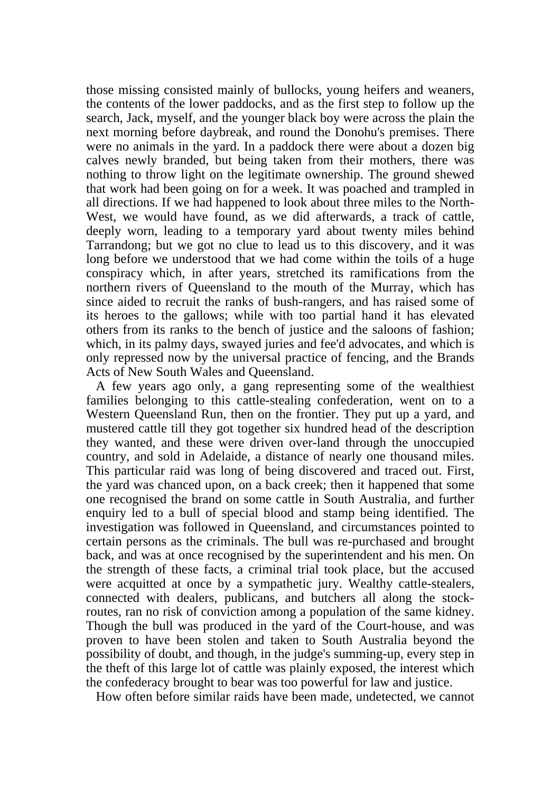those missing consisted mainly of bullocks, young heifers and weaners, the contents of the lower paddocks, and as the first step to follow up the search, Jack, myself, and the younger black boy were across the plain the next morning before daybreak, and round the Donohu's premises. There were no animals in the yard. In a paddock there were about a dozen big calves newly branded, but being taken from their mothers, there was nothing to throw light on the legitimate ownership. The ground shewed that work had been going on for a week. It was poached and trampled in all directions. If we had happened to look about three miles to the North-West, we would have found, as we did afterwards, a track of cattle, deeply worn, leading to a temporary yard about twenty miles behind Tarrandong; but we got no clue to lead us to this discovery, and it was long before we understood that we had come within the toils of a huge conspiracy which, in after years, stretched its ramifications from the northern rivers of Queensland to the mouth of the Murray, which has since aided to recruit the ranks of bush-rangers, and has raised some of its heroes to the gallows; while with too partial hand it has elevated others from its ranks to the bench of justice and the saloons of fashion; which, in its palmy days, swayed juries and fee'd advocates, and which is only repressed now by the universal practice of fencing, and the Brands Acts of New South Wales and Queensland.

 A few years ago only, a gang representing some of the wealthiest families belonging to this cattle-stealing confederation, went on to a Western Queensland Run, then on the frontier. They put up a yard, and mustered cattle till they got together six hundred head of the description they wanted, and these were driven over-land through the unoccupied country, and sold in Adelaide, a distance of nearly one thousand miles. This particular raid was long of being discovered and traced out. First, the yard was chanced upon, on a back creek; then it happened that some one recognised the brand on some cattle in South Australia, and further enquiry led to a bull of special blood and stamp being identified. The investigation was followed in Queensland, and circumstances pointed to certain persons as the criminals. The bull was re-purchased and brought back, and was at once recognised by the superintendent and his men. On the strength of these facts, a criminal trial took place, but the accused were acquitted at once by a sympathetic jury. Wealthy cattle-stealers, connected with dealers, publicans, and butchers all along the stockroutes, ran no risk of conviction among a population of the same kidney. Though the bull was produced in the yard of the Court-house, and was proven to have been stolen and taken to South Australia beyond the possibility of doubt, and though, in the judge's summing-up, every step in the theft of this large lot of cattle was plainly exposed, the interest which the confederacy brought to bear was too powerful for law and justice.

How often before similar raids have been made, undetected, we cannot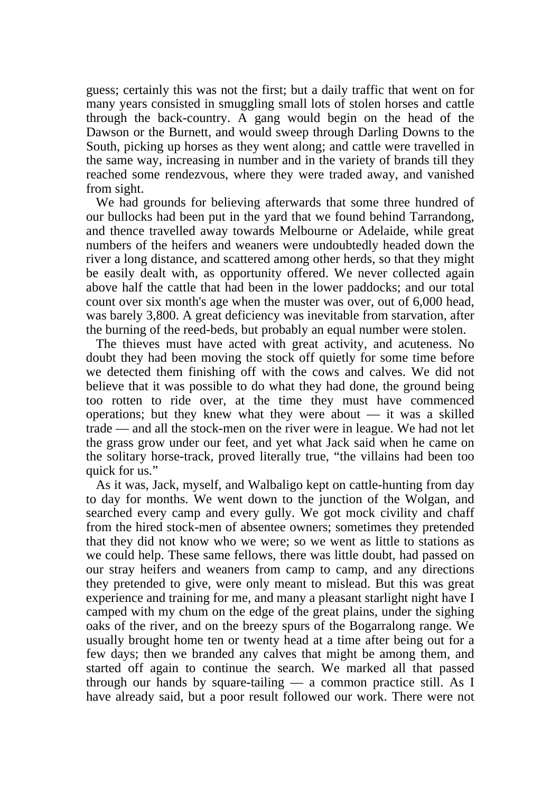guess; certainly this was not the first; but a daily traffic that went on for many years consisted in smuggling small lots of stolen horses and cattle through the back-country. A gang would begin on the head of the Dawson or the Burnett, and would sweep through Darling Downs to the South, picking up horses as they went along; and cattle were travelled in the same way, increasing in number and in the variety of brands till they reached some rendezvous, where they were traded away, and vanished from sight.

 We had grounds for believing afterwards that some three hundred of our bullocks had been put in the yard that we found behind Tarrandong, and thence travelled away towards Melbourne or Adelaide, while great numbers of the heifers and weaners were undoubtedly headed down the river a long distance, and scattered among other herds, so that they might be easily dealt with, as opportunity offered. We never collected again above half the cattle that had been in the lower paddocks; and our total count over six month's age when the muster was over, out of 6,000 head, was barely 3,800. A great deficiency was inevitable from starvation, after the burning of the reed-beds, but probably an equal number were stolen.

 The thieves must have acted with great activity, and acuteness. No doubt they had been moving the stock off quietly for some time before we detected them finishing off with the cows and calves. We did not believe that it was possible to do what they had done, the ground being too rotten to ride over, at the time they must have commenced operations; but they knew what they were about — it was a skilled trade — and all the stock-men on the river were in league. We had not let the grass grow under our feet, and yet what Jack said when he came on the solitary horse-track, proved literally true, "the villains had been too quick for us."

 As it was, Jack, myself, and Walbaligo kept on cattle-hunting from day to day for months. We went down to the junction of the Wolgan, and searched every camp and every gully. We got mock civility and chaff from the hired stock-men of absentee owners; sometimes they pretended that they did not know who we were; so we went as little to stations as we could help. These same fellows, there was little doubt, had passed on our stray heifers and weaners from camp to camp, and any directions they pretended to give, were only meant to mislead. But this was great experience and training for me, and many a pleasant starlight night have I camped with my chum on the edge of the great plains, under the sighing oaks of the river, and on the breezy spurs of the Bogarralong range. We usually brought home ten or twenty head at a time after being out for a few days; then we branded any calves that might be among them, and started off again to continue the search. We marked all that passed through our hands by square-tailing — a common practice still. As I have already said, but a poor result followed our work. There were not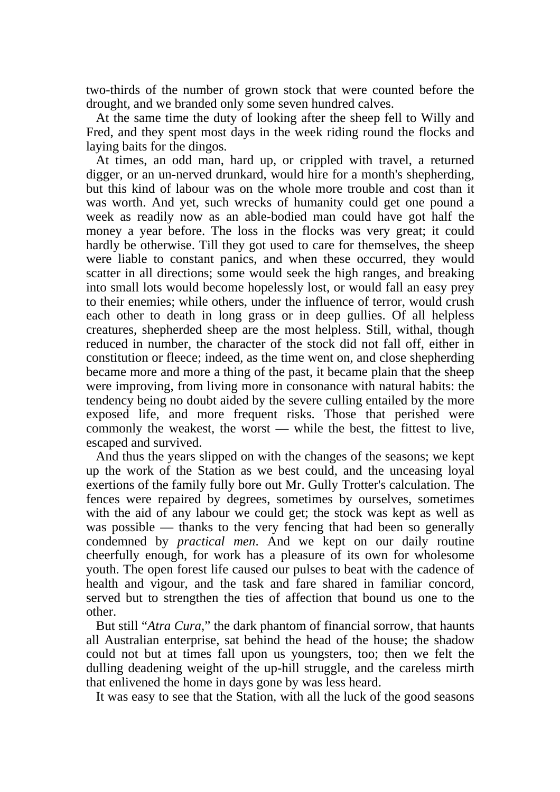two-thirds of the number of grown stock that were counted before the drought, and we branded only some seven hundred calves.

 At the same time the duty of looking after the sheep fell to Willy and Fred, and they spent most days in the week riding round the flocks and laying baits for the dingos.

 At times, an odd man, hard up, or crippled with travel, a returned digger, or an un-nerved drunkard, would hire for a month's shepherding, but this kind of labour was on the whole more trouble and cost than it was worth. And yet, such wrecks of humanity could get one pound a week as readily now as an able-bodied man could have got half the money a year before. The loss in the flocks was very great; it could hardly be otherwise. Till they got used to care for themselves, the sheep were liable to constant panics, and when these occurred, they would scatter in all directions; some would seek the high ranges, and breaking into small lots would become hopelessly lost, or would fall an easy prey to their enemies; while others, under the influence of terror, would crush each other to death in long grass or in deep gullies. Of all helpless creatures, shepherded sheep are the most helpless. Still, withal, though reduced in number, the character of the stock did not fall off, either in constitution or fleece; indeed, as the time went on, and close shepherding became more and more a thing of the past, it became plain that the sheep were improving, from living more in consonance with natural habits: the tendency being no doubt aided by the severe culling entailed by the more exposed life, and more frequent risks. Those that perished were commonly the weakest, the worst — while the best, the fittest to live, escaped and survived.

 And thus the years slipped on with the changes of the seasons; we kept up the work of the Station as we best could, and the unceasing loyal exertions of the family fully bore out Mr. Gully Trotter's calculation. The fences were repaired by degrees, sometimes by ourselves, sometimes with the aid of any labour we could get; the stock was kept as well as was possible — thanks to the very fencing that had been so generally condemned by *practical men*. And we kept on our daily routine cheerfully enough, for work has a pleasure of its own for wholesome youth. The open forest life caused our pulses to beat with the cadence of health and vigour, and the task and fare shared in familiar concord, served but to strengthen the ties of affection that bound us one to the other.

 But still "*Atra Cura*," the dark phantom of financial sorrow, that haunts all Australian enterprise, sat behind the head of the house; the shadow could not but at times fall upon us youngsters, too; then we felt the dulling deadening weight of the up-hill struggle, and the careless mirth that enlivened the home in days gone by was less heard.

It was easy to see that the Station, with all the luck of the good seasons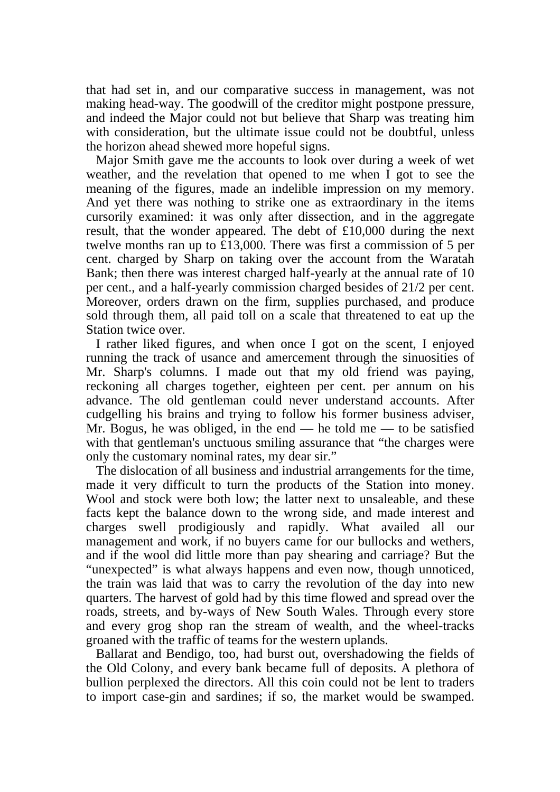that had set in, and our comparative success in management, was not making head-way. The goodwill of the creditor might postpone pressure, and indeed the Major could not but believe that Sharp was treating him with consideration, but the ultimate issue could not be doubtful, unless the horizon ahead shewed more hopeful signs.

 Major Smith gave me the accounts to look over during a week of wet weather, and the revelation that opened to me when I got to see the meaning of the figures, made an indelible impression on my memory. And yet there was nothing to strike one as extraordinary in the items cursorily examined: it was only after dissection, and in the aggregate result, that the wonder appeared. The debt of £10,000 during the next twelve months ran up to £13,000. There was first a commission of 5 per cent. charged by Sharp on taking over the account from the Waratah Bank; then there was interest charged half-yearly at the annual rate of 10 per cent., and a half-yearly commission charged besides of 21/2 per cent. Moreover, orders drawn on the firm, supplies purchased, and produce sold through them, all paid toll on a scale that threatened to eat up the Station twice over.

 I rather liked figures, and when once I got on the scent, I enjoyed running the track of usance and amercement through the sinuosities of Mr. Sharp's columns. I made out that my old friend was paying, reckoning all charges together, eighteen per cent. per annum on his advance. The old gentleman could never understand accounts. After cudgelling his brains and trying to follow his former business adviser, Mr. Bogus, he was obliged, in the end — he told me — to be satisfied with that gentleman's unctuous smiling assurance that "the charges were only the customary nominal rates, my dear sir."

 The dislocation of all business and industrial arrangements for the time, made it very difficult to turn the products of the Station into money. Wool and stock were both low; the latter next to unsaleable, and these facts kept the balance down to the wrong side, and made interest and charges swell prodigiously and rapidly. What availed all our management and work, if no buyers came for our bullocks and wethers, and if the wool did little more than pay shearing and carriage? But the "unexpected" is what always happens and even now, though unnoticed, the train was laid that was to carry the revolution of the day into new quarters. The harvest of gold had by this time flowed and spread over the roads, streets, and by-ways of New South Wales. Through every store and every grog shop ran the stream of wealth, and the wheel-tracks groaned with the traffic of teams for the western uplands.

 Ballarat and Bendigo, too, had burst out, overshadowing the fields of the Old Colony, and every bank became full of deposits. A plethora of bullion perplexed the directors. All this coin could not be lent to traders to import case-gin and sardines; if so, the market would be swamped.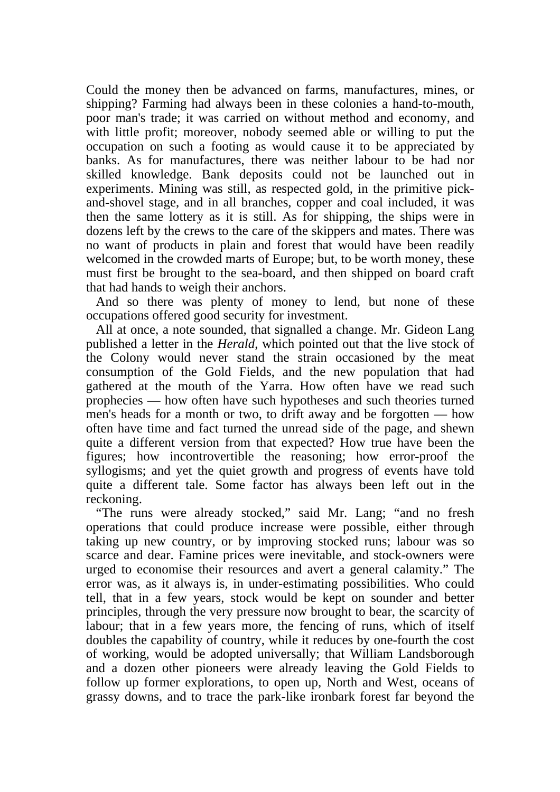Could the money then be advanced on farms, manufactures, mines, or shipping? Farming had always been in these colonies a hand-to-mouth, poor man's trade; it was carried on without method and economy, and with little profit; moreover, nobody seemed able or willing to put the occupation on such a footing as would cause it to be appreciated by banks. As for manufactures, there was neither labour to be had nor skilled knowledge. Bank deposits could not be launched out in experiments. Mining was still, as respected gold, in the primitive pickand-shovel stage, and in all branches, copper and coal included, it was then the same lottery as it is still. As for shipping, the ships were in dozens left by the crews to the care of the skippers and mates. There was no want of products in plain and forest that would have been readily welcomed in the crowded marts of Europe; but, to be worth money, these must first be brought to the sea-board, and then shipped on board craft that had hands to weigh their anchors.

 And so there was plenty of money to lend, but none of these occupations offered good security for investment.

 All at once, a note sounded, that signalled a change. Mr. Gideon Lang published a letter in the *Herald*, which pointed out that the live stock of the Colony would never stand the strain occasioned by the meat consumption of the Gold Fields, and the new population that had gathered at the mouth of the Yarra. How often have we read such prophecies — how often have such hypotheses and such theories turned men's heads for a month or two, to drift away and be forgotten — how often have time and fact turned the unread side of the page, and shewn quite a different version from that expected? How true have been the figures; how incontrovertible the reasoning; how error-proof the syllogisms; and yet the quiet growth and progress of events have told quite a different tale. Some factor has always been left out in the reckoning.

 "The runs were already stocked," said Mr. Lang; "and no fresh operations that could produce increase were possible, either through taking up new country, or by improving stocked runs; labour was so scarce and dear. Famine prices were inevitable, and stock-owners were urged to economise their resources and avert a general calamity." The error was, as it always is, in under-estimating possibilities. Who could tell, that in a few years, stock would be kept on sounder and better principles, through the very pressure now brought to bear, the scarcity of labour; that in a few years more, the fencing of runs, which of itself doubles the capability of country, while it reduces by one-fourth the cost of working, would be adopted universally; that William Landsborough and a dozen other pioneers were already leaving the Gold Fields to follow up former explorations, to open up, North and West, oceans of grassy downs, and to trace the park-like ironbark forest far beyond the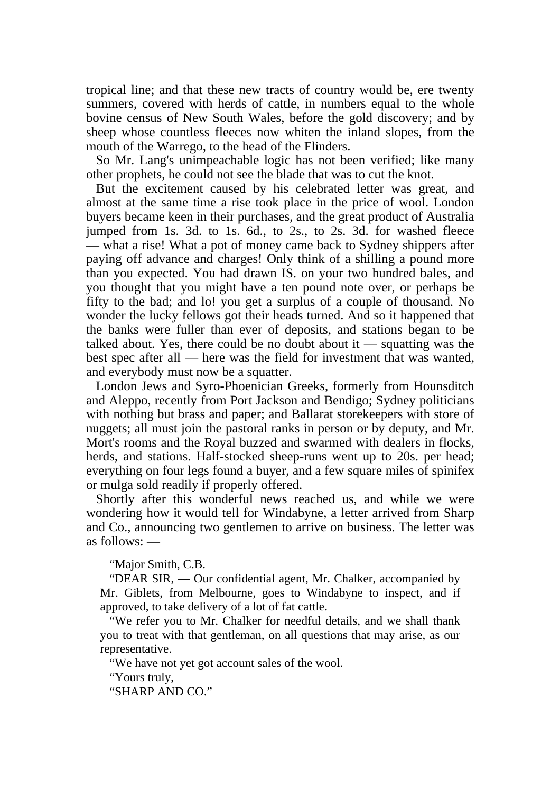tropical line; and that these new tracts of country would be, ere twenty summers, covered with herds of cattle, in numbers equal to the whole bovine census of New South Wales, before the gold discovery; and by sheep whose countless fleeces now whiten the inland slopes, from the mouth of the Warrego, to the head of the Flinders.

 So Mr. Lang's unimpeachable logic has not been verified; like many other prophets, he could not see the blade that was to cut the knot.

 But the excitement caused by his celebrated letter was great, and almost at the same time a rise took place in the price of wool. London buyers became keen in their purchases, and the great product of Australia jumped from 1s. 3d. to 1s. 6d., to 2s., to 2s. 3d. for washed fleece — what a rise! What a pot of money came back to Sydney shippers after paying off advance and charges! Only think of a shilling a pound more than you expected. You had drawn IS. on your two hundred bales, and you thought that you might have a ten pound note over, or perhaps be fifty to the bad; and lo! you get a surplus of a couple of thousand. No wonder the lucky fellows got their heads turned. And so it happened that the banks were fuller than ever of deposits, and stations began to be talked about. Yes, there could be no doubt about it — squatting was the best spec after all — here was the field for investment that was wanted, and everybody must now be a squatter.

 London Jews and Syro-Phoenician Greeks, formerly from Hounsditch and Aleppo, recently from Port Jackson and Bendigo; Sydney politicians with nothing but brass and paper; and Ballarat storekeepers with store of nuggets; all must join the pastoral ranks in person or by deputy, and Mr. Mort's rooms and the Royal buzzed and swarmed with dealers in flocks, herds, and stations. Half-stocked sheep-runs went up to 20s. per head; everything on four legs found a buyer, and a few square miles of spinifex or mulga sold readily if properly offered.

 Shortly after this wonderful news reached us, and while we were wondering how it would tell for Windabyne, a letter arrived from Sharp and Co., announcing two gentlemen to arrive on business. The letter was as follows: —

"Major Smith, C.B.

 "DEAR SIR, — Our confidential agent, Mr. Chalker, accompanied by Mr. Giblets, from Melbourne, goes to Windabyne to inspect, and if approved, to take delivery of a lot of fat cattle.

 "We refer you to Mr. Chalker for needful details, and we shall thank you to treat with that gentleman, on all questions that may arise, as our representative.

"We have not yet got account sales of the wool.

"Yours truly,

"SHARP AND CO."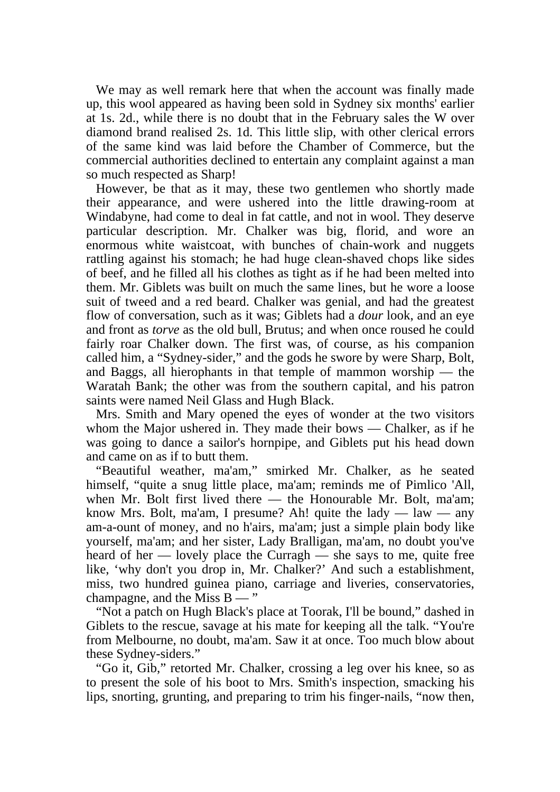We may as well remark here that when the account was finally made up, this wool appeared as having been sold in Sydney six months' earlier at 1s. 2d., while there is no doubt that in the February sales the W over diamond brand realised 2s. 1d. This little slip, with other clerical errors of the same kind was laid before the Chamber of Commerce, but the commercial authorities declined to entertain any complaint against a man so much respected as Sharp!

 However, be that as it may, these two gentlemen who shortly made their appearance, and were ushered into the little drawing-room at Windabyne, had come to deal in fat cattle, and not in wool. They deserve particular description. Mr. Chalker was big, florid, and wore an enormous white waistcoat, with bunches of chain-work and nuggets rattling against his stomach; he had huge clean-shaved chops like sides of beef, and he filled all his clothes as tight as if he had been melted into them. Mr. Giblets was built on much the same lines, but he wore a loose suit of tweed and a red beard. Chalker was genial, and had the greatest flow of conversation, such as it was; Giblets had a *dour* look, and an eye and front as *torve* as the old bull, Brutus; and when once roused he could fairly roar Chalker down. The first was, of course, as his companion called him, a "Sydney-sider," and the gods he swore by were Sharp, Bolt, and Baggs, all hierophants in that temple of mammon worship — the Waratah Bank; the other was from the southern capital, and his patron saints were named Neil Glass and Hugh Black.

 Mrs. Smith and Mary opened the eyes of wonder at the two visitors whom the Major ushered in. They made their bows — Chalker, as if he was going to dance a sailor's hornpipe, and Giblets put his head down and came on as if to butt them.

 "Beautiful weather, ma'am," smirked Mr. Chalker, as he seated himself, "quite a snug little place, ma'am; reminds me of Pimlico 'All, when Mr. Bolt first lived there — the Honourable Mr. Bolt, ma'am; know Mrs. Bolt, ma'am, I presume? Ah! quite the lady — law — any am-a-ount of money, and no h'airs, ma'am; just a simple plain body like yourself, ma'am; and her sister, Lady Bralligan, ma'am, no doubt you've heard of her — lovely place the Curragh — she says to me, quite free like, 'why don't you drop in, Mr. Chalker?' And such a establishment, miss, two hundred guinea piano, carriage and liveries, conservatories, champagne, and the Miss  $B -$ "

 "Not a patch on Hugh Black's place at Toorak, I'll be bound," dashed in Giblets to the rescue, savage at his mate for keeping all the talk. "You're from Melbourne, no doubt, ma'am. Saw it at once. Too much blow about these Sydney-siders."

 "Go it, Gib," retorted Mr. Chalker, crossing a leg over his knee, so as to present the sole of his boot to Mrs. Smith's inspection, smacking his lips, snorting, grunting, and preparing to trim his finger-nails, "now then,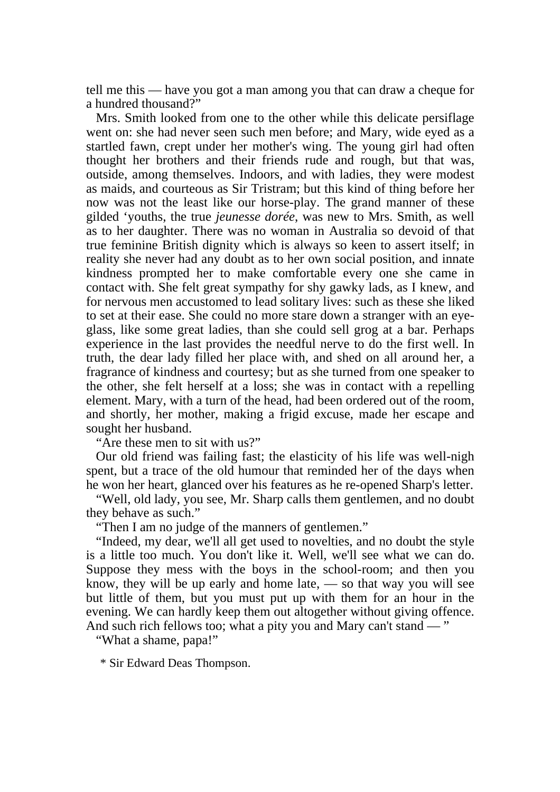tell me this — have you got a man among you that can draw a cheque for a hundred thousand?"

 Mrs. Smith looked from one to the other while this delicate persiflage went on: she had never seen such men before; and Mary, wide eyed as a startled fawn, crept under her mother's wing. The young girl had often thought her brothers and their friends rude and rough, but that was, outside, among themselves. Indoors, and with ladies, they were modest as maids, and courteous as Sir Tristram; but this kind of thing before her now was not the least like our horse-play. The grand manner of these gilded 'youths, the true *jeunesse dorée*, was new to Mrs. Smith, as well as to her daughter. There was no woman in Australia so devoid of that true feminine British dignity which is always so keen to assert itself; in reality she never had any doubt as to her own social position, and innate kindness prompted her to make comfortable every one she came in contact with. She felt great sympathy for shy gawky lads, as I knew, and for nervous men accustomed to lead solitary lives: such as these she liked to set at their ease. She could no more stare down a stranger with an eyeglass, like some great ladies, than she could sell grog at a bar. Perhaps experience in the last provides the needful nerve to do the first well. In truth, the dear lady filled her place with, and shed on all around her, a fragrance of kindness and courtesy; but as she turned from one speaker to the other, she felt herself at a loss; she was in contact with a repelling element. Mary, with a turn of the head, had been ordered out of the room, and shortly, her mother, making a frigid excuse, made her escape and sought her husband.

"Are these men to sit with us?"

 Our old friend was failing fast; the elasticity of his life was well-nigh spent, but a trace of the old humour that reminded her of the days when he won her heart, glanced over his features as he re-opened Sharp's letter.

 "Well, old lady, you see, Mr. Sharp calls them gentlemen, and no doubt they behave as such."

"Then I am no judge of the manners of gentlemen."

 "Indeed, my dear, we'll all get used to novelties, and no doubt the style is a little too much. You don't like it. Well, we'll see what we can do. Suppose they mess with the boys in the school-room; and then you know, they will be up early and home late, — so that way you will see but little of them, but you must put up with them for an hour in the evening. We can hardly keep them out altogether without giving offence. And such rich fellows too; what a pity you and Mary can't stand — "

"What a shame, papa!"

\* Sir Edward Deas Thompson.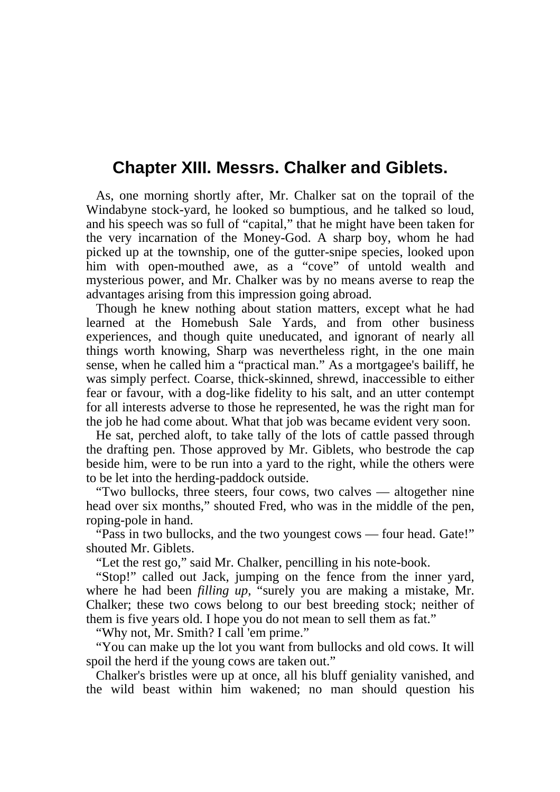## **Chapter XIII. Messrs. Chalker and Giblets.**

 As, one morning shortly after, Mr. Chalker sat on the toprail of the Windabyne stock-yard, he looked so bumptious, and he talked so loud, and his speech was so full of "capital," that he might have been taken for the very incarnation of the Money-God. A sharp boy, whom he had picked up at the township, one of the gutter-snipe species, looked upon him with open-mouthed awe, as a "cove" of untold wealth and mysterious power, and Mr. Chalker was by no means averse to reap the advantages arising from this impression going abroad.

 Though he knew nothing about station matters, except what he had learned at the Homebush Sale Yards, and from other business experiences, and though quite uneducated, and ignorant of nearly all things worth knowing, Sharp was nevertheless right, in the one main sense, when he called him a "practical man." As a mortgagee's bailiff, he was simply perfect. Coarse, thick-skinned, shrewd, inaccessible to either fear or favour, with a dog-like fidelity to his salt, and an utter contempt for all interests adverse to those he represented, he was the right man for the job he had come about. What that job was became evident very soon.

 He sat, perched aloft, to take tally of the lots of cattle passed through the drafting pen. Those approved by Mr. Giblets, who bestrode the cap beside him, were to be run into a yard to the right, while the others were to be let into the herding-paddock outside.

 "Two bullocks, three steers, four cows, two calves — altogether nine head over six months," shouted Fred, who was in the middle of the pen, roping-pole in hand.

 "Pass in two bullocks, and the two youngest cows — four head. Gate!" shouted Mr. Giblets.

"Let the rest go," said Mr. Chalker, pencilling in his note-book.

 "Stop!" called out Jack, jumping on the fence from the inner yard, where he had been *filling up*, "surely you are making a mistake, Mr. Chalker; these two cows belong to our best breeding stock; neither of them is five years old. I hope you do not mean to sell them as fat."

"Why not, Mr. Smith? I call 'em prime."

 "You can make up the lot you want from bullocks and old cows. It will spoil the herd if the young cows are taken out."

 Chalker's bristles were up at once, all his bluff geniality vanished, and the wild beast within him wakened; no man should question his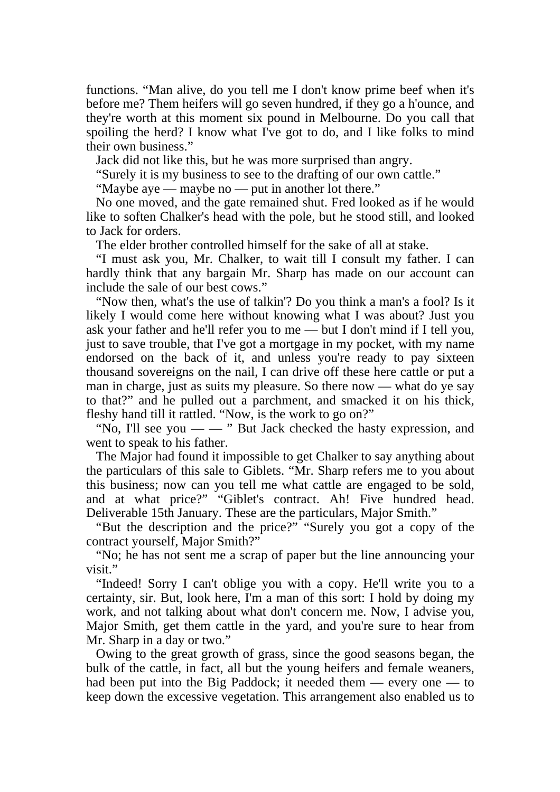functions. "Man alive, do you tell me I don't know prime beef when it's before me? Them heifers will go seven hundred, if they go a h'ounce, and they're worth at this moment six pound in Melbourne. Do you call that spoiling the herd? I know what I've got to do, and I like folks to mind their own business."

Jack did not like this, but he was more surprised than angry.

"Surely it is my business to see to the drafting of our own cattle."

"Maybe aye — maybe no — put in another lot there."

 No one moved, and the gate remained shut. Fred looked as if he would like to soften Chalker's head with the pole, but he stood still, and looked to Jack for orders.

The elder brother controlled himself for the sake of all at stake.

 "I must ask you, Mr. Chalker, to wait till I consult my father. I can hardly think that any bargain Mr. Sharp has made on our account can include the sale of our best cows."

 "Now then, what's the use of talkin'? Do you think a man's a fool? Is it likely I would come here without knowing what I was about? Just you ask your father and he'll refer you to me — but I don't mind if I tell you, just to save trouble, that I've got a mortgage in my pocket, with my name endorsed on the back of it, and unless you're ready to pay sixteen thousand sovereigns on the nail, I can drive off these here cattle or put a man in charge, just as suits my pleasure. So there now — what do ye say to that?" and he pulled out a parchment, and smacked it on his thick, fleshy hand till it rattled. "Now, is the work to go on?"

"No, I'll see you —  $-$  " But Jack checked the hasty expression, and went to speak to his father.

 The Major had found it impossible to get Chalker to say anything about the particulars of this sale to Giblets. "Mr. Sharp refers me to you about this business; now can you tell me what cattle are engaged to be sold, and at what price?" "Giblet's contract. Ah! Five hundred head. Deliverable 15th January. These are the particulars, Major Smith."

 "But the description and the price?" "Surely you got a copy of the contract yourself, Major Smith?"

 "No; he has not sent me a scrap of paper but the line announcing your visit."

 "Indeed! Sorry I can't oblige you with a copy. He'll write you to a certainty, sir. But, look here, I'm a man of this sort: I hold by doing my work, and not talking about what don't concern me. Now, I advise you, Major Smith, get them cattle in the yard, and you're sure to hear from Mr. Sharp in a day or two."

 Owing to the great growth of grass, since the good seasons began, the bulk of the cattle, in fact, all but the young heifers and female weaners, had been put into the Big Paddock; it needed them — every one — to keep down the excessive vegetation. This arrangement also enabled us to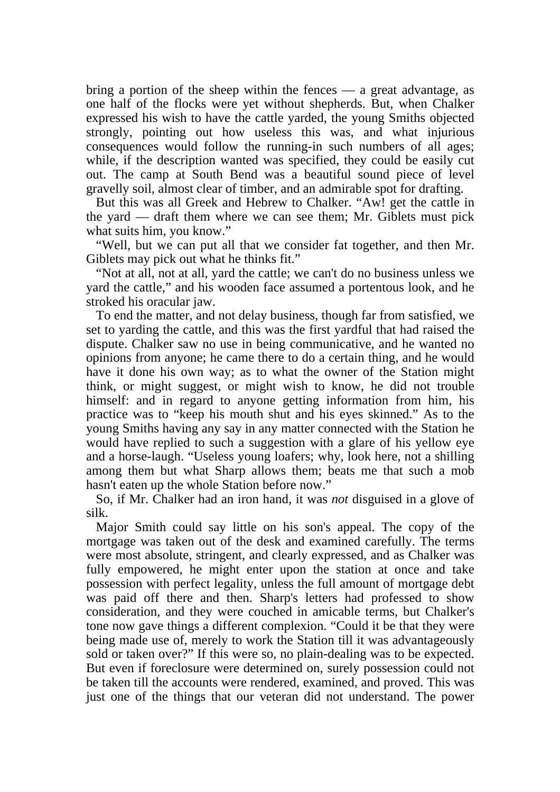bring a portion of the sheep within the fences — a great advantage, as one half of the flocks were yet without shepherds. But, when Chalker expressed his wish to have the cattle yarded, the young Smiths objected strongly, pointing out how useless this was, and what injurious consequences would follow the running-in such numbers of all ages; while, if the description wanted was specified, they could be easily cut out. The camp at South Bend was a beautiful sound piece of level gravelly soil, almost clear of timber, and an admirable spot for drafting.

 But this was all Greek and Hebrew to Chalker. "Aw! get the cattle in the yard — draft them where we can see them; Mr. Giblets must pick what suits him, you know."

 "Well, but we can put all that we consider fat together, and then Mr. Giblets may pick out what he thinks fit."

 "Not at all, not at all, yard the cattle; we can't do no business unless we yard the cattle," and his wooden face assumed a portentous look, and he stroked his oracular jaw.

 To end the matter, and not delay business, though far from satisfied, we set to yarding the cattle, and this was the first yardful that had raised the dispute. Chalker saw no use in being communicative, and he wanted no opinions from anyone; he came there to do a certain thing, and he would have it done his own way; as to what the owner of the Station might think, or might suggest, or might wish to know, he did not trouble himself: and in regard to anyone getting information from him, his practice was to "keep his mouth shut and his eyes skinned." As to the young Smiths having any say in any matter connected with the Station he would have replied to such a suggestion with a glare of his yellow eye and a horse-laugh. "Useless young loafers; why, look here, not a shilling among them but what Sharp allows them; beats me that such a mob hasn't eaten up the whole Station before now."

 So, if Mr. Chalker had an iron hand, it was *not* disguised in a glove of silk.

 Major Smith could say little on his son's appeal. The copy of the mortgage was taken out of the desk and examined carefully. The terms were most absolute, stringent, and clearly expressed, and as Chalker was fully empowered, he might enter upon the station at once and take possession with perfect legality, unless the full amount of mortgage debt was paid off there and then. Sharp's letters had professed to show consideration, and they were couched in amicable terms, but Chalker's tone now gave things a different complexion. "Could it be that they were being made use of, merely to work the Station till it was advantageously sold or taken over?" If this were so, no plain-dealing was to be expected. But even if foreclosure were determined on, surely possession could not be taken till the accounts were rendered, examined, and proved. This was just one of the things that our veteran did not understand. The power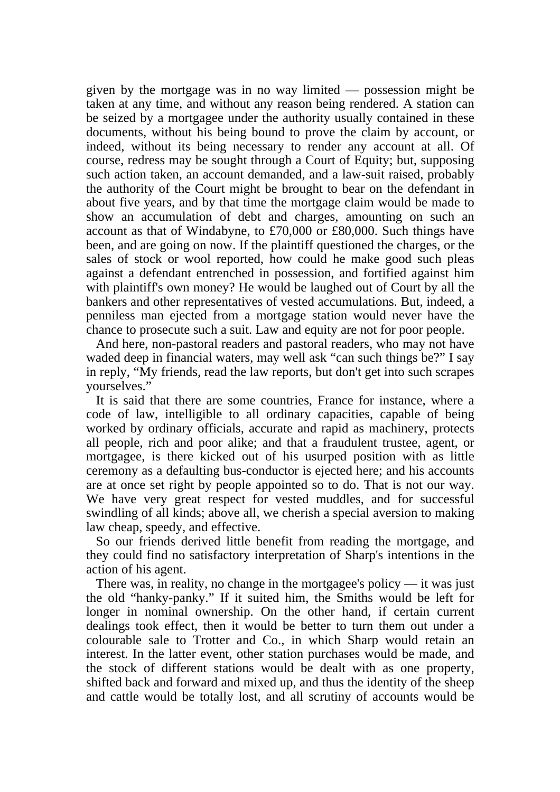given by the mortgage was in no way limited — possession might be taken at any time, and without any reason being rendered. A station can be seized by a mortgagee under the authority usually contained in these documents, without his being bound to prove the claim by account, or indeed, without its being necessary to render any account at all. Of course, redress may be sought through a Court of Equity; but, supposing such action taken, an account demanded, and a law-suit raised, probably the authority of the Court might be brought to bear on the defendant in about five years, and by that time the mortgage claim would be made to show an accumulation of debt and charges, amounting on such an account as that of Windabyne, to £70,000 or £80,000. Such things have been, and are going on now. If the plaintiff questioned the charges, or the sales of stock or wool reported, how could he make good such pleas against a defendant entrenched in possession, and fortified against him with plaintiff's own money? He would be laughed out of Court by all the bankers and other representatives of vested accumulations. But, indeed, a penniless man ejected from a mortgage station would never have the chance to prosecute such a suit. Law and equity are not for poor people.

 And here, non-pastoral readers and pastoral readers, who may not have waded deep in financial waters, may well ask "can such things be?" I say in reply, "My friends, read the law reports, but don't get into such scrapes yourselves."

 It is said that there are some countries, France for instance, where a code of law, intelligible to all ordinary capacities, capable of being worked by ordinary officials, accurate and rapid as machinery, protects all people, rich and poor alike; and that a fraudulent trustee, agent, or mortgagee, is there kicked out of his usurped position with as little ceremony as a defaulting bus-conductor is ejected here; and his accounts are at once set right by people appointed so to do. That is not our way. We have very great respect for vested muddles, and for successful swindling of all kinds; above all, we cherish a special aversion to making law cheap, speedy, and effective.

 So our friends derived little benefit from reading the mortgage, and they could find no satisfactory interpretation of Sharp's intentions in the action of his agent.

 There was, in reality, no change in the mortgagee's policy — it was just the old "hanky-panky." If it suited him, the Smiths would be left for longer in nominal ownership. On the other hand, if certain current dealings took effect, then it would be better to turn them out under a colourable sale to Trotter and Co., in which Sharp would retain an interest. In the latter event, other station purchases would be made, and the stock of different stations would be dealt with as one property, shifted back and forward and mixed up, and thus the identity of the sheep and cattle would be totally lost, and all scrutiny of accounts would be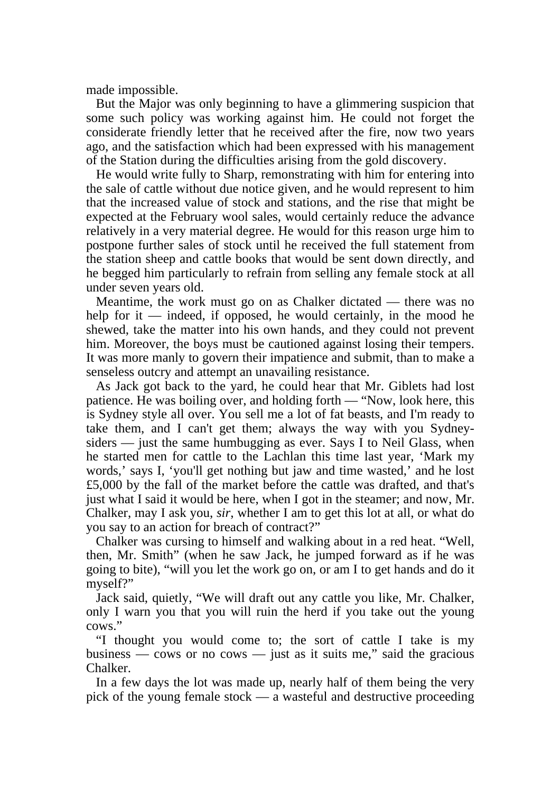made impossible.

 But the Major was only beginning to have a glimmering suspicion that some such policy was working against him. He could not forget the considerate friendly letter that he received after the fire, now two years ago, and the satisfaction which had been expressed with his management of the Station during the difficulties arising from the gold discovery.

 He would write fully to Sharp, remonstrating with him for entering into the sale of cattle without due notice given, and he would represent to him that the increased value of stock and stations, and the rise that might be expected at the February wool sales, would certainly reduce the advance relatively in a very material degree. He would for this reason urge him to postpone further sales of stock until he received the full statement from the station sheep and cattle books that would be sent down directly, and he begged him particularly to refrain from selling any female stock at all under seven years old.

 Meantime, the work must go on as Chalker dictated — there was no help for it — indeed, if opposed, he would certainly, in the mood he shewed, take the matter into his own hands, and they could not prevent him. Moreover, the boys must be cautioned against losing their tempers. It was more manly to govern their impatience and submit, than to make a senseless outcry and attempt an unavailing resistance.

 As Jack got back to the yard, he could hear that Mr. Giblets had lost patience. He was boiling over, and holding forth — "Now, look here, this is Sydney style all over. You sell me a lot of fat beasts, and I'm ready to take them, and I can't get them; always the way with you Sydneysiders — just the same humbugging as ever. Says I to Neil Glass, when he started men for cattle to the Lachlan this time last year, 'Mark my words,' says I, 'you'll get nothing but jaw and time wasted,' and he lost £5,000 by the fall of the market before the cattle was drafted, and that's just what I said it would be here, when I got in the steamer; and now, Mr. Chalker, may I ask you, *sir*, whether I am to get this lot at all, or what do you say to an action for breach of contract?"

 Chalker was cursing to himself and walking about in a red heat. "Well, then, Mr. Smith" (when he saw Jack, he jumped forward as if he was going to bite), "will you let the work go on, or am I to get hands and do it myself?"

 Jack said, quietly, "We will draft out any cattle you like, Mr. Chalker, only I warn you that you will ruin the herd if you take out the young cows."

 "I thought you would come to; the sort of cattle I take is my business — cows or no cows — just as it suits me," said the gracious Chalker.

 In a few days the lot was made up, nearly half of them being the very pick of the young female stock — a wasteful and destructive proceeding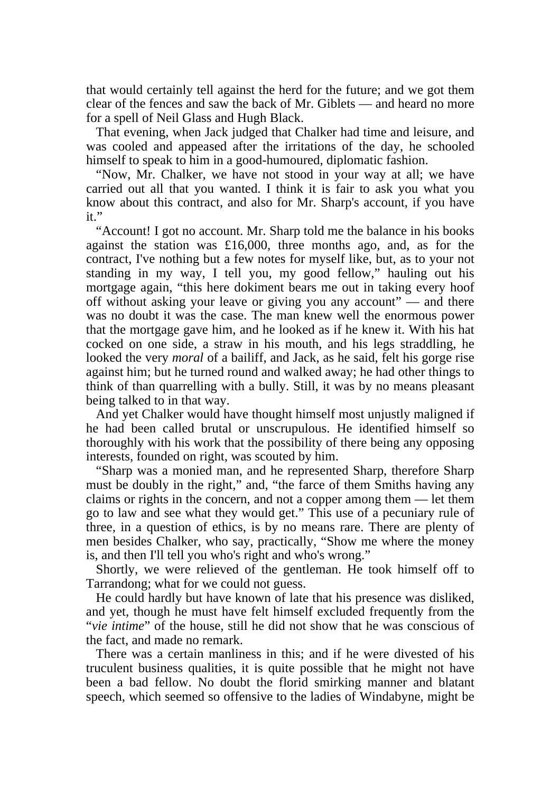that would certainly tell against the herd for the future; and we got them clear of the fences and saw the back of Mr. Giblets — and heard no more for a spell of Neil Glass and Hugh Black.

 That evening, when Jack judged that Chalker had time and leisure, and was cooled and appeased after the irritations of the day, he schooled himself to speak to him in a good-humoured, diplomatic fashion.

 "Now, Mr. Chalker, we have not stood in your way at all; we have carried out all that you wanted. I think it is fair to ask you what you know about this contract, and also for Mr. Sharp's account, if you have it."

 "Account! I got no account. Mr. Sharp told me the balance in his books against the station was £16,000, three months ago, and, as for the contract, I've nothing but a few notes for myself like, but, as to your not standing in my way, I tell you, my good fellow," hauling out his mortgage again, "this here dokiment bears me out in taking every hoof off without asking your leave or giving you any account" — and there was no doubt it was the case. The man knew well the enormous power that the mortgage gave him, and he looked as if he knew it. With his hat cocked on one side, a straw in his mouth, and his legs straddling, he looked the very *moral* of a bailiff, and Jack, as he said, felt his gorge rise against him; but he turned round and walked away; he had other things to think of than quarrelling with a bully. Still, it was by no means pleasant being talked to in that way.

 And yet Chalker would have thought himself most unjustly maligned if he had been called brutal or unscrupulous. He identified himself so thoroughly with his work that the possibility of there being any opposing interests, founded on right, was scouted by him.

 "Sharp was a monied man, and he represented Sharp, therefore Sharp must be doubly in the right," and, "the farce of them Smiths having any claims or rights in the concern, and not a copper among them — let them go to law and see what they would get." This use of a pecuniary rule of three, in a question of ethics, is by no means rare. There are plenty of men besides Chalker, who say, practically, "Show me where the money is, and then I'll tell you who's right and who's wrong."

 Shortly, we were relieved of the gentleman. He took himself off to Tarrandong; what for we could not guess.

 He could hardly but have known of late that his presence was disliked, and yet, though he must have felt himself excluded frequently from the "*vie intime*" of the house, still he did not show that he was conscious of the fact, and made no remark.

 There was a certain manliness in this; and if he were divested of his truculent business qualities, it is quite possible that he might not have been a bad fellow. No doubt the florid smirking manner and blatant speech, which seemed so offensive to the ladies of Windabyne, might be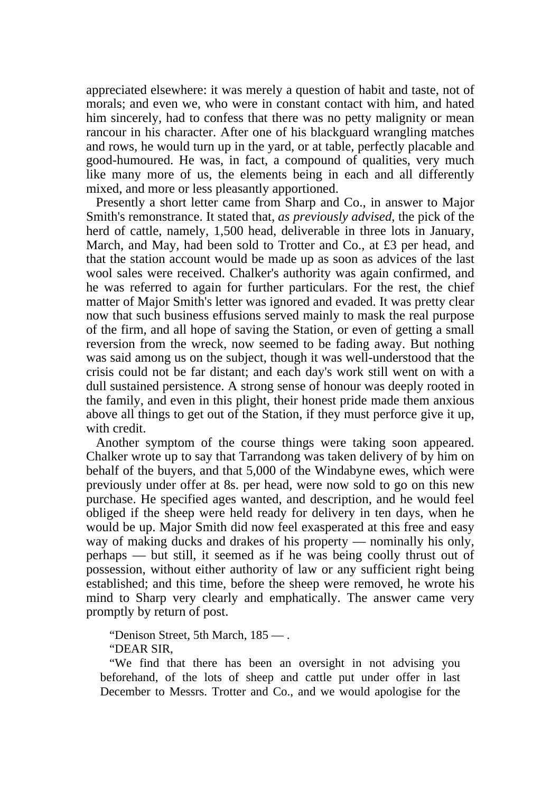appreciated elsewhere: it was merely a question of habit and taste, not of morals; and even we, who were in constant contact with him, and hated him sincerely, had to confess that there was no petty malignity or mean rancour in his character. After one of his blackguard wrangling matches and rows, he would turn up in the yard, or at table, perfectly placable and good-humoured. He was, in fact, a compound of qualities, very much like many more of us, the elements being in each and all differently mixed, and more or less pleasantly apportioned.

 Presently a short letter came from Sharp and Co., in answer to Major Smith's remonstrance. It stated that, *as previously advised*, the pick of the herd of cattle, namely, 1,500 head, deliverable in three lots in January, March, and May, had been sold to Trotter and Co., at £3 per head, and that the station account would be made up as soon as advices of the last wool sales were received. Chalker's authority was again confirmed, and he was referred to again for further particulars. For the rest, the chief matter of Major Smith's letter was ignored and evaded. It was pretty clear now that such business effusions served mainly to mask the real purpose of the firm, and all hope of saving the Station, or even of getting a small reversion from the wreck, now seemed to be fading away. But nothing was said among us on the subject, though it was well-understood that the crisis could not be far distant; and each day's work still went on with a dull sustained persistence. A strong sense of honour was deeply rooted in the family, and even in this plight, their honest pride made them anxious above all things to get out of the Station, if they must perforce give it up, with credit.

 Another symptom of the course things were taking soon appeared. Chalker wrote up to say that Tarrandong was taken delivery of by him on behalf of the buyers, and that 5,000 of the Windabyne ewes, which were previously under offer at 8s. per head, were now sold to go on this new purchase. He specified ages wanted, and description, and he would feel obliged if the sheep were held ready for delivery in ten days, when he would be up. Major Smith did now feel exasperated at this free and easy way of making ducks and drakes of his property — nominally his only, perhaps — but still, it seemed as if he was being coolly thrust out of possession, without either authority of law or any sufficient right being established; and this time, before the sheep were removed, he wrote his mind to Sharp very clearly and emphatically. The answer came very promptly by return of post.

 "Denison Street, 5th March, 185 — . "DEAR SIR,

 "We find that there has been an oversight in not advising you beforehand, of the lots of sheep and cattle put under offer in last December to Messrs. Trotter and Co., and we would apologise for the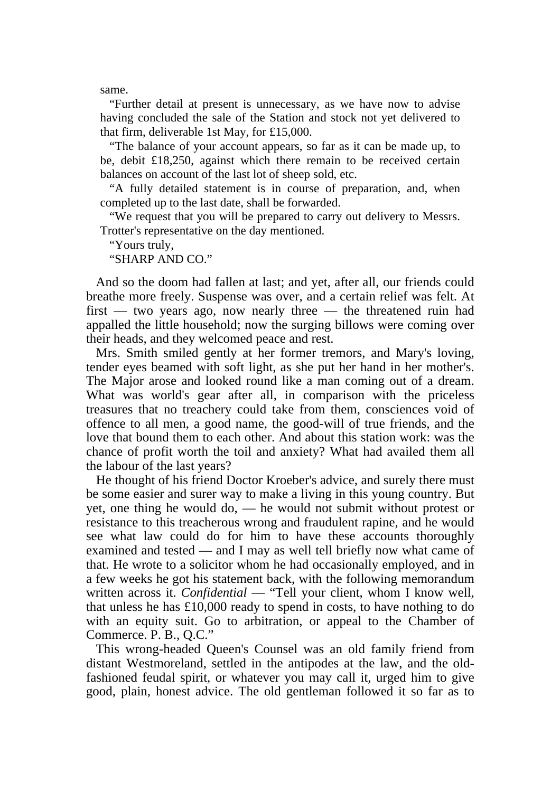same.

 "Further detail at present is unnecessary, as we have now to advise having concluded the sale of the Station and stock not yet delivered to that firm, deliverable 1st May, for £15,000.

 "The balance of your account appears, so far as it can be made up, to be, debit £18,250, against which there remain to be received certain balances on account of the last lot of sheep sold, etc.

 "A fully detailed statement is in course of preparation, and, when completed up to the last date, shall be forwarded.

 "We request that you will be prepared to carry out delivery to Messrs. Trotter's representative on the day mentioned.

"Yours truly,

"SHARP AND CO."

 And so the doom had fallen at last; and yet, after all, our friends could breathe more freely. Suspense was over, and a certain relief was felt. At first — two years ago, now nearly three — the threatened ruin had appalled the little household; now the surging billows were coming over their heads, and they welcomed peace and rest.

 Mrs. Smith smiled gently at her former tremors, and Mary's loving, tender eyes beamed with soft light, as she put her hand in her mother's. The Major arose and looked round like a man coming out of a dream. What was world's gear after all, in comparison with the priceless treasures that no treachery could take from them, consciences void of offence to all men, a good name, the good-will of true friends, and the love that bound them to each other. And about this station work: was the chance of profit worth the toil and anxiety? What had availed them all the labour of the last years?

 He thought of his friend Doctor Kroeber's advice, and surely there must be some easier and surer way to make a living in this young country. But yet, one thing he would do, — he would not submit without protest or resistance to this treacherous wrong and fraudulent rapine, and he would see what law could do for him to have these accounts thoroughly examined and tested — and I may as well tell briefly now what came of that. He wrote to a solicitor whom he had occasionally employed, and in a few weeks he got his statement back, with the following memorandum written across it. *Confidential* — "Tell your client, whom I know well, that unless he has £10,000 ready to spend in costs, to have nothing to do with an equity suit. Go to arbitration, or appeal to the Chamber of Commerce. P. B., Q.C."

 This wrong-headed Queen's Counsel was an old family friend from distant Westmoreland, settled in the antipodes at the law, and the oldfashioned feudal spirit, or whatever you may call it, urged him to give good, plain, honest advice. The old gentleman followed it so far as to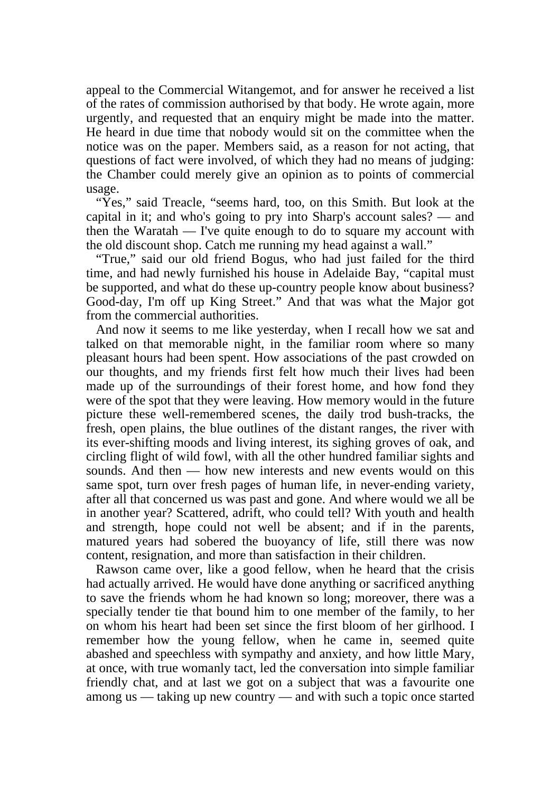appeal to the Commercial Witangemot, and for answer he received a list of the rates of commission authorised by that body. He wrote again, more urgently, and requested that an enquiry might be made into the matter. He heard in due time that nobody would sit on the committee when the notice was on the paper. Members said, as a reason for not acting, that questions of fact were involved, of which they had no means of judging: the Chamber could merely give an opinion as to points of commercial usage.

 "Yes," said Treacle, "seems hard, too, on this Smith. But look at the capital in it; and who's going to pry into Sharp's account sales? — and then the Waratah — I've quite enough to do to square my account with the old discount shop. Catch me running my head against a wall."

 "True," said our old friend Bogus, who had just failed for the third time, and had newly furnished his house in Adelaide Bay, "capital must be supported, and what do these up-country people know about business? Good-day, I'm off up King Street." And that was what the Major got from the commercial authorities.

 And now it seems to me like yesterday, when I recall how we sat and talked on that memorable night, in the familiar room where so many pleasant hours had been spent. How associations of the past crowded on our thoughts, and my friends first felt how much their lives had been made up of the surroundings of their forest home, and how fond they were of the spot that they were leaving. How memory would in the future picture these well-remembered scenes, the daily trod bush-tracks, the fresh, open plains, the blue outlines of the distant ranges, the river with its ever-shifting moods and living interest, its sighing groves of oak, and circling flight of wild fowl, with all the other hundred familiar sights and sounds. And then — how new interests and new events would on this same spot, turn over fresh pages of human life, in never-ending variety, after all that concerned us was past and gone. And where would we all be in another year? Scattered, adrift, who could tell? With youth and health and strength, hope could not well be absent; and if in the parents, matured years had sobered the buoyancy of life, still there was now content, resignation, and more than satisfaction in their children.

 Rawson came over, like a good fellow, when he heard that the crisis had actually arrived. He would have done anything or sacrificed anything to save the friends whom he had known so long; moreover, there was a specially tender tie that bound him to one member of the family, to her on whom his heart had been set since the first bloom of her girlhood. I remember how the young fellow, when he came in, seemed quite abashed and speechless with sympathy and anxiety, and how little Mary, at once, with true womanly tact, led the conversation into simple familiar friendly chat, and at last we got on a subject that was a favourite one among us — taking up new country — and with such a topic once started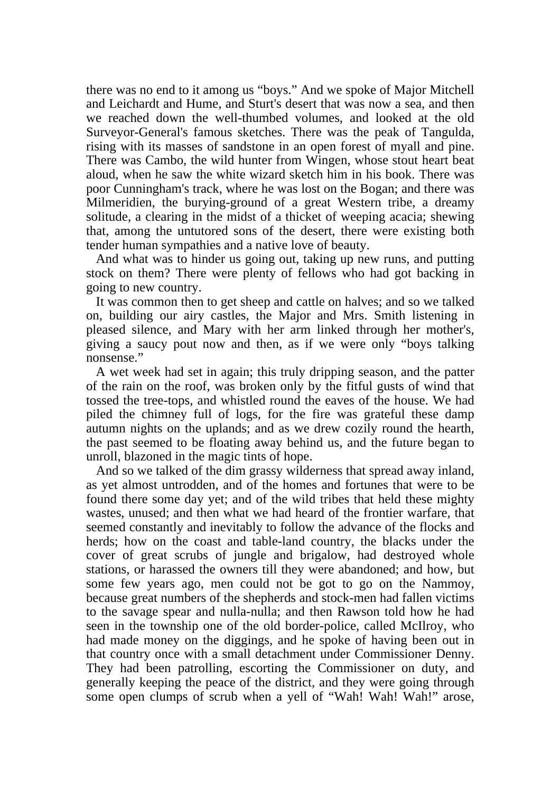there was no end to it among us "boys." And we spoke of Major Mitchell and Leichardt and Hume, and Sturt's desert that was now a sea, and then we reached down the well-thumbed volumes, and looked at the old Surveyor-General's famous sketches. There was the peak of Tangulda, rising with its masses of sandstone in an open forest of myall and pine. There was Cambo, the wild hunter from Wingen, whose stout heart beat aloud, when he saw the white wizard sketch him in his book. There was poor Cunningham's track, where he was lost on the Bogan; and there was Milmeridien, the burying-ground of a great Western tribe, a dreamy solitude, a clearing in the midst of a thicket of weeping acacia; shewing that, among the untutored sons of the desert, there were existing both tender human sympathies and a native love of beauty.

 And what was to hinder us going out, taking up new runs, and putting stock on them? There were plenty of fellows who had got backing in going to new country.

 It was common then to get sheep and cattle on halves; and so we talked on, building our airy castles, the Major and Mrs. Smith listening in pleased silence, and Mary with her arm linked through her mother's, giving a saucy pout now and then, as if we were only "boys talking nonsense."

 A wet week had set in again; this truly dripping season, and the patter of the rain on the roof, was broken only by the fitful gusts of wind that tossed the tree-tops, and whistled round the eaves of the house. We had piled the chimney full of logs, for the fire was grateful these damp autumn nights on the uplands; and as we drew cozily round the hearth, the past seemed to be floating away behind us, and the future began to unroll, blazoned in the magic tints of hope.

 And so we talked of the dim grassy wilderness that spread away inland, as yet almost untrodden, and of the homes and fortunes that were to be found there some day yet; and of the wild tribes that held these mighty wastes, unused; and then what we had heard of the frontier warfare, that seemed constantly and inevitably to follow the advance of the flocks and herds; how on the coast and table-land country, the blacks under the cover of great scrubs of jungle and brigalow, had destroyed whole stations, or harassed the owners till they were abandoned; and how, but some few years ago, men could not be got to go on the Nammoy, because great numbers of the shepherds and stock-men had fallen victims to the savage spear and nulla-nulla; and then Rawson told how he had seen in the township one of the old border-police, called McIlroy, who had made money on the diggings, and he spoke of having been out in that country once with a small detachment under Commissioner Denny. They had been patrolling, escorting the Commissioner on duty, and generally keeping the peace of the district, and they were going through some open clumps of scrub when a yell of "Wah! Wah! Wah!" arose,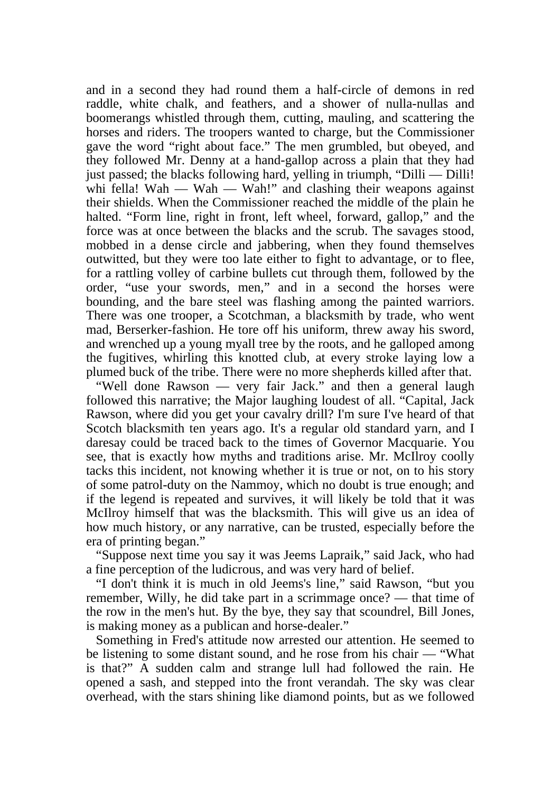and in a second they had round them a half-circle of demons in red raddle, white chalk, and feathers, and a shower of nulla-nullas and boomerangs whistled through them, cutting, mauling, and scattering the horses and riders. The troopers wanted to charge, but the Commissioner gave the word "right about face." The men grumbled, but obeyed, and they followed Mr. Denny at a hand-gallop across a plain that they had just passed; the blacks following hard, yelling in triumph, "Dilli — Dilli! whi fella! Wah — Wah — Wah!" and clashing their weapons against their shields. When the Commissioner reached the middle of the plain he halted. "Form line, right in front, left wheel, forward, gallop," and the force was at once between the blacks and the scrub. The savages stood, mobbed in a dense circle and jabbering, when they found themselves outwitted, but they were too late either to fight to advantage, or to flee, for a rattling volley of carbine bullets cut through them, followed by the order, "use your swords, men," and in a second the horses were bounding, and the bare steel was flashing among the painted warriors. There was one trooper, a Scotchman, a blacksmith by trade, who went mad, Berserker-fashion. He tore off his uniform, threw away his sword, and wrenched up a young myall tree by the roots, and he galloped among the fugitives, whirling this knotted club, at every stroke laying low a plumed buck of the tribe. There were no more shepherds killed after that.

 "Well done Rawson — very fair Jack." and then a general laugh followed this narrative; the Major laughing loudest of all. "Capital, Jack Rawson, where did you get your cavalry drill? I'm sure I've heard of that Scotch blacksmith ten years ago. It's a regular old standard yarn, and I daresay could be traced back to the times of Governor Macquarie. You see, that is exactly how myths and traditions arise. Mr. McIlroy coolly tacks this incident, not knowing whether it is true or not, on to his story of some patrol-duty on the Nammoy, which no doubt is true enough; and if the legend is repeated and survives, it will likely be told that it was McIlroy himself that was the blacksmith. This will give us an idea of how much history, or any narrative, can be trusted, especially before the era of printing began."

 "Suppose next time you say it was Jeems Lapraik," said Jack, who had a fine perception of the ludicrous, and was very hard of belief.

 "I don't think it is much in old Jeems's line," said Rawson, "but you remember, Willy, he did take part in a scrimmage once? — that time of the row in the men's hut. By the bye, they say that scoundrel, Bill Jones, is making money as a publican and horse-dealer."

 Something in Fred's attitude now arrested our attention. He seemed to be listening to some distant sound, and he rose from his chair — "What is that?" A sudden calm and strange lull had followed the rain. He opened a sash, and stepped into the front verandah. The sky was clear overhead, with the stars shining like diamond points, but as we followed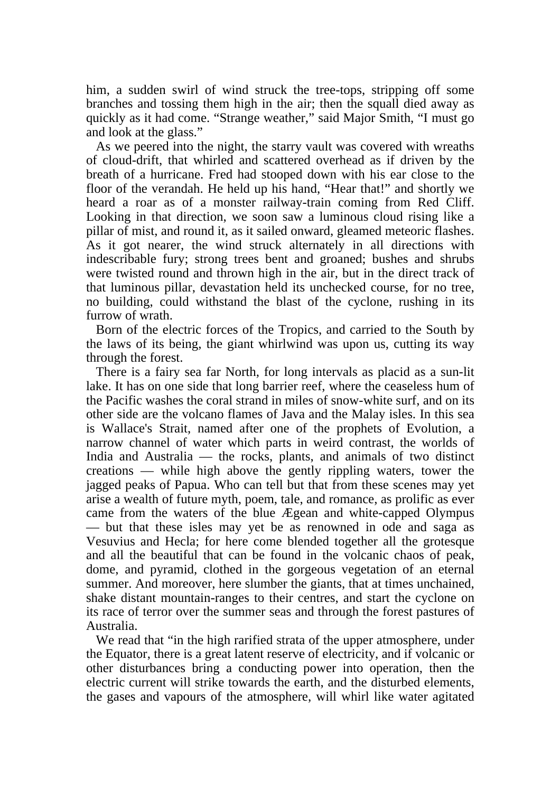him, a sudden swirl of wind struck the tree-tops, stripping off some branches and tossing them high in the air; then the squall died away as quickly as it had come. "Strange weather," said Major Smith, "I must go and look at the glass."

 As we peered into the night, the starry vault was covered with wreaths of cloud-drift, that whirled and scattered overhead as if driven by the breath of a hurricane. Fred had stooped down with his ear close to the floor of the verandah. He held up his hand, "Hear that!" and shortly we heard a roar as of a monster railway-train coming from Red Cliff. Looking in that direction, we soon saw a luminous cloud rising like a pillar of mist, and round it, as it sailed onward, gleamed meteoric flashes. As it got nearer, the wind struck alternately in all directions with indescribable fury; strong trees bent and groaned; bushes and shrubs were twisted round and thrown high in the air, but in the direct track of that luminous pillar, devastation held its unchecked course, for no tree, no building, could withstand the blast of the cyclone, rushing in its furrow of wrath.

 Born of the electric forces of the Tropics, and carried to the South by the laws of its being, the giant whirlwind was upon us, cutting its way through the forest.

 There is a fairy sea far North, for long intervals as placid as a sun-lit lake. It has on one side that long barrier reef, where the ceaseless hum of the Pacific washes the coral strand in miles of snow-white surf, and on its other side are the volcano flames of Java and the Malay isles. In this sea is Wallace's Strait, named after one of the prophets of Evolution, a narrow channel of water which parts in weird contrast, the worlds of India and Australia — the rocks, plants, and animals of two distinct creations — while high above the gently rippling waters, tower the jagged peaks of Papua. Who can tell but that from these scenes may yet arise a wealth of future myth, poem, tale, and romance, as prolific as ever came from the waters of the blue Ægean and white-capped Olympus — but that these isles may yet be as renowned in ode and saga as Vesuvius and Hecla; for here come blended together all the grotesque and all the beautiful that can be found in the volcanic chaos of peak, dome, and pyramid, clothed in the gorgeous vegetation of an eternal summer. And moreover, here slumber the giants, that at times unchained, shake distant mountain-ranges to their centres, and start the cyclone on its race of terror over the summer seas and through the forest pastures of Australia.

 We read that "in the high rarified strata of the upper atmosphere, under the Equator, there is a great latent reserve of electricity, and if volcanic or other disturbances bring a conducting power into operation, then the electric current will strike towards the earth, and the disturbed elements, the gases and vapours of the atmosphere, will whirl like water agitated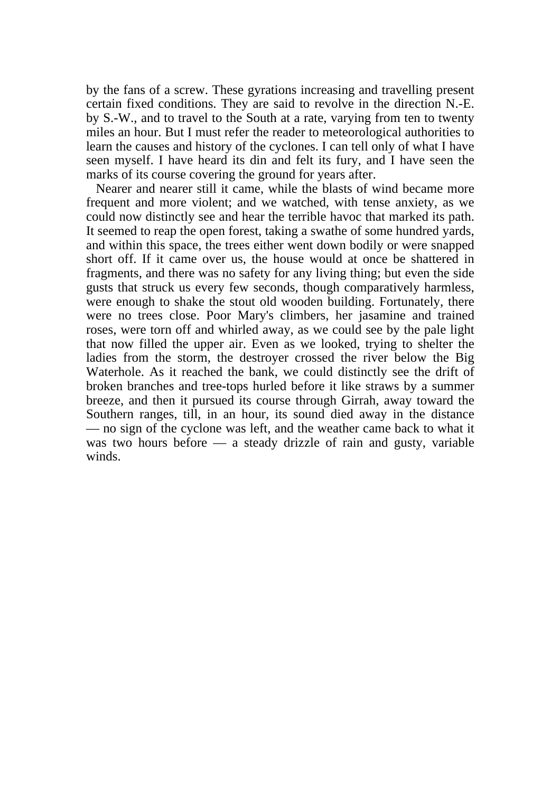by the fans of a screw. These gyrations increasing and travelling present certain fixed conditions. They are said to revolve in the direction N.-E. by S.-W., and to travel to the South at a rate, varying from ten to twenty miles an hour. But I must refer the reader to meteorological authorities to learn the causes and history of the cyclones. I can tell only of what I have seen myself. I have heard its din and felt its fury, and I have seen the marks of its course covering the ground for years after.

 Nearer and nearer still it came, while the blasts of wind became more frequent and more violent; and we watched, with tense anxiety, as we could now distinctly see and hear the terrible havoc that marked its path. It seemed to reap the open forest, taking a swathe of some hundred yards, and within this space, the trees either went down bodily or were snapped short off. If it came over us, the house would at once be shattered in fragments, and there was no safety for any living thing; but even the side gusts that struck us every few seconds, though comparatively harmless, were enough to shake the stout old wooden building. Fortunately, there were no trees close. Poor Mary's climbers, her jasamine and trained roses, were torn off and whirled away, as we could see by the pale light that now filled the upper air. Even as we looked, trying to shelter the ladies from the storm, the destroyer crossed the river below the Big Waterhole. As it reached the bank, we could distinctly see the drift of broken branches and tree-tops hurled before it like straws by a summer breeze, and then it pursued its course through Girrah, away toward the Southern ranges, till, in an hour, its sound died away in the distance — no sign of the cyclone was left, and the weather came back to what it was two hours before — a steady drizzle of rain and gusty, variable winds.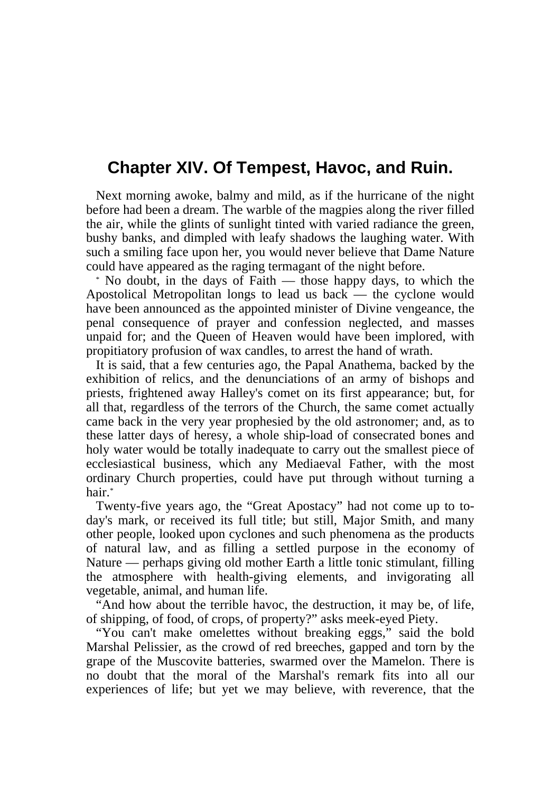## **Chapter XIV. Of Tempest, Havoc, and Ruin.**

 Next morning awoke, balmy and mild, as if the hurricane of the night before had been a dream. The warble of the magpies along the river filled the air, while the glints of sunlight tinted with varied radiance the green, bushy banks, and dimpled with leafy shadows the laughing water. With such a smiling face upon her, you would never believe that Dame Nature could have appeared as the raging termagant of the night before.

 \* No doubt, in the days of Faith — those happy days, to which the Apostolical Metropolitan longs to lead us back — the cyclone would have been announced as the appointed minister of Divine vengeance, the penal consequence of prayer and confession neglected, and masses unpaid for; and the Queen of Heaven would have been implored, with propitiatory profusion of wax candles, to arrest the hand of wrath.

 It is said, that a few centuries ago, the Papal Anathema, backed by the exhibition of relics, and the denunciations of an army of bishops and priests, frightened away Halley's comet on its first appearance; but, for all that, regardless of the terrors of the Church, the same comet actually came back in the very year prophesied by the old astronomer; and, as to these latter days of heresy, a whole ship-load of consecrated bones and holy water would be totally inadequate to carry out the smallest piece of ecclesiastical business, which any Mediaeval Father, with the most ordinary Church properties, could have put through without turning a hair.\*

 Twenty-five years ago, the "Great Apostacy" had not come up to today's mark, or received its full title; but still, Major Smith, and many other people, looked upon cyclones and such phenomena as the products of natural law, and as filling a settled purpose in the economy of Nature — perhaps giving old mother Earth a little tonic stimulant, filling the atmosphere with health-giving elements, and invigorating all vegetable, animal, and human life.

 "And how about the terrible havoc, the destruction, it may be, of life, of shipping, of food, of crops, of property?" asks meek-eyed Piety.

 "You can't make omelettes without breaking eggs," said the bold Marshal Pelissier, as the crowd of red breeches, gapped and torn by the grape of the Muscovite batteries, swarmed over the Mamelon. There is no doubt that the moral of the Marshal's remark fits into all our experiences of life; but yet we may believe, with reverence, that the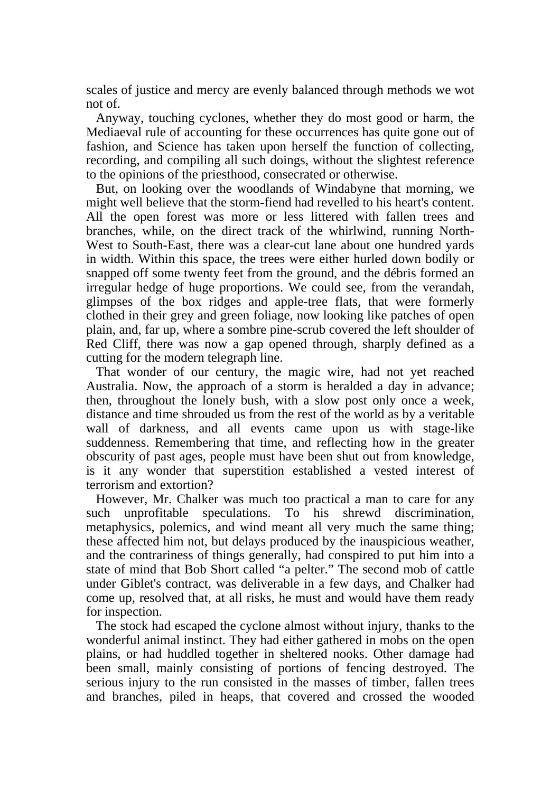scales of justice and mercy are evenly balanced through methods we wot not of.

 Anyway, touching cyclones, whether they do most good or harm, the Mediaeval rule of accounting for these occurrences has quite gone out of fashion, and Science has taken upon herself the function of collecting, recording, and compiling all such doings, without the slightest reference to the opinions of the priesthood, consecrated or otherwise.

 But, on looking over the woodlands of Windabyne that morning, we might well believe that the storm-fiend had revelled to his heart's content. All the open forest was more or less littered with fallen trees and branches, while, on the direct track of the whirlwind, running North-West to South-East, there was a clear-cut lane about one hundred yards in width. Within this space, the trees were either hurled down bodily or snapped off some twenty feet from the ground, and the débris formed an irregular hedge of huge proportions. We could see, from the verandah, glimpses of the box ridges and apple-tree flats, that were formerly clothed in their grey and green foliage, now looking like patches of open plain, and, far up, where a sombre pine-scrub covered the left shoulder of Red Cliff, there was now a gap opened through, sharply defined as a cutting for the modern telegraph line.

 That wonder of our century, the magic wire, had not yet reached Australia. Now, the approach of a storm is heralded a day in advance; then, throughout the lonely bush, with a slow post only once a week, distance and time shrouded us from the rest of the world as by a veritable wall of darkness, and all events came upon us with stage-like suddenness. Remembering that time, and reflecting how in the greater obscurity of past ages, people must have been shut out from knowledge, is it any wonder that superstition established a vested interest of terrorism and extortion?

 However, Mr. Chalker was much too practical a man to care for any such unprofitable speculations. To his shrewd discrimination, metaphysics, polemics, and wind meant all very much the same thing; these affected him not, but delays produced by the inauspicious weather, and the contrariness of things generally, had conspired to put him into a state of mind that Bob Short called "a pelter." The second mob of cattle under Giblet's contract, was deliverable in a few days, and Chalker had come up, resolved that, at all risks, he must and would have them ready for inspection.

 The stock had escaped the cyclone almost without injury, thanks to the wonderful animal instinct. They had either gathered in mobs on the open plains, or had huddled together in sheltered nooks. Other damage had been small, mainly consisting of portions of fencing destroyed. The serious injury to the run consisted in the masses of timber, fallen trees and branches, piled in heaps, that covered and crossed the wooded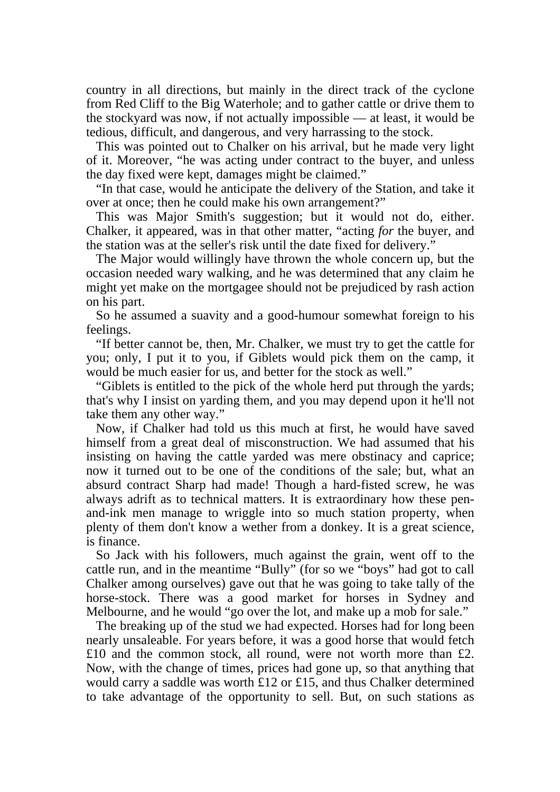country in all directions, but mainly in the direct track of the cyclone from Red Cliff to the Big Waterhole; and to gather cattle or drive them to the stockyard was now, if not actually impossible — at least, it would be tedious, difficult, and dangerous, and very harrassing to the stock.

 This was pointed out to Chalker on his arrival, but he made very light of it. Moreover, "he was acting under contract to the buyer, and unless the day fixed were kept, damages might be claimed."

 "In that case, would he anticipate the delivery of the Station, and take it over at once; then he could make his own arrangement?"

 This was Major Smith's suggestion; but it would not do, either. Chalker, it appeared, was in that other matter, "acting *for* the buyer, and the station was at the seller's risk until the date fixed for delivery."

 The Major would willingly have thrown the whole concern up, but the occasion needed wary walking, and he was determined that any claim he might yet make on the mortgagee should not be prejudiced by rash action on his part.

 So he assumed a suavity and a good-humour somewhat foreign to his feelings.

 "If better cannot be, then, Mr. Chalker, we must try to get the cattle for you; only, I put it to you, if Giblets would pick them on the camp, it would be much easier for us, and better for the stock as well."

 "Giblets is entitled to the pick of the whole herd put through the yards; that's why I insist on yarding them, and you may depend upon it he'll not take them any other way."

 Now, if Chalker had told us this much at first, he would have saved himself from a great deal of misconstruction. We had assumed that his insisting on having the cattle yarded was mere obstinacy and caprice; now it turned out to be one of the conditions of the sale; but, what an absurd contract Sharp had made! Though a hard-fisted screw, he was always adrift as to technical matters. It is extraordinary how these penand-ink men manage to wriggle into so much station property, when plenty of them don't know a wether from a donkey. It is a great science, is finance.

 So Jack with his followers, much against the grain, went off to the cattle run, and in the meantime "Bully" (for so we "boys" had got to call Chalker among ourselves) gave out that he was going to take tally of the horse-stock. There was a good market for horses in Sydney and Melbourne, and he would "go over the lot, and make up a mob for sale."

 The breaking up of the stud we had expected. Horses had for long been nearly unsaleable. For years before, it was a good horse that would fetch £10 and the common stock, all round, were not worth more than  $£2$ . Now, with the change of times, prices had gone up, so that anything that would carry a saddle was worth £12 or £15, and thus Chalker determined to take advantage of the opportunity to sell. But, on such stations as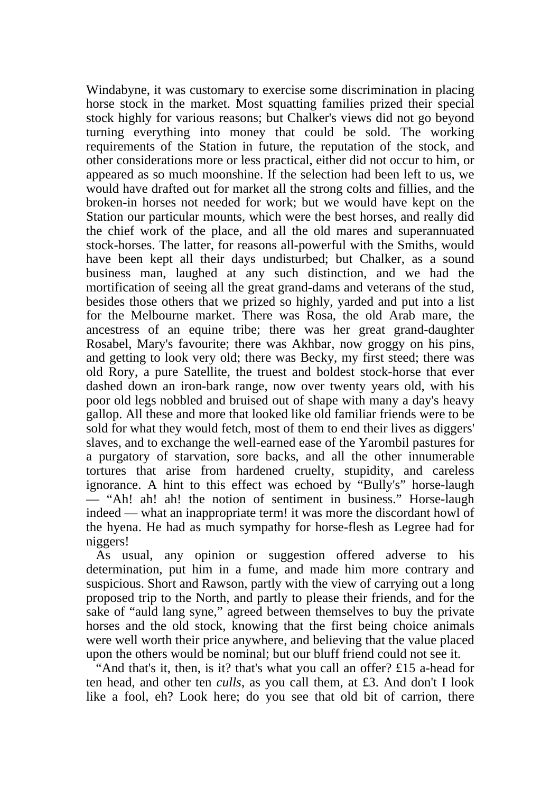Windabyne, it was customary to exercise some discrimination in placing horse stock in the market. Most squatting families prized their special stock highly for various reasons; but Chalker's views did not go beyond turning everything into money that could be sold. The working requirements of the Station in future, the reputation of the stock, and other considerations more or less practical, either did not occur to him, or appeared as so much moonshine. If the selection had been left to us, we would have drafted out for market all the strong colts and fillies, and the broken-in horses not needed for work; but we would have kept on the Station our particular mounts, which were the best horses, and really did the chief work of the place, and all the old mares and superannuated stock-horses. The latter, for reasons all-powerful with the Smiths, would have been kept all their days undisturbed; but Chalker, as a sound business man, laughed at any such distinction, and we had the mortification of seeing all the great grand-dams and veterans of the stud, besides those others that we prized so highly, yarded and put into a list for the Melbourne market. There was Rosa, the old Arab mare, the ancestress of an equine tribe; there was her great grand-daughter Rosabel, Mary's favourite; there was Akhbar, now groggy on his pins, and getting to look very old; there was Becky, my first steed; there was old Rory, a pure Satellite, the truest and boldest stock-horse that ever dashed down an iron-bark range, now over twenty years old, with his poor old legs nobbled and bruised out of shape with many a day's heavy gallop. All these and more that looked like old familiar friends were to be sold for what they would fetch, most of them to end their lives as diggers' slaves, and to exchange the well-earned ease of the Yarombil pastures for a purgatory of starvation, sore backs, and all the other innumerable tortures that arise from hardened cruelty, stupidity, and careless ignorance. A hint to this effect was echoed by "Bully's" horse-laugh — "Ah! ah! ah! the notion of sentiment in business." Horse-laugh indeed — what an inappropriate term! it was more the discordant howl of the hyena. He had as much sympathy for horse-flesh as Legree had for niggers!

 As usual, any opinion or suggestion offered adverse to his determination, put him in a fume, and made him more contrary and suspicious. Short and Rawson, partly with the view of carrying out a long proposed trip to the North, and partly to please their friends, and for the sake of "auld lang syne," agreed between themselves to buy the private horses and the old stock, knowing that the first being choice animals were well worth their price anywhere, and believing that the value placed upon the others would be nominal; but our bluff friend could not see it.

 "And that's it, then, is it? that's what you call an offer? £15 a-head for ten head, and other ten *culls*, as you call them, at £3. And don't I look like a fool, eh? Look here; do you see that old bit of carrion, there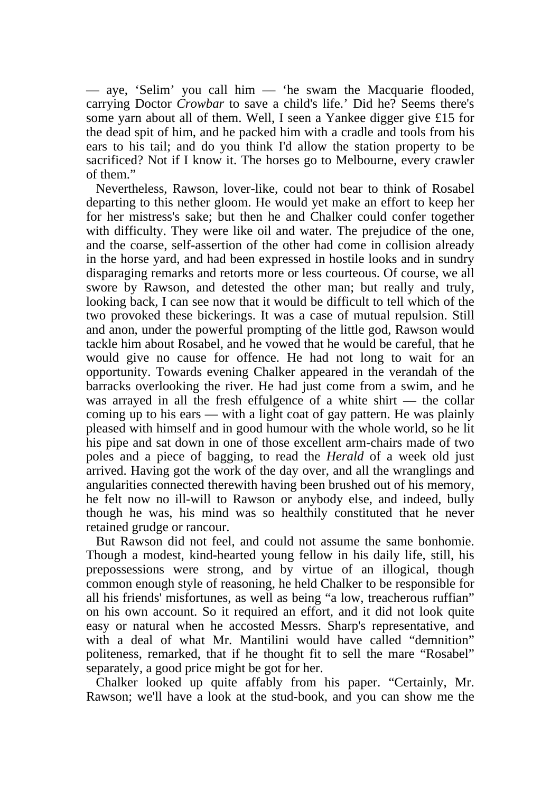— aye, 'Selim' you call him — 'he swam the Macquarie flooded, carrying Doctor *Crowbar* to save a child's life.' Did he? Seems there's some yarn about all of them. Well, I seen a Yankee digger give £15 for the dead spit of him, and he packed him with a cradle and tools from his ears to his tail; and do you think I'd allow the station property to be sacrificed? Not if I know it. The horses go to Melbourne, every crawler of them."

 Nevertheless, Rawson, lover-like, could not bear to think of Rosabel departing to this nether gloom. He would yet make an effort to keep her for her mistress's sake; but then he and Chalker could confer together with difficulty. They were like oil and water. The prejudice of the one, and the coarse, self-assertion of the other had come in collision already in the horse yard, and had been expressed in hostile looks and in sundry disparaging remarks and retorts more or less courteous. Of course, we all swore by Rawson, and detested the other man; but really and truly, looking back, I can see now that it would be difficult to tell which of the two provoked these bickerings. It was a case of mutual repulsion. Still and anon, under the powerful prompting of the little god, Rawson would tackle him about Rosabel, and he vowed that he would be careful, that he would give no cause for offence. He had not long to wait for an opportunity. Towards evening Chalker appeared in the verandah of the barracks overlooking the river. He had just come from a swim, and he was arrayed in all the fresh effulgence of a white shirt — the collar coming up to his ears — with a light coat of gay pattern. He was plainly pleased with himself and in good humour with the whole world, so he lit his pipe and sat down in one of those excellent arm-chairs made of two poles and a piece of bagging, to read the *Herald* of a week old just arrived. Having got the work of the day over, and all the wranglings and angularities connected therewith having been brushed out of his memory, he felt now no ill-will to Rawson or anybody else, and indeed, bully though he was, his mind was so healthily constituted that he never retained grudge or rancour.

 But Rawson did not feel, and could not assume the same bonhomie. Though a modest, kind-hearted young fellow in his daily life, still, his prepossessions were strong, and by virtue of an illogical, though common enough style of reasoning, he held Chalker to be responsible for all his friends' misfortunes, as well as being "a low, treacherous ruffian" on his own account. So it required an effort, and it did not look quite easy or natural when he accosted Messrs. Sharp's representative, and with a deal of what Mr. Mantilini would have called "demnition" politeness, remarked, that if he thought fit to sell the mare "Rosabel" separately, a good price might be got for her.

 Chalker looked up quite affably from his paper. "Certainly, Mr. Rawson; we'll have a look at the stud-book, and you can show me the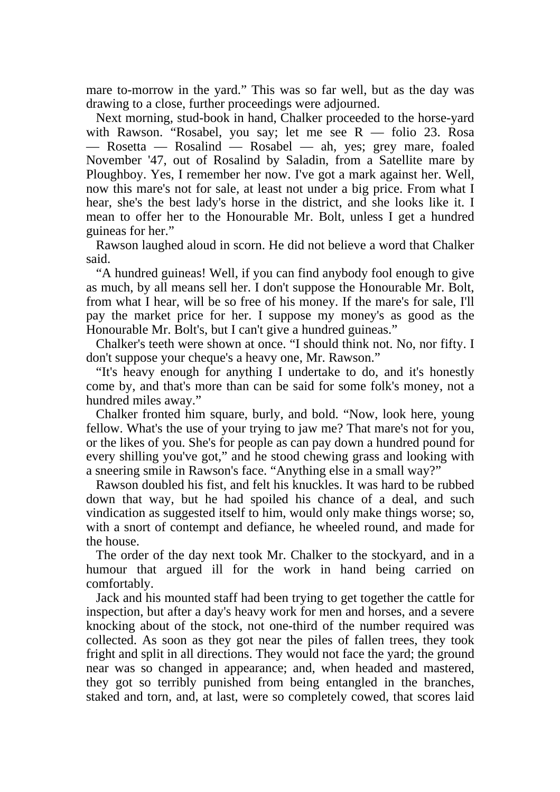mare to-morrow in the yard." This was so far well, but as the day was drawing to a close, further proceedings were adjourned.

 Next morning, stud-book in hand, Chalker proceeded to the horse-yard with Rawson. "Rosabel, you say; let me see R — folio 23. Rosa — Rosetta — Rosalind — Rosabel — ah, yes; grey mare, foaled November '47, out of Rosalind by Saladin, from a Satellite mare by Ploughboy. Yes, I remember her now. I've got a mark against her. Well, now this mare's not for sale, at least not under a big price. From what I hear, she's the best lady's horse in the district, and she looks like it. I mean to offer her to the Honourable Mr. Bolt, unless I get a hundred guineas for her."

 Rawson laughed aloud in scorn. He did not believe a word that Chalker said.

 "A hundred guineas! Well, if you can find anybody fool enough to give as much, by all means sell her. I don't suppose the Honourable Mr. Bolt, from what I hear, will be so free of his money. If the mare's for sale, I'll pay the market price for her. I suppose my money's as good as the Honourable Mr. Bolt's, but I can't give a hundred guineas."

 Chalker's teeth were shown at once. "I should think not. No, nor fifty. I don't suppose your cheque's a heavy one, Mr. Rawson."

 "It's heavy enough for anything I undertake to do, and it's honestly come by, and that's more than can be said for some folk's money, not a hundred miles away."

 Chalker fronted him square, burly, and bold. "Now, look here, young fellow. What's the use of your trying to jaw me? That mare's not for you, or the likes of you. She's for people as can pay down a hundred pound for every shilling you've got," and he stood chewing grass and looking with a sneering smile in Rawson's face. "Anything else in a small way?"

 Rawson doubled his fist, and felt his knuckles. It was hard to be rubbed down that way, but he had spoiled his chance of a deal, and such vindication as suggested itself to him, would only make things worse; so, with a snort of contempt and defiance, he wheeled round, and made for the house.

 The order of the day next took Mr. Chalker to the stockyard, and in a humour that argued ill for the work in hand being carried on comfortably.

 Jack and his mounted staff had been trying to get together the cattle for inspection, but after a day's heavy work for men and horses, and a severe knocking about of the stock, not one-third of the number required was collected. As soon as they got near the piles of fallen trees, they took fright and split in all directions. They would not face the yard; the ground near was so changed in appearance; and, when headed and mastered, they got so terribly punished from being entangled in the branches, staked and torn, and, at last, were so completely cowed, that scores laid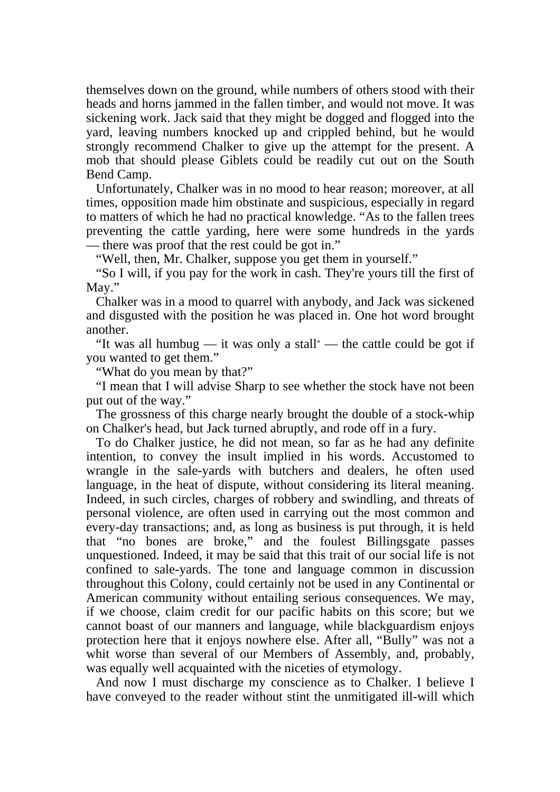themselves down on the ground, while numbers of others stood with their heads and horns jammed in the fallen timber, and would not move. It was sickening work. Jack said that they might be dogged and flogged into the yard, leaving numbers knocked up and crippled behind, but he would strongly recommend Chalker to give up the attempt for the present. A mob that should please Giblets could be readily cut out on the South Bend Camp.

 Unfortunately, Chalker was in no mood to hear reason; moreover, at all times, opposition made him obstinate and suspicious, especially in regard to matters of which he had no practical knowledge. "As to the fallen trees preventing the cattle yarding, here were some hundreds in the yards — there was proof that the rest could be got in."

"Well, then, Mr. Chalker, suppose you get them in yourself."

 "So I will, if you pay for the work in cash. They're yours till the first of May."

 Chalker was in a mood to quarrel with anybody, and Jack was sickened and disgusted with the position he was placed in. One hot word brought another.

"It was all humbug — it was only a stall" — the cattle could be got if you wanted to get them."

"What do you mean by that?"

 "I mean that I will advise Sharp to see whether the stock have not been put out of the way."

 The grossness of this charge nearly brought the double of a stock-whip on Chalker's head, but Jack turned abruptly, and rode off in a fury.

 To do Chalker justice, he did not mean, so far as he had any definite intention, to convey the insult implied in his words. Accustomed to wrangle in the sale-yards with butchers and dealers, he often used language, in the heat of dispute, without considering its literal meaning. Indeed, in such circles, charges of robbery and swindling, and threats of personal violence, are often used in carrying out the most common and every-day transactions; and, as long as business is put through, it is held that "no bones are broke," and the foulest Billingsgate passes unquestioned. Indeed, it may be said that this trait of our social life is not confined to sale-yards. The tone and language common in discussion throughout this Colony, could certainly not be used in any Continental or American community without entailing serious consequences. We may, if we choose, claim credit for our pacific habits on this score; but we cannot boast of our manners and language, while blackguardism enjoys protection here that it enjoys nowhere else. After all, "Bully" was not a whit worse than several of our Members of Assembly, and, probably, was equally well acquainted with the niceties of etymology.

 And now I must discharge my conscience as to Chalker. I believe I have conveyed to the reader without stint the unmitigated ill-will which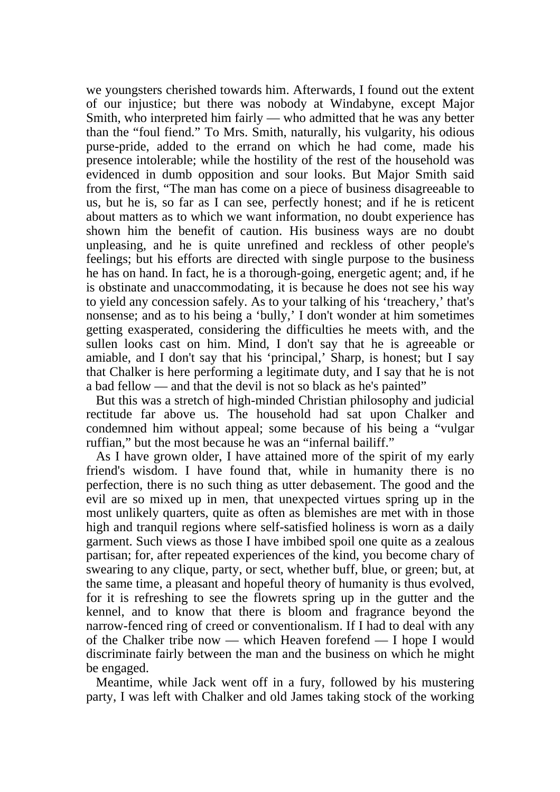we youngsters cherished towards him. Afterwards, I found out the extent of our injustice; but there was nobody at Windabyne, except Major Smith, who interpreted him fairly — who admitted that he was any better than the "foul fiend." To Mrs. Smith, naturally, his vulgarity, his odious purse-pride, added to the errand on which he had come, made his presence intolerable; while the hostility of the rest of the household was evidenced in dumb opposition and sour looks. But Major Smith said from the first, "The man has come on a piece of business disagreeable to us, but he is, so far as I can see, perfectly honest; and if he is reticent about matters as to which we want information, no doubt experience has shown him the benefit of caution. His business ways are no doubt unpleasing, and he is quite unrefined and reckless of other people's feelings; but his efforts are directed with single purpose to the business he has on hand. In fact, he is a thorough-going, energetic agent; and, if he is obstinate and unaccommodating, it is because he does not see his way to yield any concession safely. As to your talking of his 'treachery,' that's nonsense; and as to his being a 'bully,' I don't wonder at him sometimes getting exasperated, considering the difficulties he meets with, and the sullen looks cast on him. Mind, I don't say that he is agreeable or amiable, and I don't say that his 'principal,' Sharp, is honest; but I say that Chalker is here performing a legitimate duty, and I say that he is not a bad fellow — and that the devil is not so black as he's painted"

 But this was a stretch of high-minded Christian philosophy and judicial rectitude far above us. The household had sat upon Chalker and condemned him without appeal; some because of his being a "vulgar ruffian," but the most because he was an "infernal bailiff."

 As I have grown older, I have attained more of the spirit of my early friend's wisdom. I have found that, while in humanity there is no perfection, there is no such thing as utter debasement. The good and the evil are so mixed up in men, that unexpected virtues spring up in the most unlikely quarters, quite as often as blemishes are met with in those high and tranquil regions where self-satisfied holiness is worn as a daily garment. Such views as those I have imbibed spoil one quite as a zealous partisan; for, after repeated experiences of the kind, you become chary of swearing to any clique, party, or sect, whether buff, blue, or green; but, at the same time, a pleasant and hopeful theory of humanity is thus evolved, for it is refreshing to see the flowrets spring up in the gutter and the kennel, and to know that there is bloom and fragrance beyond the narrow-fenced ring of creed or conventionalism. If I had to deal with any of the Chalker tribe now — which Heaven forefend — I hope I would discriminate fairly between the man and the business on which he might be engaged.

 Meantime, while Jack went off in a fury, followed by his mustering party, I was left with Chalker and old James taking stock of the working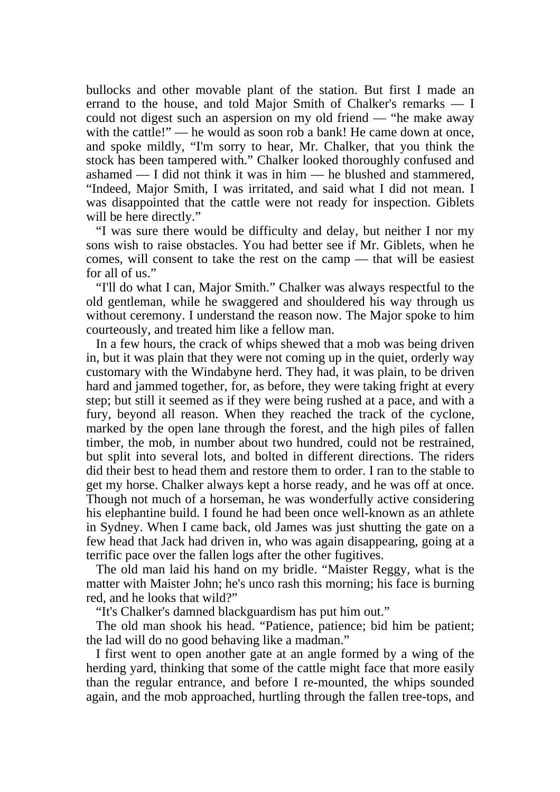bullocks and other movable plant of the station. But first I made an errand to the house, and told Major Smith of Chalker's remarks — I could not digest such an aspersion on my old friend — "he make away with the cattle!" — he would as soon rob a bank! He came down at once, and spoke mildly, "I'm sorry to hear, Mr. Chalker, that you think the stock has been tampered with." Chalker looked thoroughly confused and ashamed — I did not think it was in him — he blushed and stammered, "Indeed, Major Smith, I was irritated, and said what I did not mean. I was disappointed that the cattle were not ready for inspection. Giblets will be here directly."

 "I was sure there would be difficulty and delay, but neither I nor my sons wish to raise obstacles. You had better see if Mr. Giblets, when he comes, will consent to take the rest on the camp — that will be easiest for all of us."

 "I'll do what I can, Major Smith." Chalker was always respectful to the old gentleman, while he swaggered and shouldered his way through us without ceremony. I understand the reason now. The Major spoke to him courteously, and treated him like a fellow man.

 In a few hours, the crack of whips shewed that a mob was being driven in, but it was plain that they were not coming up in the quiet, orderly way customary with the Windabyne herd. They had, it was plain, to be driven hard and jammed together, for, as before, they were taking fright at every step; but still it seemed as if they were being rushed at a pace, and with a fury, beyond all reason. When they reached the track of the cyclone, marked by the open lane through the forest, and the high piles of fallen timber, the mob, in number about two hundred, could not be restrained, but split into several lots, and bolted in different directions. The riders did their best to head them and restore them to order. I ran to the stable to get my horse. Chalker always kept a horse ready, and he was off at once. Though not much of a horseman, he was wonderfully active considering his elephantine build. I found he had been once well-known as an athlete in Sydney. When I came back, old James was just shutting the gate on a few head that Jack had driven in, who was again disappearing, going at a terrific pace over the fallen logs after the other fugitives.

 The old man laid his hand on my bridle. "Maister Reggy, what is the matter with Maister John; he's unco rash this morning; his face is burning red, and he looks that wild?"

"It's Chalker's damned blackguardism has put him out."

 The old man shook his head. "Patience, patience; bid him be patient; the lad will do no good behaving like a madman."

 I first went to open another gate at an angle formed by a wing of the herding yard, thinking that some of the cattle might face that more easily than the regular entrance, and before I re-mounted, the whips sounded again, and the mob approached, hurtling through the fallen tree-tops, and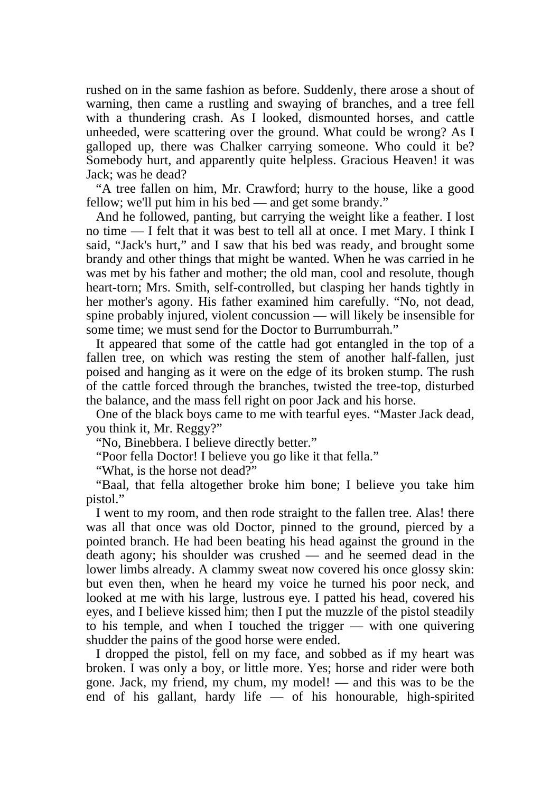rushed on in the same fashion as before. Suddenly, there arose a shout of warning, then came a rustling and swaying of branches, and a tree fell with a thundering crash. As I looked, dismounted horses, and cattle unheeded, were scattering over the ground. What could be wrong? As I galloped up, there was Chalker carrying someone. Who could it be? Somebody hurt, and apparently quite helpless. Gracious Heaven! it was Jack; was he dead?

 "A tree fallen on him, Mr. Crawford; hurry to the house, like a good fellow; we'll put him in his bed — and get some brandy."

 And he followed, panting, but carrying the weight like a feather. I lost no time — I felt that it was best to tell all at once. I met Mary. I think I said, "Jack's hurt," and I saw that his bed was ready, and brought some brandy and other things that might be wanted. When he was carried in he was met by his father and mother; the old man, cool and resolute, though heart-torn; Mrs. Smith, self-controlled, but clasping her hands tightly in her mother's agony. His father examined him carefully. "No, not dead, spine probably injured, violent concussion — will likely be insensible for some time; we must send for the Doctor to Burrumburrah."

 It appeared that some of the cattle had got entangled in the top of a fallen tree, on which was resting the stem of another half-fallen, just poised and hanging as it were on the edge of its broken stump. The rush of the cattle forced through the branches, twisted the tree-top, disturbed the balance, and the mass fell right on poor Jack and his horse.

 One of the black boys came to me with tearful eyes. "Master Jack dead, you think it, Mr. Reggy?"

"No, Binebbera. I believe directly better."

"Poor fella Doctor! I believe you go like it that fella."

"What, is the horse not dead?"

 "Baal, that fella altogether broke him bone; I believe you take him pistol."

 I went to my room, and then rode straight to the fallen tree. Alas! there was all that once was old Doctor, pinned to the ground, pierced by a pointed branch. He had been beating his head against the ground in the death agony; his shoulder was crushed — and he seemed dead in the lower limbs already. A clammy sweat now covered his once glossy skin: but even then, when he heard my voice he turned his poor neck, and looked at me with his large, lustrous eye. I patted his head, covered his eyes, and I believe kissed him; then I put the muzzle of the pistol steadily to his temple, and when I touched the trigger — with one quivering shudder the pains of the good horse were ended.

 I dropped the pistol, fell on my face, and sobbed as if my heart was broken. I was only a boy, or little more. Yes; horse and rider were both gone. Jack, my friend, my chum, my model! — and this was to be the end of his gallant, hardy life — of his honourable, high-spirited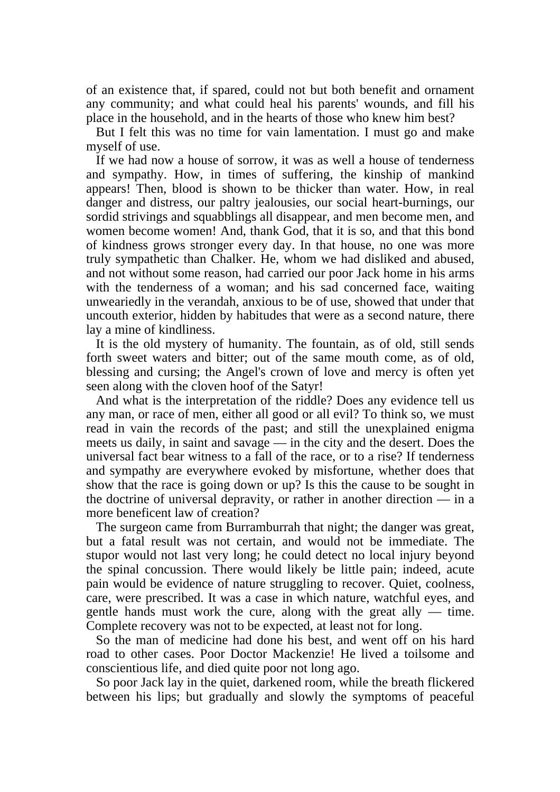of an existence that, if spared, could not but both benefit and ornament any community; and what could heal his parents' wounds, and fill his place in the household, and in the hearts of those who knew him best?

 But I felt this was no time for vain lamentation. I must go and make myself of use.

 If we had now a house of sorrow, it was as well a house of tenderness and sympathy. How, in times of suffering, the kinship of mankind appears! Then, blood is shown to be thicker than water. How, in real danger and distress, our paltry jealousies, our social heart-burnings, our sordid strivings and squabblings all disappear, and men become men, and women become women! And, thank God, that it is so, and that this bond of kindness grows stronger every day. In that house, no one was more truly sympathetic than Chalker. He, whom we had disliked and abused, and not without some reason, had carried our poor Jack home in his arms with the tenderness of a woman; and his sad concerned face, waiting unweariedly in the verandah, anxious to be of use, showed that under that uncouth exterior, hidden by habitudes that were as a second nature, there lay a mine of kindliness.

 It is the old mystery of humanity. The fountain, as of old, still sends forth sweet waters and bitter; out of the same mouth come, as of old, blessing and cursing; the Angel's crown of love and mercy is often yet seen along with the cloven hoof of the Satyr!

 And what is the interpretation of the riddle? Does any evidence tell us any man, or race of men, either all good or all evil? To think so, we must read in vain the records of the past; and still the unexplained enigma meets us daily, in saint and savage — in the city and the desert. Does the universal fact bear witness to a fall of the race, or to a rise? If tenderness and sympathy are everywhere evoked by misfortune, whether does that show that the race is going down or up? Is this the cause to be sought in the doctrine of universal depravity, or rather in another direction — in a more beneficent law of creation?

 The surgeon came from Burramburrah that night; the danger was great, but a fatal result was not certain, and would not be immediate. The stupor would not last very long; he could detect no local injury beyond the spinal concussion. There would likely be little pain; indeed, acute pain would be evidence of nature struggling to recover. Quiet, coolness, care, were prescribed. It was a case in which nature, watchful eyes, and gentle hands must work the cure, along with the great ally — time. Complete recovery was not to be expected, at least not for long.

 So the man of medicine had done his best, and went off on his hard road to other cases. Poor Doctor Mackenzie! He lived a toilsome and conscientious life, and died quite poor not long ago.

 So poor Jack lay in the quiet, darkened room, while the breath flickered between his lips; but gradually and slowly the symptoms of peaceful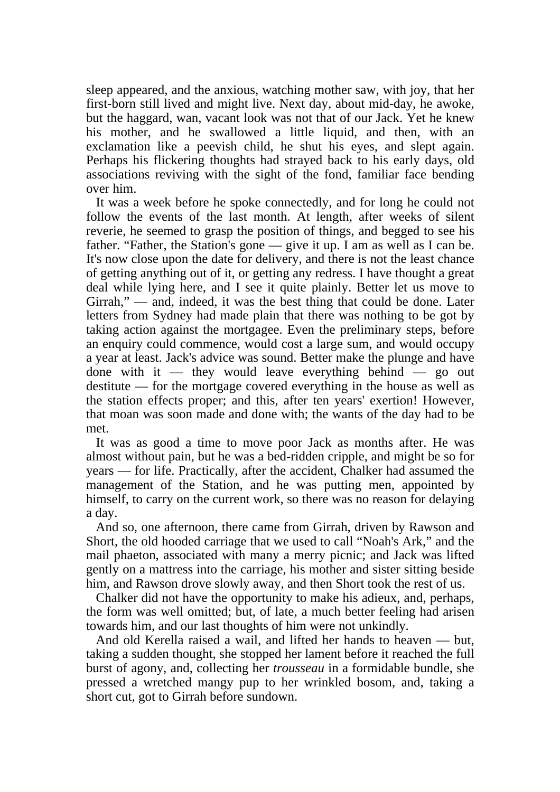sleep appeared, and the anxious, watching mother saw, with joy, that her first-born still lived and might live. Next day, about mid-day, he awoke, but the haggard, wan, vacant look was not that of our Jack. Yet he knew his mother, and he swallowed a little liquid, and then, with an exclamation like a peevish child, he shut his eyes, and slept again. Perhaps his flickering thoughts had strayed back to his early days, old associations reviving with the sight of the fond, familiar face bending over him.

 It was a week before he spoke connectedly, and for long he could not follow the events of the last month. At length, after weeks of silent reverie, he seemed to grasp the position of things, and begged to see his father. "Father, the Station's gone — give it up. I am as well as I can be. It's now close upon the date for delivery, and there is not the least chance of getting anything out of it, or getting any redress. I have thought a great deal while lying here, and I see it quite plainly. Better let us move to Girrah," — and, indeed, it was the best thing that could be done. Later letters from Sydney had made plain that there was nothing to be got by taking action against the mortgagee. Even the preliminary steps, before an enquiry could commence, would cost a large sum, and would occupy a year at least. Jack's advice was sound. Better make the plunge and have done with it — they would leave everything behind — go out destitute — for the mortgage covered everything in the house as well as the station effects proper; and this, after ten years' exertion! However, that moan was soon made and done with; the wants of the day had to be met.

 It was as good a time to move poor Jack as months after. He was almost without pain, but he was a bed-ridden cripple, and might be so for years — for life. Practically, after the accident, Chalker had assumed the management of the Station, and he was putting men, appointed by himself, to carry on the current work, so there was no reason for delaying a day.

 And so, one afternoon, there came from Girrah, driven by Rawson and Short, the old hooded carriage that we used to call "Noah's Ark," and the mail phaeton, associated with many a merry picnic; and Jack was lifted gently on a mattress into the carriage, his mother and sister sitting beside him, and Rawson drove slowly away, and then Short took the rest of us.

 Chalker did not have the opportunity to make his adieux, and, perhaps, the form was well omitted; but, of late, a much better feeling had arisen towards him, and our last thoughts of him were not unkindly.

 And old Kerella raised a wail, and lifted her hands to heaven — but, taking a sudden thought, she stopped her lament before it reached the full burst of agony, and, collecting her *trousseau* in a formidable bundle, she pressed a wretched mangy pup to her wrinkled bosom, and, taking a short cut, got to Girrah before sundown.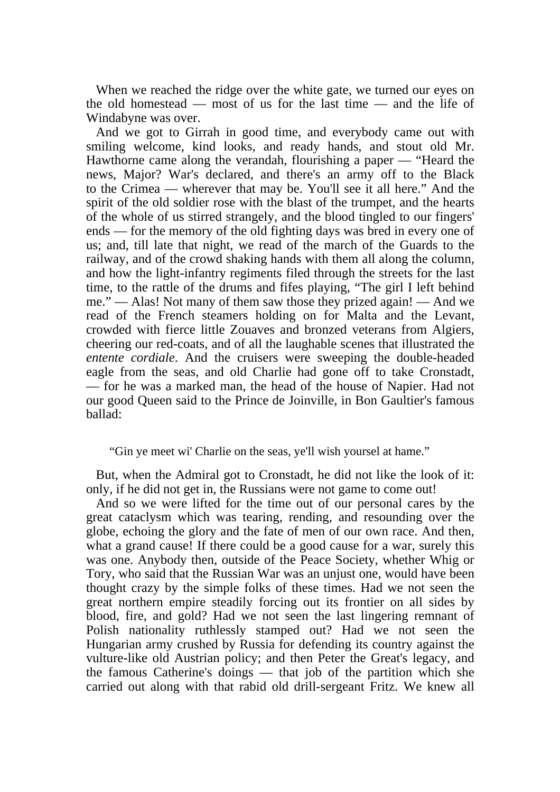When we reached the ridge over the white gate, we turned our eyes on the old homestead — most of us for the last time — and the life of Windabyne was over.

 And we got to Girrah in good time, and everybody came out with smiling welcome, kind looks, and ready hands, and stout old Mr. Hawthorne came along the verandah, flourishing a paper — "Heard the news, Major? War's declared, and there's an army off to the Black to the Crimea — wherever that may be. You'll see it all here." And the spirit of the old soldier rose with the blast of the trumpet, and the hearts of the whole of us stirred strangely, and the blood tingled to our fingers' ends — for the memory of the old fighting days was bred in every one of us; and, till late that night, we read of the march of the Guards to the railway, and of the crowd shaking hands with them all along the column, and how the light-infantry regiments filed through the streets for the last time, to the rattle of the drums and fifes playing, "The girl I left behind me." — Alas! Not many of them saw those they prized again! — And we read of the French steamers holding on for Malta and the Levant, crowded with fierce little Zouaves and bronzed veterans from Algiers, cheering our red-coats, and of all the laughable scenes that illustrated the *entente cordiale*. And the cruisers were sweeping the double-headed eagle from the seas, and old Charlie had gone off to take Cronstadt, — for he was a marked man, the head of the house of Napier. Had not our good Queen said to the Prince de Joinville, in Bon Gaultier's famous ballad:

"Gin ye meet wi' Charlie on the seas, ye'll wish yoursel at hame."

 But, when the Admiral got to Cronstadt, he did not like the look of it: only, if he did not get in, the Russians were not game to come out!

 And so we were lifted for the time out of our personal cares by the great cataclysm which was tearing, rending, and resounding over the globe, echoing the glory and the fate of men of our own race. And then, what a grand cause! If there could be a good cause for a war, surely this was one. Anybody then, outside of the Peace Society, whether Whig or Tory, who said that the Russian War was an unjust one, would have been thought crazy by the simple folks of these times. Had we not seen the great northern empire steadily forcing out its frontier on all sides by blood, fire, and gold? Had we not seen the last lingering remnant of Polish nationality ruthlessly stamped out? Had we not seen the Hungarian army crushed by Russia for defending its country against the vulture-like old Austrian policy; and then Peter the Great's legacy, and the famous Catherine's doings — that job of the partition which she carried out along with that rabid old drill-sergeant Fritz. We knew all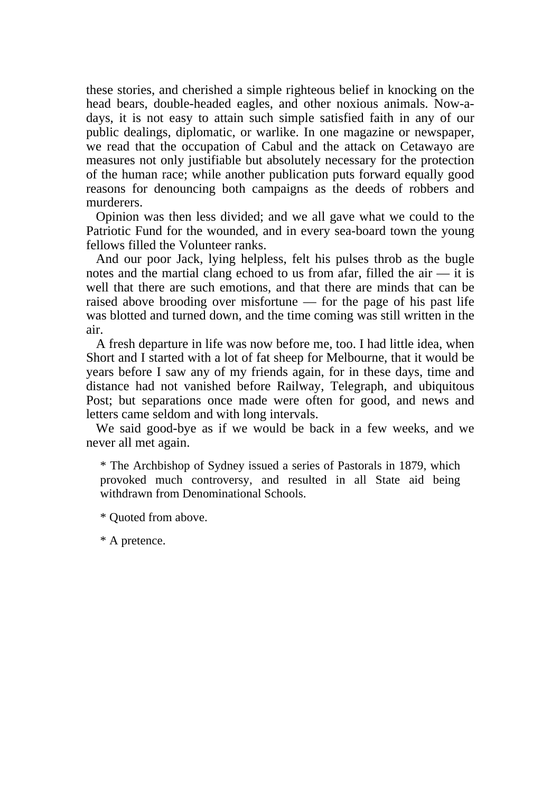these stories, and cherished a simple righteous belief in knocking on the head bears, double-headed eagles, and other noxious animals. Now-adays, it is not easy to attain such simple satisfied faith in any of our public dealings, diplomatic, or warlike. In one magazine or newspaper, we read that the occupation of Cabul and the attack on Cetawayo are measures not only justifiable but absolutely necessary for the protection of the human race; while another publication puts forward equally good reasons for denouncing both campaigns as the deeds of robbers and murderers.

 Opinion was then less divided; and we all gave what we could to the Patriotic Fund for the wounded, and in every sea-board town the young fellows filled the Volunteer ranks.

 And our poor Jack, lying helpless, felt his pulses throb as the bugle notes and the martial clang echoed to us from afar, filled the  $air - it$  is well that there are such emotions, and that there are minds that can be raised above brooding over misfortune — for the page of his past life was blotted and turned down, and the time coming was still written in the air.

 A fresh departure in life was now before me, too. I had little idea, when Short and I started with a lot of fat sheep for Melbourne, that it would be years before I saw any of my friends again, for in these days, time and distance had not vanished before Railway, Telegraph, and ubiquitous Post; but separations once made were often for good, and news and letters came seldom and with long intervals.

 We said good-bye as if we would be back in a few weeks, and we never all met again.

\* The Archbishop of Sydney issued a series of Pastorals in 1879, which provoked much controversy, and resulted in all State aid being withdrawn from Denominational Schools.

\* Quoted from above.

\* A pretence.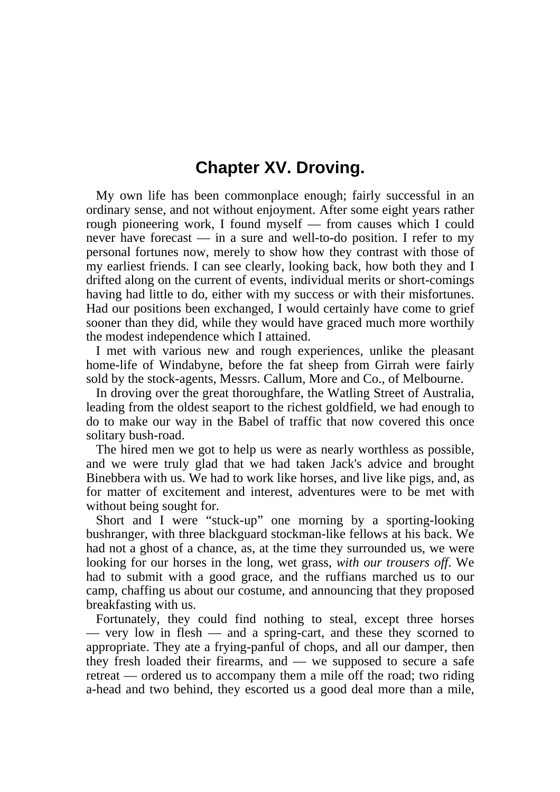## **Chapter XV. Droving.**

 My own life has been commonplace enough; fairly successful in an ordinary sense, and not without enjoyment. After some eight years rather rough pioneering work, I found myself — from causes which I could never have forecast — in a sure and well-to-do position. I refer to my personal fortunes now, merely to show how they contrast with those of my earliest friends. I can see clearly, looking back, how both they and I drifted along on the current of events, individual merits or short-comings having had little to do, either with my success or with their misfortunes. Had our positions been exchanged, I would certainly have come to grief sooner than they did, while they would have graced much more worthily the modest independence which I attained.

 I met with various new and rough experiences, unlike the pleasant home-life of Windabyne, before the fat sheep from Girrah were fairly sold by the stock-agents, Messrs. Callum, More and Co., of Melbourne.

 In droving over the great thoroughfare, the Watling Street of Australia, leading from the oldest seaport to the richest goldfield, we had enough to do to make our way in the Babel of traffic that now covered this once solitary bush-road.

 The hired men we got to help us were as nearly worthless as possible, and we were truly glad that we had taken Jack's advice and brought Binebbera with us. We had to work like horses, and live like pigs, and, as for matter of excitement and interest, adventures were to be met with without being sought for.

 Short and I were "stuck-up" one morning by a sporting-looking bushranger, with three blackguard stockman-like fellows at his back. We had not a ghost of a chance, as, at the time they surrounded us, we were looking for our horses in the long, wet grass, *with our trousers off*. We had to submit with a good grace, and the ruffians marched us to our camp, chaffing us about our costume, and announcing that they proposed breakfasting with us.

 Fortunately, they could find nothing to steal, except three horses — very low in flesh — and a spring-cart, and these they scorned to appropriate. They ate a frying-panful of chops, and all our damper, then they fresh loaded their firearms, and — we supposed to secure a safe retreat — ordered us to accompany them a mile off the road; two riding a-head and two behind, they escorted us a good deal more than a mile,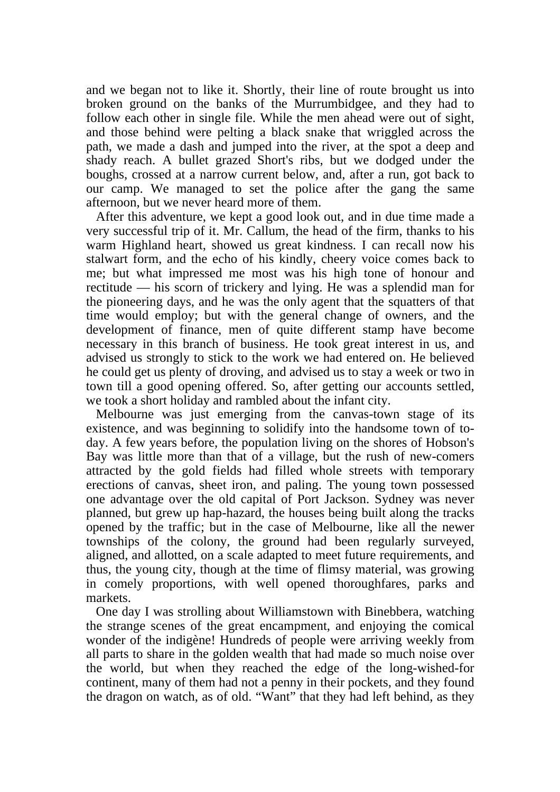and we began not to like it. Shortly, their line of route brought us into broken ground on the banks of the Murrumbidgee, and they had to follow each other in single file. While the men ahead were out of sight, and those behind were pelting a black snake that wriggled across the path, we made a dash and jumped into the river, at the spot a deep and shady reach. A bullet grazed Short's ribs, but we dodged under the boughs, crossed at a narrow current below, and, after a run, got back to our camp. We managed to set the police after the gang the same afternoon, but we never heard more of them.

 After this adventure, we kept a good look out, and in due time made a very successful trip of it. Mr. Callum, the head of the firm, thanks to his warm Highland heart, showed us great kindness. I can recall now his stalwart form, and the echo of his kindly, cheery voice comes back to me; but what impressed me most was his high tone of honour and rectitude — his scorn of trickery and lying. He was a splendid man for the pioneering days, and he was the only agent that the squatters of that time would employ; but with the general change of owners, and the development of finance, men of quite different stamp have become necessary in this branch of business. He took great interest in us, and advised us strongly to stick to the work we had entered on. He believed he could get us plenty of droving, and advised us to stay a week or two in town till a good opening offered. So, after getting our accounts settled, we took a short holiday and rambled about the infant city.

 Melbourne was just emerging from the canvas-town stage of its existence, and was beginning to solidify into the handsome town of today. A few years before, the population living on the shores of Hobson's Bay was little more than that of a village, but the rush of new-comers attracted by the gold fields had filled whole streets with temporary erections of canvas, sheet iron, and paling. The young town possessed one advantage over the old capital of Port Jackson. Sydney was never planned, but grew up hap-hazard, the houses being built along the tracks opened by the traffic; but in the case of Melbourne, like all the newer townships of the colony, the ground had been regularly surveyed, aligned, and allotted, on a scale adapted to meet future requirements, and thus, the young city, though at the time of flimsy material, was growing in comely proportions, with well opened thoroughfares, parks and markets.

 One day I was strolling about Williamstown with Binebbera, watching the strange scenes of the great encampment, and enjoying the comical wonder of the indigène! Hundreds of people were arriving weekly from all parts to share in the golden wealth that had made so much noise over the world, but when they reached the edge of the long-wished-for continent, many of them had not a penny in their pockets, and they found the dragon on watch, as of old. "Want" that they had left behind, as they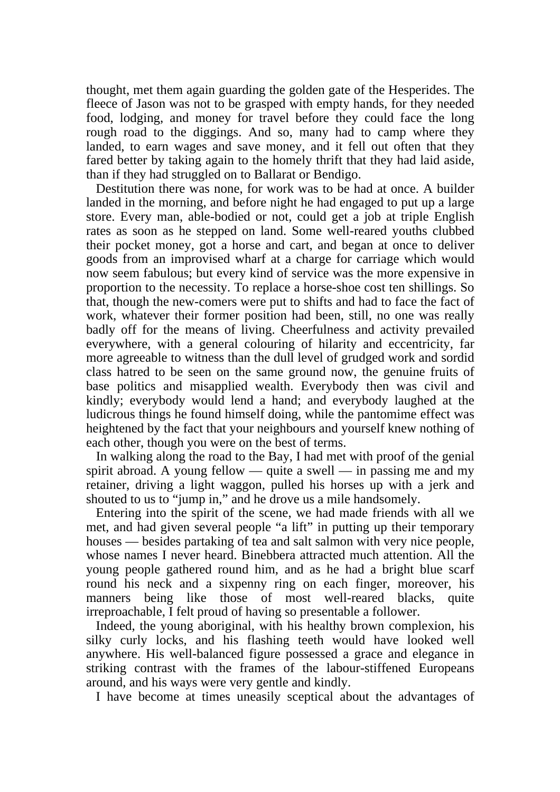thought, met them again guarding the golden gate of the Hesperides. The fleece of Jason was not to be grasped with empty hands, for they needed food, lodging, and money for travel before they could face the long rough road to the diggings. And so, many had to camp where they landed, to earn wages and save money, and it fell out often that they fared better by taking again to the homely thrift that they had laid aside, than if they had struggled on to Ballarat or Bendigo.

 Destitution there was none, for work was to be had at once. A builder landed in the morning, and before night he had engaged to put up a large store. Every man, able-bodied or not, could get a job at triple English rates as soon as he stepped on land. Some well-reared youths clubbed their pocket money, got a horse and cart, and began at once to deliver goods from an improvised wharf at a charge for carriage which would now seem fabulous; but every kind of service was the more expensive in proportion to the necessity. To replace a horse-shoe cost ten shillings. So that, though the new-comers were put to shifts and had to face the fact of work, whatever their former position had been, still, no one was really badly off for the means of living. Cheerfulness and activity prevailed everywhere, with a general colouring of hilarity and eccentricity, far more agreeable to witness than the dull level of grudged work and sordid class hatred to be seen on the same ground now, the genuine fruits of base politics and misapplied wealth. Everybody then was civil and kindly; everybody would lend a hand; and everybody laughed at the ludicrous things he found himself doing, while the pantomime effect was heightened by the fact that your neighbours and yourself knew nothing of each other, though you were on the best of terms.

 In walking along the road to the Bay, I had met with proof of the genial spirit abroad. A young fellow — quite a swell — in passing me and my retainer, driving a light waggon, pulled his horses up with a jerk and shouted to us to "jump in," and he drove us a mile handsomely.

 Entering into the spirit of the scene, we had made friends with all we met, and had given several people "a lift" in putting up their temporary houses — besides partaking of tea and salt salmon with very nice people, whose names I never heard. Binebbera attracted much attention. All the young people gathered round him, and as he had a bright blue scarf round his neck and a sixpenny ring on each finger, moreover, his manners being like those of most well-reared blacks, quite irreproachable, I felt proud of having so presentable a follower.

 Indeed, the young aboriginal, with his healthy brown complexion, his silky curly locks, and his flashing teeth would have looked well anywhere. His well-balanced figure possessed a grace and elegance in striking contrast with the frames of the labour-stiffened Europeans around, and his ways were very gentle and kindly.

I have become at times uneasily sceptical about the advantages of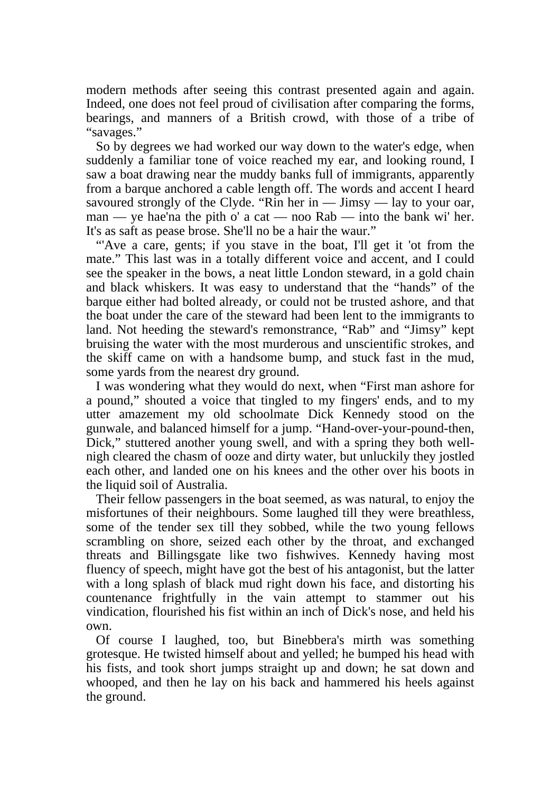modern methods after seeing this contrast presented again and again. Indeed, one does not feel proud of civilisation after comparing the forms, bearings, and manners of a British crowd, with those of a tribe of "savages."

 So by degrees we had worked our way down to the water's edge, when suddenly a familiar tone of voice reached my ear, and looking round, I saw a boat drawing near the muddy banks full of immigrants, apparently from a barque anchored a cable length off. The words and accent I heard savoured strongly of the Clyde. "Rin her in — Jimsy — lay to your oar, man — ye hae'na the pith o' a cat — noo Rab — into the bank wi' her. It's as saft as pease brose. She'll no be a hair the waur."

 "'Ave a care, gents; if you stave in the boat, I'll get it 'ot from the mate." This last was in a totally different voice and accent, and I could see the speaker in the bows, a neat little London steward, in a gold chain and black whiskers. It was easy to understand that the "hands" of the barque either had bolted already, or could not be trusted ashore, and that the boat under the care of the steward had been lent to the immigrants to land. Not heeding the steward's remonstrance, "Rab" and "Jimsy" kept bruising the water with the most murderous and unscientific strokes, and the skiff came on with a handsome bump, and stuck fast in the mud, some yards from the nearest dry ground.

 I was wondering what they would do next, when "First man ashore for a pound," shouted a voice that tingled to my fingers' ends, and to my utter amazement my old schoolmate Dick Kennedy stood on the gunwale, and balanced himself for a jump. "Hand-over-your-pound-then, Dick," stuttered another young swell, and with a spring they both wellnigh cleared the chasm of ooze and dirty water, but unluckily they jostled each other, and landed one on his knees and the other over his boots in the liquid soil of Australia.

 Their fellow passengers in the boat seemed, as was natural, to enjoy the misfortunes of their neighbours. Some laughed till they were breathless, some of the tender sex till they sobbed, while the two young fellows scrambling on shore, seized each other by the throat, and exchanged threats and Billingsgate like two fishwives. Kennedy having most fluency of speech, might have got the best of his antagonist, but the latter with a long splash of black mud right down his face, and distorting his countenance frightfully in the vain attempt to stammer out his vindication, flourished his fist within an inch of Dick's nose, and held his own.

 Of course I laughed, too, but Binebbera's mirth was something grotesque. He twisted himself about and yelled; he bumped his head with his fists, and took short jumps straight up and down; he sat down and whooped, and then he lay on his back and hammered his heels against the ground.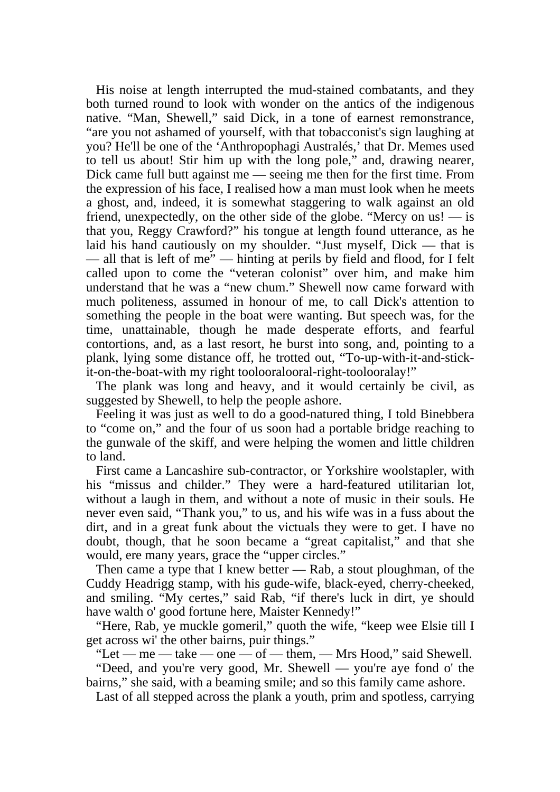His noise at length interrupted the mud-stained combatants, and they both turned round to look with wonder on the antics of the indigenous native. "Man, Shewell," said Dick, in a tone of earnest remonstrance, "are you not ashamed of yourself, with that tobacconist's sign laughing at you? He'll be one of the 'Anthropophagi Australés,' that Dr. Memes used to tell us about! Stir him up with the long pole," and, drawing nearer, Dick came full butt against me — seeing me then for the first time. From the expression of his face, I realised how a man must look when he meets a ghost, and, indeed, it is somewhat staggering to walk against an old friend, unexpectedly, on the other side of the globe. "Mercy on us! — is that you, Reggy Crawford?" his tongue at length found utterance, as he laid his hand cautiously on my shoulder. "Just myself, Dick — that is — all that is left of me" — hinting at perils by field and flood, for I felt called upon to come the "veteran colonist" over him, and make him understand that he was a "new chum." Shewell now came forward with much politeness, assumed in honour of me, to call Dick's attention to something the people in the boat were wanting. But speech was, for the time, unattainable, though he made desperate efforts, and fearful contortions, and, as a last resort, he burst into song, and, pointing to a plank, lying some distance off, he trotted out, "To-up-with-it-and-stickit-on-the-boat-with my right toolooralooral-right-toolooralay!"

 The plank was long and heavy, and it would certainly be civil, as suggested by Shewell, to help the people ashore.

 Feeling it was just as well to do a good-natured thing, I told Binebbera to "come on," and the four of us soon had a portable bridge reaching to the gunwale of the skiff, and were helping the women and little children to land.

 First came a Lancashire sub-contractor, or Yorkshire woolstapler, with his "missus and childer." They were a hard-featured utilitarian lot, without a laugh in them, and without a note of music in their souls. He never even said, "Thank you," to us, and his wife was in a fuss about the dirt, and in a great funk about the victuals they were to get. I have no doubt, though, that he soon became a "great capitalist," and that she would, ere many years, grace the "upper circles."

 Then came a type that I knew better — Rab, a stout ploughman, of the Cuddy Headrigg stamp, with his gude-wife, black-eyed, cherry-cheeked, and smiling. "My certes," said Rab, "if there's luck in dirt, ye should have walth o' good fortune here, Maister Kennedy!"

 "Here, Rab, ye muckle gomeril," quoth the wife, "keep wee Elsie till I get across wi' the other bairns, puir things."

"Let — me — take — one — of — them, — Mrs Hood," said Shewell.

 "Deed, and you're very good, Mr. Shewell — you're aye fond o' the bairns," she said, with a beaming smile; and so this family came ashore.

Last of all stepped across the plank a youth, prim and spotless, carrying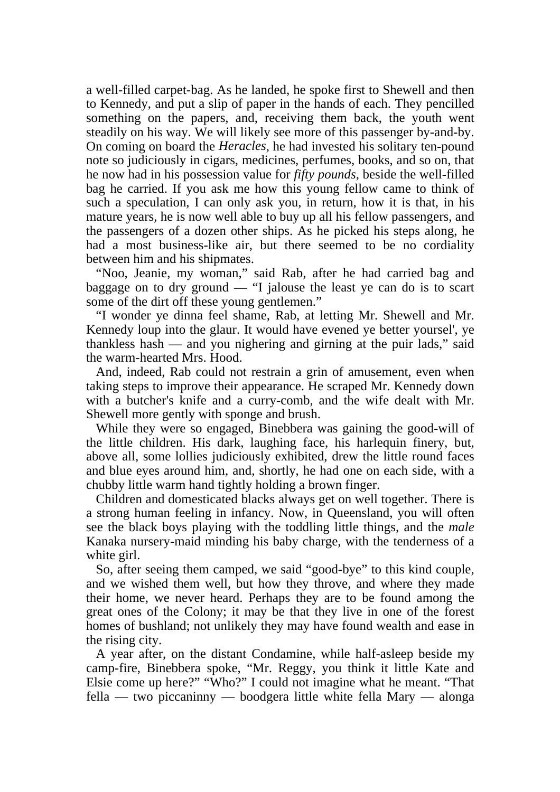a well-filled carpet-bag. As he landed, he spoke first to Shewell and then to Kennedy, and put a slip of paper in the hands of each. They pencilled something on the papers, and, receiving them back, the youth went steadily on his way. We will likely see more of this passenger by-and-by. On coming on board the *Heracles*, he had invested his solitary ten-pound note so judiciously in cigars, medicines, perfumes, books, and so on, that he now had in his possession value for *fifty pounds*, beside the well-filled bag he carried. If you ask me how this young fellow came to think of such a speculation, I can only ask you, in return, how it is that, in his mature years, he is now well able to buy up all his fellow passengers, and the passengers of a dozen other ships. As he picked his steps along, he had a most business-like air, but there seemed to be no cordiality between him and his shipmates.

 "Noo, Jeanie, my woman," said Rab, after he had carried bag and baggage on to dry ground — "I jalouse the least ye can do is to scart some of the dirt off these young gentlemen."

 "I wonder ye dinna feel shame, Rab, at letting Mr. Shewell and Mr. Kennedy loup into the glaur. It would have evened ye better yoursel', ye thankless hash — and you nighering and girning at the puir lads," said the warm-hearted Mrs. Hood.

 And, indeed, Rab could not restrain a grin of amusement, even when taking steps to improve their appearance. He scraped Mr. Kennedy down with a butcher's knife and a curry-comb, and the wife dealt with Mr. Shewell more gently with sponge and brush.

 While they were so engaged, Binebbera was gaining the good-will of the little children. His dark, laughing face, his harlequin finery, but, above all, some lollies judiciously exhibited, drew the little round faces and blue eyes around him, and, shortly, he had one on each side, with a chubby little warm hand tightly holding a brown finger.

 Children and domesticated blacks always get on well together. There is a strong human feeling in infancy. Now, in Queensland, you will often see the black boys playing with the toddling little things, and the *male* Kanaka nursery-maid minding his baby charge, with the tenderness of a white girl.

 So, after seeing them camped, we said "good-bye" to this kind couple, and we wished them well, but how they throve, and where they made their home, we never heard. Perhaps they are to be found among the great ones of the Colony; it may be that they live in one of the forest homes of bushland; not unlikely they may have found wealth and ease in the rising city.

 A year after, on the distant Condamine, while half-asleep beside my camp-fire, Binebbera spoke, "Mr. Reggy, you think it little Kate and Elsie come up here?" "Who?" I could not imagine what he meant. "That fella — two piccaninny — boodgera little white fella Mary — alonga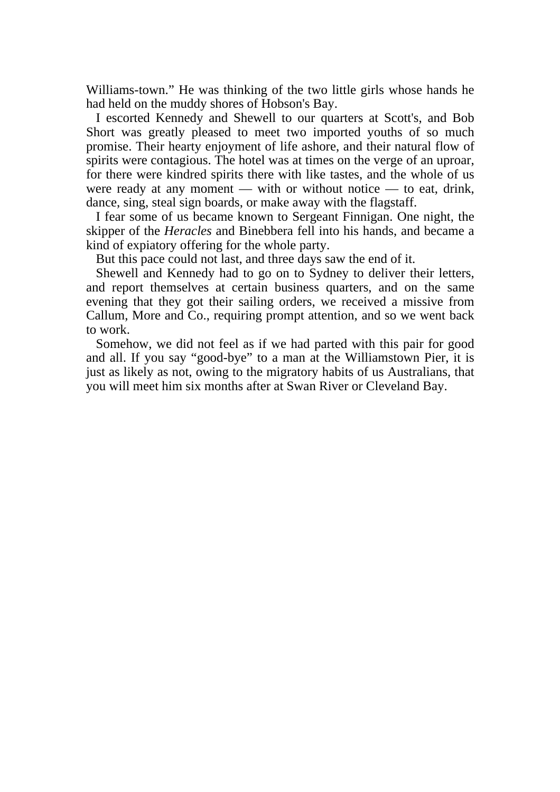Williams-town." He was thinking of the two little girls whose hands he had held on the muddy shores of Hobson's Bay.

 I escorted Kennedy and Shewell to our quarters at Scott's, and Bob Short was greatly pleased to meet two imported youths of so much promise. Their hearty enjoyment of life ashore, and their natural flow of spirits were contagious. The hotel was at times on the verge of an uproar, for there were kindred spirits there with like tastes, and the whole of us were ready at any moment — with or without notice — to eat, drink, dance, sing, steal sign boards, or make away with the flagstaff.

 I fear some of us became known to Sergeant Finnigan. One night, the skipper of the *Heracles* and Binebbera fell into his hands, and became a kind of expiatory offering for the whole party.

But this pace could not last, and three days saw the end of it.

 Shewell and Kennedy had to go on to Sydney to deliver their letters, and report themselves at certain business quarters, and on the same evening that they got their sailing orders, we received a missive from Callum, More and Co., requiring prompt attention, and so we went back to work.

 Somehow, we did not feel as if we had parted with this pair for good and all. If you say "good-bye" to a man at the Williamstown Pier, it is just as likely as not, owing to the migratory habits of us Australians, that you will meet him six months after at Swan River or Cleveland Bay.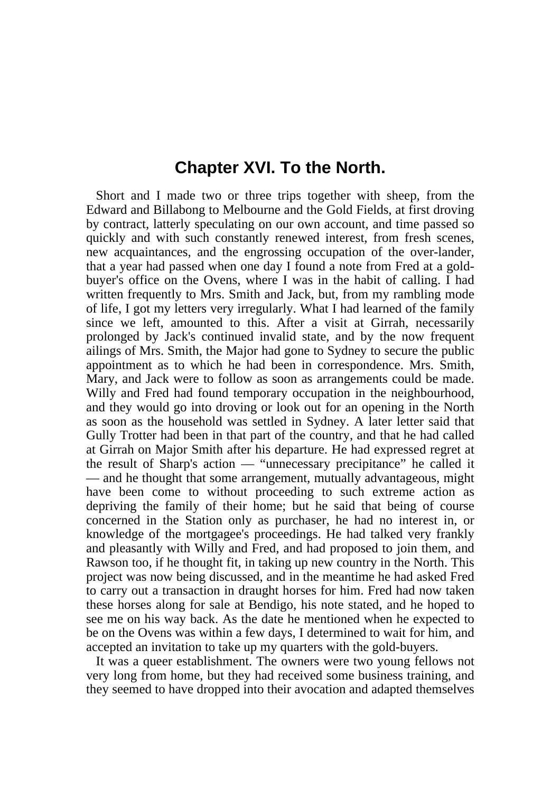## **Chapter XVI. To the North.**

 Short and I made two or three trips together with sheep, from the Edward and Billabong to Melbourne and the Gold Fields, at first droving by contract, latterly speculating on our own account, and time passed so quickly and with such constantly renewed interest, from fresh scenes, new acquaintances, and the engrossing occupation of the over-lander, that a year had passed when one day I found a note from Fred at a goldbuyer's office on the Ovens, where I was in the habit of calling. I had written frequently to Mrs. Smith and Jack, but, from my rambling mode of life, I got my letters very irregularly. What I had learned of the family since we left, amounted to this. After a visit at Girrah, necessarily prolonged by Jack's continued invalid state, and by the now frequent ailings of Mrs. Smith, the Major had gone to Sydney to secure the public appointment as to which he had been in correspondence. Mrs. Smith, Mary, and Jack were to follow as soon as arrangements could be made. Willy and Fred had found temporary occupation in the neighbourhood, and they would go into droving or look out for an opening in the North as soon as the household was settled in Sydney. A later letter said that Gully Trotter had been in that part of the country, and that he had called at Girrah on Major Smith after his departure. He had expressed regret at the result of Sharp's action — "unnecessary precipitance" he called it — and he thought that some arrangement, mutually advantageous, might have been come to without proceeding to such extreme action as depriving the family of their home; but he said that being of course concerned in the Station only as purchaser, he had no interest in, or knowledge of the mortgagee's proceedings. He had talked very frankly and pleasantly with Willy and Fred, and had proposed to join them, and Rawson too, if he thought fit, in taking up new country in the North. This project was now being discussed, and in the meantime he had asked Fred to carry out a transaction in draught horses for him. Fred had now taken these horses along for sale at Bendigo, his note stated, and he hoped to see me on his way back. As the date he mentioned when he expected to be on the Ovens was within a few days, I determined to wait for him, and accepted an invitation to take up my quarters with the gold-buyers.

 It was a queer establishment. The owners were two young fellows not very long from home, but they had received some business training, and they seemed to have dropped into their avocation and adapted themselves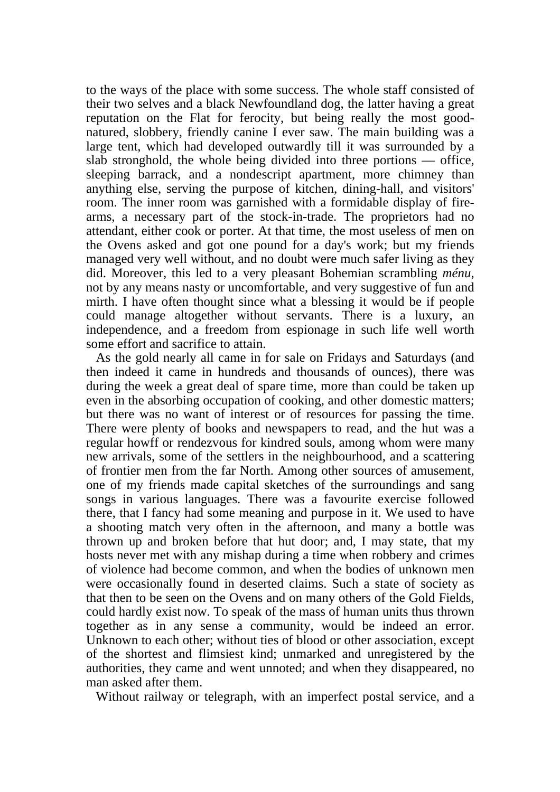to the ways of the place with some success. The whole staff consisted of their two selves and a black Newfoundland dog, the latter having a great reputation on the Flat for ferocity, but being really the most goodnatured, slobbery, friendly canine I ever saw. The main building was a large tent, which had developed outwardly till it was surrounded by a slab stronghold, the whole being divided into three portions — office, sleeping barrack, and a nondescript apartment, more chimney than anything else, serving the purpose of kitchen, dining-hall, and visitors' room. The inner room was garnished with a formidable display of firearms, a necessary part of the stock-in-trade. The proprietors had no attendant, either cook or porter. At that time, the most useless of men on the Ovens asked and got one pound for a day's work; but my friends managed very well without, and no doubt were much safer living as they did. Moreover, this led to a very pleasant Bohemian scrambling *ménu*, not by any means nasty or uncomfortable, and very suggestive of fun and mirth. I have often thought since what a blessing it would be if people could manage altogether without servants. There is a luxury, an independence, and a freedom from espionage in such life well worth some effort and sacrifice to attain.

 As the gold nearly all came in for sale on Fridays and Saturdays (and then indeed it came in hundreds and thousands of ounces), there was during the week a great deal of spare time, more than could be taken up even in the absorbing occupation of cooking, and other domestic matters; but there was no want of interest or of resources for passing the time. There were plenty of books and newspapers to read, and the hut was a regular howff or rendezvous for kindred souls, among whom were many new arrivals, some of the settlers in the neighbourhood, and a scattering of frontier men from the far North. Among other sources of amusement, one of my friends made capital sketches of the surroundings and sang songs in various languages. There was a favourite exercise followed there, that I fancy had some meaning and purpose in it. We used to have a shooting match very often in the afternoon, and many a bottle was thrown up and broken before that hut door; and, I may state, that my hosts never met with any mishap during a time when robbery and crimes of violence had become common, and when the bodies of unknown men were occasionally found in deserted claims. Such a state of society as that then to be seen on the Ovens and on many others of the Gold Fields, could hardly exist now. To speak of the mass of human units thus thrown together as in any sense a community, would be indeed an error. Unknown to each other; without ties of blood or other association, except of the shortest and flimsiest kind; unmarked and unregistered by the authorities, they came and went unnoted; and when they disappeared, no man asked after them.

Without railway or telegraph, with an imperfect postal service, and a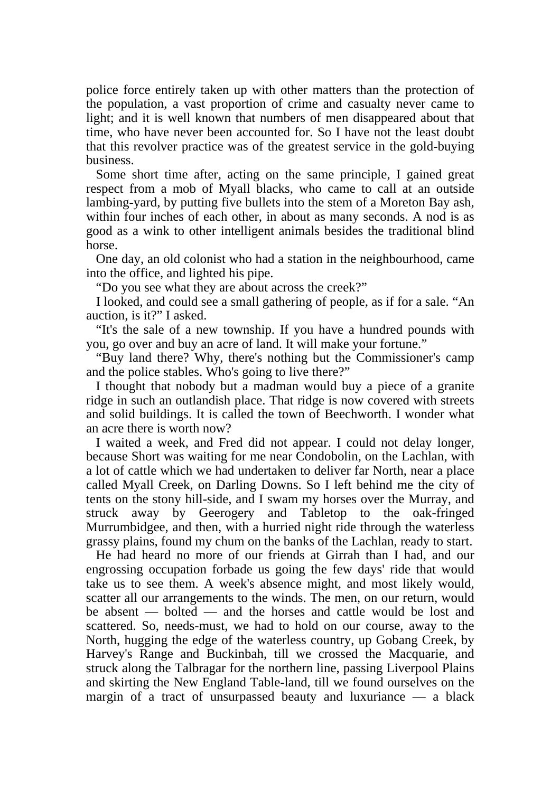police force entirely taken up with other matters than the protection of the population, a vast proportion of crime and casualty never came to light; and it is well known that numbers of men disappeared about that time, who have never been accounted for. So I have not the least doubt that this revolver practice was of the greatest service in the gold-buying business.

 Some short time after, acting on the same principle, I gained great respect from a mob of Myall blacks, who came to call at an outside lambing-yard, by putting five bullets into the stem of a Moreton Bay ash, within four inches of each other, in about as many seconds. A nod is as good as a wink to other intelligent animals besides the traditional blind horse.

 One day, an old colonist who had a station in the neighbourhood, came into the office, and lighted his pipe.

"Do you see what they are about across the creek?"

 I looked, and could see a small gathering of people, as if for a sale. "An auction, is it?" I asked.

 "It's the sale of a new township. If you have a hundred pounds with you, go over and buy an acre of land. It will make your fortune."

 "Buy land there? Why, there's nothing but the Commissioner's camp and the police stables. Who's going to live there?"

 I thought that nobody but a madman would buy a piece of a granite ridge in such an outlandish place. That ridge is now covered with streets and solid buildings. It is called the town of Beechworth. I wonder what an acre there is worth now?

 I waited a week, and Fred did not appear. I could not delay longer, because Short was waiting for me near Condobolin, on the Lachlan, with a lot of cattle which we had undertaken to deliver far North, near a place called Myall Creek, on Darling Downs. So I left behind me the city of tents on the stony hill-side, and I swam my horses over the Murray, and struck away by Geerogery and Tabletop to the oak-fringed Murrumbidgee, and then, with a hurried night ride through the waterless grassy plains, found my chum on the banks of the Lachlan, ready to start.

 He had heard no more of our friends at Girrah than I had, and our engrossing occupation forbade us going the few days' ride that would take us to see them. A week's absence might, and most likely would, scatter all our arrangements to the winds. The men, on our return, would be absent — bolted — and the horses and cattle would be lost and scattered. So, needs-must, we had to hold on our course, away to the North, hugging the edge of the waterless country, up Gobang Creek, by Harvey's Range and Buckinbah, till we crossed the Macquarie, and struck along the Talbragar for the northern line, passing Liverpool Plains and skirting the New England Table-land, till we found ourselves on the margin of a tract of unsurpassed beauty and luxuriance — a black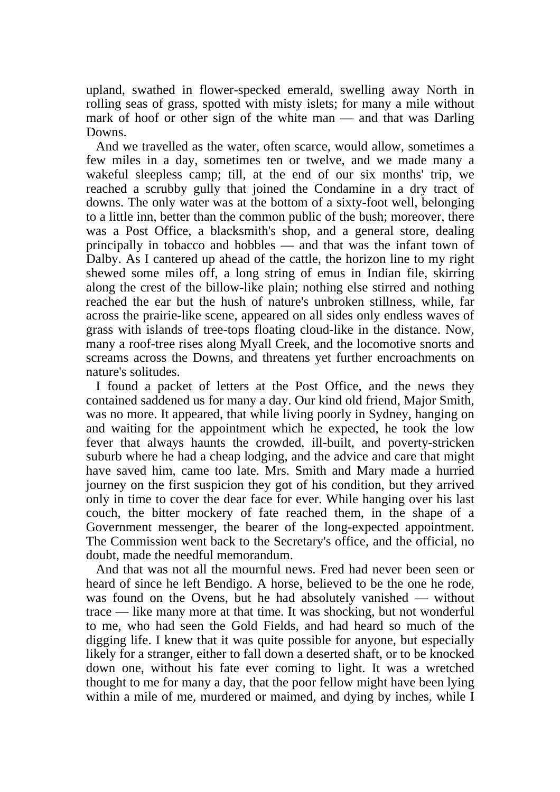upland, swathed in flower-specked emerald, swelling away North in rolling seas of grass, spotted with misty islets; for many a mile without mark of hoof or other sign of the white man — and that was Darling Downs.

 And we travelled as the water, often scarce, would allow, sometimes a few miles in a day, sometimes ten or twelve, and we made many a wakeful sleepless camp; till, at the end of our six months' trip, we reached a scrubby gully that joined the Condamine in a dry tract of downs. The only water was at the bottom of a sixty-foot well, belonging to a little inn, better than the common public of the bush; moreover, there was a Post Office, a blacksmith's shop, and a general store, dealing principally in tobacco and hobbles — and that was the infant town of Dalby. As I cantered up ahead of the cattle, the horizon line to my right shewed some miles off, a long string of emus in Indian file, skirring along the crest of the billow-like plain; nothing else stirred and nothing reached the ear but the hush of nature's unbroken stillness, while, far across the prairie-like scene, appeared on all sides only endless waves of grass with islands of tree-tops floating cloud-like in the distance. Now, many a roof-tree rises along Myall Creek, and the locomotive snorts and screams across the Downs, and threatens yet further encroachments on nature's solitudes.

 I found a packet of letters at the Post Office, and the news they contained saddened us for many a day. Our kind old friend, Major Smith, was no more. It appeared, that while living poorly in Sydney, hanging on and waiting for the appointment which he expected, he took the low fever that always haunts the crowded, ill-built, and poverty-stricken suburb where he had a cheap lodging, and the advice and care that might have saved him, came too late. Mrs. Smith and Mary made a hurried journey on the first suspicion they got of his condition, but they arrived only in time to cover the dear face for ever. While hanging over his last couch, the bitter mockery of fate reached them, in the shape of a Government messenger, the bearer of the long-expected appointment. The Commission went back to the Secretary's office, and the official, no doubt, made the needful memorandum.

 And that was not all the mournful news. Fred had never been seen or heard of since he left Bendigo. A horse, believed to be the one he rode, was found on the Ovens, but he had absolutely vanished — without trace — like many more at that time. It was shocking, but not wonderful to me, who had seen the Gold Fields, and had heard so much of the digging life. I knew that it was quite possible for anyone, but especially likely for a stranger, either to fall down a deserted shaft, or to be knocked down one, without his fate ever coming to light. It was a wretched thought to me for many a day, that the poor fellow might have been lying within a mile of me, murdered or maimed, and dying by inches, while I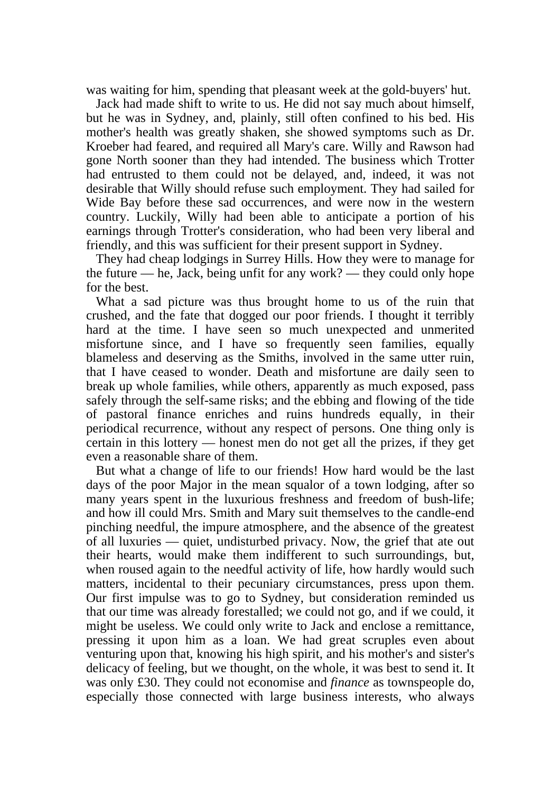was waiting for him, spending that pleasant week at the gold-buyers' hut.

 Jack had made shift to write to us. He did not say much about himself, but he was in Sydney, and, plainly, still often confined to his bed. His mother's health was greatly shaken, she showed symptoms such as Dr. Kroeber had feared, and required all Mary's care. Willy and Rawson had gone North sooner than they had intended. The business which Trotter had entrusted to them could not be delayed, and, indeed, it was not desirable that Willy should refuse such employment. They had sailed for Wide Bay before these sad occurrences, and were now in the western country. Luckily, Willy had been able to anticipate a portion of his earnings through Trotter's consideration, who had been very liberal and friendly, and this was sufficient for their present support in Sydney.

 They had cheap lodgings in Surrey Hills. How they were to manage for the future — he, Jack, being unfit for any work? — they could only hope for the best.

 What a sad picture was thus brought home to us of the ruin that crushed, and the fate that dogged our poor friends. I thought it terribly hard at the time. I have seen so much unexpected and unmerited misfortune since, and I have so frequently seen families, equally blameless and deserving as the Smiths, involved in the same utter ruin, that I have ceased to wonder. Death and misfortune are daily seen to break up whole families, while others, apparently as much exposed, pass safely through the self-same risks; and the ebbing and flowing of the tide of pastoral finance enriches and ruins hundreds equally, in their periodical recurrence, without any respect of persons. One thing only is certain in this lottery — honest men do not get all the prizes, if they get even a reasonable share of them.

 But what a change of life to our friends! How hard would be the last days of the poor Major in the mean squalor of a town lodging, after so many years spent in the luxurious freshness and freedom of bush-life; and how ill could Mrs. Smith and Mary suit themselves to the candle-end pinching needful, the impure atmosphere, and the absence of the greatest of all luxuries — quiet, undisturbed privacy. Now, the grief that ate out their hearts, would make them indifferent to such surroundings, but, when roused again to the needful activity of life, how hardly would such matters, incidental to their pecuniary circumstances, press upon them. Our first impulse was to go to Sydney, but consideration reminded us that our time was already forestalled; we could not go, and if we could, it might be useless. We could only write to Jack and enclose a remittance, pressing it upon him as a loan. We had great scruples even about venturing upon that, knowing his high spirit, and his mother's and sister's delicacy of feeling, but we thought, on the whole, it was best to send it. It was only £30. They could not economise and *finance* as townspeople do, especially those connected with large business interests, who always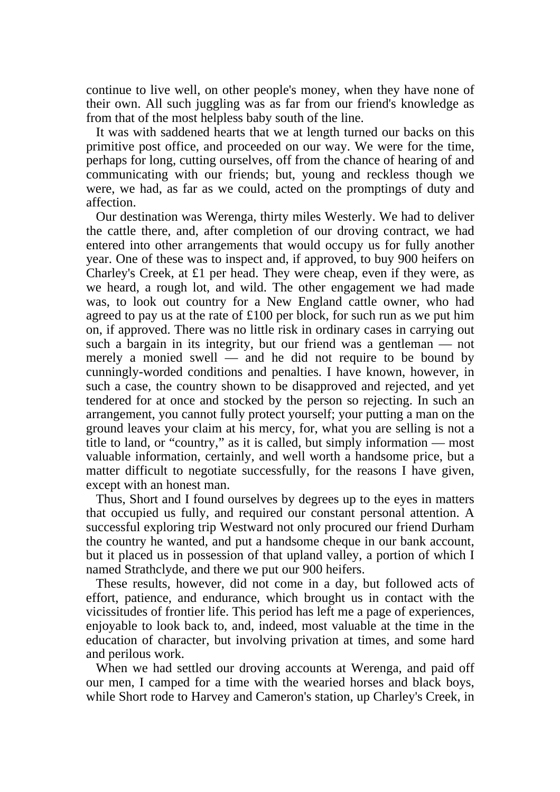continue to live well, on other people's money, when they have none of their own. All such juggling was as far from our friend's knowledge as from that of the most helpless baby south of the line.

 It was with saddened hearts that we at length turned our backs on this primitive post office, and proceeded on our way. We were for the time, perhaps for long, cutting ourselves, off from the chance of hearing of and communicating with our friends; but, young and reckless though we were, we had, as far as we could, acted on the promptings of duty and affection.

 Our destination was Werenga, thirty miles Westerly. We had to deliver the cattle there, and, after completion of our droving contract, we had entered into other arrangements that would occupy us for fully another year. One of these was to inspect and, if approved, to buy 900 heifers on Charley's Creek, at £1 per head. They were cheap, even if they were, as we heard, a rough lot, and wild. The other engagement we had made was, to look out country for a New England cattle owner, who had agreed to pay us at the rate of  $\pounds 100$  per block, for such run as we put him on, if approved. There was no little risk in ordinary cases in carrying out such a bargain in its integrity, but our friend was a gentleman — not merely a monied swell — and he did not require to be bound by cunningly-worded conditions and penalties. I have known, however, in such a case, the country shown to be disapproved and rejected, and yet tendered for at once and stocked by the person so rejecting. In such an arrangement, you cannot fully protect yourself; your putting a man on the ground leaves your claim at his mercy, for, what you are selling is not a title to land, or "country," as it is called, but simply information — most valuable information, certainly, and well worth a handsome price, but a matter difficult to negotiate successfully, for the reasons I have given, except with an honest man.

 Thus, Short and I found ourselves by degrees up to the eyes in matters that occupied us fully, and required our constant personal attention. A successful exploring trip Westward not only procured our friend Durham the country he wanted, and put a handsome cheque in our bank account, but it placed us in possession of that upland valley, a portion of which I named Strathclyde, and there we put our 900 heifers.

 These results, however, did not come in a day, but followed acts of effort, patience, and endurance, which brought us in contact with the vicissitudes of frontier life. This period has left me a page of experiences, enjoyable to look back to, and, indeed, most valuable at the time in the education of character, but involving privation at times, and some hard and perilous work.

 When we had settled our droving accounts at Werenga, and paid off our men, I camped for a time with the wearied horses and black boys, while Short rode to Harvey and Cameron's station, up Charley's Creek, in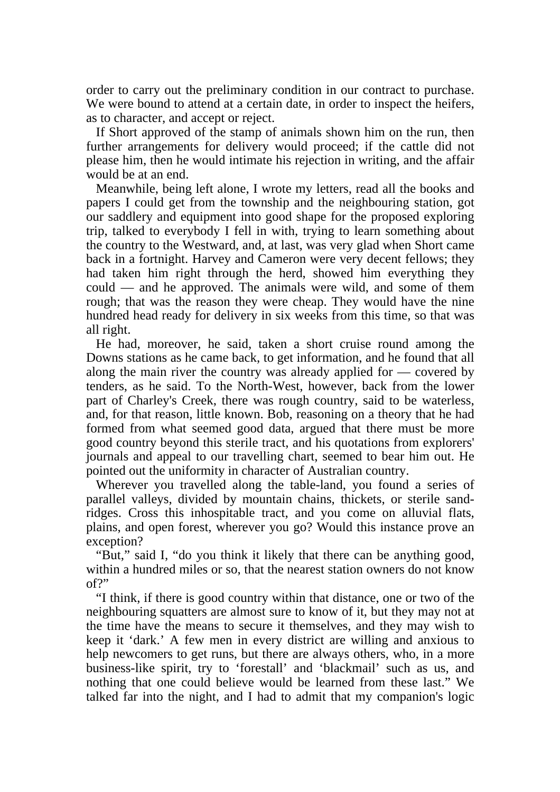order to carry out the preliminary condition in our contract to purchase. We were bound to attend at a certain date, in order to inspect the heifers, as to character, and accept or reject.

 If Short approved of the stamp of animals shown him on the run, then further arrangements for delivery would proceed; if the cattle did not please him, then he would intimate his rejection in writing, and the affair would be at an end.

 Meanwhile, being left alone, I wrote my letters, read all the books and papers I could get from the township and the neighbouring station, got our saddlery and equipment into good shape for the proposed exploring trip, talked to everybody I fell in with, trying to learn something about the country to the Westward, and, at last, was very glad when Short came back in a fortnight. Harvey and Cameron were very decent fellows; they had taken him right through the herd, showed him everything they could — and he approved. The animals were wild, and some of them rough; that was the reason they were cheap. They would have the nine hundred head ready for delivery in six weeks from this time, so that was all right.

 He had, moreover, he said, taken a short cruise round among the Downs stations as he came back, to get information, and he found that all along the main river the country was already applied for — covered by tenders, as he said. To the North-West, however, back from the lower part of Charley's Creek, there was rough country, said to be waterless, and, for that reason, little known. Bob, reasoning on a theory that he had formed from what seemed good data, argued that there must be more good country beyond this sterile tract, and his quotations from explorers' journals and appeal to our travelling chart, seemed to bear him out. He pointed out the uniformity in character of Australian country.

 Wherever you travelled along the table-land, you found a series of parallel valleys, divided by mountain chains, thickets, or sterile sandridges. Cross this inhospitable tract, and you come on alluvial flats, plains, and open forest, wherever you go? Would this instance prove an exception?

 "But," said I, "do you think it likely that there can be anything good, within a hundred miles or so, that the nearest station owners do not know of?"

 "I think, if there is good country within that distance, one or two of the neighbouring squatters are almost sure to know of it, but they may not at the time have the means to secure it themselves, and they may wish to keep it 'dark.' A few men in every district are willing and anxious to help newcomers to get runs, but there are always others, who, in a more business-like spirit, try to 'forestall' and 'blackmail' such as us, and nothing that one could believe would be learned from these last." We talked far into the night, and I had to admit that my companion's logic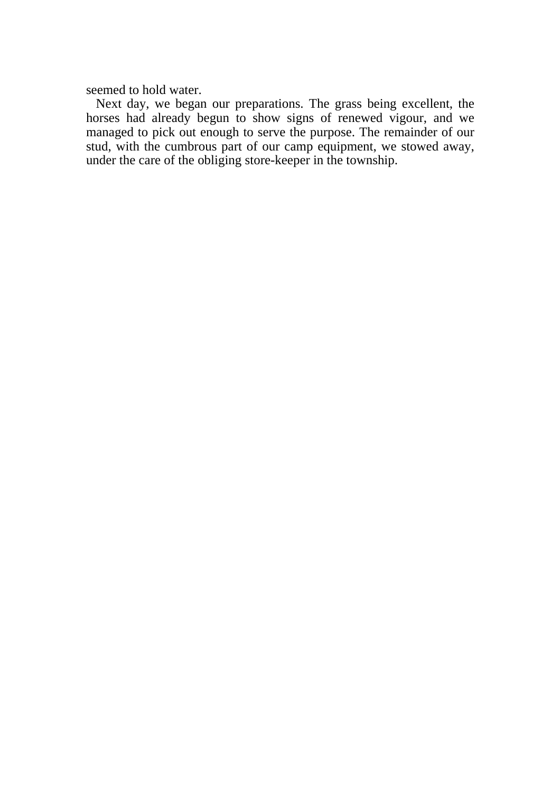seemed to hold water.

 Next day, we began our preparations. The grass being excellent, the horses had already begun to show signs of renewed vigour, and we managed to pick out enough to serve the purpose. The remainder of our stud, with the cumbrous part of our camp equipment, we stowed away, under the care of the obliging store-keeper in the township.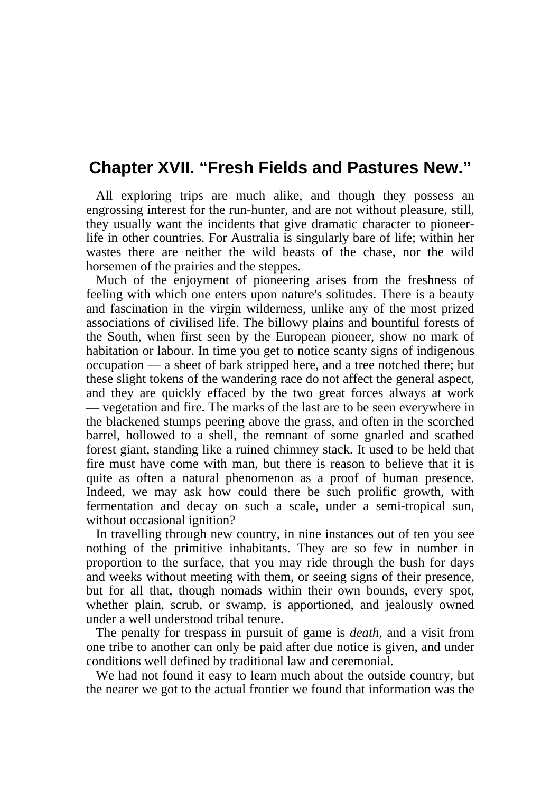## **Chapter XVII. "Fresh Fields and Pastures New."**

 All exploring trips are much alike, and though they possess an engrossing interest for the run-hunter, and are not without pleasure, still, they usually want the incidents that give dramatic character to pioneerlife in other countries. For Australia is singularly bare of life; within her wastes there are neither the wild beasts of the chase, nor the wild horsemen of the prairies and the steppes.

 Much of the enjoyment of pioneering arises from the freshness of feeling with which one enters upon nature's solitudes. There is a beauty and fascination in the virgin wilderness, unlike any of the most prized associations of civilised life. The billowy plains and bountiful forests of the South, when first seen by the European pioneer, show no mark of habitation or labour. In time you get to notice scanty signs of indigenous occupation — a sheet of bark stripped here, and a tree notched there; but these slight tokens of the wandering race do not affect the general aspect, and they are quickly effaced by the two great forces always at work — vegetation and fire. The marks of the last are to be seen everywhere in the blackened stumps peering above the grass, and often in the scorched barrel, hollowed to a shell, the remnant of some gnarled and scathed forest giant, standing like a ruined chimney stack. It used to be held that fire must have come with man, but there is reason to believe that it is quite as often a natural phenomenon as a proof of human presence. Indeed, we may ask how could there be such prolific growth, with fermentation and decay on such a scale, under a semi-tropical sun, without occasional ignition?

 In travelling through new country, in nine instances out of ten you see nothing of the primitive inhabitants. They are so few in number in proportion to the surface, that you may ride through the bush for days and weeks without meeting with them, or seeing signs of their presence, but for all that, though nomads within their own bounds, every spot, whether plain, scrub, or swamp, is apportioned, and jealously owned under a well understood tribal tenure.

 The penalty for trespass in pursuit of game is *death*, and a visit from one tribe to another can only be paid after due notice is given, and under conditions well defined by traditional law and ceremonial.

 We had not found it easy to learn much about the outside country, but the nearer we got to the actual frontier we found that information was the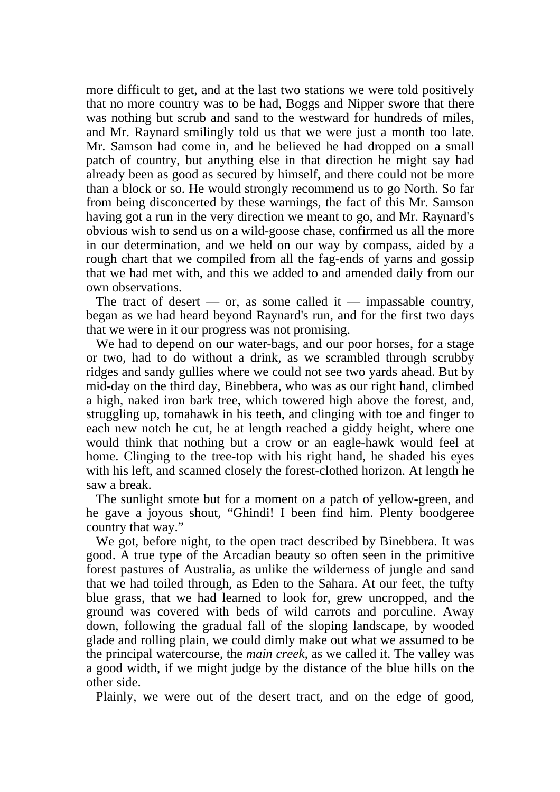more difficult to get, and at the last two stations we were told positively that no more country was to be had, Boggs and Nipper swore that there was nothing but scrub and sand to the westward for hundreds of miles, and Mr. Raynard smilingly told us that we were just a month too late. Mr. Samson had come in, and he believed he had dropped on a small patch of country, but anything else in that direction he might say had already been as good as secured by himself, and there could not be more than a block or so. He would strongly recommend us to go North. So far from being disconcerted by these warnings, the fact of this Mr. Samson having got a run in the very direction we meant to go, and Mr. Raynard's obvious wish to send us on a wild-goose chase, confirmed us all the more in our determination, and we held on our way by compass, aided by a rough chart that we compiled from all the fag-ends of yarns and gossip that we had met with, and this we added to and amended daily from our own observations.

The tract of desert — or, as some called it — impassable country, began as we had heard beyond Raynard's run, and for the first two days that we were in it our progress was not promising.

 We had to depend on our water-bags, and our poor horses, for a stage or two, had to do without a drink, as we scrambled through scrubby ridges and sandy gullies where we could not see two yards ahead. But by mid-day on the third day, Binebbera, who was as our right hand, climbed a high, naked iron bark tree, which towered high above the forest, and, struggling up, tomahawk in his teeth, and clinging with toe and finger to each new notch he cut, he at length reached a giddy height, where one would think that nothing but a crow or an eagle-hawk would feel at home. Clinging to the tree-top with his right hand, he shaded his eyes with his left, and scanned closely the forest-clothed horizon. At length he saw a break.

 The sunlight smote but for a moment on a patch of yellow-green, and he gave a joyous shout, "Ghindi! I been find him. Plenty boodgeree country that way."

 We got, before night, to the open tract described by Binebbera. It was good. A true type of the Arcadian beauty so often seen in the primitive forest pastures of Australia, as unlike the wilderness of jungle and sand that we had toiled through, as Eden to the Sahara. At our feet, the tufty blue grass, that we had learned to look for, grew uncropped, and the ground was covered with beds of wild carrots and porculine. Away down, following the gradual fall of the sloping landscape, by wooded glade and rolling plain, we could dimly make out what we assumed to be the principal watercourse, the *main creek*, as we called it. The valley was a good width, if we might judge by the distance of the blue hills on the other side.

Plainly, we were out of the desert tract, and on the edge of good,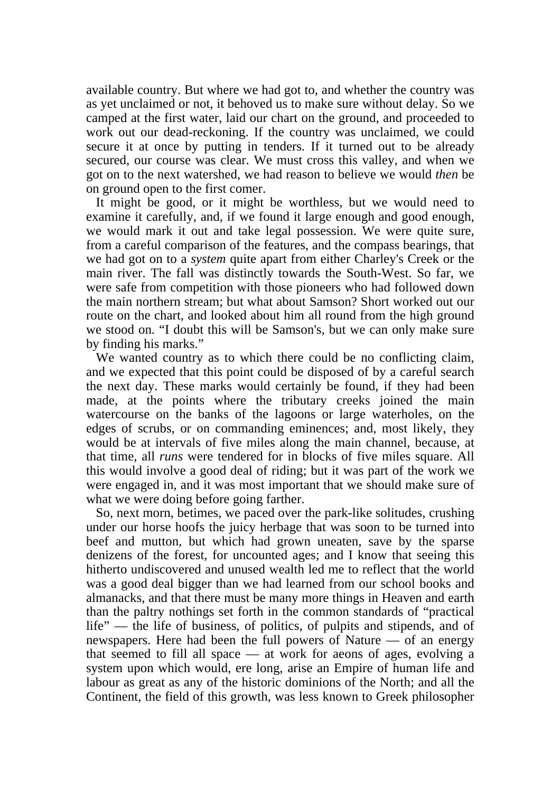available country. But where we had got to, and whether the country was as yet unclaimed or not, it behoved us to make sure without delay. So we camped at the first water, laid our chart on the ground, and proceeded to work out our dead-reckoning. If the country was unclaimed, we could secure it at once by putting in tenders. If it turned out to be already secured, our course was clear. We must cross this valley, and when we got on to the next watershed, we had reason to believe we would *then* be on ground open to the first comer.

 It might be good, or it might be worthless, but we would need to examine it carefully, and, if we found it large enough and good enough, we would mark it out and take legal possession. We were quite sure, from a careful comparison of the features, and the compass bearings, that we had got on to a *system* quite apart from either Charley's Creek or the main river. The fall was distinctly towards the South-West. So far, we were safe from competition with those pioneers who had followed down the main northern stream; but what about Samson? Short worked out our route on the chart, and looked about him all round from the high ground we stood on. "I doubt this will be Samson's, but we can only make sure by finding his marks."

 We wanted country as to which there could be no conflicting claim, and we expected that this point could be disposed of by a careful search the next day. These marks would certainly be found, if they had been made, at the points where the tributary creeks joined the main watercourse on the banks of the lagoons or large waterholes, on the edges of scrubs, or on commanding eminences; and, most likely, they would be at intervals of five miles along the main channel, because, at that time, all *runs* were tendered for in blocks of five miles square. All this would involve a good deal of riding; but it was part of the work we were engaged in, and it was most important that we should make sure of what we were doing before going farther.

 So, next morn, betimes, we paced over the park-like solitudes, crushing under our horse hoofs the juicy herbage that was soon to be turned into beef and mutton, but which had grown uneaten, save by the sparse denizens of the forest, for uncounted ages; and I know that seeing this hitherto undiscovered and unused wealth led me to reflect that the world was a good deal bigger than we had learned from our school books and almanacks, and that there must be many more things in Heaven and earth than the paltry nothings set forth in the common standards of "practical life" — the life of business, of politics, of pulpits and stipends, and of newspapers. Here had been the full powers of Nature — of an energy that seemed to fill all space — at work for aeons of ages, evolving a system upon which would, ere long, arise an Empire of human life and labour as great as any of the historic dominions of the North; and all the Continent, the field of this growth, was less known to Greek philosopher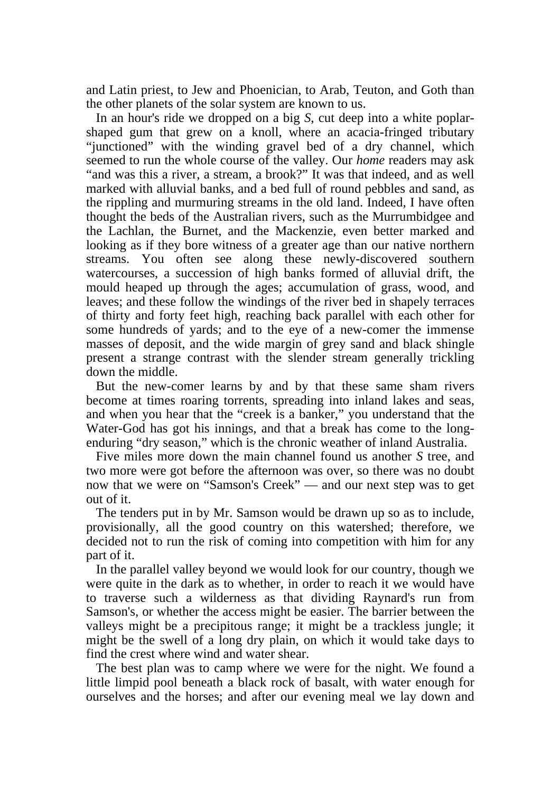and Latin priest, to Jew and Phoenician, to Arab, Teuton, and Goth than the other planets of the solar system are known to us.

 In an hour's ride we dropped on a big *S*, cut deep into a white poplarshaped gum that grew on a knoll, where an acacia-fringed tributary "junctioned" with the winding gravel bed of a dry channel, which seemed to run the whole course of the valley. Our *home* readers may ask "and was this a river, a stream, a brook?" It was that indeed, and as well marked with alluvial banks, and a bed full of round pebbles and sand, as the rippling and murmuring streams in the old land. Indeed, I have often thought the beds of the Australian rivers, such as the Murrumbidgee and the Lachlan, the Burnet, and the Mackenzie, even better marked and looking as if they bore witness of a greater age than our native northern streams. You often see along these newly-discovered southern watercourses, a succession of high banks formed of alluvial drift, the mould heaped up through the ages; accumulation of grass, wood, and leaves; and these follow the windings of the river bed in shapely terraces of thirty and forty feet high, reaching back parallel with each other for some hundreds of yards; and to the eye of a new-comer the immense masses of deposit, and the wide margin of grey sand and black shingle present a strange contrast with the slender stream generally trickling down the middle.

 But the new-comer learns by and by that these same sham rivers become at times roaring torrents, spreading into inland lakes and seas, and when you hear that the "creek is a banker," you understand that the Water-God has got his innings, and that a break has come to the longenduring "dry season," which is the chronic weather of inland Australia.

 Five miles more down the main channel found us another *S* tree, and two more were got before the afternoon was over, so there was no doubt now that we were on "Samson's Creek" — and our next step was to get out of it.

 The tenders put in by Mr. Samson would be drawn up so as to include, provisionally, all the good country on this watershed; therefore, we decided not to run the risk of coming into competition with him for any part of it.

 In the parallel valley beyond we would look for our country, though we were quite in the dark as to whether, in order to reach it we would have to traverse such a wilderness as that dividing Raynard's run from Samson's, or whether the access might be easier. The barrier between the valleys might be a precipitous range; it might be a trackless jungle; it might be the swell of a long dry plain, on which it would take days to find the crest where wind and water shear.

 The best plan was to camp where we were for the night. We found a little limpid pool beneath a black rock of basalt, with water enough for ourselves and the horses; and after our evening meal we lay down and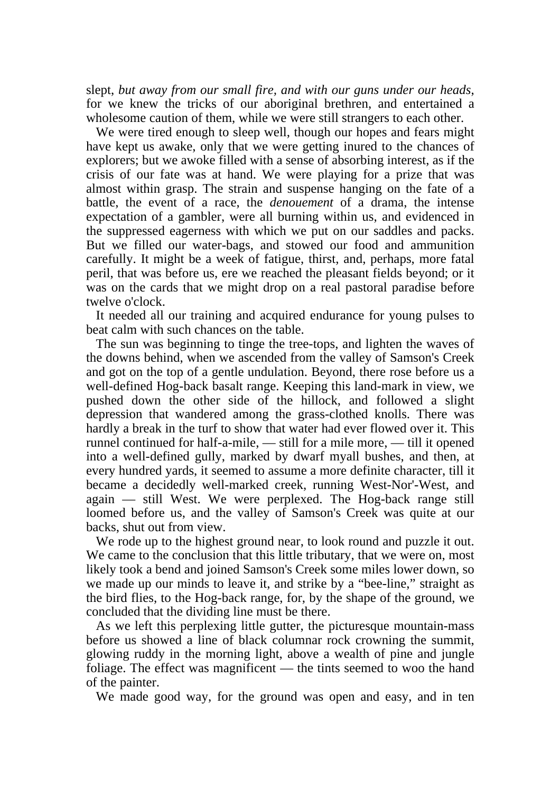slept, *but away from our small fire, and with our guns under our heads*, for we knew the tricks of our aboriginal brethren, and entertained a wholesome caution of them, while we were still strangers to each other.

 We were tired enough to sleep well, though our hopes and fears might have kept us awake, only that we were getting inured to the chances of explorers; but we awoke filled with a sense of absorbing interest, as if the crisis of our fate was at hand. We were playing for a prize that was almost within grasp. The strain and suspense hanging on the fate of a battle, the event of a race, the *denouement* of a drama, the intense expectation of a gambler, were all burning within us, and evidenced in the suppressed eagerness with which we put on our saddles and packs. But we filled our water-bags, and stowed our food and ammunition carefully. It might be a week of fatigue, thirst, and, perhaps, more fatal peril, that was before us, ere we reached the pleasant fields beyond; or it was on the cards that we might drop on a real pastoral paradise before twelve o'clock.

 It needed all our training and acquired endurance for young pulses to beat calm with such chances on the table.

 The sun was beginning to tinge the tree-tops, and lighten the waves of the downs behind, when we ascended from the valley of Samson's Creek and got on the top of a gentle undulation. Beyond, there rose before us a well-defined Hog-back basalt range. Keeping this land-mark in view, we pushed down the other side of the hillock, and followed a slight depression that wandered among the grass-clothed knolls. There was hardly a break in the turf to show that water had ever flowed over it. This runnel continued for half-a-mile, — still for a mile more, — till it opened into a well-defined gully, marked by dwarf myall bushes, and then, at every hundred yards, it seemed to assume a more definite character, till it became a decidedly well-marked creek, running West-Nor'-West, and again — still West. We were perplexed. The Hog-back range still loomed before us, and the valley of Samson's Creek was quite at our backs, shut out from view.

 We rode up to the highest ground near, to look round and puzzle it out. We came to the conclusion that this little tributary, that we were on, most likely took a bend and joined Samson's Creek some miles lower down, so we made up our minds to leave it, and strike by a "bee-line," straight as the bird flies, to the Hog-back range, for, by the shape of the ground, we concluded that the dividing line must be there.

 As we left this perplexing little gutter, the picturesque mountain-mass before us showed a line of black columnar rock crowning the summit, glowing ruddy in the morning light, above a wealth of pine and jungle foliage. The effect was magnificent — the tints seemed to woo the hand of the painter.

We made good way, for the ground was open and easy, and in ten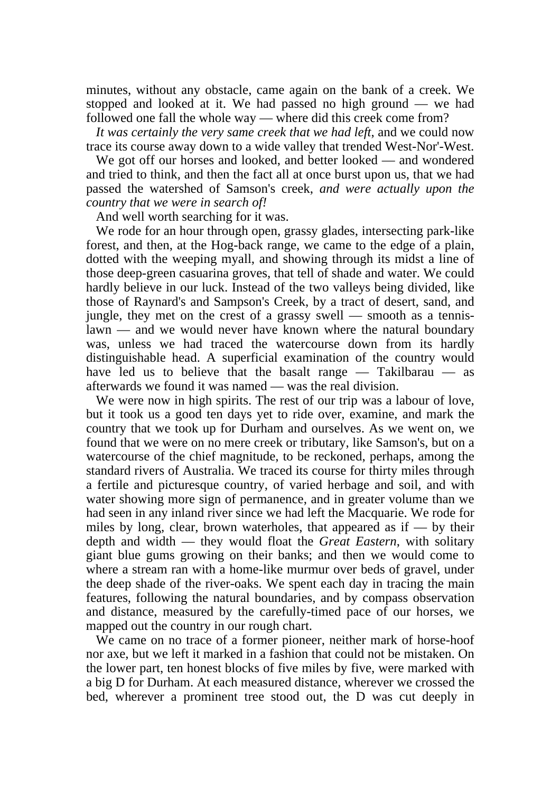minutes, without any obstacle, came again on the bank of a creek. We stopped and looked at it. We had passed no high ground — we had followed one fall the whole way — where did this creek come from?

 *It was certainly the very same creek that we had left*, and we could now trace its course away down to a wide valley that trended West-Nor'-West.

We got off our horses and looked, and better looked — and wondered and tried to think, and then the fact all at once burst upon us, that we had passed the watershed of Samson's creek, *and were actually upon the country that we were in search of!*

And well worth searching for it was.

 We rode for an hour through open, grassy glades, intersecting park-like forest, and then, at the Hog-back range, we came to the edge of a plain, dotted with the weeping myall, and showing through its midst a line of those deep-green casuarina groves, that tell of shade and water. We could hardly believe in our luck. Instead of the two valleys being divided, like those of Raynard's and Sampson's Creek, by a tract of desert, sand, and jungle, they met on the crest of a grassy swell — smooth as a tennislawn — and we would never have known where the natural boundary was, unless we had traced the watercourse down from its hardly distinguishable head. A superficial examination of the country would have led us to believe that the basalt range  $-$  Takilbarau  $-$  as afterwards we found it was named — was the real division.

 We were now in high spirits. The rest of our trip was a labour of love, but it took us a good ten days yet to ride over, examine, and mark the country that we took up for Durham and ourselves. As we went on, we found that we were on no mere creek or tributary, like Samson's, but on a watercourse of the chief magnitude, to be reckoned, perhaps, among the standard rivers of Australia. We traced its course for thirty miles through a fertile and picturesque country, of varied herbage and soil, and with water showing more sign of permanence, and in greater volume than we had seen in any inland river since we had left the Macquarie. We rode for miles by long, clear, brown waterholes, that appeared as if  $-$  by their depth and width — they would float the *Great Eastern*, with solitary giant blue gums growing on their banks; and then we would come to where a stream ran with a home-like murmur over beds of gravel, under the deep shade of the river-oaks. We spent each day in tracing the main features, following the natural boundaries, and by compass observation and distance, measured by the carefully-timed pace of our horses, we mapped out the country in our rough chart.

 We came on no trace of a former pioneer, neither mark of horse-hoof nor axe, but we left it marked in a fashion that could not be mistaken. On the lower part, ten honest blocks of five miles by five, were marked with a big D for Durham. At each measured distance, wherever we crossed the bed, wherever a prominent tree stood out, the D was cut deeply in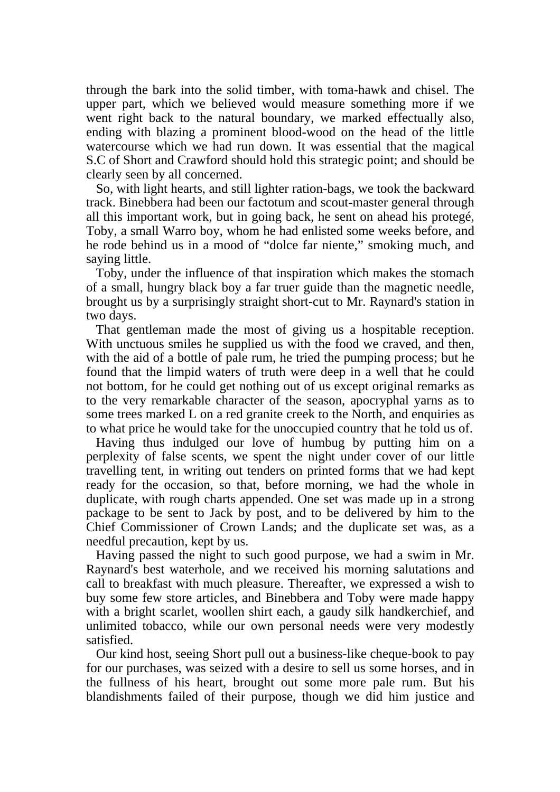through the bark into the solid timber, with toma-hawk and chisel. The upper part, which we believed would measure something more if we went right back to the natural boundary, we marked effectually also, ending with blazing a prominent blood-wood on the head of the little watercourse which we had run down. It was essential that the magical S.C of Short and Crawford should hold this strategic point; and should be clearly seen by all concerned.

 So, with light hearts, and still lighter ration-bags, we took the backward track. Binebbera had been our factotum and scout-master general through all this important work, but in going back, he sent on ahead his protegé, Toby, a small Warro boy, whom he had enlisted some weeks before, and he rode behind us in a mood of "dolce far niente," smoking much, and saying little.

 Toby, under the influence of that inspiration which makes the stomach of a small, hungry black boy a far truer guide than the magnetic needle, brought us by a surprisingly straight short-cut to Mr. Raynard's station in two days.

 That gentleman made the most of giving us a hospitable reception. With unctuous smiles he supplied us with the food we craved, and then, with the aid of a bottle of pale rum, he tried the pumping process; but he found that the limpid waters of truth were deep in a well that he could not bottom, for he could get nothing out of us except original remarks as to the very remarkable character of the season, apocryphal yarns as to some trees marked L on a red granite creek to the North, and enquiries as to what price he would take for the unoccupied country that he told us of.

 Having thus indulged our love of humbug by putting him on a perplexity of false scents, we spent the night under cover of our little travelling tent, in writing out tenders on printed forms that we had kept ready for the occasion, so that, before morning, we had the whole in duplicate, with rough charts appended. One set was made up in a strong package to be sent to Jack by post, and to be delivered by him to the Chief Commissioner of Crown Lands; and the duplicate set was, as a needful precaution, kept by us.

 Having passed the night to such good purpose, we had a swim in Mr. Raynard's best waterhole, and we received his morning salutations and call to breakfast with much pleasure. Thereafter, we expressed a wish to buy some few store articles, and Binebbera and Toby were made happy with a bright scarlet, woollen shirt each, a gaudy silk handkerchief, and unlimited tobacco, while our own personal needs were very modestly satisfied.

 Our kind host, seeing Short pull out a business-like cheque-book to pay for our purchases, was seized with a desire to sell us some horses, and in the fullness of his heart, brought out some more pale rum. But his blandishments failed of their purpose, though we did him justice and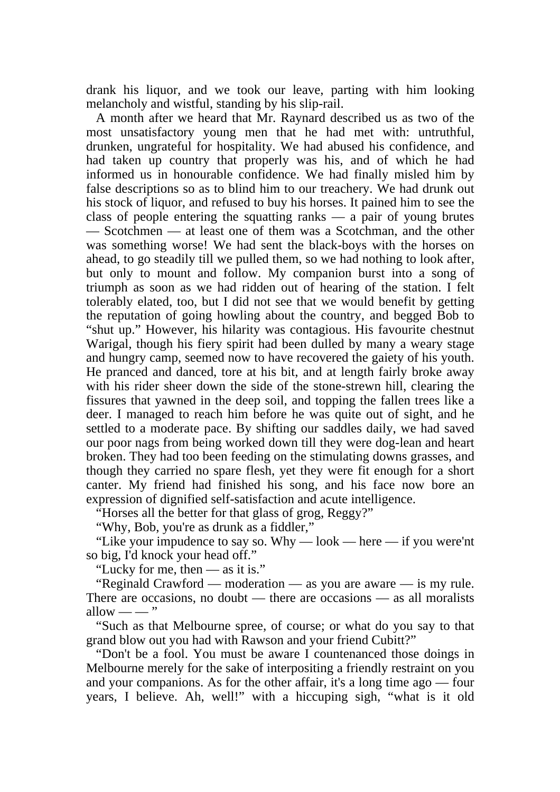drank his liquor, and we took our leave, parting with him looking melancholy and wistful, standing by his slip-rail.

 A month after we heard that Mr. Raynard described us as two of the most unsatisfactory young men that he had met with: untruthful, drunken, ungrateful for hospitality. We had abused his confidence, and had taken up country that properly was his, and of which he had informed us in honourable confidence. We had finally misled him by false descriptions so as to blind him to our treachery. We had drunk out his stock of liquor, and refused to buy his horses. It pained him to see the class of people entering the squatting ranks — a pair of young brutes — Scotchmen — at least one of them was a Scotchman, and the other was something worse! We had sent the black-boys with the horses on ahead, to go steadily till we pulled them, so we had nothing to look after, but only to mount and follow. My companion burst into a song of triumph as soon as we had ridden out of hearing of the station. I felt tolerably elated, too, but I did not see that we would benefit by getting the reputation of going howling about the country, and begged Bob to "shut up." However, his hilarity was contagious. His favourite chestnut Warigal, though his fiery spirit had been dulled by many a weary stage and hungry camp, seemed now to have recovered the gaiety of his youth. He pranced and danced, tore at his bit, and at length fairly broke away with his rider sheer down the side of the stone-strewn hill, clearing the fissures that yawned in the deep soil, and topping the fallen trees like a deer. I managed to reach him before he was quite out of sight, and he settled to a moderate pace. By shifting our saddles daily, we had saved our poor nags from being worked down till they were dog-lean and heart broken. They had too been feeding on the stimulating downs grasses, and though they carried no spare flesh, yet they were fit enough for a short canter. My friend had finished his song, and his face now bore an expression of dignified self-satisfaction and acute intelligence.

"Horses all the better for that glass of grog, Reggy?"

"Why, Bob, you're as drunk as a fiddler,"

"Like your impudence to say so. Why — look — here — if you were'nt so big, I'd knock your head off."

"Lucky for me, then — as it is."

 "Reginald Crawford — moderation — as you are aware — is my rule. There are occasions, no doubt — there are occasions — as all moralists allow —  $-$ "

 "Such as that Melbourne spree, of course; or what do you say to that grand blow out you had with Rawson and your friend Cubitt?"

 "Don't be a fool. You must be aware I countenanced those doings in Melbourne merely for the sake of interpositing a friendly restraint on you and your companions. As for the other affair, it's a long time ago — four years, I believe. Ah, well!" with a hiccuping sigh, "what is it old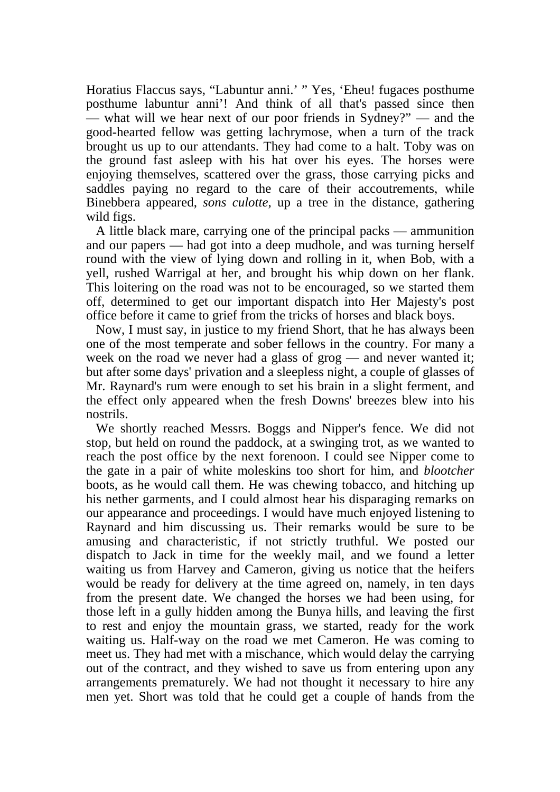Horatius Flaccus says, "Labuntur anni.' " Yes, 'Eheu! fugaces posthume posthume labuntur anni'! And think of all that's passed since then — what will we hear next of our poor friends in Sydney?" — and the good-hearted fellow was getting lachrymose, when a turn of the track brought us up to our attendants. They had come to a halt. Toby was on the ground fast asleep with his hat over his eyes. The horses were enjoying themselves, scattered over the grass, those carrying picks and saddles paying no regard to the care of their accoutrements, while Binebbera appeared, *sons culotte*, up a tree in the distance, gathering wild figs.

 A little black mare, carrying one of the principal packs — ammunition and our papers — had got into a deep mudhole, and was turning herself round with the view of lying down and rolling in it, when Bob, with a yell, rushed Warrigal at her, and brought his whip down on her flank. This loitering on the road was not to be encouraged, so we started them off, determined to get our important dispatch into Her Majesty's post office before it came to grief from the tricks of horses and black boys.

 Now, I must say, in justice to my friend Short, that he has always been one of the most temperate and sober fellows in the country. For many a week on the road we never had a glass of grog — and never wanted it; but after some days' privation and a sleepless night, a couple of glasses of Mr. Raynard's rum were enough to set his brain in a slight ferment, and the effect only appeared when the fresh Downs' breezes blew into his nostrils.

 We shortly reached Messrs. Boggs and Nipper's fence. We did not stop, but held on round the paddock, at a swinging trot, as we wanted to reach the post office by the next forenoon. I could see Nipper come to the gate in a pair of white moleskins too short for him, and *blootcher* boots, as he would call them. He was chewing tobacco, and hitching up his nether garments, and I could almost hear his disparaging remarks on our appearance and proceedings. I would have much enjoyed listening to Raynard and him discussing us. Their remarks would be sure to be amusing and characteristic, if not strictly truthful. We posted our dispatch to Jack in time for the weekly mail, and we found a letter waiting us from Harvey and Cameron, giving us notice that the heifers would be ready for delivery at the time agreed on, namely, in ten days from the present date. We changed the horses we had been using, for those left in a gully hidden among the Bunya hills, and leaving the first to rest and enjoy the mountain grass, we started, ready for the work waiting us. Half-way on the road we met Cameron. He was coming to meet us. They had met with a mischance, which would delay the carrying out of the contract, and they wished to save us from entering upon any arrangements prematurely. We had not thought it necessary to hire any men yet. Short was told that he could get a couple of hands from the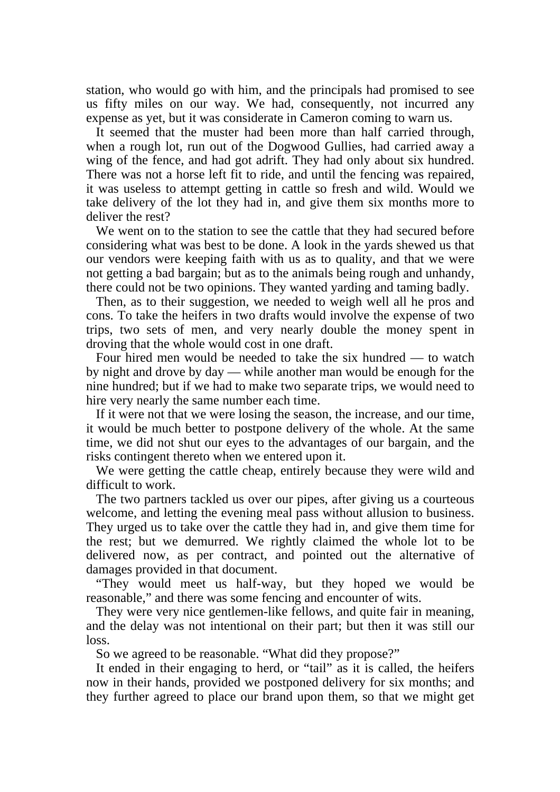station, who would go with him, and the principals had promised to see us fifty miles on our way. We had, consequently, not incurred any expense as yet, but it was considerate in Cameron coming to warn us.

 It seemed that the muster had been more than half carried through, when a rough lot, run out of the Dogwood Gullies, had carried away a wing of the fence, and had got adrift. They had only about six hundred. There was not a horse left fit to ride, and until the fencing was repaired, it was useless to attempt getting in cattle so fresh and wild. Would we take delivery of the lot they had in, and give them six months more to deliver the rest?

 We went on to the station to see the cattle that they had secured before considering what was best to be done. A look in the yards shewed us that our vendors were keeping faith with us as to quality, and that we were not getting a bad bargain; but as to the animals being rough and unhandy, there could not be two opinions. They wanted yarding and taming badly.

 Then, as to their suggestion, we needed to weigh well all he pros and cons. To take the heifers in two drafts would involve the expense of two trips, two sets of men, and very nearly double the money spent in droving that the whole would cost in one draft.

 Four hired men would be needed to take the six hundred — to watch by night and drove by day — while another man would be enough for the nine hundred; but if we had to make two separate trips, we would need to hire very nearly the same number each time.

 If it were not that we were losing the season, the increase, and our time, it would be much better to postpone delivery of the whole. At the same time, we did not shut our eyes to the advantages of our bargain, and the risks contingent thereto when we entered upon it.

 We were getting the cattle cheap, entirely because they were wild and difficult to work.

 The two partners tackled us over our pipes, after giving us a courteous welcome, and letting the evening meal pass without allusion to business. They urged us to take over the cattle they had in, and give them time for the rest; but we demurred. We rightly claimed the whole lot to be delivered now, as per contract, and pointed out the alternative of damages provided in that document.

 "They would meet us half-way, but they hoped we would be reasonable," and there was some fencing and encounter of wits.

 They were very nice gentlemen-like fellows, and quite fair in meaning, and the delay was not intentional on their part; but then it was still our loss.

So we agreed to be reasonable. "What did they propose?"

 It ended in their engaging to herd, or "tail" as it is called, the heifers now in their hands, provided we postponed delivery for six months; and they further agreed to place our brand upon them, so that we might get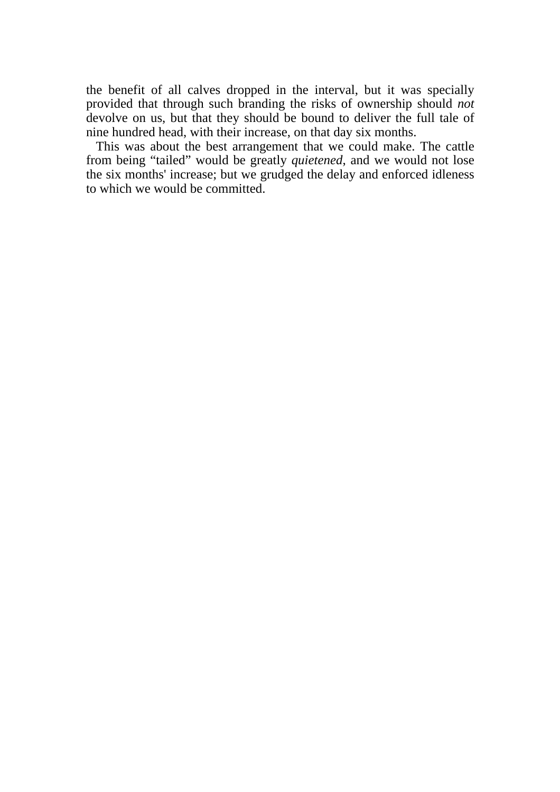the benefit of all calves dropped in the interval, but it was specially provided that through such branding the risks of ownership should *not* devolve on us, but that they should be bound to deliver the full tale of nine hundred head, with their increase, on that day six months.

 This was about the best arrangement that we could make. The cattle from being "tailed" would be greatly *quietened*, and we would not lose the six months' increase; but we grudged the delay and enforced idleness to which we would be committed.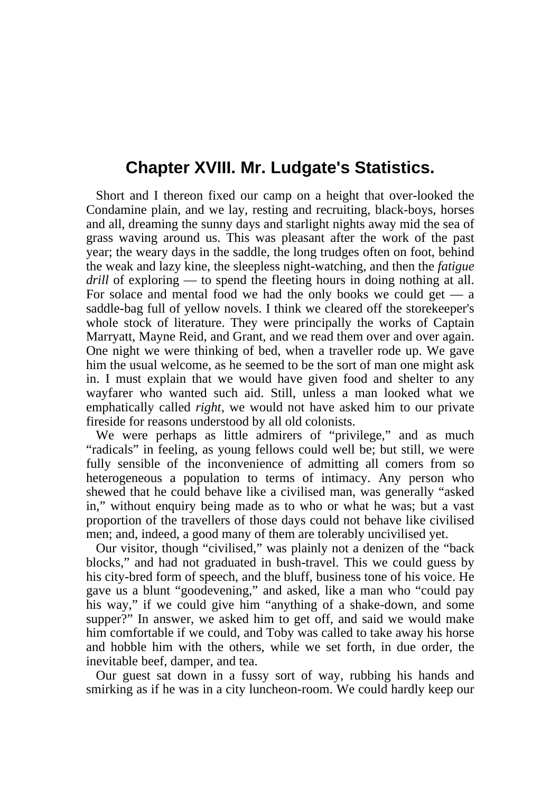## **Chapter XVIII. Mr. Ludgate's Statistics.**

 Short and I thereon fixed our camp on a height that over-looked the Condamine plain, and we lay, resting and recruiting, black-boys, horses and all, dreaming the sunny days and starlight nights away mid the sea of grass waving around us. This was pleasant after the work of the past year; the weary days in the saddle, the long trudges often on foot, behind the weak and lazy kine, the sleepless night-watching, and then the *fatigue drill* of exploring — to spend the fleeting hours in doing nothing at all. For solace and mental food we had the only books we could get  $-$  a saddle-bag full of yellow novels. I think we cleared off the storekeeper's whole stock of literature. They were principally the works of Captain Marryatt, Mayne Reid, and Grant, and we read them over and over again. One night we were thinking of bed, when a traveller rode up. We gave him the usual welcome, as he seemed to be the sort of man one might ask in. I must explain that we would have given food and shelter to any wayfarer who wanted such aid. Still, unless a man looked what we emphatically called *right*, we would not have asked him to our private fireside for reasons understood by all old colonists.

We were perhaps as little admirers of "privilege," and as much "radicals" in feeling, as young fellows could well be; but still, we were fully sensible of the inconvenience of admitting all comers from so heterogeneous a population to terms of intimacy. Any person who shewed that he could behave like a civilised man, was generally "asked in," without enquiry being made as to who or what he was; but a vast proportion of the travellers of those days could not behave like civilised men; and, indeed, a good many of them are tolerably uncivilised yet.

 Our visitor, though "civilised," was plainly not a denizen of the "back blocks," and had not graduated in bush-travel. This we could guess by his city-bred form of speech, and the bluff, business tone of his voice. He gave us a blunt "goodevening," and asked, like a man who "could pay his way," if we could give him "anything of a shake-down, and some supper?" In answer, we asked him to get off, and said we would make him comfortable if we could, and Toby was called to take away his horse and hobble him with the others, while we set forth, in due order, the inevitable beef, damper, and tea.

 Our guest sat down in a fussy sort of way, rubbing his hands and smirking as if he was in a city luncheon-room. We could hardly keep our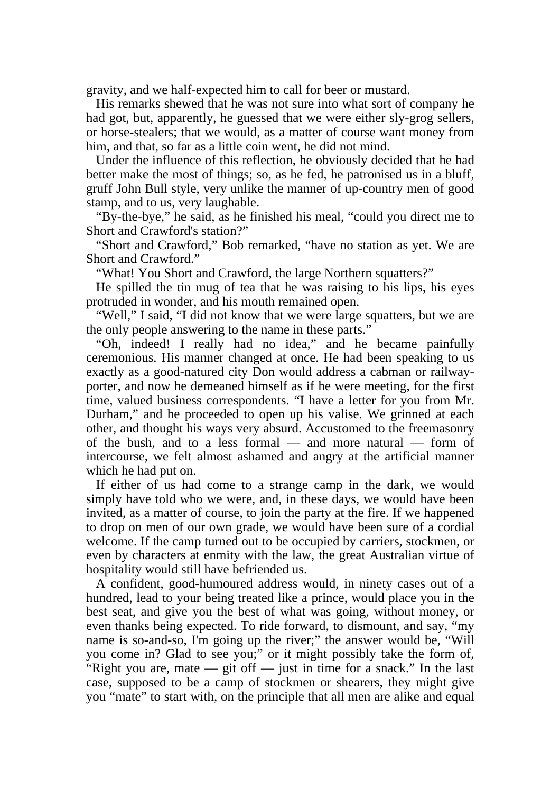gravity, and we half-expected him to call for beer or mustard.

 His remarks shewed that he was not sure into what sort of company he had got, but, apparently, he guessed that we were either sly-grog sellers, or horse-stealers; that we would, as a matter of course want money from him, and that, so far as a little coin went, he did not mind.

 Under the influence of this reflection, he obviously decided that he had better make the most of things; so, as he fed, he patronised us in a bluff, gruff John Bull style, very unlike the manner of up-country men of good stamp, and to us, very laughable.

 "By-the-bye," he said, as he finished his meal, "could you direct me to Short and Crawford's station?"

 "Short and Crawford," Bob remarked, "have no station as yet. We are Short and Crawford."

"What! You Short and Crawford, the large Northern squatters?"

 He spilled the tin mug of tea that he was raising to his lips, his eyes protruded in wonder, and his mouth remained open.

 "Well," I said, "I did not know that we were large squatters, but we are the only people answering to the name in these parts."

 "Oh, indeed! I really had no idea," and he became painfully ceremonious. His manner changed at once. He had been speaking to us exactly as a good-natured city Don would address a cabman or railwayporter, and now he demeaned himself as if he were meeting, for the first time, valued business correspondents. "I have a letter for you from Mr. Durham," and he proceeded to open up his valise. We grinned at each other, and thought his ways very absurd. Accustomed to the freemasonry of the bush, and to a less formal — and more natural — form of intercourse, we felt almost ashamed and angry at the artificial manner which he had put on.

 If either of us had come to a strange camp in the dark, we would simply have told who we were, and, in these days, we would have been invited, as a matter of course, to join the party at the fire. If we happened to drop on men of our own grade, we would have been sure of a cordial welcome. If the camp turned out to be occupied by carriers, stockmen, or even by characters at enmity with the law, the great Australian virtue of hospitality would still have befriended us.

 A confident, good-humoured address would, in ninety cases out of a hundred, lead to your being treated like a prince, would place you in the best seat, and give you the best of what was going, without money, or even thanks being expected. To ride forward, to dismount, and say, "my name is so-and-so, I'm going up the river;" the answer would be, "Will you come in? Glad to see you;" or it might possibly take the form of, "Right you are, mate — git off — just in time for a snack." In the last case, supposed to be a camp of stockmen or shearers, they might give you "mate" to start with, on the principle that all men are alike and equal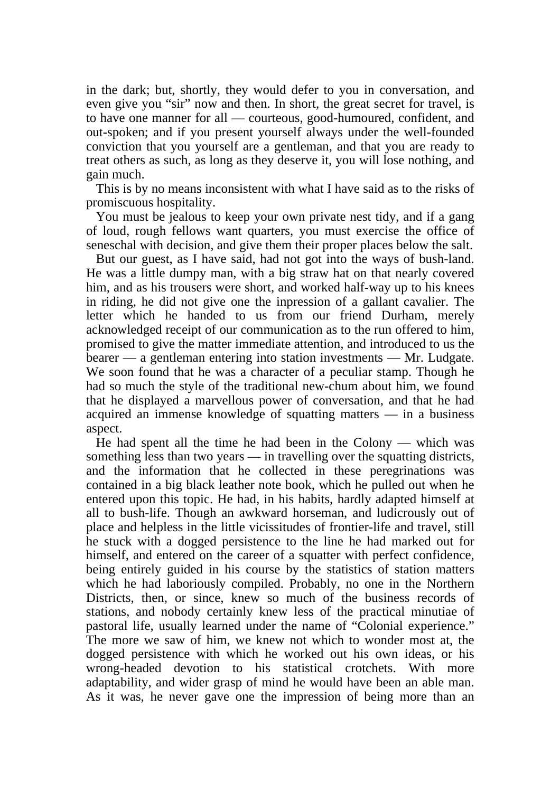in the dark; but, shortly, they would defer to you in conversation, and even give you "sir" now and then. In short, the great secret for travel, is to have one manner for all — courteous, good-humoured, confident, and out-spoken; and if you present yourself always under the well-founded conviction that you yourself are a gentleman, and that you are ready to treat others as such, as long as they deserve it, you will lose nothing, and gain much.

 This is by no means inconsistent with what I have said as to the risks of promiscuous hospitality.

 You must be jealous to keep your own private nest tidy, and if a gang of loud, rough fellows want quarters, you must exercise the office of seneschal with decision, and give them their proper places below the salt.

 But our guest, as I have said, had not got into the ways of bush-land. He was a little dumpy man, with a big straw hat on that nearly covered him, and as his trousers were short, and worked half-way up to his knees in riding, he did not give one the inpression of a gallant cavalier. The letter which he handed to us from our friend Durham, merely acknowledged receipt of our communication as to the run offered to him, promised to give the matter immediate attention, and introduced to us the bearer — a gentleman entering into station investments — Mr. Ludgate. We soon found that he was a character of a peculiar stamp. Though he had so much the style of the traditional new-chum about him, we found that he displayed a marvellous power of conversation, and that he had acquired an immense knowledge of squatting matters — in a business aspect.

 He had spent all the time he had been in the Colony — which was something less than two years — in travelling over the squatting districts, and the information that he collected in these peregrinations was contained in a big black leather note book, which he pulled out when he entered upon this topic. He had, in his habits, hardly adapted himself at all to bush-life. Though an awkward horseman, and ludicrously out of place and helpless in the little vicissitudes of frontier-life and travel, still he stuck with a dogged persistence to the line he had marked out for himself, and entered on the career of a squatter with perfect confidence, being entirely guided in his course by the statistics of station matters which he had laboriously compiled. Probably, no one in the Northern Districts, then, or since, knew so much of the business records of stations, and nobody certainly knew less of the practical minutiae of pastoral life, usually learned under the name of "Colonial experience." The more we saw of him, we knew not which to wonder most at, the dogged persistence with which he worked out his own ideas, or his wrong-headed devotion to his statistical crotchets. With more adaptability, and wider grasp of mind he would have been an able man. As it was, he never gave one the impression of being more than an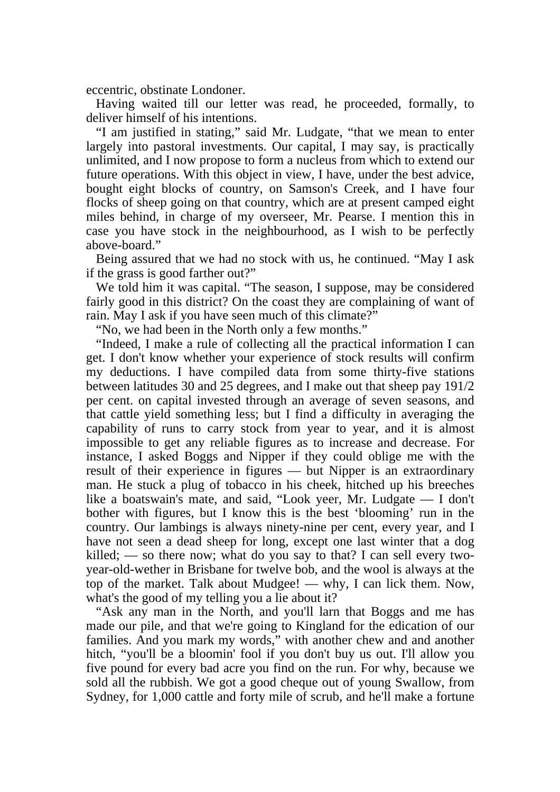eccentric, obstinate Londoner.

 Having waited till our letter was read, he proceeded, formally, to deliver himself of his intentions.

 "I am justified in stating," said Mr. Ludgate, "that we mean to enter largely into pastoral investments. Our capital, I may say, is practically unlimited, and I now propose to form a nucleus from which to extend our future operations. With this object in view, I have, under the best advice, bought eight blocks of country, on Samson's Creek, and I have four flocks of sheep going on that country, which are at present camped eight miles behind, in charge of my overseer, Mr. Pearse. I mention this in case you have stock in the neighbourhood, as I wish to be perfectly above-board."

 Being assured that we had no stock with us, he continued. "May I ask if the grass is good farther out?"

 We told him it was capital. "The season, I suppose, may be considered fairly good in this district? On the coast they are complaining of want of rain. May I ask if you have seen much of this climate?"

"No, we had been in the North only a few months."

 "Indeed, I make a rule of collecting all the practical information I can get. I don't know whether your experience of stock results will confirm my deductions. I have compiled data from some thirty-five stations between latitudes 30 and 25 degrees, and I make out that sheep pay 191/2 per cent. on capital invested through an average of seven seasons, and that cattle yield something less; but I find a difficulty in averaging the capability of runs to carry stock from year to year, and it is almost impossible to get any reliable figures as to increase and decrease. For instance, I asked Boggs and Nipper if they could oblige me with the result of their experience in figures — but Nipper is an extraordinary man. He stuck a plug of tobacco in his cheek, hitched up his breeches like a boatswain's mate, and said, "Look yeer, Mr. Ludgate — I don't bother with figures, but I know this is the best 'blooming' run in the country. Our lambings is always ninety-nine per cent, every year, and I have not seen a dead sheep for long, except one last winter that a dog killed; — so there now; what do you say to that? I can sell every twoyear-old-wether in Brisbane for twelve bob, and the wool is always at the top of the market. Talk about Mudgee! — why, I can lick them. Now, what's the good of my telling you a lie about it?

 "Ask any man in the North, and you'll larn that Boggs and me has made our pile, and that we're going to Kingland for the edication of our families. And you mark my words," with another chew and and another hitch, "you'll be a bloomin' fool if you don't buy us out. I'll allow you five pound for every bad acre you find on the run. For why, because we sold all the rubbish. We got a good cheque out of young Swallow, from Sydney, for 1,000 cattle and forty mile of scrub, and he'll make a fortune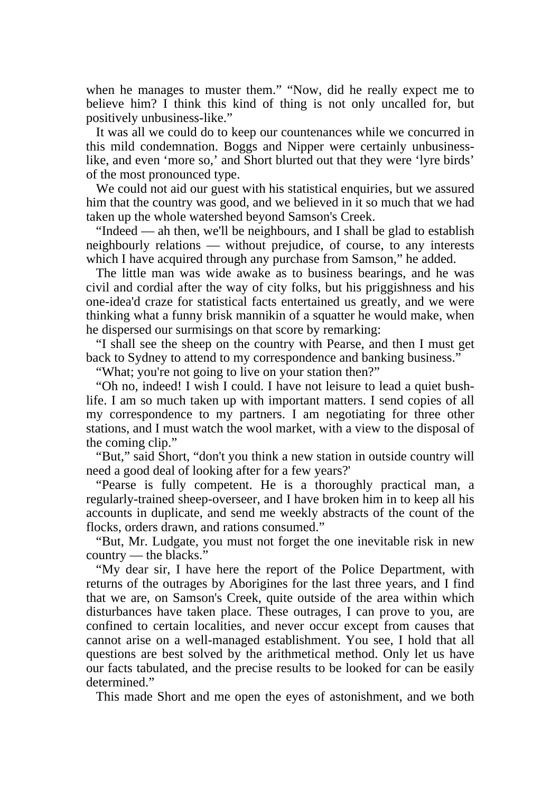when he manages to muster them." "Now, did he really expect me to believe him? I think this kind of thing is not only uncalled for, but positively unbusiness-like."

 It was all we could do to keep our countenances while we concurred in this mild condemnation. Boggs and Nipper were certainly unbusinesslike, and even 'more so,' and Short blurted out that they were 'lyre birds' of the most pronounced type.

We could not aid our guest with his statistical enquiries, but we assured him that the country was good, and we believed in it so much that we had taken up the whole watershed beyond Samson's Creek.

 "Indeed — ah then, we'll be neighbours, and I shall be glad to establish neighbourly relations — without prejudice, of course, to any interests which I have acquired through any purchase from Samson," he added.

 The little man was wide awake as to business bearings, and he was civil and cordial after the way of city folks, but his priggishness and his one-idea'd craze for statistical facts entertained us greatly, and we were thinking what a funny brisk mannikin of a squatter he would make, when he dispersed our surmisings on that score by remarking:

 "I shall see the sheep on the country with Pearse, and then I must get back to Sydney to attend to my correspondence and banking business."

"What; you're not going to live on your station then?"

 "Oh no, indeed! I wish I could. I have not leisure to lead a quiet bushlife. I am so much taken up with important matters. I send copies of all my correspondence to my partners. I am negotiating for three other stations, and I must watch the wool market, with a view to the disposal of the coming clip."

 "But," said Short, "don't you think a new station in outside country will need a good deal of looking after for a few years?'

 "Pearse is fully competent. He is a thoroughly practical man, a regularly-trained sheep-overseer, and I have broken him in to keep all his accounts in duplicate, and send me weekly abstracts of the count of the flocks, orders drawn, and rations consumed."

 "But, Mr. Ludgate, you must not forget the one inevitable risk in new country — the blacks."

 "My dear sir, I have here the report of the Police Department, with returns of the outrages by Aborigines for the last three years, and I find that we are, on Samson's Creek, quite outside of the area within which disturbances have taken place. These outrages, I can prove to you, are confined to certain localities, and never occur except from causes that cannot arise on a well-managed establishment. You see, I hold that all questions are best solved by the arithmetical method. Only let us have our facts tabulated, and the precise results to be looked for can be easily determined."

This made Short and me open the eyes of astonishment, and we both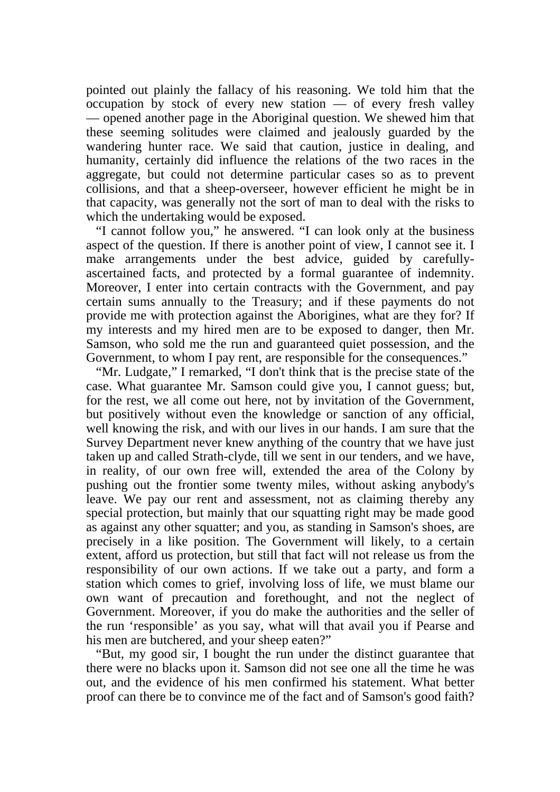pointed out plainly the fallacy of his reasoning. We told him that the occupation by stock of every new station — of every fresh valley — opened another page in the Aboriginal question. We shewed him that these seeming solitudes were claimed and jealously guarded by the wandering hunter race. We said that caution, justice in dealing, and humanity, certainly did influence the relations of the two races in the aggregate, but could not determine particular cases so as to prevent collisions, and that a sheep-overseer, however efficient he might be in that capacity, was generally not the sort of man to deal with the risks to which the undertaking would be exposed.

 "I cannot follow you," he answered. "I can look only at the business aspect of the question. If there is another point of view, I cannot see it. I make arrangements under the best advice, guided by carefullyascertained facts, and protected by a formal guarantee of indemnity. Moreover, I enter into certain contracts with the Government, and pay certain sums annually to the Treasury; and if these payments do not provide me with protection against the Aborigines, what are they for? If my interests and my hired men are to be exposed to danger, then Mr. Samson, who sold me the run and guaranteed quiet possession, and the Government, to whom I pay rent, are responsible for the consequences."

 "Mr. Ludgate," I remarked, "I don't think that is the precise state of the case. What guarantee Mr. Samson could give you, I cannot guess; but, for the rest, we all come out here, not by invitation of the Government, but positively without even the knowledge or sanction of any official, well knowing the risk, and with our lives in our hands. I am sure that the Survey Department never knew anything of the country that we have just taken up and called Strath-clyde, till we sent in our tenders, and we have, in reality, of our own free will, extended the area of the Colony by pushing out the frontier some twenty miles, without asking anybody's leave. We pay our rent and assessment, not as claiming thereby any special protection, but mainly that our squatting right may be made good as against any other squatter; and you, as standing in Samson's shoes, are precisely in a like position. The Government will likely, to a certain extent, afford us protection, but still that fact will not release us from the responsibility of our own actions. If we take out a party, and form a station which comes to grief, involving loss of life, we must blame our own want of precaution and forethought, and not the neglect of Government. Moreover, if you do make the authorities and the seller of the run 'responsible' as you say, what will that avail you if Pearse and his men are butchered, and your sheep eaten?"

 "But, my good sir, I bought the run under the distinct guarantee that there were no blacks upon it. Samson did not see one all the time he was out, and the evidence of his men confirmed his statement. What better proof can there be to convince me of the fact and of Samson's good faith?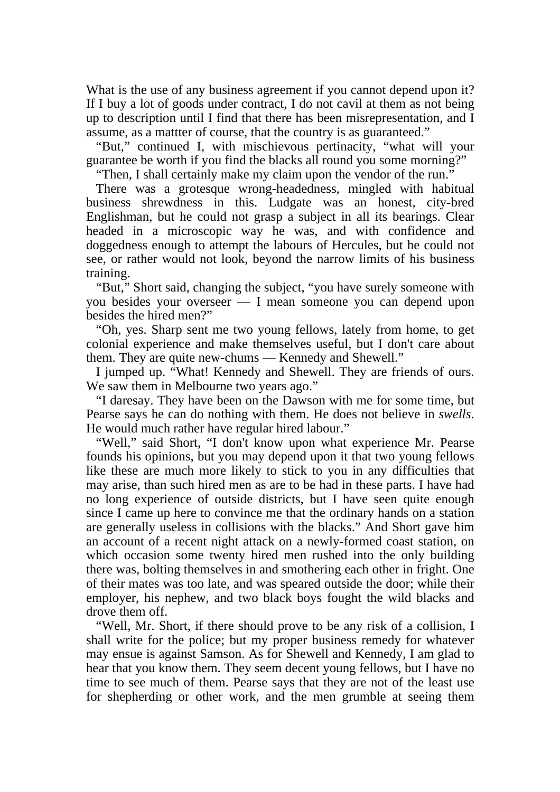What is the use of any business agreement if you cannot depend upon it? If I buy a lot of goods under contract, I do not cavil at them as not being up to description until I find that there has been misrepresentation, and I assume, as a mattter of course, that the country is as guaranteed."

 "But," continued I, with mischievous pertinacity, "what will your guarantee be worth if you find the blacks all round you some morning?"

"Then, I shall certainly make my claim upon the vendor of the run."

 There was a grotesque wrong-headedness, mingled with habitual business shrewdness in this. Ludgate was an honest, city-bred Englishman, but he could not grasp a subject in all its bearings. Clear headed in a microscopic way he was, and with confidence and doggedness enough to attempt the labours of Hercules, but he could not see, or rather would not look, beyond the narrow limits of his business training.

 "But," Short said, changing the subject, "you have surely someone with you besides your overseer — I mean someone you can depend upon besides the hired men?"

 "Oh, yes. Sharp sent me two young fellows, lately from home, to get colonial experience and make themselves useful, but I don't care about them. They are quite new-chums — Kennedy and Shewell."

 I jumped up. "What! Kennedy and Shewell. They are friends of ours. We saw them in Melbourne two years ago."

 "I daresay. They have been on the Dawson with me for some time, but Pearse says he can do nothing with them. He does not believe in *swells*. He would much rather have regular hired labour."

 "Well," said Short, "I don't know upon what experience Mr. Pearse founds his opinions, but you may depend upon it that two young fellows like these are much more likely to stick to you in any difficulties that may arise, than such hired men as are to be had in these parts. I have had no long experience of outside districts, but I have seen quite enough since I came up here to convince me that the ordinary hands on a station are generally useless in collisions with the blacks." And Short gave him an account of a recent night attack on a newly-formed coast station, on which occasion some twenty hired men rushed into the only building there was, bolting themselves in and smothering each other in fright. One of their mates was too late, and was speared outside the door; while their employer, his nephew, and two black boys fought the wild blacks and drove them off.

 "Well, Mr. Short, if there should prove to be any risk of a collision, I shall write for the police; but my proper business remedy for whatever may ensue is against Samson. As for Shewell and Kennedy, I am glad to hear that you know them. They seem decent young fellows, but I have no time to see much of them. Pearse says that they are not of the least use for shepherding or other work, and the men grumble at seeing them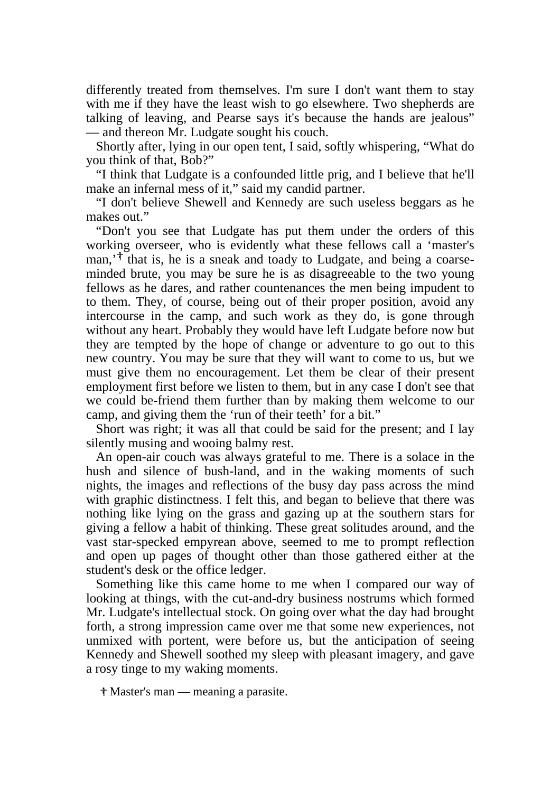differently treated from themselves. I'm sure I don't want them to stay with me if they have the least wish to go elsewhere. Two shepherds are talking of leaving, and Pearse says it's because the hands are jealous" — and thereon Mr. Ludgate sought his couch.

 Shortly after, lying in our open tent, I said, softly whispering, "What do you think of that, Bob?"

 "I think that Ludgate is a confounded little prig, and I believe that he'll make an infernal mess of it," said my candid partner.

 "I don't believe Shewell and Kennedy are such useless beggars as he makes out."

 "Don't you see that Ludgate has put them under the orders of this working overseer, who is evidently what these fellows call a 'master's man,'<sup>†</sup> that is, he is a sneak and toady to Ludgate, and being a coarseminded brute, you may be sure he is as disagreeable to the two young fellows as he dares, and rather countenances the men being impudent to to them. They, of course, being out of their proper position, avoid any intercourse in the camp, and such work as they do, is gone through without any heart. Probably they would have left Ludgate before now but they are tempted by the hope of change or adventure to go out to this new country. You may be sure that they will want to come to us, but we must give them no encouragement. Let them be clear of their present employment first before we listen to them, but in any case I don't see that we could be-friend them further than by making them welcome to our camp, and giving them the 'run of their teeth' for a bit."

 Short was right; it was all that could be said for the present; and I lay silently musing and wooing balmy rest.

 An open-air couch was always grateful to me. There is a solace in the hush and silence of bush-land, and in the waking moments of such nights, the images and reflections of the busy day pass across the mind with graphic distinctness. I felt this, and began to believe that there was nothing like lying on the grass and gazing up at the southern stars for giving a fellow a habit of thinking. These great solitudes around, and the vast star-specked empyrean above, seemed to me to prompt reflection and open up pages of thought other than those gathered either at the student's desk or the office ledger.

 Something like this came home to me when I compared our way of looking at things, with the cut-and-dry business nostrums which formed Mr. Ludgate's intellectual stock. On going over what the day had brought forth, a strong impression came over me that some new experiences, not unmixed with portent, were before us, but the anticipation of seeing Kennedy and Shewell soothed my sleep with pleasant imagery, and gave a rosy tinge to my waking moments.

Master's man — meaning a parasite.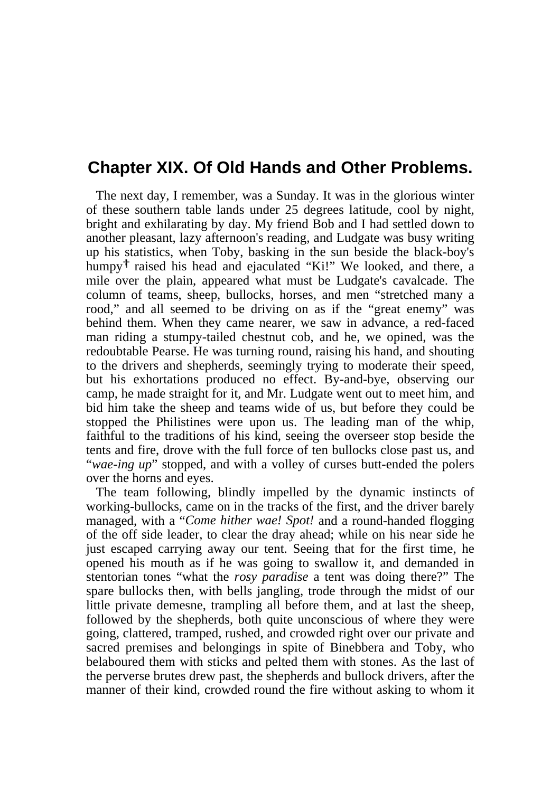## **Chapter XIX. Of Old Hands and Other Problems.**

 The next day, I remember, was a Sunday. It was in the glorious winter of these southern table lands under 25 degrees latitude, cool by night, bright and exhilarating by day. My friend Bob and I had settled down to another pleasant, lazy afternoon's reading, and Ludgate was busy writing up his statistics, when Toby, basking in the sun beside the black-boy's humpy<sup>†</sup> raised his head and ejaculated "Ki!" We looked, and there, a mile over the plain, appeared what must be Ludgate's cavalcade. The column of teams, sheep, bullocks, horses, and men "stretched many a rood," and all seemed to be driving on as if the "great enemy" was behind them. When they came nearer, we saw in advance, a red-faced man riding a stumpy-tailed chestnut cob, and he, we opined, was the redoubtable Pearse. He was turning round, raising his hand, and shouting to the drivers and shepherds, seemingly trying to moderate their speed, but his exhortations produced no effect. By-and-bye, observing our camp, he made straight for it, and Mr. Ludgate went out to meet him, and bid him take the sheep and teams wide of us, but before they could be stopped the Philistines were upon us. The leading man of the whip, faithful to the traditions of his kind, seeing the overseer stop beside the tents and fire, drove with the full force of ten bullocks close past us, and "*wae-ing up*" stopped, and with a volley of curses butt-ended the polers over the horns and eyes.

 The team following, blindly impelled by the dynamic instincts of working-bullocks, came on in the tracks of the first, and the driver barely managed, with a "*Come hither wae! Spot!* and a round-handed flogging of the off side leader, to clear the dray ahead; while on his near side he just escaped carrying away our tent. Seeing that for the first time, he opened his mouth as if he was going to swallow it, and demanded in stentorian tones "what the *rosy paradise* a tent was doing there?" The spare bullocks then, with bells jangling, trode through the midst of our little private demesne, trampling all before them, and at last the sheep, followed by the shepherds, both quite unconscious of where they were going, clattered, tramped, rushed, and crowded right over our private and sacred premises and belongings in spite of Binebbera and Toby, who belaboured them with sticks and pelted them with stones. As the last of the perverse brutes drew past, the shepherds and bullock drivers, after the manner of their kind, crowded round the fire without asking to whom it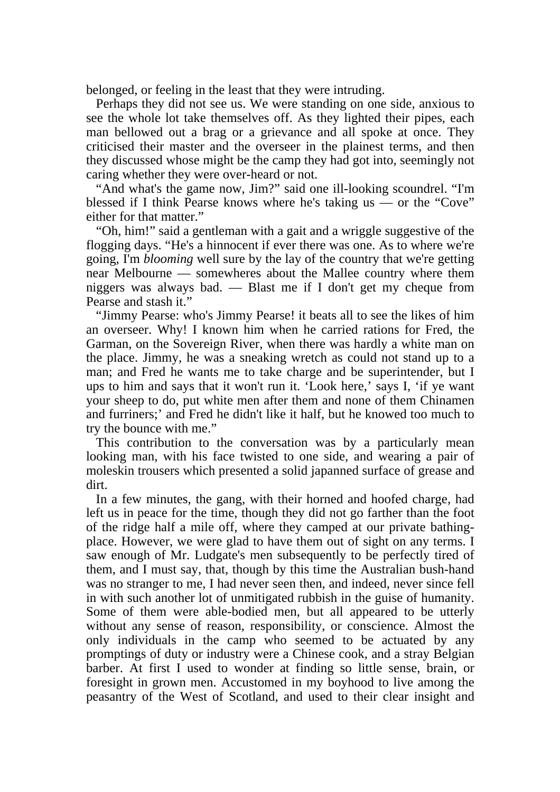belonged, or feeling in the least that they were intruding.

 Perhaps they did not see us. We were standing on one side, anxious to see the whole lot take themselves off. As they lighted their pipes, each man bellowed out a brag or a grievance and all spoke at once. They criticised their master and the overseer in the plainest terms, and then they discussed whose might be the camp they had got into, seemingly not caring whether they were over-heard or not.

 "And what's the game now, Jim?" said one ill-looking scoundrel. "I'm blessed if I think Pearse knows where he's taking us — or the "Cove" either for that matter."

 "Oh, him!" said a gentleman with a gait and a wriggle suggestive of the flogging days. "He's a hinnocent if ever there was one. As to where we're going, I'm *blooming* well sure by the lay of the country that we're getting near Melbourne — somewheres about the Mallee country where them niggers was always bad. — Blast me if I don't get my cheque from Pearse and stash it."

 "Jimmy Pearse: who's Jimmy Pearse! it beats all to see the likes of him an overseer. Why! I known him when he carried rations for Fred, the Garman, on the Sovereign River, when there was hardly a white man on the place. Jimmy, he was a sneaking wretch as could not stand up to a man; and Fred he wants me to take charge and be superintender, but I ups to him and says that it won't run it. 'Look here,' says I, 'if ye want your sheep to do, put white men after them and none of them Chinamen and furriners;' and Fred he didn't like it half, but he knowed too much to try the bounce with me."

 This contribution to the conversation was by a particularly mean looking man, with his face twisted to one side, and wearing a pair of moleskin trousers which presented a solid japanned surface of grease and dirt.

 In a few minutes, the gang, with their horned and hoofed charge, had left us in peace for the time, though they did not go farther than the foot of the ridge half a mile off, where they camped at our private bathingplace. However, we were glad to have them out of sight on any terms. I saw enough of Mr. Ludgate's men subsequently to be perfectly tired of them, and I must say, that, though by this time the Australian bush-hand was no stranger to me, I had never seen then, and indeed, never since fell in with such another lot of unmitigated rubbish in the guise of humanity. Some of them were able-bodied men, but all appeared to be utterly without any sense of reason, responsibility, or conscience. Almost the only individuals in the camp who seemed to be actuated by any promptings of duty or industry were a Chinese cook, and a stray Belgian barber. At first I used to wonder at finding so little sense, brain, or foresight in grown men. Accustomed in my boyhood to live among the peasantry of the West of Scotland, and used to their clear insight and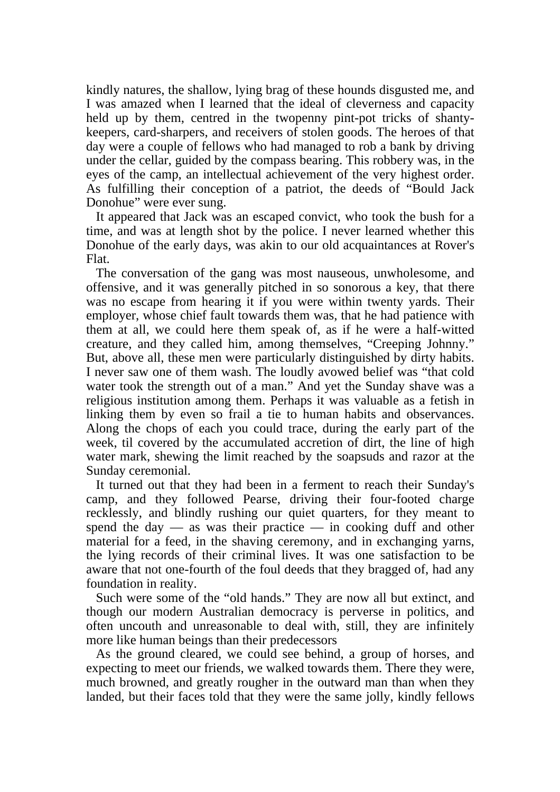kindly natures, the shallow, lying brag of these hounds disgusted me, and I was amazed when I learned that the ideal of cleverness and capacity held up by them, centred in the twopenny pint-pot tricks of shantykeepers, card-sharpers, and receivers of stolen goods. The heroes of that day were a couple of fellows who had managed to rob a bank by driving under the cellar, guided by the compass bearing. This robbery was, in the eyes of the camp, an intellectual achievement of the very highest order. As fulfilling their conception of a patriot, the deeds of "Bould Jack Donohue" were ever sung.

 It appeared that Jack was an escaped convict, who took the bush for a time, and was at length shot by the police. I never learned whether this Donohue of the early days, was akin to our old acquaintances at Rover's Flat.

 The conversation of the gang was most nauseous, unwholesome, and offensive, and it was generally pitched in so sonorous a key, that there was no escape from hearing it if you were within twenty yards. Their employer, whose chief fault towards them was, that he had patience with them at all, we could here them speak of, as if he were a half-witted creature, and they called him, among themselves, "Creeping Johnny." But, above all, these men were particularly distinguished by dirty habits. I never saw one of them wash. The loudly avowed belief was "that cold water took the strength out of a man." And yet the Sunday shave was a religious institution among them. Perhaps it was valuable as a fetish in linking them by even so frail a tie to human habits and observances. Along the chops of each you could trace, during the early part of the week, til covered by the accumulated accretion of dirt, the line of high water mark, shewing the limit reached by the soapsuds and razor at the Sunday ceremonial.

 It turned out that they had been in a ferment to reach their Sunday's camp, and they followed Pearse, driving their four-footed charge recklessly, and blindly rushing our quiet quarters, for they meant to spend the day  $-$  as was their practice  $-$  in cooking duff and other material for a feed, in the shaving ceremony, and in exchanging yarns, the lying records of their criminal lives. It was one satisfaction to be aware that not one-fourth of the foul deeds that they bragged of, had any foundation in reality.

 Such were some of the "old hands." They are now all but extinct, and though our modern Australian democracy is perverse in politics, and often uncouth and unreasonable to deal with, still, they are infinitely more like human beings than their predecessors

 As the ground cleared, we could see behind, a group of horses, and expecting to meet our friends, we walked towards them. There they were, much browned, and greatly rougher in the outward man than when they landed, but their faces told that they were the same jolly, kindly fellows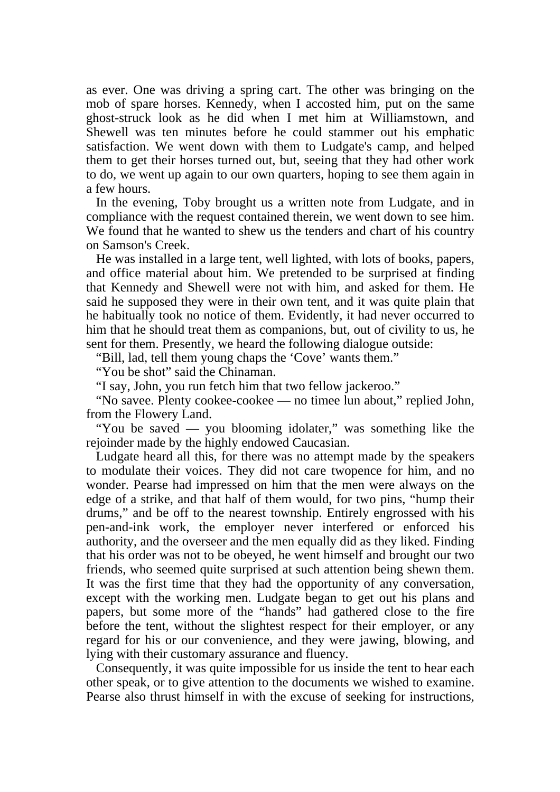as ever. One was driving a spring cart. The other was bringing on the mob of spare horses. Kennedy, when I accosted him, put on the same ghost-struck look as he did when I met him at Williamstown, and Shewell was ten minutes before he could stammer out his emphatic satisfaction. We went down with them to Ludgate's camp, and helped them to get their horses turned out, but, seeing that they had other work to do, we went up again to our own quarters, hoping to see them again in a few hours.

 In the evening, Toby brought us a written note from Ludgate, and in compliance with the request contained therein, we went down to see him. We found that he wanted to shew us the tenders and chart of his country on Samson's Creek.

 He was installed in a large tent, well lighted, with lots of books, papers, and office material about him. We pretended to be surprised at finding that Kennedy and Shewell were not with him, and asked for them. He said he supposed they were in their own tent, and it was quite plain that he habitually took no notice of them. Evidently, it had never occurred to him that he should treat them as companions, but, out of civility to us, he sent for them. Presently, we heard the following dialogue outside:

"Bill, lad, tell them young chaps the 'Cove' wants them."

"You be shot" said the Chinaman.

"I say, John, you run fetch him that two fellow jackeroo."

 "No savee. Plenty cookee-cookee — no timee lun about," replied John, from the Flowery Land.

 "You be saved — you blooming idolater," was something like the rejoinder made by the highly endowed Caucasian.

 Ludgate heard all this, for there was no attempt made by the speakers to modulate their voices. They did not care twopence for him, and no wonder. Pearse had impressed on him that the men were always on the edge of a strike, and that half of them would, for two pins, "hump their drums," and be off to the nearest township. Entirely engrossed with his pen-and-ink work, the employer never interfered or enforced his authority, and the overseer and the men equally did as they liked. Finding that his order was not to be obeyed, he went himself and brought our two friends, who seemed quite surprised at such attention being shewn them. It was the first time that they had the opportunity of any conversation, except with the working men. Ludgate began to get out his plans and papers, but some more of the "hands" had gathered close to the fire before the tent, without the slightest respect for their employer, or any regard for his or our convenience, and they were jawing, blowing, and lying with their customary assurance and fluency.

 Consequently, it was quite impossible for us inside the tent to hear each other speak, or to give attention to the documents we wished to examine. Pearse also thrust himself in with the excuse of seeking for instructions,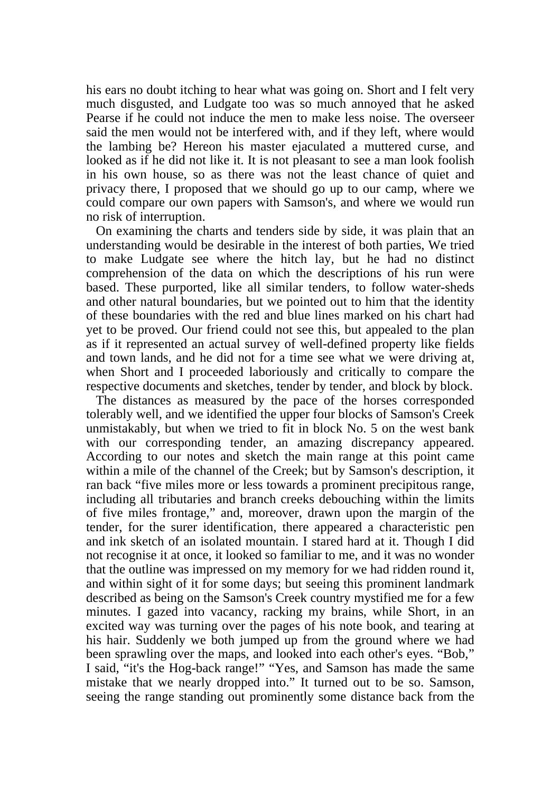his ears no doubt itching to hear what was going on. Short and I felt very much disgusted, and Ludgate too was so much annoyed that he asked Pearse if he could not induce the men to make less noise. The overseer said the men would not be interfered with, and if they left, where would the lambing be? Hereon his master ejaculated a muttered curse, and looked as if he did not like it. It is not pleasant to see a man look foolish in his own house, so as there was not the least chance of quiet and privacy there, I proposed that we should go up to our camp, where we could compare our own papers with Samson's, and where we would run no risk of interruption.

 On examining the charts and tenders side by side, it was plain that an understanding would be desirable in the interest of both parties, We tried to make Ludgate see where the hitch lay, but he had no distinct comprehension of the data on which the descriptions of his run were based. These purported, like all similar tenders, to follow water-sheds and other natural boundaries, but we pointed out to him that the identity of these boundaries with the red and blue lines marked on his chart had yet to be proved. Our friend could not see this, but appealed to the plan as if it represented an actual survey of well-defined property like fields and town lands, and he did not for a time see what we were driving at, when Short and I proceeded laboriously and critically to compare the respective documents and sketches, tender by tender, and block by block.

 The distances as measured by the pace of the horses corresponded tolerably well, and we identified the upper four blocks of Samson's Creek unmistakably, but when we tried to fit in block No. 5 on the west bank with our corresponding tender, an amazing discrepancy appeared. According to our notes and sketch the main range at this point came within a mile of the channel of the Creek; but by Samson's description, it ran back "five miles more or less towards a prominent precipitous range, including all tributaries and branch creeks debouching within the limits of five miles frontage," and, moreover, drawn upon the margin of the tender, for the surer identification, there appeared a characteristic pen and ink sketch of an isolated mountain. I stared hard at it. Though I did not recognise it at once, it looked so familiar to me, and it was no wonder that the outline was impressed on my memory for we had ridden round it, and within sight of it for some days; but seeing this prominent landmark described as being on the Samson's Creek country mystified me for a few minutes. I gazed into vacancy, racking my brains, while Short, in an excited way was turning over the pages of his note book, and tearing at his hair. Suddenly we both jumped up from the ground where we had been sprawling over the maps, and looked into each other's eyes. "Bob," I said, "it's the Hog-back range!" "Yes, and Samson has made the same mistake that we nearly dropped into." It turned out to be so. Samson, seeing the range standing out prominently some distance back from the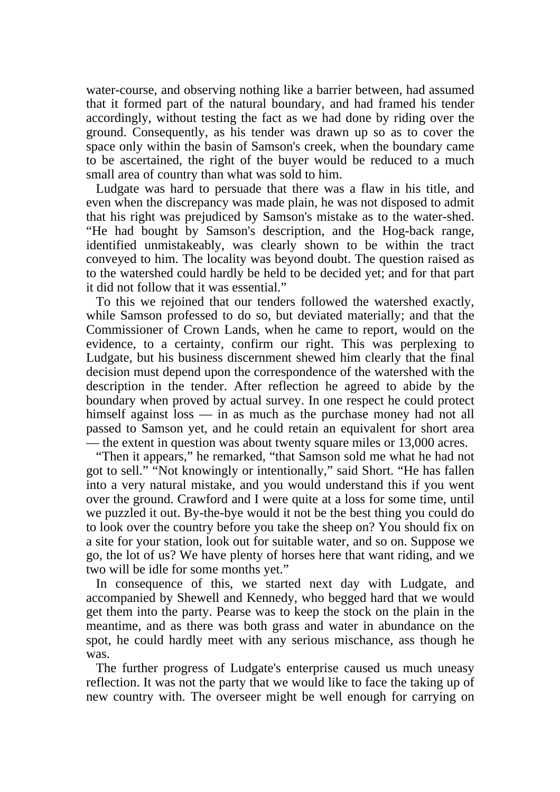water-course, and observing nothing like a barrier between, had assumed that it formed part of the natural boundary, and had framed his tender accordingly, without testing the fact as we had done by riding over the ground. Consequently, as his tender was drawn up so as to cover the space only within the basin of Samson's creek, when the boundary came to be ascertained, the right of the buyer would be reduced to a much small area of country than what was sold to him.

 Ludgate was hard to persuade that there was a flaw in his title, and even when the discrepancy was made plain, he was not disposed to admit that his right was prejudiced by Samson's mistake as to the water-shed. "He had bought by Samson's description, and the Hog-back range, identified unmistakeably, was clearly shown to be within the tract conveyed to him. The locality was beyond doubt. The question raised as to the watershed could hardly be held to be decided yet; and for that part it did not follow that it was essential."

 To this we rejoined that our tenders followed the watershed exactly, while Samson professed to do so, but deviated materially; and that the Commissioner of Crown Lands, when he came to report, would on the evidence, to a certainty, confirm our right. This was perplexing to Ludgate, but his business discernment shewed him clearly that the final decision must depend upon the correspondence of the watershed with the description in the tender. After reflection he agreed to abide by the boundary when proved by actual survey. In one respect he could protect himself against loss — in as much as the purchase money had not all passed to Samson yet, and he could retain an equivalent for short area — the extent in question was about twenty square miles or 13,000 acres.

 "Then it appears," he remarked, "that Samson sold me what he had not got to sell." "Not knowingly or intentionally," said Short. "He has fallen into a very natural mistake, and you would understand this if you went over the ground. Crawford and I were quite at a loss for some time, until we puzzled it out. By-the-bye would it not be the best thing you could do to look over the country before you take the sheep on? You should fix on a site for your station, look out for suitable water, and so on. Suppose we go, the lot of us? We have plenty of horses here that want riding, and we two will be idle for some months yet."

 In consequence of this, we started next day with Ludgate, and accompanied by Shewell and Kennedy, who begged hard that we would get them into the party. Pearse was to keep the stock on the plain in the meantime, and as there was both grass and water in abundance on the spot, he could hardly meet with any serious mischance, ass though he was.

 The further progress of Ludgate's enterprise caused us much uneasy reflection. It was not the party that we would like to face the taking up of new country with. The overseer might be well enough for carrying on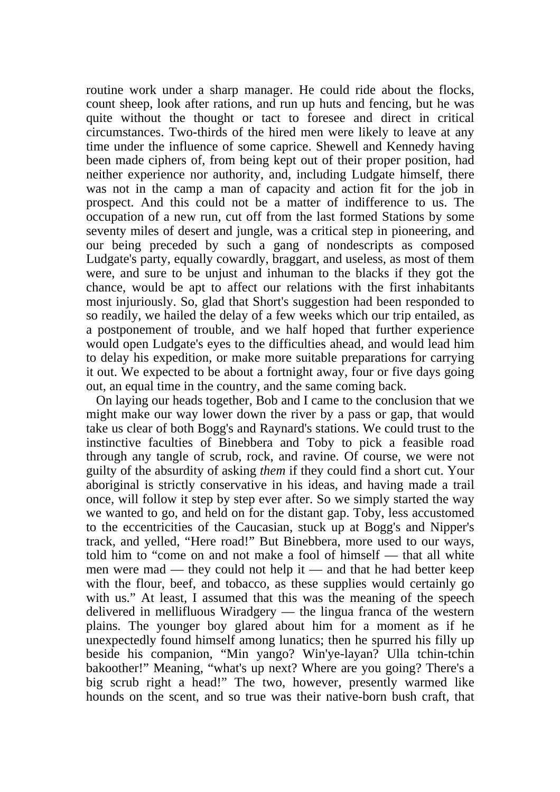routine work under a sharp manager. He could ride about the flocks, count sheep, look after rations, and run up huts and fencing, but he was quite without the thought or tact to foresee and direct in critical circumstances. Two-thirds of the hired men were likely to leave at any time under the influence of some caprice. Shewell and Kennedy having been made ciphers of, from being kept out of their proper position, had neither experience nor authority, and, including Ludgate himself, there was not in the camp a man of capacity and action fit for the job in prospect. And this could not be a matter of indifference to us. The occupation of a new run, cut off from the last formed Stations by some seventy miles of desert and jungle, was a critical step in pioneering, and our being preceded by such a gang of nondescripts as composed Ludgate's party, equally cowardly, braggart, and useless, as most of them were, and sure to be unjust and inhuman to the blacks if they got the chance, would be apt to affect our relations with the first inhabitants most injuriously. So, glad that Short's suggestion had been responded to so readily, we hailed the delay of a few weeks which our trip entailed, as a postponement of trouble, and we half hoped that further experience would open Ludgate's eyes to the difficulties ahead, and would lead him to delay his expedition, or make more suitable preparations for carrying it out. We expected to be about a fortnight away, four or five days going out, an equal time in the country, and the same coming back.

 On laying our heads together, Bob and I came to the conclusion that we might make our way lower down the river by a pass or gap, that would take us clear of both Bogg's and Raynard's stations. We could trust to the instinctive faculties of Binebbera and Toby to pick a feasible road through any tangle of scrub, rock, and ravine. Of course, we were not guilty of the absurdity of asking *them* if they could find a short cut. Your aboriginal is strictly conservative in his ideas, and having made a trail once, will follow it step by step ever after. So we simply started the way we wanted to go, and held on for the distant gap. Toby, less accustomed to the eccentricities of the Caucasian, stuck up at Bogg's and Nipper's track, and yelled, "Here road!" But Binebbera, more used to our ways, told him to "come on and not make a fool of himself — that all white men were mad — they could not help it — and that he had better keep with the flour, beef, and tobacco, as these supplies would certainly go with us." At least, I assumed that this was the meaning of the speech delivered in mellifluous Wiradgery — the lingua franca of the western plains. The younger boy glared about him for a moment as if he unexpectedly found himself among lunatics; then he spurred his filly up beside his companion, "Min yango? Win'ye-layan? Ulla tchin-tchin bakoother!" Meaning, "what's up next? Where are you going? There's a big scrub right a head!" The two, however, presently warmed like hounds on the scent, and so true was their native-born bush craft, that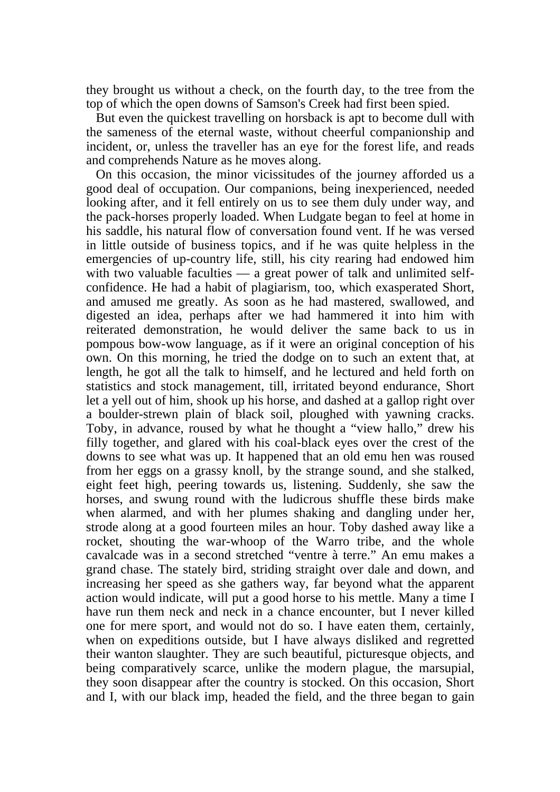they brought us without a check, on the fourth day, to the tree from the top of which the open downs of Samson's Creek had first been spied.

 But even the quickest travelling on horsback is apt to become dull with the sameness of the eternal waste, without cheerful companionship and incident, or, unless the traveller has an eye for the forest life, and reads and comprehends Nature as he moves along.

 On this occasion, the minor vicissitudes of the journey afforded us a good deal of occupation. Our companions, being inexperienced, needed looking after, and it fell entirely on us to see them duly under way, and the pack-horses properly loaded. When Ludgate began to feel at home in his saddle, his natural flow of conversation found vent. If he was versed in little outside of business topics, and if he was quite helpless in the emergencies of up-country life, still, his city rearing had endowed him with two valuable faculties — a great power of talk and unlimited selfconfidence. He had a habit of plagiarism, too, which exasperated Short, and amused me greatly. As soon as he had mastered, swallowed, and digested an idea, perhaps after we had hammered it into him with reiterated demonstration, he would deliver the same back to us in pompous bow-wow language, as if it were an original conception of his own. On this morning, he tried the dodge on to such an extent that, at length, he got all the talk to himself, and he lectured and held forth on statistics and stock management, till, irritated beyond endurance, Short let a yell out of him, shook up his horse, and dashed at a gallop right over a boulder-strewn plain of black soil, ploughed with yawning cracks. Toby, in advance, roused by what he thought a "view hallo," drew his filly together, and glared with his coal-black eyes over the crest of the downs to see what was up. It happened that an old emu hen was roused from her eggs on a grassy knoll, by the strange sound, and she stalked, eight feet high, peering towards us, listening. Suddenly, she saw the horses, and swung round with the ludicrous shuffle these birds make when alarmed, and with her plumes shaking and dangling under her, strode along at a good fourteen miles an hour. Toby dashed away like a rocket, shouting the war-whoop of the Warro tribe, and the whole cavalcade was in a second stretched "ventre à terre." An emu makes a grand chase. The stately bird, striding straight over dale and down, and increasing her speed as she gathers way, far beyond what the apparent action would indicate, will put a good horse to his mettle. Many a time I have run them neck and neck in a chance encounter, but I never killed one for mere sport, and would not do so. I have eaten them, certainly, when on expeditions outside, but I have always disliked and regretted their wanton slaughter. They are such beautiful, picturesque objects, and being comparatively scarce, unlike the modern plague, the marsupial, they soon disappear after the country is stocked. On this occasion, Short and I, with our black imp, headed the field, and the three began to gain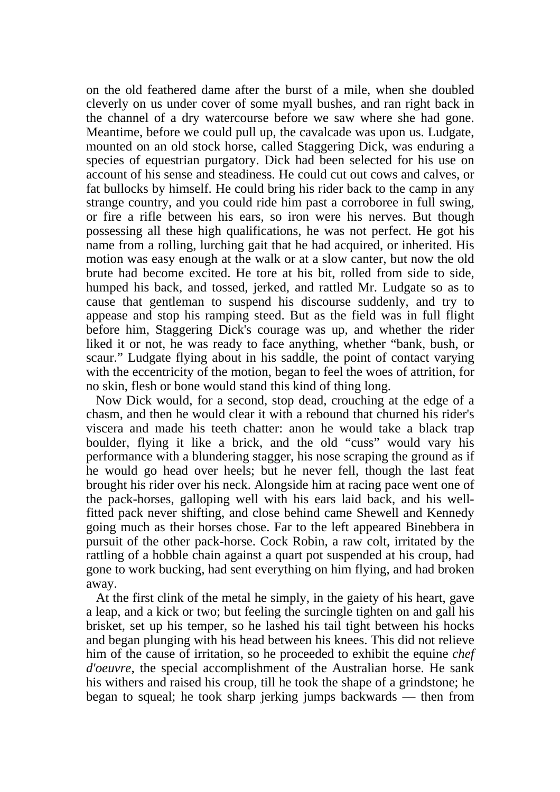on the old feathered dame after the burst of a mile, when she doubled cleverly on us under cover of some myall bushes, and ran right back in the channel of a dry watercourse before we saw where she had gone. Meantime, before we could pull up, the cavalcade was upon us. Ludgate, mounted on an old stock horse, called Staggering Dick, was enduring a species of equestrian purgatory. Dick had been selected for his use on account of his sense and steadiness. He could cut out cows and calves, or fat bullocks by himself. He could bring his rider back to the camp in any strange country, and you could ride him past a corroboree in full swing, or fire a rifle between his ears, so iron were his nerves. But though possessing all these high qualifications, he was not perfect. He got his name from a rolling, lurching gait that he had acquired, or inherited. His motion was easy enough at the walk or at a slow canter, but now the old brute had become excited. He tore at his bit, rolled from side to side, humped his back, and tossed, jerked, and rattled Mr. Ludgate so as to cause that gentleman to suspend his discourse suddenly, and try to appease and stop his ramping steed. But as the field was in full flight before him, Staggering Dick's courage was up, and whether the rider liked it or not, he was ready to face anything, whether "bank, bush, or scaur." Ludgate flying about in his saddle, the point of contact varying with the eccentricity of the motion, began to feel the woes of attrition, for no skin, flesh or bone would stand this kind of thing long.

 Now Dick would, for a second, stop dead, crouching at the edge of a chasm, and then he would clear it with a rebound that churned his rider's viscera and made his teeth chatter: anon he would take a black trap boulder, flying it like a brick, and the old "cuss" would vary his performance with a blundering stagger, his nose scraping the ground as if he would go head over heels; but he never fell, though the last feat brought his rider over his neck. Alongside him at racing pace went one of the pack-horses, galloping well with his ears laid back, and his wellfitted pack never shifting, and close behind came Shewell and Kennedy going much as their horses chose. Far to the left appeared Binebbera in pursuit of the other pack-horse. Cock Robin, a raw colt, irritated by the rattling of a hobble chain against a quart pot suspended at his croup, had gone to work bucking, had sent everything on him flying, and had broken away.

 At the first clink of the metal he simply, in the gaiety of his heart, gave a leap, and a kick or two; but feeling the surcingle tighten on and gall his brisket, set up his temper, so he lashed his tail tight between his hocks and began plunging with his head between his knees. This did not relieve him of the cause of irritation, so he proceeded to exhibit the equine *chef d'oeuvre*, the special accomplishment of the Australian horse. He sank his withers and raised his croup, till he took the shape of a grindstone; he began to squeal; he took sharp jerking jumps backwards — then from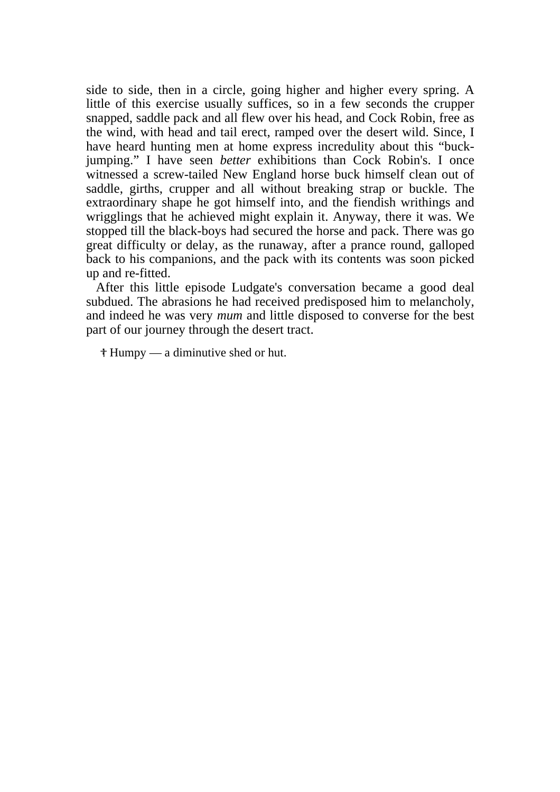side to side, then in a circle, going higher and higher every spring. A little of this exercise usually suffices, so in a few seconds the crupper snapped, saddle pack and all flew over his head, and Cock Robin, free as the wind, with head and tail erect, ramped over the desert wild. Since, I have heard hunting men at home express incredulity about this "buckjumping." I have seen *better* exhibitions than Cock Robin's. I once witnessed a screw-tailed New England horse buck himself clean out of saddle, girths, crupper and all without breaking strap or buckle. The extraordinary shape he got himself into, and the fiendish writhings and wrigglings that he achieved might explain it. Anyway, there it was. We stopped till the black-boys had secured the horse and pack. There was go great difficulty or delay, as the runaway, after a prance round, galloped back to his companions, and the pack with its contents was soon picked up and re-fitted.

 After this little episode Ludgate's conversation became a good deal subdued. The abrasions he had received predisposed him to melancholy, and indeed he was very *mum* and little disposed to converse for the best part of our journey through the desert tract.

Humpy — a diminutive shed or hut.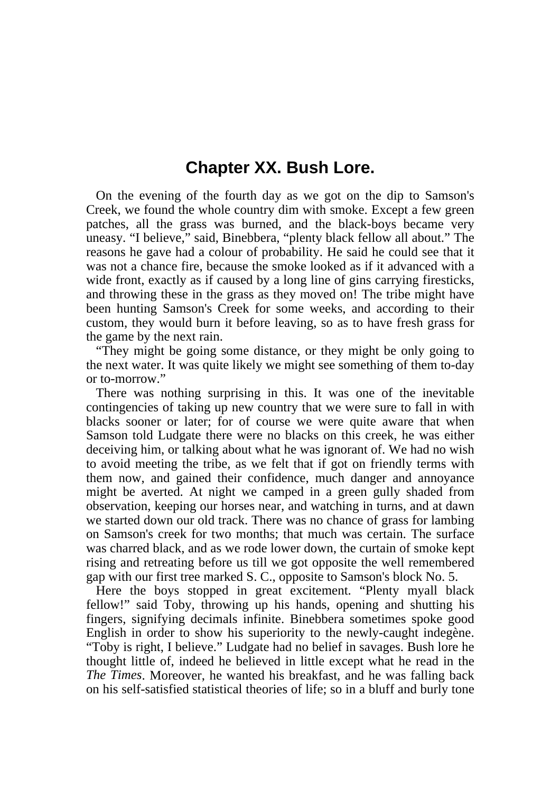## **Chapter XX. Bush Lore.**

 On the evening of the fourth day as we got on the dip to Samson's Creek, we found the whole country dim with smoke. Except a few green patches, all the grass was burned, and the black-boys became very uneasy. "I believe," said, Binebbera, "plenty black fellow all about." The reasons he gave had a colour of probability. He said he could see that it was not a chance fire, because the smoke looked as if it advanced with a wide front, exactly as if caused by a long line of gins carrying firesticks, and throwing these in the grass as they moved on! The tribe might have been hunting Samson's Creek for some weeks, and according to their custom, they would burn it before leaving, so as to have fresh grass for the game by the next rain.

 "They might be going some distance, or they might be only going to the next water. It was quite likely we might see something of them to-day or to-morrow."

 There was nothing surprising in this. It was one of the inevitable contingencies of taking up new country that we were sure to fall in with blacks sooner or later; for of course we were quite aware that when Samson told Ludgate there were no blacks on this creek, he was either deceiving him, or talking about what he was ignorant of. We had no wish to avoid meeting the tribe, as we felt that if got on friendly terms with them now, and gained their confidence, much danger and annoyance might be averted. At night we camped in a green gully shaded from observation, keeping our horses near, and watching in turns, and at dawn we started down our old track. There was no chance of grass for lambing on Samson's creek for two months; that much was certain. The surface was charred black, and as we rode lower down, the curtain of smoke kept rising and retreating before us till we got opposite the well remembered gap with our first tree marked S. C., opposite to Samson's block No. 5.

 Here the boys stopped in great excitement. "Plenty myall black fellow!" said Toby, throwing up his hands, opening and shutting his fingers, signifying decimals infinite. Binebbera sometimes spoke good English in order to show his superiority to the newly-caught indegène. "Toby is right, I believe." Ludgate had no belief in savages. Bush lore he thought little of, indeed he believed in little except what he read in the *The Times*. Moreover, he wanted his breakfast, and he was falling back on his self-satisfied statistical theories of life; so in a bluff and burly tone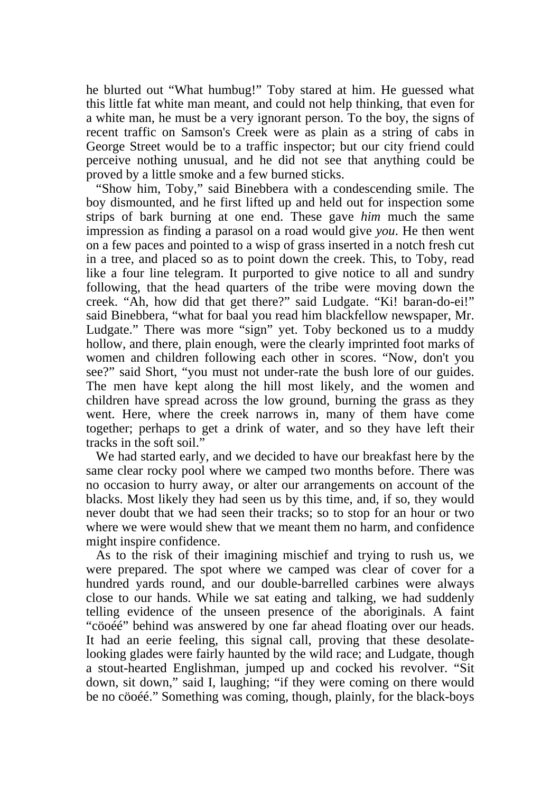he blurted out "What humbug!" Toby stared at him. He guessed what this little fat white man meant, and could not help thinking, that even for a white man, he must be a very ignorant person. To the boy, the signs of recent traffic on Samson's Creek were as plain as a string of cabs in George Street would be to a traffic inspector; but our city friend could perceive nothing unusual, and he did not see that anything could be proved by a little smoke and a few burned sticks.

 "Show him, Toby," said Binebbera with a condescending smile. The boy dismounted, and he first lifted up and held out for inspection some strips of bark burning at one end. These gave *him* much the same impression as finding a parasol on a road would give *you*. He then went on a few paces and pointed to a wisp of grass inserted in a notch fresh cut in a tree, and placed so as to point down the creek. This, to Toby, read like a four line telegram. It purported to give notice to all and sundry following, that the head quarters of the tribe were moving down the creek. "Ah, how did that get there?" said Ludgate. "Ki! baran-do-ei!" said Binebbera, "what for baal you read him blackfellow newspaper, Mr. Ludgate." There was more "sign" yet. Toby beckoned us to a muddy hollow, and there, plain enough, were the clearly imprinted foot marks of women and children following each other in scores. "Now, don't you see?" said Short, "you must not under-rate the bush lore of our guides. The men have kept along the hill most likely, and the women and children have spread across the low ground, burning the grass as they went. Here, where the creek narrows in, many of them have come together; perhaps to get a drink of water, and so they have left their tracks in the soft soil."

 We had started early, and we decided to have our breakfast here by the same clear rocky pool where we camped two months before. There was no occasion to hurry away, or alter our arrangements on account of the blacks. Most likely they had seen us by this time, and, if so, they would never doubt that we had seen their tracks; so to stop for an hour or two where we were would shew that we meant them no harm, and confidence might inspire confidence.

 As to the risk of their imagining mischief and trying to rush us, we were prepared. The spot where we camped was clear of cover for a hundred yards round, and our double-barrelled carbines were always close to our hands. While we sat eating and talking, we had suddenly telling evidence of the unseen presence of the aboriginals. A faint "cöoéé" behind was answered by one far ahead floating over our heads. It had an eerie feeling, this signal call, proving that these desolatelooking glades were fairly haunted by the wild race; and Ludgate, though a stout-hearted Englishman, jumped up and cocked his revolver. "Sit down, sit down," said I, laughing; "if they were coming on there would be no cöoéé." Something was coming, though, plainly, for the black-boys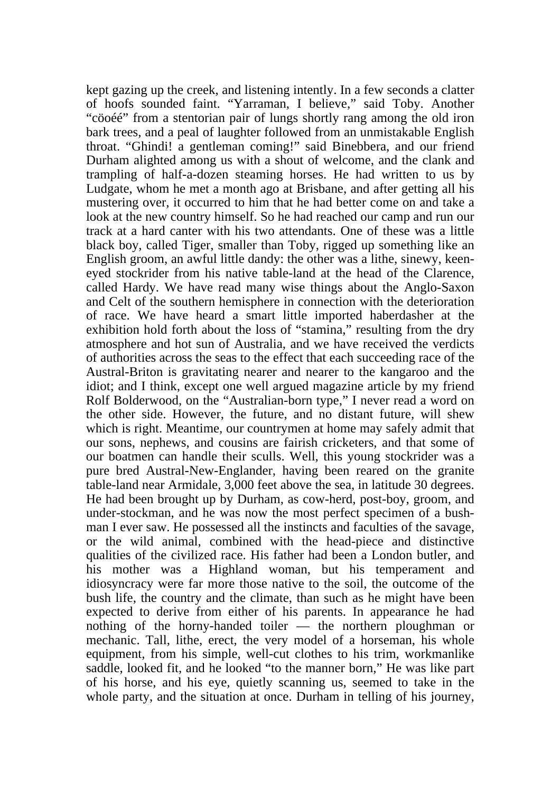kept gazing up the creek, and listening intently. In a few seconds a clatter of hoofs sounded faint. "Yarraman, I believe," said Toby. Another "cöoéé" from a stentorian pair of lungs shortly rang among the old iron bark trees, and a peal of laughter followed from an unmistakable English throat. "Ghindi! a gentleman coming!" said Binebbera, and our friend Durham alighted among us with a shout of welcome, and the clank and trampling of half-a-dozen steaming horses. He had written to us by Ludgate, whom he met a month ago at Brisbane, and after getting all his mustering over, it occurred to him that he had better come on and take a look at the new country himself. So he had reached our camp and run our track at a hard canter with his two attendants. One of these was a little black boy, called Tiger, smaller than Toby, rigged up something like an English groom, an awful little dandy: the other was a lithe, sinewy, keeneyed stockrider from his native table-land at the head of the Clarence, called Hardy. We have read many wise things about the Anglo-Saxon and Celt of the southern hemisphere in connection with the deterioration of race. We have heard a smart little imported haberdasher at the exhibition hold forth about the loss of "stamina," resulting from the dry atmosphere and hot sun of Australia, and we have received the verdicts of authorities across the seas to the effect that each succeeding race of the Austral-Briton is gravitating nearer and nearer to the kangaroo and the idiot; and I think, except one well argued magazine article by my friend Rolf Bolderwood, on the "Australian-born type," I never read a word on the other side. However, the future, and no distant future, will shew which is right. Meantime, our countrymen at home may safely admit that our sons, nephews, and cousins are fairish cricketers, and that some of our boatmen can handle their sculls. Well, this young stockrider was a pure bred Austral-New-Englander, having been reared on the granite table-land near Armidale, 3,000 feet above the sea, in latitude 30 degrees. He had been brought up by Durham, as cow-herd, post-boy, groom, and under-stockman, and he was now the most perfect specimen of a bushman I ever saw. He possessed all the instincts and faculties of the savage, or the wild animal, combined with the head-piece and distinctive qualities of the civilized race. His father had been a London butler, and his mother was a Highland woman, but his temperament and idiosyncracy were far more those native to the soil, the outcome of the bush life, the country and the climate, than such as he might have been expected to derive from either of his parents. In appearance he had nothing of the horny-handed toiler — the northern ploughman or mechanic. Tall, lithe, erect, the very model of a horseman, his whole equipment, from his simple, well-cut clothes to his trim, workmanlike saddle, looked fit, and he looked "to the manner born," He was like part of his horse, and his eye, quietly scanning us, seemed to take in the whole party, and the situation at once. Durham in telling of his journey,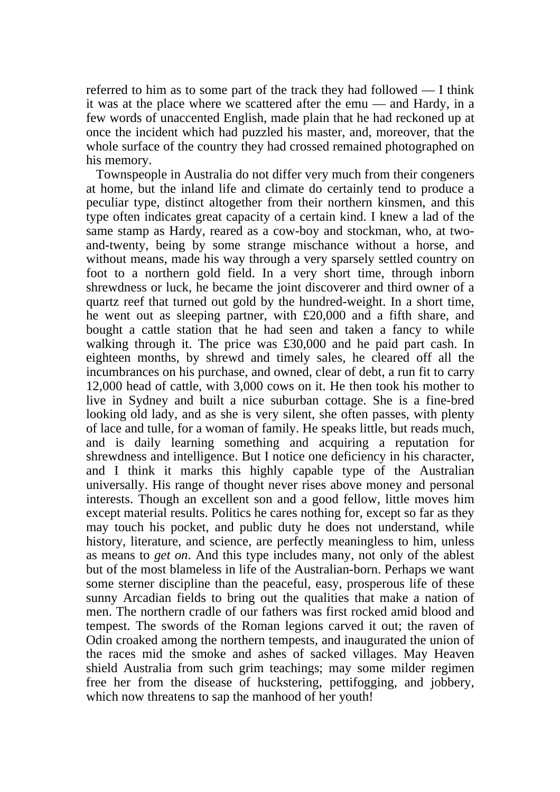referred to him as to some part of the track they had followed — I think it was at the place where we scattered after the emu — and Hardy, in a few words of unaccented English, made plain that he had reckoned up at once the incident which had puzzled his master, and, moreover, that the whole surface of the country they had crossed remained photographed on his memory.

 Townspeople in Australia do not differ very much from their congeners at home, but the inland life and climate do certainly tend to produce a peculiar type, distinct altogether from their northern kinsmen, and this type often indicates great capacity of a certain kind. I knew a lad of the same stamp as Hardy, reared as a cow-boy and stockman, who, at twoand-twenty, being by some strange mischance without a horse, and without means, made his way through a very sparsely settled country on foot to a northern gold field. In a very short time, through inborn shrewdness or luck, he became the joint discoverer and third owner of a quartz reef that turned out gold by the hundred-weight. In a short time, he went out as sleeping partner, with £20,000 and a fifth share, and bought a cattle station that he had seen and taken a fancy to while walking through it. The price was £30,000 and he paid part cash. In eighteen months, by shrewd and timely sales, he cleared off all the incumbrances on his purchase, and owned, clear of debt, a run fit to carry 12,000 head of cattle, with 3,000 cows on it. He then took his mother to live in Sydney and built a nice suburban cottage. She is a fine-bred looking old lady, and as she is very silent, she often passes, with plenty of lace and tulle, for a woman of family. He speaks little, but reads much, and is daily learning something and acquiring a reputation for shrewdness and intelligence. But I notice one deficiency in his character, and I think it marks this highly capable type of the Australian universally. His range of thought never rises above money and personal interests. Though an excellent son and a good fellow, little moves him except material results. Politics he cares nothing for, except so far as they may touch his pocket, and public duty he does not understand, while history, literature, and science, are perfectly meaningless to him, unless as means to *get on*. And this type includes many, not only of the ablest but of the most blameless in life of the Australian-born. Perhaps we want some sterner discipline than the peaceful, easy, prosperous life of these sunny Arcadian fields to bring out the qualities that make a nation of men. The northern cradle of our fathers was first rocked amid blood and tempest. The swords of the Roman legions carved it out; the raven of Odin croaked among the northern tempests, and inaugurated the union of the races mid the smoke and ashes of sacked villages. May Heaven shield Australia from such grim teachings; may some milder regimen free her from the disease of huckstering, pettifogging, and jobbery, which now threatens to sap the manhood of her youth!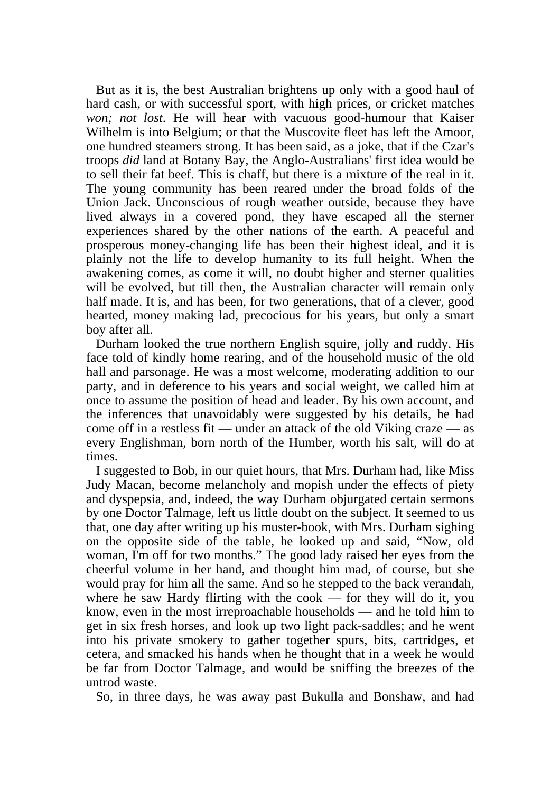But as it is, the best Australian brightens up only with a good haul of hard cash, or with successful sport, with high prices, or cricket matches *won; not lost*. He will hear with vacuous good-humour that Kaiser Wilhelm is into Belgium; or that the Muscovite fleet has left the Amoor, one hundred steamers strong. It has been said, as a joke, that if the Czar's troops *did* land at Botany Bay, the Anglo-Australians' first idea would be to sell their fat beef. This is chaff, but there is a mixture of the real in it. The young community has been reared under the broad folds of the Union Jack. Unconscious of rough weather outside, because they have lived always in a covered pond, they have escaped all the sterner experiences shared by the other nations of the earth. A peaceful and prosperous money-changing life has been their highest ideal, and it is plainly not the life to develop humanity to its full height. When the awakening comes, as come it will, no doubt higher and sterner qualities will be evolved, but till then, the Australian character will remain only half made. It is, and has been, for two generations, that of a clever, good hearted, money making lad, precocious for his years, but only a smart boy after all.

 Durham looked the true northern English squire, jolly and ruddy. His face told of kindly home rearing, and of the household music of the old hall and parsonage. He was a most welcome, moderating addition to our party, and in deference to his years and social weight, we called him at once to assume the position of head and leader. By his own account, and the inferences that unavoidably were suggested by his details, he had come off in a restless fit — under an attack of the old Viking craze — as every Englishman, born north of the Humber, worth his salt, will do at times.

 I suggested to Bob, in our quiet hours, that Mrs. Durham had, like Miss Judy Macan, become melancholy and mopish under the effects of piety and dyspepsia, and, indeed, the way Durham objurgated certain sermons by one Doctor Talmage, left us little doubt on the subject. It seemed to us that, one day after writing up his muster-book, with Mrs. Durham sighing on the opposite side of the table, he looked up and said, "Now, old woman, I'm off for two months." The good lady raised her eyes from the cheerful volume in her hand, and thought him mad, of course, but she would pray for him all the same. And so he stepped to the back verandah, where he saw Hardy flirting with the cook — for they will do it, you know, even in the most irreproachable households — and he told him to get in six fresh horses, and look up two light pack-saddles; and he went into his private smokery to gather together spurs, bits, cartridges, et cetera, and smacked his hands when he thought that in a week he would be far from Doctor Talmage, and would be sniffing the breezes of the untrod waste.

So, in three days, he was away past Bukulla and Bonshaw, and had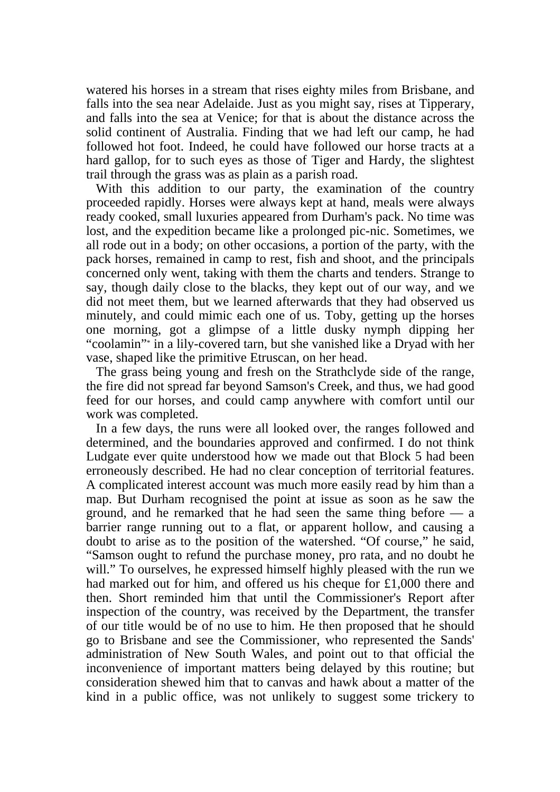watered his horses in a stream that rises eighty miles from Brisbane, and falls into the sea near Adelaide. Just as you might say, rises at Tipperary, and falls into the sea at Venice; for that is about the distance across the solid continent of Australia. Finding that we had left our camp, he had followed hot foot. Indeed, he could have followed our horse tracts at a hard gallop, for to such eyes as those of Tiger and Hardy, the slightest trail through the grass was as plain as a parish road.

 With this addition to our party, the examination of the country proceeded rapidly. Horses were always kept at hand, meals were always ready cooked, small luxuries appeared from Durham's pack. No time was lost, and the expedition became like a prolonged pic-nic. Sometimes, we all rode out in a body; on other occasions, a portion of the party, with the pack horses, remained in camp to rest, fish and shoot, and the principals concerned only went, taking with them the charts and tenders. Strange to say, though daily close to the blacks, they kept out of our way, and we did not meet them, but we learned afterwards that they had observed us minutely, and could mimic each one of us. Toby, getting up the horses one morning, got a glimpse of a little dusky nymph dipping her "coolamin"\* in a lily-covered tarn, but she vanished like a Dryad with her vase, shaped like the primitive Etruscan, on her head.

 The grass being young and fresh on the Strathclyde side of the range, the fire did not spread far beyond Samson's Creek, and thus, we had good feed for our horses, and could camp anywhere with comfort until our work was completed.

 In a few days, the runs were all looked over, the ranges followed and determined, and the boundaries approved and confirmed. I do not think Ludgate ever quite understood how we made out that Block 5 had been erroneously described. He had no clear conception of territorial features. A complicated interest account was much more easily read by him than a map. But Durham recognised the point at issue as soon as he saw the ground, and he remarked that he had seen the same thing before — a barrier range running out to a flat, or apparent hollow, and causing a doubt to arise as to the position of the watershed. "Of course," he said, "Samson ought to refund the purchase money, pro rata, and no doubt he will." To ourselves, he expressed himself highly pleased with the run we had marked out for him, and offered us his cheque for £1,000 there and then. Short reminded him that until the Commissioner's Report after inspection of the country, was received by the Department, the transfer of our title would be of no use to him. He then proposed that he should go to Brisbane and see the Commissioner, who represented the Sands' administration of New South Wales, and point out to that official the inconvenience of important matters being delayed by this routine; but consideration shewed him that to canvas and hawk about a matter of the kind in a public office, was not unlikely to suggest some trickery to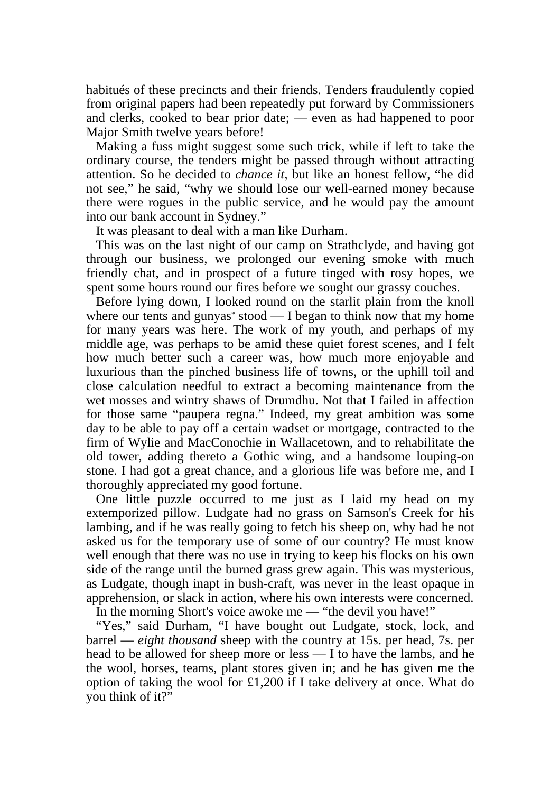habitués of these precincts and their friends. Tenders fraudulently copied from original papers had been repeatedly put forward by Commissioners and clerks, cooked to bear prior date; — even as had happened to poor Major Smith twelve years before!

 Making a fuss might suggest some such trick, while if left to take the ordinary course, the tenders might be passed through without attracting attention. So he decided to *chance it*, but like an honest fellow, "he did not see," he said, "why we should lose our well-earned money because there were rogues in the public service, and he would pay the amount into our bank account in Sydney."

It was pleasant to deal with a man like Durham.

 This was on the last night of our camp on Strathclyde, and having got through our business, we prolonged our evening smoke with much friendly chat, and in prospect of a future tinged with rosy hopes, we spent some hours round our fires before we sought our grassy couches.

 Before lying down, I looked round on the starlit plain from the knoll where our tents and gunyas<sup>\*</sup> stood  $\overline{a}$  began to think now that my home for many years was here. The work of my youth, and perhaps of my middle age, was perhaps to be amid these quiet forest scenes, and I felt how much better such a career was, how much more enjoyable and luxurious than the pinched business life of towns, or the uphill toil and close calculation needful to extract a becoming maintenance from the wet mosses and wintry shaws of Drumdhu. Not that I failed in affection for those same "paupera regna." Indeed, my great ambition was some day to be able to pay off a certain wadset or mortgage, contracted to the firm of Wylie and MacConochie in Wallacetown, and to rehabilitate the old tower, adding thereto a Gothic wing, and a handsome louping-on stone. I had got a great chance, and a glorious life was before me, and I thoroughly appreciated my good fortune.

 One little puzzle occurred to me just as I laid my head on my extemporized pillow. Ludgate had no grass on Samson's Creek for his lambing, and if he was really going to fetch his sheep on, why had he not asked us for the temporary use of some of our country? He must know well enough that there was no use in trying to keep his flocks on his own side of the range until the burned grass grew again. This was mysterious, as Ludgate, though inapt in bush-craft, was never in the least opaque in apprehension, or slack in action, where his own interests were concerned.

In the morning Short's voice awoke me — "the devil you have!"

 "Yes," said Durham, "I have bought out Ludgate, stock, lock, and barrel — *eight thousand* sheep with the country at 15s. per head, 7s. per head to be allowed for sheep more or less — I to have the lambs, and he the wool, horses, teams, plant stores given in; and he has given me the option of taking the wool for £1,200 if I take delivery at once. What do you think of it?"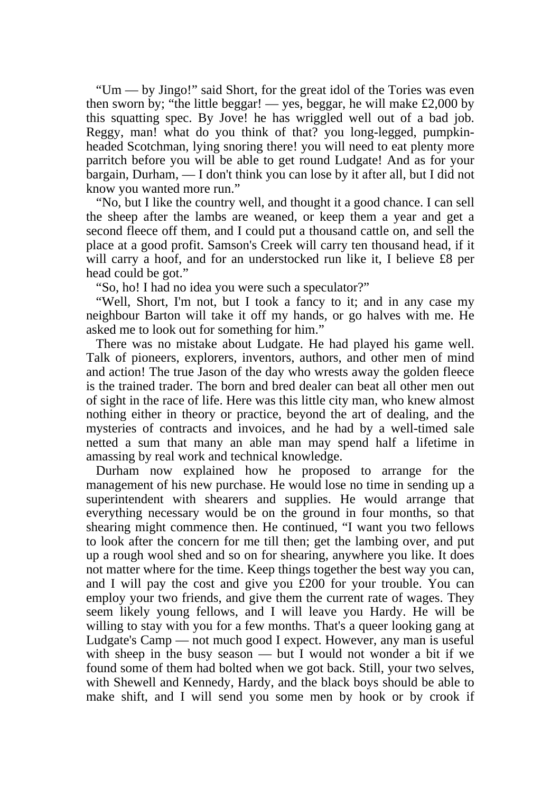"Um — by Jingo!" said Short, for the great idol of the Tories was even then sworn by; "the little beggar! — yes, beggar, he will make  $\pounds2,000$  by this squatting spec. By Jove! he has wriggled well out of a bad job. Reggy, man! what do you think of that? you long-legged, pumpkinheaded Scotchman, lying snoring there! you will need to eat plenty more parritch before you will be able to get round Ludgate! And as for your bargain, Durham, — I don't think you can lose by it after all, but I did not know you wanted more run."

 "No, but I like the country well, and thought it a good chance. I can sell the sheep after the lambs are weaned, or keep them a year and get a second fleece off them, and I could put a thousand cattle on, and sell the place at a good profit. Samson's Creek will carry ten thousand head, if it will carry a hoof, and for an understocked run like it, I believe £8 per head could be got."

"So, ho! I had no idea you were such a speculator?"

 "Well, Short, I'm not, but I took a fancy to it; and in any case my neighbour Barton will take it off my hands, or go halves with me. He asked me to look out for something for him."

 There was no mistake about Ludgate. He had played his game well. Talk of pioneers, explorers, inventors, authors, and other men of mind and action! The true Jason of the day who wrests away the golden fleece is the trained trader. The born and bred dealer can beat all other men out of sight in the race of life. Here was this little city man, who knew almost nothing either in theory or practice, beyond the art of dealing, and the mysteries of contracts and invoices, and he had by a well-timed sale netted a sum that many an able man may spend half a lifetime in amassing by real work and technical knowledge.

 Durham now explained how he proposed to arrange for the management of his new purchase. He would lose no time in sending up a superintendent with shearers and supplies. He would arrange that everything necessary would be on the ground in four months, so that shearing might commence then. He continued, "I want you two fellows to look after the concern for me till then; get the lambing over, and put up a rough wool shed and so on for shearing, anywhere you like. It does not matter where for the time. Keep things together the best way you can, and I will pay the cost and give you £200 for your trouble. You can employ your two friends, and give them the current rate of wages. They seem likely young fellows, and I will leave you Hardy. He will be willing to stay with you for a few months. That's a queer looking gang at Ludgate's Camp — not much good I expect. However, any man is useful with sheep in the busy season — but I would not wonder a bit if we found some of them had bolted when we got back. Still, your two selves, with Shewell and Kennedy, Hardy, and the black boys should be able to make shift, and I will send you some men by hook or by crook if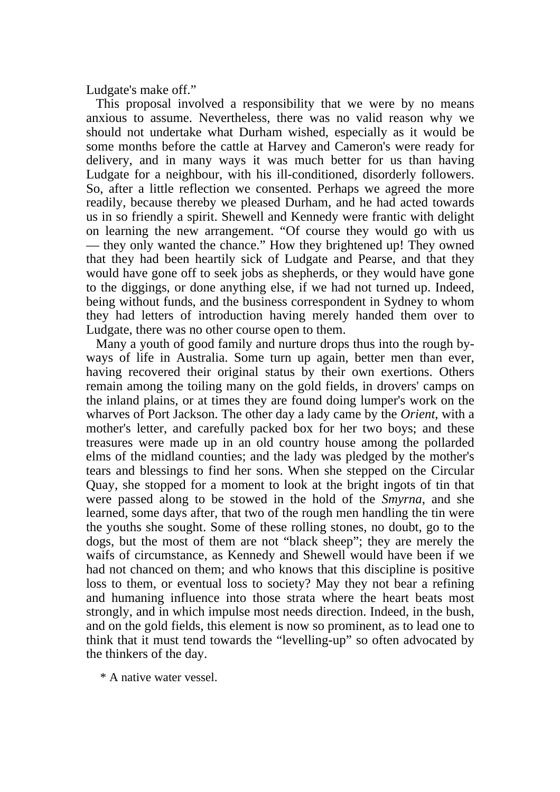Ludgate's make off."

 This proposal involved a responsibility that we were by no means anxious to assume. Nevertheless, there was no valid reason why we should not undertake what Durham wished, especially as it would be some months before the cattle at Harvey and Cameron's were ready for delivery, and in many ways it was much better for us than having Ludgate for a neighbour, with his ill-conditioned, disorderly followers. So, after a little reflection we consented. Perhaps we agreed the more readily, because thereby we pleased Durham, and he had acted towards us in so friendly a spirit. Shewell and Kennedy were frantic with delight on learning the new arrangement. "Of course they would go with us — they only wanted the chance." How they brightened up! They owned that they had been heartily sick of Ludgate and Pearse, and that they would have gone off to seek jobs as shepherds, or they would have gone to the diggings, or done anything else, if we had not turned up. Indeed, being without funds, and the business correspondent in Sydney to whom they had letters of introduction having merely handed them over to Ludgate, there was no other course open to them.

 Many a youth of good family and nurture drops thus into the rough byways of life in Australia. Some turn up again, better men than ever, having recovered their original status by their own exertions. Others remain among the toiling many on the gold fields, in drovers' camps on the inland plains, or at times they are found doing lumper's work on the wharves of Port Jackson. The other day a lady came by the *Orient*, with a mother's letter, and carefully packed box for her two boys; and these treasures were made up in an old country house among the pollarded elms of the midland counties; and the lady was pledged by the mother's tears and blessings to find her sons. When she stepped on the Circular Quay, she stopped for a moment to look at the bright ingots of tin that were passed along to be stowed in the hold of the *Smyrna*, and she learned, some days after, that two of the rough men handling the tin were the youths she sought. Some of these rolling stones, no doubt, go to the dogs, but the most of them are not "black sheep"; they are merely the waifs of circumstance, as Kennedy and Shewell would have been if we had not chanced on them; and who knows that this discipline is positive loss to them, or eventual loss to society? May they not bear a refining and humaning influence into those strata where the heart beats most strongly, and in which impulse most needs direction. Indeed, in the bush, and on the gold fields, this element is now so prominent, as to lead one to think that it must tend towards the "levelling-up" so often advocated by the thinkers of the day.

\* A native water vessel.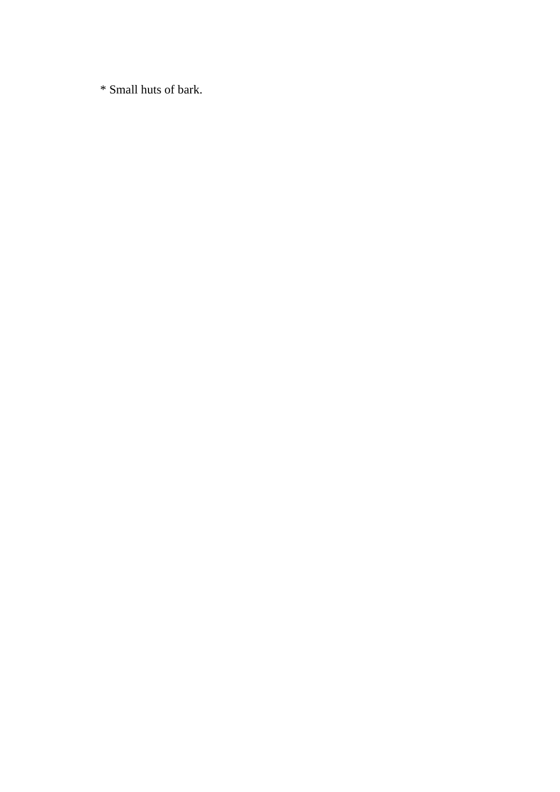\* Small huts of bark.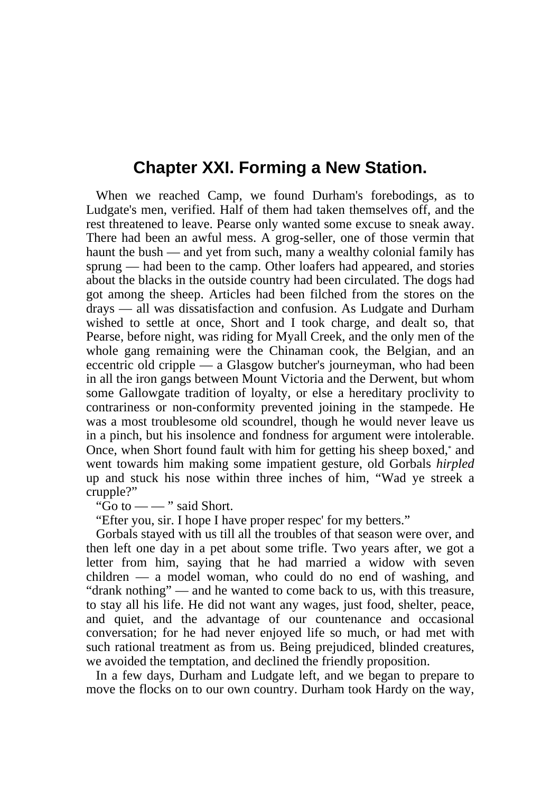## **Chapter XXI. Forming a New Station.**

 When we reached Camp, we found Durham's forebodings, as to Ludgate's men, verified. Half of them had taken themselves off, and the rest threatened to leave. Pearse only wanted some excuse to sneak away. There had been an awful mess. A grog-seller, one of those vermin that haunt the bush — and yet from such, many a wealthy colonial family has sprung — had been to the camp. Other loafers had appeared, and stories about the blacks in the outside country had been circulated. The dogs had got among the sheep. Articles had been filched from the stores on the drays — all was dissatisfaction and confusion. As Ludgate and Durham wished to settle at once, Short and I took charge, and dealt so, that Pearse, before night, was riding for Myall Creek, and the only men of the whole gang remaining were the Chinaman cook, the Belgian, and an eccentric old cripple — a Glasgow butcher's journeyman, who had been in all the iron gangs between Mount Victoria and the Derwent, but whom some Gallowgate tradition of loyalty, or else a hereditary proclivity to contrariness or non-conformity prevented joining in the stampede. He was a most troublesome old scoundrel, though he would never leave us in a pinch, but his insolence and fondness for argument were intolerable. Once, when Short found fault with him for getting his sheep boxed,\* and went towards him making some impatient gesture, old Gorbals *hirpled* up and stuck his nose within three inches of him, "Wad ye streek a crupple?"

"Go to  $\_\_\_$  said Short.

"Efter you, sir. I hope I have proper respec' for my betters."

 Gorbals stayed with us till all the troubles of that season were over, and then left one day in a pet about some trifle. Two years after, we got a letter from him, saying that he had married a widow with seven children — a model woman, who could do no end of washing, and "drank nothing" — and he wanted to come back to us, with this treasure, to stay all his life. He did not want any wages, just food, shelter, peace, and quiet, and the advantage of our countenance and occasional conversation; for he had never enjoyed life so much, or had met with such rational treatment as from us. Being prejudiced, blinded creatures, we avoided the temptation, and declined the friendly proposition.

 In a few days, Durham and Ludgate left, and we began to prepare to move the flocks on to our own country. Durham took Hardy on the way,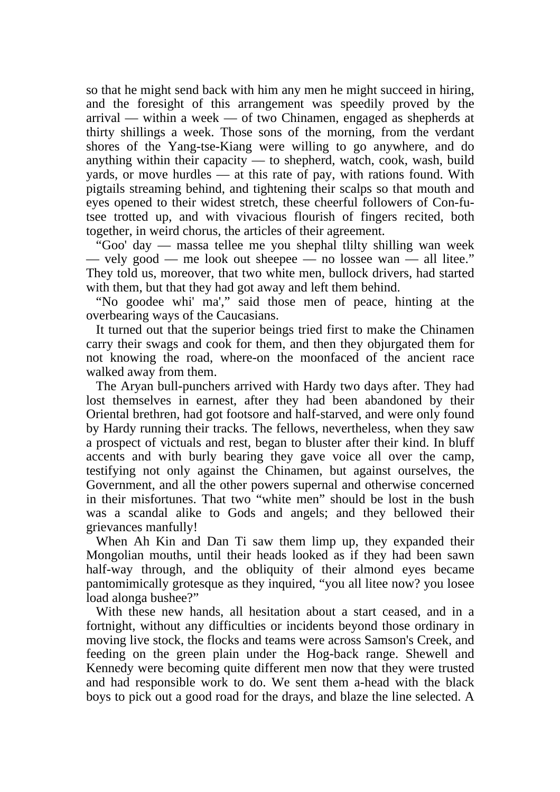so that he might send back with him any men he might succeed in hiring, and the foresight of this arrangement was speedily proved by the arrival — within a week — of two Chinamen, engaged as shepherds at thirty shillings a week. Those sons of the morning, from the verdant shores of the Yang-tse-Kiang were willing to go anywhere, and do anything within their capacity — to shepherd, watch, cook, wash, build yards, or move hurdles — at this rate of pay, with rations found. With pigtails streaming behind, and tightening their scalps so that mouth and eyes opened to their widest stretch, these cheerful followers of Con-futsee trotted up, and with vivacious flourish of fingers recited, both together, in weird chorus, the articles of their agreement.

 "Goo' day — massa tellee me you shephal tlilty shilling wan week — vely good — me look out sheepee — no lossee wan — all litee." They told us, moreover, that two white men, bullock drivers, had started with them, but that they had got away and left them behind.

 "No goodee whi' ma'," said those men of peace, hinting at the overbearing ways of the Caucasians.

 It turned out that the superior beings tried first to make the Chinamen carry their swags and cook for them, and then they objurgated them for not knowing the road, where-on the moonfaced of the ancient race walked away from them.

 The Aryan bull-punchers arrived with Hardy two days after. They had lost themselves in earnest, after they had been abandoned by their Oriental brethren, had got footsore and half-starved, and were only found by Hardy running their tracks. The fellows, nevertheless, when they saw a prospect of victuals and rest, began to bluster after their kind. In bluff accents and with burly bearing they gave voice all over the camp, testifying not only against the Chinamen, but against ourselves, the Government, and all the other powers supernal and otherwise concerned in their misfortunes. That two "white men" should be lost in the bush was a scandal alike to Gods and angels; and they bellowed their grievances manfully!

 When Ah Kin and Dan Ti saw them limp up, they expanded their Mongolian mouths, until their heads looked as if they had been sawn half-way through, and the obliquity of their almond eyes became pantomimically grotesque as they inquired, "you all litee now? you losee load alonga bushee?"

 With these new hands, all hesitation about a start ceased, and in a fortnight, without any difficulties or incidents beyond those ordinary in moving live stock, the flocks and teams were across Samson's Creek, and feeding on the green plain under the Hog-back range. Shewell and Kennedy were becoming quite different men now that they were trusted and had responsible work to do. We sent them a-head with the black boys to pick out a good road for the drays, and blaze the line selected. A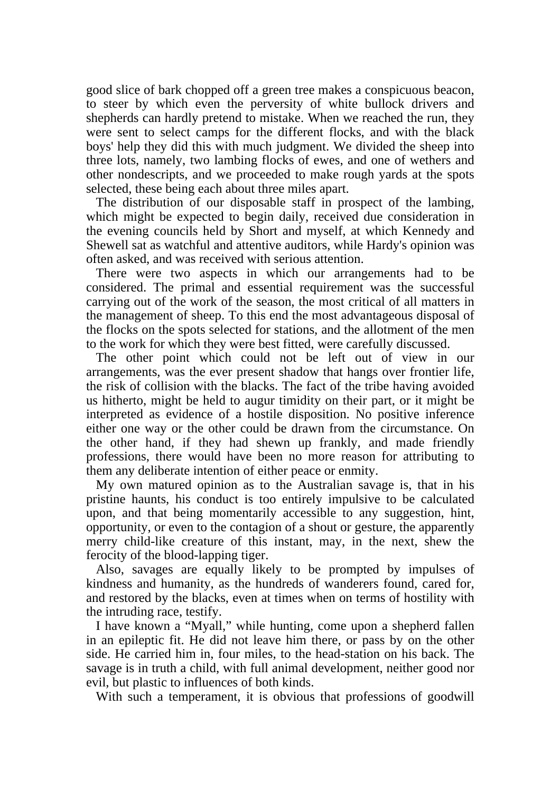good slice of bark chopped off a green tree makes a conspicuous beacon, to steer by which even the perversity of white bullock drivers and shepherds can hardly pretend to mistake. When we reached the run, they were sent to select camps for the different flocks, and with the black boys' help they did this with much judgment. We divided the sheep into three lots, namely, two lambing flocks of ewes, and one of wethers and other nondescripts, and we proceeded to make rough yards at the spots selected, these being each about three miles apart.

 The distribution of our disposable staff in prospect of the lambing, which might be expected to begin daily, received due consideration in the evening councils held by Short and myself, at which Kennedy and Shewell sat as watchful and attentive auditors, while Hardy's opinion was often asked, and was received with serious attention.

 There were two aspects in which our arrangements had to be considered. The primal and essential requirement was the successful carrying out of the work of the season, the most critical of all matters in the management of sheep. To this end the most advantageous disposal of the flocks on the spots selected for stations, and the allotment of the men to the work for which they were best fitted, were carefully discussed.

 The other point which could not be left out of view in our arrangements, was the ever present shadow that hangs over frontier life, the risk of collision with the blacks. The fact of the tribe having avoided us hitherto, might be held to augur timidity on their part, or it might be interpreted as evidence of a hostile disposition. No positive inference either one way or the other could be drawn from the circumstance. On the other hand, if they had shewn up frankly, and made friendly professions, there would have been no more reason for attributing to them any deliberate intention of either peace or enmity.

 My own matured opinion as to the Australian savage is, that in his pristine haunts, his conduct is too entirely impulsive to be calculated upon, and that being momentarily accessible to any suggestion, hint, opportunity, or even to the contagion of a shout or gesture, the apparently merry child-like creature of this instant, may, in the next, shew the ferocity of the blood-lapping tiger.

 Also, savages are equally likely to be prompted by impulses of kindness and humanity, as the hundreds of wanderers found, cared for, and restored by the blacks, even at times when on terms of hostility with the intruding race, testify.

 I have known a "Myall," while hunting, come upon a shepherd fallen in an epileptic fit. He did not leave him there, or pass by on the other side. He carried him in, four miles, to the head-station on his back. The savage is in truth a child, with full animal development, neither good nor evil, but plastic to influences of both kinds.

With such a temperament, it is obvious that professions of goodwill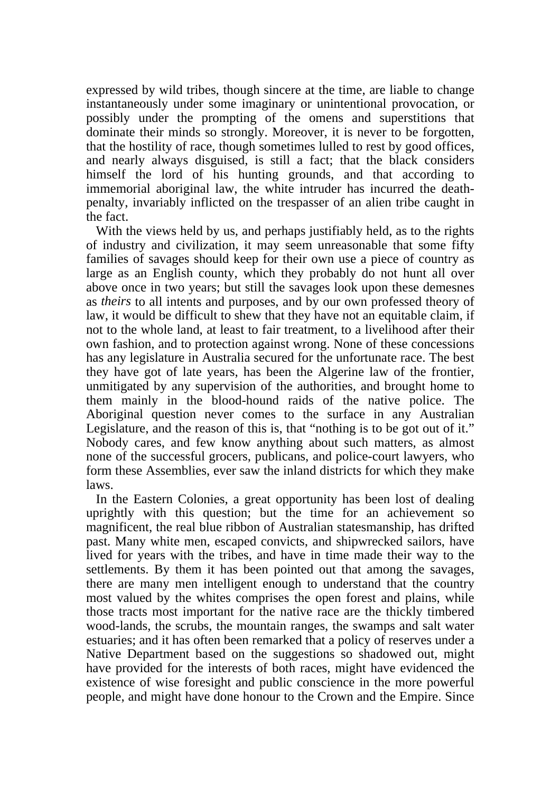expressed by wild tribes, though sincere at the time, are liable to change instantaneously under some imaginary or unintentional provocation, or possibly under the prompting of the omens and superstitions that dominate their minds so strongly. Moreover, it is never to be forgotten, that the hostility of race, though sometimes lulled to rest by good offices, and nearly always disguised, is still a fact; that the black considers himself the lord of his hunting grounds, and that according to immemorial aboriginal law, the white intruder has incurred the deathpenalty, invariably inflicted on the trespasser of an alien tribe caught in the fact.

With the views held by us, and perhaps justifiably held, as to the rights of industry and civilization, it may seem unreasonable that some fifty families of savages should keep for their own use a piece of country as large as an English county, which they probably do not hunt all over above once in two years; but still the savages look upon these demesnes as *theirs* to all intents and purposes, and by our own professed theory of law, it would be difficult to shew that they have not an equitable claim, if not to the whole land, at least to fair treatment, to a livelihood after their own fashion, and to protection against wrong. None of these concessions has any legislature in Australia secured for the unfortunate race. The best they have got of late years, has been the Algerine law of the frontier, unmitigated by any supervision of the authorities, and brought home to them mainly in the blood-hound raids of the native police. The Aboriginal question never comes to the surface in any Australian Legislature, and the reason of this is, that "nothing is to be got out of it." Nobody cares, and few know anything about such matters, as almost none of the successful grocers, publicans, and police-court lawyers, who form these Assemblies, ever saw the inland districts for which they make laws.

 In the Eastern Colonies, a great opportunity has been lost of dealing uprightly with this question; but the time for an achievement so magnificent, the real blue ribbon of Australian statesmanship, has drifted past. Many white men, escaped convicts, and shipwrecked sailors, have lived for years with the tribes, and have in time made their way to the settlements. By them it has been pointed out that among the savages, there are many men intelligent enough to understand that the country most valued by the whites comprises the open forest and plains, while those tracts most important for the native race are the thickly timbered wood-lands, the scrubs, the mountain ranges, the swamps and salt water estuaries; and it has often been remarked that a policy of reserves under a Native Department based on the suggestions so shadowed out, might have provided for the interests of both races, might have evidenced the existence of wise foresight and public conscience in the more powerful people, and might have done honour to the Crown and the Empire. Since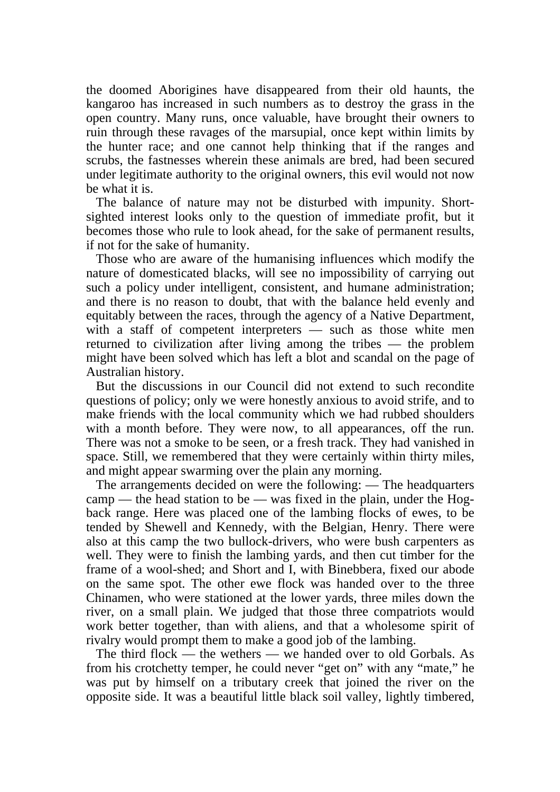the doomed Aborigines have disappeared from their old haunts, the kangaroo has increased in such numbers as to destroy the grass in the open country. Many runs, once valuable, have brought their owners to ruin through these ravages of the marsupial, once kept within limits by the hunter race; and one cannot help thinking that if the ranges and scrubs, the fastnesses wherein these animals are bred, had been secured under legitimate authority to the original owners, this evil would not now be what it is.

 The balance of nature may not be disturbed with impunity. Shortsighted interest looks only to the question of immediate profit, but it becomes those who rule to look ahead, for the sake of permanent results, if not for the sake of humanity.

 Those who are aware of the humanising influences which modify the nature of domesticated blacks, will see no impossibility of carrying out such a policy under intelligent, consistent, and humane administration; and there is no reason to doubt, that with the balance held evenly and equitably between the races, through the agency of a Native Department, with a staff of competent interpreters — such as those white men returned to civilization after living among the tribes — the problem might have been solved which has left a blot and scandal on the page of Australian history.

 But the discussions in our Council did not extend to such recondite questions of policy; only we were honestly anxious to avoid strife, and to make friends with the local community which we had rubbed shoulders with a month before. They were now, to all appearances, off the run. There was not a smoke to be seen, or a fresh track. They had vanished in space. Still, we remembered that they were certainly within thirty miles, and might appear swarming over the plain any morning.

 The arrangements decided on were the following: — The headquarters camp — the head station to be — was fixed in the plain, under the Hogback range. Here was placed one of the lambing flocks of ewes, to be tended by Shewell and Kennedy, with the Belgian, Henry. There were also at this camp the two bullock-drivers, who were bush carpenters as well. They were to finish the lambing yards, and then cut timber for the frame of a wool-shed; and Short and I, with Binebbera, fixed our abode on the same spot. The other ewe flock was handed over to the three Chinamen, who were stationed at the lower yards, three miles down the river, on a small plain. We judged that those three compatriots would work better together, than with aliens, and that a wholesome spirit of rivalry would prompt them to make a good job of the lambing.

 The third flock — the wethers — we handed over to old Gorbals. As from his crotchetty temper, he could never "get on" with any "mate," he was put by himself on a tributary creek that joined the river on the opposite side. It was a beautiful little black soil valley, lightly timbered,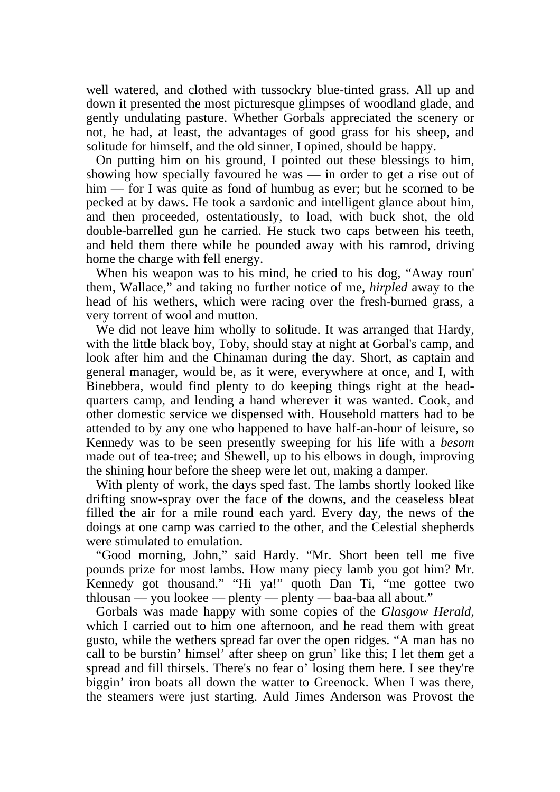well watered, and clothed with tussockry blue-tinted grass. All up and down it presented the most picturesque glimpses of woodland glade, and gently undulating pasture. Whether Gorbals appreciated the scenery or not, he had, at least, the advantages of good grass for his sheep, and solitude for himself, and the old sinner, I opined, should be happy.

 On putting him on his ground, I pointed out these blessings to him, showing how specially favoured he was — in order to get a rise out of him — for I was quite as fond of humbug as ever; but he scorned to be pecked at by daws. He took a sardonic and intelligent glance about him, and then proceeded, ostentatiously, to load, with buck shot, the old double-barrelled gun he carried. He stuck two caps between his teeth, and held them there while he pounded away with his ramrod, driving home the charge with fell energy.

 When his weapon was to his mind, he cried to his dog, "Away roun' them, Wallace," and taking no further notice of me, *hirpled* away to the head of his wethers, which were racing over the fresh-burned grass, a very torrent of wool and mutton.

 We did not leave him wholly to solitude. It was arranged that Hardy, with the little black boy, Toby, should stay at night at Gorbal's camp, and look after him and the Chinaman during the day. Short, as captain and general manager, would be, as it were, everywhere at once, and I, with Binebbera, would find plenty to do keeping things right at the headquarters camp, and lending a hand wherever it was wanted. Cook, and other domestic service we dispensed with. Household matters had to be attended to by any one who happened to have half-an-hour of leisure, so Kennedy was to be seen presently sweeping for his life with a *besom* made out of tea-tree; and Shewell, up to his elbows in dough, improving the shining hour before the sheep were let out, making a damper.

 With plenty of work, the days sped fast. The lambs shortly looked like drifting snow-spray over the face of the downs, and the ceaseless bleat filled the air for a mile round each yard. Every day, the news of the doings at one camp was carried to the other, and the Celestial shepherds were stimulated to emulation.

 "Good morning, John," said Hardy. "Mr. Short been tell me five pounds prize for most lambs. How many piecy lamb you got him? Mr. Kennedy got thousand." "Hi ya!" quoth Dan Ti, "me gottee two thlousan — you lookee — plenty — plenty — baa-baa all about."

 Gorbals was made happy with some copies of the *Glasgow Herald*, which I carried out to him one afternoon, and he read them with great gusto, while the wethers spread far over the open ridges. "A man has no call to be burstin' himsel' after sheep on grun' like this; I let them get a spread and fill thirsels. There's no fear o' losing them here. I see they're biggin' iron boats all down the watter to Greenock. When I was there, the steamers were just starting. Auld Jimes Anderson was Provost the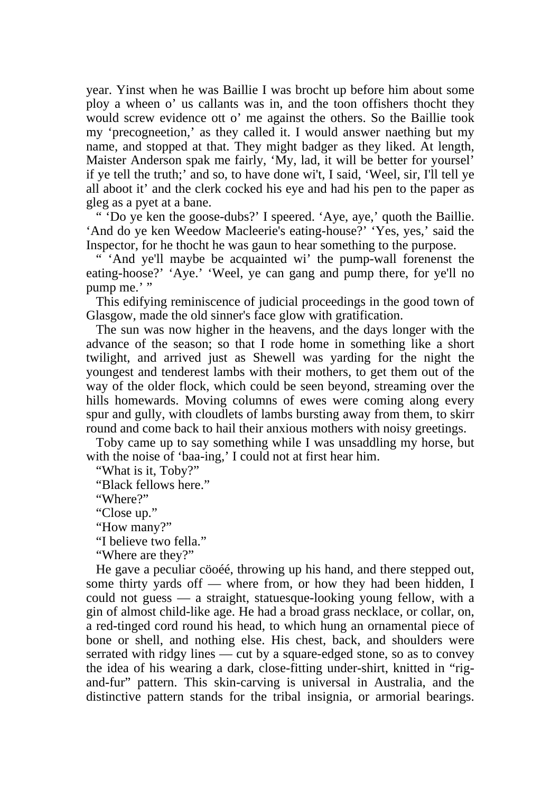year. Yinst when he was Baillie I was brocht up before him about some ploy a wheen o' us callants was in, and the toon offishers thocht they would screw evidence ott o' me against the others. So the Baillie took my 'precogneetion,' as they called it. I would answer naething but my name, and stopped at that. They might badger as they liked. At length, Maister Anderson spak me fairly, 'My, lad, it will be better for yoursel' if ye tell the truth;' and so, to have done wi't, I said, 'Weel, sir, I'll tell ye all aboot it' and the clerk cocked his eye and had his pen to the paper as gleg as a pyet at a bane.

 " 'Do ye ken the goose-dubs?' I speered. 'Aye, aye,' quoth the Baillie. 'And do ye ken Weedow Macleerie's eating-house?' 'Yes, yes,' said the Inspector, for he thocht he was gaun to hear something to the purpose.

 " 'And ye'll maybe be acquainted wi' the pump-wall forenenst the eating-hoose?' 'Aye.' 'Weel, ye can gang and pump there, for ye'll no pump me.' "

 This edifying reminiscence of judicial proceedings in the good town of Glasgow, made the old sinner's face glow with gratification.

 The sun was now higher in the heavens, and the days longer with the advance of the season; so that I rode home in something like a short twilight, and arrived just as Shewell was yarding for the night the youngest and tenderest lambs with their mothers, to get them out of the way of the older flock, which could be seen beyond, streaming over the hills homewards. Moving columns of ewes were coming along every spur and gully, with cloudlets of lambs bursting away from them, to skirr round and come back to hail their anxious mothers with noisy greetings.

 Toby came up to say something while I was unsaddling my horse, but with the noise of 'baa-ing,' I could not at first hear him.

"What is it, Toby?"

"Black fellows here."

"Where?"

"Close up."

"How many?"

"I believe two fella."

"Where are they?"

 He gave a peculiar cöoéé, throwing up his hand, and there stepped out, some thirty yards off — where from, or how they had been hidden, I could not guess — a straight, statuesque-looking young fellow, with a gin of almost child-like age. He had a broad grass necklace, or collar, on, a red-tinged cord round his head, to which hung an ornamental piece of bone or shell, and nothing else. His chest, back, and shoulders were serrated with ridgy lines — cut by a square-edged stone, so as to convey the idea of his wearing a dark, close-fitting under-shirt, knitted in "rigand-fur" pattern. This skin-carving is universal in Australia, and the distinctive pattern stands for the tribal insignia, or armorial bearings.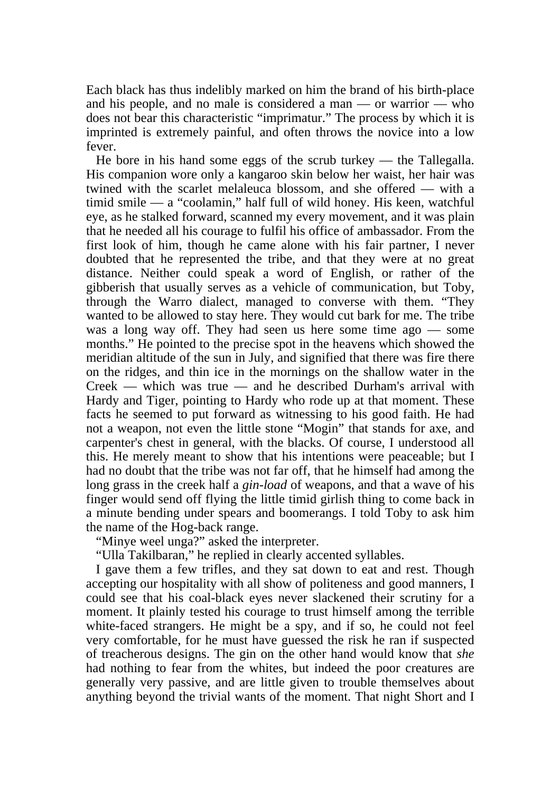Each black has thus indelibly marked on him the brand of his birth-place and his people, and no male is considered a man — or warrior — who does not bear this characteristic "imprimatur." The process by which it is imprinted is extremely painful, and often throws the novice into a low fever.

 He bore in his hand some eggs of the scrub turkey — the Tallegalla. His companion wore only a kangaroo skin below her waist, her hair was twined with the scarlet melaleuca blossom, and she offered — with a timid smile — a "coolamin," half full of wild honey. His keen, watchful eye, as he stalked forward, scanned my every movement, and it was plain that he needed all his courage to fulfil his office of ambassador. From the first look of him, though he came alone with his fair partner, I never doubted that he represented the tribe, and that they were at no great distance. Neither could speak a word of English, or rather of the gibberish that usually serves as a vehicle of communication, but Toby, through the Warro dialect, managed to converse with them. "They wanted to be allowed to stay here. They would cut bark for me. The tribe was a long way off. They had seen us here some time ago — some months." He pointed to the precise spot in the heavens which showed the meridian altitude of the sun in July, and signified that there was fire there on the ridges, and thin ice in the mornings on the shallow water in the Creek — which was true — and he described Durham's arrival with Hardy and Tiger, pointing to Hardy who rode up at that moment. These facts he seemed to put forward as witnessing to his good faith. He had not a weapon, not even the little stone "Mogin" that stands for axe, and carpenter's chest in general, with the blacks. Of course, I understood all this. He merely meant to show that his intentions were peaceable; but I had no doubt that the tribe was not far off, that he himself had among the long grass in the creek half a *gin-load* of weapons, and that a wave of his finger would send off flying the little timid girlish thing to come back in a minute bending under spears and boomerangs. I told Toby to ask him the name of the Hog-back range.

"Minye weel unga?" asked the interpreter.

"Ulla Takilbaran," he replied in clearly accented syllables.

 I gave them a few trifles, and they sat down to eat and rest. Though accepting our hospitality with all show of politeness and good manners, I could see that his coal-black eyes never slackened their scrutiny for a moment. It plainly tested his courage to trust himself among the terrible white-faced strangers. He might be a spy, and if so, he could not feel very comfortable, for he must have guessed the risk he ran if suspected of treacherous designs. The gin on the other hand would know that *she* had nothing to fear from the whites, but indeed the poor creatures are generally very passive, and are little given to trouble themselves about anything beyond the trivial wants of the moment. That night Short and I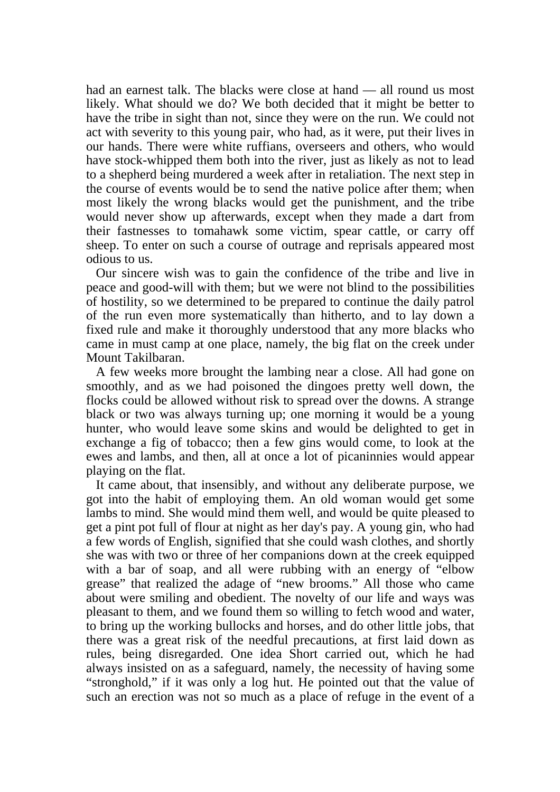had an earnest talk. The blacks were close at hand — all round us most likely. What should we do? We both decided that it might be better to have the tribe in sight than not, since they were on the run. We could not act with severity to this young pair, who had, as it were, put their lives in our hands. There were white ruffians, overseers and others, who would have stock-whipped them both into the river, just as likely as not to lead to a shepherd being murdered a week after in retaliation. The next step in the course of events would be to send the native police after them; when most likely the wrong blacks would get the punishment, and the tribe would never show up afterwards, except when they made a dart from their fastnesses to tomahawk some victim, spear cattle, or carry off sheep. To enter on such a course of outrage and reprisals appeared most odious to us.

 Our sincere wish was to gain the confidence of the tribe and live in peace and good-will with them; but we were not blind to the possibilities of hostility, so we determined to be prepared to continue the daily patrol of the run even more systematically than hitherto, and to lay down a fixed rule and make it thoroughly understood that any more blacks who came in must camp at one place, namely, the big flat on the creek under Mount Takilbaran.

 A few weeks more brought the lambing near a close. All had gone on smoothly, and as we had poisoned the dingoes pretty well down, the flocks could be allowed without risk to spread over the downs. A strange black or two was always turning up; one morning it would be a young hunter, who would leave some skins and would be delighted to get in exchange a fig of tobacco; then a few gins would come, to look at the ewes and lambs, and then, all at once a lot of picaninnies would appear playing on the flat.

 It came about, that insensibly, and without any deliberate purpose, we got into the habit of employing them. An old woman would get some lambs to mind. She would mind them well, and would be quite pleased to get a pint pot full of flour at night as her day's pay. A young gin, who had a few words of English, signified that she could wash clothes, and shortly she was with two or three of her companions down at the creek equipped with a bar of soap, and all were rubbing with an energy of "elbow grease" that realized the adage of "new brooms." All those who came about were smiling and obedient. The novelty of our life and ways was pleasant to them, and we found them so willing to fetch wood and water, to bring up the working bullocks and horses, and do other little jobs, that there was a great risk of the needful precautions, at first laid down as rules, being disregarded. One idea Short carried out, which he had always insisted on as a safeguard, namely, the necessity of having some "stronghold," if it was only a log hut. He pointed out that the value of such an erection was not so much as a place of refuge in the event of a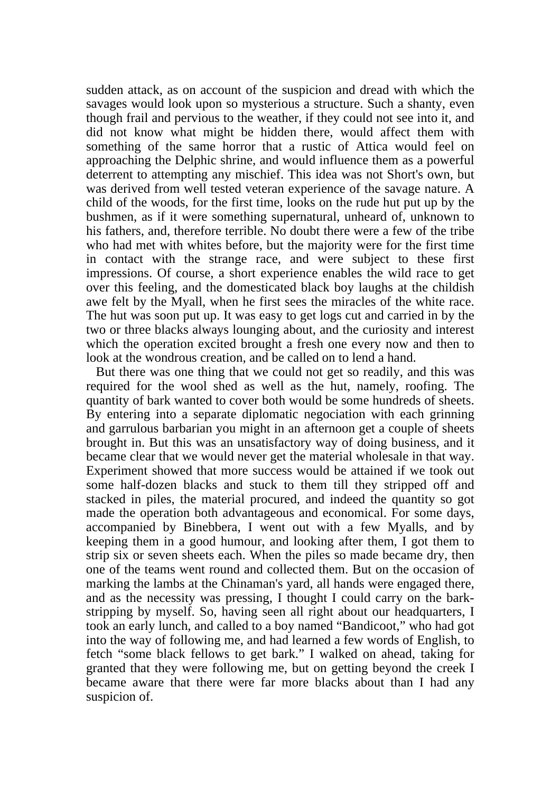sudden attack, as on account of the suspicion and dread with which the savages would look upon so mysterious a structure. Such a shanty, even though frail and pervious to the weather, if they could not see into it, and did not know what might be hidden there, would affect them with something of the same horror that a rustic of Attica would feel on approaching the Delphic shrine, and would influence them as a powerful deterrent to attempting any mischief. This idea was not Short's own, but was derived from well tested veteran experience of the savage nature. A child of the woods, for the first time, looks on the rude hut put up by the bushmen, as if it were something supernatural, unheard of, unknown to his fathers, and, therefore terrible. No doubt there were a few of the tribe who had met with whites before, but the majority were for the first time in contact with the strange race, and were subject to these first impressions. Of course, a short experience enables the wild race to get over this feeling, and the domesticated black boy laughs at the childish awe felt by the Myall, when he first sees the miracles of the white race. The hut was soon put up. It was easy to get logs cut and carried in by the two or three blacks always lounging about, and the curiosity and interest which the operation excited brought a fresh one every now and then to look at the wondrous creation, and be called on to lend a hand.

 But there was one thing that we could not get so readily, and this was required for the wool shed as well as the hut, namely, roofing. The quantity of bark wanted to cover both would be some hundreds of sheets. By entering into a separate diplomatic negociation with each grinning and garrulous barbarian you might in an afternoon get a couple of sheets brought in. But this was an unsatisfactory way of doing business, and it became clear that we would never get the material wholesale in that way. Experiment showed that more success would be attained if we took out some half-dozen blacks and stuck to them till they stripped off and stacked in piles, the material procured, and indeed the quantity so got made the operation both advantageous and economical. For some days, accompanied by Binebbera, I went out with a few Myalls, and by keeping them in a good humour, and looking after them, I got them to strip six or seven sheets each. When the piles so made became dry, then one of the teams went round and collected them. But on the occasion of marking the lambs at the Chinaman's yard, all hands were engaged there, and as the necessity was pressing, I thought I could carry on the barkstripping by myself. So, having seen all right about our headquarters, I took an early lunch, and called to a boy named "Bandicoot," who had got into the way of following me, and had learned a few words of English, to fetch "some black fellows to get bark." I walked on ahead, taking for granted that they were following me, but on getting beyond the creek I became aware that there were far more blacks about than I had any suspicion of.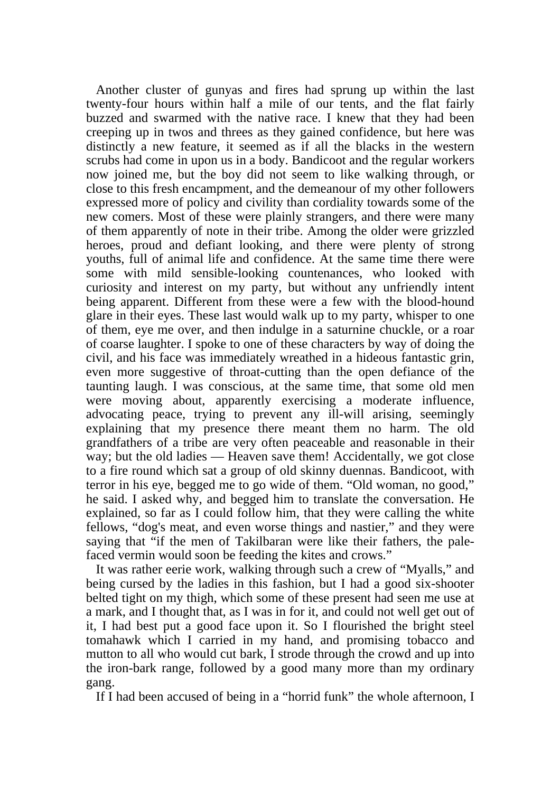Another cluster of gunyas and fires had sprung up within the last twenty-four hours within half a mile of our tents, and the flat fairly buzzed and swarmed with the native race. I knew that they had been creeping up in twos and threes as they gained confidence, but here was distinctly a new feature, it seemed as if all the blacks in the western scrubs had come in upon us in a body. Bandicoot and the regular workers now joined me, but the boy did not seem to like walking through, or close to this fresh encampment, and the demeanour of my other followers expressed more of policy and civility than cordiality towards some of the new comers. Most of these were plainly strangers, and there were many of them apparently of note in their tribe. Among the older were grizzled heroes, proud and defiant looking, and there were plenty of strong youths, full of animal life and confidence. At the same time there were some with mild sensible-looking countenances, who looked with curiosity and interest on my party, but without any unfriendly intent being apparent. Different from these were a few with the blood-hound glare in their eyes. These last would walk up to my party, whisper to one of them, eye me over, and then indulge in a saturnine chuckle, or a roar of coarse laughter. I spoke to one of these characters by way of doing the civil, and his face was immediately wreathed in a hideous fantastic grin, even more suggestive of throat-cutting than the open defiance of the taunting laugh. I was conscious, at the same time, that some old men were moving about, apparently exercising a moderate influence, advocating peace, trying to prevent any ill-will arising, seemingly explaining that my presence there meant them no harm. The old grandfathers of a tribe are very often peaceable and reasonable in their way; but the old ladies — Heaven save them! Accidentally, we got close to a fire round which sat a group of old skinny duennas. Bandicoot, with terror in his eye, begged me to go wide of them. "Old woman, no good," he said. I asked why, and begged him to translate the conversation. He explained, so far as I could follow him, that they were calling the white fellows, "dog's meat, and even worse things and nastier," and they were saying that "if the men of Takilbaran were like their fathers, the palefaced vermin would soon be feeding the kites and crows."

 It was rather eerie work, walking through such a crew of "Myalls," and being cursed by the ladies in this fashion, but I had a good six-shooter belted tight on my thigh, which some of these present had seen me use at a mark, and I thought that, as I was in for it, and could not well get out of it, I had best put a good face upon it. So I flourished the bright steel tomahawk which I carried in my hand, and promising tobacco and mutton to all who would cut bark, I strode through the crowd and up into the iron-bark range, followed by a good many more than my ordinary gang.

If I had been accused of being in a "horrid funk" the whole afternoon, I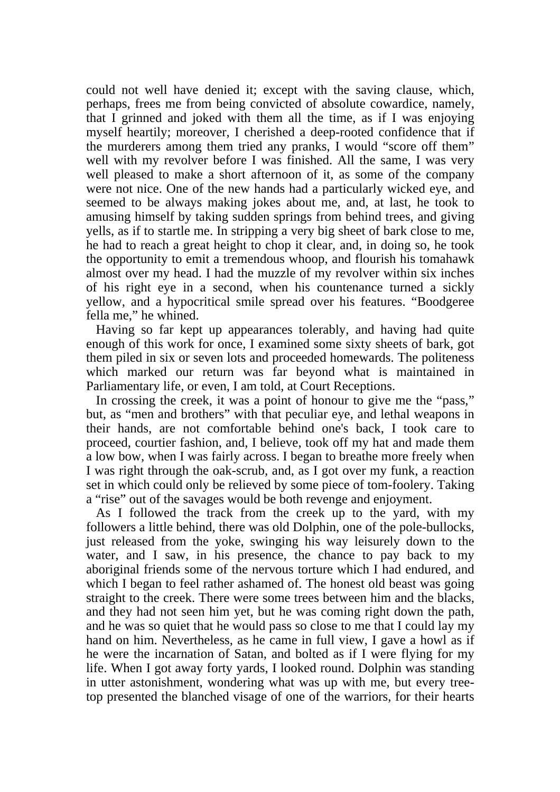could not well have denied it; except with the saving clause, which, perhaps, frees me from being convicted of absolute cowardice, namely, that I grinned and joked with them all the time, as if I was enjoying myself heartily; moreover, I cherished a deep-rooted confidence that if the murderers among them tried any pranks, I would "score off them" well with my revolver before I was finished. All the same, I was very well pleased to make a short afternoon of it, as some of the company were not nice. One of the new hands had a particularly wicked eye, and seemed to be always making jokes about me, and, at last, he took to amusing himself by taking sudden springs from behind trees, and giving yells, as if to startle me. In stripping a very big sheet of bark close to me, he had to reach a great height to chop it clear, and, in doing so, he took the opportunity to emit a tremendous whoop, and flourish his tomahawk almost over my head. I had the muzzle of my revolver within six inches of his right eye in a second, when his countenance turned a sickly yellow, and a hypocritical smile spread over his features. "Boodgeree fella me," he whined.

 Having so far kept up appearances tolerably, and having had quite enough of this work for once, I examined some sixty sheets of bark, got them piled in six or seven lots and proceeded homewards. The politeness which marked our return was far beyond what is maintained in Parliamentary life, or even, I am told, at Court Receptions.

 In crossing the creek, it was a point of honour to give me the "pass," but, as "men and brothers" with that peculiar eye, and lethal weapons in their hands, are not comfortable behind one's back, I took care to proceed, courtier fashion, and, I believe, took off my hat and made them a low bow, when I was fairly across. I began to breathe more freely when I was right through the oak-scrub, and, as I got over my funk, a reaction set in which could only be relieved by some piece of tom-foolery. Taking a "rise" out of the savages would be both revenge and enjoyment.

 As I followed the track from the creek up to the yard, with my followers a little behind, there was old Dolphin, one of the pole-bullocks, just released from the yoke, swinging his way leisurely down to the water, and I saw, in his presence, the chance to pay back to my aboriginal friends some of the nervous torture which I had endured, and which I began to feel rather ashamed of. The honest old beast was going straight to the creek. There were some trees between him and the blacks, and they had not seen him yet, but he was coming right down the path, and he was so quiet that he would pass so close to me that I could lay my hand on him. Nevertheless, as he came in full view, I gave a howl as if he were the incarnation of Satan, and bolted as if I were flying for my life. When I got away forty yards, I looked round. Dolphin was standing in utter astonishment, wondering what was up with me, but every treetop presented the blanched visage of one of the warriors, for their hearts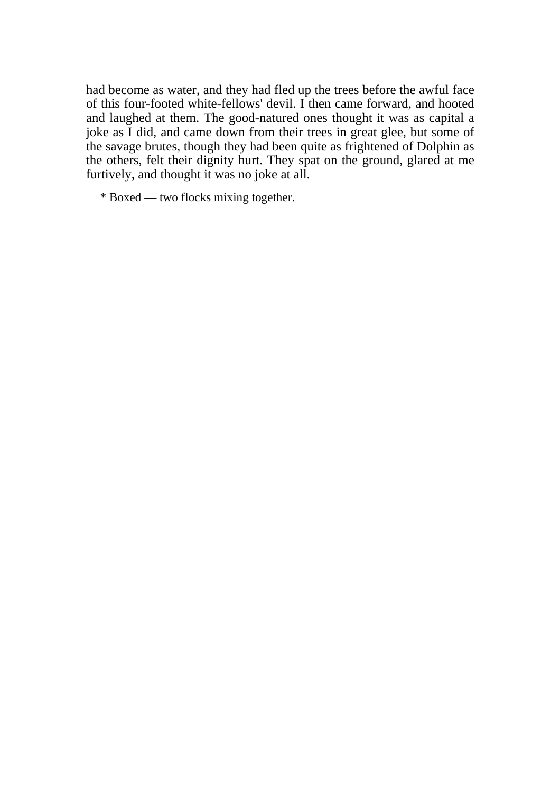had become as water, and they had fled up the trees before the awful face of this four-footed white-fellows' devil. I then came forward, and hooted and laughed at them. The good-natured ones thought it was as capital a joke as I did, and came down from their trees in great glee, but some of the savage brutes, though they had been quite as frightened of Dolphin as the others, felt their dignity hurt. They spat on the ground, glared at me furtively, and thought it was no joke at all.

\* Boxed — two flocks mixing together.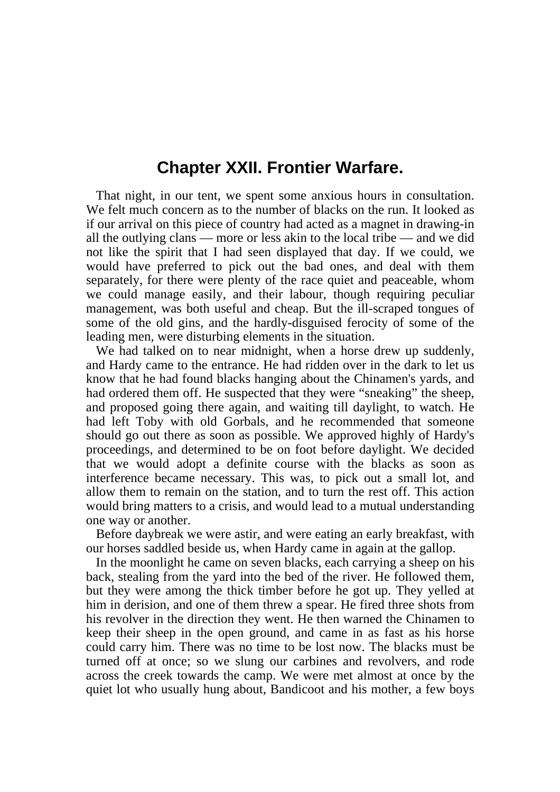## **Chapter XXII. Frontier Warfare.**

 That night, in our tent, we spent some anxious hours in consultation. We felt much concern as to the number of blacks on the run. It looked as if our arrival on this piece of country had acted as a magnet in drawing-in all the outlying clans — more or less akin to the local tribe — and we did not like the spirit that I had seen displayed that day. If we could, we would have preferred to pick out the bad ones, and deal with them separately, for there were plenty of the race quiet and peaceable, whom we could manage easily, and their labour, though requiring peculiar management, was both useful and cheap. But the ill-scraped tongues of some of the old gins, and the hardly-disguised ferocity of some of the leading men, were disturbing elements in the situation.

 We had talked on to near midnight, when a horse drew up suddenly, and Hardy came to the entrance. He had ridden over in the dark to let us know that he had found blacks hanging about the Chinamen's yards, and had ordered them off. He suspected that they were "sneaking" the sheep, and proposed going there again, and waiting till daylight, to watch. He had left Toby with old Gorbals, and he recommended that someone should go out there as soon as possible. We approved highly of Hardy's proceedings, and determined to be on foot before daylight. We decided that we would adopt a definite course with the blacks as soon as interference became necessary. This was, to pick out a small lot, and allow them to remain on the station, and to turn the rest off. This action would bring matters to a crisis, and would lead to a mutual understanding one way or another.

 Before daybreak we were astir, and were eating an early breakfast, with our horses saddled beside us, when Hardy came in again at the gallop.

 In the moonlight he came on seven blacks, each carrying a sheep on his back, stealing from the yard into the bed of the river. He followed them, but they were among the thick timber before he got up. They yelled at him in derision, and one of them threw a spear. He fired three shots from his revolver in the direction they went. He then warned the Chinamen to keep their sheep in the open ground, and came in as fast as his horse could carry him. There was no time to be lost now. The blacks must be turned off at once; so we slung our carbines and revolvers, and rode across the creek towards the camp. We were met almost at once by the quiet lot who usually hung about, Bandicoot and his mother, a few boys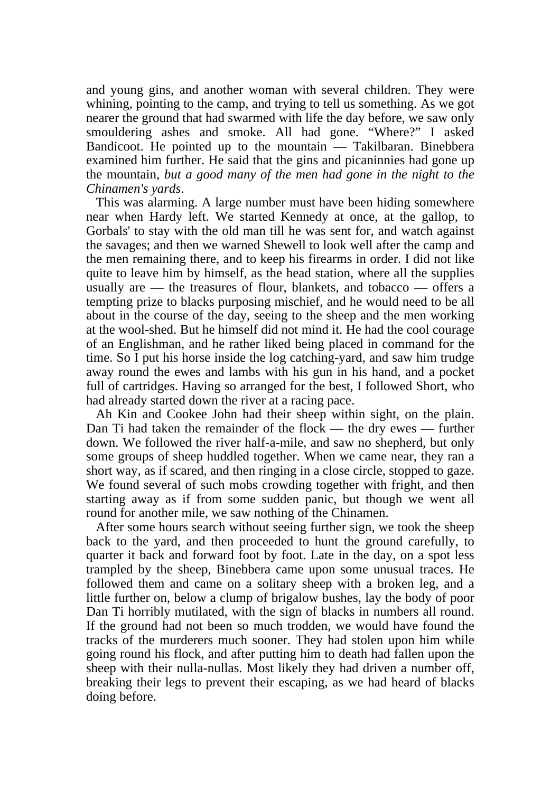and young gins, and another woman with several children. They were whining, pointing to the camp, and trying to tell us something. As we got nearer the ground that had swarmed with life the day before, we saw only smouldering ashes and smoke. All had gone. "Where?" I asked Bandicoot. He pointed up to the mountain — Takilbaran. Binebbera examined him further. He said that the gins and picaninnies had gone up the mountain, *but a good many of the men had gone in the night to the Chinamen's yards*.

 This was alarming. A large number must have been hiding somewhere near when Hardy left. We started Kennedy at once, at the gallop, to Gorbals' to stay with the old man till he was sent for, and watch against the savages; and then we warned Shewell to look well after the camp and the men remaining there, and to keep his firearms in order. I did not like quite to leave him by himself, as the head station, where all the supplies usually are — the treasures of flour, blankets, and tobacco — offers a tempting prize to blacks purposing mischief, and he would need to be all about in the course of the day, seeing to the sheep and the men working at the wool-shed. But he himself did not mind it. He had the cool courage of an Englishman, and he rather liked being placed in command for the time. So I put his horse inside the log catching-yard, and saw him trudge away round the ewes and lambs with his gun in his hand, and a pocket full of cartridges. Having so arranged for the best, I followed Short, who had already started down the river at a racing pace.

 Ah Kin and Cookee John had their sheep within sight, on the plain. Dan Ti had taken the remainder of the flock — the dry ewes — further down. We followed the river half-a-mile, and saw no shepherd, but only some groups of sheep huddled together. When we came near, they ran a short way, as if scared, and then ringing in a close circle, stopped to gaze. We found several of such mobs crowding together with fright, and then starting away as if from some sudden panic, but though we went all round for another mile, we saw nothing of the Chinamen.

 After some hours search without seeing further sign, we took the sheep back to the yard, and then proceeded to hunt the ground carefully, to quarter it back and forward foot by foot. Late in the day, on a spot less trampled by the sheep, Binebbera came upon some unusual traces. He followed them and came on a solitary sheep with a broken leg, and a little further on, below a clump of brigalow bushes, lay the body of poor Dan Ti horribly mutilated, with the sign of blacks in numbers all round. If the ground had not been so much trodden, we would have found the tracks of the murderers much sooner. They had stolen upon him while going round his flock, and after putting him to death had fallen upon the sheep with their nulla-nullas. Most likely they had driven a number off, breaking their legs to prevent their escaping, as we had heard of blacks doing before.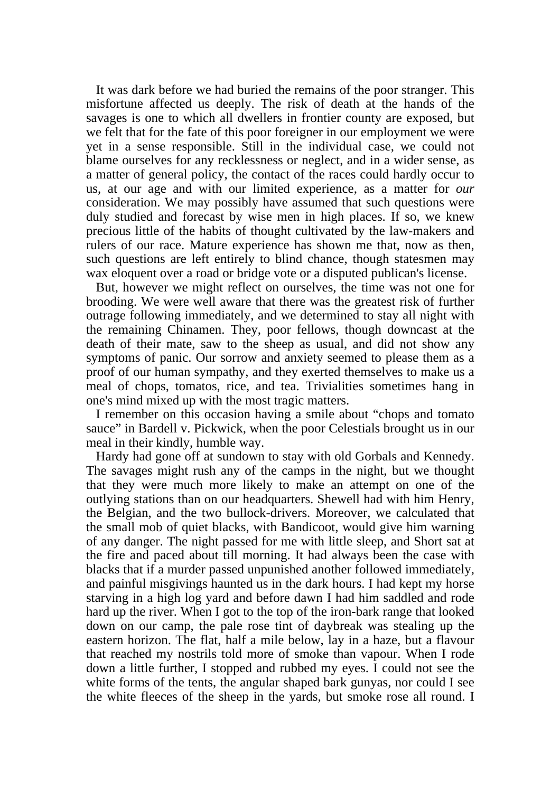It was dark before we had buried the remains of the poor stranger. This misfortune affected us deeply. The risk of death at the hands of the savages is one to which all dwellers in frontier county are exposed, but we felt that for the fate of this poor foreigner in our employment we were yet in a sense responsible. Still in the individual case, we could not blame ourselves for any recklessness or neglect, and in a wider sense, as a matter of general policy, the contact of the races could hardly occur to us, at our age and with our limited experience, as a matter for *our* consideration. We may possibly have assumed that such questions were duly studied and forecast by wise men in high places. If so, we knew precious little of the habits of thought cultivated by the law-makers and rulers of our race. Mature experience has shown me that, now as then, such questions are left entirely to blind chance, though statesmen may wax eloquent over a road or bridge vote or a disputed publican's license.

 But, however we might reflect on ourselves, the time was not one for brooding. We were well aware that there was the greatest risk of further outrage following immediately, and we determined to stay all night with the remaining Chinamen. They, poor fellows, though downcast at the death of their mate, saw to the sheep as usual, and did not show any symptoms of panic. Our sorrow and anxiety seemed to please them as a proof of our human sympathy, and they exerted themselves to make us a meal of chops, tomatos, rice, and tea. Trivialities sometimes hang in one's mind mixed up with the most tragic matters.

 I remember on this occasion having a smile about "chops and tomato sauce" in Bardell v. Pickwick, when the poor Celestials brought us in our meal in their kindly, humble way.

 Hardy had gone off at sundown to stay with old Gorbals and Kennedy. The savages might rush any of the camps in the night, but we thought that they were much more likely to make an attempt on one of the outlying stations than on our headquarters. Shewell had with him Henry, the Belgian, and the two bullock-drivers. Moreover, we calculated that the small mob of quiet blacks, with Bandicoot, would give him warning of any danger. The night passed for me with little sleep, and Short sat at the fire and paced about till morning. It had always been the case with blacks that if a murder passed unpunished another followed immediately, and painful misgivings haunted us in the dark hours. I had kept my horse starving in a high log yard and before dawn I had him saddled and rode hard up the river. When I got to the top of the iron-bark range that looked down on our camp, the pale rose tint of daybreak was stealing up the eastern horizon. The flat, half a mile below, lay in a haze, but a flavour that reached my nostrils told more of smoke than vapour. When I rode down a little further, I stopped and rubbed my eyes. I could not see the white forms of the tents, the angular shaped bark gunyas, nor could I see the white fleeces of the sheep in the yards, but smoke rose all round. I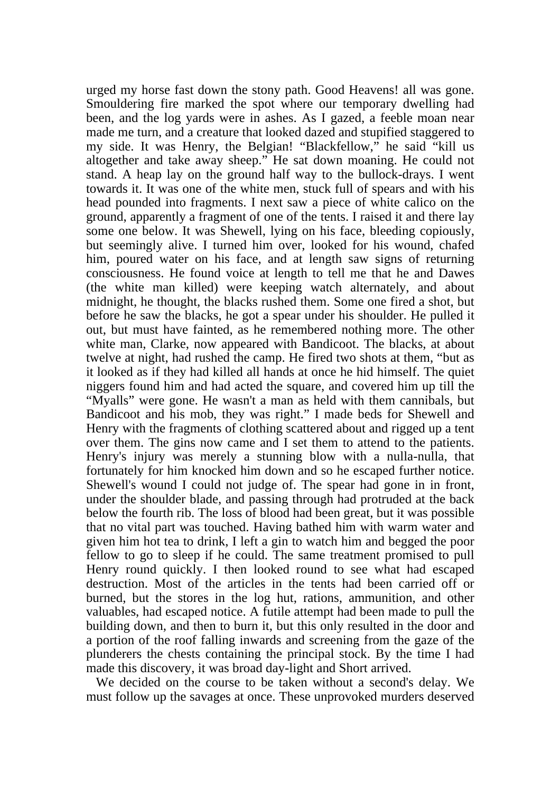urged my horse fast down the stony path. Good Heavens! all was gone. Smouldering fire marked the spot where our temporary dwelling had been, and the log yards were in ashes. As I gazed, a feeble moan near made me turn, and a creature that looked dazed and stupified staggered to my side. It was Henry, the Belgian! "Blackfellow," he said "kill us altogether and take away sheep." He sat down moaning. He could not stand. A heap lay on the ground half way to the bullock-drays. I went towards it. It was one of the white men, stuck full of spears and with his head pounded into fragments. I next saw a piece of white calico on the ground, apparently a fragment of one of the tents. I raised it and there lay some one below. It was Shewell, lying on his face, bleeding copiously, but seemingly alive. I turned him over, looked for his wound, chafed him, poured water on his face, and at length saw signs of returning consciousness. He found voice at length to tell me that he and Dawes (the white man killed) were keeping watch alternately, and about midnight, he thought, the blacks rushed them. Some one fired a shot, but before he saw the blacks, he got a spear under his shoulder. He pulled it out, but must have fainted, as he remembered nothing more. The other white man, Clarke, now appeared with Bandicoot. The blacks, at about twelve at night, had rushed the camp. He fired two shots at them, "but as it looked as if they had killed all hands at once he hid himself. The quiet niggers found him and had acted the square, and covered him up till the "Myalls" were gone. He wasn't a man as held with them cannibals, but Bandicoot and his mob, they was right." I made beds for Shewell and Henry with the fragments of clothing scattered about and rigged up a tent over them. The gins now came and I set them to attend to the patients. Henry's injury was merely a stunning blow with a nulla-nulla, that fortunately for him knocked him down and so he escaped further notice. Shewell's wound I could not judge of. The spear had gone in in front, under the shoulder blade, and passing through had protruded at the back below the fourth rib. The loss of blood had been great, but it was possible that no vital part was touched. Having bathed him with warm water and given him hot tea to drink, I left a gin to watch him and begged the poor fellow to go to sleep if he could. The same treatment promised to pull Henry round quickly. I then looked round to see what had escaped destruction. Most of the articles in the tents had been carried off or burned, but the stores in the log hut, rations, ammunition, and other valuables, had escaped notice. A futile attempt had been made to pull the building down, and then to burn it, but this only resulted in the door and a portion of the roof falling inwards and screening from the gaze of the plunderers the chests containing the principal stock. By the time I had made this discovery, it was broad day-light and Short arrived.

 We decided on the course to be taken without a second's delay. We must follow up the savages at once. These unprovoked murders deserved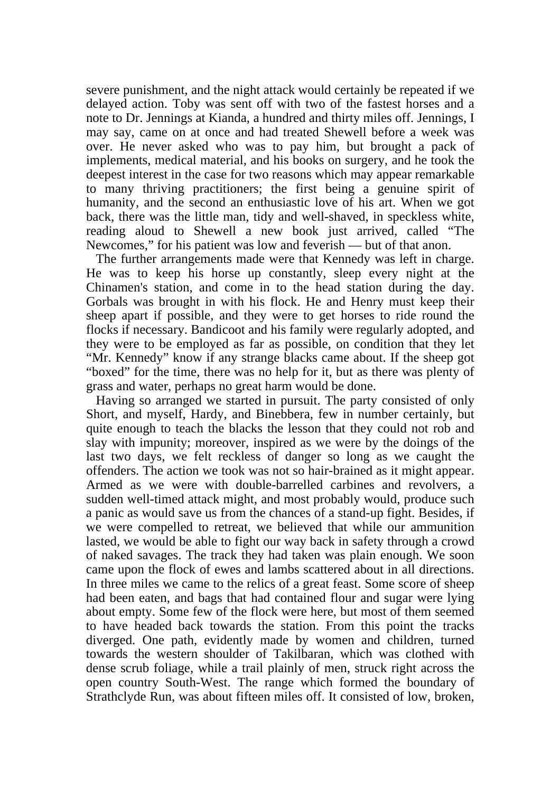severe punishment, and the night attack would certainly be repeated if we delayed action. Toby was sent off with two of the fastest horses and a note to Dr. Jennings at Kianda, a hundred and thirty miles off. Jennings, I may say, came on at once and had treated Shewell before a week was over. He never asked who was to pay him, but brought a pack of implements, medical material, and his books on surgery, and he took the deepest interest in the case for two reasons which may appear remarkable to many thriving practitioners; the first being a genuine spirit of humanity, and the second an enthusiastic love of his art. When we got back, there was the little man, tidy and well-shaved, in speckless white, reading aloud to Shewell a new book just arrived, called "The Newcomes," for his patient was low and feverish — but of that anon.

 The further arrangements made were that Kennedy was left in charge. He was to keep his horse up constantly, sleep every night at the Chinamen's station, and come in to the head station during the day. Gorbals was brought in with his flock. He and Henry must keep their sheep apart if possible, and they were to get horses to ride round the flocks if necessary. Bandicoot and his family were regularly adopted, and they were to be employed as far as possible, on condition that they let "Mr. Kennedy" know if any strange blacks came about. If the sheep got "boxed" for the time, there was no help for it, but as there was plenty of grass and water, perhaps no great harm would be done.

 Having so arranged we started in pursuit. The party consisted of only Short, and myself, Hardy, and Binebbera, few in number certainly, but quite enough to teach the blacks the lesson that they could not rob and slay with impunity; moreover, inspired as we were by the doings of the last two days, we felt reckless of danger so long as we caught the offenders. The action we took was not so hair-brained as it might appear. Armed as we were with double-barrelled carbines and revolvers, a sudden well-timed attack might, and most probably would, produce such a panic as would save us from the chances of a stand-up fight. Besides, if we were compelled to retreat, we believed that while our ammunition lasted, we would be able to fight our way back in safety through a crowd of naked savages. The track they had taken was plain enough. We soon came upon the flock of ewes and lambs scattered about in all directions. In three miles we came to the relics of a great feast. Some score of sheep had been eaten, and bags that had contained flour and sugar were lying about empty. Some few of the flock were here, but most of them seemed to have headed back towards the station. From this point the tracks diverged. One path, evidently made by women and children, turned towards the western shoulder of Takilbaran, which was clothed with dense scrub foliage, while a trail plainly of men, struck right across the open country South-West. The range which formed the boundary of Strathclyde Run, was about fifteen miles off. It consisted of low, broken,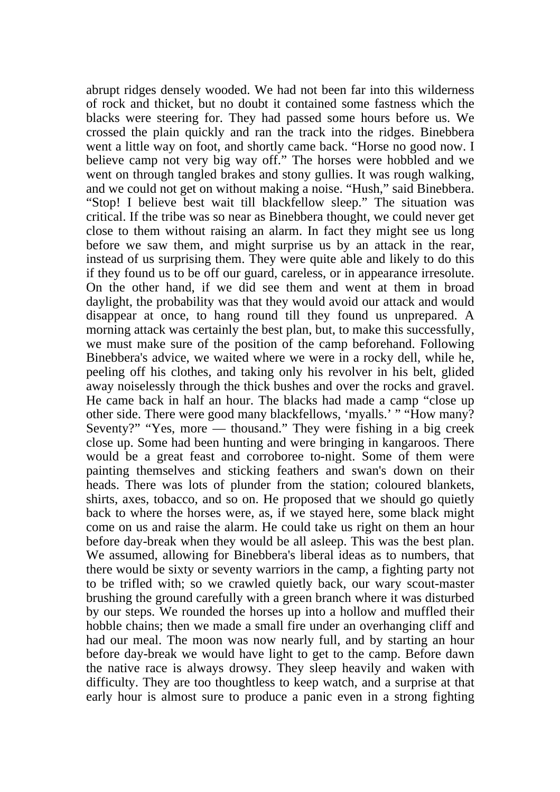abrupt ridges densely wooded. We had not been far into this wilderness of rock and thicket, but no doubt it contained some fastness which the blacks were steering for. They had passed some hours before us. We crossed the plain quickly and ran the track into the ridges. Binebbera went a little way on foot, and shortly came back. "Horse no good now. I believe camp not very big way off." The horses were hobbled and we went on through tangled brakes and stony gullies. It was rough walking, and we could not get on without making a noise. "Hush," said Binebbera. "Stop! I believe best wait till blackfellow sleep." The situation was critical. If the tribe was so near as Binebbera thought, we could never get close to them without raising an alarm. In fact they might see us long before we saw them, and might surprise us by an attack in the rear, instead of us surprising them. They were quite able and likely to do this if they found us to be off our guard, careless, or in appearance irresolute. On the other hand, if we did see them and went at them in broad daylight, the probability was that they would avoid our attack and would disappear at once, to hang round till they found us unprepared. A morning attack was certainly the best plan, but, to make this successfully, we must make sure of the position of the camp beforehand. Following Binebbera's advice, we waited where we were in a rocky dell, while he, peeling off his clothes, and taking only his revolver in his belt, glided away noiselessly through the thick bushes and over the rocks and gravel. He came back in half an hour. The blacks had made a camp "close up other side. There were good many blackfellows, 'myalls.' " "How many? Seventy?" "Yes, more — thousand." They were fishing in a big creek close up. Some had been hunting and were bringing in kangaroos. There would be a great feast and corroboree to-night. Some of them were painting themselves and sticking feathers and swan's down on their heads. There was lots of plunder from the station; coloured blankets, shirts, axes, tobacco, and so on. He proposed that we should go quietly back to where the horses were, as, if we stayed here, some black might come on us and raise the alarm. He could take us right on them an hour before day-break when they would be all asleep. This was the best plan. We assumed, allowing for Binebbera's liberal ideas as to numbers, that there would be sixty or seventy warriors in the camp, a fighting party not to be trifled with; so we crawled quietly back, our wary scout-master brushing the ground carefully with a green branch where it was disturbed by our steps. We rounded the horses up into a hollow and muffled their hobble chains; then we made a small fire under an overhanging cliff and had our meal. The moon was now nearly full, and by starting an hour before day-break we would have light to get to the camp. Before dawn the native race is always drowsy. They sleep heavily and waken with difficulty. They are too thoughtless to keep watch, and a surprise at that early hour is almost sure to produce a panic even in a strong fighting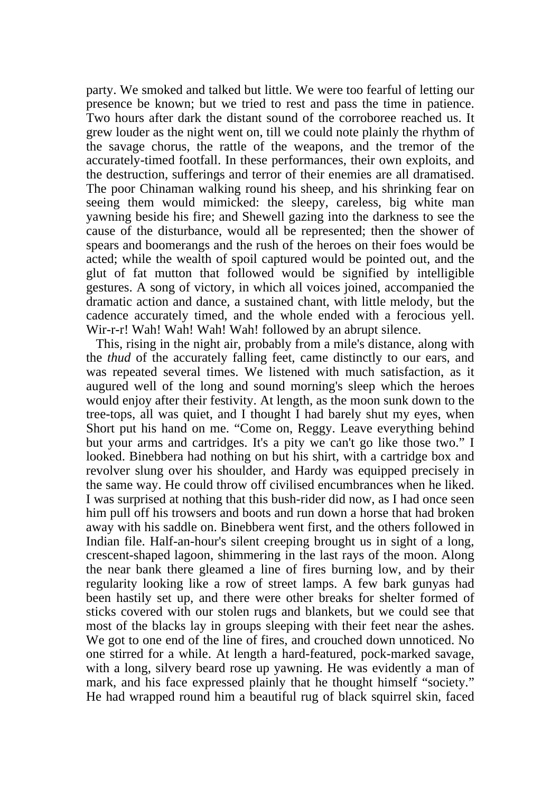party. We smoked and talked but little. We were too fearful of letting our presence be known; but we tried to rest and pass the time in patience. Two hours after dark the distant sound of the corroboree reached us. It grew louder as the night went on, till we could note plainly the rhythm of the savage chorus, the rattle of the weapons, and the tremor of the accurately-timed footfall. In these performances, their own exploits, and the destruction, sufferings and terror of their enemies are all dramatised. The poor Chinaman walking round his sheep, and his shrinking fear on seeing them would mimicked: the sleepy, careless, big white man yawning beside his fire; and Shewell gazing into the darkness to see the cause of the disturbance, would all be represented; then the shower of spears and boomerangs and the rush of the heroes on their foes would be acted; while the wealth of spoil captured would be pointed out, and the glut of fat mutton that followed would be signified by intelligible gestures. A song of victory, in which all voices joined, accompanied the dramatic action and dance, a sustained chant, with little melody, but the cadence accurately timed, and the whole ended with a ferocious yell. Wir-r-r! Wah! Wah! Wah! Wah! followed by an abrupt silence.

 This, rising in the night air, probably from a mile's distance, along with the *thud* of the accurately falling feet, came distinctly to our ears, and was repeated several times. We listened with much satisfaction, as it augured well of the long and sound morning's sleep which the heroes would enjoy after their festivity. At length, as the moon sunk down to the tree-tops, all was quiet, and I thought I had barely shut my eyes, when Short put his hand on me. "Come on, Reggy. Leave everything behind but your arms and cartridges. It's a pity we can't go like those two." I looked. Binebbera had nothing on but his shirt, with a cartridge box and revolver slung over his shoulder, and Hardy was equipped precisely in the same way. He could throw off civilised encumbrances when he liked. I was surprised at nothing that this bush-rider did now, as I had once seen him pull off his trowsers and boots and run down a horse that had broken away with his saddle on. Binebbera went first, and the others followed in Indian file. Half-an-hour's silent creeping brought us in sight of a long, crescent-shaped lagoon, shimmering in the last rays of the moon. Along the near bank there gleamed a line of fires burning low, and by their regularity looking like a row of street lamps. A few bark gunyas had been hastily set up, and there were other breaks for shelter formed of sticks covered with our stolen rugs and blankets, but we could see that most of the blacks lay in groups sleeping with their feet near the ashes. We got to one end of the line of fires, and crouched down unnoticed. No one stirred for a while. At length a hard-featured, pock-marked savage, with a long, silvery beard rose up yawning. He was evidently a man of mark, and his face expressed plainly that he thought himself "society." He had wrapped round him a beautiful rug of black squirrel skin, faced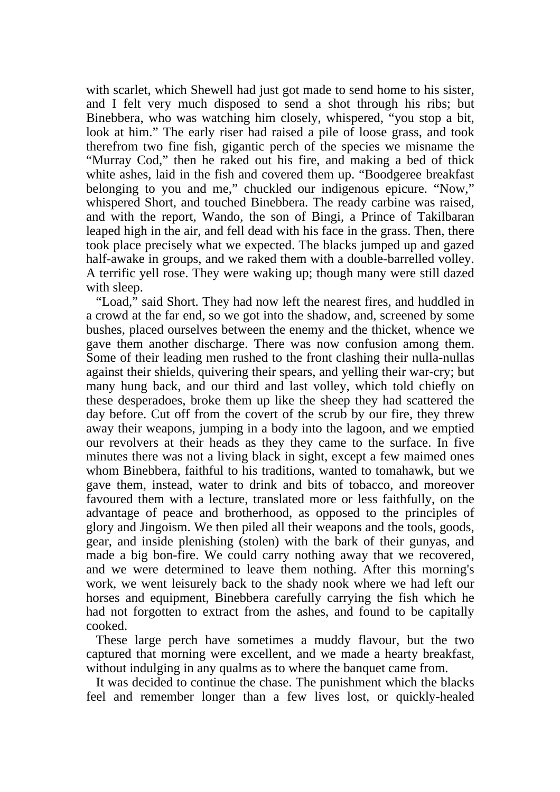with scarlet, which Shewell had just got made to send home to his sister, and I felt very much disposed to send a shot through his ribs; but Binebbera, who was watching him closely, whispered, "you stop a bit, look at him." The early riser had raised a pile of loose grass, and took therefrom two fine fish, gigantic perch of the species we misname the "Murray Cod," then he raked out his fire, and making a bed of thick white ashes, laid in the fish and covered them up. "Boodgeree breakfast belonging to you and me," chuckled our indigenous epicure. "Now," whispered Short, and touched Binebbera. The ready carbine was raised, and with the report, Wando, the son of Bingi, a Prince of Takilbaran leaped high in the air, and fell dead with his face in the grass. Then, there took place precisely what we expected. The blacks jumped up and gazed half-awake in groups, and we raked them with a double-barrelled volley. A terrific yell rose. They were waking up; though many were still dazed with sleep.

 "Load," said Short. They had now left the nearest fires, and huddled in a crowd at the far end, so we got into the shadow, and, screened by some bushes, placed ourselves between the enemy and the thicket, whence we gave them another discharge. There was now confusion among them. Some of their leading men rushed to the front clashing their nulla-nullas against their shields, quivering their spears, and yelling their war-cry; but many hung back, and our third and last volley, which told chiefly on these desperadoes, broke them up like the sheep they had scattered the day before. Cut off from the covert of the scrub by our fire, they threw away their weapons, jumping in a body into the lagoon, and we emptied our revolvers at their heads as they they came to the surface. In five minutes there was not a living black in sight, except a few maimed ones whom Binebbera, faithful to his traditions, wanted to tomahawk, but we gave them, instead, water to drink and bits of tobacco, and moreover favoured them with a lecture, translated more or less faithfully, on the advantage of peace and brotherhood, as opposed to the principles of glory and Jingoism. We then piled all their weapons and the tools, goods, gear, and inside plenishing (stolen) with the bark of their gunyas, and made a big bon-fire. We could carry nothing away that we recovered, and we were determined to leave them nothing. After this morning's work, we went leisurely back to the shady nook where we had left our horses and equipment, Binebbera carefully carrying the fish which he had not forgotten to extract from the ashes, and found to be capitally cooked.

 These large perch have sometimes a muddy flavour, but the two captured that morning were excellent, and we made a hearty breakfast, without indulging in any qualms as to where the banquet came from.

 It was decided to continue the chase. The punishment which the blacks feel and remember longer than a few lives lost, or quickly-healed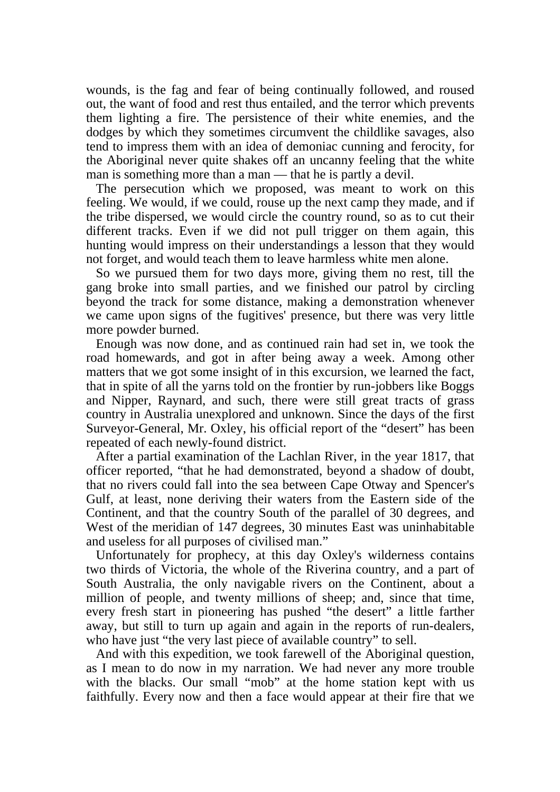wounds, is the fag and fear of being continually followed, and roused out, the want of food and rest thus entailed, and the terror which prevents them lighting a fire. The persistence of their white enemies, and the dodges by which they sometimes circumvent the childlike savages, also tend to impress them with an idea of demoniac cunning and ferocity, for the Aboriginal never quite shakes off an uncanny feeling that the white man is something more than a man — that he is partly a devil.

 The persecution which we proposed, was meant to work on this feeling. We would, if we could, rouse up the next camp they made, and if the tribe dispersed, we would circle the country round, so as to cut their different tracks. Even if we did not pull trigger on them again, this hunting would impress on their understandings a lesson that they would not forget, and would teach them to leave harmless white men alone.

 So we pursued them for two days more, giving them no rest, till the gang broke into small parties, and we finished our patrol by circling beyond the track for some distance, making a demonstration whenever we came upon signs of the fugitives' presence, but there was very little more powder burned.

 Enough was now done, and as continued rain had set in, we took the road homewards, and got in after being away a week. Among other matters that we got some insight of in this excursion, we learned the fact, that in spite of all the yarns told on the frontier by run-jobbers like Boggs and Nipper, Raynard, and such, there were still great tracts of grass country in Australia unexplored and unknown. Since the days of the first Surveyor-General, Mr. Oxley, his official report of the "desert" has been repeated of each newly-found district.

 After a partial examination of the Lachlan River, in the year 1817, that officer reported, "that he had demonstrated, beyond a shadow of doubt, that no rivers could fall into the sea between Cape Otway and Spencer's Gulf, at least, none deriving their waters from the Eastern side of the Continent, and that the country South of the parallel of 30 degrees, and West of the meridian of 147 degrees, 30 minutes East was uninhabitable and useless for all purposes of civilised man."

 Unfortunately for prophecy, at this day Oxley's wilderness contains two thirds of Victoria, the whole of the Riverina country, and a part of South Australia, the only navigable rivers on the Continent, about a million of people, and twenty millions of sheep; and, since that time, every fresh start in pioneering has pushed "the desert" a little farther away, but still to turn up again and again in the reports of run-dealers, who have just "the very last piece of available country" to sell.

 And with this expedition, we took farewell of the Aboriginal question, as I mean to do now in my narration. We had never any more trouble with the blacks. Our small "mob" at the home station kept with us faithfully. Every now and then a face would appear at their fire that we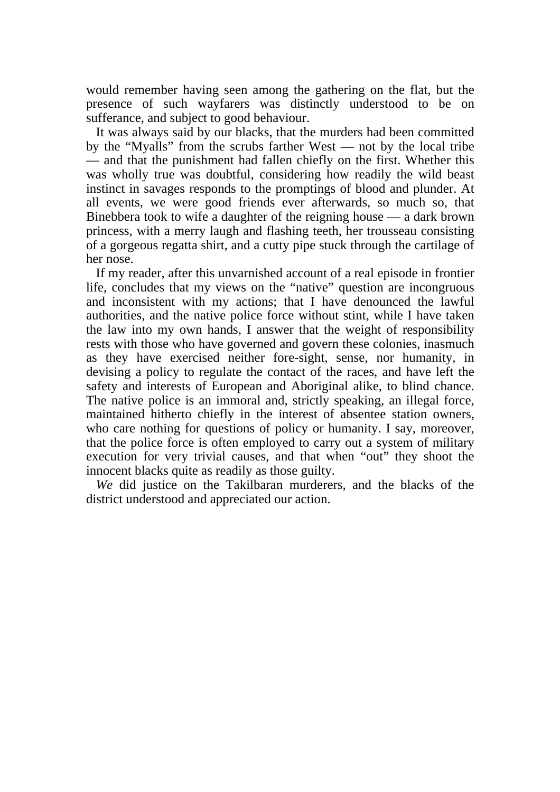would remember having seen among the gathering on the flat, but the presence of such wayfarers was distinctly understood to be on sufferance, and subject to good behaviour.

 It was always said by our blacks, that the murders had been committed by the "Myalls" from the scrubs farther West — not by the local tribe — and that the punishment had fallen chiefly on the first. Whether this was wholly true was doubtful, considering how readily the wild beast instinct in savages responds to the promptings of blood and plunder. At all events, we were good friends ever afterwards, so much so, that Binebbera took to wife a daughter of the reigning house — a dark brown princess, with a merry laugh and flashing teeth, her trousseau consisting of a gorgeous regatta shirt, and a cutty pipe stuck through the cartilage of her nose.

 If my reader, after this unvarnished account of a real episode in frontier life, concludes that my views on the "native" question are incongruous and inconsistent with my actions; that I have denounced the lawful authorities, and the native police force without stint, while I have taken the law into my own hands, I answer that the weight of responsibility rests with those who have governed and govern these colonies, inasmuch as they have exercised neither fore-sight, sense, nor humanity, in devising a policy to regulate the contact of the races, and have left the safety and interests of European and Aboriginal alike, to blind chance. The native police is an immoral and, strictly speaking, an illegal force, maintained hitherto chiefly in the interest of absentee station owners, who care nothing for questions of policy or humanity. I say, moreover, that the police force is often employed to carry out a system of military execution for very trivial causes, and that when "out" they shoot the innocent blacks quite as readily as those guilty.

 *We* did justice on the Takilbaran murderers, and the blacks of the district understood and appreciated our action.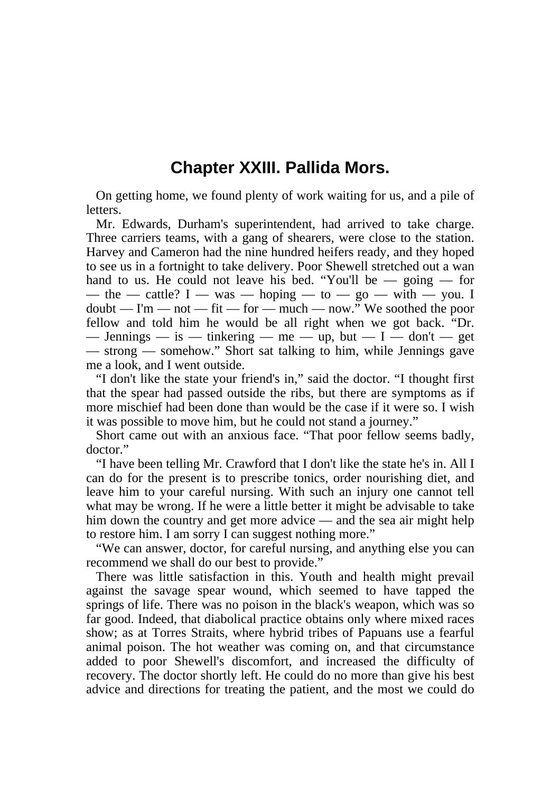## **Chapter XXIII. Pallida Mors.**

 On getting home, we found plenty of work waiting for us, and a pile of letters.

 Mr. Edwards, Durham's superintendent, had arrived to take charge. Three carriers teams, with a gang of shearers, were close to the station. Harvey and Cameron had the nine hundred heifers ready, and they hoped to see us in a fortnight to take delivery. Poor Shewell stretched out a wan hand to us. He could not leave his bed. "You'll be  $-$  going  $-$  for — the — cattle? I — was — hoping — to — go — with — you. I  $doubt - I'm - not - fit - for - much - now.$ " We soothed the poor fellow and told him he would be all right when we got back. "Dr. — Jennings — is — tinkering — me — up, but — I — don't — get — strong — somehow." Short sat talking to him, while Jennings gave me a look, and I went outside.

 "I don't like the state your friend's in," said the doctor. "I thought first that the spear had passed outside the ribs, but there are symptoms as if more mischief had been done than would be the case if it were so. I wish it was possible to move him, but he could not stand a journey."

 Short came out with an anxious face. "That poor fellow seems badly, doctor."

 "I have been telling Mr. Crawford that I don't like the state he's in. All I can do for the present is to prescribe tonics, order nourishing diet, and leave him to your careful nursing. With such an injury one cannot tell what may be wrong. If he were a little better it might be advisable to take him down the country and get more advice — and the sea air might help to restore him. I am sorry I can suggest nothing more."

 "We can answer, doctor, for careful nursing, and anything else you can recommend we shall do our best to provide."

 There was little satisfaction in this. Youth and health might prevail against the savage spear wound, which seemed to have tapped the springs of life. There was no poison in the black's weapon, which was so far good. Indeed, that diabolical practice obtains only where mixed races show; as at Torres Straits, where hybrid tribes of Papuans use a fearful animal poison. The hot weather was coming on, and that circumstance added to poor Shewell's discomfort, and increased the difficulty of recovery. The doctor shortly left. He could do no more than give his best advice and directions for treating the patient, and the most we could do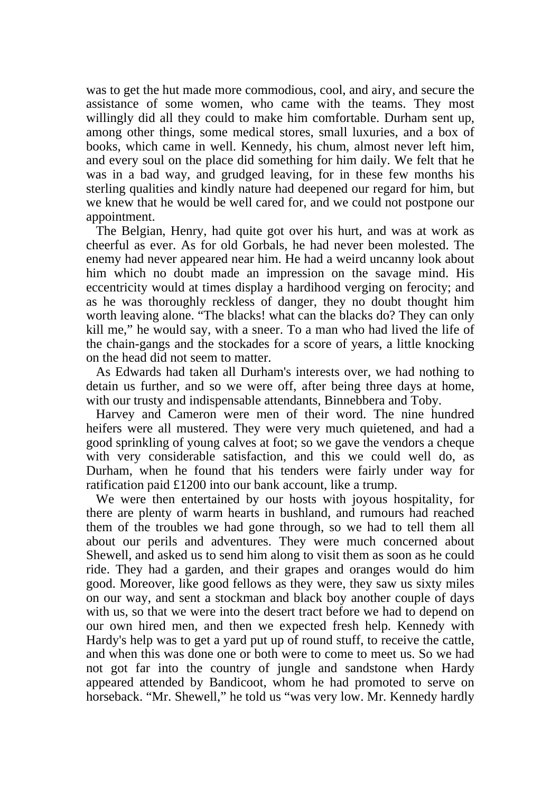was to get the hut made more commodious, cool, and airy, and secure the assistance of some women, who came with the teams. They most willingly did all they could to make him comfortable. Durham sent up, among other things, some medical stores, small luxuries, and a box of books, which came in well. Kennedy, his chum, almost never left him, and every soul on the place did something for him daily. We felt that he was in a bad way, and grudged leaving, for in these few months his sterling qualities and kindly nature had deepened our regard for him, but we knew that he would be well cared for, and we could not postpone our appointment.

 The Belgian, Henry, had quite got over his hurt, and was at work as cheerful as ever. As for old Gorbals, he had never been molested. The enemy had never appeared near him. He had a weird uncanny look about him which no doubt made an impression on the savage mind. His eccentricity would at times display a hardihood verging on ferocity; and as he was thoroughly reckless of danger, they no doubt thought him worth leaving alone. "The blacks! what can the blacks do? They can only kill me," he would say, with a sneer. To a man who had lived the life of the chain-gangs and the stockades for a score of years, a little knocking on the head did not seem to matter.

 As Edwards had taken all Durham's interests over, we had nothing to detain us further, and so we were off, after being three days at home, with our trusty and indispensable attendants, Binnebbera and Toby.

 Harvey and Cameron were men of their word. The nine hundred heifers were all mustered. They were very much quietened, and had a good sprinkling of young calves at foot; so we gave the vendors a cheque with very considerable satisfaction, and this we could well do, as Durham, when he found that his tenders were fairly under way for ratification paid £1200 into our bank account, like a trump.

 We were then entertained by our hosts with joyous hospitality, for there are plenty of warm hearts in bushland, and rumours had reached them of the troubles we had gone through, so we had to tell them all about our perils and adventures. They were much concerned about Shewell, and asked us to send him along to visit them as soon as he could ride. They had a garden, and their grapes and oranges would do him good. Moreover, like good fellows as they were, they saw us sixty miles on our way, and sent a stockman and black boy another couple of days with us, so that we were into the desert tract before we had to depend on our own hired men, and then we expected fresh help. Kennedy with Hardy's help was to get a yard put up of round stuff, to receive the cattle, and when this was done one or both were to come to meet us. So we had not got far into the country of jungle and sandstone when Hardy appeared attended by Bandicoot, whom he had promoted to serve on horseback. "Mr. Shewell," he told us "was very low. Mr. Kennedy hardly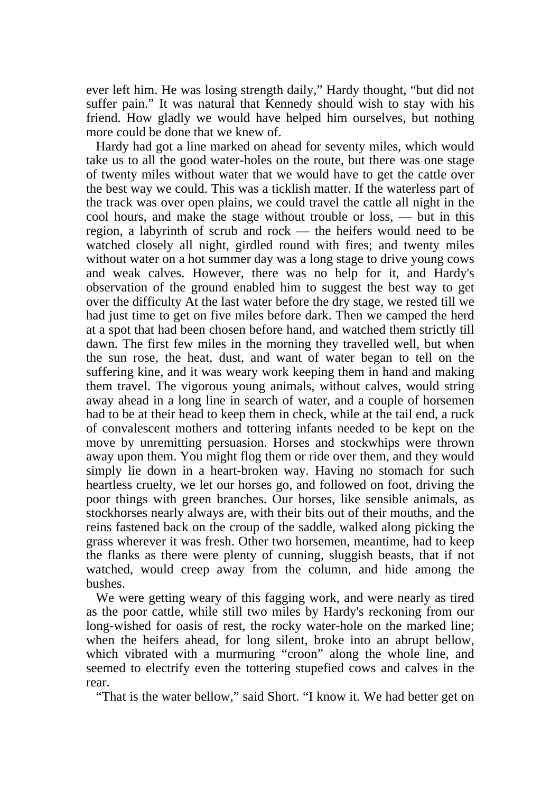ever left him. He was losing strength daily," Hardy thought, "but did not suffer pain." It was natural that Kennedy should wish to stay with his friend. How gladly we would have helped him ourselves, but nothing more could be done that we knew of.

 Hardy had got a line marked on ahead for seventy miles, which would take us to all the good water-holes on the route, but there was one stage of twenty miles without water that we would have to get the cattle over the best way we could. This was a ticklish matter. If the waterless part of the track was over open plains, we could travel the cattle all night in the cool hours, and make the stage without trouble or loss, — but in this region, a labyrinth of scrub and rock — the heifers would need to be watched closely all night, girdled round with fires; and twenty miles without water on a hot summer day was a long stage to drive young cows and weak calves. However, there was no help for it, and Hardy's observation of the ground enabled him to suggest the best way to get over the difficulty At the last water before the dry stage, we rested till we had just time to get on five miles before dark. Then we camped the herd at a spot that had been chosen before hand, and watched them strictly till dawn. The first few miles in the morning they travelled well, but when the sun rose, the heat, dust, and want of water began to tell on the suffering kine, and it was weary work keeping them in hand and making them travel. The vigorous young animals, without calves, would string away ahead in a long line in search of water, and a couple of horsemen had to be at their head to keep them in check, while at the tail end, a ruck of convalescent mothers and tottering infants needed to be kept on the move by unremitting persuasion. Horses and stockwhips were thrown away upon them. You might flog them or ride over them, and they would simply lie down in a heart-broken way. Having no stomach for such heartless cruelty, we let our horses go, and followed on foot, driving the poor things with green branches. Our horses, like sensible animals, as stockhorses nearly always are, with their bits out of their mouths, and the reins fastened back on the croup of the saddle, walked along picking the grass wherever it was fresh. Other two horsemen, meantime, had to keep the flanks as there were plenty of cunning, sluggish beasts, that if not watched, would creep away from the column, and hide among the bushes.

 We were getting weary of this fagging work, and were nearly as tired as the poor cattle, while still two miles by Hardy's reckoning from our long-wished for oasis of rest, the rocky water-hole on the marked line; when the heifers ahead, for long silent, broke into an abrupt bellow, which vibrated with a murmuring "croon" along the whole line, and seemed to electrify even the tottering stupefied cows and calves in the rear.

"That is the water bellow," said Short. "I know it. We had better get on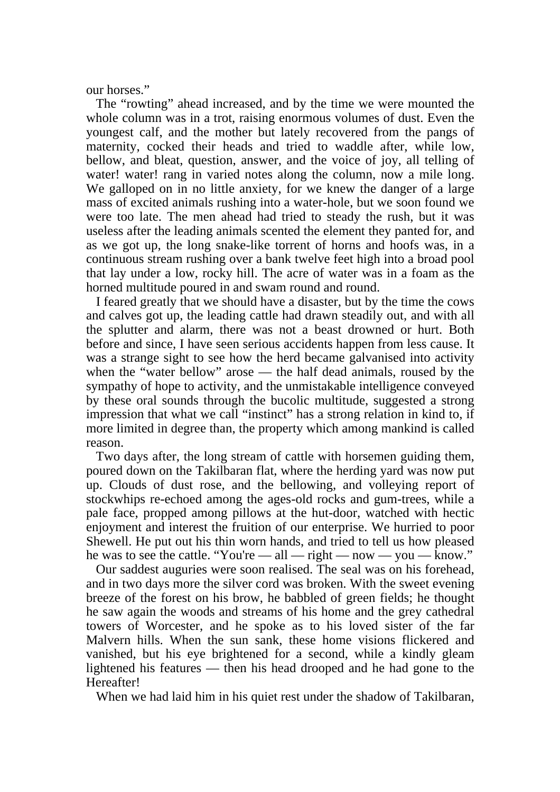our horses."

 The "rowting" ahead increased, and by the time we were mounted the whole column was in a trot, raising enormous volumes of dust. Even the youngest calf, and the mother but lately recovered from the pangs of maternity, cocked their heads and tried to waddle after, while low, bellow, and bleat, question, answer, and the voice of joy, all telling of water! water! rang in varied notes along the column, now a mile long. We galloped on in no little anxiety, for we knew the danger of a large mass of excited animals rushing into a water-hole, but we soon found we were too late. The men ahead had tried to steady the rush, but it was useless after the leading animals scented the element they panted for, and as we got up, the long snake-like torrent of horns and hoofs was, in a continuous stream rushing over a bank twelve feet high into a broad pool that lay under a low, rocky hill. The acre of water was in a foam as the horned multitude poured in and swam round and round.

 I feared greatly that we should have a disaster, but by the time the cows and calves got up, the leading cattle had drawn steadily out, and with all the splutter and alarm, there was not a beast drowned or hurt. Both before and since, I have seen serious accidents happen from less cause. It was a strange sight to see how the herd became galvanised into activity when the "water bellow" arose — the half dead animals, roused by the sympathy of hope to activity, and the unmistakable intelligence conveyed by these oral sounds through the bucolic multitude, suggested a strong impression that what we call "instinct" has a strong relation in kind to, if more limited in degree than, the property which among mankind is called reason.

 Two days after, the long stream of cattle with horsemen guiding them, poured down on the Takilbaran flat, where the herding yard was now put up. Clouds of dust rose, and the bellowing, and volleying report of stockwhips re-echoed among the ages-old rocks and gum-trees, while a pale face, propped among pillows at the hut-door, watched with hectic enjoyment and interest the fruition of our enterprise. We hurried to poor Shewell. He put out his thin worn hands, and tried to tell us how pleased he was to see the cattle. "You're — all — right — now — you — know."

 Our saddest auguries were soon realised. The seal was on his forehead, and in two days more the silver cord was broken. With the sweet evening breeze of the forest on his brow, he babbled of green fields; he thought he saw again the woods and streams of his home and the grey cathedral towers of Worcester, and he spoke as to his loved sister of the far Malvern hills. When the sun sank, these home visions flickered and vanished, but his eye brightened for a second, while a kindly gleam lightened his features — then his head drooped and he had gone to the Hereafter!

When we had laid him in his quiet rest under the shadow of Takilbaran,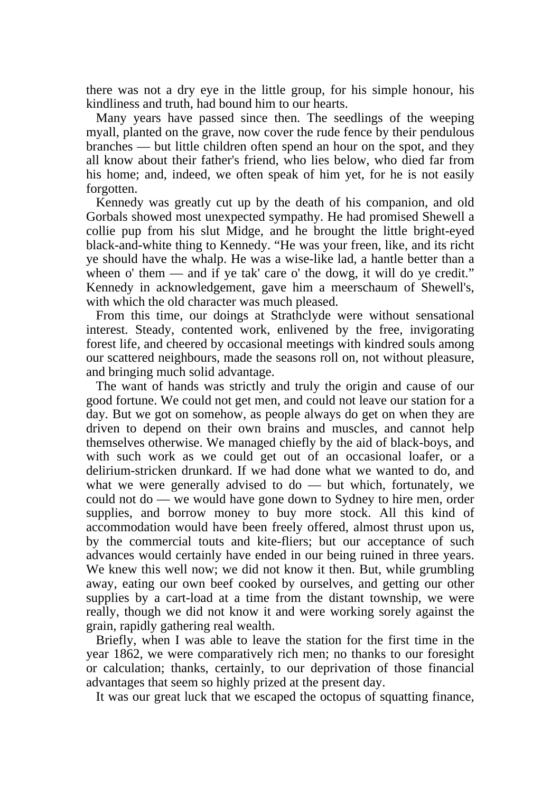there was not a dry eye in the little group, for his simple honour, his kindliness and truth, had bound him to our hearts.

 Many years have passed since then. The seedlings of the weeping myall, planted on the grave, now cover the rude fence by their pendulous branches — but little children often spend an hour on the spot, and they all know about their father's friend, who lies below, who died far from his home; and, indeed, we often speak of him yet, for he is not easily forgotten.

 Kennedy was greatly cut up by the death of his companion, and old Gorbals showed most unexpected sympathy. He had promised Shewell a collie pup from his slut Midge, and he brought the little bright-eyed black-and-white thing to Kennedy. "He was your freen, like, and its richt ye should have the whalp. He was a wise-like lad, a hantle better than a wheen o' them — and if ye tak' care o' the dowg, it will do ye credit." Kennedy in acknowledgement, gave him a meerschaum of Shewell's, with which the old character was much pleased.

 From this time, our doings at Strathclyde were without sensational interest. Steady, contented work, enlivened by the free, invigorating forest life, and cheered by occasional meetings with kindred souls among our scattered neighbours, made the seasons roll on, not without pleasure, and bringing much solid advantage.

 The want of hands was strictly and truly the origin and cause of our good fortune. We could not get men, and could not leave our station for a day. But we got on somehow, as people always do get on when they are driven to depend on their own brains and muscles, and cannot help themselves otherwise. We managed chiefly by the aid of black-boys, and with such work as we could get out of an occasional loafer, or a delirium-stricken drunkard. If we had done what we wanted to do, and what we were generally advised to  $do$  — but which, fortunately, we could not do — we would have gone down to Sydney to hire men, order supplies, and borrow money to buy more stock. All this kind of accommodation would have been freely offered, almost thrust upon us, by the commercial touts and kite-fliers; but our acceptance of such advances would certainly have ended in our being ruined in three years. We knew this well now; we did not know it then. But, while grumbling away, eating our own beef cooked by ourselves, and getting our other supplies by a cart-load at a time from the distant township, we were really, though we did not know it and were working sorely against the grain, rapidly gathering real wealth.

 Briefly, when I was able to leave the station for the first time in the year 1862, we were comparatively rich men; no thanks to our foresight or calculation; thanks, certainly, to our deprivation of those financial advantages that seem so highly prized at the present day.

It was our great luck that we escaped the octopus of squatting finance,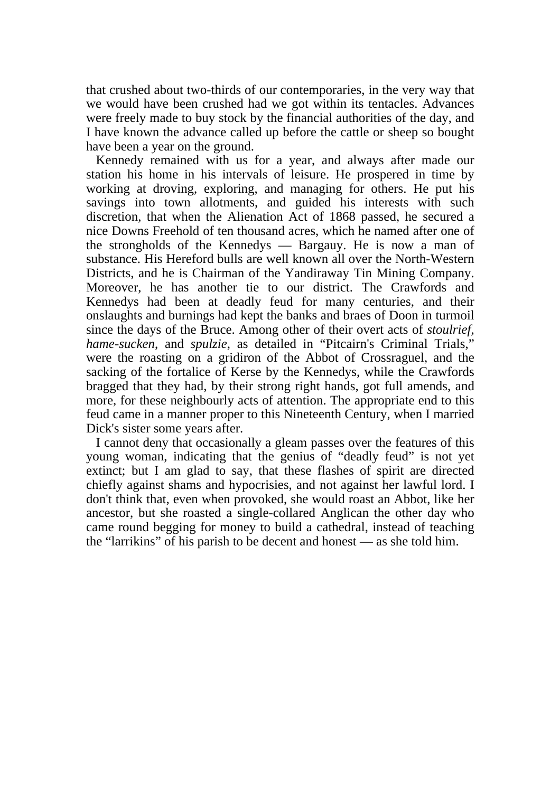that crushed about two-thirds of our contemporaries, in the very way that we would have been crushed had we got within its tentacles. Advances were freely made to buy stock by the financial authorities of the day, and I have known the advance called up before the cattle or sheep so bought have been a year on the ground.

 Kennedy remained with us for a year, and always after made our station his home in his intervals of leisure. He prospered in time by working at droving, exploring, and managing for others. He put his savings into town allotments, and guided his interests with such discretion, that when the Alienation Act of 1868 passed, he secured a nice Downs Freehold of ten thousand acres, which he named after one of the strongholds of the Kennedys — Bargauy. He is now a man of substance. His Hereford bulls are well known all over the North-Western Districts, and he is Chairman of the Yandiraway Tin Mining Company. Moreover, he has another tie to our district. The Crawfords and Kennedys had been at deadly feud for many centuries, and their onslaughts and burnings had kept the banks and braes of Doon in turmoil since the days of the Bruce. Among other of their overt acts of *stoulrief, hame-sucken*, and *spulzie*, as detailed in "Pitcairn's Criminal Trials," were the roasting on a gridiron of the Abbot of Crossraguel, and the sacking of the fortalice of Kerse by the Kennedys, while the Crawfords bragged that they had, by their strong right hands, got full amends, and more, for these neighbourly acts of attention. The appropriate end to this feud came in a manner proper to this Nineteenth Century, when I married Dick's sister some years after.

 I cannot deny that occasionally a gleam passes over the features of this young woman, indicating that the genius of "deadly feud" is not yet extinct; but I am glad to say, that these flashes of spirit are directed chiefly against shams and hypocrisies, and not against her lawful lord. I don't think that, even when provoked, she would roast an Abbot, like her ancestor, but she roasted a single-collared Anglican the other day who came round begging for money to build a cathedral, instead of teaching the "larrikins" of his parish to be decent and honest — as she told him.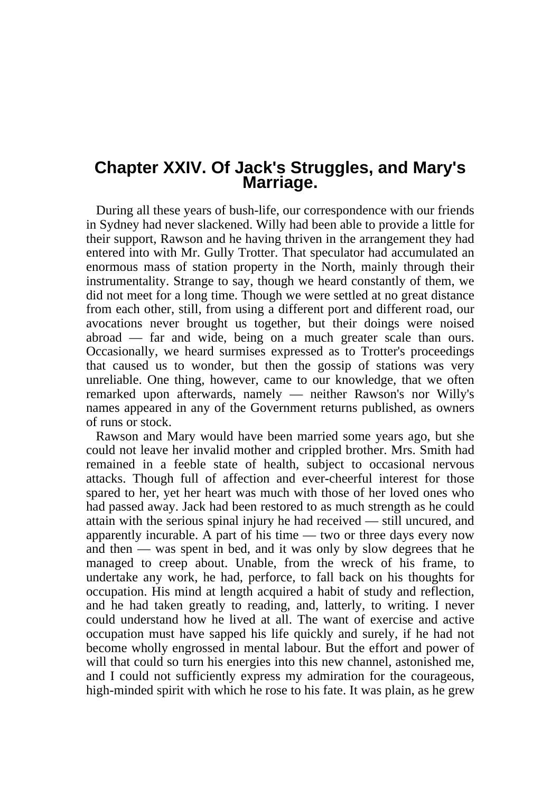## **Chapter XXIV. Of Jack's Struggles, and Mary's Marriage.**

 During all these years of bush-life, our correspondence with our friends in Sydney had never slackened. Willy had been able to provide a little for their support, Rawson and he having thriven in the arrangement they had entered into with Mr. Gully Trotter. That speculator had accumulated an enormous mass of station property in the North, mainly through their instrumentality. Strange to say, though we heard constantly of them, we did not meet for a long time. Though we were settled at no great distance from each other, still, from using a different port and different road, our avocations never brought us together, but their doings were noised abroad — far and wide, being on a much greater scale than ours. Occasionally, we heard surmises expressed as to Trotter's proceedings that caused us to wonder, but then the gossip of stations was very unreliable. One thing, however, came to our knowledge, that we often remarked upon afterwards, namely — neither Rawson's nor Willy's names appeared in any of the Government returns published, as owners of runs or stock.

 Rawson and Mary would have been married some years ago, but she could not leave her invalid mother and crippled brother. Mrs. Smith had remained in a feeble state of health, subject to occasional nervous attacks. Though full of affection and ever-cheerful interest for those spared to her, yet her heart was much with those of her loved ones who had passed away. Jack had been restored to as much strength as he could attain with the serious spinal injury he had received — still uncured, and apparently incurable. A part of his time — two or three days every now and then — was spent in bed, and it was only by slow degrees that he managed to creep about. Unable, from the wreck of his frame, to undertake any work, he had, perforce, to fall back on his thoughts for occupation. His mind at length acquired a habit of study and reflection, and he had taken greatly to reading, and, latterly, to writing. I never could understand how he lived at all. The want of exercise and active occupation must have sapped his life quickly and surely, if he had not become wholly engrossed in mental labour. But the effort and power of will that could so turn his energies into this new channel, astonished me, and I could not sufficiently express my admiration for the courageous, high-minded spirit with which he rose to his fate. It was plain, as he grew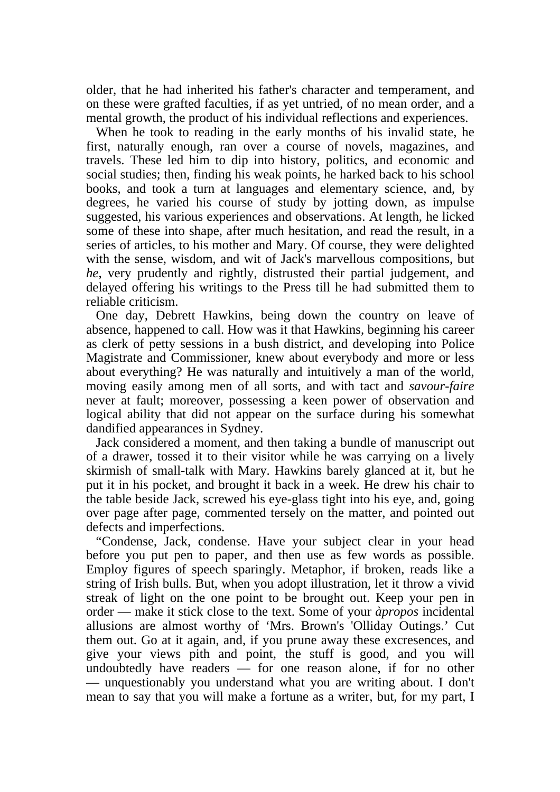older, that he had inherited his father's character and temperament, and on these were grafted faculties, if as yet untried, of no mean order, and a mental growth, the product of his individual reflections and experiences.

 When he took to reading in the early months of his invalid state, he first, naturally enough, ran over a course of novels, magazines, and travels. These led him to dip into history, politics, and economic and social studies; then, finding his weak points, he harked back to his school books, and took a turn at languages and elementary science, and, by degrees, he varied his course of study by jotting down, as impulse suggested, his various experiences and observations. At length, he licked some of these into shape, after much hesitation, and read the result, in a series of articles, to his mother and Mary. Of course, they were delighted with the sense, wisdom, and wit of Jack's marvellous compositions, but *he*, very prudently and rightly, distrusted their partial judgement, and delayed offering his writings to the Press till he had submitted them to reliable criticism.

 One day, Debrett Hawkins, being down the country on leave of absence, happened to call. How was it that Hawkins, beginning his career as clerk of petty sessions in a bush district, and developing into Police Magistrate and Commissioner, knew about everybody and more or less about everything? He was naturally and intuitively a man of the world, moving easily among men of all sorts, and with tact and *savour-faire* never at fault; moreover, possessing a keen power of observation and logical ability that did not appear on the surface during his somewhat dandified appearances in Sydney.

 Jack considered a moment, and then taking a bundle of manuscript out of a drawer, tossed it to their visitor while he was carrying on a lively skirmish of small-talk with Mary. Hawkins barely glanced at it, but he put it in his pocket, and brought it back in a week. He drew his chair to the table beside Jack, screwed his eye-glass tight into his eye, and, going over page after page, commented tersely on the matter, and pointed out defects and imperfections.

 "Condense, Jack, condense. Have your subject clear in your head before you put pen to paper, and then use as few words as possible. Employ figures of speech sparingly. Metaphor, if broken, reads like a string of Irish bulls. But, when you adopt illustration, let it throw a vivid streak of light on the one point to be brought out. Keep your pen in order — make it stick close to the text. Some of your *àpropos* incidental allusions are almost worthy of 'Mrs. Brown's 'Olliday Outings.' Cut them out. Go at it again, and, if you prune away these excresences, and give your views pith and point, the stuff is good, and you will undoubtedly have readers — for one reason alone, if for no other — unquestionably you understand what you are writing about. I don't mean to say that you will make a fortune as a writer, but, for my part, I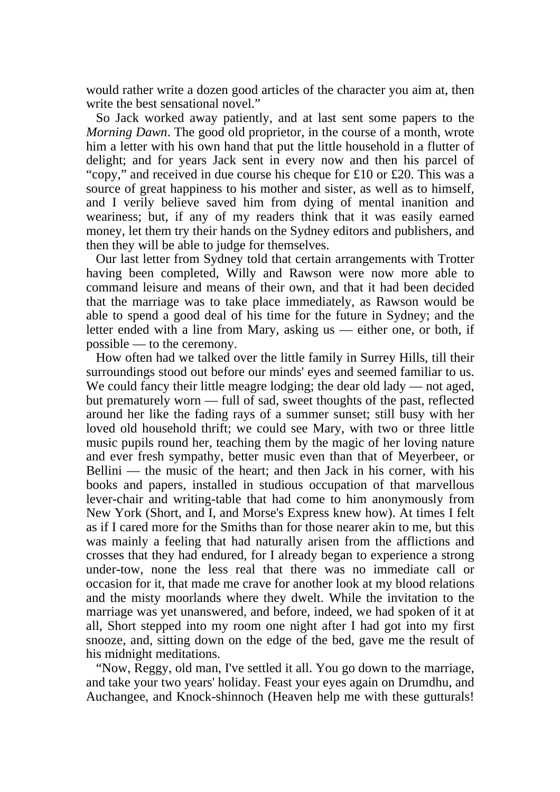would rather write a dozen good articles of the character you aim at, then write the best sensational novel."

 So Jack worked away patiently, and at last sent some papers to the *Morning Dawn*. The good old proprietor, in the course of a month, wrote him a letter with his own hand that put the little household in a flutter of delight; and for years Jack sent in every now and then his parcel of "copy," and received in due course his cheque for £10 or £20. This was a source of great happiness to his mother and sister, as well as to himself, and I verily believe saved him from dying of mental inanition and weariness; but, if any of my readers think that it was easily earned money, let them try their hands on the Sydney editors and publishers, and then they will be able to judge for themselves.

 Our last letter from Sydney told that certain arrangements with Trotter having been completed, Willy and Rawson were now more able to command leisure and means of their own, and that it had been decided that the marriage was to take place immediately, as Rawson would be able to spend a good deal of his time for the future in Sydney; and the letter ended with a line from Mary, asking us — either one, or both, if possible — to the ceremony.

 How often had we talked over the little family in Surrey Hills, till their surroundings stood out before our minds' eyes and seemed familiar to us. We could fancy their little meagre lodging; the dear old lady — not aged, but prematurely worn — full of sad, sweet thoughts of the past, reflected around her like the fading rays of a summer sunset; still busy with her loved old household thrift; we could see Mary, with two or three little music pupils round her, teaching them by the magic of her loving nature and ever fresh sympathy, better music even than that of Meyerbeer, or Bellini — the music of the heart; and then Jack in his corner, with his books and papers, installed in studious occupation of that marvellous lever-chair and writing-table that had come to him anonymously from New York (Short, and I, and Morse's Express knew how). At times I felt as if I cared more for the Smiths than for those nearer akin to me, but this was mainly a feeling that had naturally arisen from the afflictions and crosses that they had endured, for I already began to experience a strong under-tow, none the less real that there was no immediate call or occasion for it, that made me crave for another look at my blood relations and the misty moorlands where they dwelt. While the invitation to the marriage was yet unanswered, and before, indeed, we had spoken of it at all, Short stepped into my room one night after I had got into my first snooze, and, sitting down on the edge of the bed, gave me the result of his midnight meditations.

 "Now, Reggy, old man, I've settled it all. You go down to the marriage, and take your two years' holiday. Feast your eyes again on Drumdhu, and Auchangee, and Knock-shinnoch (Heaven help me with these gutturals!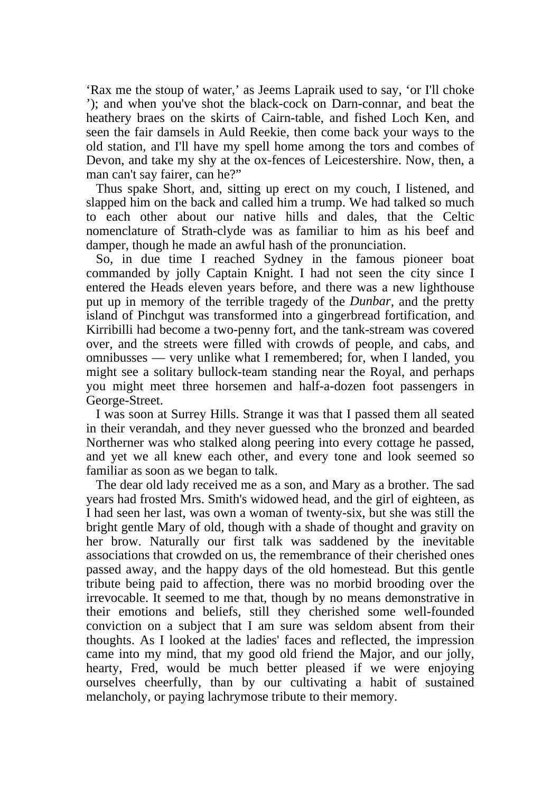'Rax me the stoup of water,' as Jeems Lapraik used to say, 'or I'll choke '); and when you've shot the black-cock on Darn-connar, and beat the heathery braes on the skirts of Cairn-table, and fished Loch Ken, and seen the fair damsels in Auld Reekie, then come back your ways to the old station, and I'll have my spell home among the tors and combes of Devon, and take my shy at the ox-fences of Leicestershire. Now, then, a man can't say fairer, can he?"

 Thus spake Short, and, sitting up erect on my couch, I listened, and slapped him on the back and called him a trump. We had talked so much to each other about our native hills and dales, that the Celtic nomenclature of Strath-clyde was as familiar to him as his beef and damper, though he made an awful hash of the pronunciation.

 So, in due time I reached Sydney in the famous pioneer boat commanded by jolly Captain Knight. I had not seen the city since I entered the Heads eleven years before, and there was a new lighthouse put up in memory of the terrible tragedy of the *Dunbar*, and the pretty island of Pinchgut was transformed into a gingerbread fortification, and Kirribilli had become a two-penny fort, and the tank-stream was covered over, and the streets were filled with crowds of people, and cabs, and omnibusses — very unlike what I remembered; for, when I landed, you might see a solitary bullock-team standing near the Royal, and perhaps you might meet three horsemen and half-a-dozen foot passengers in George-Street.

 I was soon at Surrey Hills. Strange it was that I passed them all seated in their verandah, and they never guessed who the bronzed and bearded Northerner was who stalked along peering into every cottage he passed, and yet we all knew each other, and every tone and look seemed so familiar as soon as we began to talk.

 The dear old lady received me as a son, and Mary as a brother. The sad years had frosted Mrs. Smith's widowed head, and the girl of eighteen, as I had seen her last, was own a woman of twenty-six, but she was still the bright gentle Mary of old, though with a shade of thought and gravity on her brow. Naturally our first talk was saddened by the inevitable associations that crowded on us, the remembrance of their cherished ones passed away, and the happy days of the old homestead. But this gentle tribute being paid to affection, there was no morbid brooding over the irrevocable. It seemed to me that, though by no means demonstrative in their emotions and beliefs, still they cherished some well-founded conviction on a subject that I am sure was seldom absent from their thoughts. As I looked at the ladies' faces and reflected, the impression came into my mind, that my good old friend the Major, and our jolly, hearty, Fred, would be much better pleased if we were enjoying ourselves cheerfully, than by our cultivating a habit of sustained melancholy, or paying lachrymose tribute to their memory.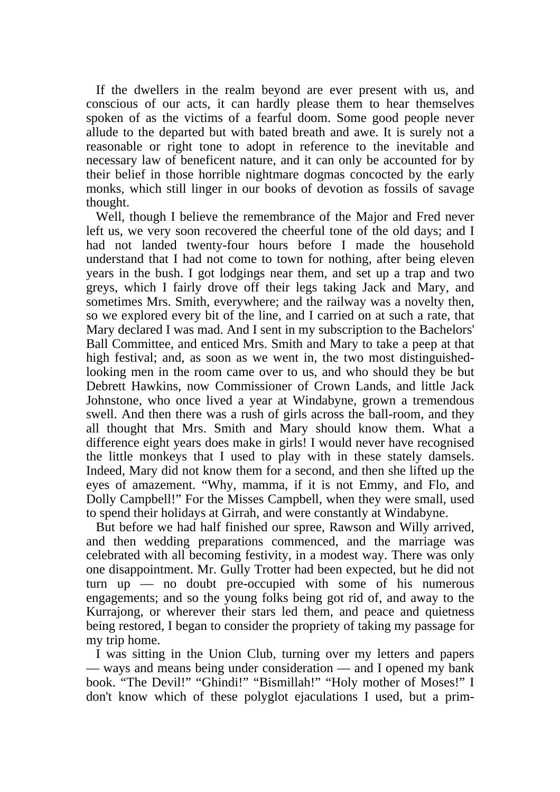If the dwellers in the realm beyond are ever present with us, and conscious of our acts, it can hardly please them to hear themselves spoken of as the victims of a fearful doom. Some good people never allude to the departed but with bated breath and awe. It is surely not a reasonable or right tone to adopt in reference to the inevitable and necessary law of beneficent nature, and it can only be accounted for by their belief in those horrible nightmare dogmas concocted by the early monks, which still linger in our books of devotion as fossils of savage thought.

 Well, though I believe the remembrance of the Major and Fred never left us, we very soon recovered the cheerful tone of the old days; and I had not landed twenty-four hours before I made the household understand that I had not come to town for nothing, after being eleven years in the bush. I got lodgings near them, and set up a trap and two greys, which I fairly drove off their legs taking Jack and Mary, and sometimes Mrs. Smith, everywhere; and the railway was a novelty then, so we explored every bit of the line, and I carried on at such a rate, that Mary declared I was mad. And I sent in my subscription to the Bachelors' Ball Committee, and enticed Mrs. Smith and Mary to take a peep at that high festival; and, as soon as we went in, the two most distinguishedlooking men in the room came over to us, and who should they be but Debrett Hawkins, now Commissioner of Crown Lands, and little Jack Johnstone, who once lived a year at Windabyne, grown a tremendous swell. And then there was a rush of girls across the ball-room, and they all thought that Mrs. Smith and Mary should know them. What a difference eight years does make in girls! I would never have recognised the little monkeys that I used to play with in these stately damsels. Indeed, Mary did not know them for a second, and then she lifted up the eyes of amazement. "Why, mamma, if it is not Emmy, and Flo, and Dolly Campbell!" For the Misses Campbell, when they were small, used to spend their holidays at Girrah, and were constantly at Windabyne.

 But before we had half finished our spree, Rawson and Willy arrived, and then wedding preparations commenced, and the marriage was celebrated with all becoming festivity, in a modest way. There was only one disappointment. Mr. Gully Trotter had been expected, but he did not turn up — no doubt pre-occupied with some of his numerous engagements; and so the young folks being got rid of, and away to the Kurrajong, or wherever their stars led them, and peace and quietness being restored, I began to consider the propriety of taking my passage for my trip home.

 I was sitting in the Union Club, turning over my letters and papers — ways and means being under consideration — and I opened my bank book. "The Devil!" "Ghindi!" "Bismillah!" "Holy mother of Moses!" I don't know which of these polyglot ejaculations I used, but a prim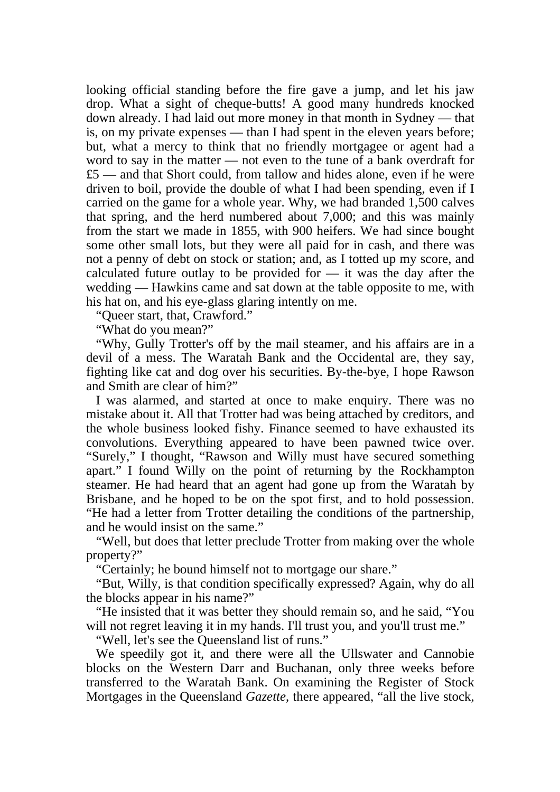looking official standing before the fire gave a jump, and let his jaw drop. What a sight of cheque-butts! A good many hundreds knocked down already. I had laid out more money in that month in Sydney — that is, on my private expenses — than I had spent in the eleven years before; but, what a mercy to think that no friendly mortgagee or agent had a word to say in the matter — not even to the tune of a bank overdraft for £5 — and that Short could, from tallow and hides alone, even if he were driven to boil, provide the double of what I had been spending, even if I carried on the game for a whole year. Why, we had branded 1,500 calves that spring, and the herd numbered about 7,000; and this was mainly from the start we made in 1855, with 900 heifers. We had since bought some other small lots, but they were all paid for in cash, and there was not a penny of debt on stock or station; and, as I totted up my score, and calculated future outlay to be provided for — it was the day after the wedding — Hawkins came and sat down at the table opposite to me, with his hat on, and his eye-glass glaring intently on me.

"Queer start, that, Crawford."

"What do you mean?"

 "Why, Gully Trotter's off by the mail steamer, and his affairs are in a devil of a mess. The Waratah Bank and the Occidental are, they say, fighting like cat and dog over his securities. By-the-bye, I hope Rawson and Smith are clear of him?"

 I was alarmed, and started at once to make enquiry. There was no mistake about it. All that Trotter had was being attached by creditors, and the whole business looked fishy. Finance seemed to have exhausted its convolutions. Everything appeared to have been pawned twice over. "Surely," I thought, "Rawson and Willy must have secured something apart." I found Willy on the point of returning by the Rockhampton steamer. He had heard that an agent had gone up from the Waratah by Brisbane, and he hoped to be on the spot first, and to hold possession. "He had a letter from Trotter detailing the conditions of the partnership, and he would insist on the same."

 "Well, but does that letter preclude Trotter from making over the whole property?"

"Certainly; he bound himself not to mortgage our share."

 "But, Willy, is that condition specifically expressed? Again, why do all the blocks appear in his name?"

 "He insisted that it was better they should remain so, and he said, "You will not regret leaving it in my hands. I'll trust you, and you'll trust me."

"Well, let's see the Queensland list of runs."

 We speedily got it, and there were all the Ullswater and Cannobie blocks on the Western Darr and Buchanan, only three weeks before transferred to the Waratah Bank. On examining the Register of Stock Mortgages in the Queensland *Gazette*, there appeared, "all the live stock,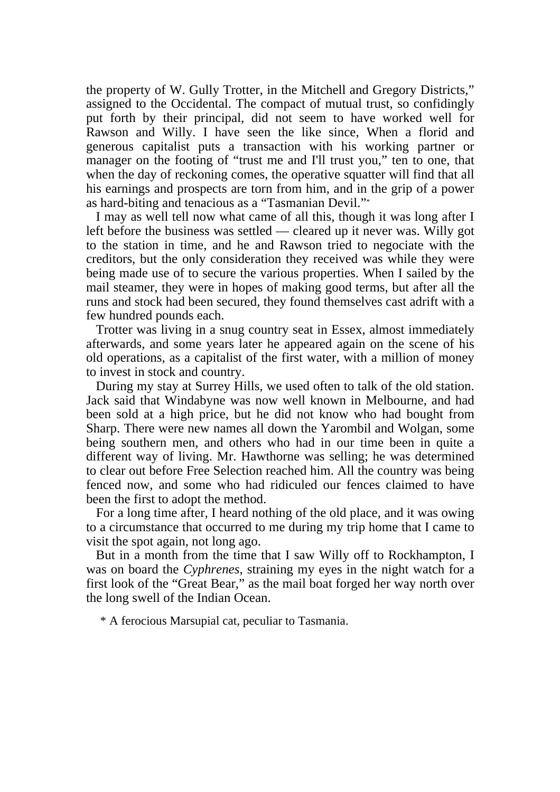the property of W. Gully Trotter, in the Mitchell and Gregory Districts," assigned to the Occidental. The compact of mutual trust, so confidingly put forth by their principal, did not seem to have worked well for Rawson and Willy. I have seen the like since, When a florid and generous capitalist puts a transaction with his working partner or manager on the footing of "trust me and I'll trust you," ten to one, that when the day of reckoning comes, the operative squatter will find that all his earnings and prospects are torn from him, and in the grip of a power as hard-biting and tenacious as a "Tasmanian Devil."\*

 I may as well tell now what came of all this, though it was long after I left before the business was settled — cleared up it never was. Willy got to the station in time, and he and Rawson tried to negociate with the creditors, but the only consideration they received was while they were being made use of to secure the various properties. When I sailed by the mail steamer, they were in hopes of making good terms, but after all the runs and stock had been secured, they found themselves cast adrift with a few hundred pounds each.

 Trotter was living in a snug country seat in Essex, almost immediately afterwards, and some years later he appeared again on the scene of his old operations, as a capitalist of the first water, with a million of money to invest in stock and country.

 During my stay at Surrey Hills, we used often to talk of the old station. Jack said that Windabyne was now well known in Melbourne, and had been sold at a high price, but he did not know who had bought from Sharp. There were new names all down the Yarombil and Wolgan, some being southern men, and others who had in our time been in quite a different way of living. Mr. Hawthorne was selling; he was determined to clear out before Free Selection reached him. All the country was being fenced now, and some who had ridiculed our fences claimed to have been the first to adopt the method.

 For a long time after, I heard nothing of the old place, and it was owing to a circumstance that occurred to me during my trip home that I came to visit the spot again, not long ago.

 But in a month from the time that I saw Willy off to Rockhampton, I was on board the *Cyphrenes*, straining my eyes in the night watch for a first look of the "Great Bear," as the mail boat forged her way north over the long swell of the Indian Ocean.

\* A ferocious Marsupial cat, peculiar to Tasmania.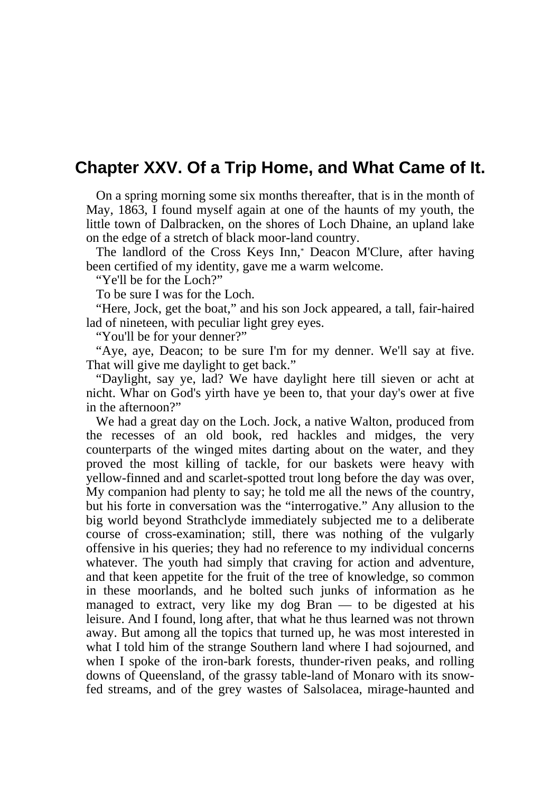## **Chapter XXV. Of a Trip Home, and What Came of It.**

 On a spring morning some six months thereafter, that is in the month of May, 1863, I found myself again at one of the haunts of my youth, the little town of Dalbracken, on the shores of Loch Dhaine, an upland lake on the edge of a stretch of black moor-land country.

 The landlord of the Cross Keys Inn,\* Deacon M'Clure, after having been certified of my identity, gave me a warm welcome.

"Ye'll be for the Loch?"

To be sure I was for the Loch.

 "Here, Jock, get the boat," and his son Jock appeared, a tall, fair-haired lad of nineteen, with peculiar light grey eyes.

"You'll be for your denner?"

 "Aye, aye, Deacon; to be sure I'm for my denner. We'll say at five. That will give me daylight to get back."

 "Daylight, say ye, lad? We have daylight here till sieven or acht at nicht. Whar on God's yirth have ye been to, that your day's ower at five in the afternoon?"

 We had a great day on the Loch. Jock, a native Walton, produced from the recesses of an old book, red hackles and midges, the very counterparts of the winged mites darting about on the water, and they proved the most killing of tackle, for our baskets were heavy with yellow-finned and and scarlet-spotted trout long before the day was over, My companion had plenty to say; he told me all the news of the country, but his forte in conversation was the "interrogative." Any allusion to the big world beyond Strathclyde immediately subjected me to a deliberate course of cross-examination; still, there was nothing of the vulgarly offensive in his queries; they had no reference to my individual concerns whatever. The youth had simply that craving for action and adventure, and that keen appetite for the fruit of the tree of knowledge, so common in these moorlands, and he bolted such junks of information as he managed to extract, very like my dog Bran — to be digested at his leisure. And I found, long after, that what he thus learned was not thrown away. But among all the topics that turned up, he was most interested in what I told him of the strange Southern land where I had sojourned, and when I spoke of the iron-bark forests, thunder-riven peaks, and rolling downs of Queensland, of the grassy table-land of Monaro with its snowfed streams, and of the grey wastes of Salsolacea, mirage-haunted and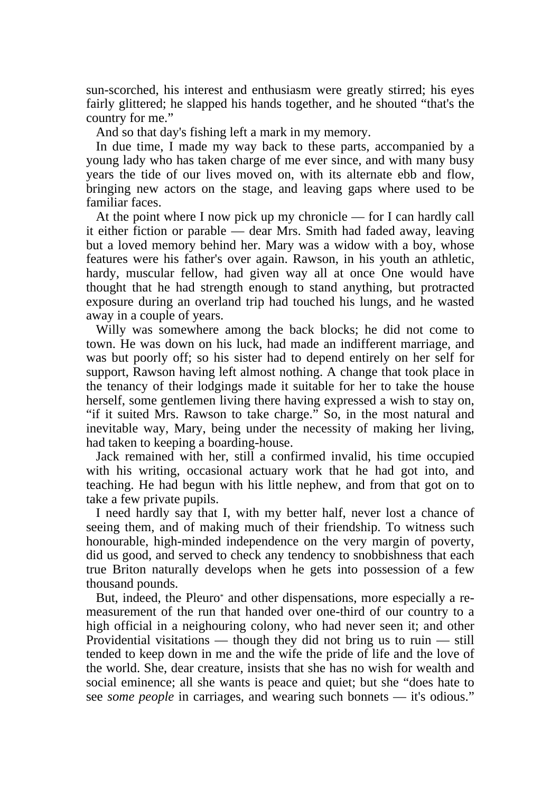sun-scorched, his interest and enthusiasm were greatly stirred; his eyes fairly glittered; he slapped his hands together, and he shouted "that's the country for me."

And so that day's fishing left a mark in my memory.

 In due time, I made my way back to these parts, accompanied by a young lady who has taken charge of me ever since, and with many busy years the tide of our lives moved on, with its alternate ebb and flow, bringing new actors on the stage, and leaving gaps where used to be familiar faces.

 At the point where I now pick up my chronicle — for I can hardly call it either fiction or parable — dear Mrs. Smith had faded away, leaving but a loved memory behind her. Mary was a widow with a boy, whose features were his father's over again. Rawson, in his youth an athletic, hardy, muscular fellow, had given way all at once One would have thought that he had strength enough to stand anything, but protracted exposure during an overland trip had touched his lungs, and he wasted away in a couple of years.

 Willy was somewhere among the back blocks; he did not come to town. He was down on his luck, had made an indifferent marriage, and was but poorly off; so his sister had to depend entirely on her self for support, Rawson having left almost nothing. A change that took place in the tenancy of their lodgings made it suitable for her to take the house herself, some gentlemen living there having expressed a wish to stay on, "if it suited Mrs. Rawson to take charge." So, in the most natural and inevitable way, Mary, being under the necessity of making her living, had taken to keeping a boarding-house.

 Jack remained with her, still a confirmed invalid, his time occupied with his writing, occasional actuary work that he had got into, and teaching. He had begun with his little nephew, and from that got on to take a few private pupils.

 I need hardly say that I, with my better half, never lost a chance of seeing them, and of making much of their friendship. To witness such honourable, high-minded independence on the very margin of poverty, did us good, and served to check any tendency to snobbishness that each true Briton naturally develops when he gets into possession of a few thousand pounds.

 But, indeed, the Pleuro\* and other dispensations, more especially a remeasurement of the run that handed over one-third of our country to a high official in a neighouring colony, who had never seen it; and other Providential visitations — though they did not bring us to ruin — still tended to keep down in me and the wife the pride of life and the love of the world. She, dear creature, insists that she has no wish for wealth and social eminence; all she wants is peace and quiet; but she "does hate to see *some people* in carriages, and wearing such bonnets — it's odious."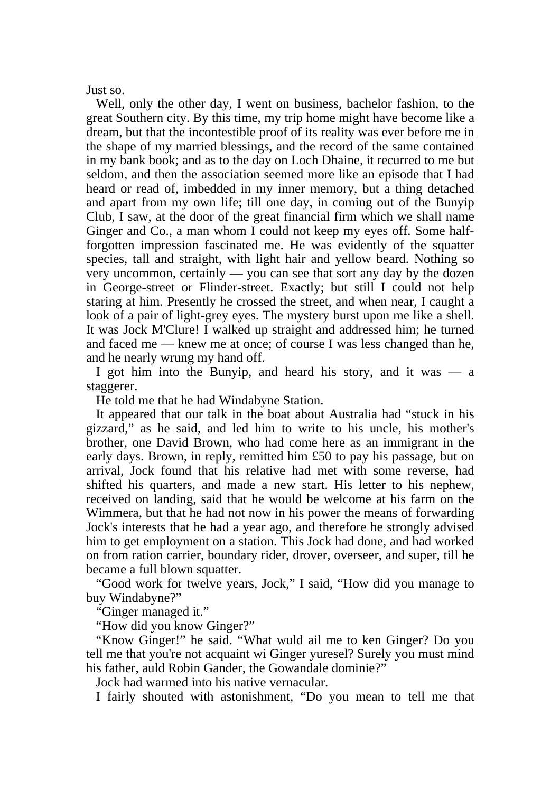Just so.

 Well, only the other day, I went on business, bachelor fashion, to the great Southern city. By this time, my trip home might have become like a dream, but that the incontestible proof of its reality was ever before me in the shape of my married blessings, and the record of the same contained in my bank book; and as to the day on Loch Dhaine, it recurred to me but seldom, and then the association seemed more like an episode that I had heard or read of, imbedded in my inner memory, but a thing detached and apart from my own life; till one day, in coming out of the Bunyip Club, I saw, at the door of the great financial firm which we shall name Ginger and Co., a man whom I could not keep my eyes off. Some halfforgotten impression fascinated me. He was evidently of the squatter species, tall and straight, with light hair and yellow beard. Nothing so very uncommon, certainly — you can see that sort any day by the dozen in George-street or Flinder-street. Exactly; but still I could not help staring at him. Presently he crossed the street, and when near, I caught a look of a pair of light-grey eyes. The mystery burst upon me like a shell. It was Jock M'Clure! I walked up straight and addressed him; he turned and faced me — knew me at once; of course I was less changed than he, and he nearly wrung my hand off.

 I got him into the Bunyip, and heard his story, and it was — a staggerer.

He told me that he had Windabyne Station.

 It appeared that our talk in the boat about Australia had "stuck in his gizzard," as he said, and led him to write to his uncle, his mother's brother, one David Brown, who had come here as an immigrant in the early days. Brown, in reply, remitted him £50 to pay his passage, but on arrival, Jock found that his relative had met with some reverse, had shifted his quarters, and made a new start. His letter to his nephew, received on landing, said that he would be welcome at his farm on the Wimmera, but that he had not now in his power the means of forwarding Jock's interests that he had a year ago, and therefore he strongly advised him to get employment on a station. This Jock had done, and had worked on from ration carrier, boundary rider, drover, overseer, and super, till he became a full blown squatter.

 "Good work for twelve years, Jock," I said, "How did you manage to buy Windabyne?"

"Ginger managed it."

"How did you know Ginger?"

 "Know Ginger!" he said. "What wuld ail me to ken Ginger? Do you tell me that you're not acquaint wi Ginger yuresel? Surely you must mind his father, auld Robin Gander, the Gowandale dominie?"

Jock had warmed into his native vernacular.

I fairly shouted with astonishment, "Do you mean to tell me that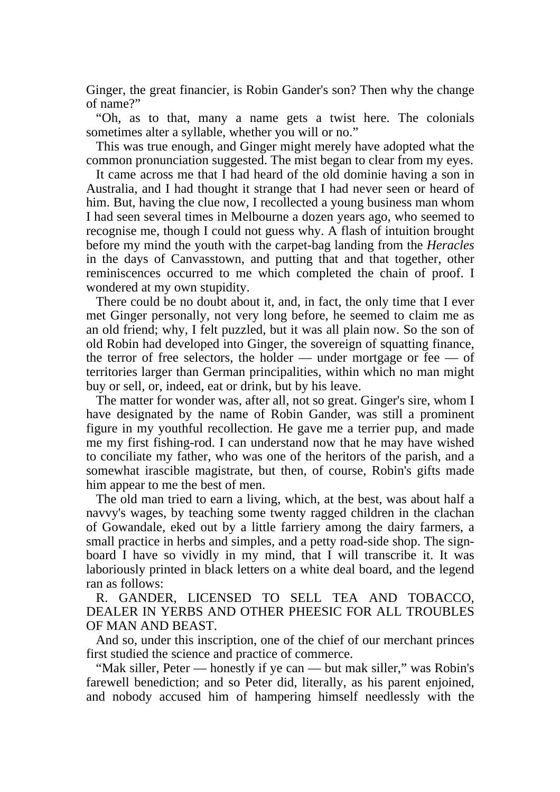Ginger, the great financier, is Robin Gander's son? Then why the change of name?"

 "Oh, as to that, many a name gets a twist here. The colonials sometimes alter a syllable, whether you will or no."

 This was true enough, and Ginger might merely have adopted what the common pronunciation suggested. The mist began to clear from my eyes.

 It came across me that I had heard of the old dominie having a son in Australia, and I had thought it strange that I had never seen or heard of him. But, having the clue now, I recollected a young business man whom I had seen several times in Melbourne a dozen years ago, who seemed to recognise me, though I could not guess why. A flash of intuition brought before my mind the youth with the carpet-bag landing from the *Heracles* in the days of Canvasstown, and putting that and that together, other reminiscences occurred to me which completed the chain of proof. I wondered at my own stupidity.

 There could be no doubt about it, and, in fact, the only time that I ever met Ginger personally, not very long before, he seemed to claim me as an old friend; why, I felt puzzled, but it was all plain now. So the son of old Robin had developed into Ginger, the sovereign of squatting finance, the terror of free selectors, the holder  $-$  under mortgage or fee  $-$  of territories larger than German principalities, within which no man might buy or sell, or, indeed, eat or drink, but by his leave.

 The matter for wonder was, after all, not so great. Ginger's sire, whom I have designated by the name of Robin Gander, was still a prominent figure in my youthful recollection. He gave me a terrier pup, and made me my first fishing-rod. I can understand now that he may have wished to conciliate my father, who was one of the heritors of the parish, and a somewhat irascible magistrate, but then, of course, Robin's gifts made him appear to me the best of men.

 The old man tried to earn a living, which, at the best, was about half a navvy's wages, by teaching some twenty ragged children in the clachan of Gowandale, eked out by a little farriery among the dairy farmers, a small practice in herbs and simples, and a petty road-side shop. The signboard I have so vividly in my mind, that I will transcribe it. It was laboriously printed in black letters on a white deal board, and the legend ran as follows:

 R. GANDER, LICENSED TO SELL TEA AND TOBACCO, DEALER IN YERBS AND OTHER PHEESIC FOR ALL TROUBLES OF MAN AND BEAST.

 And so, under this inscription, one of the chief of our merchant princes first studied the science and practice of commerce.

 "Mak siller, Peter — honestly if ye can — but mak siller," was Robin's farewell benediction; and so Peter did, literally, as his parent enjoined, and nobody accused him of hampering himself needlessly with the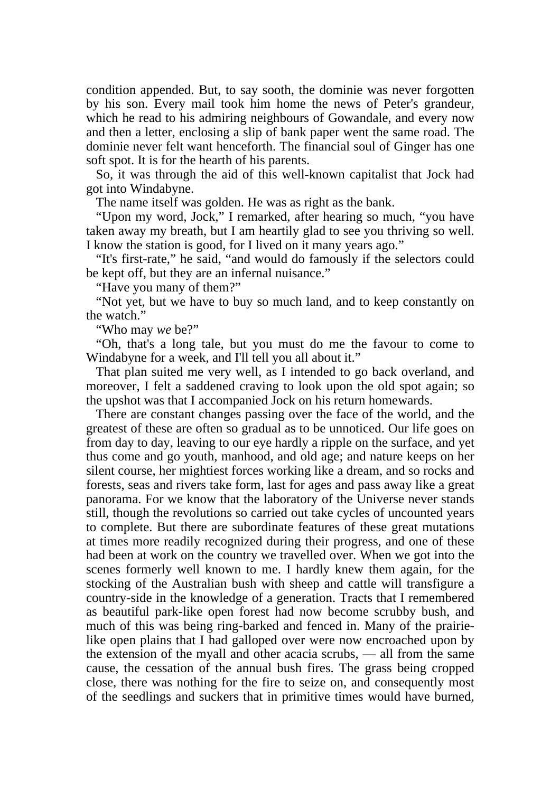condition appended. But, to say sooth, the dominie was never forgotten by his son. Every mail took him home the news of Peter's grandeur, which he read to his admiring neighbours of Gowandale, and every now and then a letter, enclosing a slip of bank paper went the same road. The dominie never felt want henceforth. The financial soul of Ginger has one soft spot. It is for the hearth of his parents.

 So, it was through the aid of this well-known capitalist that Jock had got into Windabyne.

The name itself was golden. He was as right as the bank.

 "Upon my word, Jock," I remarked, after hearing so much, "you have taken away my breath, but I am heartily glad to see you thriving so well. I know the station is good, for I lived on it many years ago."

 "It's first-rate," he said, "and would do famously if the selectors could be kept off, but they are an infernal nuisance."

"Have you many of them?"

 "Not yet, but we have to buy so much land, and to keep constantly on the watch."

"Who may *we* be?"

 "Oh, that's a long tale, but you must do me the favour to come to Windabyne for a week, and I'll tell you all about it."

 That plan suited me very well, as I intended to go back overland, and moreover, I felt a saddened craving to look upon the old spot again; so the upshot was that I accompanied Jock on his return homewards.

 There are constant changes passing over the face of the world, and the greatest of these are often so gradual as to be unnoticed. Our life goes on from day to day, leaving to our eye hardly a ripple on the surface, and yet thus come and go youth, manhood, and old age; and nature keeps on her silent course, her mightiest forces working like a dream, and so rocks and forests, seas and rivers take form, last for ages and pass away like a great panorama. For we know that the laboratory of the Universe never stands still, though the revolutions so carried out take cycles of uncounted years to complete. But there are subordinate features of these great mutations at times more readily recognized during their progress, and one of these had been at work on the country we travelled over. When we got into the scenes formerly well known to me. I hardly knew them again, for the stocking of the Australian bush with sheep and cattle will transfigure a country-side in the knowledge of a generation. Tracts that I remembered as beautiful park-like open forest had now become scrubby bush, and much of this was being ring-barked and fenced in. Many of the prairielike open plains that I had galloped over were now encroached upon by the extension of the myall and other acacia scrubs, — all from the same cause, the cessation of the annual bush fires. The grass being cropped close, there was nothing for the fire to seize on, and consequently most of the seedlings and suckers that in primitive times would have burned,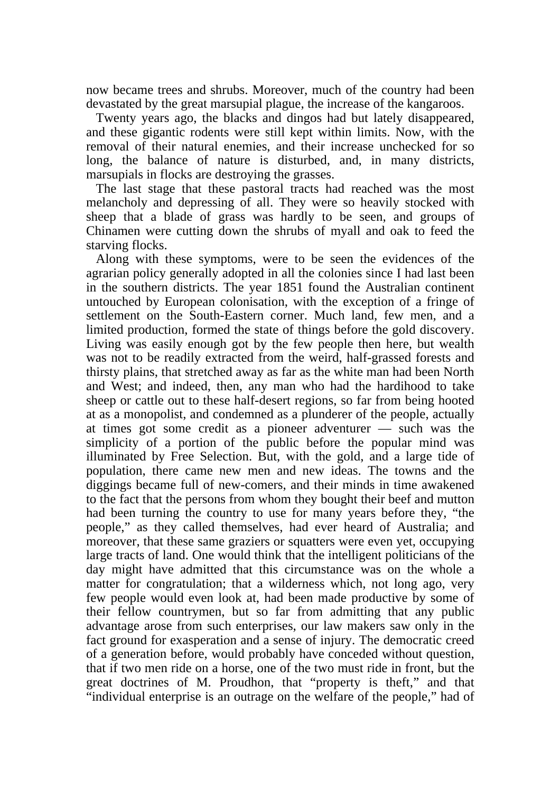now became trees and shrubs. Moreover, much of the country had been devastated by the great marsupial plague, the increase of the kangaroos.

 Twenty years ago, the blacks and dingos had but lately disappeared, and these gigantic rodents were still kept within limits. Now, with the removal of their natural enemies, and their increase unchecked for so long, the balance of nature is disturbed, and, in many districts, marsupials in flocks are destroying the grasses.

 The last stage that these pastoral tracts had reached was the most melancholy and depressing of all. They were so heavily stocked with sheep that a blade of grass was hardly to be seen, and groups of Chinamen were cutting down the shrubs of myall and oak to feed the starving flocks.

 Along with these symptoms, were to be seen the evidences of the agrarian policy generally adopted in all the colonies since I had last been in the southern districts. The year 1851 found the Australian continent untouched by European colonisation, with the exception of a fringe of settlement on the South-Eastern corner. Much land, few men, and a limited production, formed the state of things before the gold discovery. Living was easily enough got by the few people then here, but wealth was not to be readily extracted from the weird, half-grassed forests and thirsty plains, that stretched away as far as the white man had been North and West; and indeed, then, any man who had the hardihood to take sheep or cattle out to these half-desert regions, so far from being hooted at as a monopolist, and condemned as a plunderer of the people, actually at times got some credit as a pioneer adventurer — such was the simplicity of a portion of the public before the popular mind was illuminated by Free Selection. But, with the gold, and a large tide of population, there came new men and new ideas. The towns and the diggings became full of new-comers, and their minds in time awakened to the fact that the persons from whom they bought their beef and mutton had been turning the country to use for many years before they, "the people," as they called themselves, had ever heard of Australia; and moreover, that these same graziers or squatters were even yet, occupying large tracts of land. One would think that the intelligent politicians of the day might have admitted that this circumstance was on the whole a matter for congratulation; that a wilderness which, not long ago, very few people would even look at, had been made productive by some of their fellow countrymen, but so far from admitting that any public advantage arose from such enterprises, our law makers saw only in the fact ground for exasperation and a sense of injury. The democratic creed of a generation before, would probably have conceded without question, that if two men ride on a horse, one of the two must ride in front, but the great doctrines of M. Proudhon, that "property is theft," and that "individual enterprise is an outrage on the welfare of the people," had of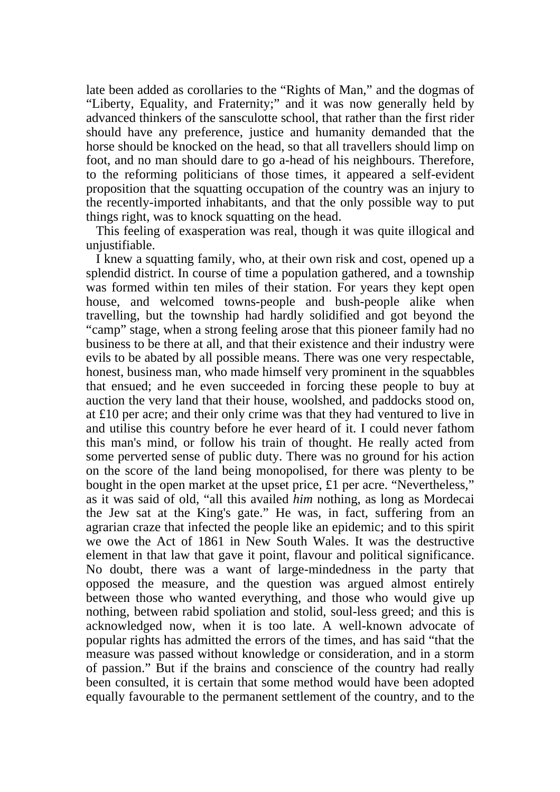late been added as corollaries to the "Rights of Man," and the dogmas of "Liberty, Equality, and Fraternity;" and it was now generally held by advanced thinkers of the sansculotte school, that rather than the first rider should have any preference, justice and humanity demanded that the horse should be knocked on the head, so that all travellers should limp on foot, and no man should dare to go a-head of his neighbours. Therefore, to the reforming politicians of those times, it appeared a self-evident proposition that the squatting occupation of the country was an injury to the recently-imported inhabitants, and that the only possible way to put things right, was to knock squatting on the head.

 This feeling of exasperation was real, though it was quite illogical and uniustifiable.

 I knew a squatting family, who, at their own risk and cost, opened up a splendid district. In course of time a population gathered, and a township was formed within ten miles of their station. For years they kept open house, and welcomed towns-people and bush-people alike when travelling, but the township had hardly solidified and got beyond the "camp" stage, when a strong feeling arose that this pioneer family had no business to be there at all, and that their existence and their industry were evils to be abated by all possible means. There was one very respectable, honest, business man, who made himself very prominent in the squabbles that ensued; and he even succeeded in forcing these people to buy at auction the very land that their house, woolshed, and paddocks stood on, at £10 per acre; and their only crime was that they had ventured to live in and utilise this country before he ever heard of it. I could never fathom this man's mind, or follow his train of thought. He really acted from some perverted sense of public duty. There was no ground for his action on the score of the land being monopolised, for there was plenty to be bought in the open market at the upset price, £1 per acre. "Nevertheless," as it was said of old, "all this availed *him* nothing, as long as Mordecai the Jew sat at the King's gate." He was, in fact, suffering from an agrarian craze that infected the people like an epidemic; and to this spirit we owe the Act of 1861 in New South Wales. It was the destructive element in that law that gave it point, flavour and political significance. No doubt, there was a want of large-mindedness in the party that opposed the measure, and the question was argued almost entirely between those who wanted everything, and those who would give up nothing, between rabid spoliation and stolid, soul-less greed; and this is acknowledged now, when it is too late. A well-known advocate of popular rights has admitted the errors of the times, and has said "that the measure was passed without knowledge or consideration, and in a storm of passion." But if the brains and conscience of the country had really been consulted, it is certain that some method would have been adopted equally favourable to the permanent settlement of the country, and to the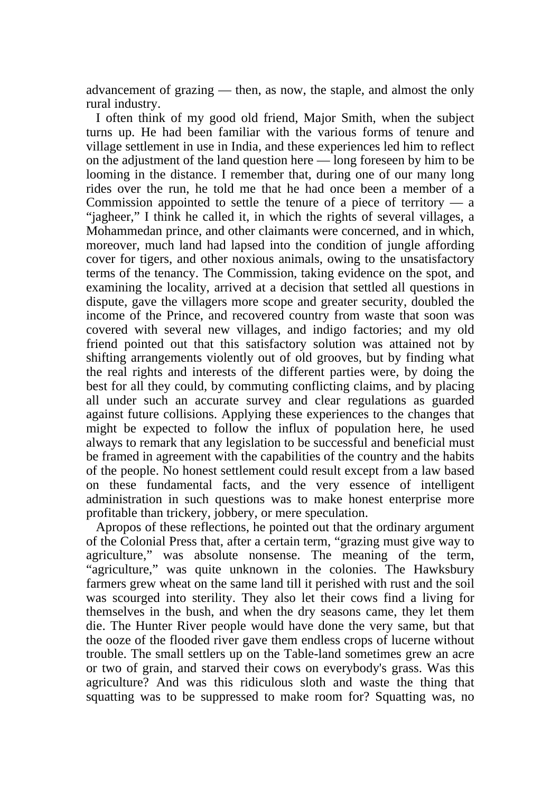advancement of grazing — then, as now, the staple, and almost the only rural industry.

 I often think of my good old friend, Major Smith, when the subject turns up. He had been familiar with the various forms of tenure and village settlement in use in India, and these experiences led him to reflect on the adjustment of the land question here — long foreseen by him to be looming in the distance. I remember that, during one of our many long rides over the run, he told me that he had once been a member of a Commission appointed to settle the tenure of a piece of territory  $-$  a "jagheer," I think he called it, in which the rights of several villages, a Mohammedan prince, and other claimants were concerned, and in which, moreover, much land had lapsed into the condition of jungle affording cover for tigers, and other noxious animals, owing to the unsatisfactory terms of the tenancy. The Commission, taking evidence on the spot, and examining the locality, arrived at a decision that settled all questions in dispute, gave the villagers more scope and greater security, doubled the income of the Prince, and recovered country from waste that soon was covered with several new villages, and indigo factories; and my old friend pointed out that this satisfactory solution was attained not by shifting arrangements violently out of old grooves, but by finding what the real rights and interests of the different parties were, by doing the best for all they could, by commuting conflicting claims, and by placing all under such an accurate survey and clear regulations as guarded against future collisions. Applying these experiences to the changes that might be expected to follow the influx of population here, he used always to remark that any legislation to be successful and beneficial must be framed in agreement with the capabilities of the country and the habits of the people. No honest settlement could result except from a law based on these fundamental facts, and the very essence of intelligent administration in such questions was to make honest enterprise more profitable than trickery, jobbery, or mere speculation.

 Apropos of these reflections, he pointed out that the ordinary argument of the Colonial Press that, after a certain term, "grazing must give way to agriculture," was absolute nonsense. The meaning of the term, "agriculture," was quite unknown in the colonies. The Hawksbury farmers grew wheat on the same land till it perished with rust and the soil was scourged into sterility. They also let their cows find a living for themselves in the bush, and when the dry seasons came, they let them die. The Hunter River people would have done the very same, but that the ooze of the flooded river gave them endless crops of lucerne without trouble. The small settlers up on the Table-land sometimes grew an acre or two of grain, and starved their cows on everybody's grass. Was this agriculture? And was this ridiculous sloth and waste the thing that squatting was to be suppressed to make room for? Squatting was, no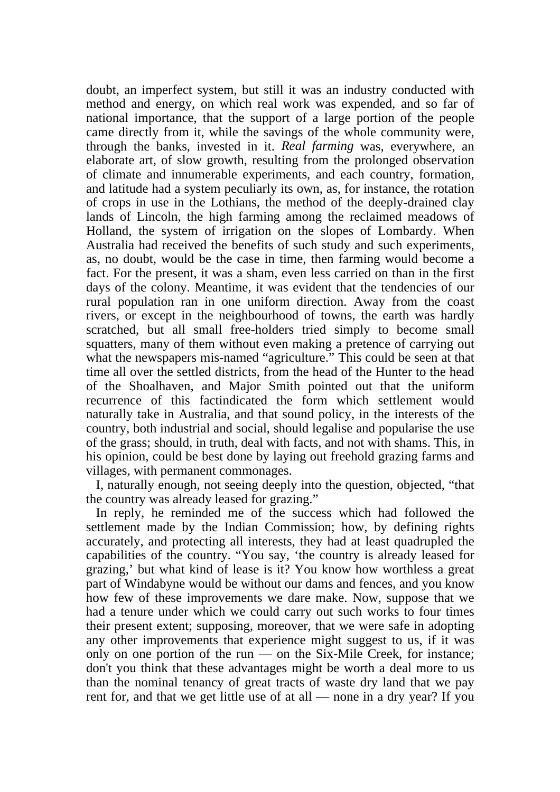doubt, an imperfect system, but still it was an industry conducted with method and energy, on which real work was expended, and so far of national importance, that the support of a large portion of the people came directly from it, while the savings of the whole community were, through the banks, invested in it. *Real farming* was, everywhere, an elaborate art, of slow growth, resulting from the prolonged observation of climate and innumerable experiments, and each country, formation, and latitude had a system peculiarly its own, as, for instance, the rotation of crops in use in the Lothians, the method of the deeply-drained clay lands of Lincoln, the high farming among the reclaimed meadows of Holland, the system of irrigation on the slopes of Lombardy. When Australia had received the benefits of such study and such experiments, as, no doubt, would be the case in time, then farming would become a fact. For the present, it was a sham, even less carried on than in the first days of the colony. Meantime, it was evident that the tendencies of our rural population ran in one uniform direction. Away from the coast rivers, or except in the neighbourhood of towns, the earth was hardly scratched, but all small free-holders tried simply to become small squatters, many of them without even making a pretence of carrying out what the newspapers mis-named "agriculture." This could be seen at that time all over the settled districts, from the head of the Hunter to the head of the Shoalhaven, and Major Smith pointed out that the uniform recurrence of this factindicated the form which settlement would naturally take in Australia, and that sound policy, in the interests of the country, both industrial and social, should legalise and popularise the use of the grass; should, in truth, deal with facts, and not with shams. This, in his opinion, could be best done by laying out freehold grazing farms and villages, with permanent commonages.

 I, naturally enough, not seeing deeply into the question, objected, "that the country was already leased for grazing."

 In reply, he reminded me of the success which had followed the settlement made by the Indian Commission; how, by defining rights accurately, and protecting all interests, they had at least quadrupled the capabilities of the country. "You say, 'the country is already leased for grazing,' but what kind of lease is it? You know how worthless a great part of Windabyne would be without our dams and fences, and you know how few of these improvements we dare make. Now, suppose that we had a tenure under which we could carry out such works to four times their present extent; supposing, moreover, that we were safe in adopting any other improvements that experience might suggest to us, if it was only on one portion of the run — on the Six-Mile Creek, for instance; don't you think that these advantages might be worth a deal more to us than the nominal tenancy of great tracts of waste dry land that we pay rent for, and that we get little use of at all — none in a dry year? If you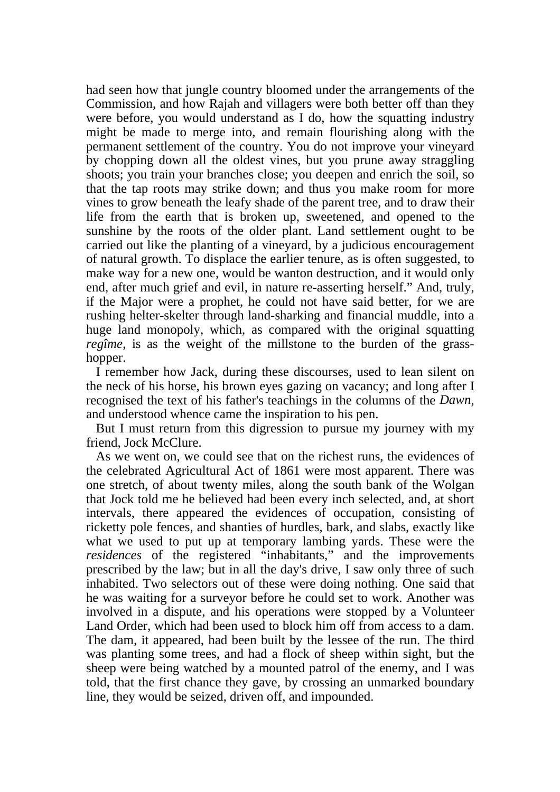had seen how that jungle country bloomed under the arrangements of the Commission, and how Rajah and villagers were both better off than they were before, you would understand as I do, how the squatting industry might be made to merge into, and remain flourishing along with the permanent settlement of the country. You do not improve your vineyard by chopping down all the oldest vines, but you prune away straggling shoots; you train your branches close; you deepen and enrich the soil, so that the tap roots may strike down; and thus you make room for more vines to grow beneath the leafy shade of the parent tree, and to draw their life from the earth that is broken up, sweetened, and opened to the sunshine by the roots of the older plant. Land settlement ought to be carried out like the planting of a vineyard, by a judicious encouragement of natural growth. To displace the earlier tenure, as is often suggested, to make way for a new one, would be wanton destruction, and it would only end, after much grief and evil, in nature re-asserting herself." And, truly, if the Major were a prophet, he could not have said better, for we are rushing helter-skelter through land-sharking and financial muddle, into a huge land monopoly, which, as compared with the original squatting *regîme*, is as the weight of the millstone to the burden of the grasshopper.

 I remember how Jack, during these discourses, used to lean silent on the neck of his horse, his brown eyes gazing on vacancy; and long after I recognised the text of his father's teachings in the columns of the *Dawn*, and understood whence came the inspiration to his pen.

 But I must return from this digression to pursue my journey with my friend, Jock McClure.

 As we went on, we could see that on the richest runs, the evidences of the celebrated Agricultural Act of 1861 were most apparent. There was one stretch, of about twenty miles, along the south bank of the Wolgan that Jock told me he believed had been every inch selected, and, at short intervals, there appeared the evidences of occupation, consisting of ricketty pole fences, and shanties of hurdles, bark, and slabs, exactly like what we used to put up at temporary lambing yards. These were the *residences* of the registered "inhabitants," and the improvements prescribed by the law; but in all the day's drive, I saw only three of such inhabited. Two selectors out of these were doing nothing. One said that he was waiting for a surveyor before he could set to work. Another was involved in a dispute, and his operations were stopped by a Volunteer Land Order, which had been used to block him off from access to a dam. The dam, it appeared, had been built by the lessee of the run. The third was planting some trees, and had a flock of sheep within sight, but the sheep were being watched by a mounted patrol of the enemy, and I was told, that the first chance they gave, by crossing an unmarked boundary line, they would be seized, driven off, and impounded.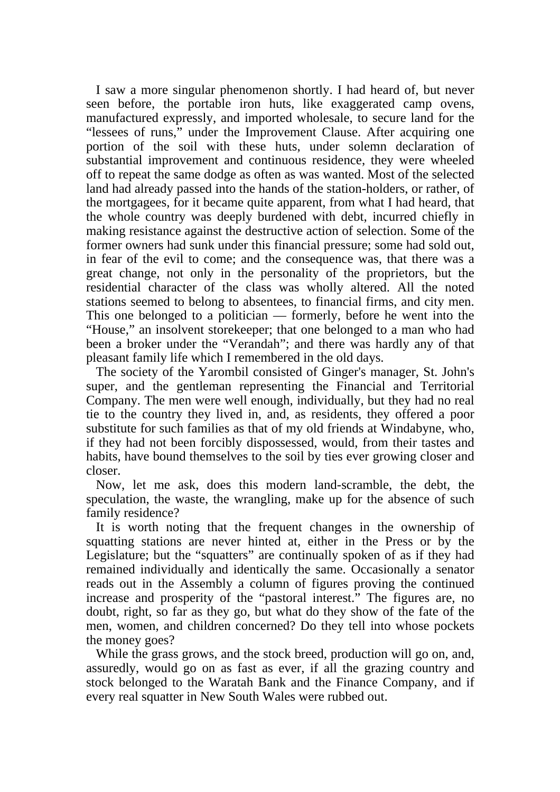I saw a more singular phenomenon shortly. I had heard of, but never seen before, the portable iron huts, like exaggerated camp ovens, manufactured expressly, and imported wholesale, to secure land for the "lessees of runs," under the Improvement Clause. After acquiring one portion of the soil with these huts, under solemn declaration of substantial improvement and continuous residence, they were wheeled off to repeat the same dodge as often as was wanted. Most of the selected land had already passed into the hands of the station-holders, or rather, of the mortgagees, for it became quite apparent, from what I had heard, that the whole country was deeply burdened with debt, incurred chiefly in making resistance against the destructive action of selection. Some of the former owners had sunk under this financial pressure; some had sold out, in fear of the evil to come; and the consequence was, that there was a great change, not only in the personality of the proprietors, but the residential character of the class was wholly altered. All the noted stations seemed to belong to absentees, to financial firms, and city men. This one belonged to a politician — formerly, before he went into the "House," an insolvent storekeeper; that one belonged to a man who had been a broker under the "Verandah"; and there was hardly any of that pleasant family life which I remembered in the old days.

 The society of the Yarombil consisted of Ginger's manager, St. John's super, and the gentleman representing the Financial and Territorial Company. The men were well enough, individually, but they had no real tie to the country they lived in, and, as residents, they offered a poor substitute for such families as that of my old friends at Windabyne, who, if they had not been forcibly dispossessed, would, from their tastes and habits, have bound themselves to the soil by ties ever growing closer and closer.

 Now, let me ask, does this modern land-scramble, the debt, the speculation, the waste, the wrangling, make up for the absence of such family residence?

 It is worth noting that the frequent changes in the ownership of squatting stations are never hinted at, either in the Press or by the Legislature; but the "squatters" are continually spoken of as if they had remained individually and identically the same. Occasionally a senator reads out in the Assembly a column of figures proving the continued increase and prosperity of the "pastoral interest." The figures are, no doubt, right, so far as they go, but what do they show of the fate of the men, women, and children concerned? Do they tell into whose pockets the money goes?

 While the grass grows, and the stock breed, production will go on, and, assuredly, would go on as fast as ever, if all the grazing country and stock belonged to the Waratah Bank and the Finance Company, and if every real squatter in New South Wales were rubbed out.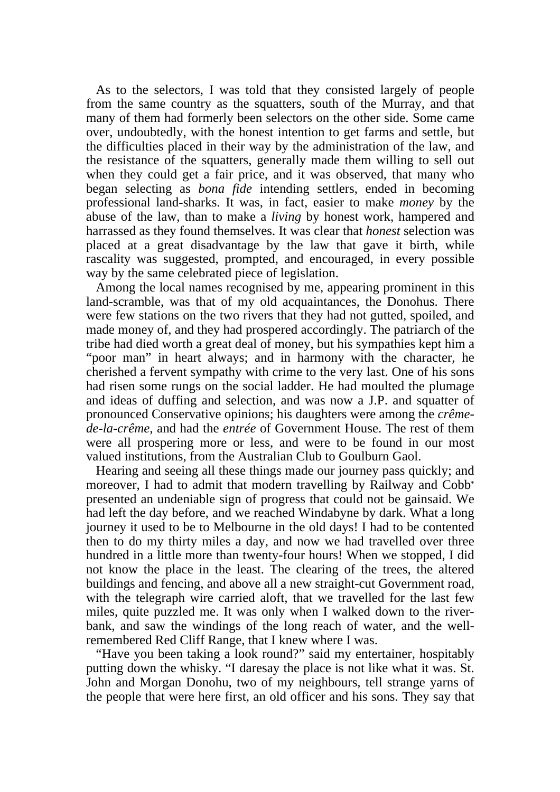As to the selectors, I was told that they consisted largely of people from the same country as the squatters, south of the Murray, and that many of them had formerly been selectors on the other side. Some came over, undoubtedly, with the honest intention to get farms and settle, but the difficulties placed in their way by the administration of the law, and the resistance of the squatters, generally made them willing to sell out when they could get a fair price, and it was observed, that many who began selecting as *bona fide* intending settlers, ended in becoming professional land-sharks. It was, in fact, easier to make *money* by the abuse of the law, than to make a *living* by honest work, hampered and harrassed as they found themselves. It was clear that *honest* selection was placed at a great disadvantage by the law that gave it birth, while rascality was suggested, prompted, and encouraged, in every possible way by the same celebrated piece of legislation.

 Among the local names recognised by me, appearing prominent in this land-scramble, was that of my old acquaintances, the Donohus. There were few stations on the two rivers that they had not gutted, spoiled, and made money of, and they had prospered accordingly. The patriarch of the tribe had died worth a great deal of money, but his sympathies kept him a "poor man" in heart always; and in harmony with the character, he cherished a fervent sympathy with crime to the very last. One of his sons had risen some rungs on the social ladder. He had moulted the plumage and ideas of duffing and selection, and was now a J.P. and squatter of pronounced Conservative opinions; his daughters were among the *crêmede-la-crême*, and had the *entrée* of Government House. The rest of them were all prospering more or less, and were to be found in our most valued institutions, from the Australian Club to Goulburn Gaol.

 Hearing and seeing all these things made our journey pass quickly; and moreover, I had to admit that modern travelling by Railway and Cobb<sup>\*</sup> presented an undeniable sign of progress that could not be gainsaid. We had left the day before, and we reached Windabyne by dark. What a long journey it used to be to Melbourne in the old days! I had to be contented then to do my thirty miles a day, and now we had travelled over three hundred in a little more than twenty-four hours! When we stopped, I did not know the place in the least. The clearing of the trees, the altered buildings and fencing, and above all a new straight-cut Government road, with the telegraph wire carried aloft, that we travelled for the last few miles, quite puzzled me. It was only when I walked down to the riverbank, and saw the windings of the long reach of water, and the wellremembered Red Cliff Range, that I knew where I was.

 "Have you been taking a look round?" said my entertainer, hospitably putting down the whisky. "I daresay the place is not like what it was. St. John and Morgan Donohu, two of my neighbours, tell strange yarns of the people that were here first, an old officer and his sons. They say that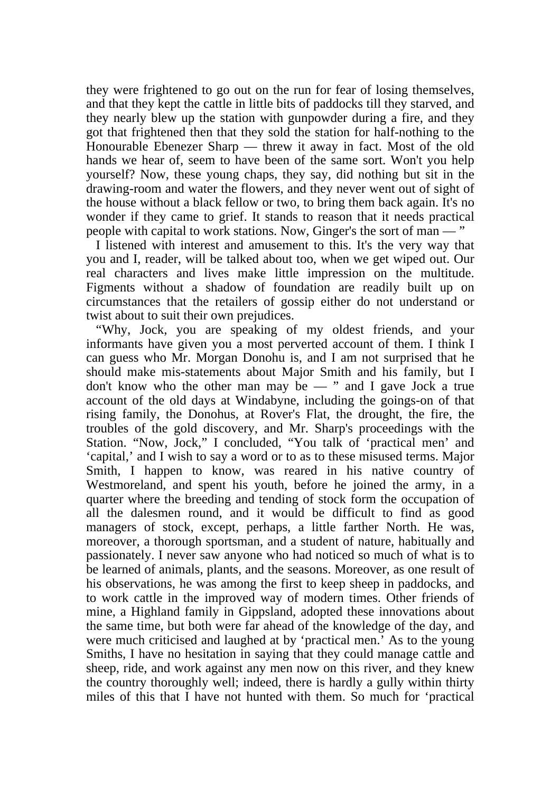they were frightened to go out on the run for fear of losing themselves, and that they kept the cattle in little bits of paddocks till they starved, and they nearly blew up the station with gunpowder during a fire, and they got that frightened then that they sold the station for half-nothing to the Honourable Ebenezer Sharp — threw it away in fact. Most of the old hands we hear of, seem to have been of the same sort. Won't you help yourself? Now, these young chaps, they say, did nothing but sit in the drawing-room and water the flowers, and they never went out of sight of the house without a black fellow or two, to bring them back again. It's no wonder if they came to grief. It stands to reason that it needs practical people with capital to work stations. Now, Ginger's the sort of man — "

 I listened with interest and amusement to this. It's the very way that you and I, reader, will be talked about too, when we get wiped out. Our real characters and lives make little impression on the multitude. Figments without a shadow of foundation are readily built up on circumstances that the retailers of gossip either do not understand or twist about to suit their own prejudices.

 "Why, Jock, you are speaking of my oldest friends, and your informants have given you a most perverted account of them. I think I can guess who Mr. Morgan Donohu is, and I am not surprised that he should make mis-statements about Major Smith and his family, but I don't know who the other man may be  $-$  " and I gave Jock a true account of the old days at Windabyne, including the goings-on of that rising family, the Donohus, at Rover's Flat, the drought, the fire, the troubles of the gold discovery, and Mr. Sharp's proceedings with the Station. "Now, Jock," I concluded, "You talk of 'practical men' and 'capital,' and I wish to say a word or to as to these misused terms. Major Smith, I happen to know, was reared in his native country of Westmoreland, and spent his youth, before he joined the army, in a quarter where the breeding and tending of stock form the occupation of all the dalesmen round, and it would be difficult to find as good managers of stock, except, perhaps, a little farther North. He was, moreover, a thorough sportsman, and a student of nature, habitually and passionately. I never saw anyone who had noticed so much of what is to be learned of animals, plants, and the seasons. Moreover, as one result of his observations, he was among the first to keep sheep in paddocks, and to work cattle in the improved way of modern times. Other friends of mine, a Highland family in Gippsland, adopted these innovations about the same time, but both were far ahead of the knowledge of the day, and were much criticised and laughed at by 'practical men.' As to the young Smiths, I have no hesitation in saying that they could manage cattle and sheep, ride, and work against any men now on this river, and they knew the country thoroughly well; indeed, there is hardly a gully within thirty miles of this that I have not hunted with them. So much for 'practical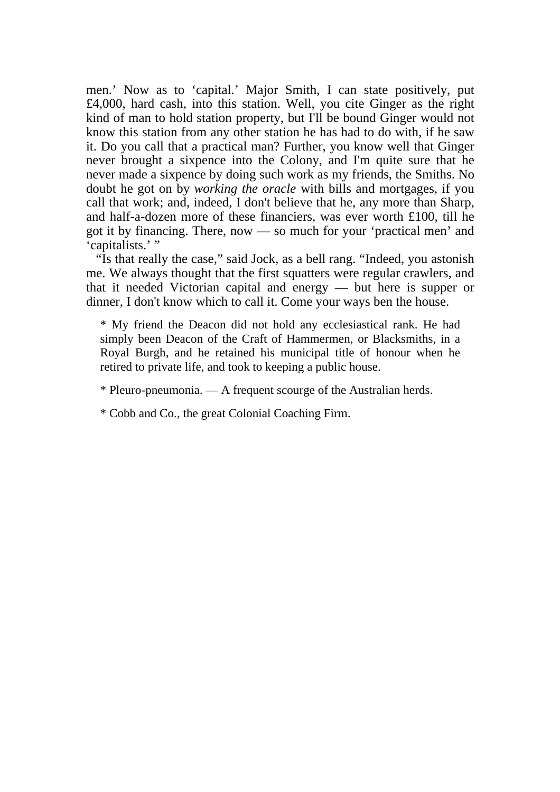men.' Now as to 'capital.' Major Smith, I can state positively, put £4,000, hard cash, into this station. Well, you cite Ginger as the right kind of man to hold station property, but I'll be bound Ginger would not know this station from any other station he has had to do with, if he saw it. Do you call that a practical man? Further, you know well that Ginger never brought a sixpence into the Colony, and I'm quite sure that he never made a sixpence by doing such work as my friends, the Smiths. No doubt he got on by *working the oracle* with bills and mortgages, if you call that work; and, indeed, I don't believe that he, any more than Sharp, and half-a-dozen more of these financiers, was ever worth £100, till he got it by financing. There, now — so much for your 'practical men' and 'capitalists.'"

 "Is that really the case," said Jock, as a bell rang. "Indeed, you astonish me. We always thought that the first squatters were regular crawlers, and that it needed Victorian capital and energy — but here is supper or dinner, I don't know which to call it. Come your ways ben the house.

\* My friend the Deacon did not hold any ecclesiastical rank. He had simply been Deacon of the Craft of Hammermen, or Blacksmiths, in a Royal Burgh, and he retained his municipal title of honour when he retired to private life, and took to keeping a public house.

\* Pleuro-pneumonia. — A frequent scourge of the Australian herds.

\* Cobb and Co., the great Colonial Coaching Firm.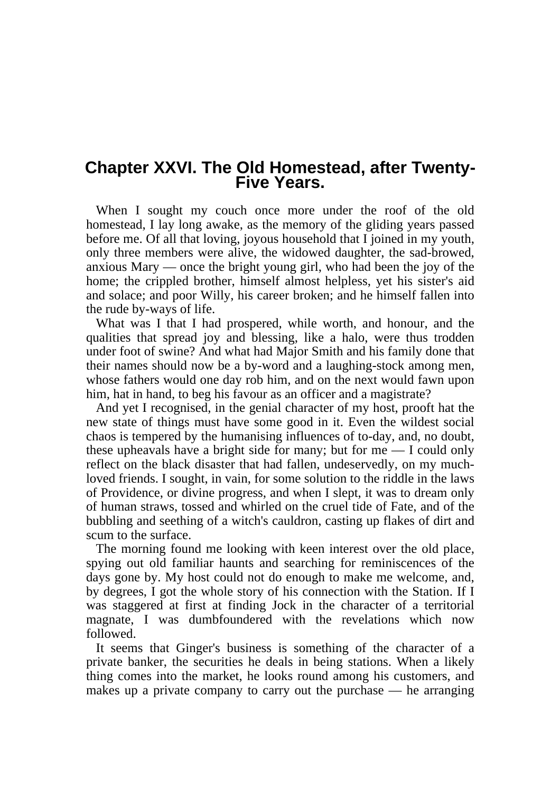## **Chapter XXVI. The Old Homestead, after Twenty- Five Years.**

 When I sought my couch once more under the roof of the old homestead, I lay long awake, as the memory of the gliding years passed before me. Of all that loving, joyous household that I joined in my youth, only three members were alive, the widowed daughter, the sad-browed, anxious Mary — once the bright young girl, who had been the joy of the home; the crippled brother, himself almost helpless, yet his sister's aid and solace; and poor Willy, his career broken; and he himself fallen into the rude by-ways of life.

 What was I that I had prospered, while worth, and honour, and the qualities that spread joy and blessing, like a halo, were thus trodden under foot of swine? And what had Major Smith and his family done that their names should now be a by-word and a laughing-stock among men, whose fathers would one day rob him, and on the next would fawn upon him, hat in hand, to beg his favour as an officer and a magistrate?

 And yet I recognised, in the genial character of my host, prooft hat the new state of things must have some good in it. Even the wildest social chaos is tempered by the humanising influences of to-day, and, no doubt, these upheavals have a bright side for many; but for me  $-$  I could only reflect on the black disaster that had fallen, undeservedly, on my muchloved friends. I sought, in vain, for some solution to the riddle in the laws of Providence, or divine progress, and when I slept, it was to dream only of human straws, tossed and whirled on the cruel tide of Fate, and of the bubbling and seething of a witch's cauldron, casting up flakes of dirt and scum to the surface.

 The morning found me looking with keen interest over the old place, spying out old familiar haunts and searching for reminiscences of the days gone by. My host could not do enough to make me welcome, and, by degrees, I got the whole story of his connection with the Station. If I was staggered at first at finding Jock in the character of a territorial magnate, I was dumbfoundered with the revelations which now followed.

 It seems that Ginger's business is something of the character of a private banker, the securities he deals in being stations. When a likely thing comes into the market, he looks round among his customers, and makes up a private company to carry out the purchase — he arranging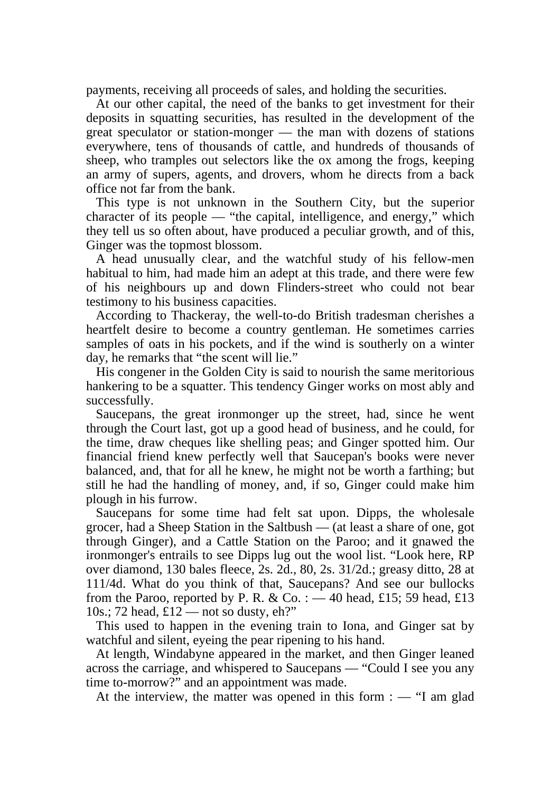payments, receiving all proceeds of sales, and holding the securities.

 At our other capital, the need of the banks to get investment for their deposits in squatting securities, has resulted in the development of the great speculator or station-monger — the man with dozens of stations everywhere, tens of thousands of cattle, and hundreds of thousands of sheep, who tramples out selectors like the ox among the frogs, keeping an army of supers, agents, and drovers, whom he directs from a back office not far from the bank.

 This type is not unknown in the Southern City, but the superior character of its people — "the capital, intelligence, and energy," which they tell us so often about, have produced a peculiar growth, and of this, Ginger was the topmost blossom.

 A head unusually clear, and the watchful study of his fellow-men habitual to him, had made him an adept at this trade, and there were few of his neighbours up and down Flinders-street who could not bear testimony to his business capacities.

 According to Thackeray, the well-to-do British tradesman cherishes a heartfelt desire to become a country gentleman. He sometimes carries samples of oats in his pockets, and if the wind is southerly on a winter day, he remarks that "the scent will lie."

 His congener in the Golden City is said to nourish the same meritorious hankering to be a squatter. This tendency Ginger works on most ably and successfully.

 Saucepans, the great ironmonger up the street, had, since he went through the Court last, got up a good head of business, and he could, for the time, draw cheques like shelling peas; and Ginger spotted him. Our financial friend knew perfectly well that Saucepan's books were never balanced, and, that for all he knew, he might not be worth a farthing; but still he had the handling of money, and, if so, Ginger could make him plough in his furrow.

 Saucepans for some time had felt sat upon. Dipps, the wholesale grocer, had a Sheep Station in the Saltbush — (at least a share of one, got through Ginger), and a Cattle Station on the Paroo; and it gnawed the ironmonger's entrails to see Dipps lug out the wool list. "Look here, RP over diamond, 130 bales fleece, 2s. 2d., 80, 2s. 31/2d.; greasy ditto, 28 at 111/4d. What do you think of that, Saucepans? And see our bullocks from the Paroo, reported by P. R. & Co. :  $-40$  head, £15; 59 head, £13 10s.; 72 head, £12 — not so dusty, eh?"

 This used to happen in the evening train to Iona, and Ginger sat by watchful and silent, eyeing the pear ripening to his hand.

 At length, Windabyne appeared in the market, and then Ginger leaned across the carriage, and whispered to Saucepans — "Could I see you any time to-morrow?" and an appointment was made.

At the interview, the matter was opened in this form  $:$  — "I am glad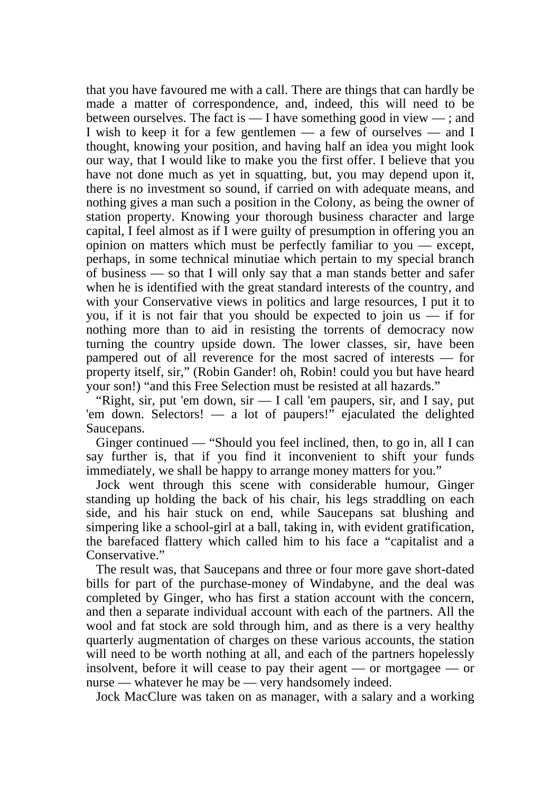that you have favoured me with a call. There are things that can hardly be made a matter of correspondence, and, indeed, this will need to be between ourselves. The fact is  $-1$  have something good in view  $-$ ; and I wish to keep it for a few gentlemen — a few of ourselves — and I thought, knowing your position, and having half an idea you might look our way, that I would like to make you the first offer. I believe that you have not done much as yet in squatting, but, you may depend upon it, there is no investment so sound, if carried on with adequate means, and nothing gives a man such a position in the Colony, as being the owner of station property. Knowing your thorough business character and large capital, I feel almost as if I were guilty of presumption in offering you an opinion on matters which must be perfectly familiar to you — except, perhaps, in some technical minutiae which pertain to my special branch of business — so that I will only say that a man stands better and safer when he is identified with the great standard interests of the country, and with your Conservative views in politics and large resources, I put it to you, if it is not fair that you should be expected to join us — if for nothing more than to aid in resisting the torrents of democracy now turning the country upside down. The lower classes, sir, have been pampered out of all reverence for the most sacred of interests — for property itself, sir," (Robin Gander! oh, Robin! could you but have heard your son!) "and this Free Selection must be resisted at all hazards."

 "Right, sir, put 'em down, sir — I call 'em paupers, sir, and I say, put 'em down. Selectors! — a lot of paupers!" ejaculated the delighted Saucepans.

 Ginger continued — "Should you feel inclined, then, to go in, all I can say further is, that if you find it inconvenient to shift your funds immediately, we shall be happy to arrange money matters for you."

 Jock went through this scene with considerable humour, Ginger standing up holding the back of his chair, his legs straddling on each side, and his hair stuck on end, while Saucepans sat blushing and simpering like a school-girl at a ball, taking in, with evident gratification, the barefaced flattery which called him to his face a "capitalist and a Conservative."

 The result was, that Saucepans and three or four more gave short-dated bills for part of the purchase-money of Windabyne, and the deal was completed by Ginger, who has first a station account with the concern, and then a separate individual account with each of the partners. All the wool and fat stock are sold through him, and as there is a very healthy quarterly augmentation of charges on these various accounts, the station will need to be worth nothing at all, and each of the partners hopelessly insolvent, before it will cease to pay their agent — or mortgagee — or nurse — whatever he may be — very handsomely indeed.

Jock MacClure was taken on as manager, with a salary and a working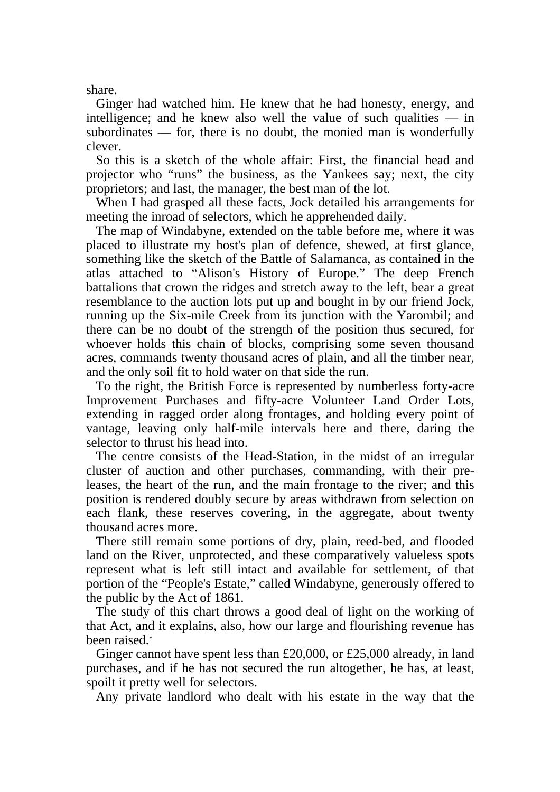share.

 Ginger had watched him. He knew that he had honesty, energy, and intelligence; and he knew also well the value of such qualities — in subordinates — for, there is no doubt, the monied man is wonderfully clever.

 So this is a sketch of the whole affair: First, the financial head and projector who "runs" the business, as the Yankees say; next, the city proprietors; and last, the manager, the best man of the lot.

 When I had grasped all these facts, Jock detailed his arrangements for meeting the inroad of selectors, which he apprehended daily.

 The map of Windabyne, extended on the table before me, where it was placed to illustrate my host's plan of defence, shewed, at first glance, something like the sketch of the Battle of Salamanca, as contained in the atlas attached to "Alison's History of Europe." The deep French battalions that crown the ridges and stretch away to the left, bear a great resemblance to the auction lots put up and bought in by our friend Jock, running up the Six-mile Creek from its junction with the Yarombil; and there can be no doubt of the strength of the position thus secured, for whoever holds this chain of blocks, comprising some seven thousand acres, commands twenty thousand acres of plain, and all the timber near, and the only soil fit to hold water on that side the run.

 To the right, the British Force is represented by numberless forty-acre Improvement Purchases and fifty-acre Volunteer Land Order Lots, extending in ragged order along frontages, and holding every point of vantage, leaving only half-mile intervals here and there, daring the selector to thrust his head into.

 The centre consists of the Head-Station, in the midst of an irregular cluster of auction and other purchases, commanding, with their preleases, the heart of the run, and the main frontage to the river; and this position is rendered doubly secure by areas withdrawn from selection on each flank, these reserves covering, in the aggregate, about twenty thousand acres more.

 There still remain some portions of dry, plain, reed-bed, and flooded land on the River, unprotected, and these comparatively valueless spots represent what is left still intact and available for settlement, of that portion of the "People's Estate," called Windabyne, generously offered to the public by the Act of 1861.

 The study of this chart throws a good deal of light on the working of that Act, and it explains, also, how our large and flourishing revenue has been raised.\*

 Ginger cannot have spent less than £20,000, or £25,000 already, in land purchases, and if he has not secured the run altogether, he has, at least, spoilt it pretty well for selectors.

Any private landlord who dealt with his estate in the way that the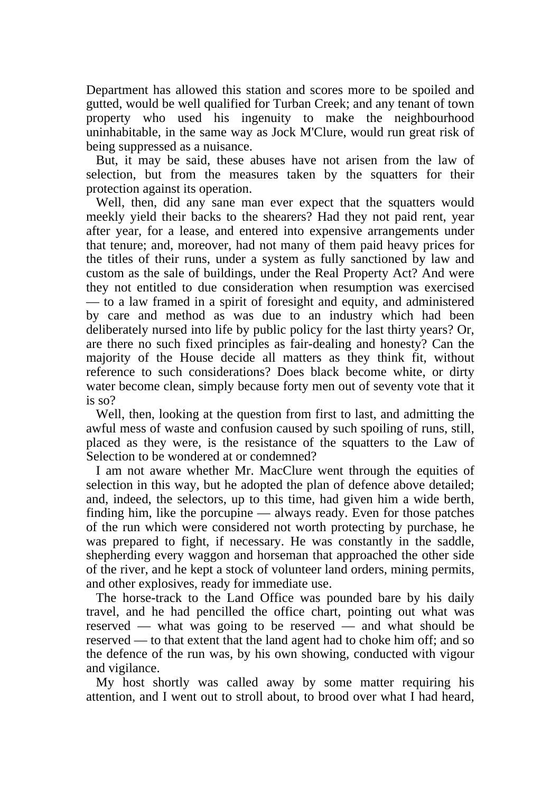Department has allowed this station and scores more to be spoiled and gutted, would be well qualified for Turban Creek; and any tenant of town property who used his ingenuity to make the neighbourhood uninhabitable, in the same way as Jock M'Clure, would run great risk of being suppressed as a nuisance.

 But, it may be said, these abuses have not arisen from the law of selection, but from the measures taken by the squatters for their protection against its operation.

Well, then, did any sane man ever expect that the squatters would meekly yield their backs to the shearers? Had they not paid rent, year after year, for a lease, and entered into expensive arrangements under that tenure; and, moreover, had not many of them paid heavy prices for the titles of their runs, under a system as fully sanctioned by law and custom as the sale of buildings, under the Real Property Act? And were they not entitled to due consideration when resumption was exercised — to a law framed in a spirit of foresight and equity, and administered by care and method as was due to an industry which had been deliberately nursed into life by public policy for the last thirty years? Or, are there no such fixed principles as fair-dealing and honesty? Can the majority of the House decide all matters as they think fit, without reference to such considerations? Does black become white, or dirty water become clean, simply because forty men out of seventy vote that it is so?

 Well, then, looking at the question from first to last, and admitting the awful mess of waste and confusion caused by such spoiling of runs, still, placed as they were, is the resistance of the squatters to the Law of Selection to be wondered at or condemned?

 I am not aware whether Mr. MacClure went through the equities of selection in this way, but he adopted the plan of defence above detailed; and, indeed, the selectors, up to this time, had given him a wide berth, finding him, like the porcupine — always ready. Even for those patches of the run which were considered not worth protecting by purchase, he was prepared to fight, if necessary. He was constantly in the saddle, shepherding every waggon and horseman that approached the other side of the river, and he kept a stock of volunteer land orders, mining permits, and other explosives, ready for immediate use.

 The horse-track to the Land Office was pounded bare by his daily travel, and he had pencilled the office chart, pointing out what was reserved — what was going to be reserved — and what should be reserved — to that extent that the land agent had to choke him off; and so the defence of the run was, by his own showing, conducted with vigour and vigilance.

 My host shortly was called away by some matter requiring his attention, and I went out to stroll about, to brood over what I had heard,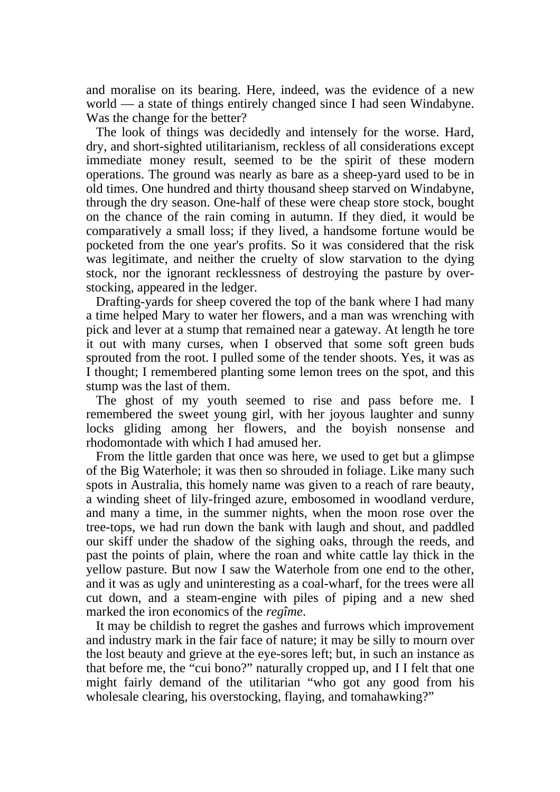and moralise on its bearing. Here, indeed, was the evidence of a new world — a state of things entirely changed since I had seen Windabyne. Was the change for the better?

 The look of things was decidedly and intensely for the worse. Hard, dry, and short-sighted utilitarianism, reckless of all considerations except immediate money result, seemed to be the spirit of these modern operations. The ground was nearly as bare as a sheep-yard used to be in old times. One hundred and thirty thousand sheep starved on Windabyne, through the dry season. One-half of these were cheap store stock, bought on the chance of the rain coming in autumn. If they died, it would be comparatively a small loss; if they lived, a handsome fortune would be pocketed from the one year's profits. So it was considered that the risk was legitimate, and neither the cruelty of slow starvation to the dying stock, nor the ignorant recklessness of destroying the pasture by overstocking, appeared in the ledger.

 Drafting-yards for sheep covered the top of the bank where I had many a time helped Mary to water her flowers, and a man was wrenching with pick and lever at a stump that remained near a gateway. At length he tore it out with many curses, when I observed that some soft green buds sprouted from the root. I pulled some of the tender shoots. Yes, it was as I thought; I remembered planting some lemon trees on the spot, and this stump was the last of them.

 The ghost of my youth seemed to rise and pass before me. I remembered the sweet young girl, with her joyous laughter and sunny locks gliding among her flowers, and the boyish nonsense and rhodomontade with which I had amused her.

 From the little garden that once was here, we used to get but a glimpse of the Big Waterhole; it was then so shrouded in foliage. Like many such spots in Australia, this homely name was given to a reach of rare beauty, a winding sheet of lily-fringed azure, embosomed in woodland verdure, and many a time, in the summer nights, when the moon rose over the tree-tops, we had run down the bank with laugh and shout, and paddled our skiff under the shadow of the sighing oaks, through the reeds, and past the points of plain, where the roan and white cattle lay thick in the yellow pasture. But now I saw the Waterhole from one end to the other, and it was as ugly and uninteresting as a coal-wharf, for the trees were all cut down, and a steam-engine with piles of piping and a new shed marked the iron economics of the *regîme*.

 It may be childish to regret the gashes and furrows which improvement and industry mark in the fair face of nature; it may be silly to mourn over the lost beauty and grieve at the eye-sores left; but, in such an instance as that before me, the "cui bono?" naturally cropped up, and I I felt that one might fairly demand of the utilitarian "who got any good from his wholesale clearing, his overstocking, flaying, and tomahawking?"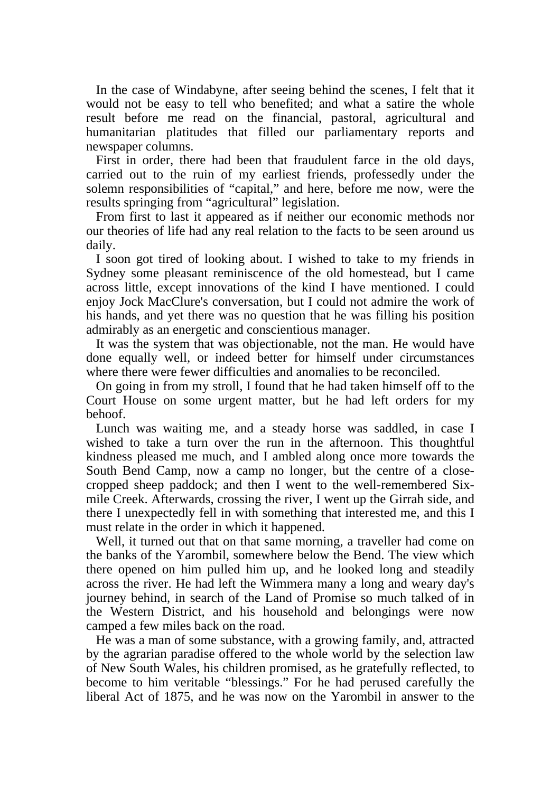In the case of Windabyne, after seeing behind the scenes, I felt that it would not be easy to tell who benefited; and what a satire the whole result before me read on the financial, pastoral, agricultural and humanitarian platitudes that filled our parliamentary reports and newspaper columns.

 First in order, there had been that fraudulent farce in the old days, carried out to the ruin of my earliest friends, professedly under the solemn responsibilities of "capital," and here, before me now, were the results springing from "agricultural" legislation.

 From first to last it appeared as if neither our economic methods nor our theories of life had any real relation to the facts to be seen around us daily.

 I soon got tired of looking about. I wished to take to my friends in Sydney some pleasant reminiscence of the old homestead, but I came across little, except innovations of the kind I have mentioned. I could enjoy Jock MacClure's conversation, but I could not admire the work of his hands, and yet there was no question that he was filling his position admirably as an energetic and conscientious manager.

 It was the system that was objectionable, not the man. He would have done equally well, or indeed better for himself under circumstances where there were fewer difficulties and anomalies to be reconciled.

 On going in from my stroll, I found that he had taken himself off to the Court House on some urgent matter, but he had left orders for my behoof.

 Lunch was waiting me, and a steady horse was saddled, in case I wished to take a turn over the run in the afternoon. This thoughtful kindness pleased me much, and I ambled along once more towards the South Bend Camp, now a camp no longer, but the centre of a closecropped sheep paddock; and then I went to the well-remembered Sixmile Creek. Afterwards, crossing the river, I went up the Girrah side, and there I unexpectedly fell in with something that interested me, and this I must relate in the order in which it happened.

 Well, it turned out that on that same morning, a traveller had come on the banks of the Yarombil, somewhere below the Bend. The view which there opened on him pulled him up, and he looked long and steadily across the river. He had left the Wimmera many a long and weary day's journey behind, in search of the Land of Promise so much talked of in the Western District, and his household and belongings were now camped a few miles back on the road.

 He was a man of some substance, with a growing family, and, attracted by the agrarian paradise offered to the whole world by the selection law of New South Wales, his children promised, as he gratefully reflected, to become to him veritable "blessings." For he had perused carefully the liberal Act of 1875, and he was now on the Yarombil in answer to the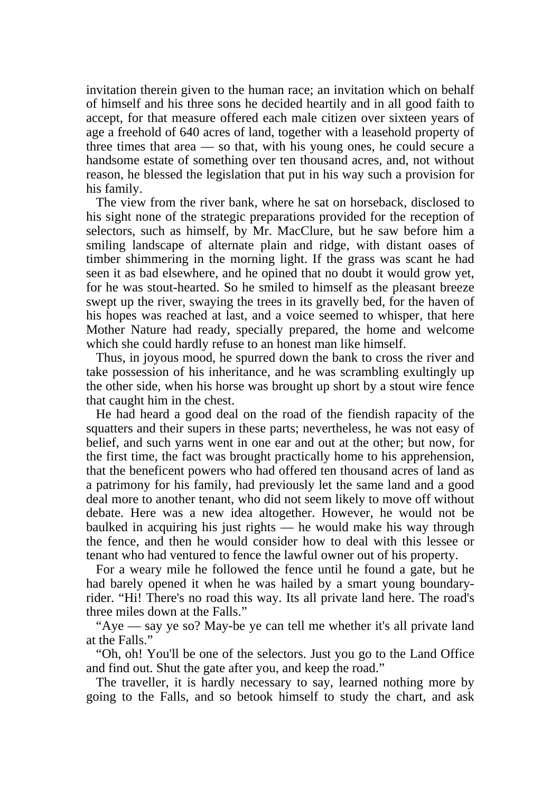invitation therein given to the human race; an invitation which on behalf of himself and his three sons he decided heartily and in all good faith to accept, for that measure offered each male citizen over sixteen years of age a freehold of 640 acres of land, together with a leasehold property of three times that area — so that, with his young ones, he could secure a handsome estate of something over ten thousand acres, and, not without reason, he blessed the legislation that put in his way such a provision for his family.

 The view from the river bank, where he sat on horseback, disclosed to his sight none of the strategic preparations provided for the reception of selectors, such as himself, by Mr. MacClure, but he saw before him a smiling landscape of alternate plain and ridge, with distant oases of timber shimmering in the morning light. If the grass was scant he had seen it as bad elsewhere, and he opined that no doubt it would grow yet, for he was stout-hearted. So he smiled to himself as the pleasant breeze swept up the river, swaying the trees in its gravelly bed, for the haven of his hopes was reached at last, and a voice seemed to whisper, that here Mother Nature had ready, specially prepared, the home and welcome which she could hardly refuse to an honest man like himself.

 Thus, in joyous mood, he spurred down the bank to cross the river and take possession of his inheritance, and he was scrambling exultingly up the other side, when his horse was brought up short by a stout wire fence that caught him in the chest.

 He had heard a good deal on the road of the fiendish rapacity of the squatters and their supers in these parts; nevertheless, he was not easy of belief, and such yarns went in one ear and out at the other; but now, for the first time, the fact was brought practically home to his apprehension, that the beneficent powers who had offered ten thousand acres of land as a patrimony for his family, had previously let the same land and a good deal more to another tenant, who did not seem likely to move off without debate. Here was a new idea altogether. However, he would not be baulked in acquiring his just rights — he would make his way through the fence, and then he would consider how to deal with this lessee or tenant who had ventured to fence the lawful owner out of his property.

 For a weary mile he followed the fence until he found a gate, but he had barely opened it when he was hailed by a smart young boundaryrider. "Hi! There's no road this way. Its all private land here. The road's three miles down at the Falls."

 "Aye — say ye so? May-be ye can tell me whether it's all private land at the Falls."

 "Oh, oh! You'll be one of the selectors. Just you go to the Land Office and find out. Shut the gate after you, and keep the road."

 The traveller, it is hardly necessary to say, learned nothing more by going to the Falls, and so betook himself to study the chart, and ask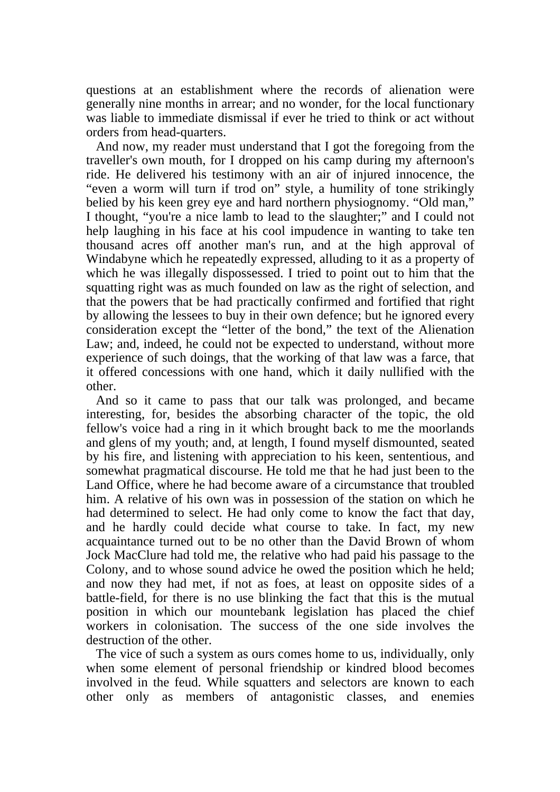questions at an establishment where the records of alienation were generally nine months in arrear; and no wonder, for the local functionary was liable to immediate dismissal if ever he tried to think or act without orders from head-quarters.

 And now, my reader must understand that I got the foregoing from the traveller's own mouth, for I dropped on his camp during my afternoon's ride. He delivered his testimony with an air of injured innocence, the "even a worm will turn if trod on" style, a humility of tone strikingly belied by his keen grey eye and hard northern physiognomy. "Old man," I thought, "you're a nice lamb to lead to the slaughter;" and I could not help laughing in his face at his cool impudence in wanting to take ten thousand acres off another man's run, and at the high approval of Windabyne which he repeatedly expressed, alluding to it as a property of which he was illegally dispossessed. I tried to point out to him that the squatting right was as much founded on law as the right of selection, and that the powers that be had practically confirmed and fortified that right by allowing the lessees to buy in their own defence; but he ignored every consideration except the "letter of the bond," the text of the Alienation Law; and, indeed, he could not be expected to understand, without more experience of such doings, that the working of that law was a farce, that it offered concessions with one hand, which it daily nullified with the other.

 And so it came to pass that our talk was prolonged, and became interesting, for, besides the absorbing character of the topic, the old fellow's voice had a ring in it which brought back to me the moorlands and glens of my youth; and, at length, I found myself dismounted, seated by his fire, and listening with appreciation to his keen, sententious, and somewhat pragmatical discourse. He told me that he had just been to the Land Office, where he had become aware of a circumstance that troubled him. A relative of his own was in possession of the station on which he had determined to select. He had only come to know the fact that day, and he hardly could decide what course to take. In fact, my new acquaintance turned out to be no other than the David Brown of whom Jock MacClure had told me, the relative who had paid his passage to the Colony, and to whose sound advice he owed the position which he held; and now they had met, if not as foes, at least on opposite sides of a battle-field, for there is no use blinking the fact that this is the mutual position in which our mountebank legislation has placed the chief workers in colonisation. The success of the one side involves the destruction of the other.

 The vice of such a system as ours comes home to us, individually, only when some element of personal friendship or kindred blood becomes involved in the feud. While squatters and selectors are known to each other only as members of antagonistic classes, and enemies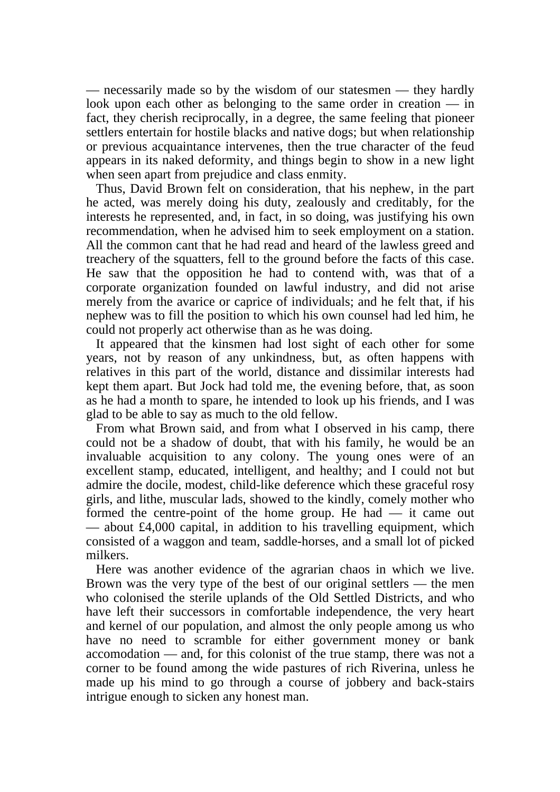— necessarily made so by the wisdom of our statesmen — they hardly look upon each other as belonging to the same order in creation — in fact, they cherish reciprocally, in a degree, the same feeling that pioneer settlers entertain for hostile blacks and native dogs; but when relationship or previous acquaintance intervenes, then the true character of the feud appears in its naked deformity, and things begin to show in a new light when seen apart from prejudice and class enmity.

 Thus, David Brown felt on consideration, that his nephew, in the part he acted, was merely doing his duty, zealously and creditably, for the interests he represented, and, in fact, in so doing, was justifying his own recommendation, when he advised him to seek employment on a station. All the common cant that he had read and heard of the lawless greed and treachery of the squatters, fell to the ground before the facts of this case. He saw that the opposition he had to contend with, was that of a corporate organization founded on lawful industry, and did not arise merely from the avarice or caprice of individuals; and he felt that, if his nephew was to fill the position to which his own counsel had led him, he could not properly act otherwise than as he was doing.

 It appeared that the kinsmen had lost sight of each other for some years, not by reason of any unkindness, but, as often happens with relatives in this part of the world, distance and dissimilar interests had kept them apart. But Jock had told me, the evening before, that, as soon as he had a month to spare, he intended to look up his friends, and I was glad to be able to say as much to the old fellow.

 From what Brown said, and from what I observed in his camp, there could not be a shadow of doubt, that with his family, he would be an invaluable acquisition to any colony. The young ones were of an excellent stamp, educated, intelligent, and healthy; and I could not but admire the docile, modest, child-like deference which these graceful rosy girls, and lithe, muscular lads, showed to the kindly, comely mother who formed the centre-point of the home group. He had — it came out — about £4,000 capital, in addition to his travelling equipment, which consisted of a waggon and team, saddle-horses, and a small lot of picked milkers.

 Here was another evidence of the agrarian chaos in which we live. Brown was the very type of the best of our original settlers — the men who colonised the sterile uplands of the Old Settled Districts, and who have left their successors in comfortable independence, the very heart and kernel of our population, and almost the only people among us who have no need to scramble for either government money or bank accomodation — and, for this colonist of the true stamp, there was not a corner to be found among the wide pastures of rich Riverina, unless he made up his mind to go through a course of jobbery and back-stairs intrigue enough to sicken any honest man.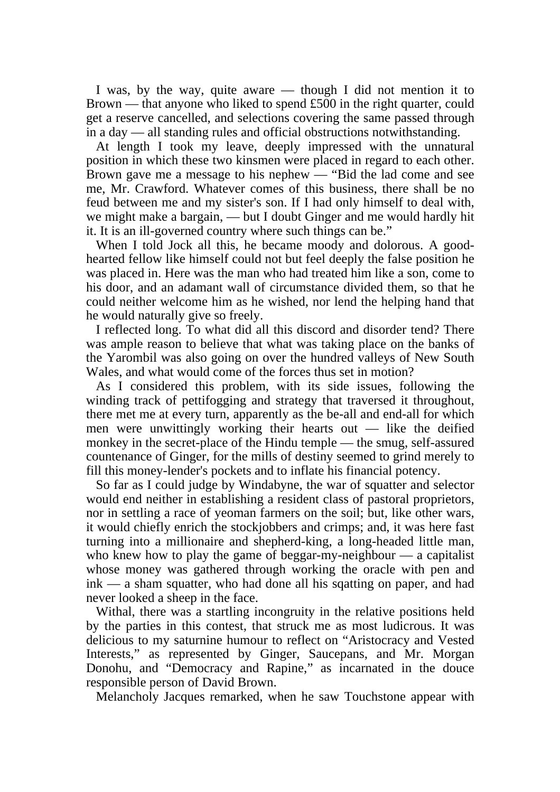I was, by the way, quite aware — though I did not mention it to Brown — that anyone who liked to spend £500 in the right quarter, could get a reserve cancelled, and selections covering the same passed through in a day — all standing rules and official obstructions notwithstanding.

 At length I took my leave, deeply impressed with the unnatural position in which these two kinsmen were placed in regard to each other. Brown gave me a message to his nephew — "Bid the lad come and see me, Mr. Crawford. Whatever comes of this business, there shall be no feud between me and my sister's son. If I had only himself to deal with, we might make a bargain, — but I doubt Ginger and me would hardly hit it. It is an ill-governed country where such things can be."

When I told Jock all this, he became moody and dolorous. A goodhearted fellow like himself could not but feel deeply the false position he was placed in. Here was the man who had treated him like a son, come to his door, and an adamant wall of circumstance divided them, so that he could neither welcome him as he wished, nor lend the helping hand that he would naturally give so freely.

 I reflected long. To what did all this discord and disorder tend? There was ample reason to believe that what was taking place on the banks of the Yarombil was also going on over the hundred valleys of New South Wales, and what would come of the forces thus set in motion?

 As I considered this problem, with its side issues, following the winding track of pettifogging and strategy that traversed it throughout, there met me at every turn, apparently as the be-all and end-all for which men were unwittingly working their hearts out — like the deified monkey in the secret-place of the Hindu temple — the smug, self-assured countenance of Ginger, for the mills of destiny seemed to grind merely to fill this money-lender's pockets and to inflate his financial potency.

 So far as I could judge by Windabyne, the war of squatter and selector would end neither in establishing a resident class of pastoral proprietors, nor in settling a race of yeoman farmers on the soil; but, like other wars, it would chiefly enrich the stockjobbers and crimps; and, it was here fast turning into a millionaire and shepherd-king, a long-headed little man, who knew how to play the game of beggar-my-neighbour  $\frac{1}{2}$  a capitalist whose money was gathered through working the oracle with pen and ink — a sham squatter, who had done all his sqatting on paper, and had never looked a sheep in the face.

 Withal, there was a startling incongruity in the relative positions held by the parties in this contest, that struck me as most ludicrous. It was delicious to my saturnine humour to reflect on "Aristocracy and Vested Interests," as represented by Ginger, Saucepans, and Mr. Morgan Donohu, and "Democracy and Rapine," as incarnated in the douce responsible person of David Brown.

Melancholy Jacques remarked, when he saw Touchstone appear with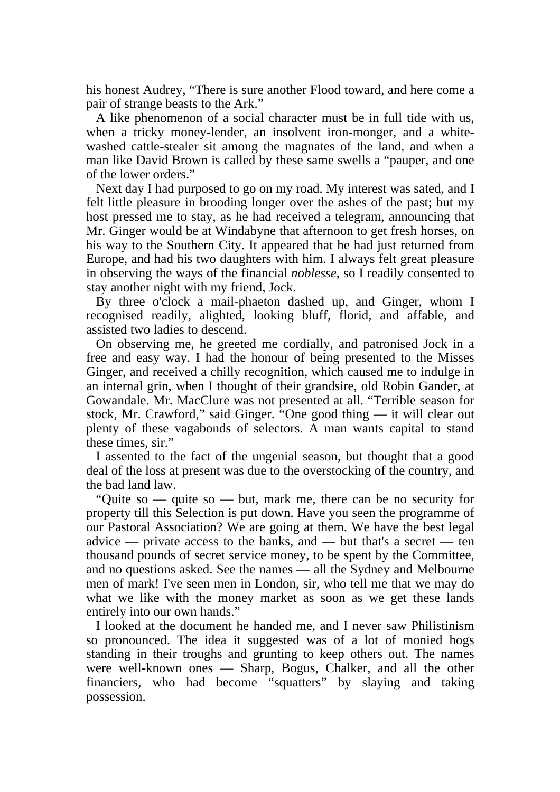his honest Audrey, "There is sure another Flood toward, and here come a pair of strange beasts to the Ark."

 A like phenomenon of a social character must be in full tide with us, when a tricky money-lender, an insolvent iron-monger, and a whitewashed cattle-stealer sit among the magnates of the land, and when a man like David Brown is called by these same swells a "pauper, and one of the lower orders."

 Next day I had purposed to go on my road. My interest was sated, and I felt little pleasure in brooding longer over the ashes of the past; but my host pressed me to stay, as he had received a telegram, announcing that Mr. Ginger would be at Windabyne that afternoon to get fresh horses, on his way to the Southern City. It appeared that he had just returned from Europe, and had his two daughters with him. I always felt great pleasure in observing the ways of the financial *noblesse*, so I readily consented to stay another night with my friend, Jock.

 By three o'clock a mail-phaeton dashed up, and Ginger, whom I recognised readily, alighted, looking bluff, florid, and affable, and assisted two ladies to descend.

 On observing me, he greeted me cordially, and patronised Jock in a free and easy way. I had the honour of being presented to the Misses Ginger, and received a chilly recognition, which caused me to indulge in an internal grin, when I thought of their grandsire, old Robin Gander, at Gowandale. Mr. MacClure was not presented at all. "Terrible season for stock, Mr. Crawford," said Ginger. "One good thing — it will clear out plenty of these vagabonds of selectors. A man wants capital to stand these times, sir."

 I assented to the fact of the ungenial season, but thought that a good deal of the loss at present was due to the overstocking of the country, and the bad land law.

 "Quite so — quite so — but, mark me, there can be no security for property till this Selection is put down. Have you seen the programme of our Pastoral Association? We are going at them. We have the best legal advice — private access to the banks, and — but that's a secret — ten thousand pounds of secret service money, to be spent by the Committee, and no questions asked. See the names — all the Sydney and Melbourne men of mark! I've seen men in London, sir, who tell me that we may do what we like with the money market as soon as we get these lands entirely into our own hands."

 I looked at the document he handed me, and I never saw Philistinism so pronounced. The idea it suggested was of a lot of monied hogs standing in their troughs and grunting to keep others out. The names were well-known ones — Sharp, Bogus, Chalker, and all the other financiers, who had become "squatters" by slaying and taking possession.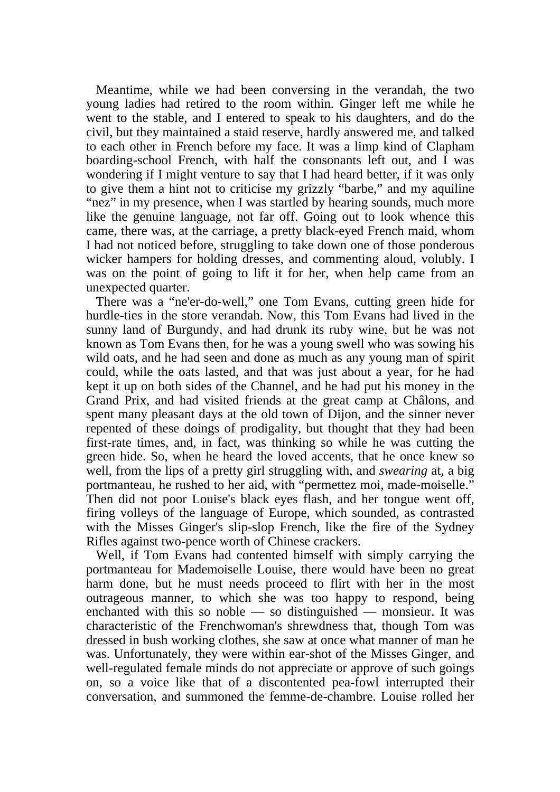Meantime, while we had been conversing in the verandah, the two young ladies had retired to the room within. Ginger left me while he went to the stable, and I entered to speak to his daughters, and do the civil, but they maintained a staid reserve, hardly answered me, and talked to each other in French before my face. It was a limp kind of Clapham boarding-school French, with half the consonants left out, and I was wondering if I might venture to say that I had heard better, if it was only to give them a hint not to criticise my grizzly "barbe," and my aquiline "nez" in my presence, when I was startled by hearing sounds, much more like the genuine language, not far off. Going out to look whence this came, there was, at the carriage, a pretty black-eyed French maid, whom I had not noticed before, struggling to take down one of those ponderous wicker hampers for holding dresses, and commenting aloud, volubly. I was on the point of going to lift it for her, when help came from an unexpected quarter.

 There was a "ne'er-do-well," one Tom Evans, cutting green hide for hurdle-ties in the store verandah. Now, this Tom Evans had lived in the sunny land of Burgundy, and had drunk its ruby wine, but he was not known as Tom Evans then, for he was a young swell who was sowing his wild oats, and he had seen and done as much as any young man of spirit could, while the oats lasted, and that was just about a year, for he had kept it up on both sides of the Channel, and he had put his money in the Grand Prix, and had visited friends at the great camp at Châlons, and spent many pleasant days at the old town of Dijon, and the sinner never repented of these doings of prodigality, but thought that they had been first-rate times, and, in fact, was thinking so while he was cutting the green hide. So, when he heard the loved accents, that he once knew so well, from the lips of a pretty girl struggling with, and *swearing* at, a big portmanteau, he rushed to her aid, with "permettez moi, made-moiselle." Then did not poor Louise's black eyes flash, and her tongue went off, firing volleys of the language of Europe, which sounded, as contrasted with the Misses Ginger's slip-slop French, like the fire of the Sydney Rifles against two-pence worth of Chinese crackers.

 Well, if Tom Evans had contented himself with simply carrying the portmanteau for Mademoiselle Louise, there would have been no great harm done, but he must needs proceed to flirt with her in the most outrageous manner, to which she was too happy to respond, being enchanted with this so noble — so distinguished — monsieur. It was characteristic of the Frenchwoman's shrewdness that, though Tom was dressed in bush working clothes, she saw at once what manner of man he was. Unfortunately, they were within ear-shot of the Misses Ginger, and well-regulated female minds do not appreciate or approve of such goings on, so a voice like that of a discontented pea-fowl interrupted their conversation, and summoned the femme-de-chambre. Louise rolled her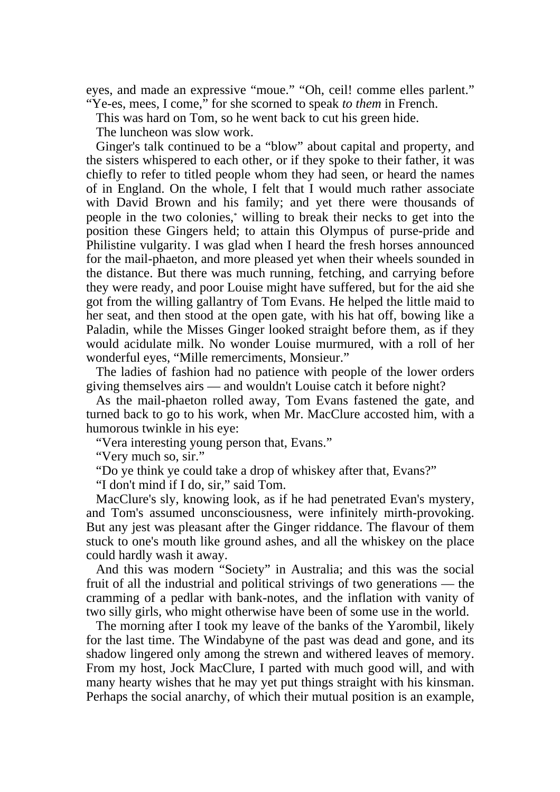eyes, and made an expressive "moue." "Oh, ceil! comme elles parlent." "Ye-es, mees, I come," for she scorned to speak *to them* in French.

This was hard on Tom, so he went back to cut his green hide.

The luncheon was slow work.

 Ginger's talk continued to be a "blow" about capital and property, and the sisters whispered to each other, or if they spoke to their father, it was chiefly to refer to titled people whom they had seen, or heard the names of in England. On the whole, I felt that I would much rather associate with David Brown and his family; and yet there were thousands of people in the two colonies,\* willing to break their necks to get into the position these Gingers held; to attain this Olympus of purse-pride and Philistine vulgarity. I was glad when I heard the fresh horses announced for the mail-phaeton, and more pleased yet when their wheels sounded in the distance. But there was much running, fetching, and carrying before they were ready, and poor Louise might have suffered, but for the aid she got from the willing gallantry of Tom Evans. He helped the little maid to her seat, and then stood at the open gate, with his hat off, bowing like a Paladin, while the Misses Ginger looked straight before them, as if they would acidulate milk. No wonder Louise murmured, with a roll of her wonderful eyes, "Mille remerciments, Monsieur."

 The ladies of fashion had no patience with people of the lower orders giving themselves airs — and wouldn't Louise catch it before night?

 As the mail-phaeton rolled away, Tom Evans fastened the gate, and turned back to go to his work, when Mr. MacClure accosted him, with a humorous twinkle in his eye:

"Vera interesting young person that, Evans."

"Very much so, sir."

"Do ye think ye could take a drop of whiskey after that, Evans?"

"I don't mind if I do, sir," said Tom.

 MacClure's sly, knowing look, as if he had penetrated Evan's mystery, and Tom's assumed unconsciousness, were infinitely mirth-provoking. But any jest was pleasant after the Ginger riddance. The flavour of them stuck to one's mouth like ground ashes, and all the whiskey on the place could hardly wash it away.

 And this was modern "Society" in Australia; and this was the social fruit of all the industrial and political strivings of two generations — the cramming of a pedlar with bank-notes, and the inflation with vanity of two silly girls, who might otherwise have been of some use in the world.

 The morning after I took my leave of the banks of the Yarombil, likely for the last time. The Windabyne of the past was dead and gone, and its shadow lingered only among the strewn and withered leaves of memory. From my host, Jock MacClure, I parted with much good will, and with many hearty wishes that he may yet put things straight with his kinsman. Perhaps the social anarchy, of which their mutual position is an example,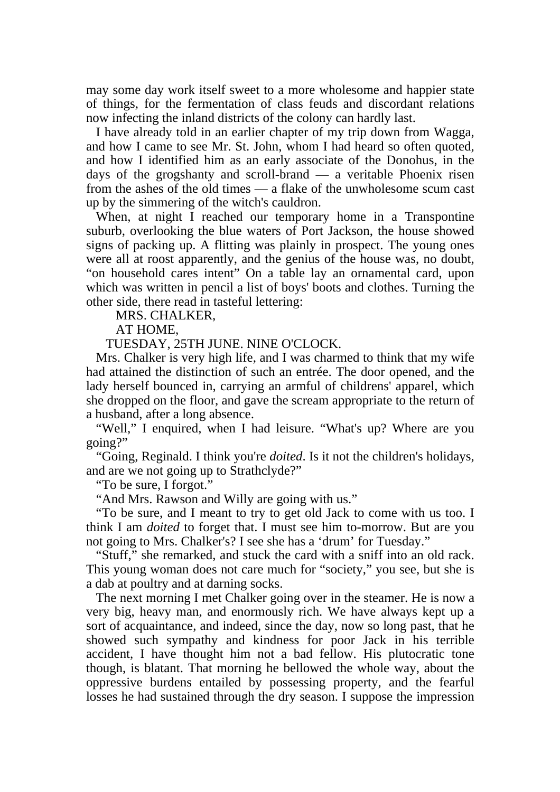may some day work itself sweet to a more wholesome and happier state of things, for the fermentation of class feuds and discordant relations now infecting the inland districts of the colony can hardly last.

 I have already told in an earlier chapter of my trip down from Wagga, and how I came to see Mr. St. John, whom I had heard so often quoted, and how I identified him as an early associate of the Donohus, in the days of the grogshanty and scroll-brand — a veritable Phoenix risen from the ashes of the old times — a flake of the unwholesome scum cast up by the simmering of the witch's cauldron.

 When, at night I reached our temporary home in a Transpontine suburb, overlooking the blue waters of Port Jackson, the house showed signs of packing up. A flitting was plainly in prospect. The young ones were all at roost apparently, and the genius of the house was, no doubt, "on household cares intent" On a table lay an ornamental card, upon which was written in pencil a list of boys' boots and clothes. Turning the other side, there read in tasteful lettering:

MRS. CHALKER,

AT HOME,

TUESDAY, 25TH JUNE. NINE O'CLOCK.

 Mrs. Chalker is very high life, and I was charmed to think that my wife had attained the distinction of such an entrée. The door opened, and the lady herself bounced in, carrying an armful of childrens' apparel, which she dropped on the floor, and gave the scream appropriate to the return of a husband, after a long absence.

 "Well," I enquired, when I had leisure. "What's up? Where are you going?"

 "Going, Reginald. I think you're *doited*. Is it not the children's holidays, and are we not going up to Strathclyde?"

"To be sure, I forgot."

"And Mrs. Rawson and Willy are going with us."

 "To be sure, and I meant to try to get old Jack to come with us too. I think I am *doited* to forget that. I must see him to-morrow. But are you not going to Mrs. Chalker's? I see she has a 'drum' for Tuesday."

 "Stuff," she remarked, and stuck the card with a sniff into an old rack. This young woman does not care much for "society," you see, but she is a dab at poultry and at darning socks.

 The next morning I met Chalker going over in the steamer. He is now a very big, heavy man, and enormously rich. We have always kept up a sort of acquaintance, and indeed, since the day, now so long past, that he showed such sympathy and kindness for poor Jack in his terrible accident, I have thought him not a bad fellow. His plutocratic tone though, is blatant. That morning he bellowed the whole way, about the oppressive burdens entailed by possessing property, and the fearful losses he had sustained through the dry season. I suppose the impression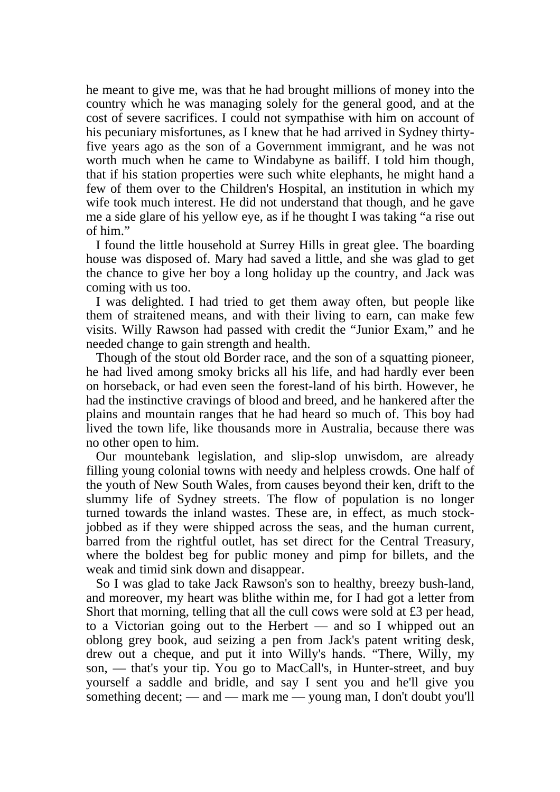he meant to give me, was that he had brought millions of money into the country which he was managing solely for the general good, and at the cost of severe sacrifices. I could not sympathise with him on account of his pecuniary misfortunes, as I knew that he had arrived in Sydney thirtyfive years ago as the son of a Government immigrant, and he was not worth much when he came to Windabyne as bailiff. I told him though, that if his station properties were such white elephants, he might hand a few of them over to the Children's Hospital, an institution in which my wife took much interest. He did not understand that though, and he gave me a side glare of his yellow eye, as if he thought I was taking "a rise out of him."

 I found the little household at Surrey Hills in great glee. The boarding house was disposed of. Mary had saved a little, and she was glad to get the chance to give her boy a long holiday up the country, and Jack was coming with us too.

 I was delighted. I had tried to get them away often, but people like them of straitened means, and with their living to earn, can make few visits. Willy Rawson had passed with credit the "Junior Exam," and he needed change to gain strength and health.

 Though of the stout old Border race, and the son of a squatting pioneer, he had lived among smoky bricks all his life, and had hardly ever been on horseback, or had even seen the forest-land of his birth. However, he had the instinctive cravings of blood and breed, and he hankered after the plains and mountain ranges that he had heard so much of. This boy had lived the town life, like thousands more in Australia, because there was no other open to him.

 Our mountebank legislation, and slip-slop unwisdom, are already filling young colonial towns with needy and helpless crowds. One half of the youth of New South Wales, from causes beyond their ken, drift to the slummy life of Sydney streets. The flow of population is no longer turned towards the inland wastes. These are, in effect, as much stockjobbed as if they were shipped across the seas, and the human current, barred from the rightful outlet, has set direct for the Central Treasury, where the boldest beg for public money and pimp for billets, and the weak and timid sink down and disappear.

 So I was glad to take Jack Rawson's son to healthy, breezy bush-land, and moreover, my heart was blithe within me, for I had got a letter from Short that morning, telling that all the cull cows were sold at £3 per head, to a Victorian going out to the Herbert — and so I whipped out an oblong grey book, aud seizing a pen from Jack's patent writing desk, drew out a cheque, and put it into Willy's hands. "There, Willy, my son, — that's your tip. You go to MacCall's, in Hunter-street, and buy yourself a saddle and bridle, and say I sent you and he'll give you something decent; — and — mark me — young man, I don't doubt you'll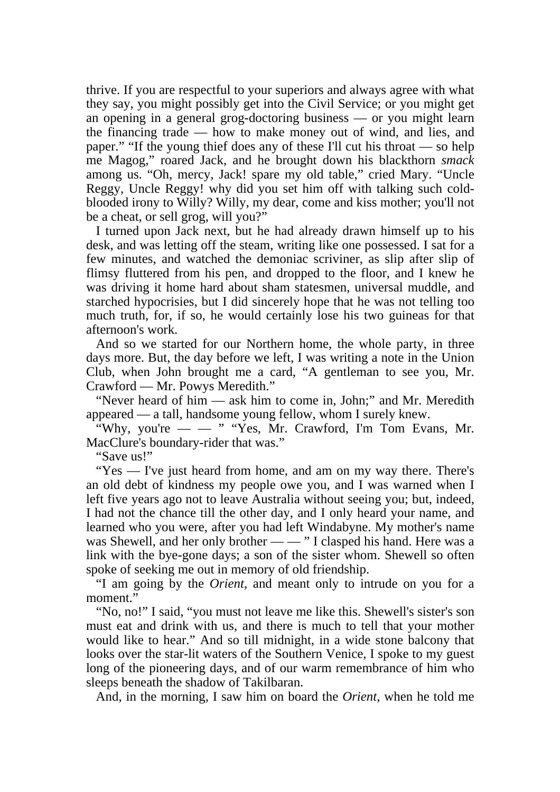thrive. If you are respectful to your superiors and always agree with what they say, you might possibly get into the Civil Service; or you might get an opening in a general grog-doctoring business — or you might learn the financing trade — how to make money out of wind, and lies, and paper." "If the young thief does any of these I'll cut his throat — so help me Magog," roared Jack, and he brought down his blackthorn *smack* among us. "Oh, mercy, Jack! spare my old table," cried Mary. "Uncle Reggy, Uncle Reggy! why did you set him off with talking such coldblooded irony to Willy? Willy, my dear, come and kiss mother; you'll not be a cheat, or sell grog, will you?"

 I turned upon Jack next, but he had already drawn himself up to his desk, and was letting off the steam, writing like one possessed. I sat for a few minutes, and watched the demoniac scriviner, as slip after slip of flimsy fluttered from his pen, and dropped to the floor, and I knew he was driving it home hard about sham statesmen, universal muddle, and starched hypocrisies, but I did sincerely hope that he was not telling too much truth, for, if so, he would certainly lose his two guineas for that afternoon's work.

 And so we started for our Northern home, the whole party, in three days more. But, the day before we left, I was writing a note in the Union Club, when John brought me a card, "A gentleman to see you, Mr. Crawford — Mr. Powys Meredith."

 "Never heard of him — ask him to come in, John;" and Mr. Meredith appeared — a tall, handsome young fellow, whom I surely knew.

"Why, you're  $-$  " "Yes, Mr. Crawford, I'm Tom Evans, Mr. MacClure's boundary-rider that was."

"Save us!"

"Yes — I've just heard from home, and am on my way there. There's an old debt of kindness my people owe you, and I was warned when I left five years ago not to leave Australia without seeing you; but, indeed, I had not the chance till the other day, and I only heard your name, and learned who you were, after you had left Windabyne. My mother's name was Shewell, and her only brother — — " I clasped his hand. Here was a link with the bye-gone days; a son of the sister whom. Shewell so often spoke of seeking me out in memory of old friendship.

 "I am going by the *Orient*, and meant only to intrude on you for a moment.'

 "No, no!" I said, "you must not leave me like this. Shewell's sister's son must eat and drink with us, and there is much to tell that your mother would like to hear." And so till midnight, in a wide stone balcony that looks over the star-lit waters of the Southern Venice, I spoke to my guest long of the pioneering days, and of our warm remembrance of him who sleeps beneath the shadow of Takilbaran.

And, in the morning, I saw him on board the *Orient*, when he told me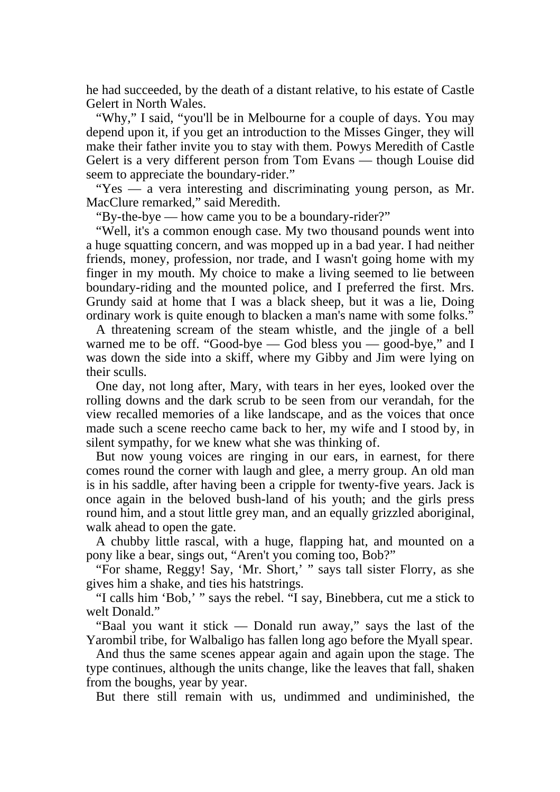he had succeeded, by the death of a distant relative, to his estate of Castle Gelert in North Wales.

 "Why," I said, "you'll be in Melbourne for a couple of days. You may depend upon it, if you get an introduction to the Misses Ginger, they will make their father invite you to stay with them. Powys Meredith of Castle Gelert is a very different person from Tom Evans — though Louise did seem to appreciate the boundary-rider."

"Yes — a vera interesting and discriminating young person, as Mr. MacClure remarked," said Meredith.

"By-the-bye — how came you to be a boundary-rider?"

 "Well, it's a common enough case. My two thousand pounds went into a huge squatting concern, and was mopped up in a bad year. I had neither friends, money, profession, nor trade, and I wasn't going home with my finger in my mouth. My choice to make a living seemed to lie between boundary-riding and the mounted police, and I preferred the first. Mrs. Grundy said at home that I was a black sheep, but it was a lie, Doing ordinary work is quite enough to blacken a man's name with some folks."

 A threatening scream of the steam whistle, and the jingle of a bell warned me to be off. "Good-bye — God bless you — good-bye," and I was down the side into a skiff, where my Gibby and Jim were lying on their sculls.

 One day, not long after, Mary, with tears in her eyes, looked over the rolling downs and the dark scrub to be seen from our verandah, for the view recalled memories of a like landscape, and as the voices that once made such a scene reecho came back to her, my wife and I stood by, in silent sympathy, for we knew what she was thinking of.

 But now young voices are ringing in our ears, in earnest, for there comes round the corner with laugh and glee, a merry group. An old man is in his saddle, after having been a cripple for twenty-five years. Jack is once again in the beloved bush-land of his youth; and the girls press round him, and a stout little grey man, and an equally grizzled aboriginal, walk ahead to open the gate.

 A chubby little rascal, with a huge, flapping hat, and mounted on a pony like a bear, sings out, "Aren't you coming too, Bob?"

 "For shame, Reggy! Say, 'Mr. Short,' " says tall sister Florry, as she gives him a shake, and ties his hatstrings.

 "I calls him 'Bob,' " says the rebel. "I say, Binebbera, cut me a stick to welt Donald."

 "Baal you want it stick — Donald run away," says the last of the Yarombil tribe, for Walbaligo has fallen long ago before the Myall spear.

 And thus the same scenes appear again and again upon the stage. The type continues, although the units change, like the leaves that fall, shaken from the boughs, year by year.

But there still remain with us, undimmed and undiminished, the